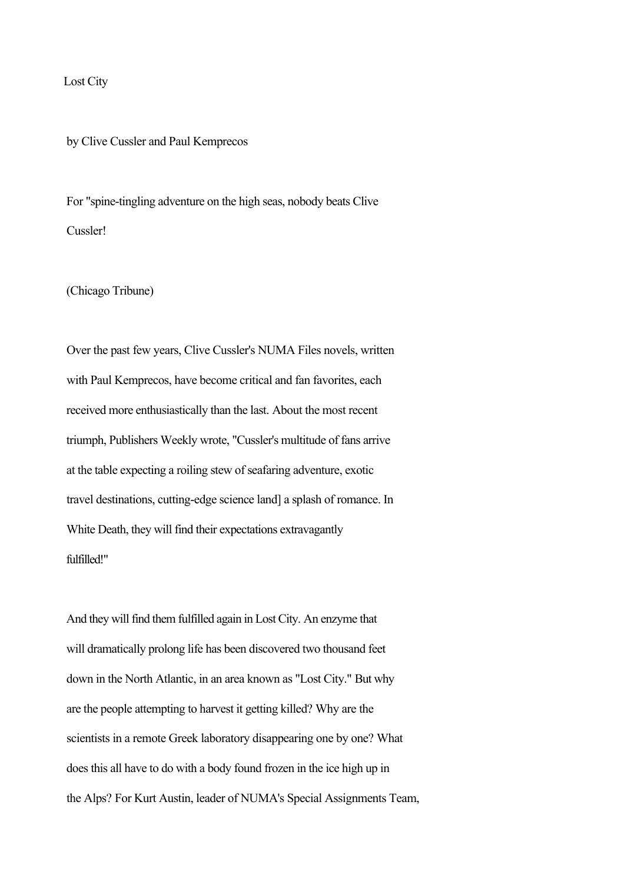#### Lost City

by Clive Cussler and Paul Kemprecos

 For "spine-tingling adventure on the high seas, nobody beats Clive Cussler!

(Chicago Tribune)

 Over the past few years, Clive Cussler's NUMA Files novels, written with Paul Kemprecos, have become critical and fan favorites, each received more enthusiastically than the last. About the most recent triumph, Publishers Weekly wrote, "Cussler's multitude of fans arrive at the table expecting a roiling stew of seafaring adventure, exotic travel destinations, cutting-edge science land] a splash of romance. In White Death, they will find their expectations extravagantly fulfilled!"

 And they will find them fulfilled again in Lost City. An enzyme that will dramatically prolong life has been discovered two thousand feet down in the North Atlantic, in an area known as "Lost City." But why are the people attempting to harvest it getting killed? Why are the scientists in a remote Greek laboratory disappearing one by one? What does this all have to do with a body found frozen in the ice high up in the Alps? For Kurt Austin, leader of NUMA's Special Assignments Team,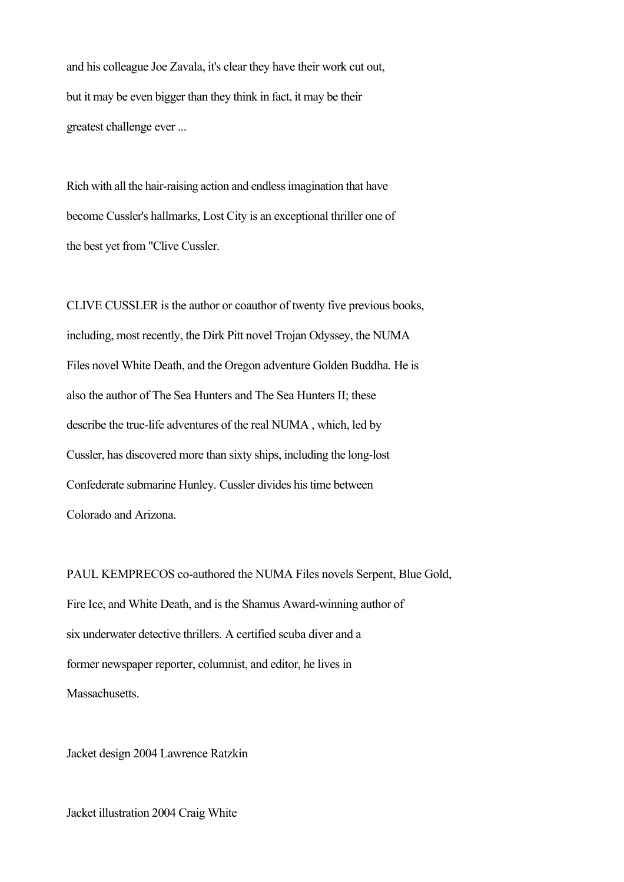and his colleague Joe Zavala, it's clear they have their work cut out, but it may be even bigger than they think in fact, it may be their greatest challenge ever ...

 Rich with all the hair-raising action and endless imagination that have become Cussler's hallmarks, Lost City is an exceptional thriller one of the best yet from "Clive Cussler.

 CLIVE CUSSLER is the author or coauthor of twenty five previous books, including, most recently, the Dirk Pitt novel Trojan Odyssey, the NUMA Files novel White Death, and the Oregon adventure Golden Buddha. He is also the author of The Sea Hunters and The Sea Hunters II; these describe the true-life adventures of the real NUMA , which, led by Cussler, has discovered more than sixty ships, including the long-lost Confederate submarine Hunley. Cussler divides his time between Colorado and Arizona.

 PAUL KEMPRECOS co-authored the NUMA Files novels Serpent, Blue Gold, Fire Ice, and White Death, and is the Shamus Award-winning author of six underwater detective thrillers. A certified scuba diver and a former newspaper reporter, columnist, and editor, he lives in Massachusetts.

Jacket design 2004 Lawrence Ratzkin

Jacket illustration 2004 Craig White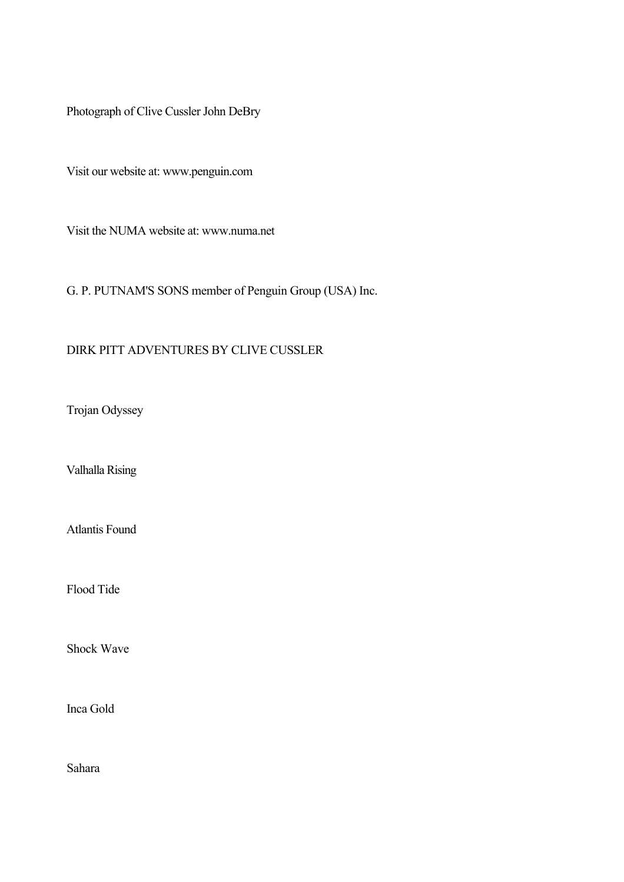Photograph of Clive Cussler John DeBry

Visit our website at: www.penguin.com

Visit the NUMA website at: www.numa.net

G. P. PUTNAM'S SONS member of Penguin Group (USA) Inc.

# DIRK PITT ADVENTURES BY CLIVE CUSSLER

Trojan Odyssey

Valhalla Rising

Atlantis Found

Flood Tide

Shock Wave

Inca Gold

Sahara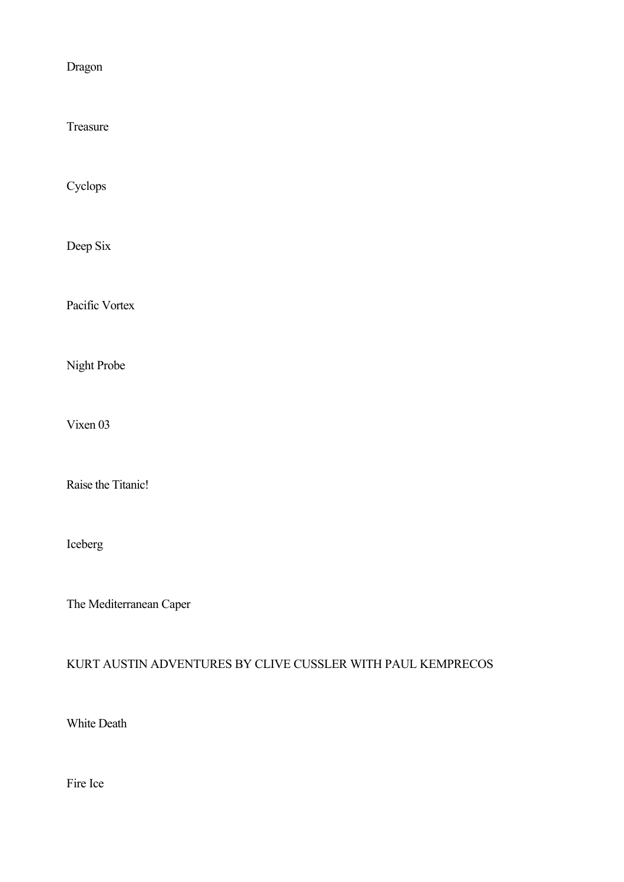Dragon

Treasure

Cyclops

Deep Six

Pacific Vortex

Night Probe

Vixen 03

Raise the Titanic!

Iceberg

The Mediterranean Caper

# KURT AUSTIN ADVENTURES BY CLIVE CUSSLER WITH PAUL KEMPRECOS

White Death

Fire Ice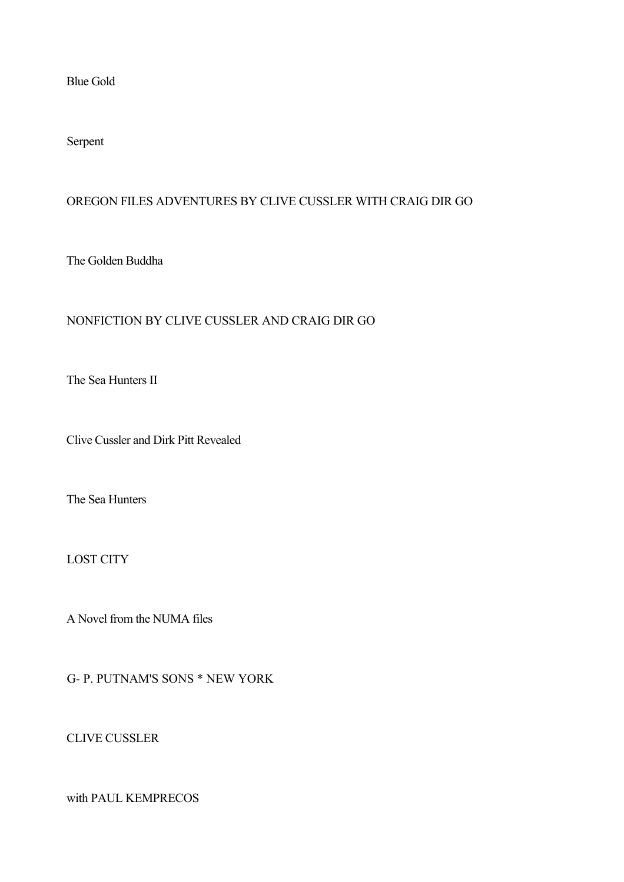Blue Gold

Serpent

## OREGON FILES ADVENTURES BY CLIVE CUSSLER WITH CRAIG DIR GO

The Golden Buddha

# NONFICTION BY CLIVE CUSSLER AND CRAIG DIR GO

The Sea Hunters II

Clive Cussler and Dirk Pitt Revealed

The Sea Hunters

LOST CITY

A Novel from the NUMA files

G- P. PUTNAM'S SONS \* NEW YORK

CLIVE CUSSLER

with PAUL KEMPRECOS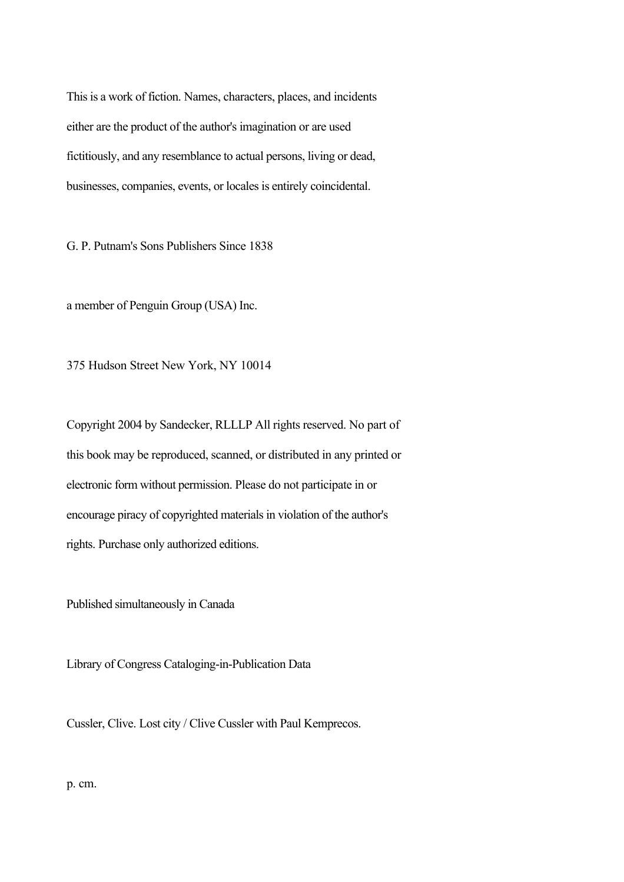This is a work of fiction. Names, characters, places, and incidents either are the product of the author's imagination or are used fictitiously, and any resemblance to actual persons, living or dead, businesses, companies, events, or locales is entirely coincidental.

G. P. Putnam's Sons Publishers Since 1838

a member of Penguin Group (USA) Inc.

375 Hudson Street New York, NY 10014

 Copyright 2004 by Sandecker, RLLLP All rights reserved. No part of this book may be reproduced, scanned, or distributed in any printed or electronic form without permission. Please do not participate in or encourage piracy of copyrighted materials in violation of the author's rights. Purchase only authorized editions.

Published simultaneously in Canada

Library of Congress Cataloging-in-Publication Data

Cussler, Clive. Lost city / Clive Cussler with Paul Kemprecos.

p. cm.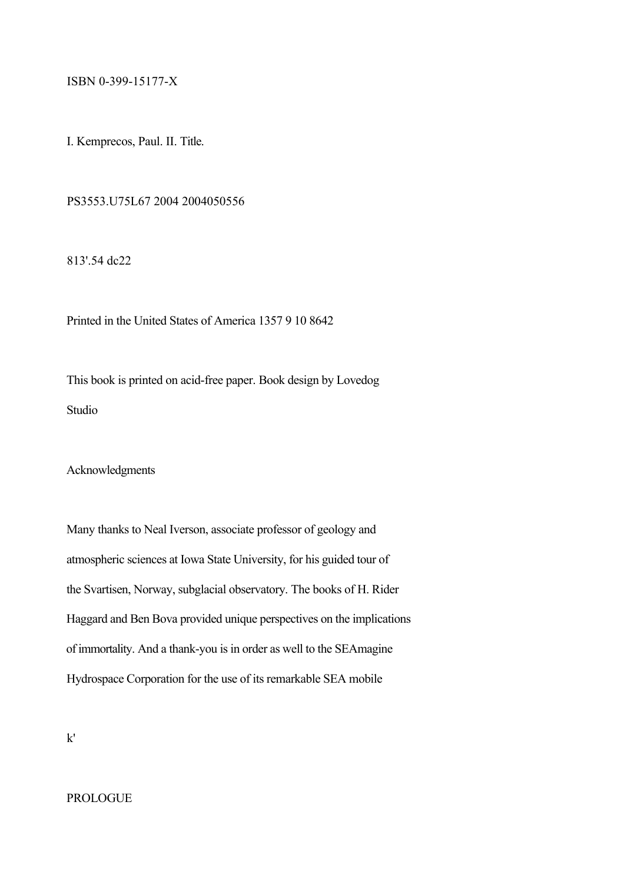ISBN 0-399-15177-X

I. Kemprecos, Paul. II. Title.

PS3553.U75L67 2004 2004050556

813'.54 dc22

Printed in the United States of America 1357 9 10 8642

 This book is printed on acid-free paper. Book design by Lovedog Studio

Acknowledgments

 Many thanks to Neal Iverson, associate professor of geology and atmospheric sciences at Iowa State University, for his guided tour of the Svartisen, Norway, subglacial observatory. The books of H. Rider Haggard and Ben Bova provided unique perspectives on the implications of immortality. And a thank-you is in order as well to the SEAmagine Hydrospace Corporation for the use of its remarkable SEA mobile

k'

### PROLOGUE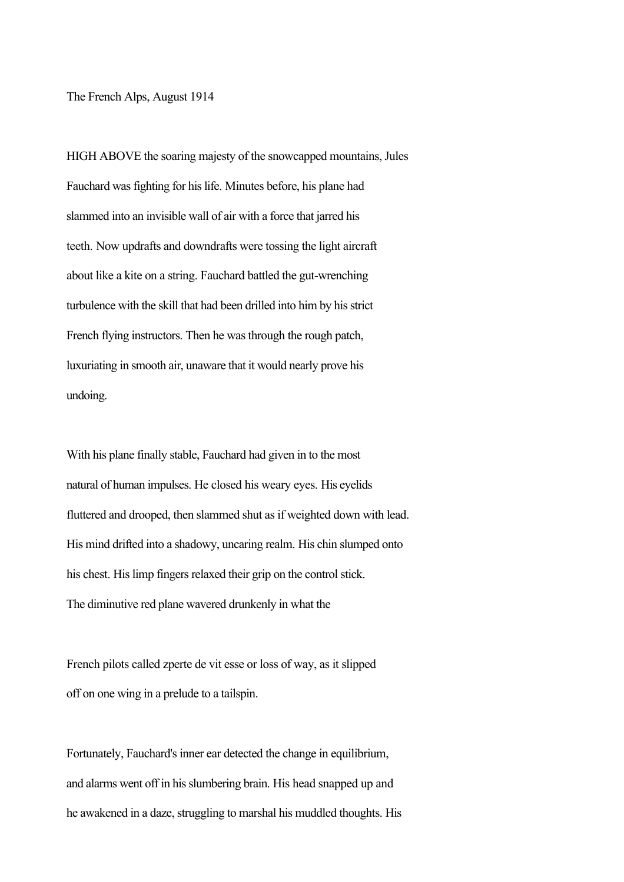The French Alps, August 1914

 HIGH ABOVE the soaring majesty of the snowcapped mountains, Jules Fauchard was fighting for his life. Minutes before, his plane had slammed into an invisible wall of air with a force that jarred his teeth. Now updrafts and downdrafts were tossing the light aircraft about like a kite on a string. Fauchard battled the gut-wrenching turbulence with the skill that had been drilled into him by his strict French flying instructors. Then he was through the rough patch, luxuriating in smooth air, unaware that it would nearly prove his undoing.

 With his plane finally stable, Fauchard had given in to the most natural of human impulses. He closed his weary eyes. His eyelids fluttered and drooped, then slammed shut as if weighted down with lead. His mind drifted into a shadowy, uncaring realm. His chin slumped onto his chest. His limp fingers relaxed their grip on the control stick. The diminutive red plane wavered drunkenly in what the

 French pilots called zperte de vit esse or loss of way, as it slipped off on one wing in a prelude to a tailspin.

 Fortunately, Fauchard's inner ear detected the change in equilibrium, and alarms went off in his slumbering brain. His head snapped up and he awakened in a daze, struggling to marshal his muddled thoughts. His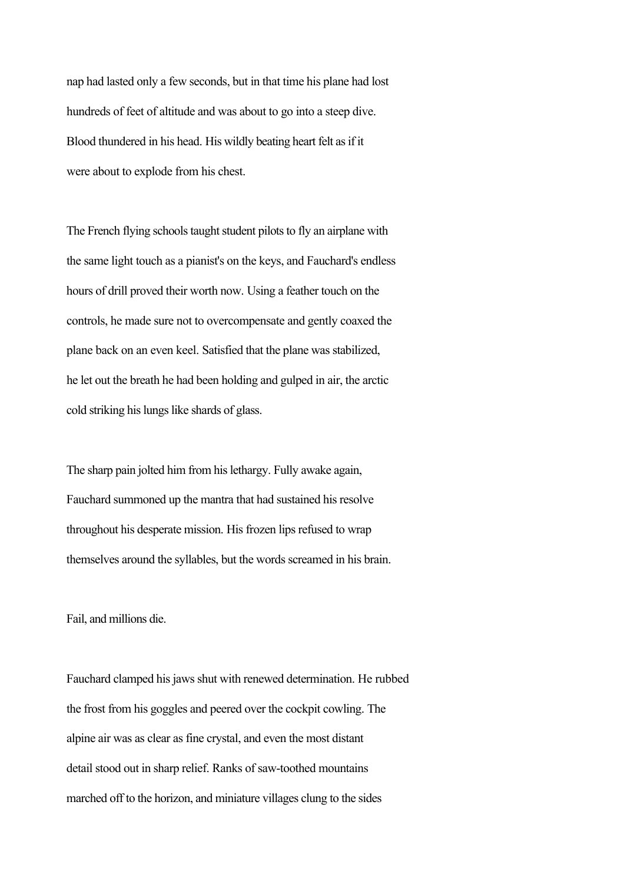nap had lasted only a few seconds, but in that time his plane had lost hundreds of feet of altitude and was about to go into a steep dive. Blood thundered in his head. His wildly beating heart felt as if it were about to explode from his chest.

 The French flying schools taught student pilots to fly an airplane with the same light touch as a pianist's on the keys, and Fauchard's endless hours of drill proved their worth now. Using a feather touch on the controls, he made sure not to overcompensate and gently coaxed the plane back on an even keel. Satisfied that the plane was stabilized, he let out the breath he had been holding and gulped in air, the arctic cold striking his lungs like shards of glass.

 The sharp pain jolted him from his lethargy. Fully awake again, Fauchard summoned up the mantra that had sustained his resolve throughout his desperate mission. His frozen lips refused to wrap themselves around the syllables, but the words screamed in his brain.

Fail, and millions die.

 Fauchard clamped his jaws shut with renewed determination. He rubbed the frost from his goggles and peered over the cockpit cowling. The alpine air was as clear as fine crystal, and even the most distant detail stood out in sharp relief. Ranks of saw-toothed mountains marched off to the horizon, and miniature villages clung to the sides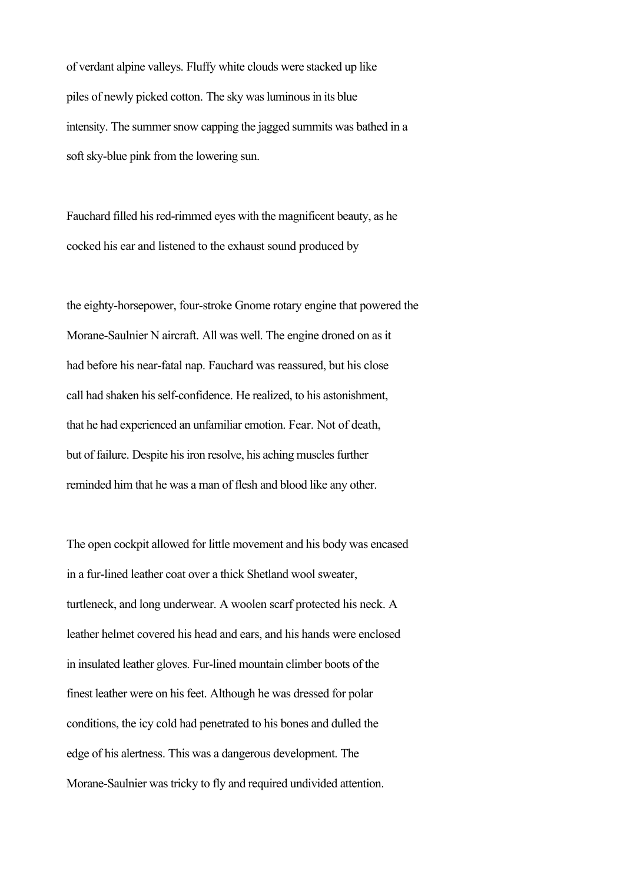of verdant alpine valleys. Fluffy white clouds were stacked up like piles of newly picked cotton. The sky was luminous in its blue intensity. The summer snow capping the jagged summits was bathed in a soft sky-blue pink from the lowering sun.

 Fauchard filled his red-rimmed eyes with the magnificent beauty, as he cocked his ear and listened to the exhaust sound produced by

 the eighty-horsepower, four-stroke Gnome rotary engine that powered the Morane-Saulnier N aircraft. All was well. The engine droned on as it had before his near-fatal nap. Fauchard was reassured, but his close call had shaken his self-confidence. He realized, to his astonishment, that he had experienced an unfamiliar emotion. Fear. Not of death, but of failure. Despite his iron resolve, his aching muscles further reminded him that he was a man of flesh and blood like any other.

 The open cockpit allowed for little movement and his body was encased in a fur-lined leather coat over a thick Shetland wool sweater, turtleneck, and long underwear. A woolen scarf protected his neck. A leather helmet covered his head and ears, and his hands were enclosed in insulated leather gloves. Fur-lined mountain climber boots of the finest leather were on his feet. Although he was dressed for polar conditions, the icy cold had penetrated to his bones and dulled the edge of his alertness. This was a dangerous development. The Morane-Saulnier was tricky to fly and required undivided attention.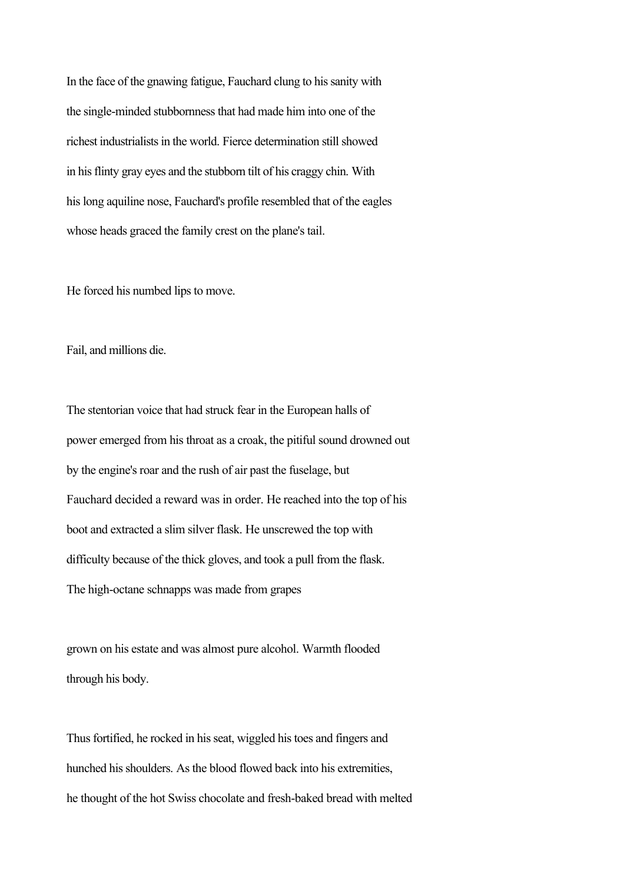In the face of the gnawing fatigue, Fauchard clung to his sanity with the single-minded stubbornness that had made him into one of the richest industrialists in the world. Fierce determination still showed in his flinty gray eyes and the stubborn tilt of his craggy chin. With his long aquiline nose, Fauchard's profile resembled that of the eagles whose heads graced the family crest on the plane's tail.

He forced his numbed lips to move.

Fail, and millions die.

 The stentorian voice that had struck fear in the European halls of power emerged from his throat as a croak, the pitiful sound drowned out by the engine's roar and the rush of air past the fuselage, but Fauchard decided a reward was in order. He reached into the top of his boot and extracted a slim silver flask. He unscrewed the top with difficulty because of the thick gloves, and took a pull from the flask. The high-octane schnapps was made from grapes

 grown on his estate and was almost pure alcohol. Warmth flooded through his body.

 Thus fortified, he rocked in his seat, wiggled his toes and fingers and hunched his shoulders. As the blood flowed back into his extremities, he thought of the hot Swiss chocolate and fresh-baked bread with melted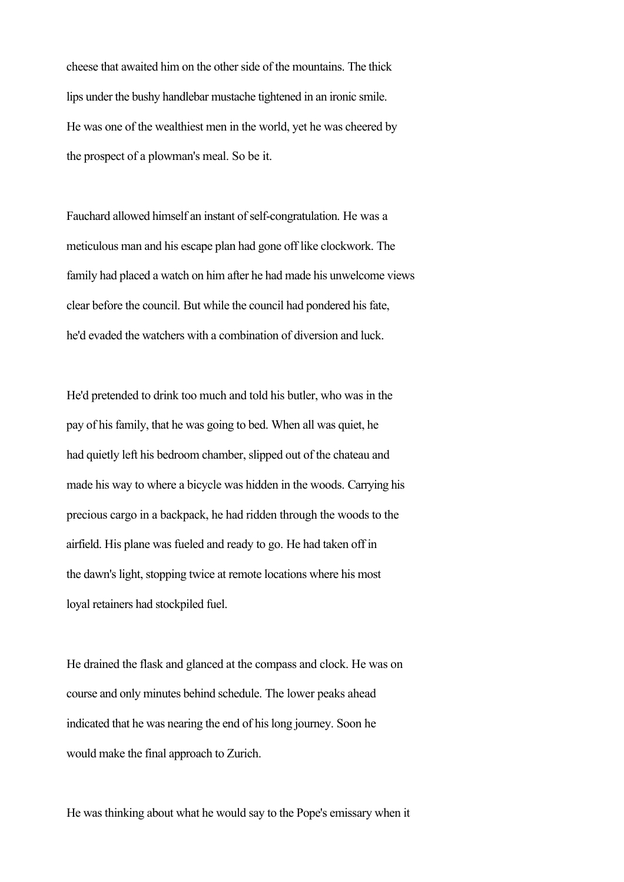cheese that awaited him on the other side of the mountains. The thick lips under the bushy handlebar mustache tightened in an ironic smile. He was one of the wealthiest men in the world, yet he was cheered by the prospect of a plowman's meal. So be it.

 Fauchard allowed himself an instant of self-congratulation. He was a meticulous man and his escape plan had gone off like clockwork. The family had placed a watch on him after he had made his unwelcome views clear before the council. But while the council had pondered his fate, he'd evaded the watchers with a combination of diversion and luck.

 He'd pretended to drink too much and told his butler, who was in the pay of his family, that he was going to bed. When all was quiet, he had quietly left his bedroom chamber, slipped out of the chateau and made his way to where a bicycle was hidden in the woods. Carrying his precious cargo in a backpack, he had ridden through the woods to the airfield. His plane was fueled and ready to go. He had taken off in the dawn's light, stopping twice at remote locations where his most loyal retainers had stockpiled fuel.

 He drained the flask and glanced at the compass and clock. He was on course and only minutes behind schedule. The lower peaks ahead indicated that he was nearing the end of his long journey. Soon he would make the final approach to Zurich.

He was thinking about what he would say to the Pope's emissary when it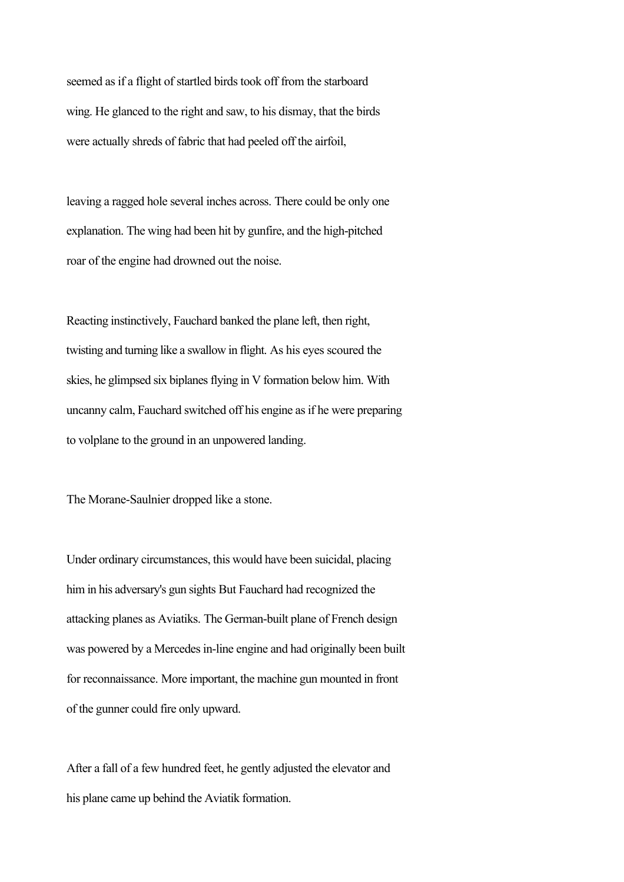seemed as if a flight of startled birds took off from the starboard wing. He glanced to the right and saw, to his dismay, that the birds were actually shreds of fabric that had peeled off the airfoil,

 leaving a ragged hole several inches across. There could be only one explanation. The wing had been hit by gunfire, and the high-pitched roar of the engine had drowned out the noise.

 Reacting instinctively, Fauchard banked the plane left, then right, twisting and turning like a swallow in flight. As his eyes scoured the skies, he glimpsed six biplanes flying in V formation below him. With uncanny calm, Fauchard switched off his engine as if he were preparing to volplane to the ground in an unpowered landing.

The Morane-Saulnier dropped like a stone.

 Under ordinary circumstances, this would have been suicidal, placing him in his adversary's gun sights But Fauchard had recognized the attacking planes as Aviatiks. The German-built plane of French design was powered by a Mercedes in-line engine and had originally been built for reconnaissance. More important, the machine gun mounted in front of the gunner could fire only upward.

 After a fall of a few hundred feet, he gently adjusted the elevator and his plane came up behind the Aviatik formation.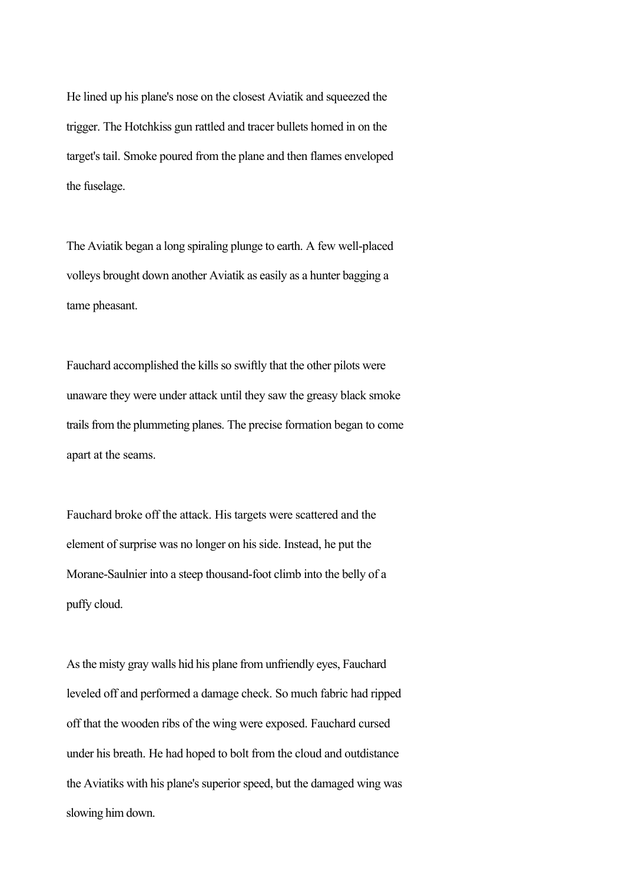He lined up his plane's nose on the closest Aviatik and squeezed the trigger. The Hotchkiss gun rattled and tracer bullets homed in on the target's tail. Smoke poured from the plane and then flames enveloped the fuselage.

 The Aviatik began a long spiraling plunge to earth. A few well-placed volleys brought down another Aviatik as easily as a hunter bagging a tame pheasant.

 Fauchard accomplished the kills so swiftly that the other pilots were unaware they were under attack until they saw the greasy black smoke trails from the plummeting planes. The precise formation began to come apart at the seams.

 Fauchard broke off the attack. His targets were scattered and the element of surprise was no longer on his side. Instead, he put the Morane-Saulnier into a steep thousand-foot climb into the belly of a puffy cloud.

 As the misty gray walls hid his plane from unfriendly eyes, Fauchard leveled off and performed a damage check. So much fabric had ripped off that the wooden ribs of the wing were exposed. Fauchard cursed under his breath. He had hoped to bolt from the cloud and outdistance the Aviatiks with his plane's superior speed, but the damaged wing was slowing him down.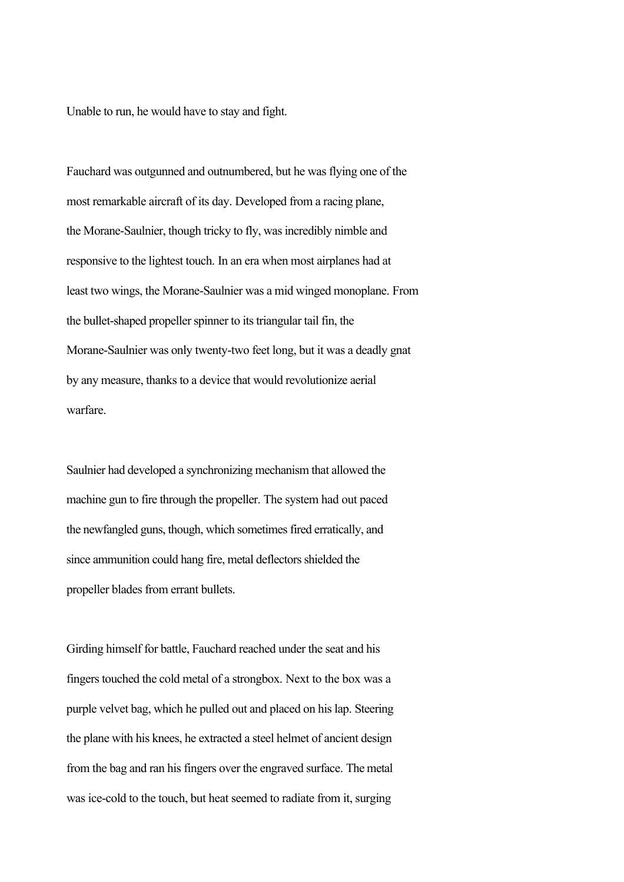Unable to run, he would have to stay and fight.

 Fauchard was outgunned and outnumbered, but he was flying one of the most remarkable aircraft of its day. Developed from a racing plane, the Morane-Saulnier, though tricky to fly, was incredibly nimble and responsive to the lightest touch. In an era when most airplanes had at least two wings, the Morane-Saulnier was a mid winged monoplane. From the bullet-shaped propeller spinner to its triangular tail fin, the Morane-Saulnier was only twenty-two feet long, but it was a deadly gnat by any measure, thanks to a device that would revolutionize aerial warfare.

 Saulnier had developed a synchronizing mechanism that allowed the machine gun to fire through the propeller. The system had out paced the newfangled guns, though, which sometimes fired erratically, and since ammunition could hang fire, metal deflectors shielded the propeller blades from errant bullets.

 Girding himself for battle, Fauchard reached under the seat and his fingers touched the cold metal of a strongbox. Next to the box was a purple velvet bag, which he pulled out and placed on his lap. Steering the plane with his knees, he extracted a steel helmet of ancient design from the bag and ran his fingers over the engraved surface. The metal was ice-cold to the touch, but heat seemed to radiate from it, surging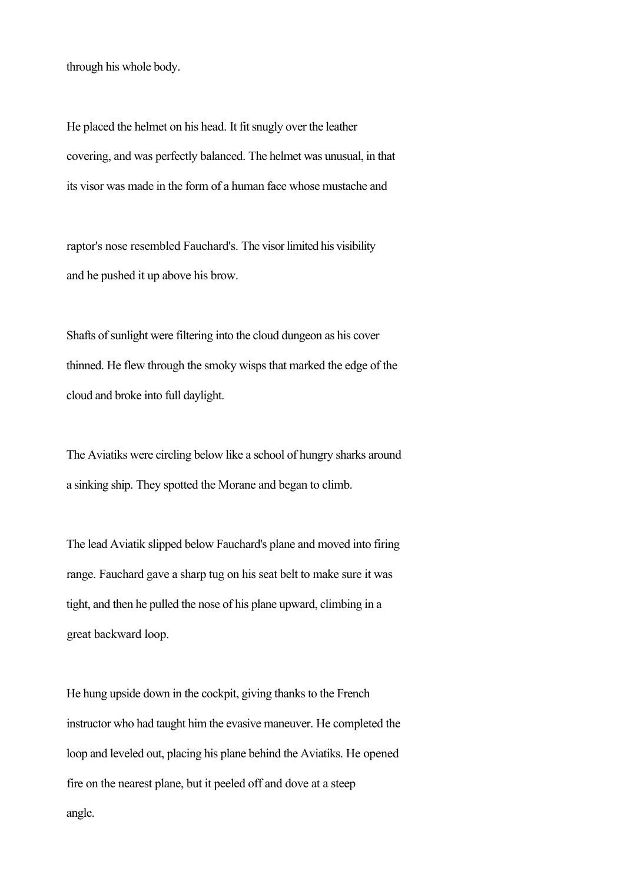through his whole body.

 He placed the helmet on his head. It fit snugly over the leather covering, and was perfectly balanced. The helmet was unusual, in that its visor was made in the form of a human face whose mustache and

 raptor's nose resembled Fauchard's. The visor limited his visibility and he pushed it up above his brow.

 Shafts of sunlight were filtering into the cloud dungeon as his cover thinned. He flew through the smoky wisps that marked the edge of the cloud and broke into full daylight.

 The Aviatiks were circling below like a school of hungry sharks around a sinking ship. They spotted the Morane and began to climb.

 The lead Aviatik slipped below Fauchard's plane and moved into firing range. Fauchard gave a sharp tug on his seat belt to make sure it was tight, and then he pulled the nose of his plane upward, climbing in a great backward loop.

 He hung upside down in the cockpit, giving thanks to the French instructor who had taught him the evasive maneuver. He completed the loop and leveled out, placing his plane behind the Aviatiks. He opened fire on the nearest plane, but it peeled off and dove at a steep angle.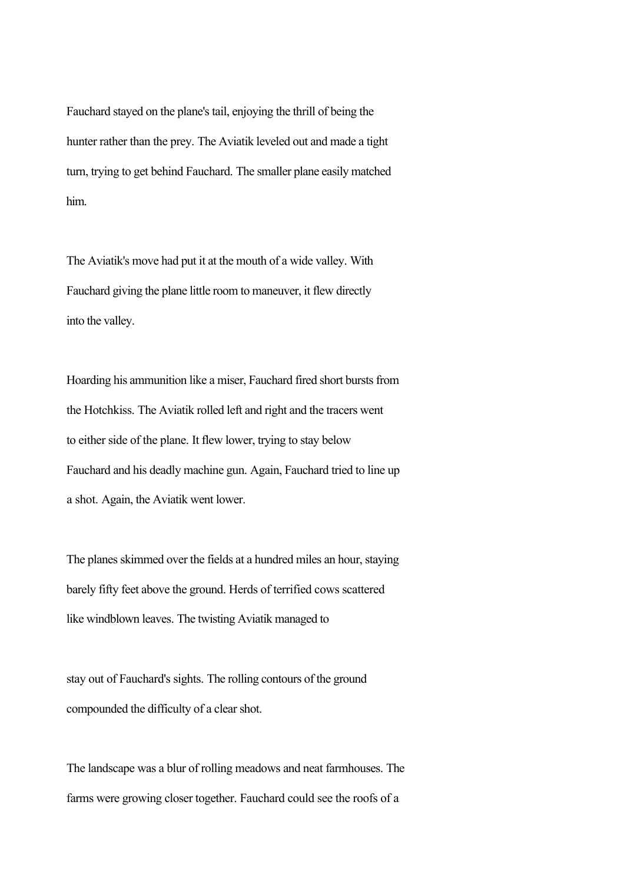Fauchard stayed on the plane's tail, enjoying the thrill of being the hunter rather than the prey. The Aviatik leveled out and made a tight turn, trying to get behind Fauchard. The smaller plane easily matched him.

 The Aviatik's move had put it at the mouth of a wide valley. With Fauchard giving the plane little room to maneuver, it flew directly into the valley.

 Hoarding his ammunition like a miser, Fauchard fired short bursts from the Hotchkiss. The Aviatik rolled left and right and the tracers went to either side of the plane. It flew lower, trying to stay below Fauchard and his deadly machine gun. Again, Fauchard tried to line up a shot. Again, the Aviatik went lower.

 The planes skimmed over the fields at a hundred miles an hour, staying barely fifty feet above the ground. Herds of terrified cows scattered like windblown leaves. The twisting Aviatik managed to

 stay out of Fauchard's sights. The rolling contours of the ground compounded the difficulty of a clear shot.

 The landscape was a blur of rolling meadows and neat farmhouses. The farms were growing closer together. Fauchard could see the roofs of a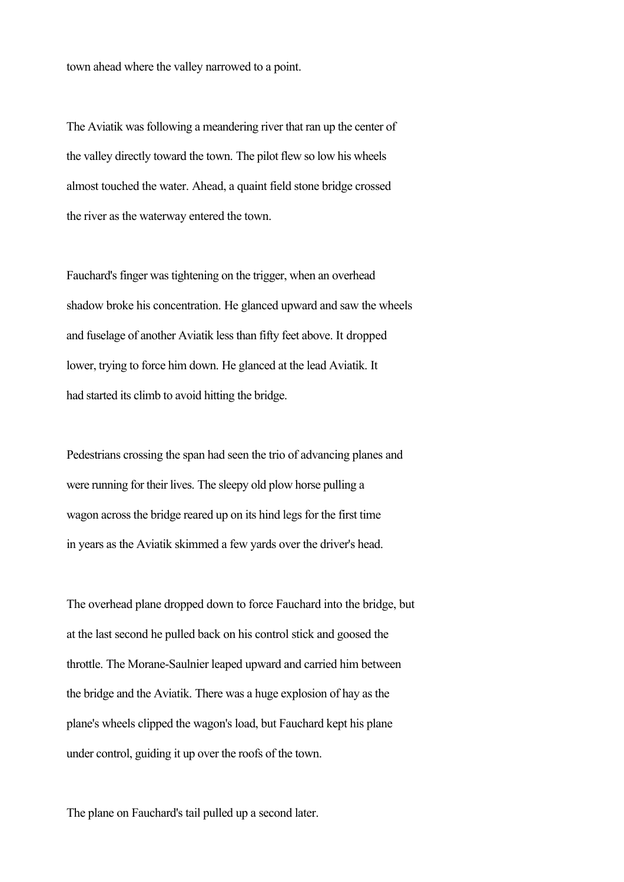town ahead where the valley narrowed to a point.

 The Aviatik was following a meandering river that ran up the center of the valley directly toward the town. The pilot flew so low his wheels almost touched the water. Ahead, a quaint field stone bridge crossed the river as the waterway entered the town.

 Fauchard's finger was tightening on the trigger, when an overhead shadow broke his concentration. He glanced upward and saw the wheels and fuselage of another Aviatik less than fifty feet above. It dropped lower, trying to force him down. He glanced at the lead Aviatik. It had started its climb to avoid hitting the bridge.

 Pedestrians crossing the span had seen the trio of advancing planes and were running for their lives. The sleepy old plow horse pulling a wagon across the bridge reared up on its hind legs for the first time in years as the Aviatik skimmed a few yards over the driver's head.

 The overhead plane dropped down to force Fauchard into the bridge, but at the last second he pulled back on his control stick and goosed the throttle. The Morane-Saulnier leaped upward and carried him between the bridge and the Aviatik. There was a huge explosion of hay as the plane's wheels clipped the wagon's load, but Fauchard kept his plane under control, guiding it up over the roofs of the town.

The plane on Fauchard's tail pulled up a second later.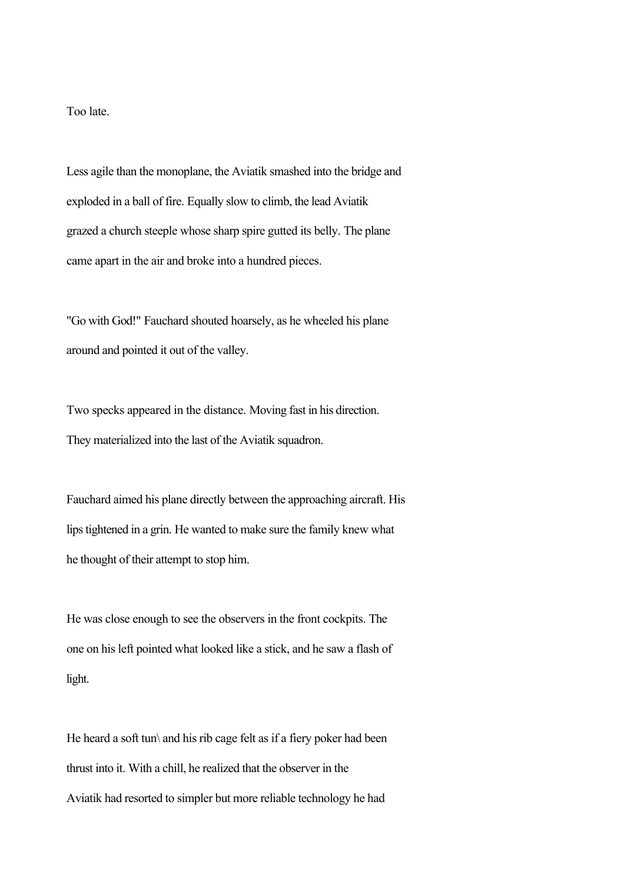Too late.

 Less agile than the monoplane, the Aviatik smashed into the bridge and exploded in a ball of fire. Equally slow to climb, the lead Aviatik grazed a church steeple whose sharp spire gutted its belly. The plane came apart in the air and broke into a hundred pieces.

 "Go with God!" Fauchard shouted hoarsely, as he wheeled his plane around and pointed it out of the valley.

 Two specks appeared in the distance. Moving fast in his direction. They materialized into the last of the Aviatik squadron.

 Fauchard aimed his plane directly between the approaching aircraft. His lips tightened in a grin. He wanted to make sure the family knew what he thought of their attempt to stop him.

 He was close enough to see the observers in the front cockpits. The one on his left pointed what looked like a stick, and he saw a flash of light.

 He heard a soft tun\ and his rib cage felt as if a fiery poker had been thrust into it. With a chill, he realized that the observer in the Aviatik had resorted to simpler but more reliable technology he had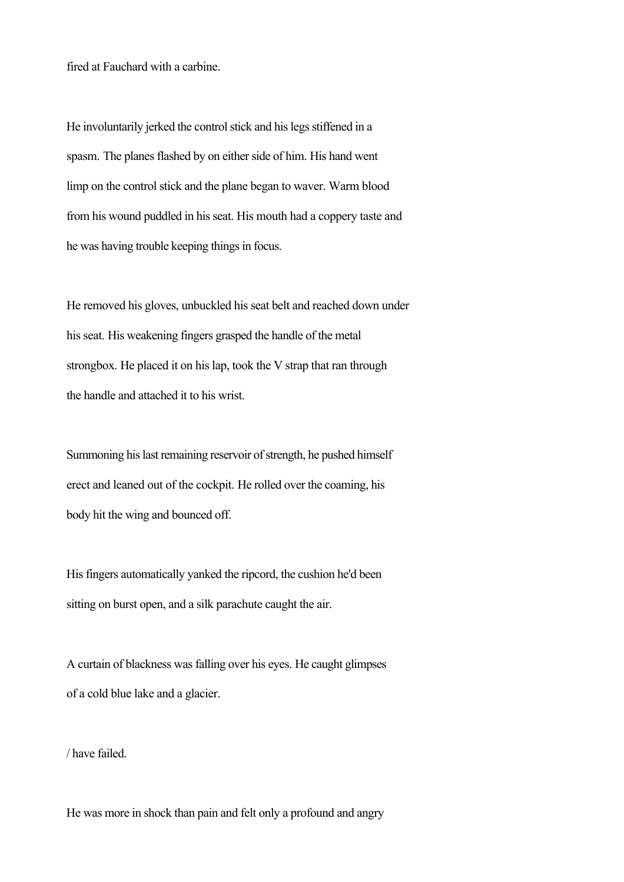fired at Fauchard with a carbine.

 He involuntarily jerked the control stick and his legs stiffened in a spasm. The planes flashed by on either side of him. His hand went limp on the control stick and the plane began to waver. Warm blood from his wound puddled in his seat. His mouth had a coppery taste and he was having trouble keeping things in focus.

 He removed his gloves, unbuckled his seat belt and reached down under his seat. His weakening fingers grasped the handle of the metal strongbox. He placed it on his lap, took the V strap that ran through the handle and attached it to his wrist.

 Summoning his last remaining reservoir of strength, he pushed himself erect and leaned out of the cockpit. He rolled over the coaming, his body hit the wing and bounced off.

 His fingers automatically yanked the ripcord, the cushion he'd been sitting on burst open, and a silk parachute caught the air.

 A curtain of blackness was falling over his eyes. He caught glimpses of a cold blue lake and a glacier.

/ have failed.

He was more in shock than pain and felt only a profound and angry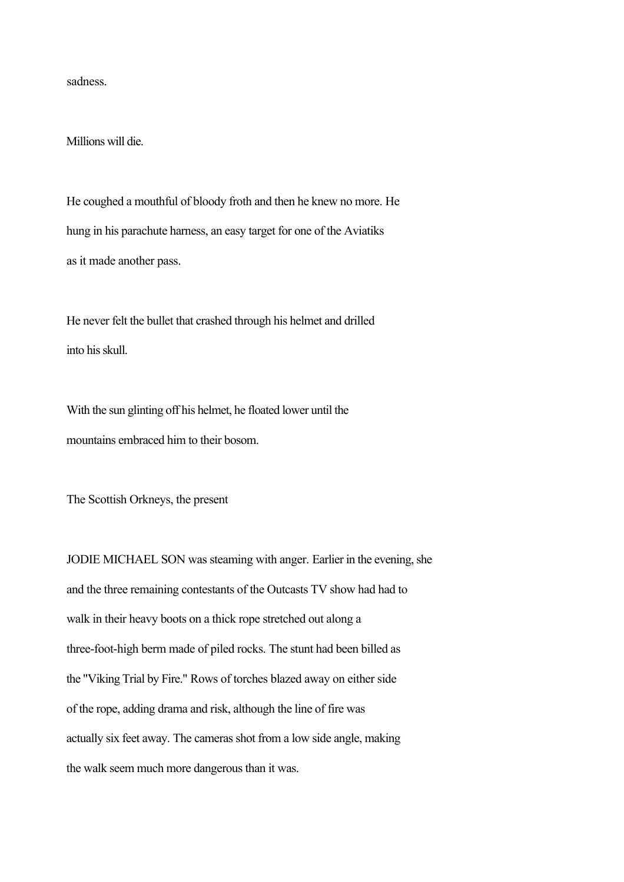sadness.

Millions will die.

 He coughed a mouthful of bloody froth and then he knew no more. He hung in his parachute harness, an easy target for one of the Aviatiks as it made another pass.

 He never felt the bullet that crashed through his helmet and drilled into his skull.

 With the sun glinting off his helmet, he floated lower until the mountains embraced him to their bosom.

The Scottish Orkneys, the present

 JODIE MICHAEL SON was steaming with anger. Earlier in the evening, she and the three remaining contestants of the Outcasts TV show had had to walk in their heavy boots on a thick rope stretched out along a three-foot-high berm made of piled rocks. The stunt had been billed as the "Viking Trial by Fire." Rows of torches blazed away on either side of the rope, adding drama and risk, although the line of fire was actually six feet away. The cameras shot from a low side angle, making the walk seem much more dangerous than it was.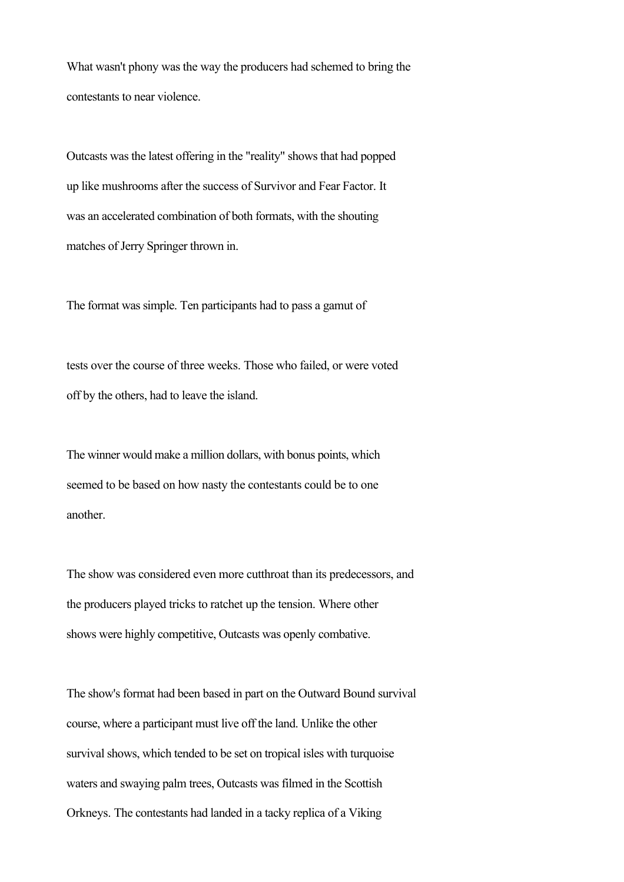What wasn't phony was the way the producers had schemed to bring the contestants to near violence.

 Outcasts was the latest offering in the "reality" shows that had popped up like mushrooms after the success of Survivor and Fear Factor. It was an accelerated combination of both formats, with the shouting matches of Jerry Springer thrown in.

The format was simple. Ten participants had to pass a gamut of

 tests over the course of three weeks. Those who failed, or were voted off by the others, had to leave the island.

 The winner would make a million dollars, with bonus points, which seemed to be based on how nasty the contestants could be to one another.

 The show was considered even more cutthroat than its predecessors, and the producers played tricks to ratchet up the tension. Where other shows were highly competitive, Outcasts was openly combative.

 The show's format had been based in part on the Outward Bound survival course, where a participant must live off the land. Unlike the other survival shows, which tended to be set on tropical isles with turquoise waters and swaying palm trees, Outcasts was filmed in the Scottish Orkneys. The contestants had landed in a tacky replica of a Viking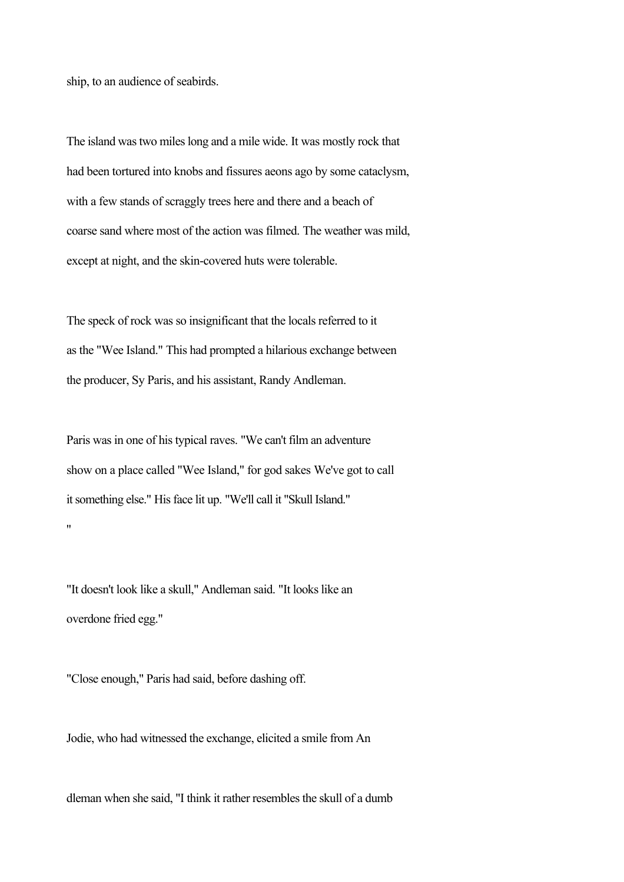ship, to an audience of seabirds.

 The island was two miles long and a mile wide. It was mostly rock that had been tortured into knobs and fissures aeons ago by some cataclysm, with a few stands of scraggly trees here and there and a beach of coarse sand where most of the action was filmed. The weather was mild, except at night, and the skin-covered huts were tolerable.

 The speck of rock was so insignificant that the locals referred to it as the "Wee Island." This had prompted a hilarious exchange between the producer, Sy Paris, and his assistant, Randy Andleman.

 Paris was in one of his typical raves. "We can't film an adventure show on a place called "Wee Island," for god sakes We've got to call it something else." His face lit up. "We'll call it "Skull Island." "

 "It doesn't look like a skull," Andleman said. "It looks like an overdone fried egg."

"Close enough," Paris had said, before dashing off.

Jodie, who had witnessed the exchange, elicited a smile from An

dleman when she said, "I think it rather resembles the skull of a dumb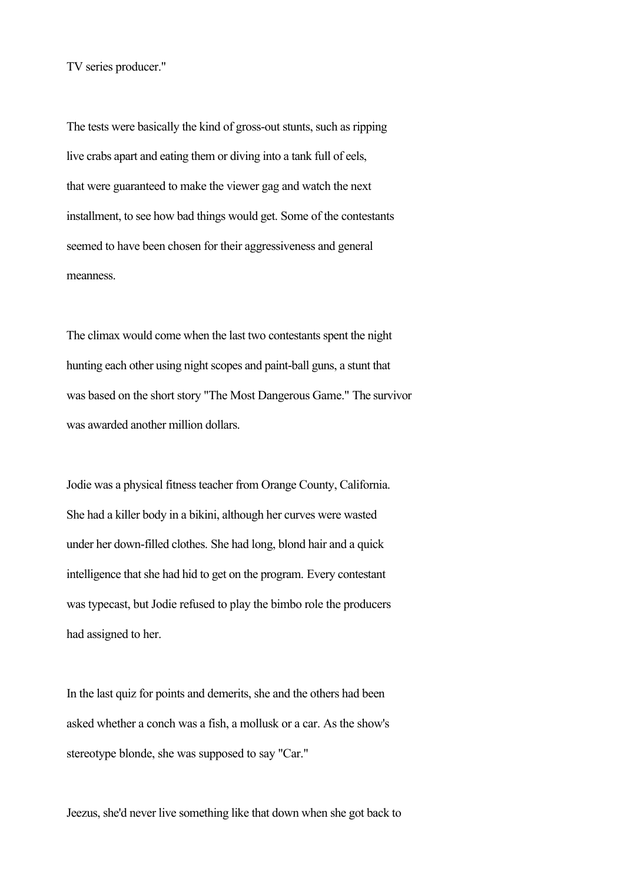TV series producer."

 The tests were basically the kind of gross-out stunts, such as ripping live crabs apart and eating them or diving into a tank full of eels, that were guaranteed to make the viewer gag and watch the next installment, to see how bad things would get. Some of the contestants seemed to have been chosen for their aggressiveness and general meanness.

 The climax would come when the last two contestants spent the night hunting each other using night scopes and paint-ball guns, a stunt that was based on the short story "The Most Dangerous Game." The survivor was awarded another million dollars.

 Jodie was a physical fitness teacher from Orange County, California. She had a killer body in a bikini, although her curves were wasted under her down-filled clothes. She had long, blond hair and a quick intelligence that she had hid to get on the program. Every contestant was typecast, but Jodie refused to play the bimbo role the producers had assigned to her.

 In the last quiz for points and demerits, she and the others had been asked whether a conch was a fish, a mollusk or a car. As the show's stereotype blonde, she was supposed to say "Car."

Jeezus, she'd never live something like that down when she got back to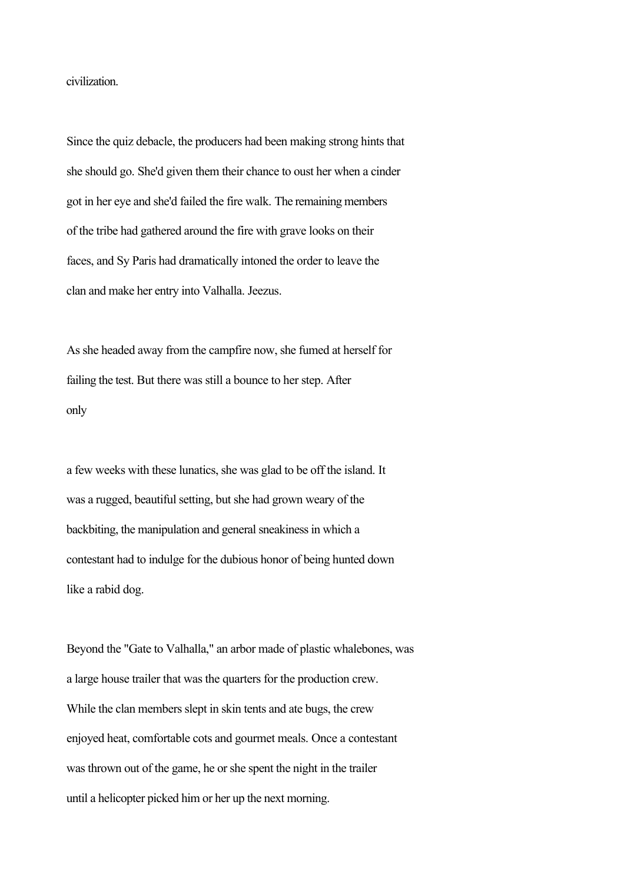civilization.

 Since the quiz debacle, the producers had been making strong hints that she should go. She'd given them their chance to oust her when a cinder got in her eye and she'd failed the fire walk. The remaining members of the tribe had gathered around the fire with grave looks on their faces, and Sy Paris had dramatically intoned the order to leave the clan and make her entry into Valhalla. Jeezus.

 As she headed away from the campfire now, she fumed at herself for failing the test. But there was still a bounce to her step. After only

 a few weeks with these lunatics, she was glad to be off the island. It was a rugged, beautiful setting, but she had grown weary of the backbiting, the manipulation and general sneakiness in which a contestant had to indulge for the dubious honor of being hunted down like a rabid dog.

 Beyond the "Gate to Valhalla," an arbor made of plastic whalebones, was a large house trailer that was the quarters for the production crew. While the clan members slept in skin tents and ate bugs, the crew enjoyed heat, comfortable cots and gourmet meals. Once a contestant was thrown out of the game, he or she spent the night in the trailer until a helicopter picked him or her up the next morning.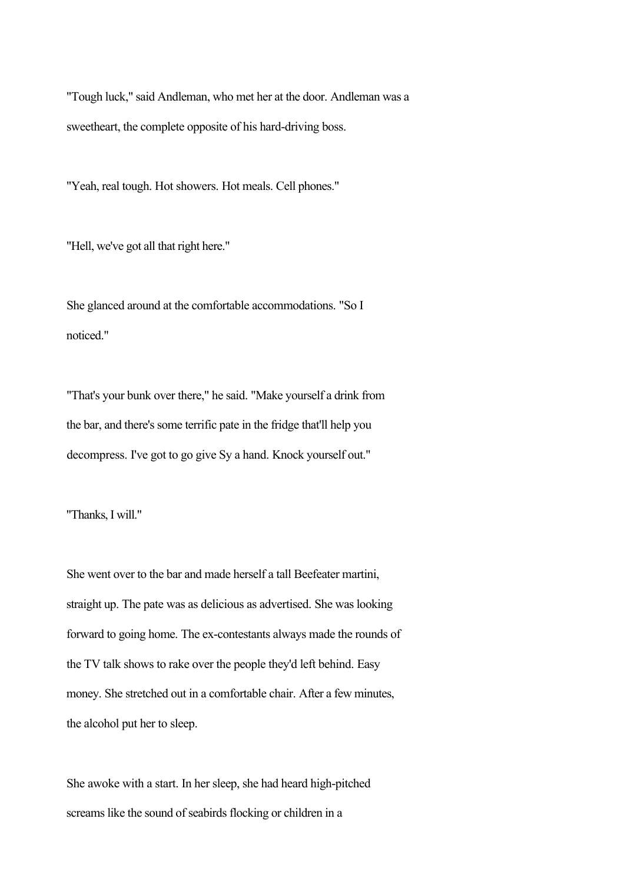"Tough luck," said Andleman, who met her at the door. Andleman was a sweetheart, the complete opposite of his hard-driving boss.

"Yeah, real tough. Hot showers. Hot meals. Cell phones."

"Hell, we've got all that right here."

 She glanced around at the comfortable accommodations. "So I noticed."

 "That's your bunk over there," he said. "Make yourself a drink from the bar, and there's some terrific pate in the fridge that'll help you decompress. I've got to go give Sy a hand. Knock yourself out."

"Thanks, I will."

 She went over to the bar and made herself a tall Beefeater martini, straight up. The pate was as delicious as advertised. She was looking forward to going home. The ex-contestants always made the rounds of the TV talk shows to rake over the people they'd left behind. Easy money. She stretched out in a comfortable chair. After a few minutes, the alcohol put her to sleep.

 She awoke with a start. In her sleep, she had heard high-pitched screams like the sound of seabirds flocking or children in a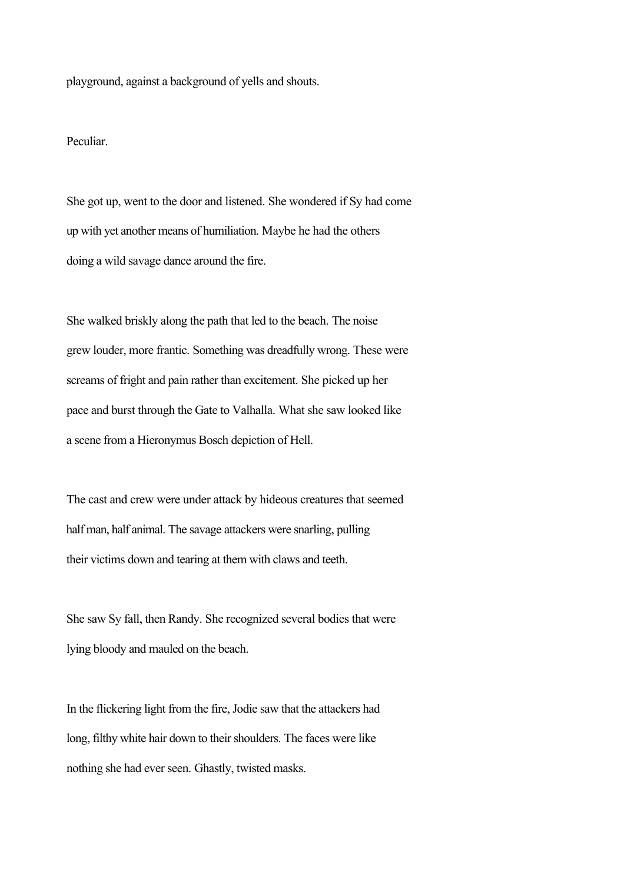playground, against a background of yells and shouts.

Peculiar.

 She got up, went to the door and listened. She wondered if Sy had come up with yet another means of humiliation. Maybe he had the others doing a wild savage dance around the fire.

 She walked briskly along the path that led to the beach. The noise grew louder, more frantic. Something was dreadfully wrong. These were screams of fright and pain rather than excitement. She picked up her pace and burst through the Gate to Valhalla. What she saw looked like a scene from a Hieronymus Bosch depiction of Hell.

 The cast and crew were under attack by hideous creatures that seemed half man, half animal. The savage attackers were snarling, pulling their victims down and tearing at them with claws and teeth.

 She saw Sy fall, then Randy. She recognized several bodies that were lying bloody and mauled on the beach.

 In the flickering light from the fire, Jodie saw that the attackers had long, filthy white hair down to their shoulders. The faces were like nothing she had ever seen. Ghastly, twisted masks.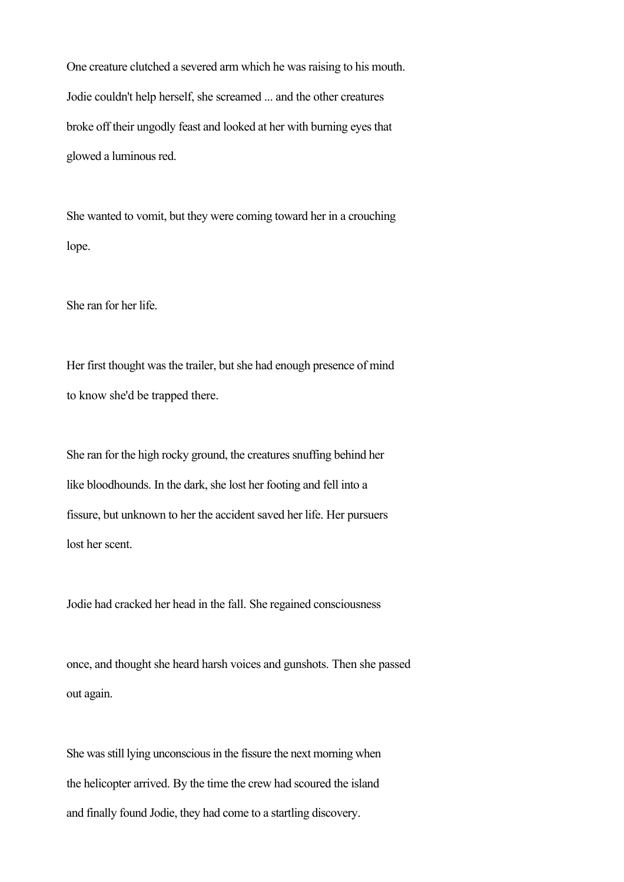One creature clutched a severed arm which he was raising to his mouth. Jodie couldn't help herself, she screamed ... and the other creatures broke off their ungodly feast and looked at her with burning eyes that glowed a luminous red.

 She wanted to vomit, but they were coming toward her in a crouching lope.

She ran for her life.

 Her first thought was the trailer, but she had enough presence of mind to know she'd be trapped there.

 She ran for the high rocky ground, the creatures snuffing behind her like bloodhounds. In the dark, she lost her footing and fell into a fissure, but unknown to her the accident saved her life. Her pursuers lost her scent.

Jodie had cracked her head in the fall. She regained consciousness

 once, and thought she heard harsh voices and gunshots. Then she passed out again.

 She was still lying unconscious in the fissure the next morning when the helicopter arrived. By the time the crew had scoured the island and finally found Jodie, they had come to a startling discovery.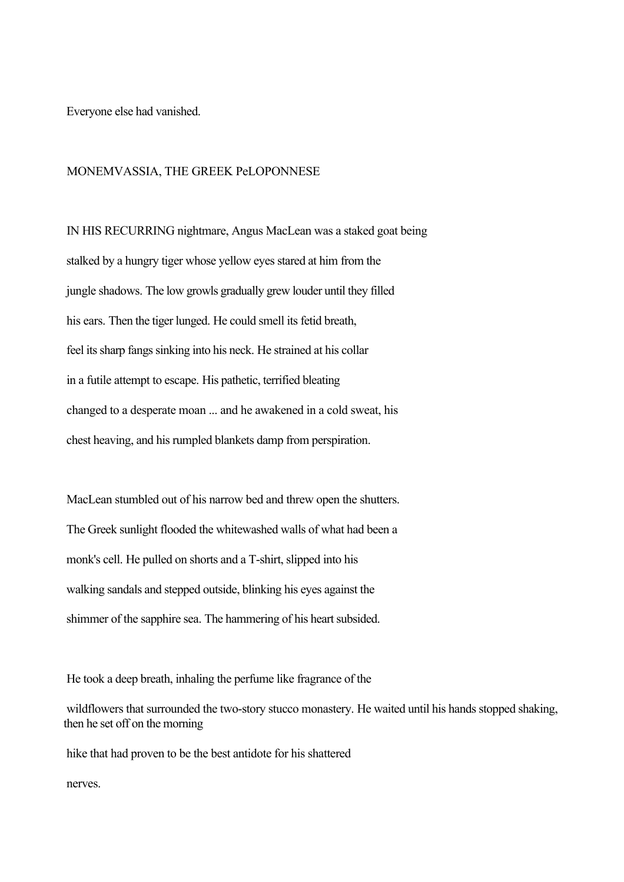Everyone else had vanished.

### MONEMVASSIA, THE GREEK PeLOPONNESE

 IN HIS RECURRING nightmare, Angus MacLean was a staked goat being stalked by a hungry tiger whose yellow eyes stared at him from the jungle shadows. The low growls gradually grew louder until they filled his ears. Then the tiger lunged. He could smell its fetid breath, feel its sharp fangs sinking into his neck. He strained at his collar in a futile attempt to escape. His pathetic, terrified bleating changed to a desperate moan ... and he awakened in a cold sweat, his chest heaving, and his rumpled blankets damp from perspiration.

 MacLean stumbled out of his narrow bed and threw open the shutters. The Greek sunlight flooded the whitewashed walls of what had been a monk's cell. He pulled on shorts and a T-shirt, slipped into his walking sandals and stepped outside, blinking his eyes against the shimmer of the sapphire sea. The hammering of his heart subsided.

 He took a deep breath, inhaling the perfume like fragrance of the wildflowers that surrounded the two-story stucco monastery. He waited until his hands stopped shaking, then he set off on the morning hike that had proven to be the best antidote for his shattered

nerves.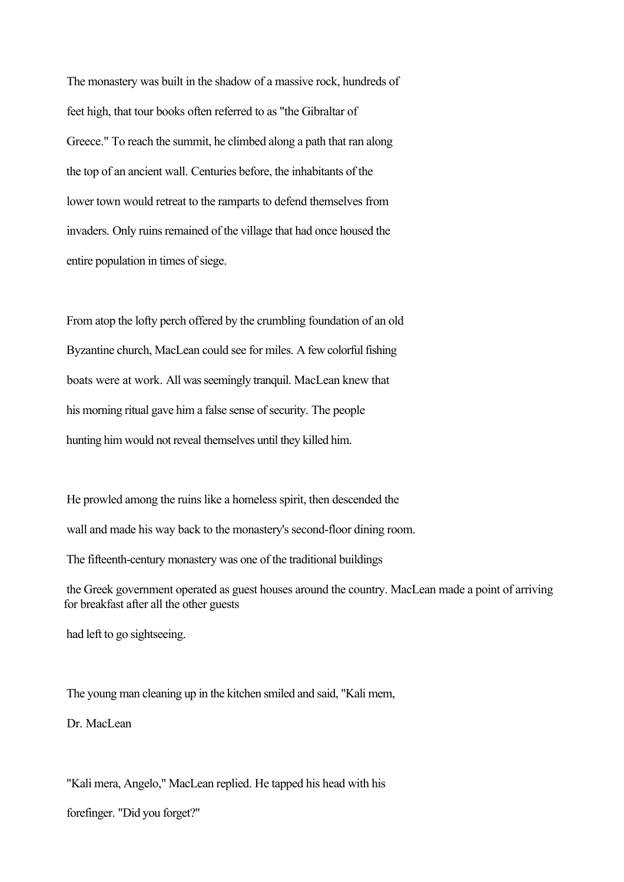The monastery was built in the shadow of a massive rock, hundreds of feet high, that tour books often referred to as "the Gibraltar of Greece." To reach the summit, he climbed along a path that ran along the top of an ancient wall. Centuries before, the inhabitants of the lower town would retreat to the ramparts to defend themselves from invaders. Only ruins remained of the village that had once housed the entire population in times of siege.

 From atop the lofty perch offered by the crumbling foundation of an old Byzantine church, MacLean could see for miles. A few colorful fishing boats were at work. All was seemingly tranquil. MacLean knew that his morning ritual gave him a false sense of security. The people hunting him would not reveal themselves until they killed him.

 He prowled among the ruins like a homeless spirit, then descended the wall and made his way back to the monastery's second-floor dining room. The fifteenth-century monastery was one of the traditional buildings

 the Greek government operated as guest houses around the country. MacLean made a point of arriving for breakfast after all the other guests

had left to go sightseeing.

The young man cleaning up in the kitchen smiled and said, "Kali mem,

Dr. MacLean

 "Kali mera, Angelo," MacLean replied. He tapped his head with his forefinger. "Did you forget?"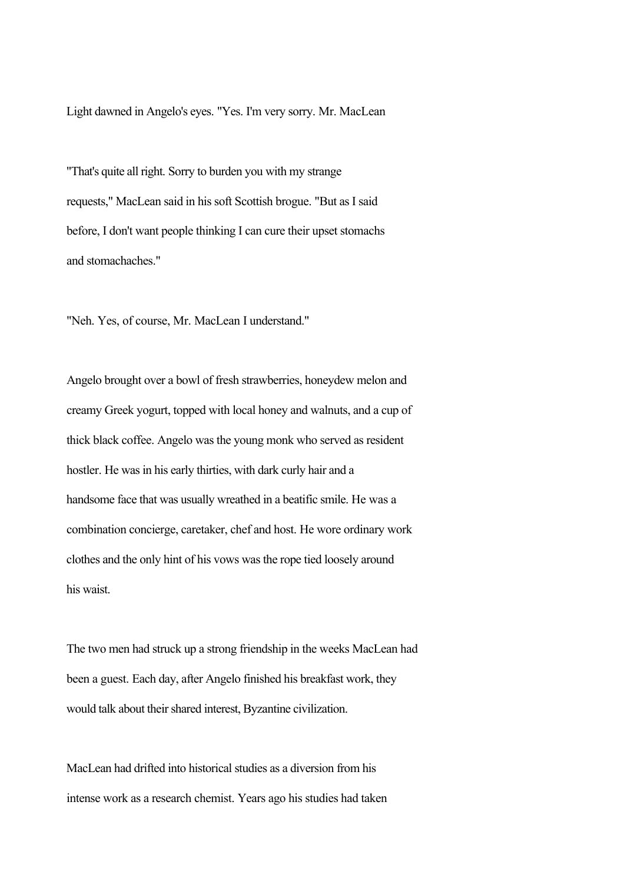Light dawned in Angelo's eyes. "Yes. I'm very sorry. Mr. MacLean

 "That's quite all right. Sorry to burden you with my strange requests," MacLean said in his soft Scottish brogue. "But as I said before, I don't want people thinking I can cure their upset stomachs and stomachaches."

"Neh. Yes, of course, Mr. MacLean I understand."

 Angelo brought over a bowl of fresh strawberries, honeydew melon and creamy Greek yogurt, topped with local honey and walnuts, and a cup of thick black coffee. Angelo was the young monk who served as resident hostler. He was in his early thirties, with dark curly hair and a handsome face that was usually wreathed in a beatific smile. He was a combination concierge, caretaker, chef and host. He wore ordinary work clothes and the only hint of his vows was the rope tied loosely around his waist.

 The two men had struck up a strong friendship in the weeks MacLean had been a guest. Each day, after Angelo finished his breakfast work, they would talk about their shared interest, Byzantine civilization.

 MacLean had drifted into historical studies as a diversion from his intense work as a research chemist. Years ago his studies had taken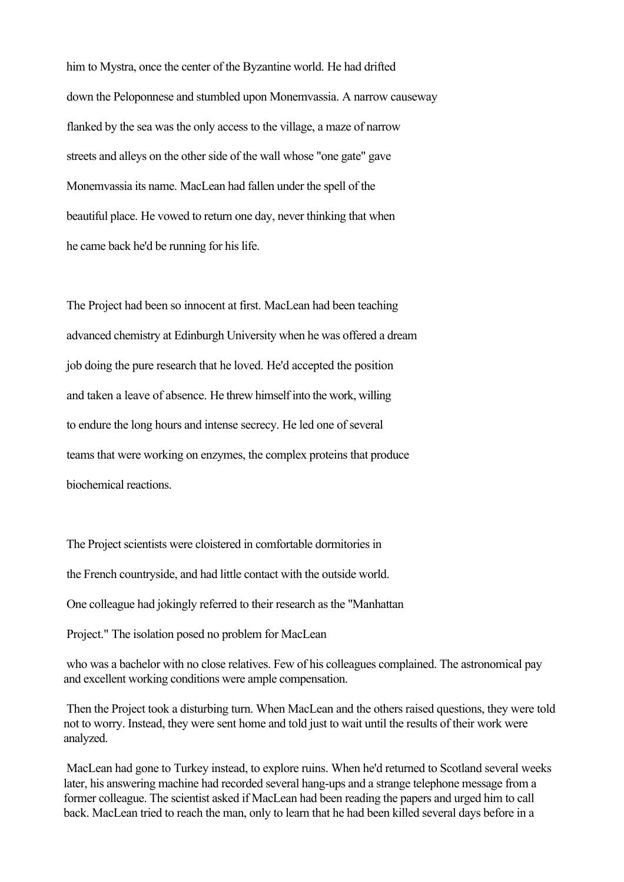him to Mystra, once the center of the Byzantine world. He had drifted down the Peloponnese and stumbled upon Monemvassia. A narrow causeway flanked by the sea was the only access to the village, a maze of narrow streets and alleys on the other side of the wall whose "one gate" gave Monemvassia its name. MacLean had fallen under the spell of the beautiful place. He vowed to return one day, never thinking that when he came back he'd be running for his life.

 The Project had been so innocent at first. MacLean had been teaching advanced chemistry at Edinburgh University when he was offered a dream job doing the pure research that he loved. He'd accepted the position and taken a leave of absence. He threw himself into the work, willing to endure the long hours and intense secrecy. He led one of several teams that were working on enzymes, the complex proteins that produce biochemical reactions.

The Project scientists were cloistered in comfortable dormitories in

the French countryside, and had little contact with the outside world.

One colleague had jokingly referred to their research as the "Manhattan

Project." The isolation posed no problem for MacLean

 who was a bachelor with no close relatives. Few of his colleagues complained. The astronomical pay and excellent working conditions were ample compensation.

 Then the Project took a disturbing turn. When MacLean and the others raised questions, they were told not to worry. Instead, they were sent home and told just to wait until the results of their work were analyzed.

 MacLean had gone to Turkey instead, to explore ruins. When he'd returned to Scotland several weeks later, his answering machine had recorded several hang-ups and a strange telephone message from a former colleague. The scientist asked if MacLean had been reading the papers and urged him to call back. MacLean tried to reach the man, only to learn that he had been killed several days before in a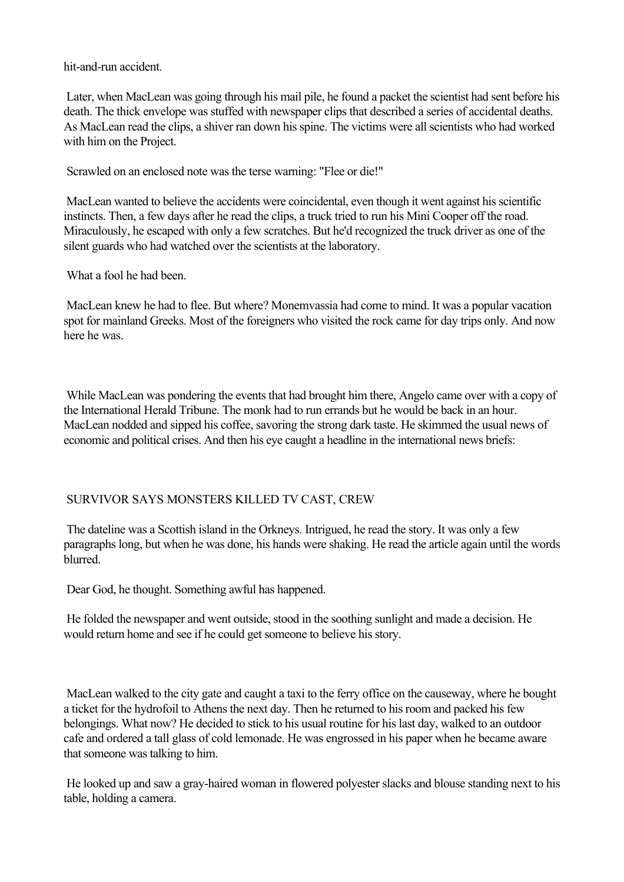hit-and-run accident.

 Later, when MacLean was going through his mail pile, he found a packet the scientist had sent before his death. The thick envelope was stuffed with newspaper clips that described a series of accidental deaths. As MacLean read the clips, a shiver ran down his spine. The victims were all scientists who had worked with him on the Project.

Scrawled on an enclosed note was the terse warning: "Flee or die!"

 MacLean wanted to believe the accidents were coincidental, even though it went against his scientific instincts. Then, a few days after he read the clips, a truck tried to run his Mini Cooper off the road. Miraculously, he escaped with only a few scratches. But he'd recognized the truck driver as one of the silent guards who had watched over the scientists at the laboratory.

What a fool he had been.

 MacLean knew he had to flee. But where? Monemvassia had come to mind. It was a popular vacation spot for mainland Greeks. Most of the foreigners who visited the rock came for day trips only. And now here he was.

 While MacLean was pondering the events that had brought him there, Angelo came over with a copy of the International Herald Tribune. The monk had to run errands but he would be back in an hour. MacLean nodded and sipped his coffee, savoring the strong dark taste. He skimmed the usual news of economic and political crises. And then his eye caught a headline in the international news briefs:

## SURVIVOR SAYS MONSTERS KILLED TV CAST, CREW

 The dateline was a Scottish island in the Orkneys. Intrigued, he read the story. It was only a few paragraphs long, but when he was done, his hands were shaking. He read the article again until the words blurred.

Dear God, he thought. Something awful has happened.

 He folded the newspaper and went outside, stood in the soothing sunlight and made a decision. He would return home and see if he could get someone to believe his story.

 MacLean walked to the city gate and caught a taxi to the ferry office on the causeway, where he bought a ticket for the hydrofoil to Athens the next day. Then he returned to his room and packed his few belongings. What now? He decided to stick to his usual routine for his last day, walked to an outdoor cafe and ordered a tall glass of cold lemonade. He was engrossed in his paper when he became aware that someone was talking to him.

 He looked up and saw a gray-haired woman in flowered polyester slacks and blouse standing next to his table, holding a camera.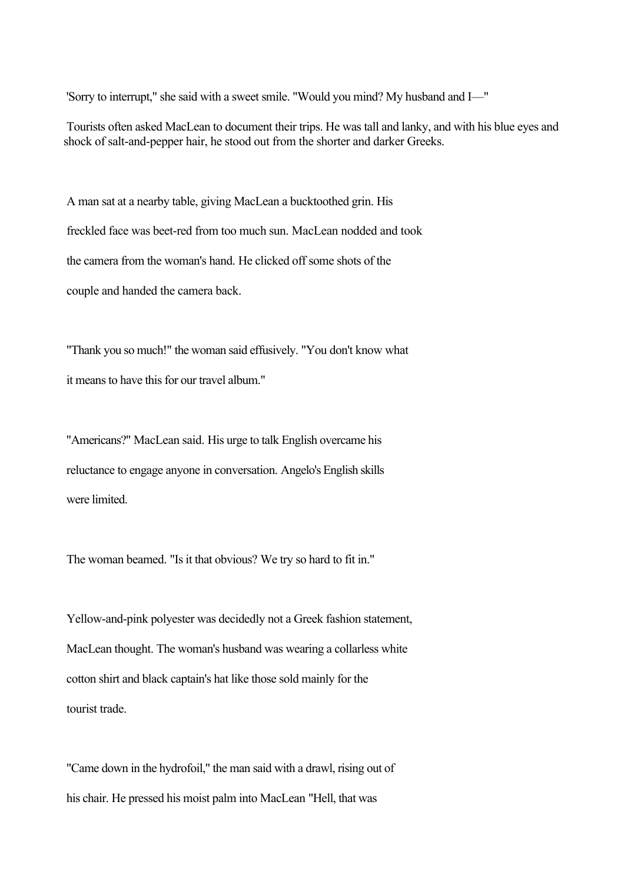'Sorry to interrupt," she said with a sweet smile. "Would you mind? My husband and I—"

 Tourists often asked MacLean to document their trips. He was tall and lanky, and with his blue eyes and shock of salt-and-pepper hair, he stood out from the shorter and darker Greeks.

 A man sat at a nearby table, giving MacLean a bucktoothed grin. His freckled face was beet-red from too much sun. MacLean nodded and took the camera from the woman's hand. He clicked off some shots of the couple and handed the camera back.

 "Thank you so much!" the woman said effusively. "You don't know what it means to have this for our travel album."

 "Americans?" MacLean said. His urge to talk English overcame his reluctance to engage anyone in conversation. Angelo's English skills were limited

The woman beamed. "Is it that obvious? We try so hard to fit in."

 Yellow-and-pink polyester was decidedly not a Greek fashion statement, MacLean thought. The woman's husband was wearing a collarless white cotton shirt and black captain's hat like those sold mainly for the tourist trade.

 "Came down in the hydrofoil," the man said with a drawl, rising out of his chair. He pressed his moist palm into MacLean "Hell, that was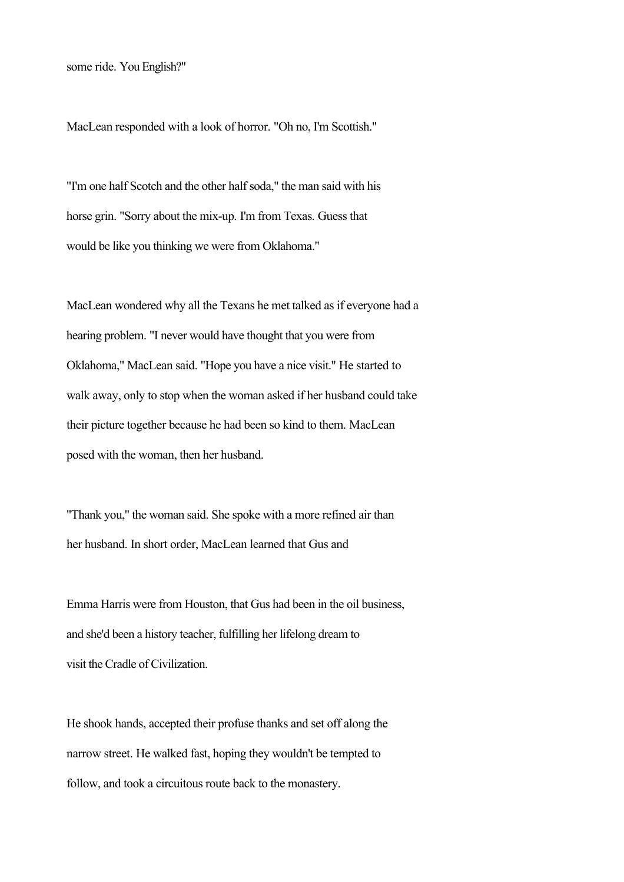some ride. You English?"

MacLean responded with a look of horror. "Oh no, I'm Scottish."

 "I'm one half Scotch and the other half soda," the man said with his horse grin. "Sorry about the mix-up. I'm from Texas. Guess that would be like you thinking we were from Oklahoma."

 MacLean wondered why all the Texans he met talked as if everyone had a hearing problem. "I never would have thought that you were from Oklahoma," MacLean said. "Hope you have a nice visit." He started to walk away, only to stop when the woman asked if her husband could take their picture together because he had been so kind to them. MacLean posed with the woman, then her husband.

 "Thank you," the woman said. She spoke with a more refined air than her husband. In short order, MacLean learned that Gus and

 Emma Harris were from Houston, that Gus had been in the oil business, and she'd been a history teacher, fulfilling her lifelong dream to visit the Cradle of Civilization.

 He shook hands, accepted their profuse thanks and set off along the narrow street. He walked fast, hoping they wouldn't be tempted to follow, and took a circuitous route back to the monastery.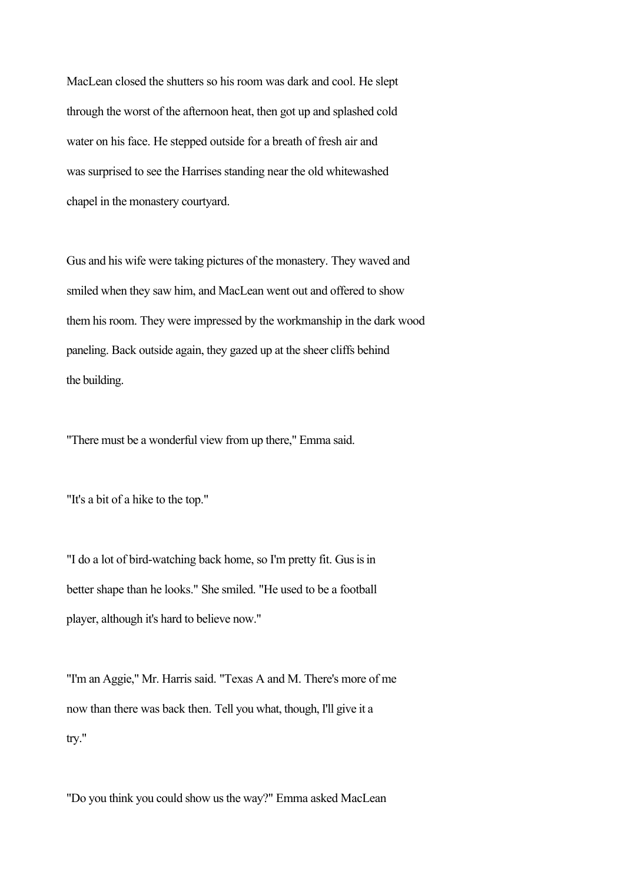MacLean closed the shutters so his room was dark and cool. He slept through the worst of the afternoon heat, then got up and splashed cold water on his face. He stepped outside for a breath of fresh air and was surprised to see the Harrises standing near the old whitewashed chapel in the monastery courtyard.

 Gus and his wife were taking pictures of the monastery. They waved and smiled when they saw him, and MacLean went out and offered to show them his room. They were impressed by the workmanship in the dark wood paneling. Back outside again, they gazed up at the sheer cliffs behind the building.

"There must be a wonderful view from up there," Emma said.

"It's a bit of a hike to the top."

 "I do a lot of bird-watching back home, so I'm pretty fit. Gus is in better shape than he looks." She smiled. "He used to be a football player, although it's hard to believe now."

 "I'm an Aggie," Mr. Harris said. "Texas A and M. There's more of me now than there was back then. Tell you what, though, I'll give it a try."

"Do you think you could show us the way?" Emma asked MacLean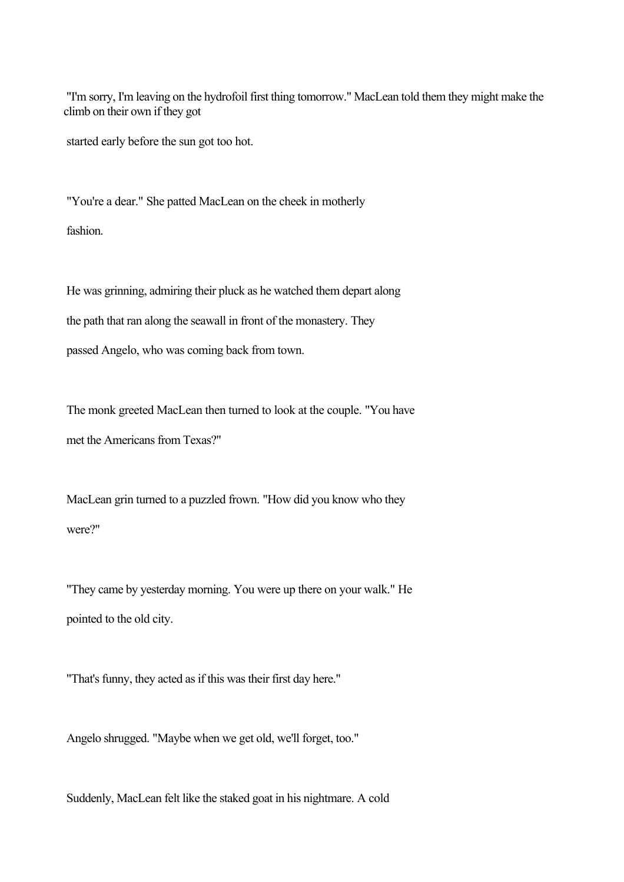"I'm sorry, I'm leaving on the hydrofoil first thing tomorrow." MacLean told them they might make the climb on their own if they got

started early before the sun got too hot.

"You're a dear." She patted MacLean on the cheek in motherly

fashion.

 He was grinning, admiring their pluck as he watched them depart along the path that ran along the seawall in front of the monastery. They passed Angelo, who was coming back from town.

 The monk greeted MacLean then turned to look at the couple. "You have met the Americans from Texas?"

 MacLean grin turned to a puzzled frown. "How did you know who they were?"

 "They came by yesterday morning. You were up there on your walk." He pointed to the old city.

"That's funny, they acted as if this was their first day here."

Angelo shrugged. "Maybe when we get old, we'll forget, too."

Suddenly, MacLean felt like the staked goat in his nightmare. A cold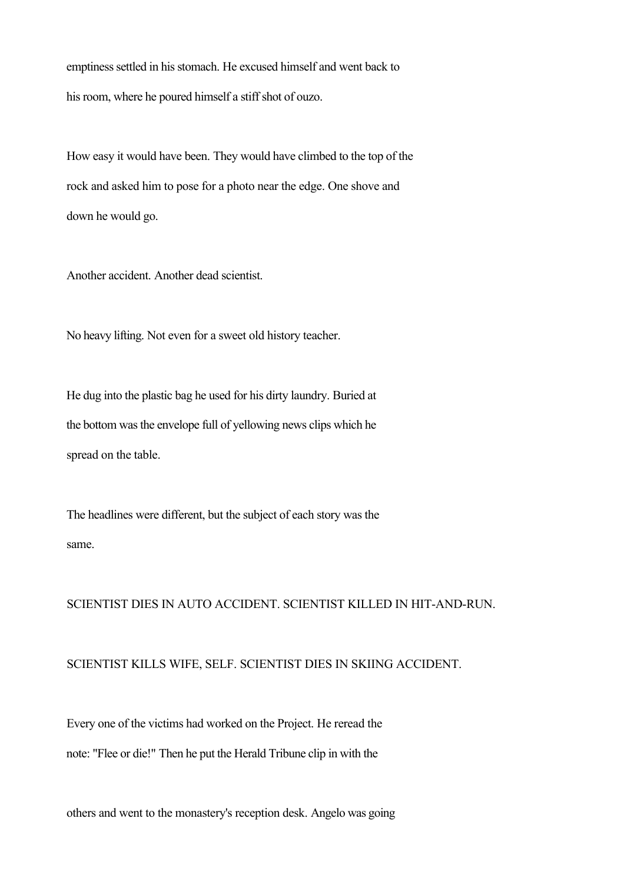emptiness settled in his stomach. He excused himself and went back to his room, where he poured himself a stiff shot of ouzo.

 How easy it would have been. They would have climbed to the top of the rock and asked him to pose for a photo near the edge. One shove and down he would go.

Another accident. Another dead scientist.

No heavy lifting. Not even for a sweet old history teacher.

 He dug into the plastic bag he used for his dirty laundry. Buried at the bottom was the envelope full of yellowing news clips which he spread on the table.

 The headlines were different, but the subject of each story was the same.

SCIENTIST DIES IN AUTO ACCIDENT. SCIENTIST KILLED IN HIT-AND-RUN.

## SCIENTIST KILLS WIFE, SELF. SCIENTIST DIES IN SKIING ACCIDENT.

 Every one of the victims had worked on the Project. He reread the note: "Flee or die!" Then he put the Herald Tribune clip in with the

others and went to the monastery's reception desk. Angelo was going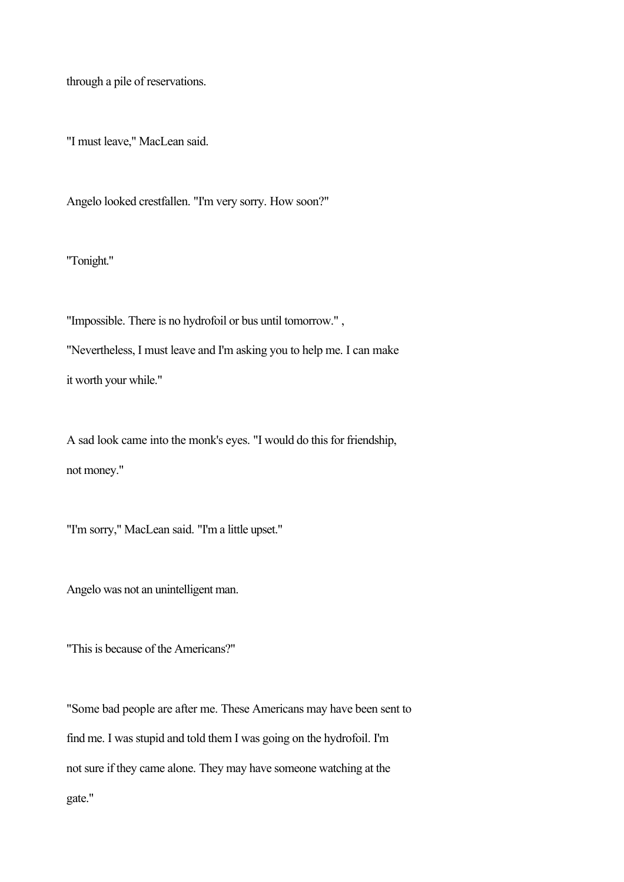through a pile of reservations.

"I must leave," MacLean said.

Angelo looked crestfallen. "I'm very sorry. How soon?"

"Tonight."

 "Impossible. There is no hydrofoil or bus until tomorrow." , "Nevertheless, I must leave and I'm asking you to help me. I can make it worth your while."

 A sad look came into the monk's eyes. "I would do this for friendship, not money."

"I'm sorry," MacLean said. "I'm a little upset."

Angelo was not an unintelligent man.

"This is because of the Americans?"

 "Some bad people are after me. These Americans may have been sent to find me. I was stupid and told them I was going on the hydrofoil. I'm not sure if they came alone. They may have someone watching at the gate."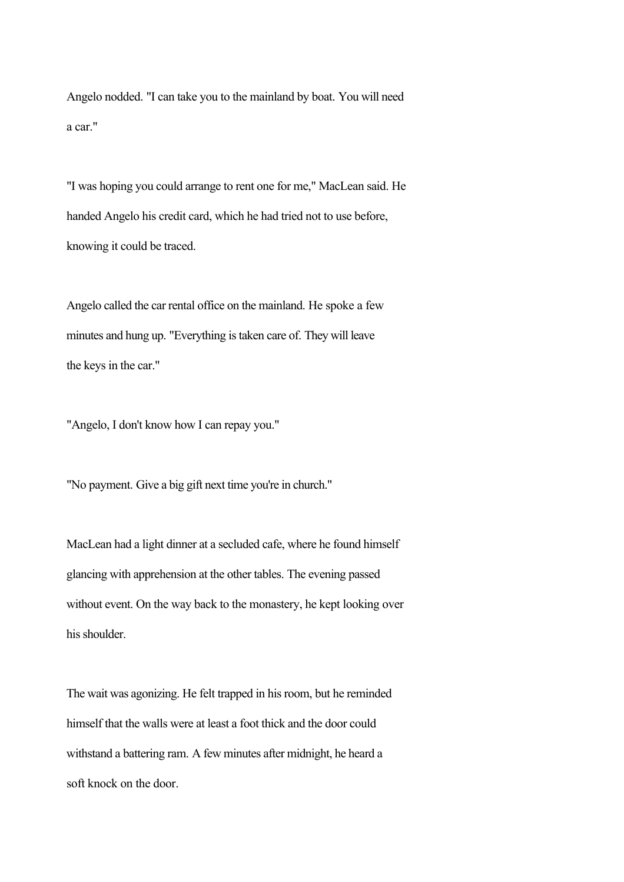Angelo nodded. "I can take you to the mainland by boat. You will need a car."

 "I was hoping you could arrange to rent one for me," MacLean said. He handed Angelo his credit card, which he had tried not to use before, knowing it could be traced.

 Angelo called the car rental office on the mainland. He spoke a few minutes and hung up. "Everything is taken care of. They will leave the keys in the car."

"Angelo, I don't know how I can repay you."

"No payment. Give a big gift next time you're in church."

 MacLean had a light dinner at a secluded cafe, where he found himself glancing with apprehension at the other tables. The evening passed without event. On the way back to the monastery, he kept looking over his shoulder.

 The wait was agonizing. He felt trapped in his room, but he reminded himself that the walls were at least a foot thick and the door could withstand a battering ram. A few minutes after midnight, he heard a soft knock on the door.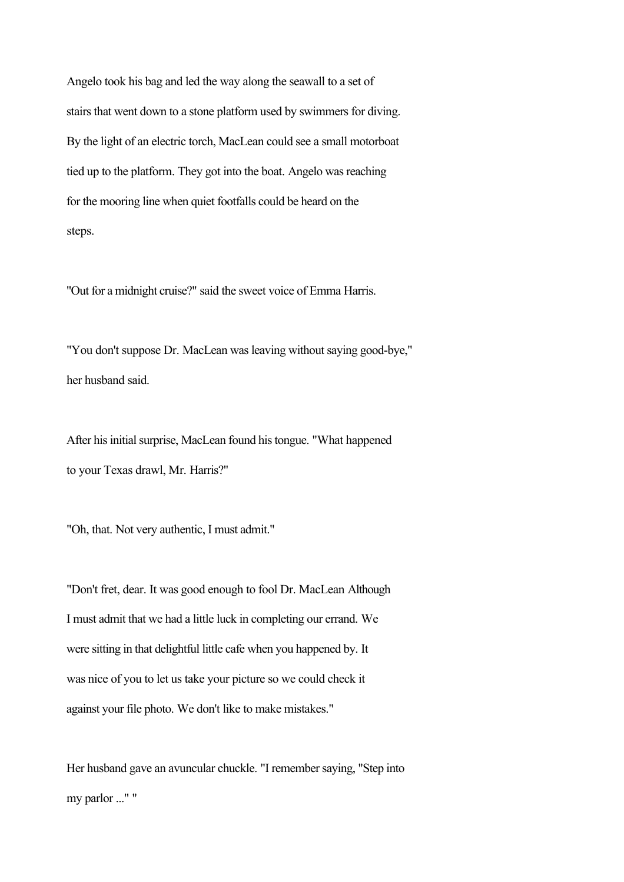Angelo took his bag and led the way along the seawall to a set of stairs that went down to a stone platform used by swimmers for diving. By the light of an electric torch, MacLean could see a small motorboat tied up to the platform. They got into the boat. Angelo was reaching for the mooring line when quiet footfalls could be heard on the steps.

"Out for a midnight cruise?" said the sweet voice of Emma Harris.

 "You don't suppose Dr. MacLean was leaving without saying good-bye," her husband said.

 After his initial surprise, MacLean found his tongue. "What happened to your Texas drawl, Mr. Harris?"

"Oh, that. Not very authentic, I must admit."

 "Don't fret, dear. It was good enough to fool Dr. MacLean Although I must admit that we had a little luck in completing our errand. We were sitting in that delightful little cafe when you happened by. It was nice of you to let us take your picture so we could check it against your file photo. We don't like to make mistakes."

 Her husband gave an avuncular chuckle. "I remember saying, "Step into my parlor ..." "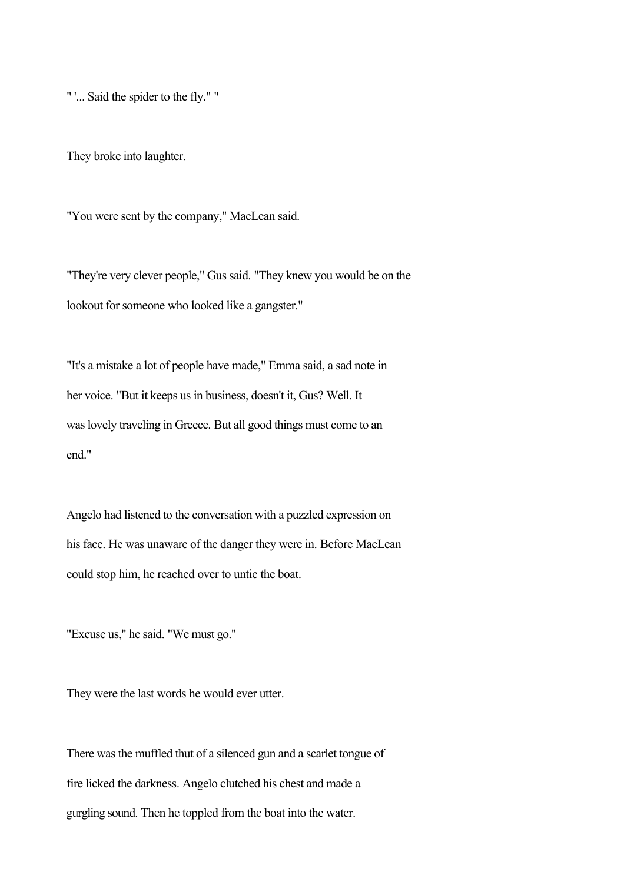" '... Said the spider to the fly." "

They broke into laughter.

"You were sent by the company," MacLean said.

 "They're very clever people," Gus said. "They knew you would be on the lookout for someone who looked like a gangster."

 "It's a mistake a lot of people have made," Emma said, a sad note in her voice. "But it keeps us in business, doesn't it, Gus? Well. It was lovely traveling in Greece. But all good things must come to an end."

 Angelo had listened to the conversation with a puzzled expression on his face. He was unaware of the danger they were in. Before MacLean could stop him, he reached over to untie the boat.

"Excuse us," he said. "We must go."

They were the last words he would ever utter.

 There was the muffled thut of a silenced gun and a scarlet tongue of fire licked the darkness. Angelo clutched his chest and made a gurgling sound. Then he toppled from the boat into the water.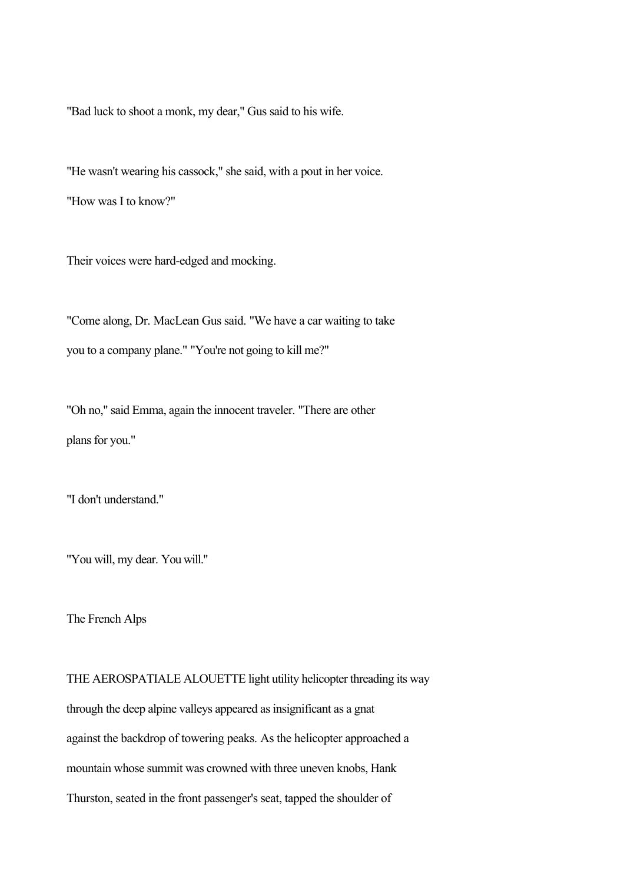"Bad luck to shoot a monk, my dear," Gus said to his wife.

"He wasn't wearing his cassock," she said, with a pout in her voice.

"How was I to know?"

Their voices were hard-edged and mocking.

 "Come along, Dr. MacLean Gus said. "We have a car waiting to take you to a company plane." "You're not going to kill me?"

 "Oh no," said Emma, again the innocent traveler. "There are other plans for you."

"I don't understand."

"You will, my dear. You will."

The French Alps

 THE AEROSPATIALE ALOUETTE light utility helicopter threading its way through the deep alpine valleys appeared as insignificant as a gnat against the backdrop of towering peaks. As the helicopter approached a mountain whose summit was crowned with three uneven knobs, Hank Thurston, seated in the front passenger's seat, tapped the shoulder of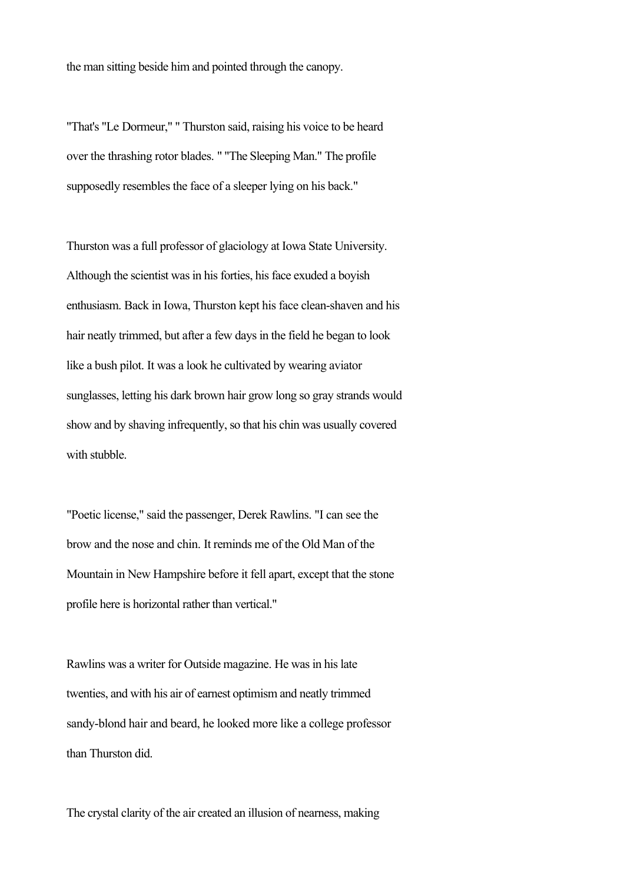the man sitting beside him and pointed through the canopy.

 "That's "Le Dormeur," " Thurston said, raising his voice to be heard over the thrashing rotor blades. " "The Sleeping Man." The profile supposedly resembles the face of a sleeper lying on his back."

 Thurston was a full professor of glaciology at Iowa State University. Although the scientist was in his forties, his face exuded a boyish enthusiasm. Back in Iowa, Thurston kept his face clean-shaven and his hair neatly trimmed, but after a few days in the field he began to look like a bush pilot. It was a look he cultivated by wearing aviator sunglasses, letting his dark brown hair grow long so gray strands would show and by shaving infrequently, so that his chin was usually covered with stubble.

 "Poetic license," said the passenger, Derek Rawlins. "I can see the brow and the nose and chin. It reminds me of the Old Man of the Mountain in New Hampshire before it fell apart, except that the stone profile here is horizontal rather than vertical."

 Rawlins was a writer for Outside magazine. He was in his late twenties, and with his air of earnest optimism and neatly trimmed sandy-blond hair and beard, he looked more like a college professor than Thurston did.

The crystal clarity of the air created an illusion of nearness, making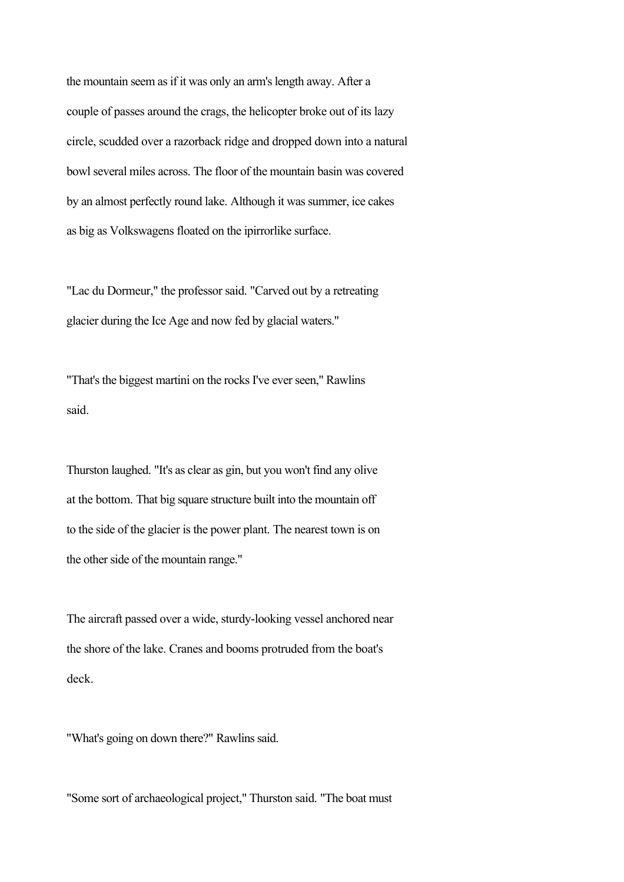the mountain seem as if it was only an arm's length away. After a couple of passes around the crags, the helicopter broke out of its lazy circle, scudded over a razorback ridge and dropped down into a natural bowl several miles across. The floor of the mountain basin was covered by an almost perfectly round lake. Although it was summer, ice cakes as big as Volkswagens floated on the ipirrorlike surface.

 "Lac du Dormeur," the professor said. "Carved out by a retreating glacier during the Ice Age and now fed by glacial waters."

 "That's the biggest martini on the rocks I've ever seen," Rawlins said.

 Thurston laughed. "It's as clear as gin, but you won't find any olive at the bottom. That big square structure built into the mountain off to the side of the glacier is the power plant. The nearest town is on the other side of the mountain range."

 The aircraft passed over a wide, sturdy-looking vessel anchored near the shore of the lake. Cranes and booms protruded from the boat's deck.

"What's going on down there?" Rawlins said.

"Some sort of archaeological project," Thurston said. "The boat must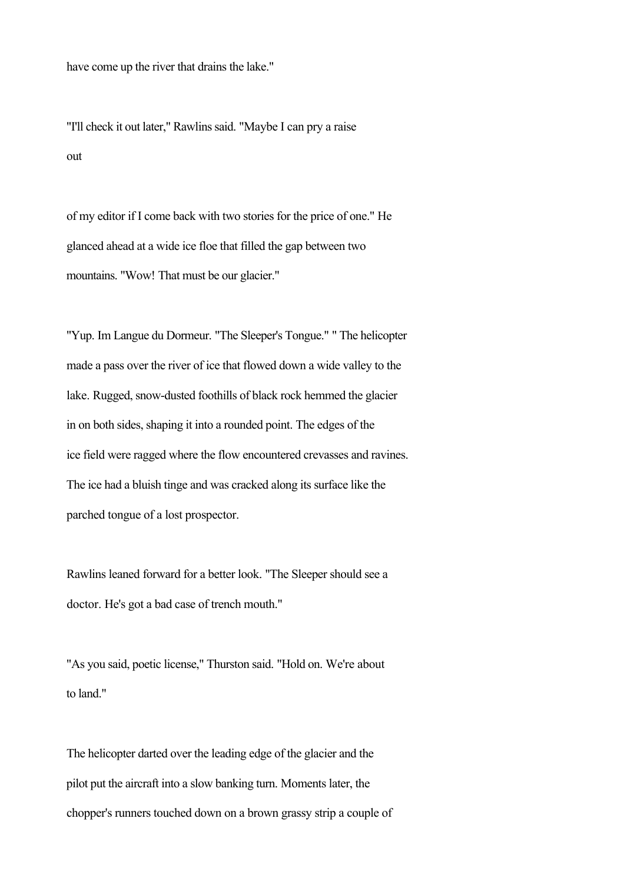have come up the river that drains the lake."

 "I'll check it out later," Rawlins said. "Maybe I can pry a raise out

 of my editor if I come back with two stories for the price of one." He glanced ahead at a wide ice floe that filled the gap between two mountains. "Wow! That must be our glacier."

 "Yup. Im Langue du Dormeur. "The Sleeper's Tongue." " The helicopter made a pass over the river of ice that flowed down a wide valley to the lake. Rugged, snow-dusted foothills of black rock hemmed the glacier in on both sides, shaping it into a rounded point. The edges of the ice field were ragged where the flow encountered crevasses and ravines. The ice had a bluish tinge and was cracked along its surface like the parched tongue of a lost prospector.

 Rawlins leaned forward for a better look. "The Sleeper should see a doctor. He's got a bad case of trench mouth."

 "As you said, poetic license," Thurston said. "Hold on. We're about to land."

 The helicopter darted over the leading edge of the glacier and the pilot put the aircraft into a slow banking turn. Moments later, the chopper's runners touched down on a brown grassy strip a couple of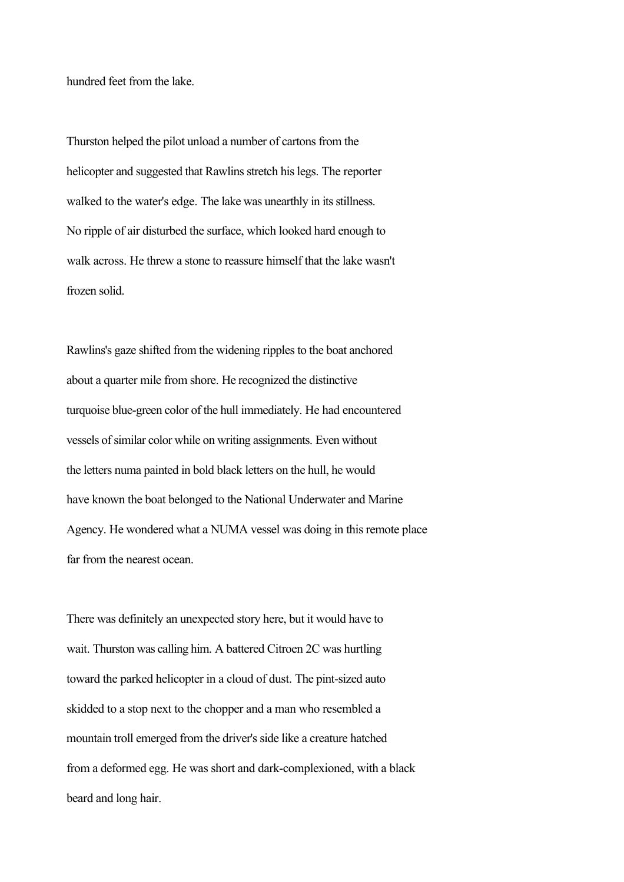hundred feet from the lake.

 Thurston helped the pilot unload a number of cartons from the helicopter and suggested that Rawlins stretch his legs. The reporter walked to the water's edge. The lake was unearthly in its stillness. No ripple of air disturbed the surface, which looked hard enough to walk across. He threw a stone to reassure himself that the lake wasn't frozen solid.

 Rawlins's gaze shifted from the widening ripples to the boat anchored about a quarter mile from shore. He recognized the distinctive turquoise blue-green color of the hull immediately. He had encountered vessels of similar color while on writing assignments. Even without the letters numa painted in bold black letters on the hull, he would have known the boat belonged to the National Underwater and Marine Agency. He wondered what a NUMA vessel was doing in this remote place far from the nearest ocean.

 There was definitely an unexpected story here, but it would have to wait. Thurston was calling him. A battered Citroen 2C was hurtling toward the parked helicopter in a cloud of dust. The pint-sized auto skidded to a stop next to the chopper and a man who resembled a mountain troll emerged from the driver's side like a creature hatched from a deformed egg. He was short and dark-complexioned, with a black beard and long hair.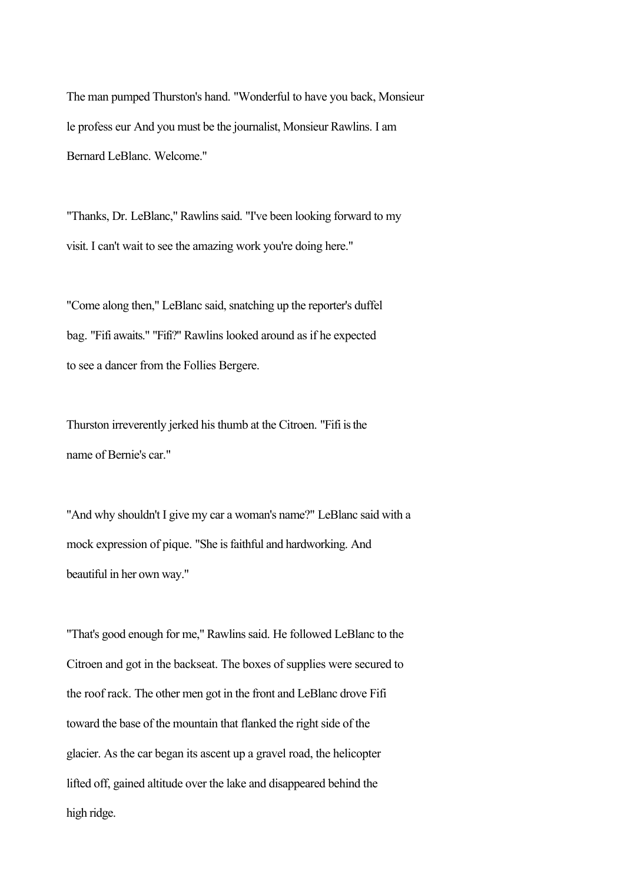The man pumped Thurston's hand. "Wonderful to have you back, Monsieur le profess eur And you must be the journalist, Monsieur Rawlins. I am Bernard LeBlanc. Welcome."

 "Thanks, Dr. LeBlanc," Rawlins said. "I've been looking forward to my visit. I can't wait to see the amazing work you're doing here."

 "Come along then," LeBlanc said, snatching up the reporter's duffel bag. "Fifi awaits." "Fifi?" Rawlins looked around as if he expected to see a dancer from the Follies Bergere.

 Thurston irreverently jerked his thumb at the Citroen. "Fifi is the name of Bernie's car."

 "And why shouldn't I give my car a woman's name?" LeBlanc said with a mock expression of pique. "She is faithful and hardworking. And beautiful in her own way."

 "That's good enough for me," Rawlins said. He followed LeBlanc to the Citroen and got in the backseat. The boxes of supplies were secured to the roof rack. The other men got in the front and LeBlanc drove Fifi toward the base of the mountain that flanked the right side of the glacier. As the car began its ascent up a gravel road, the helicopter lifted off, gained altitude over the lake and disappeared behind the high ridge.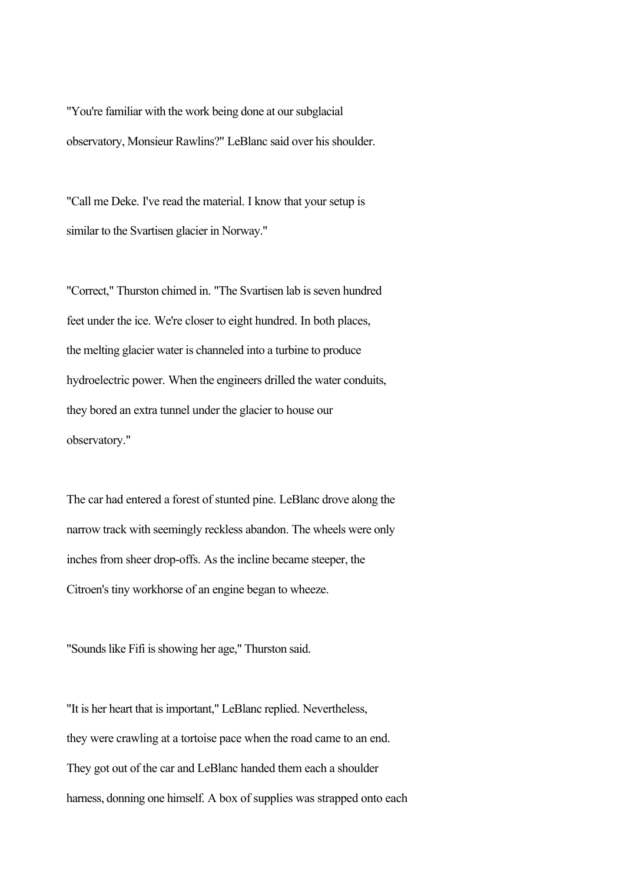"You're familiar with the work being done at our subglacial observatory, Monsieur Rawlins?" LeBlanc said over his shoulder.

 "Call me Deke. I've read the material. I know that your setup is similar to the Svartisen glacier in Norway."

 "Correct," Thurston chimed in. "The Svartisen lab is seven hundred feet under the ice. We're closer to eight hundred. In both places, the melting glacier water is channeled into a turbine to produce hydroelectric power. When the engineers drilled the water conduits, they bored an extra tunnel under the glacier to house our observatory."

 The car had entered a forest of stunted pine. LeBlanc drove along the narrow track with seemingly reckless abandon. The wheels were only inches from sheer drop-offs. As the incline became steeper, the Citroen's tiny workhorse of an engine began to wheeze.

"Sounds like Fifi is showing her age," Thurston said.

 "It is her heart that is important," LeBlanc replied. Nevertheless, they were crawling at a tortoise pace when the road came to an end. They got out of the car and LeBlanc handed them each a shoulder harness, donning one himself. A box of supplies was strapped onto each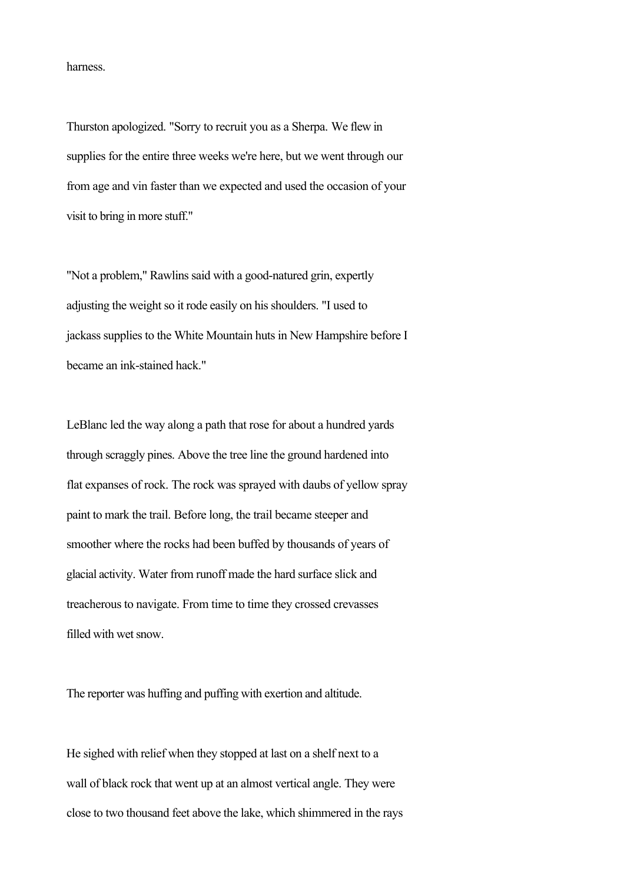harness.

 Thurston apologized. "Sorry to recruit you as a Sherpa. We flew in supplies for the entire three weeks we're here, but we went through our from age and vin faster than we expected and used the occasion of your visit to bring in more stuff."

 "Not a problem," Rawlins said with a good-natured grin, expertly adjusting the weight so it rode easily on his shoulders. "I used to jackass supplies to the White Mountain huts in New Hampshire before I became an ink-stained hack."

 LeBlanc led the way along a path that rose for about a hundred yards through scraggly pines. Above the tree line the ground hardened into flat expanses of rock. The rock was sprayed with daubs of yellow spray paint to mark the trail. Before long, the trail became steeper and smoother where the rocks had been buffed by thousands of years of glacial activity. Water from runoff made the hard surface slick and treacherous to navigate. From time to time they crossed crevasses filled with wet snow.

The reporter was huffing and puffing with exertion and altitude.

 He sighed with relief when they stopped at last on a shelf next to a wall of black rock that went up at an almost vertical angle. They were close to two thousand feet above the lake, which shimmered in the rays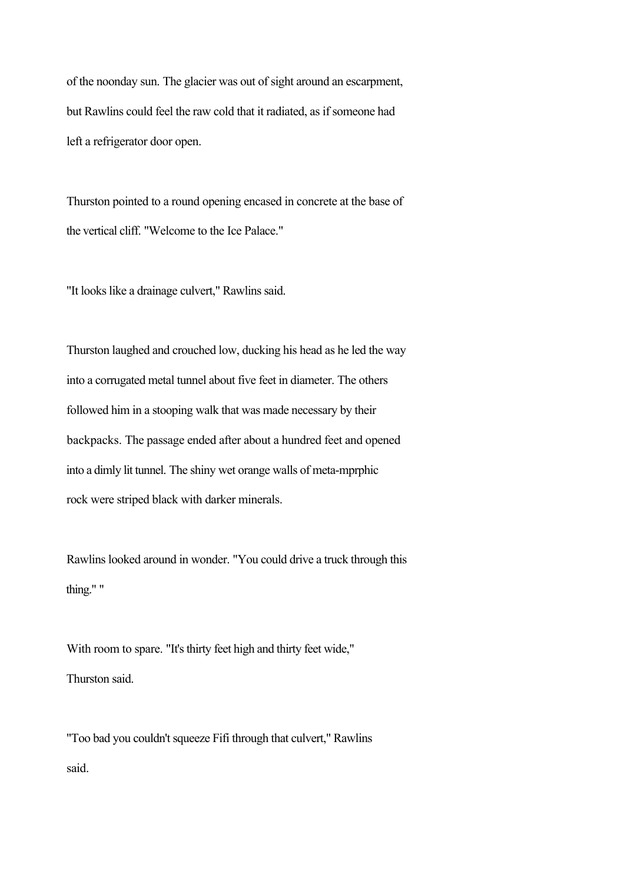of the noonday sun. The glacier was out of sight around an escarpment, but Rawlins could feel the raw cold that it radiated, as if someone had left a refrigerator door open.

 Thurston pointed to a round opening encased in concrete at the base of the vertical cliff. "Welcome to the Ice Palace."

"It looks like a drainage culvert," Rawlins said.

 Thurston laughed and crouched low, ducking his head as he led the way into a corrugated metal tunnel about five feet in diameter. The others followed him in a stooping walk that was made necessary by their backpacks. The passage ended after about a hundred feet and opened into a dimly lit tunnel. The shiny wet orange walls of meta-mprphic rock were striped black with darker minerals.

 Rawlins looked around in wonder. "You could drive a truck through this thing." "

 With room to spare. "It's thirty feet high and thirty feet wide," Thurston said.

 "Too bad you couldn't squeeze Fifi through that culvert," Rawlins said.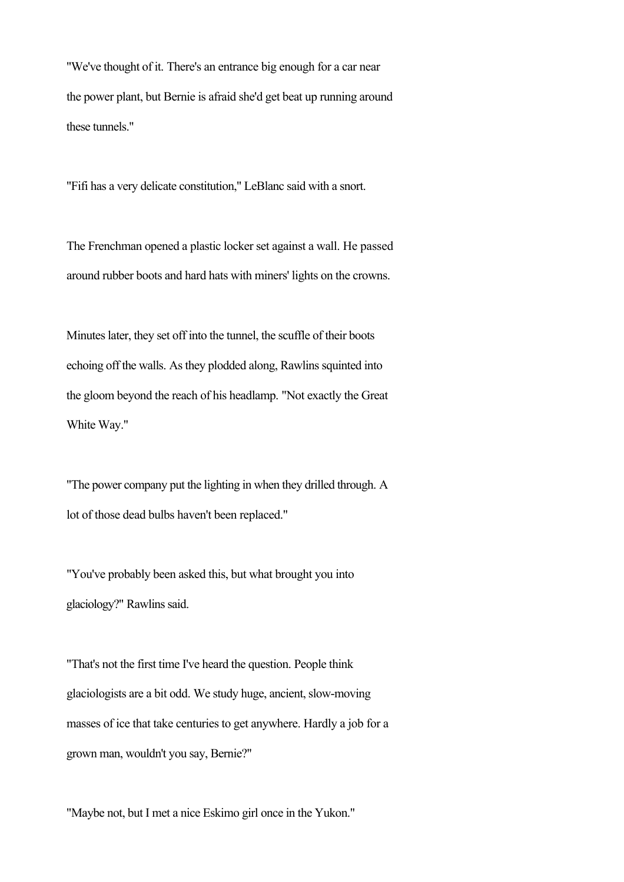"We've thought of it. There's an entrance big enough for a car near the power plant, but Bernie is afraid she'd get beat up running around these tunnels."

"Fifi has a very delicate constitution," LeBlanc said with a snort.

 The Frenchman opened a plastic locker set against a wall. He passed around rubber boots and hard hats with miners' lights on the crowns.

 Minutes later, they set off into the tunnel, the scuffle of their boots echoing off the walls. As they plodded along, Rawlins squinted into the gloom beyond the reach of his headlamp. "Not exactly the Great White Way."

 "The power company put the lighting in when they drilled through. A lot of those dead bulbs haven't been replaced."

 "You've probably been asked this, but what brought you into glaciology?" Rawlins said.

 "That's not the first time I've heard the question. People think glaciologists are a bit odd. We study huge, ancient, slow-moving masses of ice that take centuries to get anywhere. Hardly a job for a grown man, wouldn't you say, Bernie?"

"Maybe not, but I met a nice Eskimo girl once in the Yukon."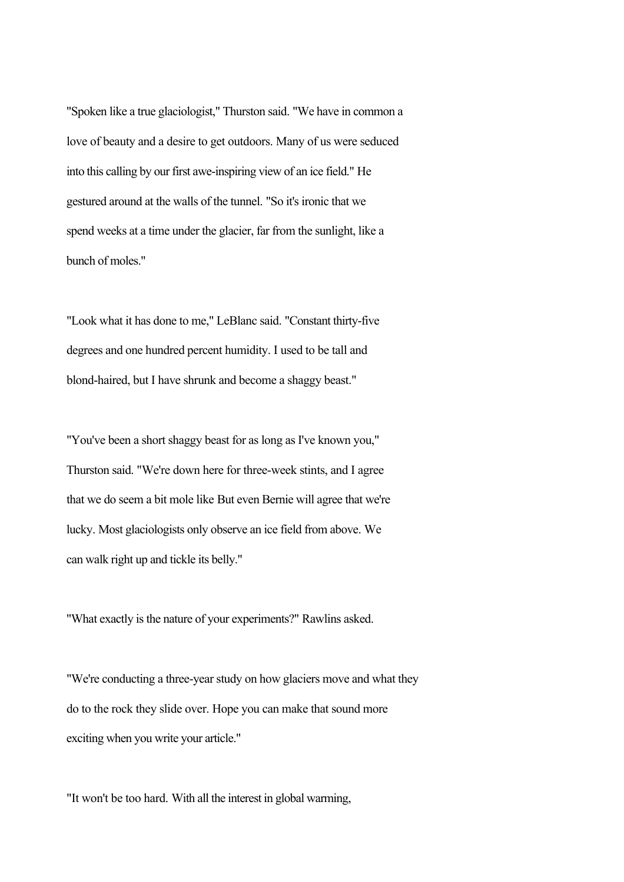"Spoken like a true glaciologist," Thurston said. "We have in common a love of beauty and a desire to get outdoors. Many of us were seduced into this calling by our first awe-inspiring view of an ice field." He gestured around at the walls of the tunnel. "So it's ironic that we spend weeks at a time under the glacier, far from the sunlight, like a bunch of moles."

 "Look what it has done to me," LeBlanc said. "Constant thirty-five degrees and one hundred percent humidity. I used to be tall and blond-haired, but I have shrunk and become a shaggy beast."

 "You've been a short shaggy beast for as long as I've known you," Thurston said. "We're down here for three-week stints, and I agree that we do seem a bit mole like But even Bernie will agree that we're lucky. Most glaciologists only observe an ice field from above. We can walk right up and tickle its belly."

"What exactly is the nature of your experiments?" Rawlins asked.

 "We're conducting a three-year study on how glaciers move and what they do to the rock they slide over. Hope you can make that sound more exciting when you write your article."

"It won't be too hard. With all the interest in global warming,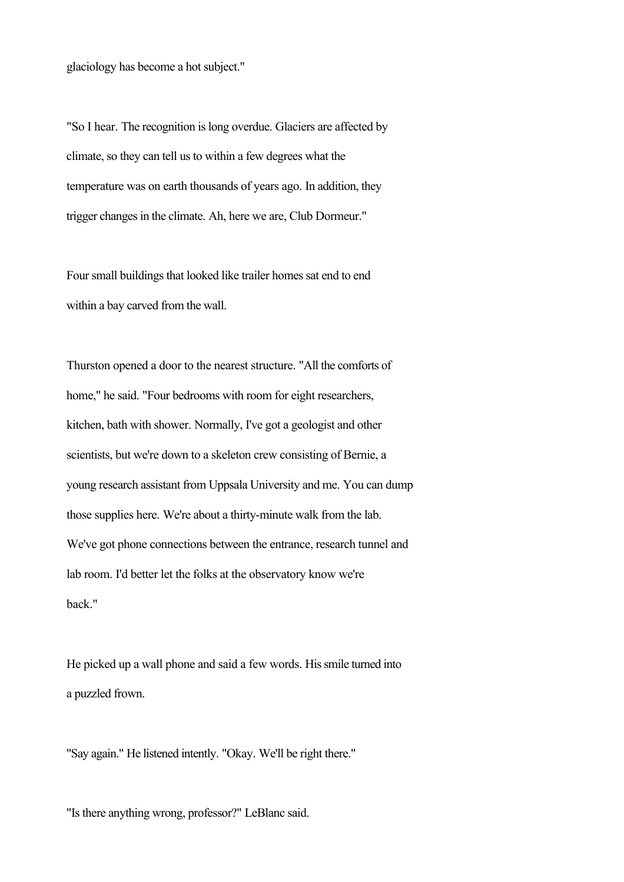glaciology has become a hot subject."

 "So I hear. The recognition is long overdue. Glaciers are affected by climate, so they can tell us to within a few degrees what the temperature was on earth thousands of years ago. In addition, they trigger changes in the climate. Ah, here we are, Club Dormeur."

 Four small buildings that looked like trailer homes sat end to end within a bay carved from the wall.

 Thurston opened a door to the nearest structure. "All the comforts of home," he said. "Four bedrooms with room for eight researchers, kitchen, bath with shower. Normally, I've got a geologist and other scientists, but we're down to a skeleton crew consisting of Bernie, a young research assistant from Uppsala University and me. You can dump those supplies here. We're about a thirty-minute walk from the lab. We've got phone connections between the entrance, research tunnel and lab room. I'd better let the folks at the observatory know we're back."

 He picked up a wall phone and said a few words. His smile turned into a puzzled frown.

"Say again." He listened intently. "Okay. We'll be right there."

"Is there anything wrong, professor?" LeBlanc said.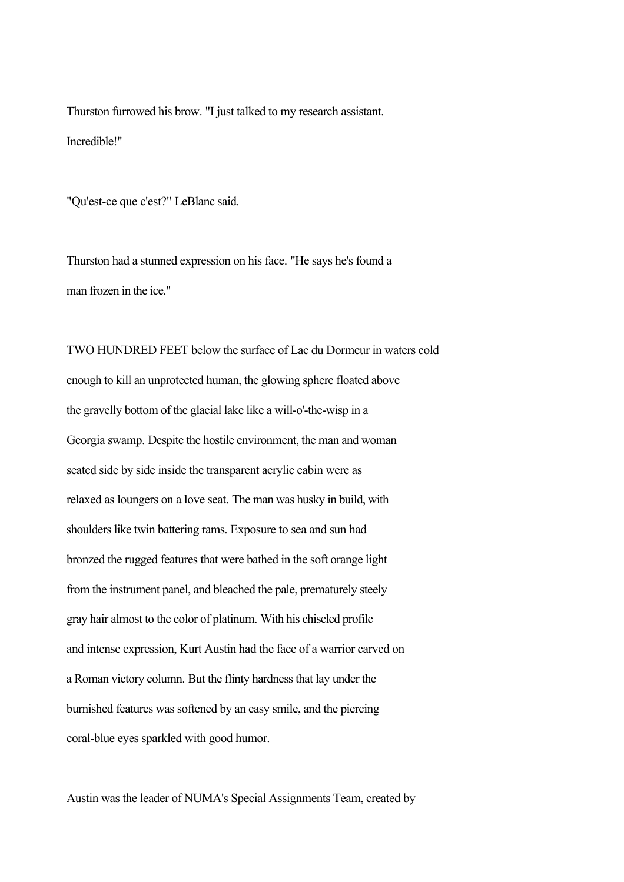Thurston furrowed his brow. "I just talked to my research assistant. Incredible!"

"Qu'est-ce que c'est?" LeBlanc said.

 Thurston had a stunned expression on his face. "He says he's found a man frozen in the ice."

 TWO HUNDRED FEET below the surface of Lac du Dormeur in waters cold enough to kill an unprotected human, the glowing sphere floated above the gravelly bottom of the glacial lake like a will-o'-the-wisp in a Georgia swamp. Despite the hostile environment, the man and woman seated side by side inside the transparent acrylic cabin were as relaxed as loungers on a love seat. The man was husky in build, with shoulders like twin battering rams. Exposure to sea and sun had bronzed the rugged features that were bathed in the soft orange light from the instrument panel, and bleached the pale, prematurely steely gray hair almost to the color of platinum. With his chiseled profile and intense expression, Kurt Austin had the face of a warrior carved on a Roman victory column. But the flinty hardness that lay under the burnished features was softened by an easy smile, and the piercing coral-blue eyes sparkled with good humor.

Austin was the leader of NUMA's Special Assignments Team, created by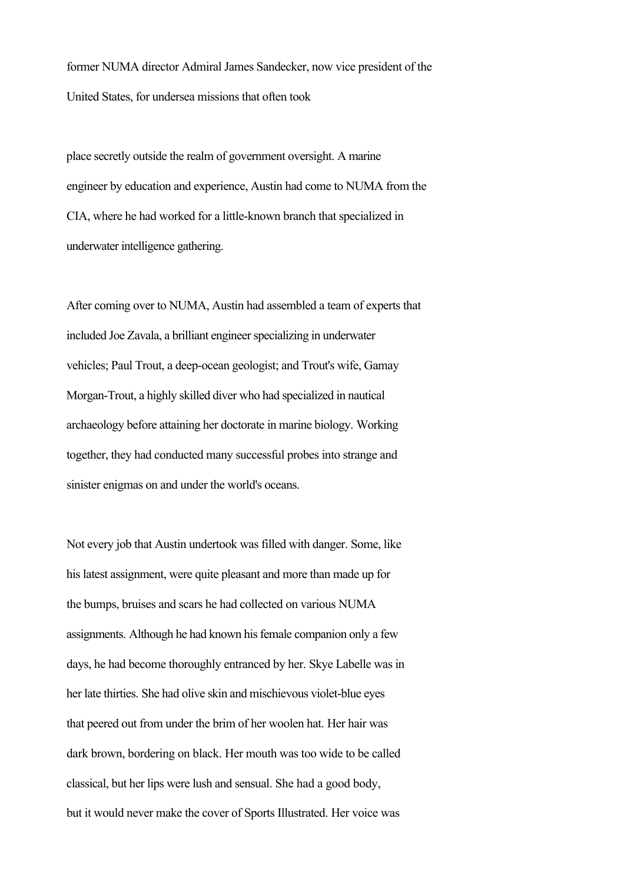former NUMA director Admiral James Sandecker, now vice president of the United States, for undersea missions that often took

 place secretly outside the realm of government oversight. A marine engineer by education and experience, Austin had come to NUMA from the CIA, where he had worked for a little-known branch that specialized in underwater intelligence gathering.

 After coming over to NUMA, Austin had assembled a team of experts that included Joe Zavala, a brilliant engineer specializing in underwater vehicles; Paul Trout, a deep-ocean geologist; and Trout's wife, Gamay Morgan-Trout, a highly skilled diver who had specialized in nautical archaeology before attaining her doctorate in marine biology. Working together, they had conducted many successful probes into strange and sinister enigmas on and under the world's oceans.

 Not every job that Austin undertook was filled with danger. Some, like his latest assignment, were quite pleasant and more than made up for the bumps, bruises and scars he had collected on various NUMA assignments. Although he had known his female companion only a few days, he had become thoroughly entranced by her. Skye Labelle was in her late thirties. She had olive skin and mischievous violet-blue eyes that peered out from under the brim of her woolen hat. Her hair was dark brown, bordering on black. Her mouth was too wide to be called classical, but her lips were lush and sensual. She had a good body, but it would never make the cover of Sports Illustrated. Her voice was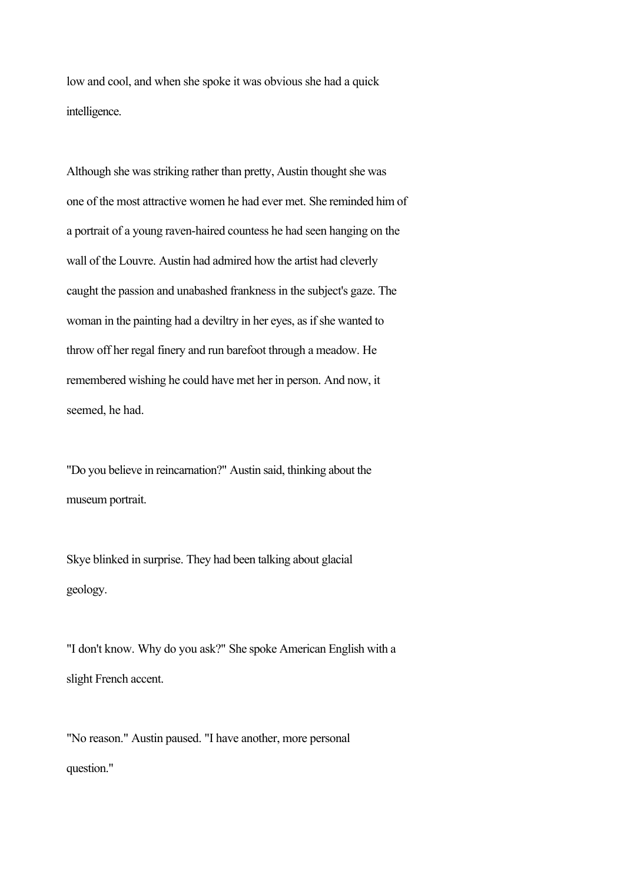low and cool, and when she spoke it was obvious she had a quick intelligence.

 Although she was striking rather than pretty, Austin thought she was one of the most attractive women he had ever met. She reminded him of a portrait of a young raven-haired countess he had seen hanging on the wall of the Louvre. Austin had admired how the artist had cleverly caught the passion and unabashed frankness in the subject's gaze. The woman in the painting had a deviltry in her eyes, as if she wanted to throw off her regal finery and run barefoot through a meadow. He remembered wishing he could have met her in person. And now, it seemed, he had.

 "Do you believe in reincarnation?" Austin said, thinking about the museum portrait.

 Skye blinked in surprise. They had been talking about glacial geology.

 "I don't know. Why do you ask?" She spoke American English with a slight French accent.

 "No reason." Austin paused. "I have another, more personal question."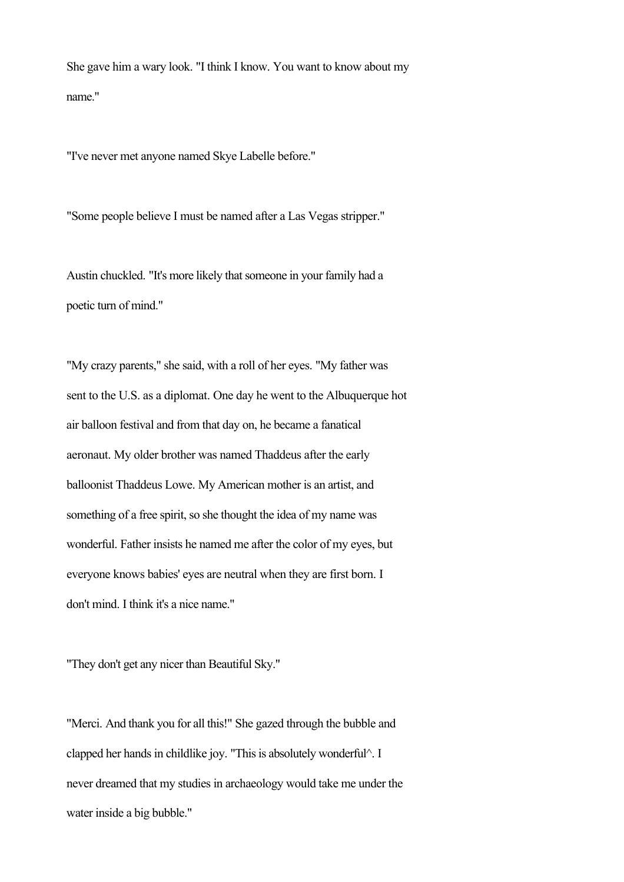She gave him a wary look. "I think I know. You want to know about my name."

"I've never met anyone named Skye Labelle before."

"Some people believe I must be named after a Las Vegas stripper."

 Austin chuckled. "It's more likely that someone in your family had a poetic turn of mind."

 "My crazy parents," she said, with a roll of her eyes. "My father was sent to the U.S. as a diplomat. One day he went to the Albuquerque hot air balloon festival and from that day on, he became a fanatical aeronaut. My older brother was named Thaddeus after the early balloonist Thaddeus Lowe. My American mother is an artist, and something of a free spirit, so she thought the idea of my name was wonderful. Father insists he named me after the color of my eyes, but everyone knows babies' eyes are neutral when they are first born. I don't mind. I think it's a nice name."

"They don't get any nicer than Beautiful Sky."

 "Merci. And thank you for all this!" She gazed through the bubble and clapped her hands in childlike joy. "This is absolutely wonderful^. I never dreamed that my studies in archaeology would take me under the water inside a big bubble."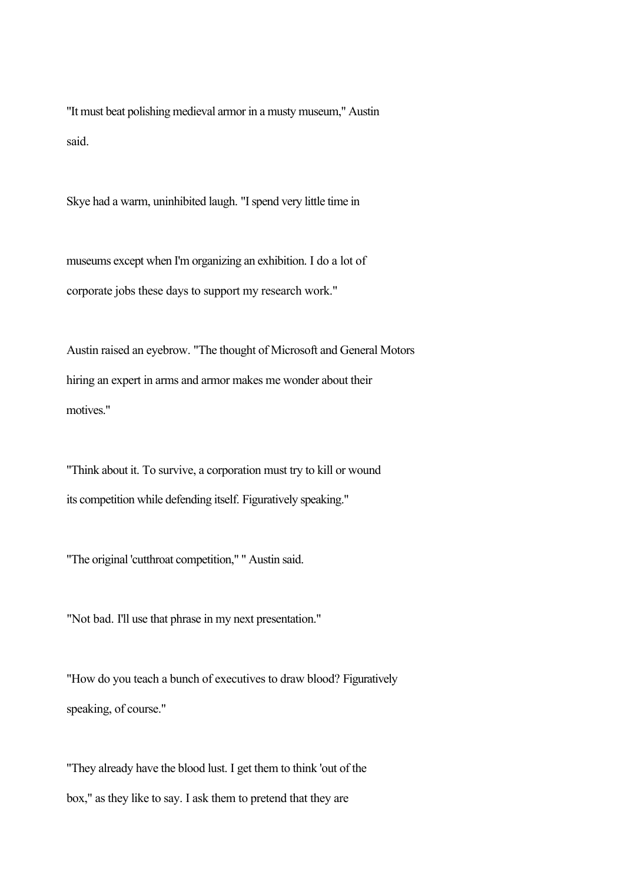"It must beat polishing medieval armor in a musty museum," Austin said.

Skye had a warm, uninhibited laugh. "I spend very little time in

 museums except when I'm organizing an exhibition. I do a lot of corporate jobs these days to support my research work."

 Austin raised an eyebrow. "The thought of Microsoft and General Motors hiring an expert in arms and armor makes me wonder about their motives."

 "Think about it. To survive, a corporation must try to kill or wound its competition while defending itself. Figuratively speaking."

"The original 'cutthroat competition," " Austin said.

"Not bad. I'll use that phrase in my next presentation."

 "How do you teach a bunch of executives to draw blood? Figuratively speaking, of course."

 "They already have the blood lust. I get them to think 'out of the box," as they like to say. I ask them to pretend that they are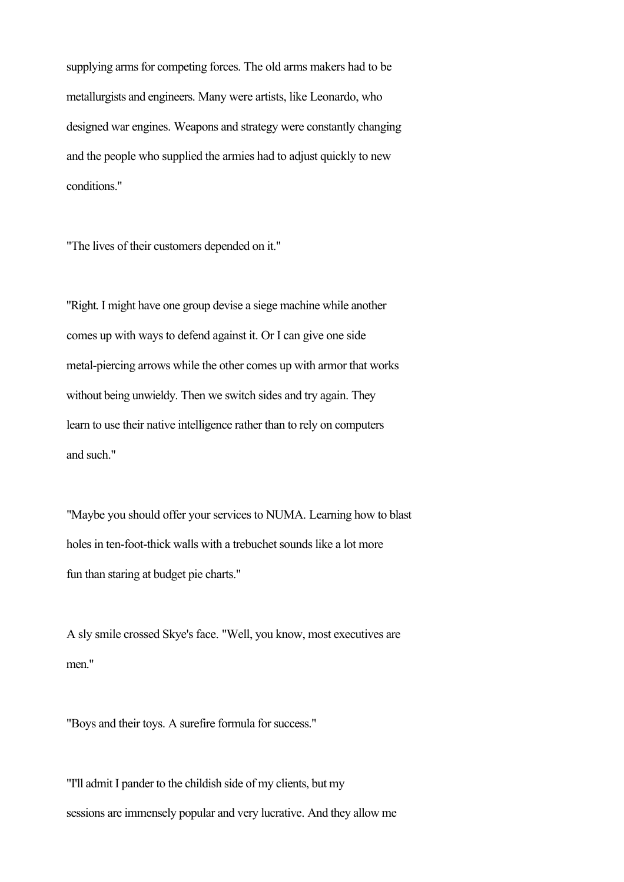supplying arms for competing forces. The old arms makers had to be metallurgists and engineers. Many were artists, like Leonardo, who designed war engines. Weapons and strategy were constantly changing and the people who supplied the armies had to adjust quickly to new conditions."

"The lives of their customers depended on it."

 "Right. I might have one group devise a siege machine while another comes up with ways to defend against it. Or I can give one side metal-piercing arrows while the other comes up with armor that works without being unwieldy. Then we switch sides and try again. They learn to use their native intelligence rather than to rely on computers and such."

 "Maybe you should offer your services to NUMA. Learning how to blast holes in ten-foot-thick walls with a trebuchet sounds like a lot more fun than staring at budget pie charts."

 A sly smile crossed Skye's face. "Well, you know, most executives are men."

"Boys and their toys. A surefire formula for success."

 "I'll admit I pander to the childish side of my clients, but my sessions are immensely popular and very lucrative. And they allow me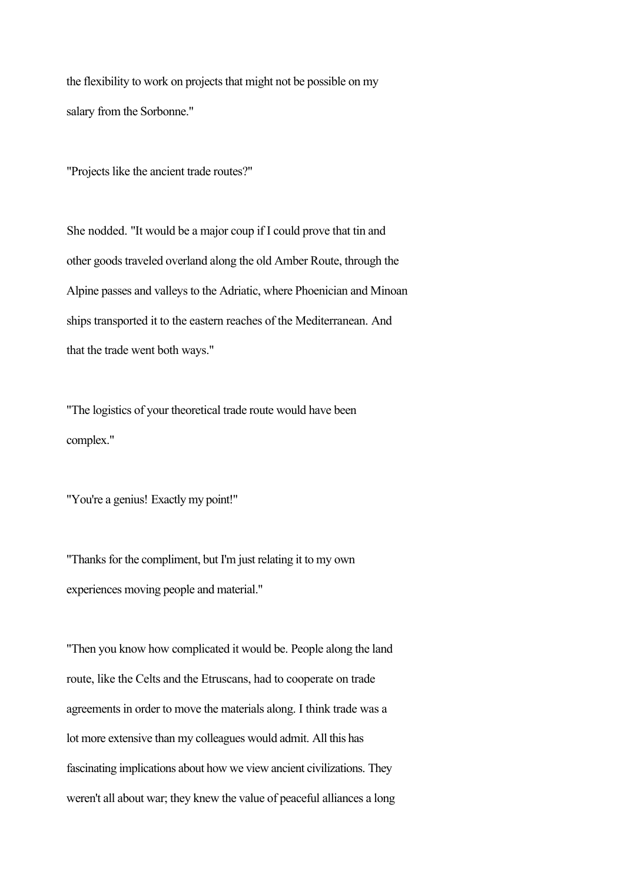the flexibility to work on projects that might not be possible on my salary from the Sorbonne."

"Projects like the ancient trade routes?"

 She nodded. "It would be a major coup if I could prove that tin and other goods traveled overland along the old Amber Route, through the Alpine passes and valleys to the Adriatic, where Phoenician and Minoan ships transported it to the eastern reaches of the Mediterranean. And that the trade went both ways."

 "The logistics of your theoretical trade route would have been complex."

"You're a genius! Exactly my point!"

 "Thanks for the compliment, but I'm just relating it to my own experiences moving people and material."

 "Then you know how complicated it would be. People along the land route, like the Celts and the Etruscans, had to cooperate on trade agreements in order to move the materials along. I think trade was a lot more extensive than my colleagues would admit. All this has fascinating implications about how we view ancient civilizations. They weren't all about war; they knew the value of peaceful alliances a long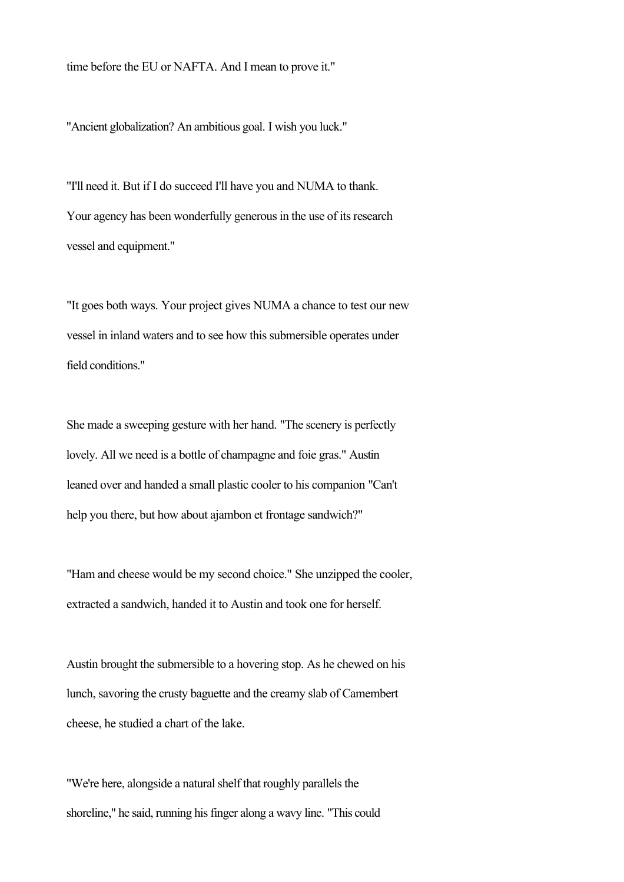time before the EU or NAFTA. And I mean to prove it."

"Ancient globalization? An ambitious goal. I wish you luck."

 "I'll need it. But if I do succeed I'll have you and NUMA to thank. Your agency has been wonderfully generous in the use of its research vessel and equipment."

 "It goes both ways. Your project gives NUMA a chance to test our new vessel in inland waters and to see how this submersible operates under field conditions."

 She made a sweeping gesture with her hand. "The scenery is perfectly lovely. All we need is a bottle of champagne and foie gras." Austin leaned over and handed a small plastic cooler to his companion "Can't help you there, but how about ajambon et frontage sandwich?"

 "Ham and cheese would be my second choice." She unzipped the cooler, extracted a sandwich, handed it to Austin and took one for herself.

 Austin brought the submersible to a hovering stop. As he chewed on his lunch, savoring the crusty baguette and the creamy slab of Camembert cheese, he studied a chart of the lake.

 "We're here, alongside a natural shelf that roughly parallels the shoreline," he said, running his finger along a wavy line. "This could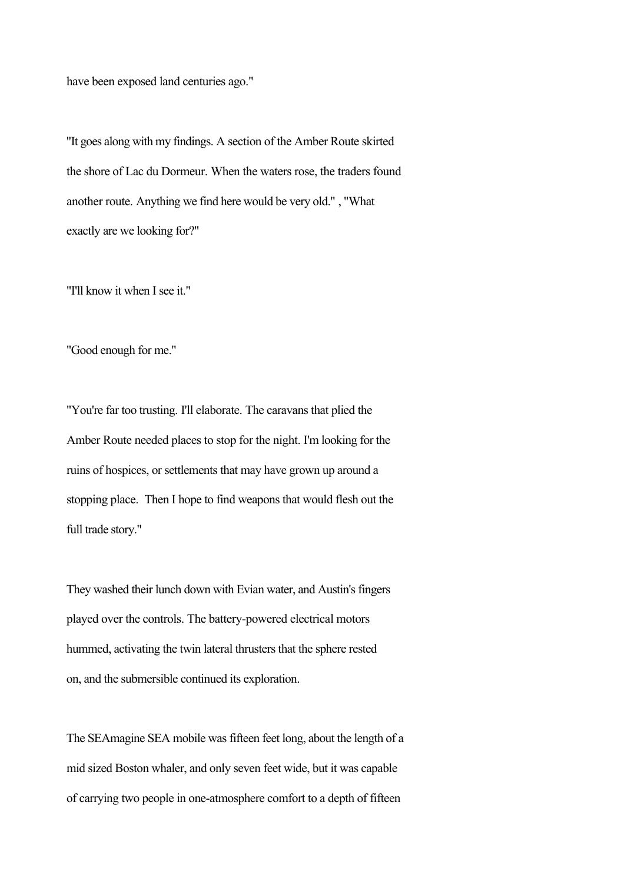have been exposed land centuries ago."

 "It goes along with my findings. A section of the Amber Route skirted the shore of Lac du Dormeur. When the waters rose, the traders found another route. Anything we find here would be very old." , "What exactly are we looking for?"

"I'll know it when I see it."

"Good enough for me."

 "You're far too trusting. I'll elaborate. The caravans that plied the Amber Route needed places to stop for the night. I'm looking for the ruins of hospices, or settlements that may have grown up around a stopping place. Then I hope to find weapons that would flesh out the full trade story."

 They washed their lunch down with Evian water, and Austin's fingers played over the controls. The battery-powered electrical motors hummed, activating the twin lateral thrusters that the sphere rested on, and the submersible continued its exploration.

 The SEAmagine SEA mobile was fifteen feet long, about the length of a mid sized Boston whaler, and only seven feet wide, but it was capable of carrying two people in one-atmosphere comfort to a depth of fifteen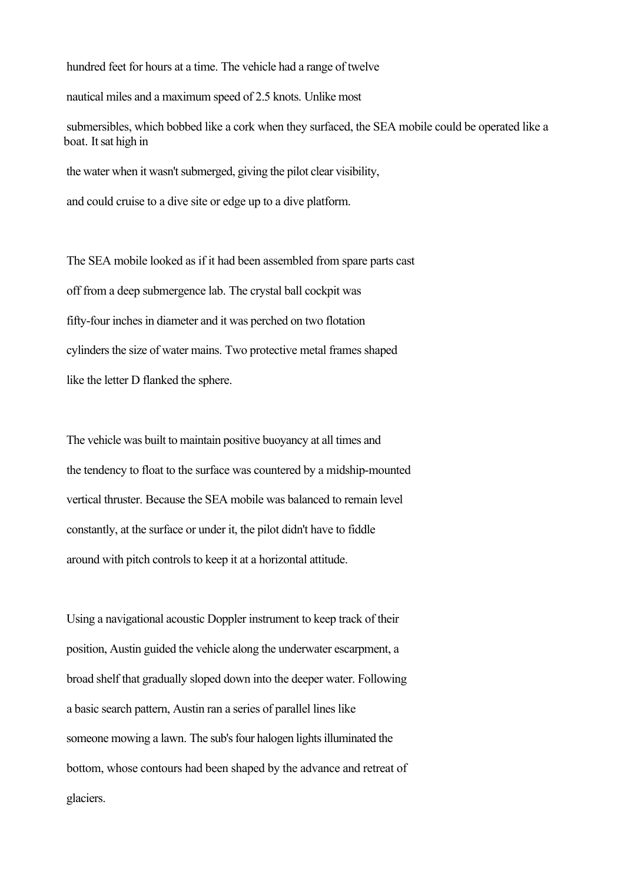hundred feet for hours at a time. The vehicle had a range of twelve nautical miles and a maximum speed of 2.5 knots. Unlike most submersibles, which bobbed like a cork when they surfaced, the SEA mobile could be operated like a boat. It sat high in the water when it wasn't submerged, giving the pilot clear visibility,

and could cruise to a dive site or edge up to a dive platform.

 The SEA mobile looked as if it had been assembled from spare parts cast off from a deep submergence lab. The crystal ball cockpit was fifty-four inches in diameter and it was perched on two flotation cylinders the size of water mains. Two protective metal frames shaped like the letter D flanked the sphere.

 The vehicle was built to maintain positive buoyancy at all times and the tendency to float to the surface was countered by a midship-mounted vertical thruster. Because the SEA mobile was balanced to remain level constantly, at the surface or under it, the pilot didn't have to fiddle around with pitch controls to keep it at a horizontal attitude.

 Using a navigational acoustic Doppler instrument to keep track of their position, Austin guided the vehicle along the underwater escarpment, a broad shelf that gradually sloped down into the deeper water. Following a basic search pattern, Austin ran a series of parallel lines like someone mowing a lawn. The sub's four halogen lights illuminated the bottom, whose contours had been shaped by the advance and retreat of glaciers.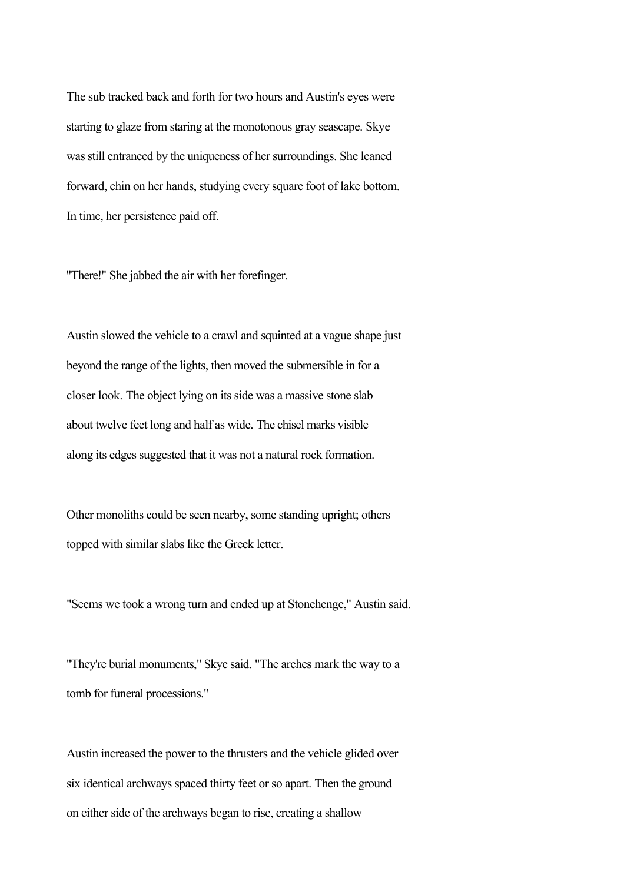The sub tracked back and forth for two hours and Austin's eyes were starting to glaze from staring at the monotonous gray seascape. Skye was still entranced by the uniqueness of her surroundings. She leaned forward, chin on her hands, studying every square foot of lake bottom. In time, her persistence paid off.

"There!" She jabbed the air with her forefinger.

 Austin slowed the vehicle to a crawl and squinted at a vague shape just beyond the range of the lights, then moved the submersible in for a closer look. The object lying on its side was a massive stone slab about twelve feet long and half as wide. The chisel marks visible along its edges suggested that it was not a natural rock formation.

 Other monoliths could be seen nearby, some standing upright; others topped with similar slabs like the Greek letter.

"Seems we took a wrong turn and ended up at Stonehenge," Austin said.

 "They're burial monuments," Skye said. "The arches mark the way to a tomb for funeral processions."

 Austin increased the power to the thrusters and the vehicle glided over six identical archways spaced thirty feet or so apart. Then the ground on either side of the archways began to rise, creating a shallow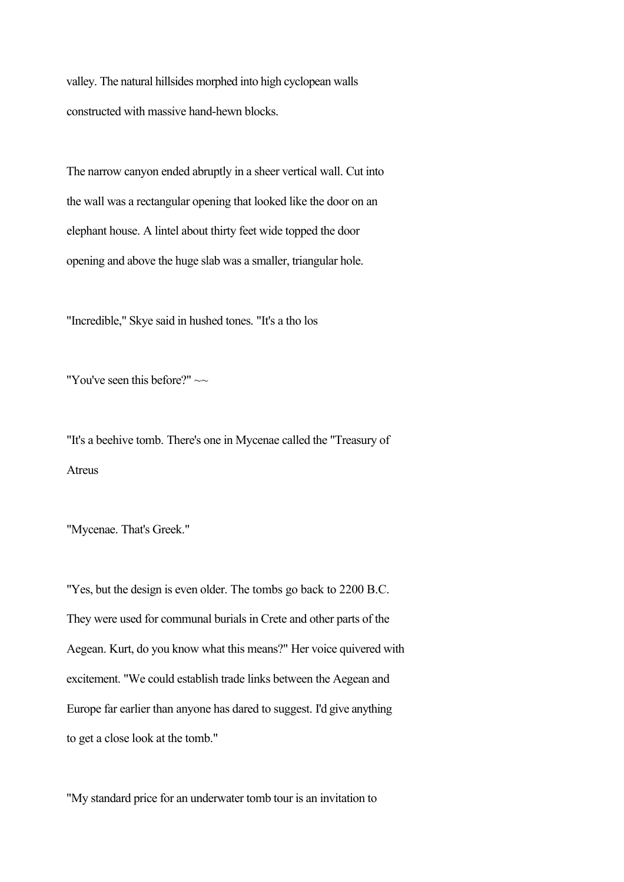valley. The natural hillsides morphed into high cyclopean walls constructed with massive hand-hewn blocks.

 The narrow canyon ended abruptly in a sheer vertical wall. Cut into the wall was a rectangular opening that looked like the door on an elephant house. A lintel about thirty feet wide topped the door opening and above the huge slab was a smaller, triangular hole.

"Incredible," Skye said in hushed tones. "It's a tho los

"You've seen this before?"  $\sim$ 

 "It's a beehive tomb. There's one in Mycenae called the "Treasury of Atreus

"Mycenae. That's Greek."

 "Yes, but the design is even older. The tombs go back to 2200 B.C. They were used for communal burials in Crete and other parts of the Aegean. Kurt, do you know what this means?" Her voice quivered with excitement. "We could establish trade links between the Aegean and Europe far earlier than anyone has dared to suggest. I'd give anything to get a close look at the tomb."

"My standard price for an underwater tomb tour is an invitation to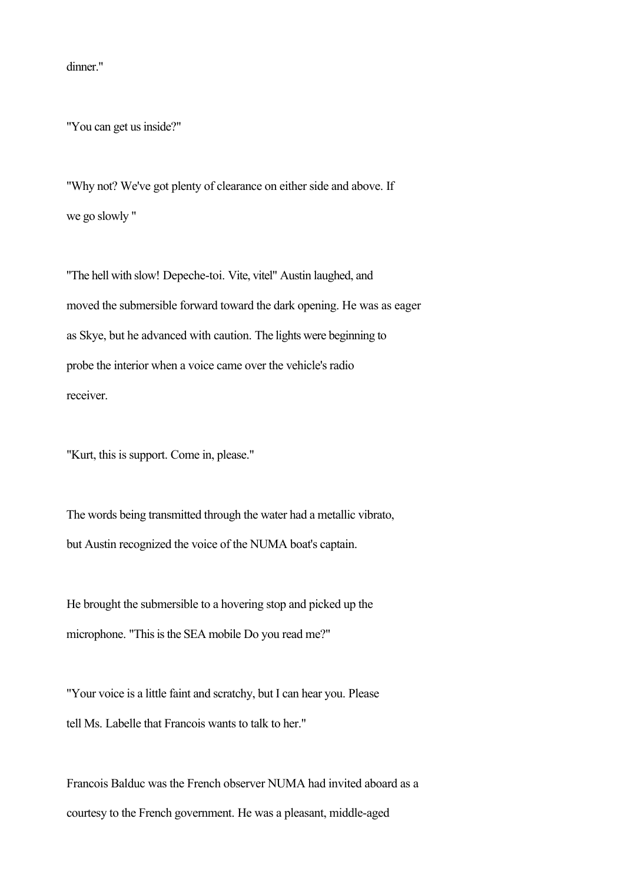dinner."

"You can get us inside?"

 "Why not? We've got plenty of clearance on either side and above. If we go slowly "

 "The hell with slow! Depeche-toi. Vite, vitel" Austin laughed, and moved the submersible forward toward the dark opening. He was as eager as Skye, but he advanced with caution. The lights were beginning to probe the interior when a voice came over the vehicle's radio receiver.

"Kurt, this is support. Come in, please."

 The words being transmitted through the water had a metallic vibrato, but Austin recognized the voice of the NUMA boat's captain.

 He brought the submersible to a hovering stop and picked up the microphone. "This is the SEA mobile Do you read me?"

 "Your voice is a little faint and scratchy, but I can hear you. Please tell Ms. Labelle that Francois wants to talk to her."

 Francois Balduc was the French observer NUMA had invited aboard as a courtesy to the French government. He was a pleasant, middle-aged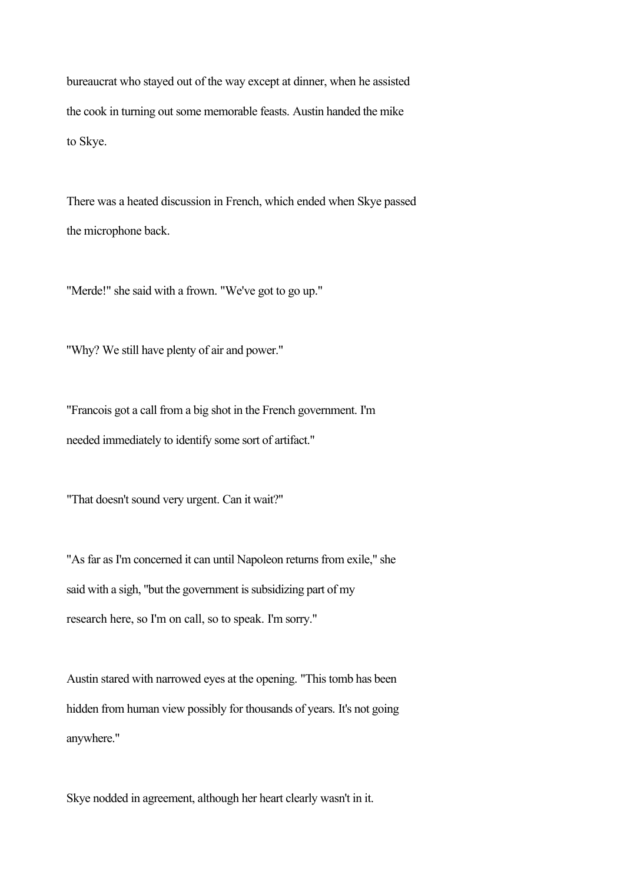bureaucrat who stayed out of the way except at dinner, when he assisted the cook in turning out some memorable feasts. Austin handed the mike to Skye.

 There was a heated discussion in French, which ended when Skye passed the microphone back.

"Merde!" she said with a frown. "We've got to go up."

"Why? We still have plenty of air and power."

 "Francois got a call from a big shot in the French government. I'm needed immediately to identify some sort of artifact."

"That doesn't sound very urgent. Can it wait?"

 "As far as I'm concerned it can until Napoleon returns from exile," she said with a sigh, "but the government is subsidizing part of my research here, so I'm on call, so to speak. I'm sorry."

 Austin stared with narrowed eyes at the opening. "This tomb has been hidden from human view possibly for thousands of years. It's not going anywhere."

Skye nodded in agreement, although her heart clearly wasn't in it.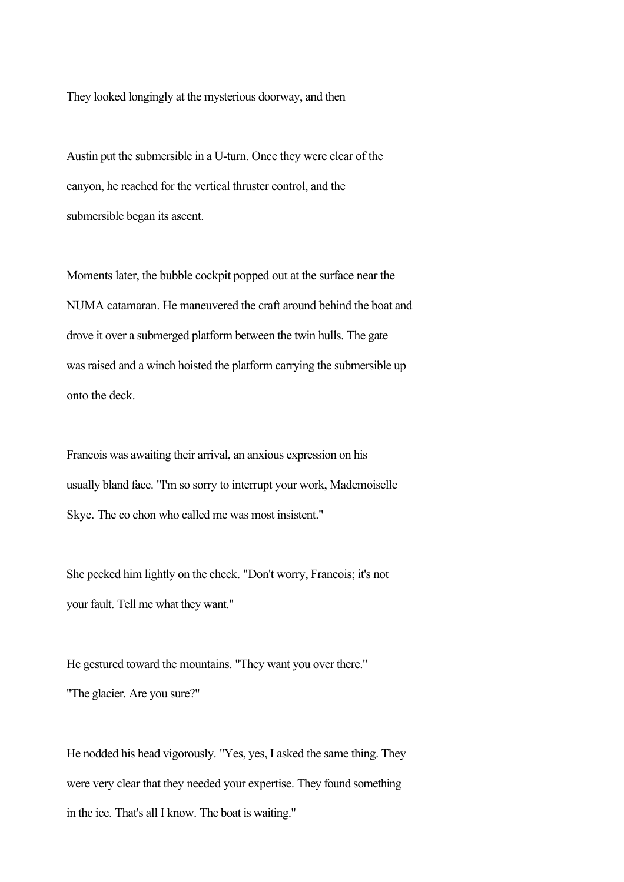They looked longingly at the mysterious doorway, and then

 Austin put the submersible in a U-turn. Once they were clear of the canyon, he reached for the vertical thruster control, and the submersible began its ascent.

 Moments later, the bubble cockpit popped out at the surface near the NUMA catamaran. He maneuvered the craft around behind the boat and drove it over a submerged platform between the twin hulls. The gate was raised and a winch hoisted the platform carrying the submersible up onto the deck.

 Francois was awaiting their arrival, an anxious expression on his usually bland face. "I'm so sorry to interrupt your work, Mademoiselle Skye. The co chon who called me was most insistent."

 She pecked him lightly on the cheek. "Don't worry, Francois; it's not your fault. Tell me what they want."

 He gestured toward the mountains. "They want you over there." "The glacier. Are you sure?"

 He nodded his head vigorously. "Yes, yes, I asked the same thing. They were very clear that they needed your expertise. They found something in the ice. That's all I know. The boat is waiting."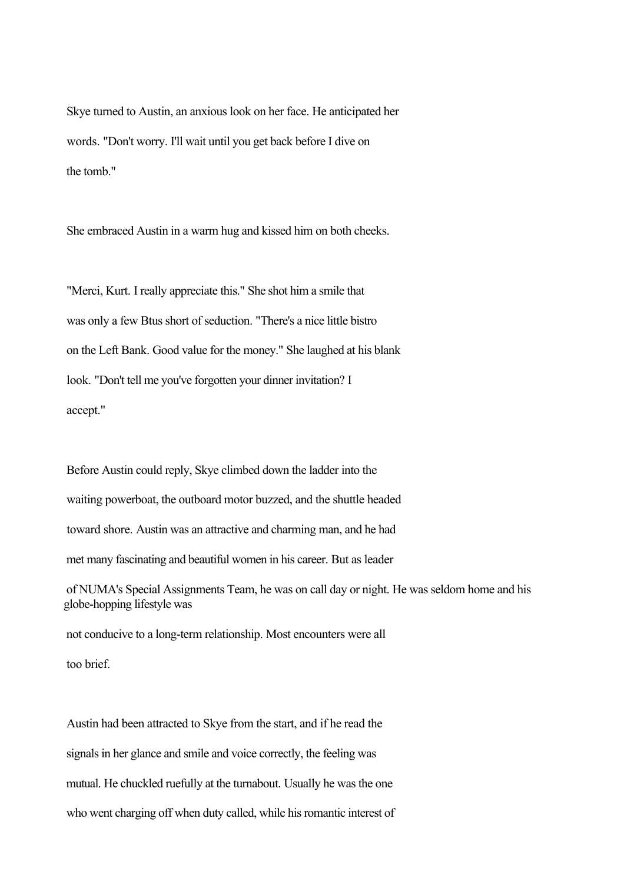Skye turned to Austin, an anxious look on her face. He anticipated her words. "Don't worry. I'll wait until you get back before I dive on the tomb."

She embraced Austin in a warm hug and kissed him on both cheeks.

 "Merci, Kurt. I really appreciate this." She shot him a smile that was only a few Btus short of seduction. "There's a nice little bistro on the Left Bank. Good value for the money." She laughed at his blank look. "Don't tell me you've forgotten your dinner invitation? I accept."

 Before Austin could reply, Skye climbed down the ladder into the waiting powerboat, the outboard motor buzzed, and the shuttle headed toward shore. Austin was an attractive and charming man, and he had met many fascinating and beautiful women in his career. But as leader of NUMA's Special Assignments Team, he was on call day or night. He was seldom home and his globe-hopping lifestyle was

 not conducive to a long-term relationship. Most encounters were all too brief.

 Austin had been attracted to Skye from the start, and if he read the signals in her glance and smile and voice correctly, the feeling was mutual. He chuckled ruefully at the turnabout. Usually he was the one who went charging off when duty called, while his romantic interest of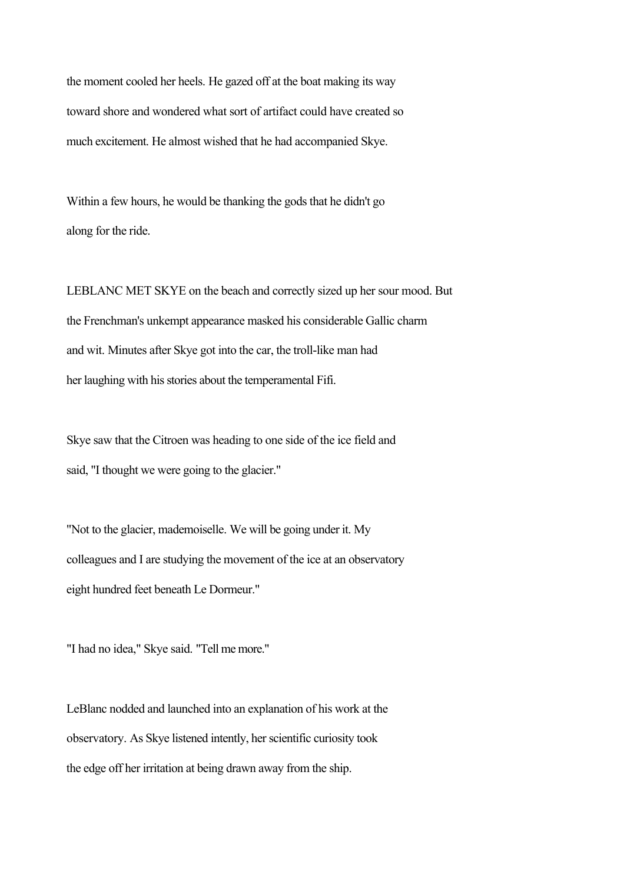the moment cooled her heels. He gazed off at the boat making its way toward shore and wondered what sort of artifact could have created so much excitement. He almost wished that he had accompanied Skye.

 Within a few hours, he would be thanking the gods that he didn't go along for the ride.

 LEBLANC MET SKYE on the beach and correctly sized up her sour mood. But the Frenchman's unkempt appearance masked his considerable Gallic charm and wit. Minutes after Skye got into the car, the troll-like man had her laughing with his stories about the temperamental Fifi.

 Skye saw that the Citroen was heading to one side of the ice field and said, "I thought we were going to the glacier."

 "Not to the glacier, mademoiselle. We will be going under it. My colleagues and I are studying the movement of the ice at an observatory eight hundred feet beneath Le Dormeur."

"I had no idea," Skye said. "Tell me more."

 LeBlanc nodded and launched into an explanation of his work at the observatory. As Skye listened intently, her scientific curiosity took the edge off her irritation at being drawn away from the ship.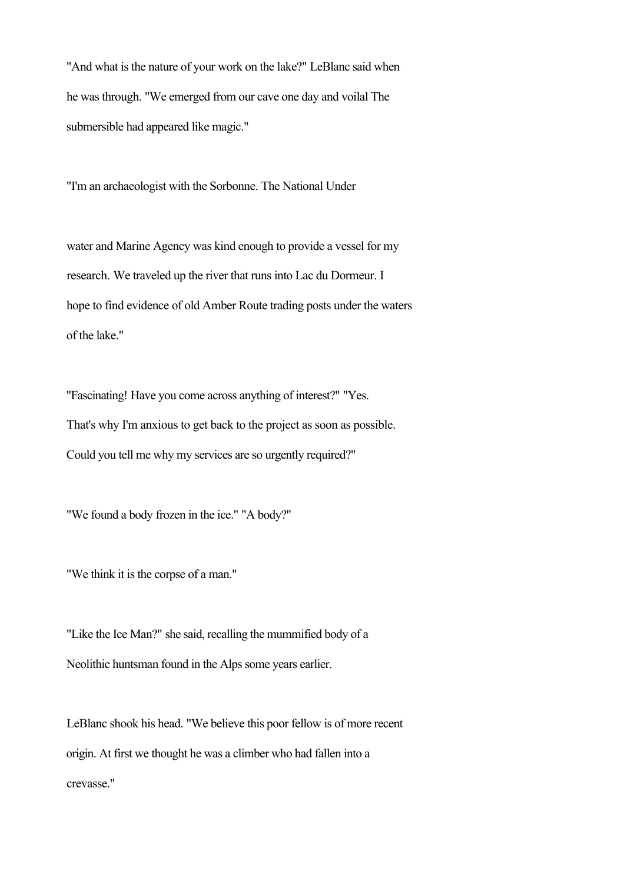"And what is the nature of your work on the lake?" LeBlanc said when he was through. "We emerged from our cave one day and voilal The submersible had appeared like magic."

"I'm an archaeologist with the Sorbonne. The National Under

 water and Marine Agency was kind enough to provide a vessel for my research. We traveled up the river that runs into Lac du Dormeur. I hope to find evidence of old Amber Route trading posts under the waters of the lake."

 "Fascinating! Have you come across anything of interest?" "Yes. That's why I'm anxious to get back to the project as soon as possible. Could you tell me why my services are so urgently required?"

"We found a body frozen in the ice." "A body?"

"We think it is the corpse of a man."

 "Like the Ice Man?" she said, recalling the mummified body of a Neolithic huntsman found in the Alps some years earlier.

 LeBlanc shook his head. "We believe this poor fellow is of more recent origin. At first we thought he was a climber who had fallen into a crevasse."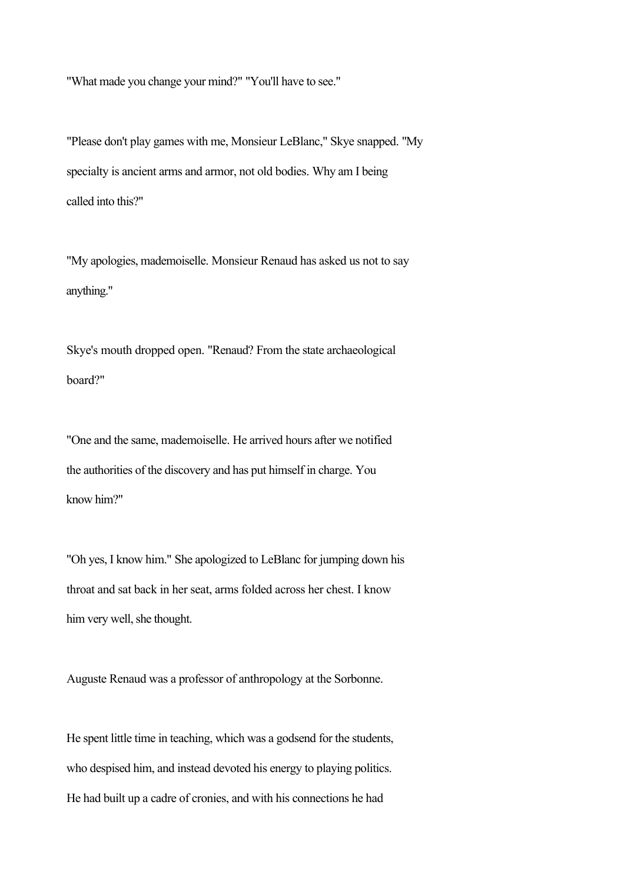"What made you change your mind?" "You'll have to see."

 "Please don't play games with me, Monsieur LeBlanc," Skye snapped. "My specialty is ancient arms and armor, not old bodies. Why am I being called into this?"

 "My apologies, mademoiselle. Monsieur Renaud has asked us not to say anything."

 Skye's mouth dropped open. "Renaud? From the state archaeological board?"

 "One and the same, mademoiselle. He arrived hours after we notified the authorities of the discovery and has put himself in charge. You know him?"

 "Oh yes, I know him." She apologized to LeBlanc for jumping down his throat and sat back in her seat, arms folded across her chest. I know him very well, she thought.

Auguste Renaud was a professor of anthropology at the Sorbonne.

 He spent little time in teaching, which was a godsend for the students, who despised him, and instead devoted his energy to playing politics. He had built up a cadre of cronies, and with his connections he had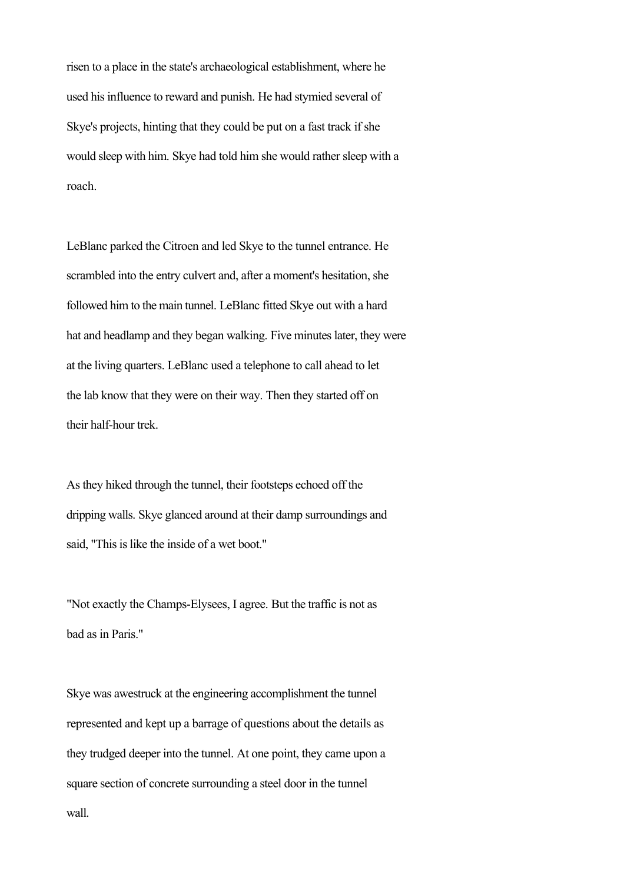risen to a place in the state's archaeological establishment, where he used his influence to reward and punish. He had stymied several of Skye's projects, hinting that they could be put on a fast track if she would sleep with him. Skye had told him she would rather sleep with a roach.

 LeBlanc parked the Citroen and led Skye to the tunnel entrance. He scrambled into the entry culvert and, after a moment's hesitation, she followed him to the main tunnel. LeBlanc fitted Skye out with a hard hat and headlamp and they began walking. Five minutes later, they were at the living quarters. LeBlanc used a telephone to call ahead to let the lab know that they were on their way. Then they started off on their half-hour trek.

 As they hiked through the tunnel, their footsteps echoed off the dripping walls. Skye glanced around at their damp surroundings and said, "This is like the inside of a wet boot."

 "Not exactly the Champs-Elysees, I agree. But the traffic is not as bad as in Paris."

 Skye was awestruck at the engineering accomplishment the tunnel represented and kept up a barrage of questions about the details as they trudged deeper into the tunnel. At one point, they came upon a square section of concrete surrounding a steel door in the tunnel wall.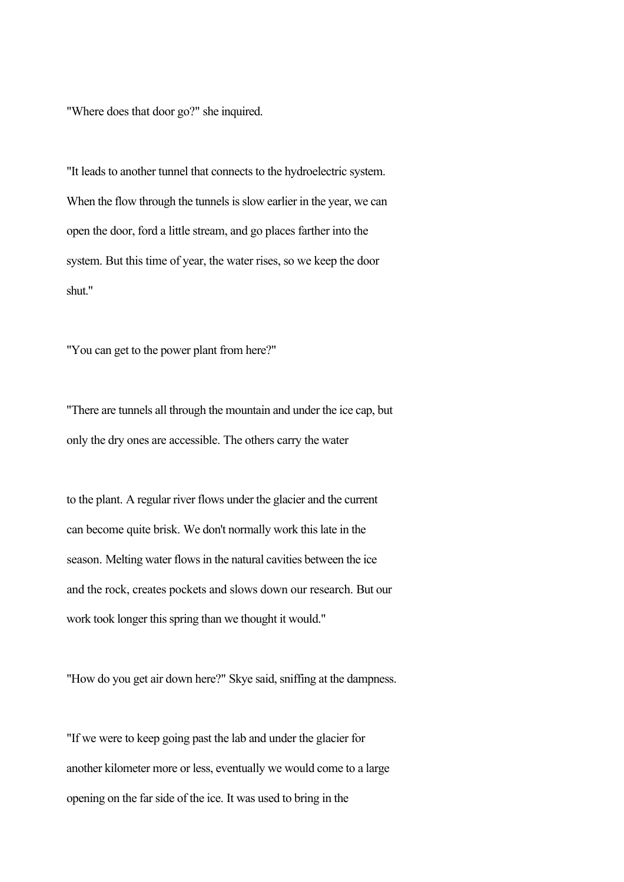"Where does that door go?" she inquired.

 "It leads to another tunnel that connects to the hydroelectric system. When the flow through the tunnels is slow earlier in the year, we can open the door, ford a little stream, and go places farther into the system. But this time of year, the water rises, so we keep the door shut."

"You can get to the power plant from here?"

 "There are tunnels all through the mountain and under the ice cap, but only the dry ones are accessible. The others carry the water

 to the plant. A regular river flows under the glacier and the current can become quite brisk. We don't normally work this late in the season. Melting water flows in the natural cavities between the ice and the rock, creates pockets and slows down our research. But our work took longer this spring than we thought it would."

"How do you get air down here?" Skye said, sniffing at the dampness.

 "If we were to keep going past the lab and under the glacier for another kilometer more or less, eventually we would come to a large opening on the far side of the ice. It was used to bring in the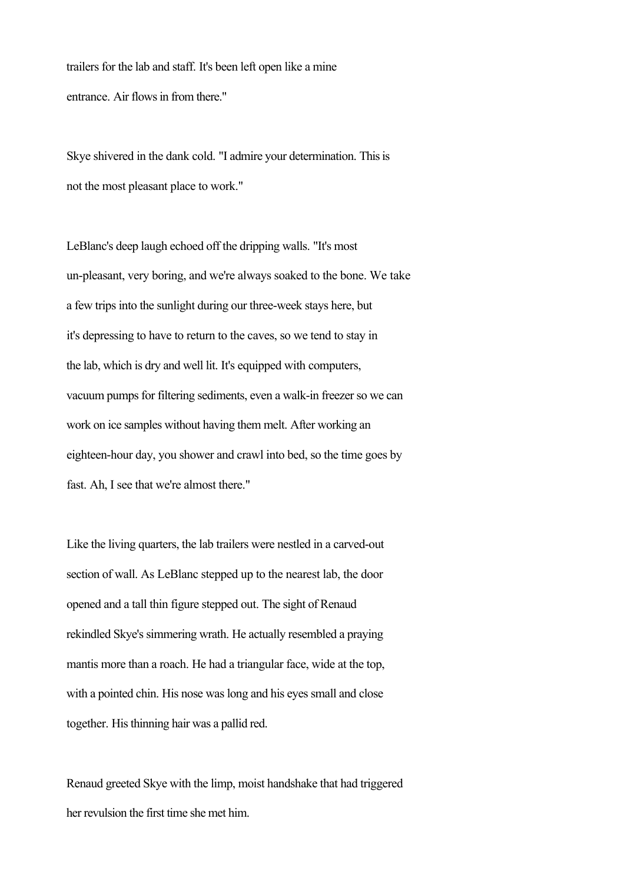trailers for the lab and staff. It's been left open like a mine entrance. Air flows in from there."

 Skye shivered in the dank cold. "I admire your determination. This is not the most pleasant place to work."

 LeBlanc's deep laugh echoed off the dripping walls. "It's most un-pleasant, very boring, and we're always soaked to the bone. We take a few trips into the sunlight during our three-week stays here, but it's depressing to have to return to the caves, so we tend to stay in the lab, which is dry and well lit. It's equipped with computers, vacuum pumps for filtering sediments, even a walk-in freezer so we can work on ice samples without having them melt. After working an eighteen-hour day, you shower and crawl into bed, so the time goes by fast. Ah, I see that we're almost there."

 Like the living quarters, the lab trailers were nestled in a carved-out section of wall. As LeBlanc stepped up to the nearest lab, the door opened and a tall thin figure stepped out. The sight of Renaud rekindled Skye's simmering wrath. He actually resembled a praying mantis more than a roach. He had a triangular face, wide at the top, with a pointed chin. His nose was long and his eyes small and close together. His thinning hair was a pallid red.

 Renaud greeted Skye with the limp, moist handshake that had triggered her revulsion the first time she met him.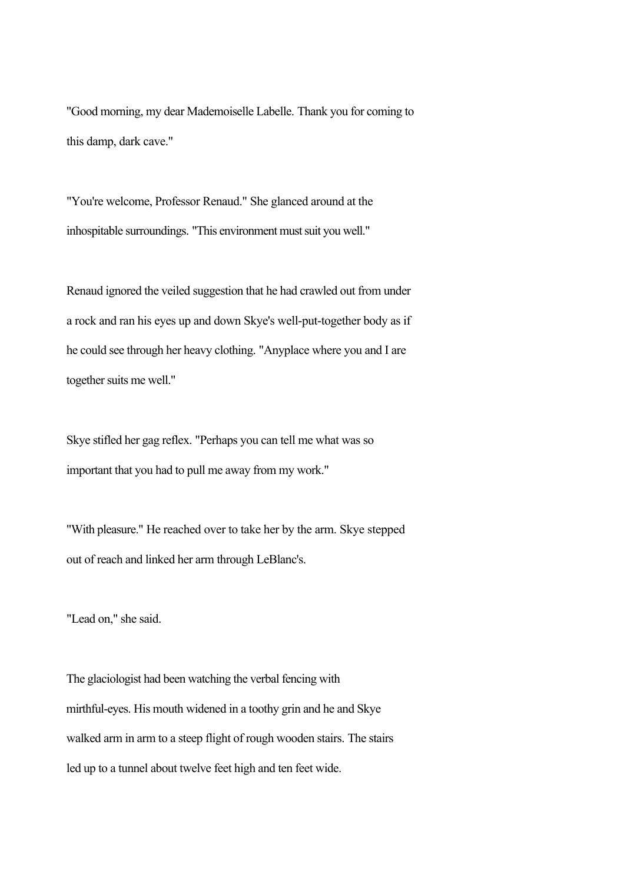"Good morning, my dear Mademoiselle Labelle. Thank you for coming to this damp, dark cave."

 "You're welcome, Professor Renaud." She glanced around at the inhospitable surroundings. "This environment must suit you well."

 Renaud ignored the veiled suggestion that he had crawled out from under a rock and ran his eyes up and down Skye's well-put-together body as if he could see through her heavy clothing. "Anyplace where you and I are together suits me well."

 Skye stifled her gag reflex. "Perhaps you can tell me what was so important that you had to pull me away from my work."

 "With pleasure." He reached over to take her by the arm. Skye stepped out of reach and linked her arm through LeBlanc's.

"Lead on," she said.

 The glaciologist had been watching the verbal fencing with mirthful-eyes. His mouth widened in a toothy grin and he and Skye walked arm in arm to a steep flight of rough wooden stairs. The stairs led up to a tunnel about twelve feet high and ten feet wide.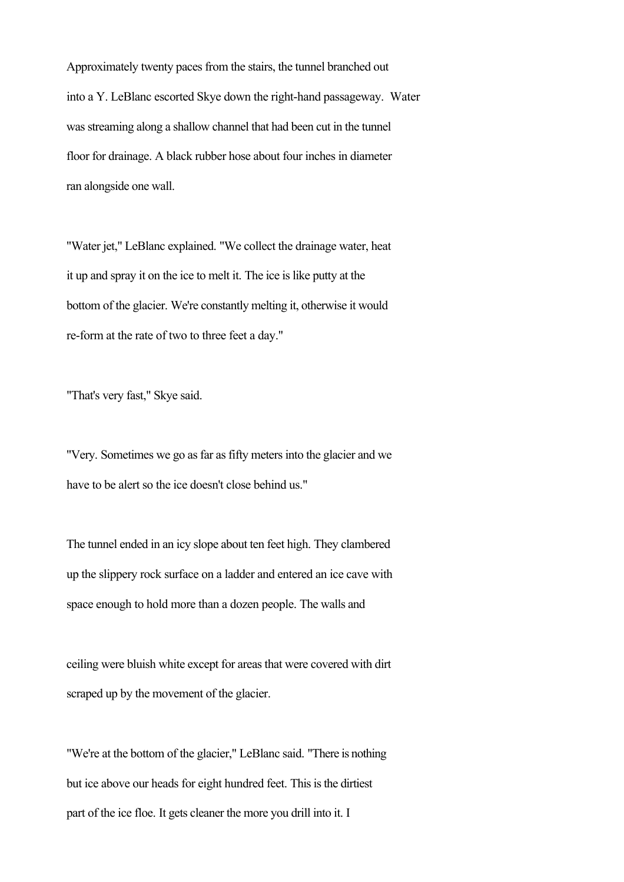Approximately twenty paces from the stairs, the tunnel branched out into a Y. LeBlanc escorted Skye down the right-hand passageway. Water was streaming along a shallow channel that had been cut in the tunnel floor for drainage. A black rubber hose about four inches in diameter ran alongside one wall.

 "Water jet," LeBlanc explained. "We collect the drainage water, heat it up and spray it on the ice to melt it. The ice is like putty at the bottom of the glacier. We're constantly melting it, otherwise it would re-form at the rate of two to three feet a day."

"That's very fast," Skye said.

 "Very. Sometimes we go as far as fifty meters into the glacier and we have to be alert so the ice doesn't close behind us."

 The tunnel ended in an icy slope about ten feet high. They clambered up the slippery rock surface on a ladder and entered an ice cave with space enough to hold more than a dozen people. The walls and

 ceiling were bluish white except for areas that were covered with dirt scraped up by the movement of the glacier.

 "We're at the bottom of the glacier," LeBlanc said. "There is nothing but ice above our heads for eight hundred feet. This is the dirtiest part of the ice floe. It gets cleaner the more you drill into it. I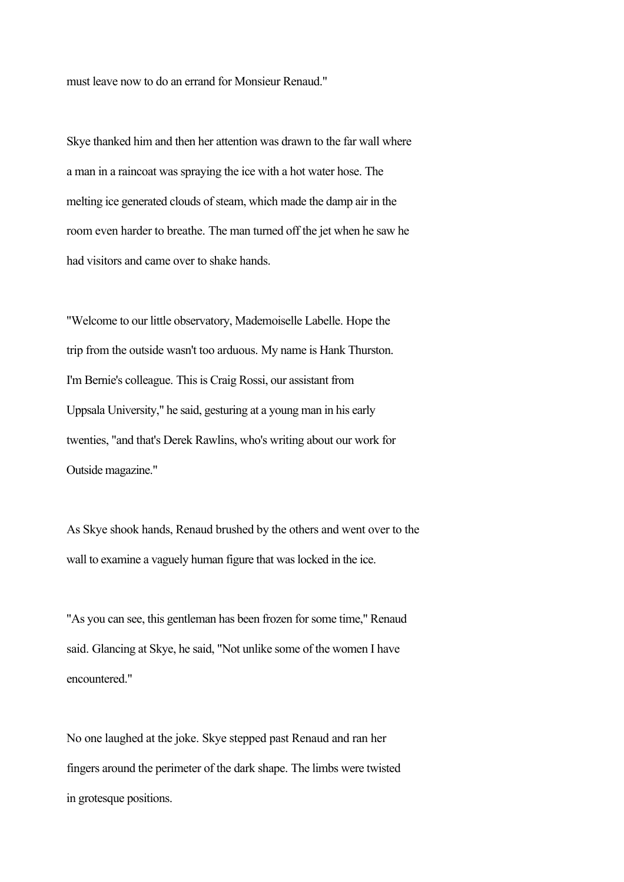must leave now to do an errand for Monsieur Renaud."

 Skye thanked him and then her attention was drawn to the far wall where a man in a raincoat was spraying the ice with a hot water hose. The melting ice generated clouds of steam, which made the damp air in the room even harder to breathe. The man turned off the jet when he saw he had visitors and came over to shake hands.

 "Welcome to our little observatory, Mademoiselle Labelle. Hope the trip from the outside wasn't too arduous. My name is Hank Thurston. I'm Bernie's colleague. This is Craig Rossi, our assistant from Uppsala University," he said, gesturing at a young man in his early twenties, "and that's Derek Rawlins, who's writing about our work for Outside magazine."

 As Skye shook hands, Renaud brushed by the others and went over to the wall to examine a vaguely human figure that was locked in the ice.

 "As you can see, this gentleman has been frozen for some time," Renaud said. Glancing at Skye, he said, "Not unlike some of the women I have encountered."

 No one laughed at the joke. Skye stepped past Renaud and ran her fingers around the perimeter of the dark shape. The limbs were twisted in grotesque positions.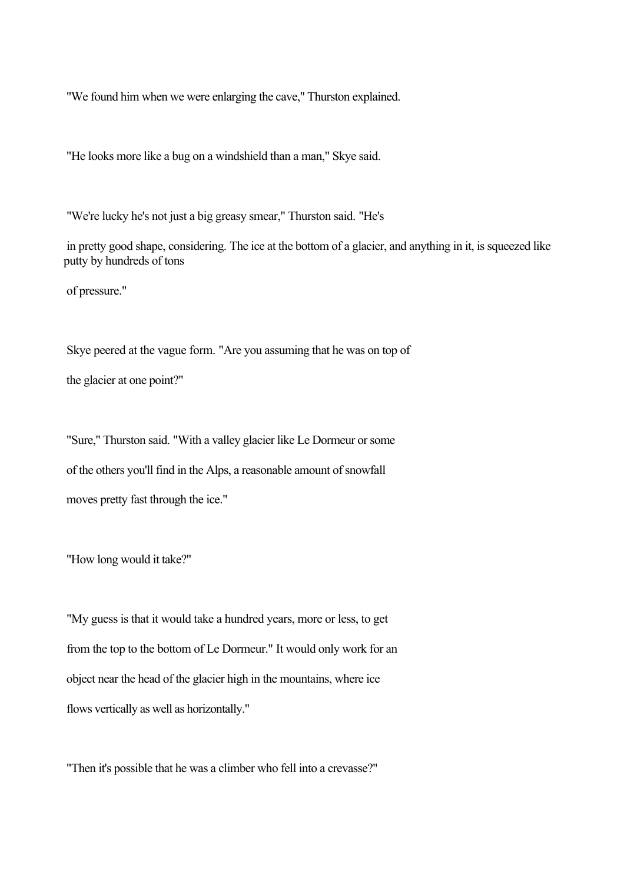"We found him when we were enlarging the cave," Thurston explained.

"He looks more like a bug on a windshield than a man," Skye said.

"We're lucky he's not just a big greasy smear," Thurston said. "He's

 in pretty good shape, considering. The ice at the bottom of a glacier, and anything in it, is squeezed like putty by hundreds of tons

of pressure."

 Skye peered at the vague form. "Are you assuming that he was on top of the glacier at one point?"

 "Sure," Thurston said. "With a valley glacier like Le Dormeur or some of the others you'll find in the Alps, a reasonable amount of snowfall moves pretty fast through the ice."

"How long would it take?"

 "My guess is that it would take a hundred years, more or less, to get from the top to the bottom of Le Dormeur." It would only work for an object near the head of the glacier high in the mountains, where ice flows vertically as well as horizontally."

"Then it's possible that he was a climber who fell into a crevasse?"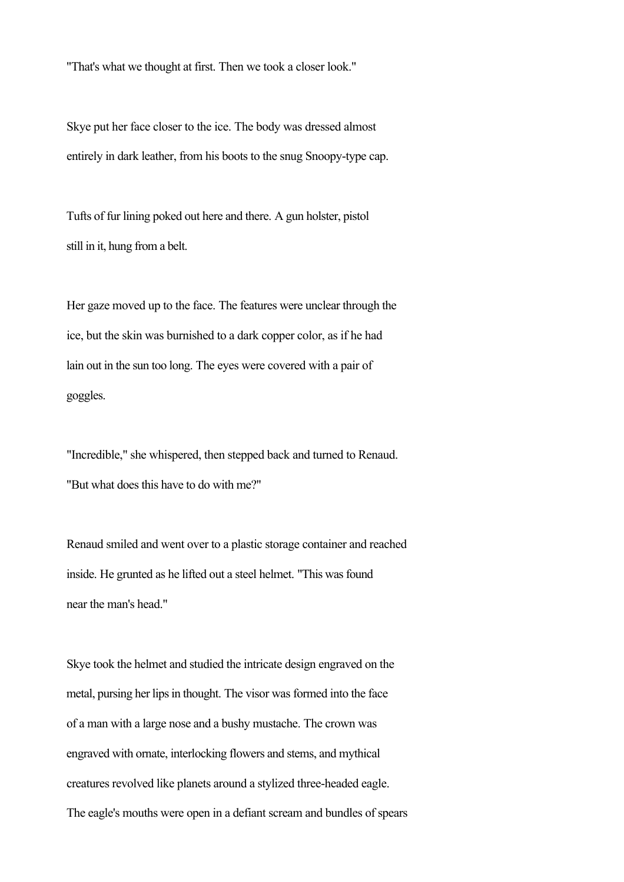"That's what we thought at first. Then we took a closer look."

 Skye put her face closer to the ice. The body was dressed almost entirely in dark leather, from his boots to the snug Snoopy-type cap.

 Tufts of fur lining poked out here and there. A gun holster, pistol still in it, hung from a belt.

 Her gaze moved up to the face. The features were unclear through the ice, but the skin was burnished to a dark copper color, as if he had lain out in the sun too long. The eyes were covered with a pair of goggles.

 "Incredible," she whispered, then stepped back and turned to Renaud. "But what does this have to do with me?"

 Renaud smiled and went over to a plastic storage container and reached inside. He grunted as he lifted out a steel helmet. "This was found near the man's head."

 Skye took the helmet and studied the intricate design engraved on the metal, pursing her lips in thought. The visor was formed into the face of a man with a large nose and a bushy mustache. The crown was engraved with ornate, interlocking flowers and stems, and mythical creatures revolved like planets around a stylized three-headed eagle. The eagle's mouths were open in a defiant scream and bundles of spears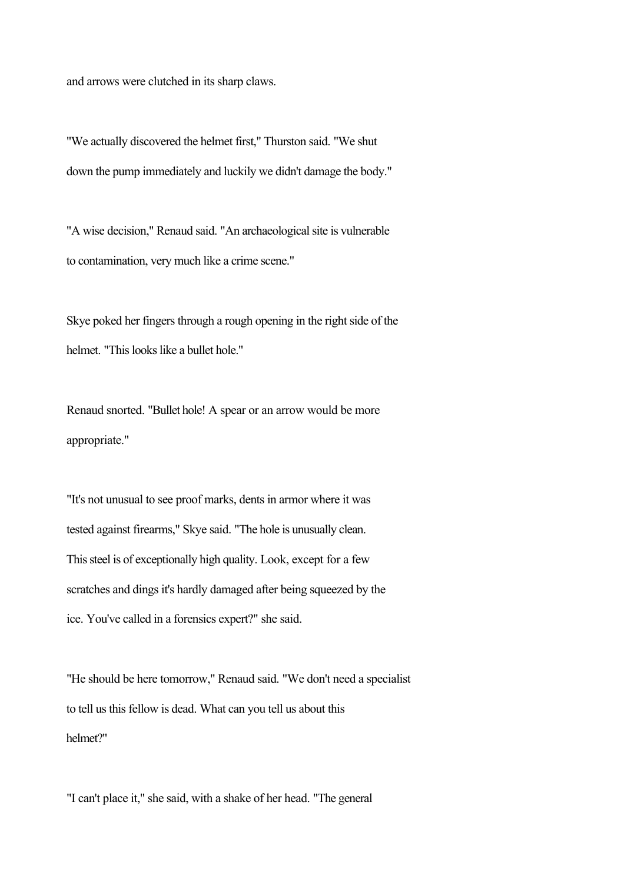and arrows were clutched in its sharp claws.

 "We actually discovered the helmet first," Thurston said. "We shut down the pump immediately and luckily we didn't damage the body."

 "A wise decision," Renaud said. "An archaeological site is vulnerable to contamination, very much like a crime scene."

 Skye poked her fingers through a rough opening in the right side of the helmet. "This looks like a bullet hole."

 Renaud snorted. "Bullet hole! A spear or an arrow would be more appropriate."

 "It's not unusual to see proof marks, dents in armor where it was tested against firearms," Skye said. "The hole is unusually clean. This steel is of exceptionally high quality. Look, except for a few scratches and dings it's hardly damaged after being squeezed by the ice. You've called in a forensics expert?" she said.

 "He should be here tomorrow," Renaud said. "We don't need a specialist to tell us this fellow is dead. What can you tell us about this helmet?"

"I can't place it," she said, with a shake of her head. "The general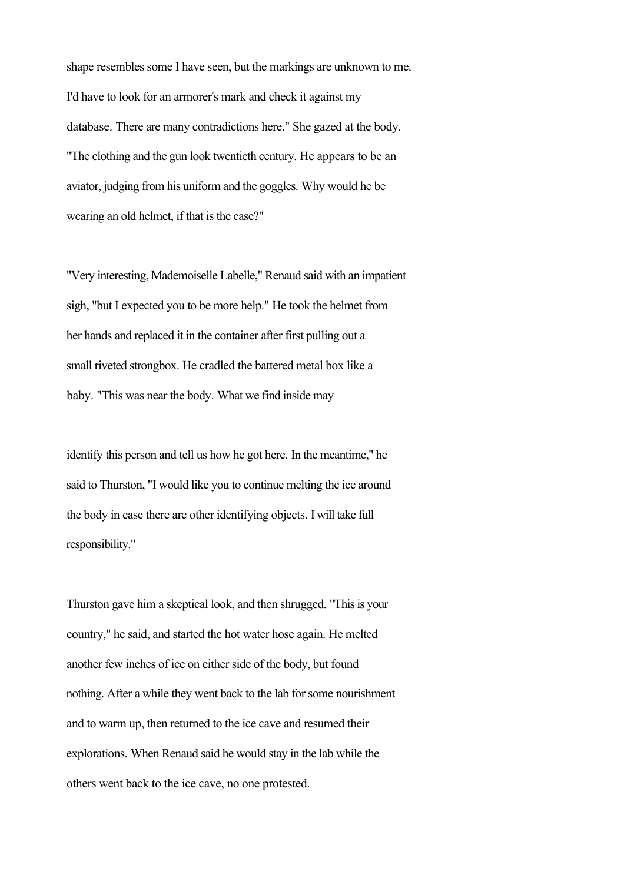shape resembles some I have seen, but the markings are unknown to me. I'd have to look for an armorer's mark and check it against my database. There are many contradictions here." She gazed at the body. "The clothing and the gun look twentieth century. He appears to be an aviator, judging from his uniform and the goggles. Why would he be wearing an old helmet, if that is the case?"

 "Very interesting, Mademoiselle Labelle," Renaud said with an impatient sigh, "but I expected you to be more help." He took the helmet from her hands and replaced it in the container after first pulling out a small riveted strongbox. He cradled the battered metal box like a baby. "This was near the body. What we find inside may

 identify this person and tell us how he got here. In the meantime," he said to Thurston, "I would like you to continue melting the ice around the body in case there are other identifying objects. I will take full responsibility."

 Thurston gave him a skeptical look, and then shrugged. "This is your country," he said, and started the hot water hose again. He melted another few inches of ice on either side of the body, but found nothing. After a while they went back to the lab for some nourishment and to warm up, then returned to the ice cave and resumed their explorations. When Renaud said he would stay in the lab while the others went back to the ice cave, no one protested.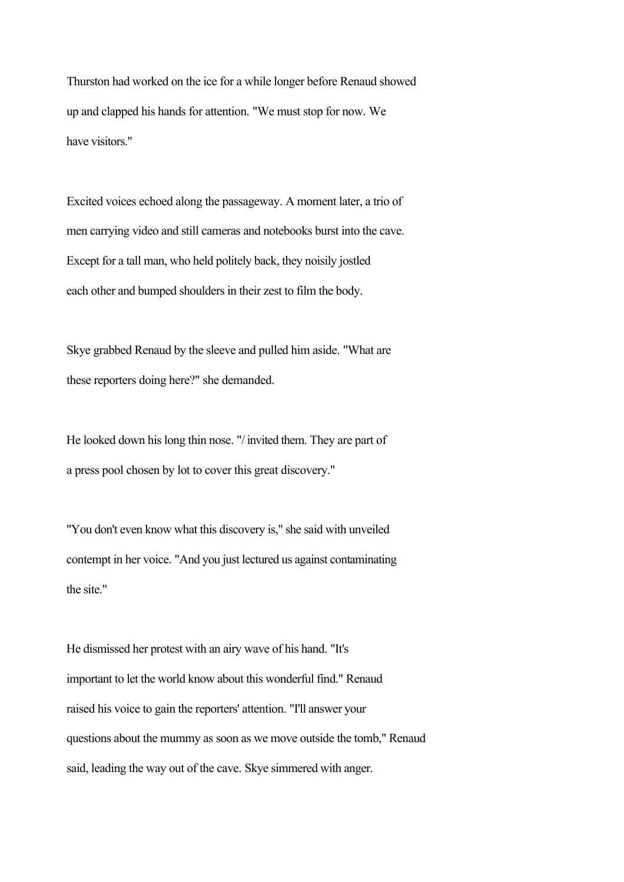Thurston had worked on the ice for a while longer before Renaud showed up and clapped his hands for attention. "We must stop for now. We have visitors."

 Excited voices echoed along the passageway. A moment later, a trio of men carrying video and still cameras and notebooks burst into the cave. Except for a tall man, who held politely back, they noisily jostled each other and bumped shoulders in their zest to film the body.

 Skye grabbed Renaud by the sleeve and pulled him aside. "What are these reporters doing here?" she demanded.

 He looked down his long thin nose. "/ invited them. They are part of a press pool chosen by lot to cover this great discovery."

 "You don't even know what this discovery is," she said with unveiled contempt in her voice. "And you just lectured us against contaminating the site."

 He dismissed her protest with an airy wave of his hand. "It's important to let the world know about this wonderful find." Renaud raised his voice to gain the reporters' attention. "I'll answer your questions about the mummy as soon as we move outside the tomb," Renaud said, leading the way out of the cave. Skye simmered with anger.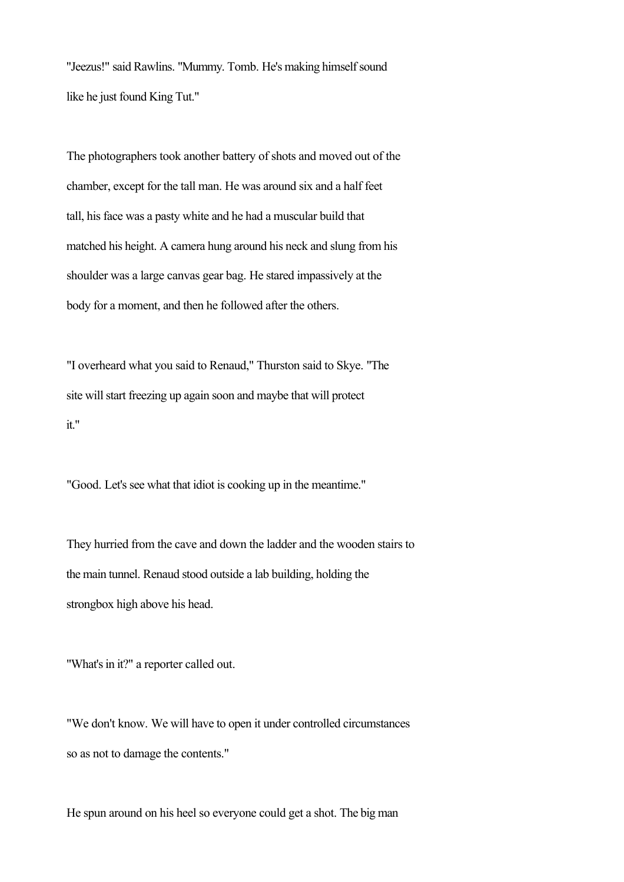"Jeezus!" said Rawlins. "Mummy. Tomb. He's making himself sound like he just found King Tut."

 The photographers took another battery of shots and moved out of the chamber, except for the tall man. He was around six and a half feet tall, his face was a pasty white and he had a muscular build that matched his height. A camera hung around his neck and slung from his shoulder was a large canvas gear bag. He stared impassively at the body for a moment, and then he followed after the others.

 "I overheard what you said to Renaud," Thurston said to Skye. "The site will start freezing up again soon and maybe that will protect it."

"Good. Let's see what that idiot is cooking up in the meantime."

 They hurried from the cave and down the ladder and the wooden stairs to the main tunnel. Renaud stood outside a lab building, holding the strongbox high above his head.

"What's in it?" a reporter called out.

 "We don't know. We will have to open it under controlled circumstances so as not to damage the contents."

He spun around on his heel so everyone could get a shot. The big man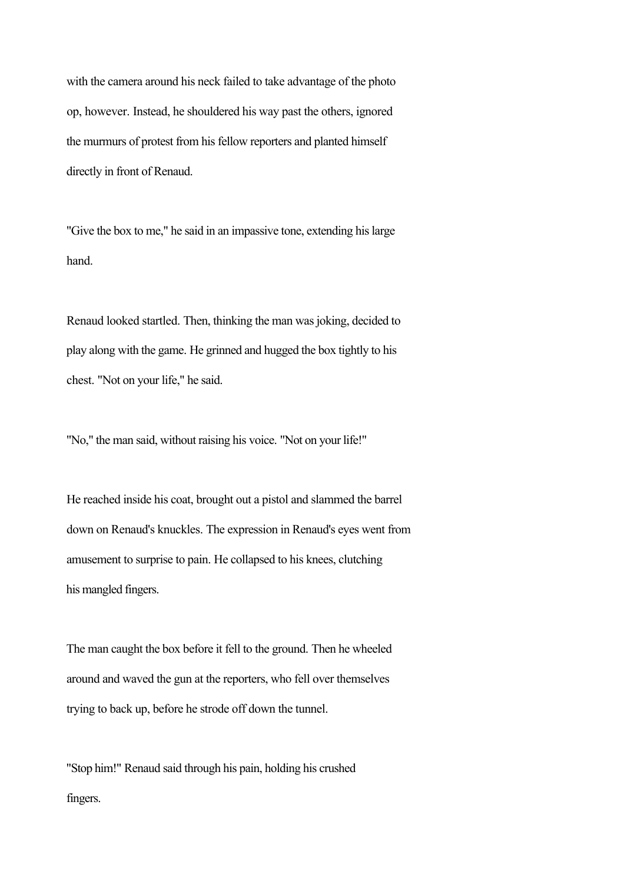with the camera around his neck failed to take advantage of the photo op, however. Instead, he shouldered his way past the others, ignored the murmurs of protest from his fellow reporters and planted himself directly in front of Renaud.

 "Give the box to me," he said in an impassive tone, extending his large hand.

 Renaud looked startled. Then, thinking the man was joking, decided to play along with the game. He grinned and hugged the box tightly to his chest. "Not on your life," he said.

"No," the man said, without raising his voice. "Not on your life!"

 He reached inside his coat, brought out a pistol and slammed the barrel down on Renaud's knuckles. The expression in Renaud's eyes went from amusement to surprise to pain. He collapsed to his knees, clutching his mangled fingers.

 The man caught the box before it fell to the ground. Then he wheeled around and waved the gun at the reporters, who fell over themselves trying to back up, before he strode off down the tunnel.

 "Stop him!" Renaud said through his pain, holding his crushed fingers.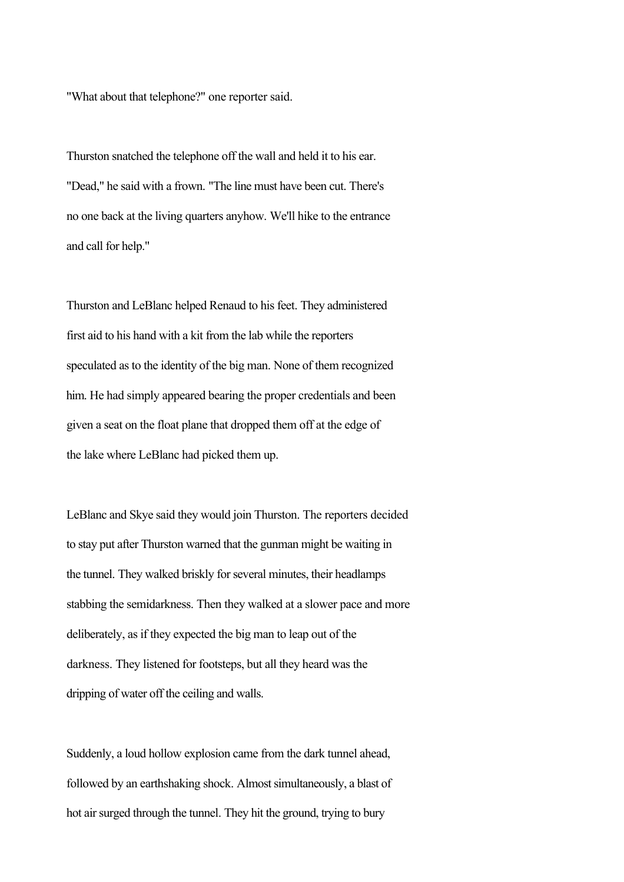"What about that telephone?" one reporter said.

 Thurston snatched the telephone off the wall and held it to his ear. "Dead," he said with a frown. "The line must have been cut. There's no one back at the living quarters anyhow. We'll hike to the entrance and call for help."

 Thurston and LeBlanc helped Renaud to his feet. They administered first aid to his hand with a kit from the lab while the reporters speculated as to the identity of the big man. None of them recognized him. He had simply appeared bearing the proper credentials and been given a seat on the float plane that dropped them off at the edge of the lake where LeBlanc had picked them up.

 LeBlanc and Skye said they would join Thurston. The reporters decided to stay put after Thurston warned that the gunman might be waiting in the tunnel. They walked briskly for several minutes, their headlamps stabbing the semidarkness. Then they walked at a slower pace and more deliberately, as if they expected the big man to leap out of the darkness. They listened for footsteps, but all they heard was the dripping of water off the ceiling and walls.

 Suddenly, a loud hollow explosion came from the dark tunnel ahead, followed by an earthshaking shock. Almost simultaneously, a blast of hot air surged through the tunnel. They hit the ground, trying to bury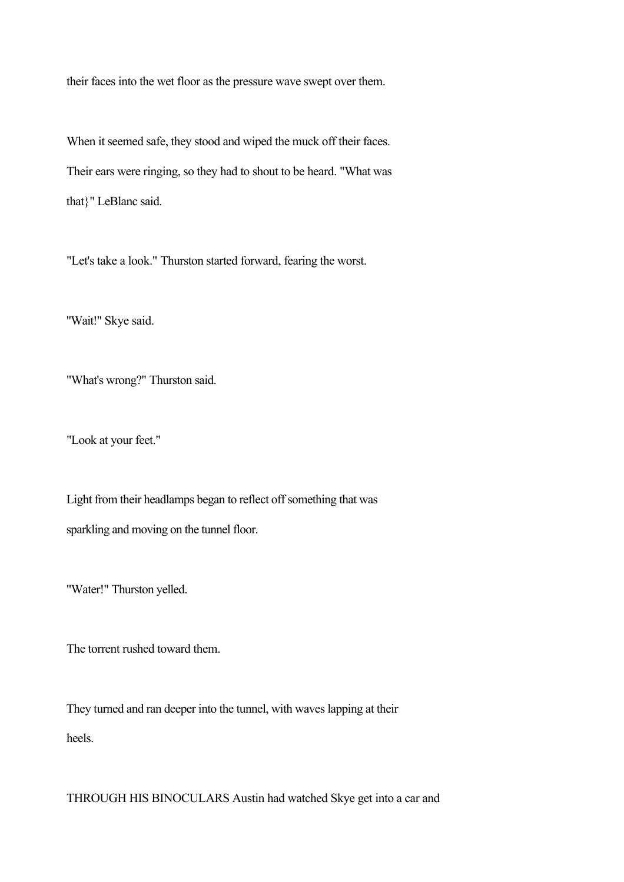their faces into the wet floor as the pressure wave swept over them.

 When it seemed safe, they stood and wiped the muck off their faces. Their ears were ringing, so they had to shout to be heard. "What was that}" LeBlanc said.

"Let's take a look." Thurston started forward, fearing the worst.

"Wait!" Skye said.

"What's wrong?" Thurston said.

"Look at your feet."

 Light from their headlamps began to reflect off something that was sparkling and moving on the tunnel floor.

"Water!" Thurston yelled.

The torrent rushed toward them.

 They turned and ran deeper into the tunnel, with waves lapping at their heels.

THROUGH HIS BINOCULARS Austin had watched Skye get into a car and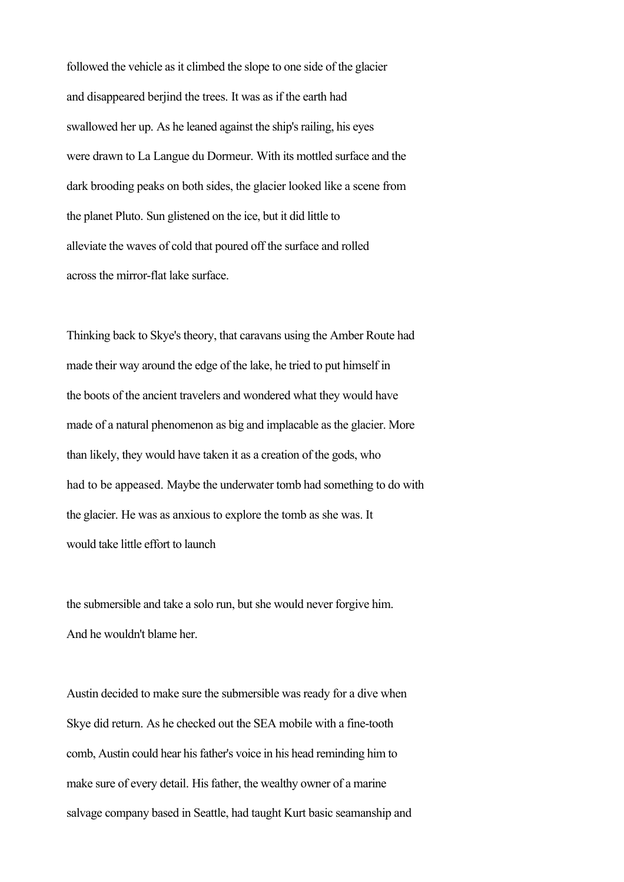followed the vehicle as it climbed the slope to one side of the glacier and disappeared berjind the trees. It was as if the earth had swallowed her up. As he leaned against the ship's railing, his eyes were drawn to La Langue du Dormeur. With its mottled surface and the dark brooding peaks on both sides, the glacier looked like a scene from the planet Pluto. Sun glistened on the ice, but it did little to alleviate the waves of cold that poured off the surface and rolled across the mirror-flat lake surface.

 Thinking back to Skye's theory, that caravans using the Amber Route had made their way around the edge of the lake, he tried to put himself in the boots of the ancient travelers and wondered what they would have made of a natural phenomenon as big and implacable as the glacier. More than likely, they would have taken it as a creation of the gods, who had to be appeased. Maybe the underwater tomb had something to do with the glacier. He was as anxious to explore the tomb as she was. It would take little effort to launch

 the submersible and take a solo run, but she would never forgive him. And he wouldn't blame her.

 Austin decided to make sure the submersible was ready for a dive when Skye did return. As he checked out the SEA mobile with a fine-tooth comb, Austin could hear his father's voice in his head reminding him to make sure of every detail. His father, the wealthy owner of a marine salvage company based in Seattle, had taught Kurt basic seamanship and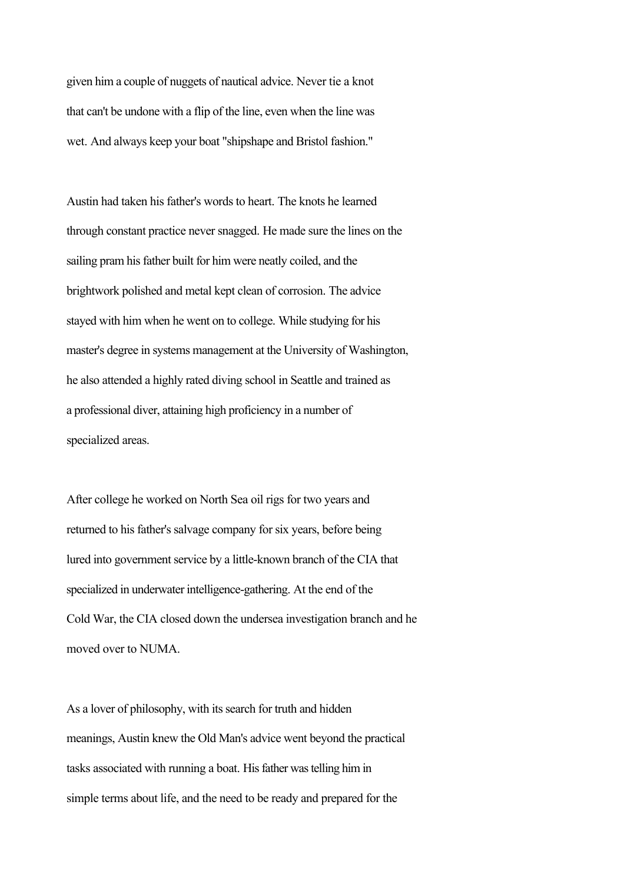given him a couple of nuggets of nautical advice. Never tie a knot that can't be undone with a flip of the line, even when the line was wet. And always keep your boat "shipshape and Bristol fashion."

 Austin had taken his father's words to heart. The knots he learned through constant practice never snagged. He made sure the lines on the sailing pram his father built for him were neatly coiled, and the brightwork polished and metal kept clean of corrosion. The advice stayed with him when he went on to college. While studying for his master's degree in systems management at the University of Washington, he also attended a highly rated diving school in Seattle and trained as a professional diver, attaining high proficiency in a number of specialized areas.

 After college he worked on North Sea oil rigs for two years and returned to his father's salvage company for six years, before being lured into government service by a little-known branch of the CIA that specialized in underwater intelligence-gathering. At the end of the Cold War, the CIA closed down the undersea investigation branch and he moved over to NUMA.

 As a lover of philosophy, with its search for truth and hidden meanings, Austin knew the Old Man's advice went beyond the practical tasks associated with running a boat. His father was telling him in simple terms about life, and the need to be ready and prepared for the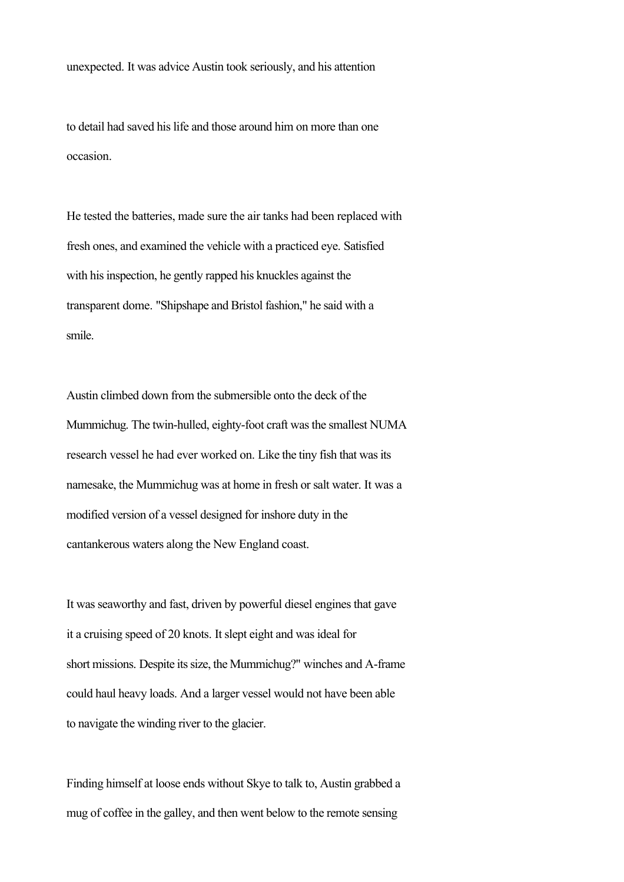unexpected. It was advice Austin took seriously, and his attention

 to detail had saved his life and those around him on more than one occasion.

 He tested the batteries, made sure the air tanks had been replaced with fresh ones, and examined the vehicle with a practiced eye. Satisfied with his inspection, he gently rapped his knuckles against the transparent dome. "Shipshape and Bristol fashion," he said with a smile.

 Austin climbed down from the submersible onto the deck of the Mummichug. The twin-hulled, eighty-foot craft was the smallest NUMA research vessel he had ever worked on. Like the tiny fish that was its namesake, the Mummichug was at home in fresh or salt water. It was a modified version of a vessel designed for inshore duty in the cantankerous waters along the New England coast.

 It was seaworthy and fast, driven by powerful diesel engines that gave it a cruising speed of 20 knots. It slept eight and was ideal for short missions. Despite its size, the Mummichug?" winches and A-frame could haul heavy loads. And a larger vessel would not have been able to navigate the winding river to the glacier.

 Finding himself at loose ends without Skye to talk to, Austin grabbed a mug of coffee in the galley, and then went below to the remote sensing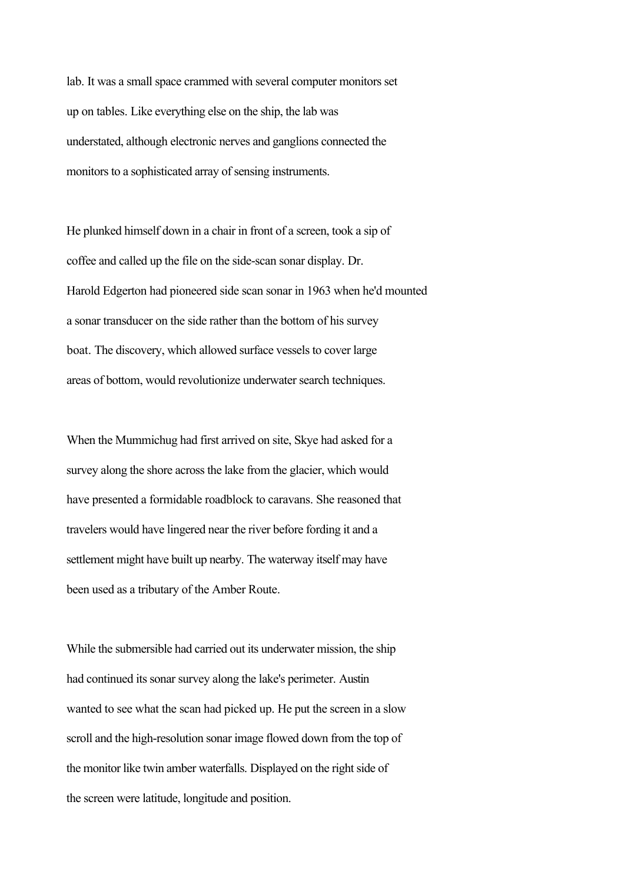lab. It was a small space crammed with several computer monitors set up on tables. Like everything else on the ship, the lab was understated, although electronic nerves and ganglions connected the monitors to a sophisticated array of sensing instruments.

 He plunked himself down in a chair in front of a screen, took a sip of coffee and called up the file on the side-scan sonar display. Dr. Harold Edgerton had pioneered side scan sonar in 1963 when he'd mounted a sonar transducer on the side rather than the bottom of his survey boat. The discovery, which allowed surface vessels to cover large areas of bottom, would revolutionize underwater search techniques.

 When the Mummichug had first arrived on site, Skye had asked for a survey along the shore across the lake from the glacier, which would have presented a formidable roadblock to caravans. She reasoned that travelers would have lingered near the river before fording it and a settlement might have built up nearby. The waterway itself may have been used as a tributary of the Amber Route.

 While the submersible had carried out its underwater mission, the ship had continued its sonar survey along the lake's perimeter. Austin wanted to see what the scan had picked up. He put the screen in a slow scroll and the high-resolution sonar image flowed down from the top of the monitor like twin amber waterfalls. Displayed on the right side of the screen were latitude, longitude and position.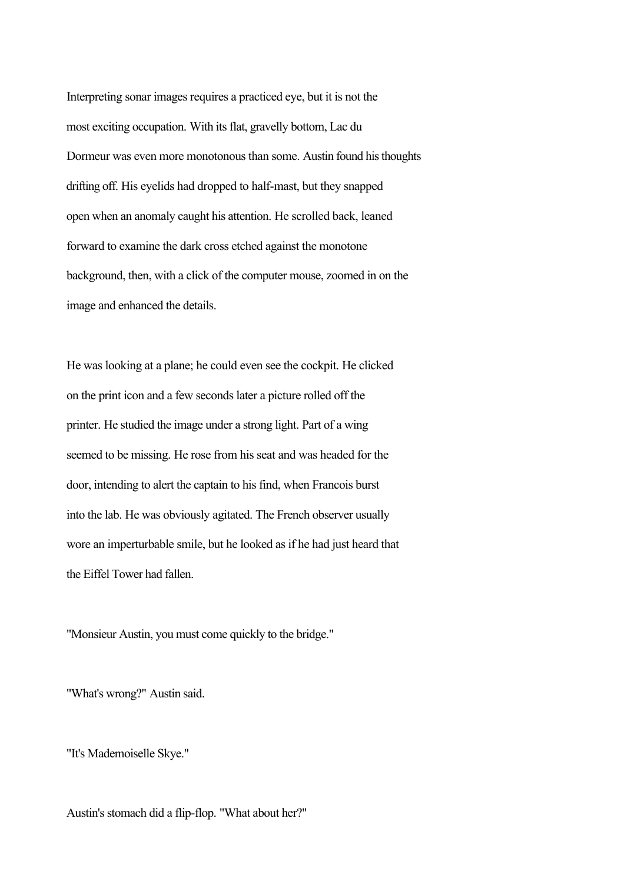Interpreting sonar images requires a practiced eye, but it is not the most exciting occupation. With its flat, gravelly bottom, Lac du Dormeur was even more monotonous than some. Austin found his thoughts drifting off. His eyelids had dropped to half-mast, but they snapped open when an anomaly caught his attention. He scrolled back, leaned forward to examine the dark cross etched against the monotone background, then, with a click of the computer mouse, zoomed in on the image and enhanced the details.

 He was looking at a plane; he could even see the cockpit. He clicked on the print icon and a few seconds later a picture rolled off the printer. He studied the image under a strong light. Part of a wing seemed to be missing. He rose from his seat and was headed for the door, intending to alert the captain to his find, when Francois burst into the lab. He was obviously agitated. The French observer usually wore an imperturbable smile, but he looked as if he had just heard that the Eiffel Tower had fallen.

"Monsieur Austin, you must come quickly to the bridge."

"What's wrong?" Austin said.

"It's Mademoiselle Skye."

Austin's stomach did a flip-flop. "What about her?"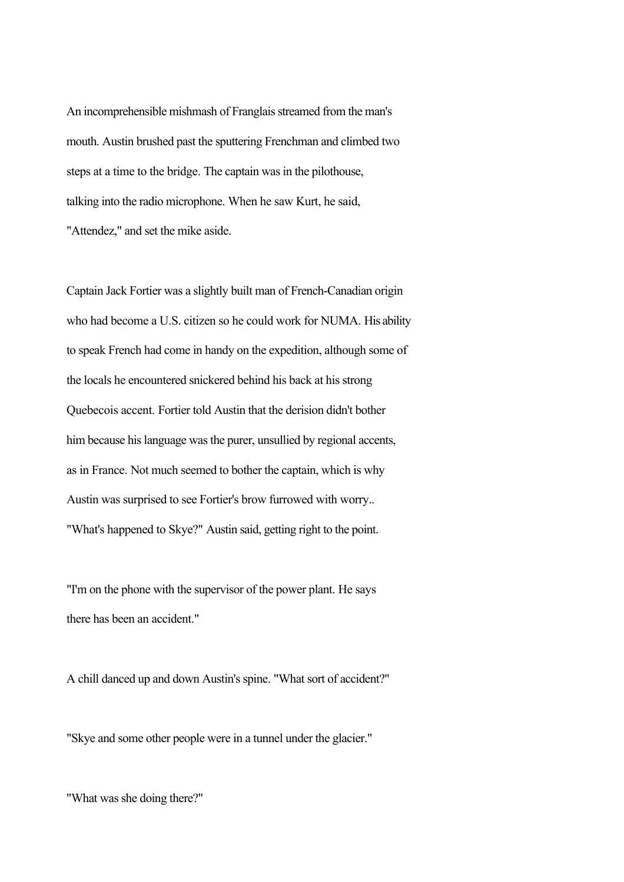An incomprehensible mishmash of Franglais streamed from the man's mouth. Austin brushed past the sputtering Frenchman and climbed two steps at a time to the bridge. The captain was in the pilothouse, talking into the radio microphone. When he saw Kurt, he said, "Attendez," and set the mike aside.

 Captain Jack Fortier was a slightly built man of French-Canadian origin who had become a U.S. citizen so he could work for NUMA. His ability to speak French had come in handy on the expedition, although some of the locals he encountered snickered behind his back at his strong Quebecois accent. Fortier told Austin that the derision didn't bother him because his language was the purer, unsullied by regional accents, as in France. Not much seemed to bother the captain, which is why Austin was surprised to see Fortier's brow furrowed with worry.. "What's happened to Skye?" Austin said, getting right to the point.

 "I'm on the phone with the supervisor of the power plant. He says there has been an accident."

A chill danced up and down Austin's spine. "What sort of accident?"

"Skye and some other people were in a tunnel under the glacier."

"What was she doing there?"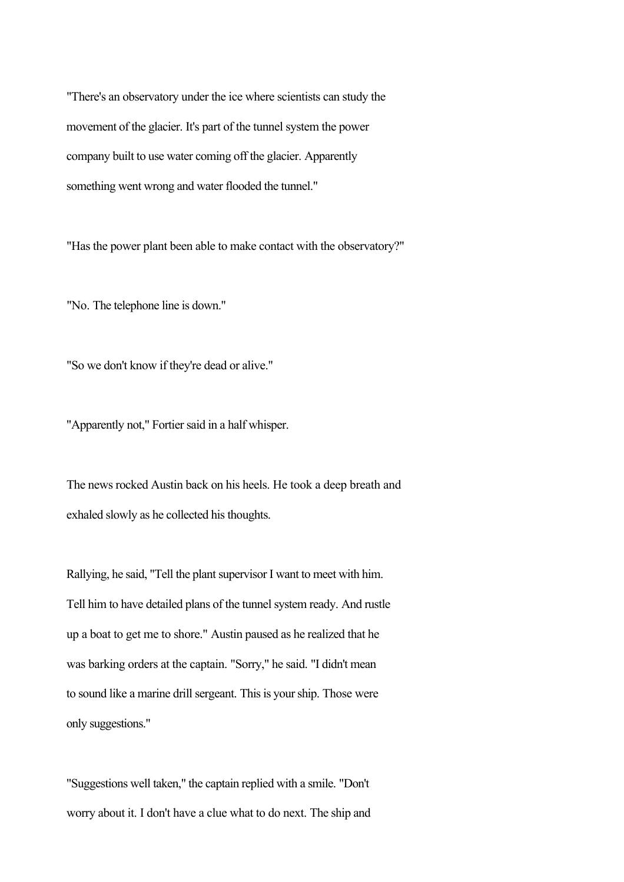"There's an observatory under the ice where scientists can study the movement of the glacier. It's part of the tunnel system the power company built to use water coming off the glacier. Apparently something went wrong and water flooded the tunnel."

"Has the power plant been able to make contact with the observatory?"

"No. The telephone line is down."

"So we don't know if they're dead or alive."

"Apparently not," Fortier said in a half whisper.

 The news rocked Austin back on his heels. He took a deep breath and exhaled slowly as he collected his thoughts.

 Rallying, he said, "Tell the plant supervisor I want to meet with him. Tell him to have detailed plans of the tunnel system ready. And rustle up a boat to get me to shore." Austin paused as he realized that he was barking orders at the captain. "Sorry," he said. "I didn't mean to sound like a marine drill sergeant. This is your ship. Those were only suggestions."

 "Suggestions well taken," the captain replied with a smile. "Don't worry about it. I don't have a clue what to do next. The ship and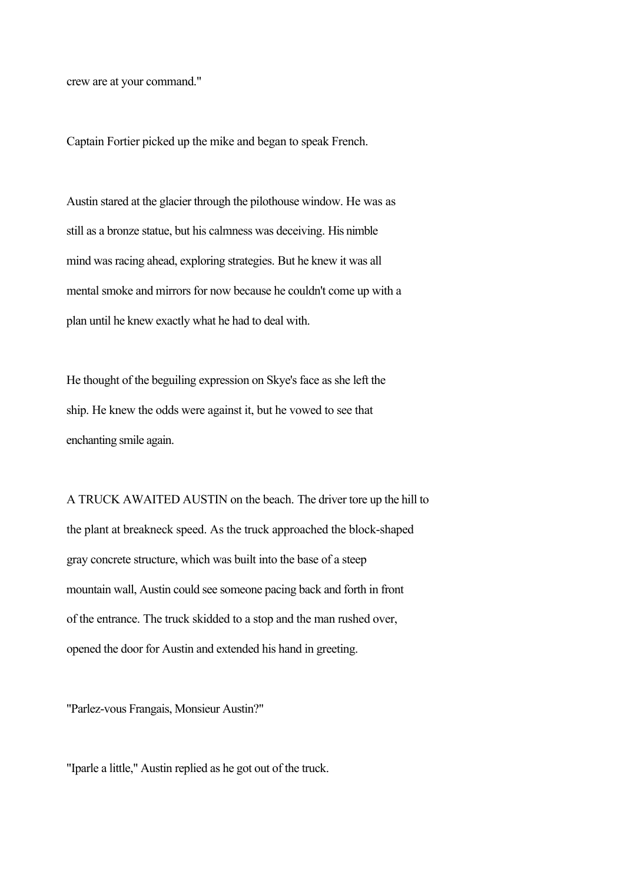crew are at your command."

Captain Fortier picked up the mike and began to speak French.

 Austin stared at the glacier through the pilothouse window. He was as still as a bronze statue, but his calmness was deceiving. His nimble mind was racing ahead, exploring strategies. But he knew it was all mental smoke and mirrors for now because he couldn't come up with a plan until he knew exactly what he had to deal with.

 He thought of the beguiling expression on Skye's face as she left the ship. He knew the odds were against it, but he vowed to see that enchanting smile again.

 A TRUCK AWAITED AUSTIN on the beach. The driver tore up the hill to the plant at breakneck speed. As the truck approached the block-shaped gray concrete structure, which was built into the base of a steep mountain wall, Austin could see someone pacing back and forth in front of the entrance. The truck skidded to a stop and the man rushed over, opened the door for Austin and extended his hand in greeting.

"Parlez-vous Frangais, Monsieur Austin?"

"Iparle a little," Austin replied as he got out of the truck.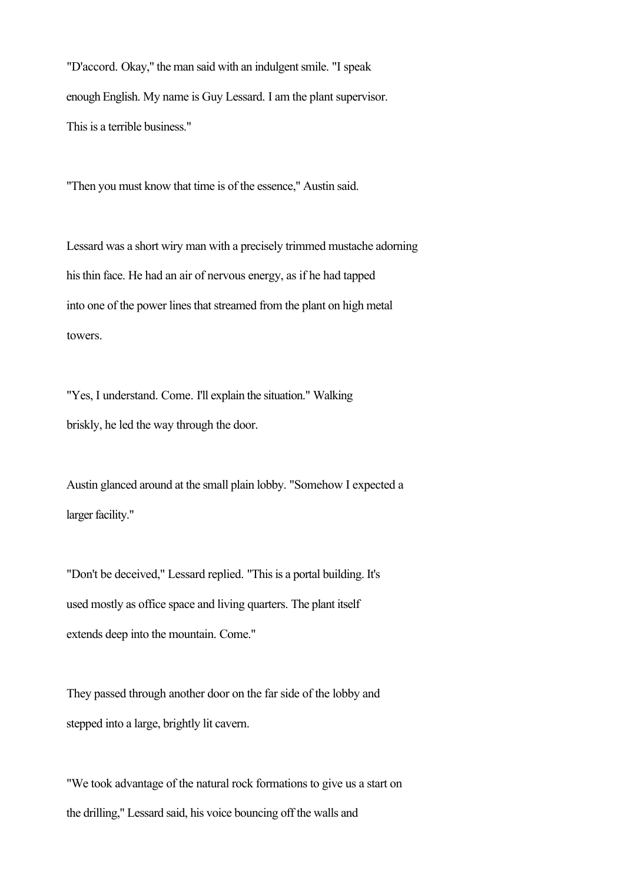"D'accord. Okay," the man said with an indulgent smile. "I speak enough English. My name is Guy Lessard. I am the plant supervisor. This is a terrible business."

"Then you must know that time is of the essence," Austin said.

 Lessard was a short wiry man with a precisely trimmed mustache adorning his thin face. He had an air of nervous energy, as if he had tapped into one of the power lines that streamed from the plant on high metal towers.

 "Yes, I understand. Come. I'll explain the situation." Walking briskly, he led the way through the door.

 Austin glanced around at the small plain lobby. "Somehow I expected a larger facility."

 "Don't be deceived," Lessard replied. "This is a portal building. It's used mostly as office space and living quarters. The plant itself extends deep into the mountain. Come."

 They passed through another door on the far side of the lobby and stepped into a large, brightly lit cavern.

 "We took advantage of the natural rock formations to give us a start on the drilling," Lessard said, his voice bouncing off the walls and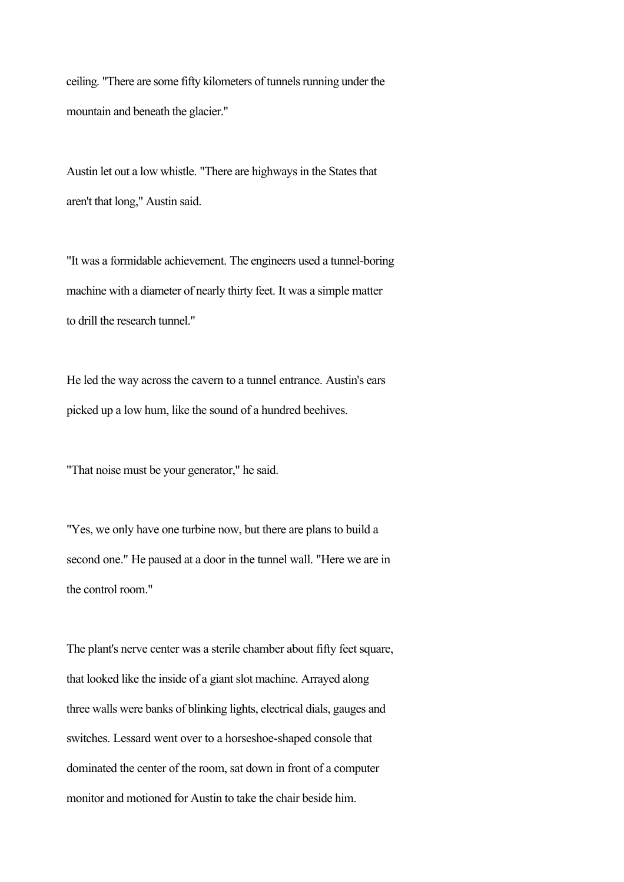ceiling. "There are some fifty kilometers of tunnels running under the mountain and beneath the glacier."

 Austin let out a low whistle. "There are highways in the States that aren't that long," Austin said.

 "It was a formidable achievement. The engineers used a tunnel-boring machine with a diameter of nearly thirty feet. It was a simple matter to drill the research tunnel."

 He led the way across the cavern to a tunnel entrance. Austin's ears picked up a low hum, like the sound of a hundred beehives.

"That noise must be your generator," he said.

 "Yes, we only have one turbine now, but there are plans to build a second one." He paused at a door in the tunnel wall. "Here we are in the control room."

 The plant's nerve center was a sterile chamber about fifty feet square, that looked like the inside of a giant slot machine. Arrayed along three walls were banks of blinking lights, electrical dials, gauges and switches. Lessard went over to a horseshoe-shaped console that dominated the center of the room, sat down in front of a computer monitor and motioned for Austin to take the chair beside him.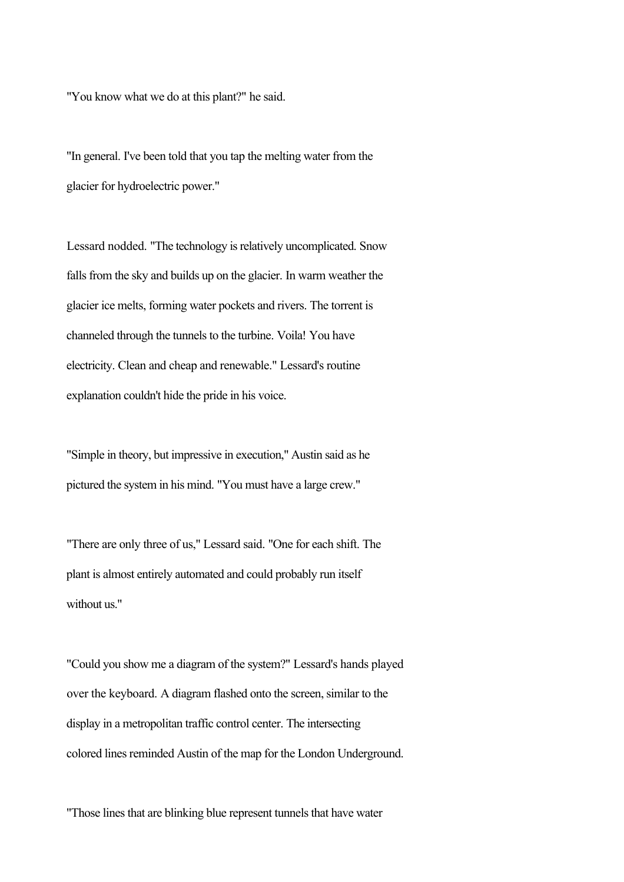"You know what we do at this plant?" he said.

 "In general. I've been told that you tap the melting water from the glacier for hydroelectric power."

 Lessard nodded. "The technology is relatively uncomplicated. Snow falls from the sky and builds up on the glacier. In warm weather the glacier ice melts, forming water pockets and rivers. The torrent is channeled through the tunnels to the turbine. Voila! You have electricity. Clean and cheap and renewable." Lessard's routine explanation couldn't hide the pride in his voice.

 "Simple in theory, but impressive in execution," Austin said as he pictured the system in his mind. "You must have a large crew."

 "There are only three of us," Lessard said. "One for each shift. The plant is almost entirely automated and could probably run itself without us."

 "Could you show me a diagram of the system?" Lessard's hands played over the keyboard. A diagram flashed onto the screen, similar to the display in a metropolitan traffic control center. The intersecting colored lines reminded Austin of the map for the London Underground.

"Those lines that are blinking blue represent tunnels that have water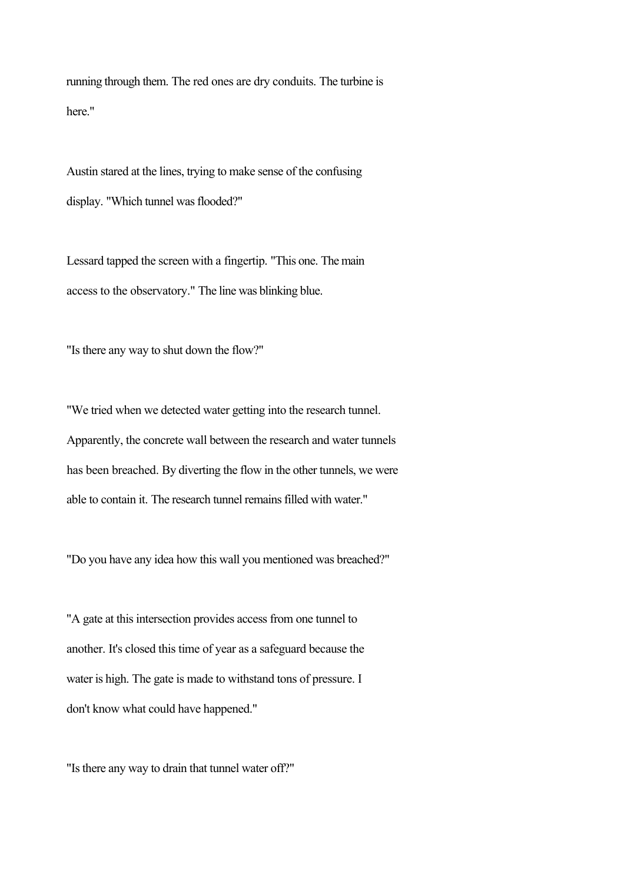running through them. The red ones are dry conduits. The turbine is here."

 Austin stared at the lines, trying to make sense of the confusing display. "Which tunnel was flooded?"

 Lessard tapped the screen with a fingertip. "This one. The main access to the observatory." The line was blinking blue.

"Is there any way to shut down the flow?"

 "We tried when we detected water getting into the research tunnel. Apparently, the concrete wall between the research and water tunnels has been breached. By diverting the flow in the other tunnels, we were able to contain it. The research tunnel remains filled with water."

"Do you have any idea how this wall you mentioned was breached?"

 "A gate at this intersection provides access from one tunnel to another. It's closed this time of year as a safeguard because the water is high. The gate is made to withstand tons of pressure. I don't know what could have happened."

"Is there any way to drain that tunnel water off?"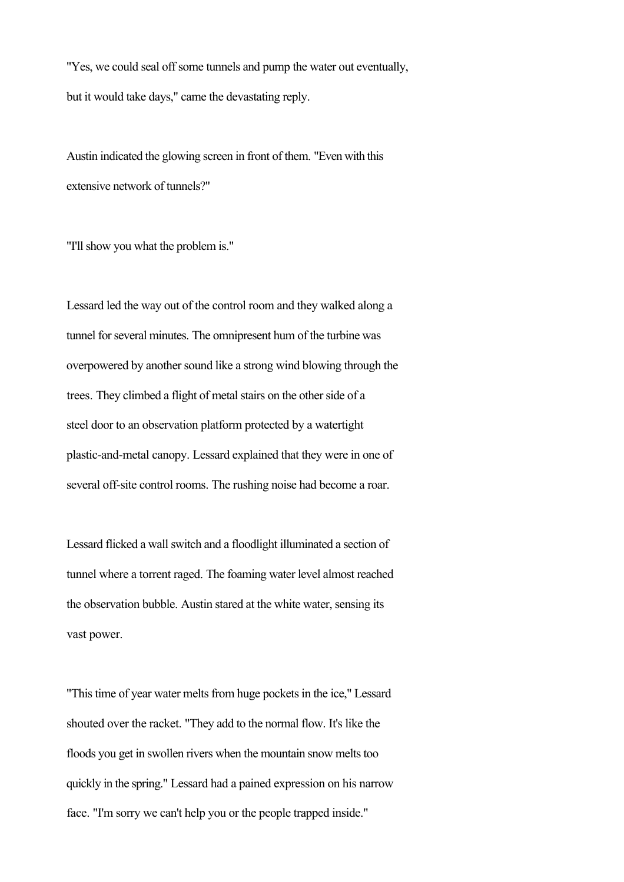"Yes, we could seal off some tunnels and pump the water out eventually, but it would take days," came the devastating reply.

 Austin indicated the glowing screen in front of them. "Even with this extensive network of tunnels?"

"I'll show you what the problem is."

 Lessard led the way out of the control room and they walked along a tunnel for several minutes. The omnipresent hum of the turbine was overpowered by another sound like a strong wind blowing through the trees. They climbed a flight of metal stairs on the other side of a steel door to an observation platform protected by a watertight plastic-and-metal canopy. Lessard explained that they were in one of several off-site control rooms. The rushing noise had become a roar.

 Lessard flicked a wall switch and a floodlight illuminated a section of tunnel where a torrent raged. The foaming water level almost reached the observation bubble. Austin stared at the white water, sensing its vast power.

 "This time of year water melts from huge pockets in the ice," Lessard shouted over the racket. "They add to the normal flow. It's like the floods you get in swollen rivers when the mountain snow melts too quickly in the spring." Lessard had a pained expression on his narrow face. "I'm sorry we can't help you or the people trapped inside."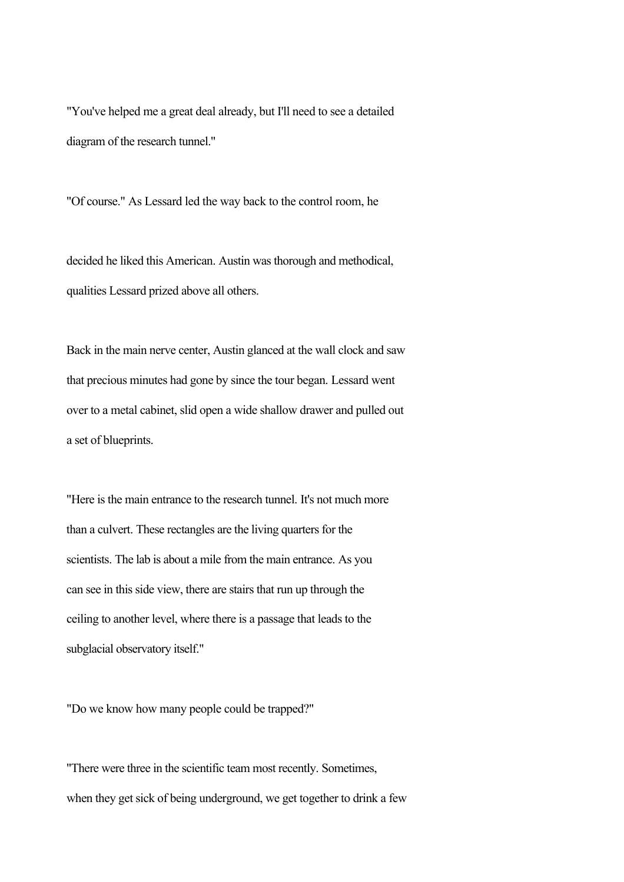"You've helped me a great deal already, but I'll need to see a detailed diagram of the research tunnel."

"Of course." As Lessard led the way back to the control room, he

 decided he liked this American. Austin was thorough and methodical, qualities Lessard prized above all others.

 Back in the main nerve center, Austin glanced at the wall clock and saw that precious minutes had gone by since the tour began. Lessard went over to a metal cabinet, slid open a wide shallow drawer and pulled out a set of blueprints.

 "Here is the main entrance to the research tunnel. It's not much more than a culvert. These rectangles are the living quarters for the scientists. The lab is about a mile from the main entrance. As you can see in this side view, there are stairs that run up through the ceiling to another level, where there is a passage that leads to the subglacial observatory itself."

"Do we know how many people could be trapped?"

 "There were three in the scientific team most recently. Sometimes, when they get sick of being underground, we get together to drink a few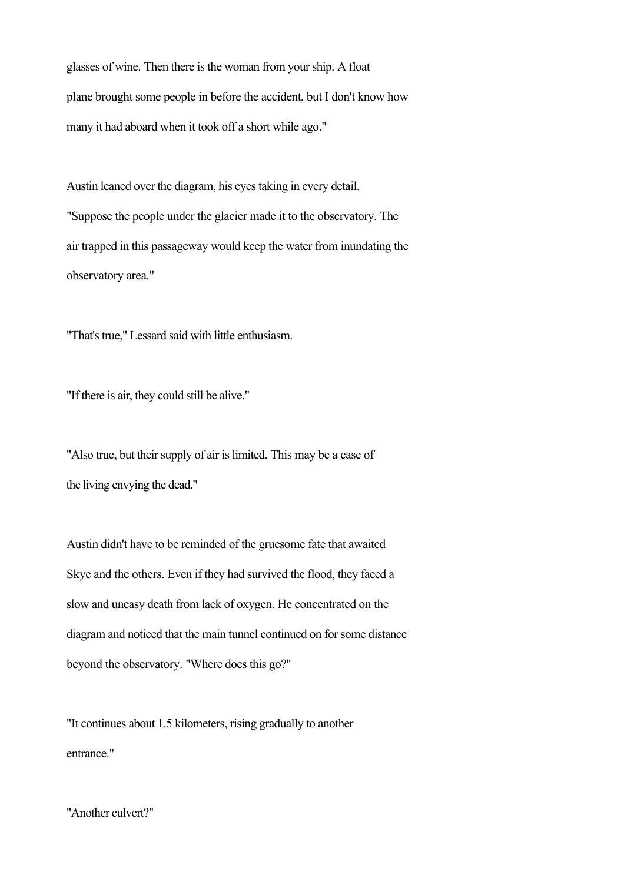glasses of wine. Then there is the woman from your ship. A float plane brought some people in before the accident, but I don't know how many it had aboard when it took off a short while ago."

 Austin leaned over the diagram, his eyes taking in every detail. "Suppose the people under the glacier made it to the observatory. The air trapped in this passageway would keep the water from inundating the observatory area."

"That's true," Lessard said with little enthusiasm.

"If there is air, they could still be alive."

 "Also true, but their supply of air is limited. This may be a case of the living envying the dead."

 Austin didn't have to be reminded of the gruesome fate that awaited Skye and the others. Even if they had survived the flood, they faced a slow and uneasy death from lack of oxygen. He concentrated on the diagram and noticed that the main tunnel continued on for some distance beyond the observatory. "Where does this go?"

 "It continues about 1.5 kilometers, rising gradually to another entrance."

"Another culvert?"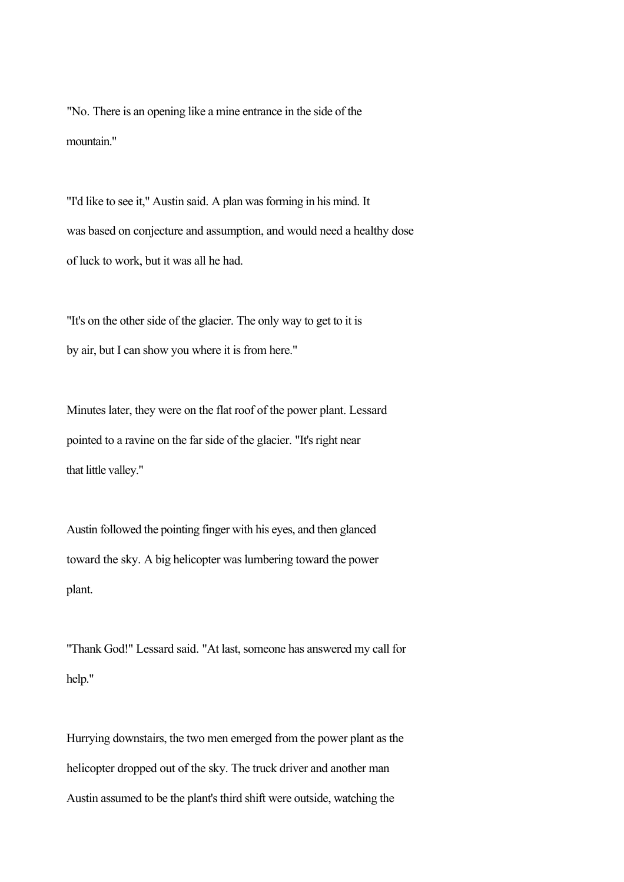"No. There is an opening like a mine entrance in the side of the mountain."

 "I'd like to see it," Austin said. A plan was forming in his mind. It was based on conjecture and assumption, and would need a healthy dose of luck to work, but it was all he had.

 "It's on the other side of the glacier. The only way to get to it is by air, but I can show you where it is from here."

 Minutes later, they were on the flat roof of the power plant. Lessard pointed to a ravine on the far side of the glacier. "It's right near that little valley."

 Austin followed the pointing finger with his eyes, and then glanced toward the sky. A big helicopter was lumbering toward the power plant.

 "Thank God!" Lessard said. "At last, someone has answered my call for help."

 Hurrying downstairs, the two men emerged from the power plant as the helicopter dropped out of the sky. The truck driver and another man Austin assumed to be the plant's third shift were outside, watching the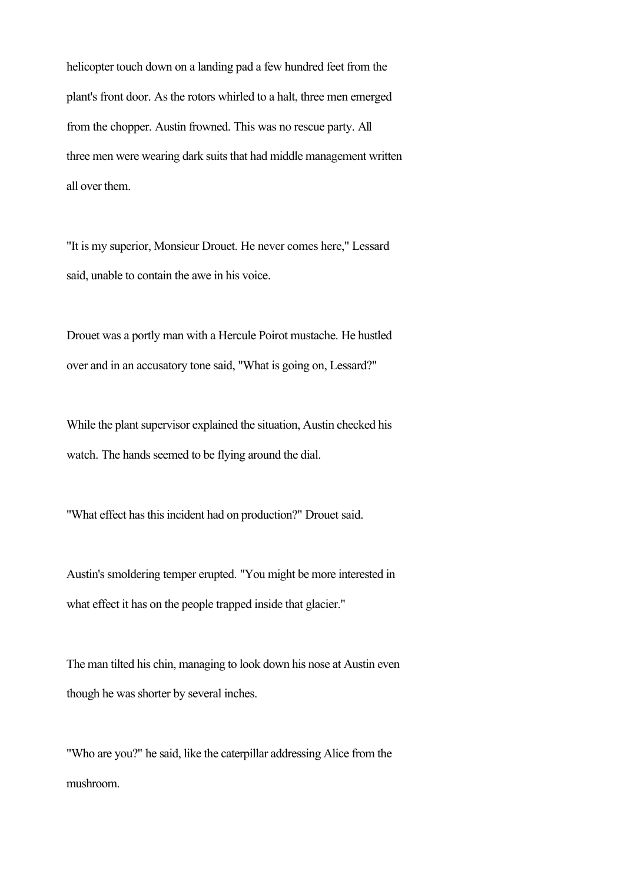helicopter touch down on a landing pad a few hundred feet from the plant's front door. As the rotors whirled to a halt, three men emerged from the chopper. Austin frowned. This was no rescue party. All three men were wearing dark suits that had middle management written all over them.

 "It is my superior, Monsieur Drouet. He never comes here," Lessard said, unable to contain the awe in his voice.

 Drouet was a portly man with a Hercule Poirot mustache. He hustled over and in an accusatory tone said, "What is going on, Lessard?"

 While the plant supervisor explained the situation, Austin checked his watch. The hands seemed to be flying around the dial.

"What effect has this incident had on production?" Drouet said.

 Austin's smoldering temper erupted. "You might be more interested in what effect it has on the people trapped inside that glacier."

 The man tilted his chin, managing to look down his nose at Austin even though he was shorter by several inches.

 "Who are you?" he said, like the caterpillar addressing Alice from the mushroom.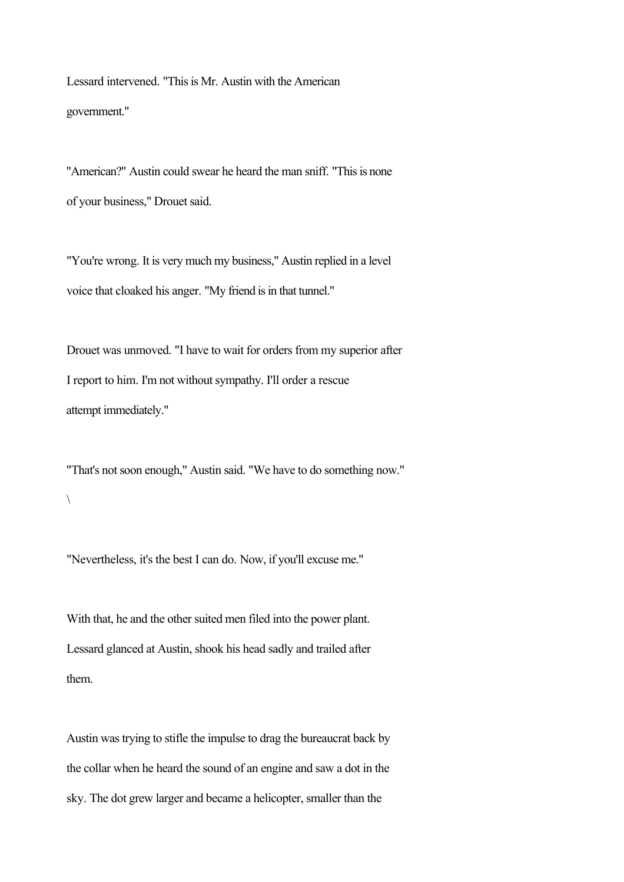Lessard intervened. "This is Mr. Austin with the American government."

 "American?" Austin could swear he heard the man sniff. "This is none of your business," Drouet said.

 "You're wrong. It is very much my business," Austin replied in a level voice that cloaked his anger. "My friend is in that tunnel."

 Drouet was unmoved. "I have to wait for orders from my superior after I report to him. I'm not without sympathy. I'll order a rescue attempt immediately."

 "That's not soon enough," Austin said. "We have to do something now."  $\sqrt{2}$ 

"Nevertheless, it's the best I can do. Now, if you'll excuse me."

 With that, he and the other suited men filed into the power plant. Lessard glanced at Austin, shook his head sadly and trailed after them.

 Austin was trying to stifle the impulse to drag the bureaucrat back by the collar when he heard the sound of an engine and saw a dot in the sky. The dot grew larger and became a helicopter, smaller than the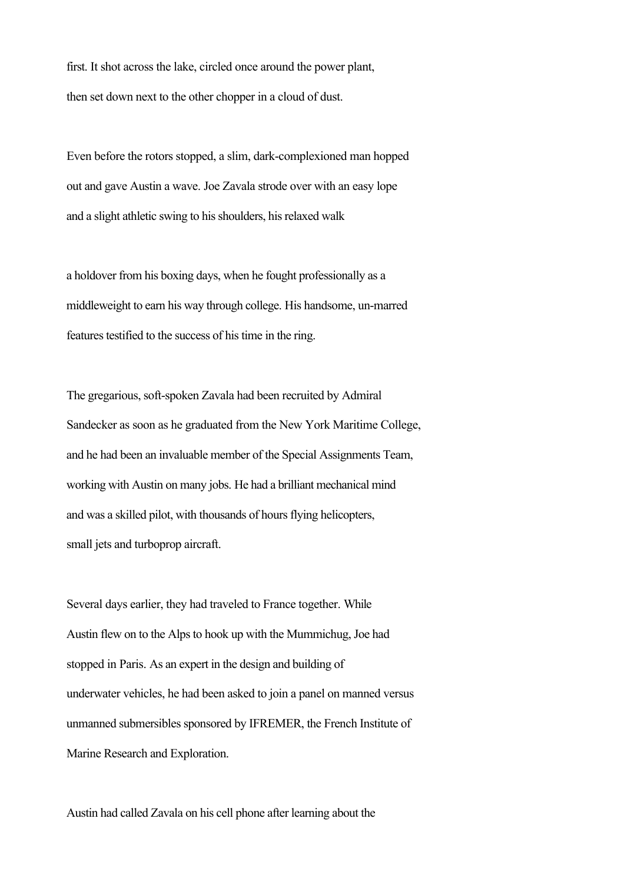first. It shot across the lake, circled once around the power plant, then set down next to the other chopper in a cloud of dust.

 Even before the rotors stopped, a slim, dark-complexioned man hopped out and gave Austin a wave. Joe Zavala strode over with an easy lope and a slight athletic swing to his shoulders, his relaxed walk

 a holdover from his boxing days, when he fought professionally as a middleweight to earn his way through college. His handsome, un-marred features testified to the success of his time in the ring.

 The gregarious, soft-spoken Zavala had been recruited by Admiral Sandecker as soon as he graduated from the New York Maritime College, and he had been an invaluable member of the Special Assignments Team, working with Austin on many jobs. He had a brilliant mechanical mind and was a skilled pilot, with thousands of hours flying helicopters, small jets and turboprop aircraft.

 Several days earlier, they had traveled to France together. While Austin flew on to the Alps to hook up with the Mummichug, Joe had stopped in Paris. As an expert in the design and building of underwater vehicles, he had been asked to join a panel on manned versus unmanned submersibles sponsored by IFREMER, the French Institute of Marine Research and Exploration.

Austin had called Zavala on his cell phone after learning about the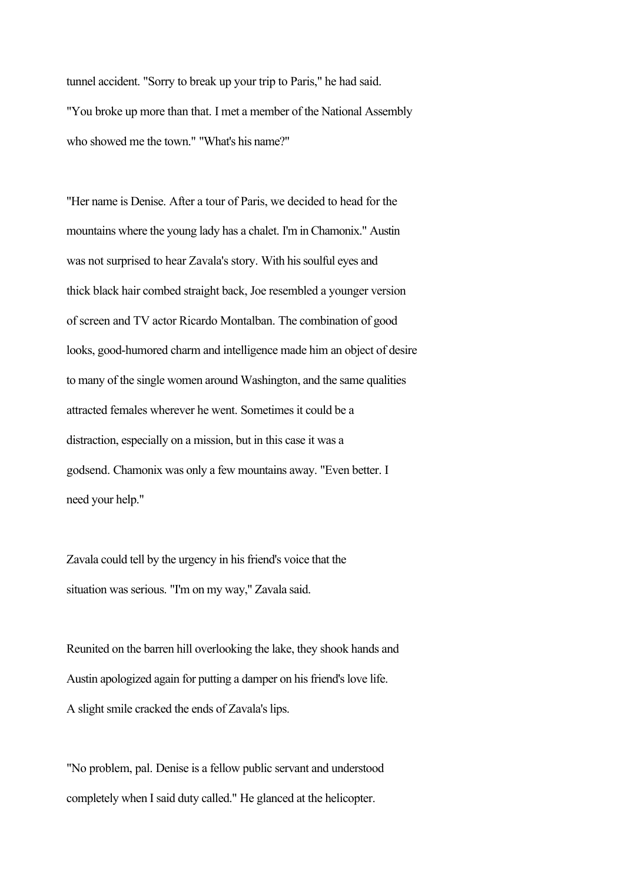tunnel accident. "Sorry to break up your trip to Paris," he had said. "You broke up more than that. I met a member of the National Assembly who showed me the town." "What's his name?"

 "Her name is Denise. After a tour of Paris, we decided to head for the mountains where the young lady has a chalet. I'm in Chamonix." Austin was not surprised to hear Zavala's story. With his soulful eyes and thick black hair combed straight back, Joe resembled a younger version of screen and TV actor Ricardo Montalban. The combination of good looks, good-humored charm and intelligence made him an object of desire to many of the single women around Washington, and the same qualities attracted females wherever he went. Sometimes it could be a distraction, especially on a mission, but in this case it was a godsend. Chamonix was only a few mountains away. "Even better. I need your help."

 Zavala could tell by the urgency in his friend's voice that the situation was serious. "I'm on my way," Zavala said.

 Reunited on the barren hill overlooking the lake, they shook hands and Austin apologized again for putting a damper on his friend's love life. A slight smile cracked the ends of Zavala's lips.

 "No problem, pal. Denise is a fellow public servant and understood completely when I said duty called." He glanced at the helicopter.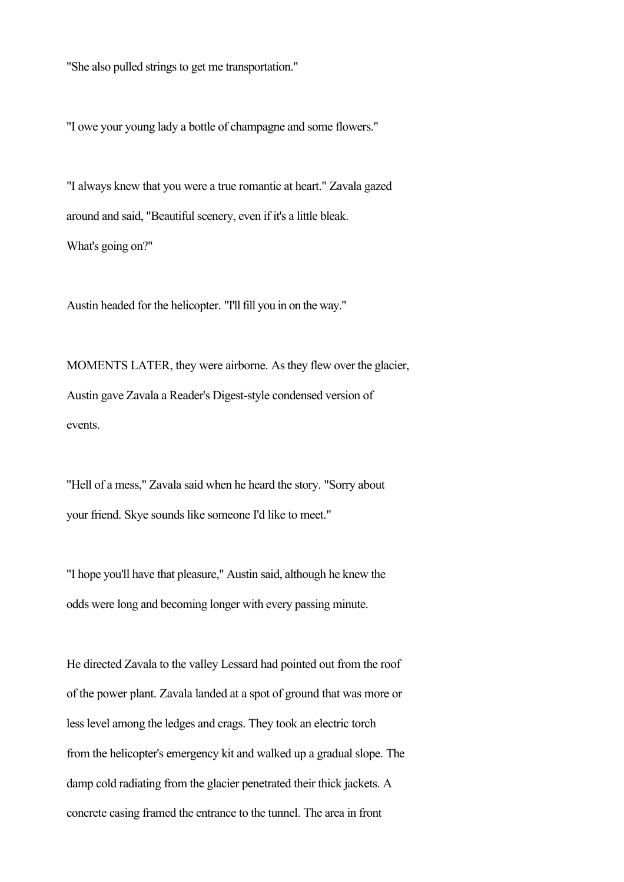"She also pulled strings to get me transportation."

"I owe your young lady a bottle of champagne and some flowers."

 "I always knew that you were a true romantic at heart." Zavala gazed around and said, "Beautiful scenery, even if it's a little bleak. What's going on?"

Austin headed for the helicopter. "I'll fill you in on the way."

 MOMENTS LATER, they were airborne. As they flew over the glacier, Austin gave Zavala a Reader's Digest-style condensed version of events.

 "Hell of a mess," Zavala said when he heard the story. "Sorry about your friend. Skye sounds like someone I'd like to meet."

 "I hope you'll have that pleasure," Austin said, although he knew the odds were long and becoming longer with every passing minute.

 He directed Zavala to the valley Lessard had pointed out from the roof of the power plant. Zavala landed at a spot of ground that was more or less level among the ledges and crags. They took an electric torch from the helicopter's emergency kit and walked up a gradual slope. The damp cold radiating from the glacier penetrated their thick jackets. A concrete casing framed the entrance to the tunnel. The area in front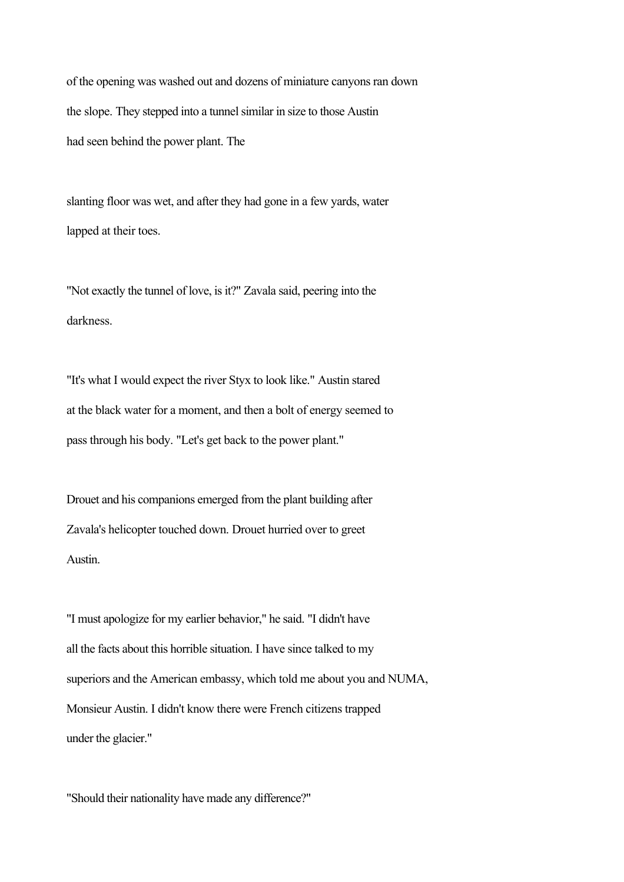of the opening was washed out and dozens of miniature canyons ran down the slope. They stepped into a tunnel similar in size to those Austin had seen behind the power plant. The

 slanting floor was wet, and after they had gone in a few yards, water lapped at their toes.

 "Not exactly the tunnel of love, is it?" Zavala said, peering into the darkness.

 "It's what I would expect the river Styx to look like." Austin stared at the black water for a moment, and then a bolt of energy seemed to pass through his body. "Let's get back to the power plant."

 Drouet and his companions emerged from the plant building after Zavala's helicopter touched down. Drouet hurried over to greet Austin.

 "I must apologize for my earlier behavior," he said. "I didn't have all the facts about this horrible situation. I have since talked to my superiors and the American embassy, which told me about you and NUMA, Monsieur Austin. I didn't know there were French citizens trapped under the glacier."

"Should their nationality have made any difference?"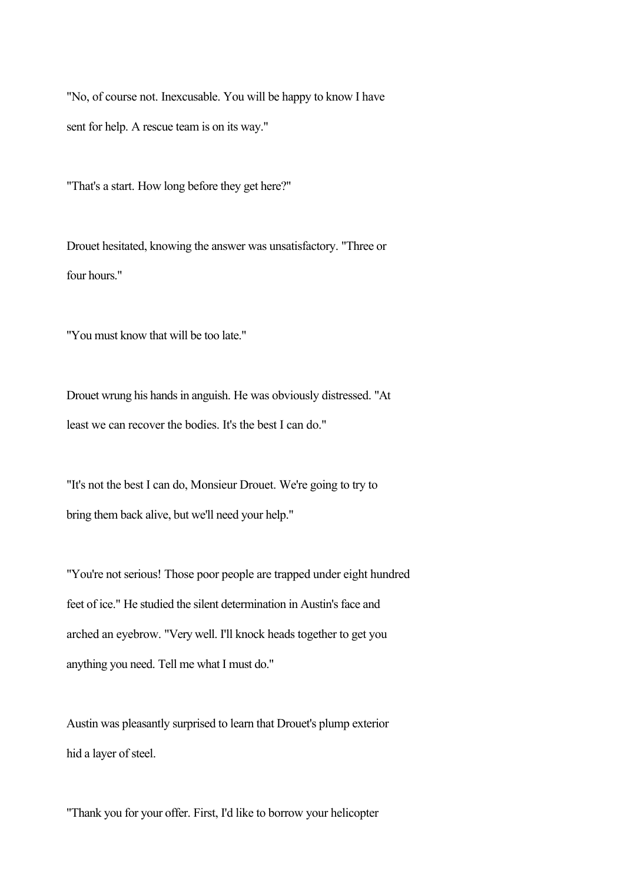"No, of course not. Inexcusable. You will be happy to know I have sent for help. A rescue team is on its way."

"That's a start. How long before they get here?"

 Drouet hesitated, knowing the answer was unsatisfactory. "Three or four hours."

"You must know that will be too late."

 Drouet wrung his hands in anguish. He was obviously distressed. "At least we can recover the bodies. It's the best I can do."

 "It's not the best I can do, Monsieur Drouet. We're going to try to bring them back alive, but we'll need your help."

 "You're not serious! Those poor people are trapped under eight hundred feet of ice." He studied the silent determination in Austin's face and arched an eyebrow. "Very well. I'll knock heads together to get you anything you need. Tell me what I must do."

 Austin was pleasantly surprised to learn that Drouet's plump exterior hid a layer of steel.

"Thank you for your offer. First, I'd like to borrow your helicopter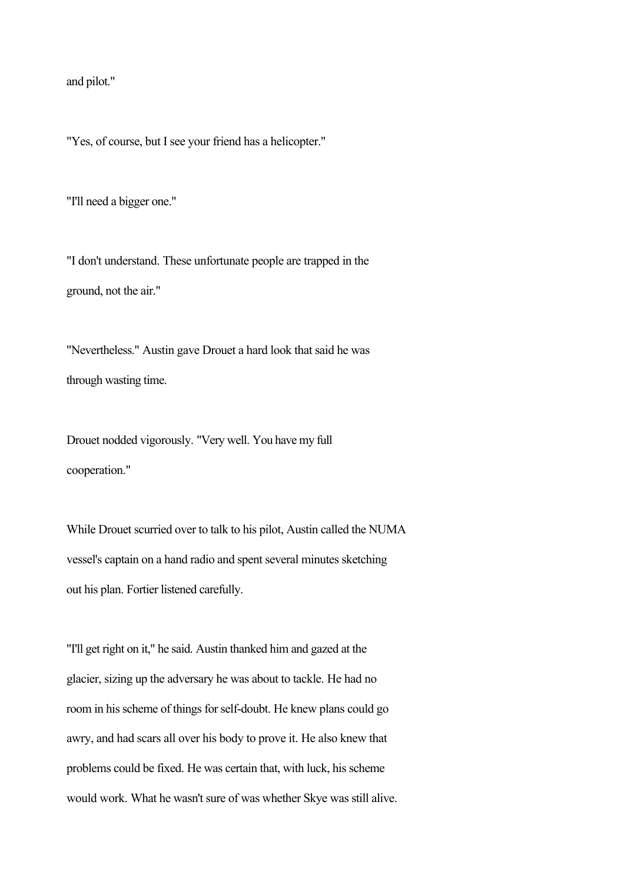and pilot."

"Yes, of course, but I see your friend has a helicopter."

"I'll need a bigger one."

 "I don't understand. These unfortunate people are trapped in the ground, not the air."

 "Nevertheless." Austin gave Drouet a hard look that said he was through wasting time.

 Drouet nodded vigorously. "Very well. You have my full cooperation."

 While Drouet scurried over to talk to his pilot, Austin called the NUMA vessel's captain on a hand radio and spent several minutes sketching out his plan. Fortier listened carefully.

 "I'll get right on it," he said. Austin thanked him and gazed at the glacier, sizing up the adversary he was about to tackle. He had no room in his scheme of things for self-doubt. He knew plans could go awry, and had scars all over his body to prove it. He also knew that problems could be fixed. He was certain that, with luck, his scheme would work. What he wasn't sure of was whether Skye was still alive.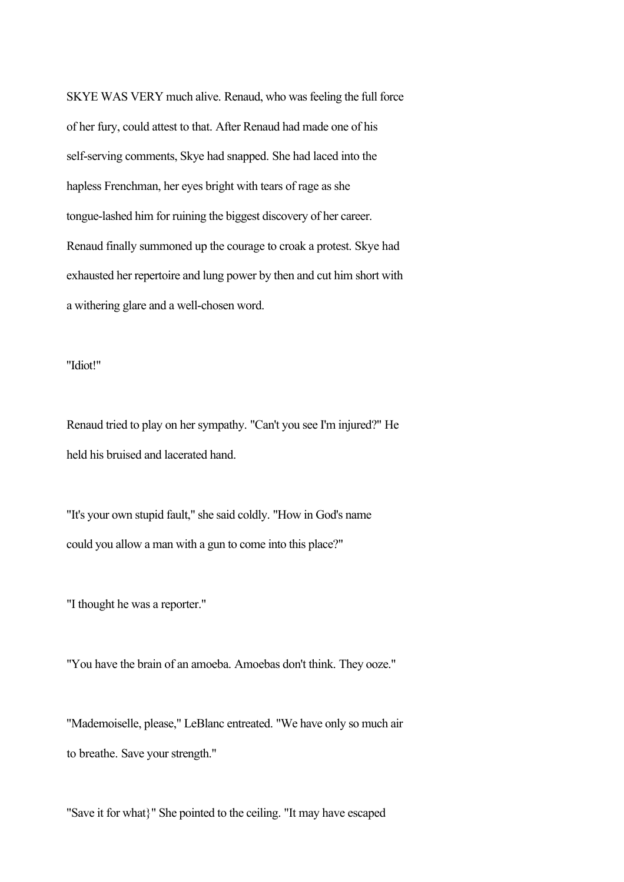SKYE WAS VERY much alive. Renaud, who was feeling the full force of her fury, could attest to that. After Renaud had made one of his self-serving comments, Skye had snapped. She had laced into the hapless Frenchman, her eyes bright with tears of rage as she tongue-lashed him for ruining the biggest discovery of her career. Renaud finally summoned up the courage to croak a protest. Skye had exhausted her repertoire and lung power by then and cut him short with a withering glare and a well-chosen word.

"Idiot!"

 Renaud tried to play on her sympathy. "Can't you see I'm injured?" He held his bruised and lacerated hand.

 "It's your own stupid fault," she said coldly. "How in God's name could you allow a man with a gun to come into this place?"

"I thought he was a reporter."

"You have the brain of an amoeba. Amoebas don't think. They ooze."

 "Mademoiselle, please," LeBlanc entreated. "We have only so much air to breathe. Save your strength."

"Save it for what}" She pointed to the ceiling. "It may have escaped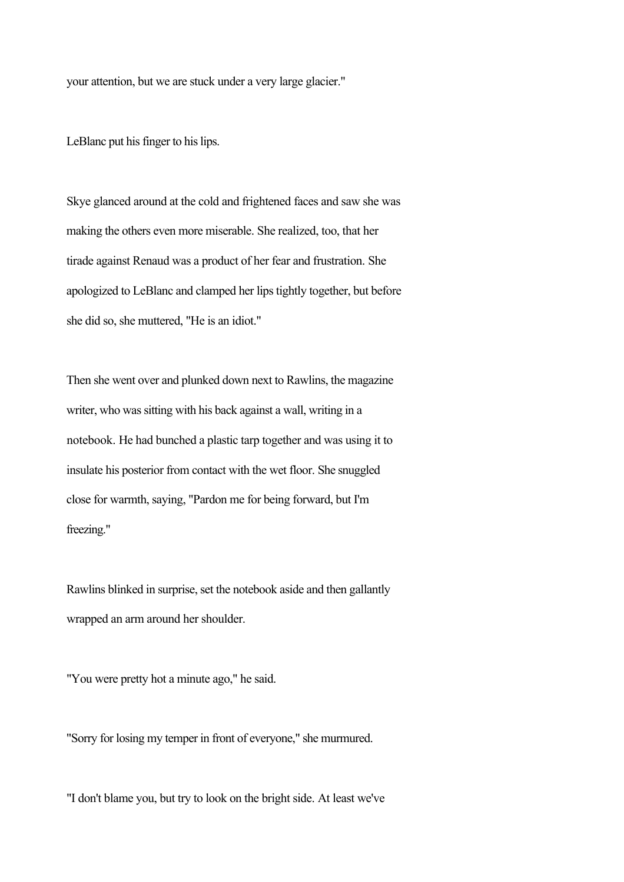your attention, but we are stuck under a very large glacier."

LeBlanc put his finger to his lips.

 Skye glanced around at the cold and frightened faces and saw she was making the others even more miserable. She realized, too, that her tirade against Renaud was a product of her fear and frustration. She apologized to LeBlanc and clamped her lips tightly together, but before she did so, she muttered, "He is an idiot."

 Then she went over and plunked down next to Rawlins, the magazine writer, who was sitting with his back against a wall, writing in a notebook. He had bunched a plastic tarp together and was using it to insulate his posterior from contact with the wet floor. She snuggled close for warmth, saying, "Pardon me for being forward, but I'm freezing."

 Rawlins blinked in surprise, set the notebook aside and then gallantly wrapped an arm around her shoulder.

"You were pretty hot a minute ago," he said.

"Sorry for losing my temper in front of everyone," she murmured.

"I don't blame you, but try to look on the bright side. At least we've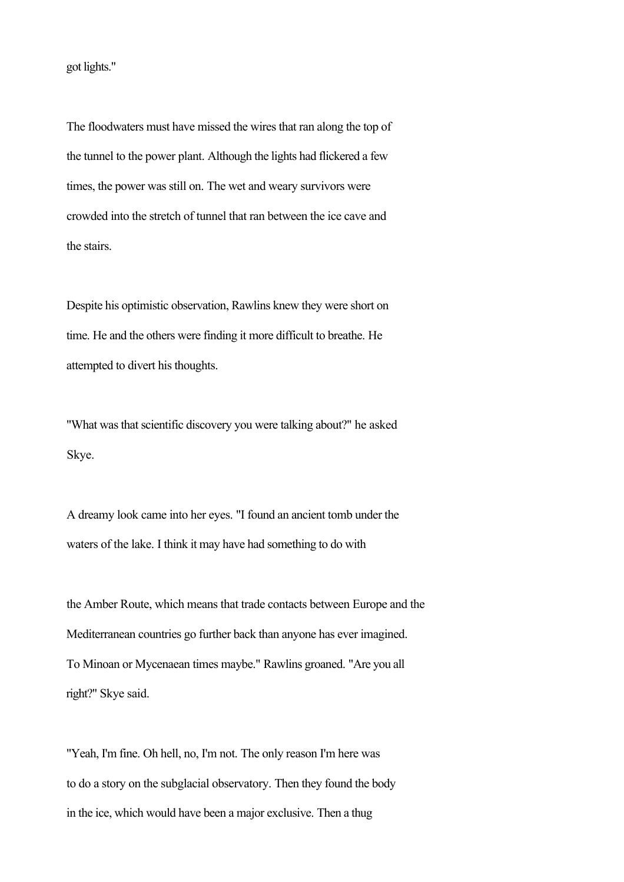got lights."

 The floodwaters must have missed the wires that ran along the top of the tunnel to the power plant. Although the lights had flickered a few times, the power was still on. The wet and weary survivors were crowded into the stretch of tunnel that ran between the ice cave and the stairs.

Despite his optimistic observation, Rawlins knew they were short on time. He and the others were finding it more difficult to breathe. He attempted to divert his thoughts.

 "What was that scientific discovery you were talking about?" he asked Skye.

 A dreamy look came into her eyes. "I found an ancient tomb under the waters of the lake. I think it may have had something to do with

 the Amber Route, which means that trade contacts between Europe and the Mediterranean countries go further back than anyone has ever imagined. To Minoan or Mycenaean times maybe." Rawlins groaned. "Are you all right?" Skye said.

 "Yeah, I'm fine. Oh hell, no, I'm not. The only reason I'm here was to do a story on the subglacial observatory. Then they found the body in the ice, which would have been a major exclusive. Then a thug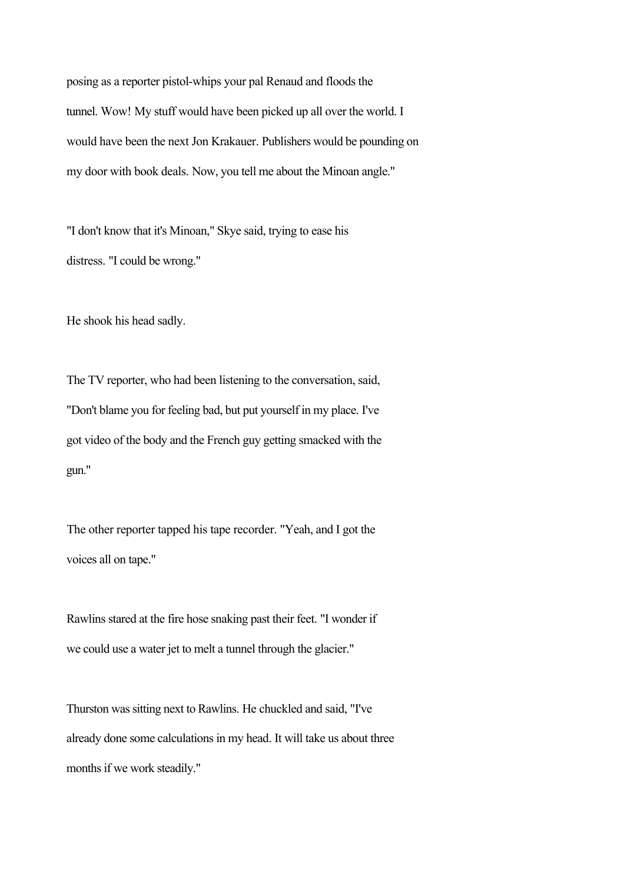posing as a reporter pistol-whips your pal Renaud and floods the tunnel. Wow! My stuff would have been picked up all over the world. I would have been the next Jon Krakauer. Publishers would be pounding on my door with book deals. Now, you tell me about the Minoan angle."

 "I don't know that it's Minoan," Skye said, trying to ease his distress. "I could be wrong."

He shook his head sadly.

 The TV reporter, who had been listening to the conversation, said, "Don't blame you for feeling bad, but put yourself in my place. I've got video of the body and the French guy getting smacked with the gun."

 The other reporter tapped his tape recorder. "Yeah, and I got the voices all on tape."

 Rawlins stared at the fire hose snaking past their feet. "I wonder if we could use a water jet to melt a tunnel through the glacier."

 Thurston was sitting next to Rawlins. He chuckled and said, "I've already done some calculations in my head. It will take us about three months if we work steadily."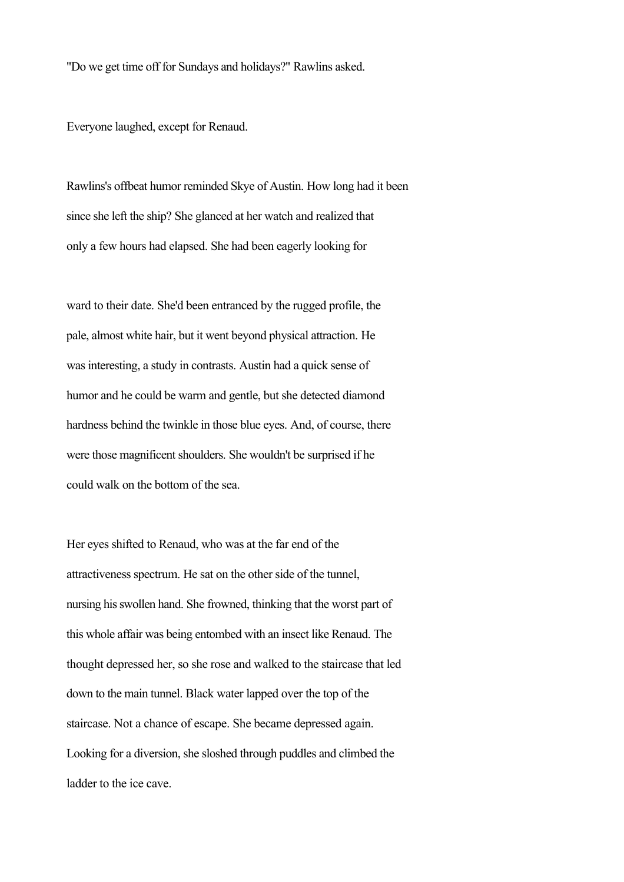"Do we get time off for Sundays and holidays?" Rawlins asked.

Everyone laughed, except for Renaud.

 Rawlins's offbeat humor reminded Skye of Austin. How long had it been since she left the ship? She glanced at her watch and realized that only a few hours had elapsed. She had been eagerly looking for

 ward to their date. She'd been entranced by the rugged profile, the pale, almost white hair, but it went beyond physical attraction. He was interesting, a study in contrasts. Austin had a quick sense of humor and he could be warm and gentle, but she detected diamond hardness behind the twinkle in those blue eyes. And, of course, there were those magnificent shoulders. She wouldn't be surprised if he could walk on the bottom of the sea.

 Her eyes shifted to Renaud, who was at the far end of the attractiveness spectrum. He sat on the other side of the tunnel, nursing his swollen hand. She frowned, thinking that the worst part of this whole affair was being entombed with an insect like Renaud. The thought depressed her, so she rose and walked to the staircase that led down to the main tunnel. Black water lapped over the top of the staircase. Not a chance of escape. She became depressed again. Looking for a diversion, she sloshed through puddles and climbed the ladder to the ice cave.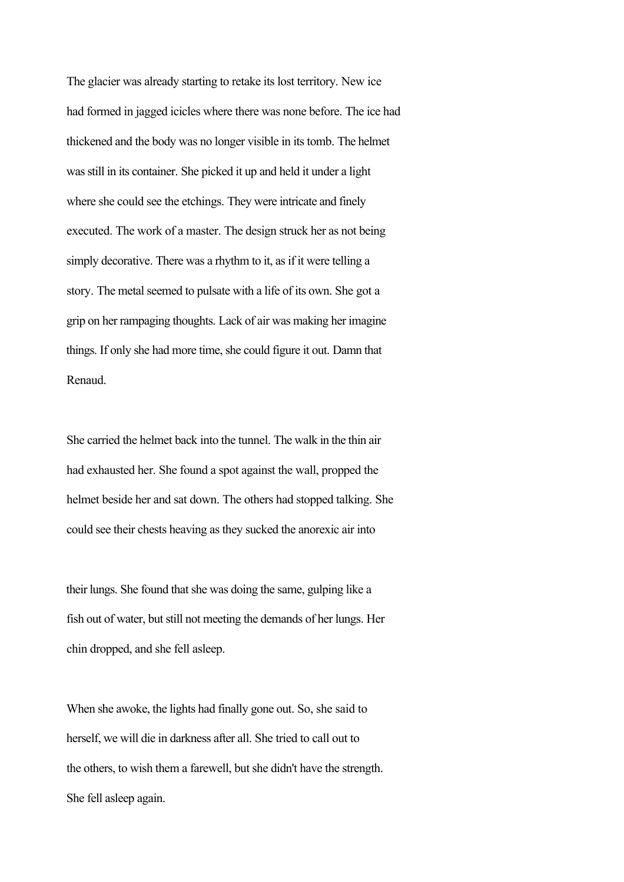The glacier was already starting to retake its lost territory. New ice had formed in jagged icicles where there was none before. The ice had thickened and the body was no longer visible in its tomb. The helmet was still in its container. She picked it up and held it under a light where she could see the etchings. They were intricate and finely executed. The work of a master. The design struck her as not being simply decorative. There was a rhythm to it, as if it were telling a story. The metal seemed to pulsate with a life of its own. She got a grip on her rampaging thoughts. Lack of air was making her imagine things. If only she had more time, she could figure it out. Damn that Renaud.

 She carried the helmet back into the tunnel. The walk in the thin air had exhausted her. She found a spot against the wall, propped the helmet beside her and sat down. The others had stopped talking. She could see their chests heaving as they sucked the anorexic air into

 their lungs. She found that she was doing the same, gulping like a fish out of water, but still not meeting the demands of her lungs. Her chin dropped, and she fell asleep.

 When she awoke, the lights had finally gone out. So, she said to herself, we will die in darkness after all. She tried to call out to the others, to wish them a farewell, but she didn't have the strength. She fell asleep again.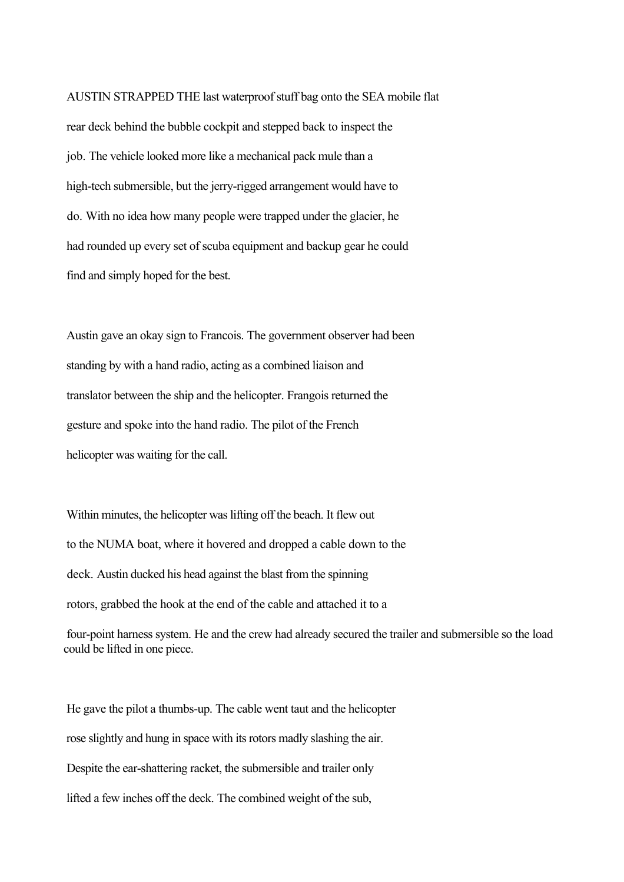AUSTIN STRAPPED THE last waterproof stuff bag onto the SEA mobile flat rear deck behind the bubble cockpit and stepped back to inspect the job. The vehicle looked more like a mechanical pack mule than a high-tech submersible, but the jerry-rigged arrangement would have to do. With no idea how many people were trapped under the glacier, he had rounded up every set of scuba equipment and backup gear he could find and simply hoped for the best.

 Austin gave an okay sign to Francois. The government observer had been standing by with a hand radio, acting as a combined liaison and translator between the ship and the helicopter. Frangois returned the gesture and spoke into the hand radio. The pilot of the French helicopter was waiting for the call.

 Within minutes, the helicopter was lifting off the beach. It flew out to the NUMA boat, where it hovered and dropped a cable down to the deck. Austin ducked his head against the blast from the spinning rotors, grabbed the hook at the end of the cable and attached it to a four-point harness system. He and the crew had already secured the trailer and submersible so the load could be lifted in one piece.

 He gave the pilot a thumbs-up. The cable went taut and the helicopter rose slightly and hung in space with its rotors madly slashing the air. Despite the ear-shattering racket, the submersible and trailer only lifted a few inches off the deck. The combined weight of the sub,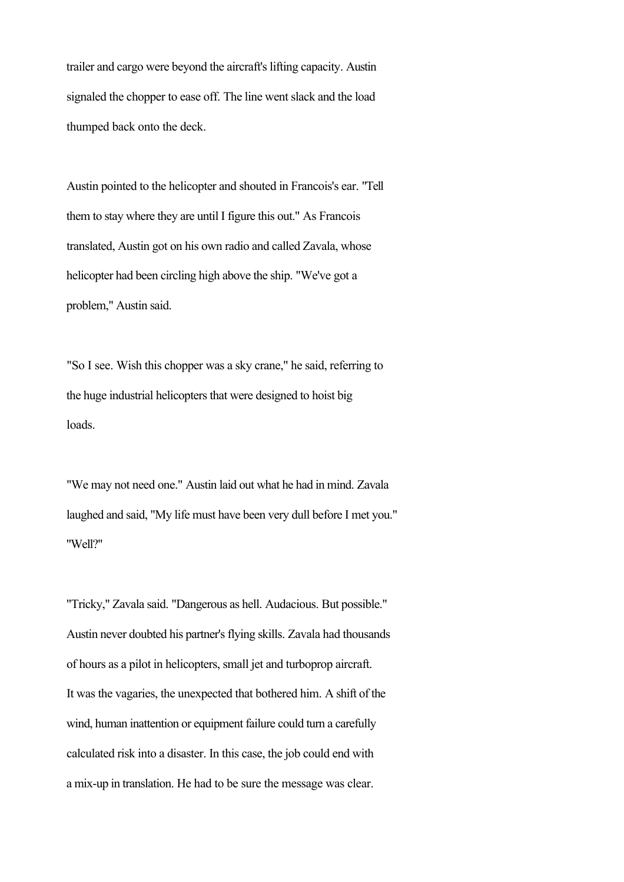trailer and cargo were beyond the aircraft's lifting capacity. Austin signaled the chopper to ease off. The line went slack and the load thumped back onto the deck.

 Austin pointed to the helicopter and shouted in Francois's ear. "Tell them to stay where they are until I figure this out." As Francois translated, Austin got on his own radio and called Zavala, whose helicopter had been circling high above the ship. "We've got a problem," Austin said.

 "So I see. Wish this chopper was a sky crane," he said, referring to the huge industrial helicopters that were designed to hoist big loads.

 "We may not need one." Austin laid out what he had in mind. Zavala laughed and said, "My life must have been very dull before I met you." "Well?"

 "Tricky," Zavala said. "Dangerous as hell. Audacious. But possible." Austin never doubted his partner's flying skills. Zavala had thousands of hours as a pilot in helicopters, small jet and turboprop aircraft. It was the vagaries, the unexpected that bothered him. A shift of the wind, human inattention or equipment failure could turn a carefully calculated risk into a disaster. In this case, the job could end with a mix-up in translation. He had to be sure the message was clear.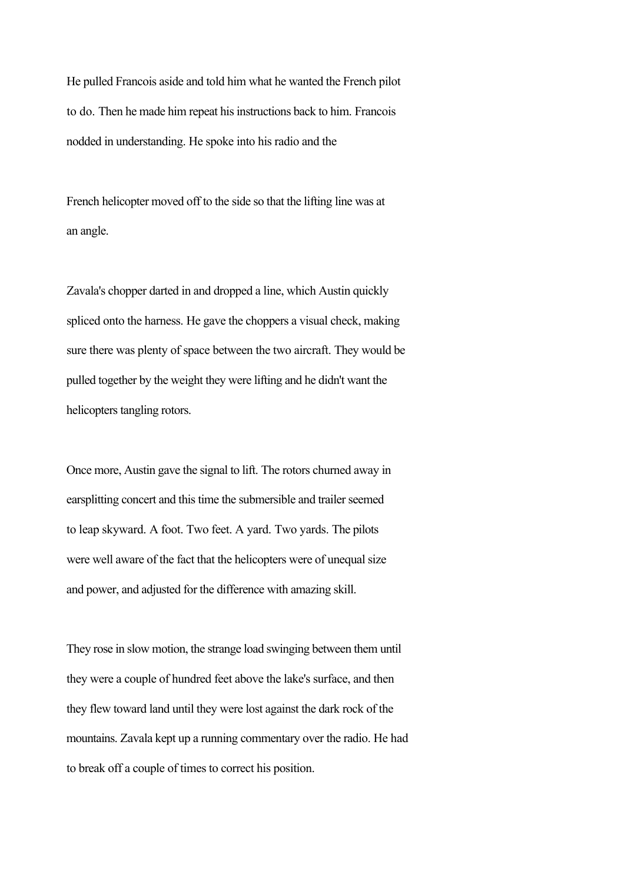He pulled Francois aside and told him what he wanted the French pilot to do. Then he made him repeat his instructions back to him. Francois nodded in understanding. He spoke into his radio and the

 French helicopter moved off to the side so that the lifting line was at an angle.

 Zavala's chopper darted in and dropped a line, which Austin quickly spliced onto the harness. He gave the choppers a visual check, making sure there was plenty of space between the two aircraft. They would be pulled together by the weight they were lifting and he didn't want the helicopters tangling rotors.

 Once more, Austin gave the signal to lift. The rotors churned away in earsplitting concert and this time the submersible and trailer seemed to leap skyward. A foot. Two feet. A yard. Two yards. The pilots were well aware of the fact that the helicopters were of unequal size and power, and adjusted for the difference with amazing skill.

 They rose in slow motion, the strange load swinging between them until they were a couple of hundred feet above the lake's surface, and then they flew toward land until they were lost against the dark rock of the mountains. Zavala kept up a running commentary over the radio. He had to break off a couple of times to correct his position.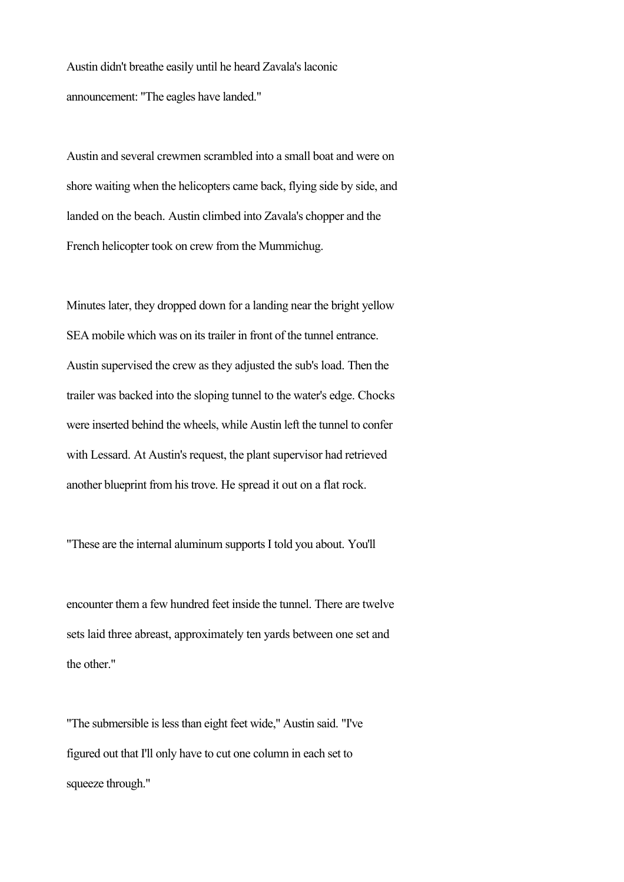Austin didn't breathe easily until he heard Zavala's laconic announcement: "The eagles have landed."

 Austin and several crewmen scrambled into a small boat and were on shore waiting when the helicopters came back, flying side by side, and landed on the beach. Austin climbed into Zavala's chopper and the French helicopter took on crew from the Mummichug.

 Minutes later, they dropped down for a landing near the bright yellow SEA mobile which was on its trailer in front of the tunnel entrance. Austin supervised the crew as they adjusted the sub's load. Then the trailer was backed into the sloping tunnel to the water's edge. Chocks were inserted behind the wheels, while Austin left the tunnel to confer with Lessard. At Austin's request, the plant supervisor had retrieved another blueprint from his trove. He spread it out on a flat rock.

"These are the internal aluminum supports I told you about. You'll

 encounter them a few hundred feet inside the tunnel. There are twelve sets laid three abreast, approximately ten yards between one set and the other."

 "The submersible is less than eight feet wide," Austin said. "I've figured out that I'll only have to cut one column in each set to squeeze through."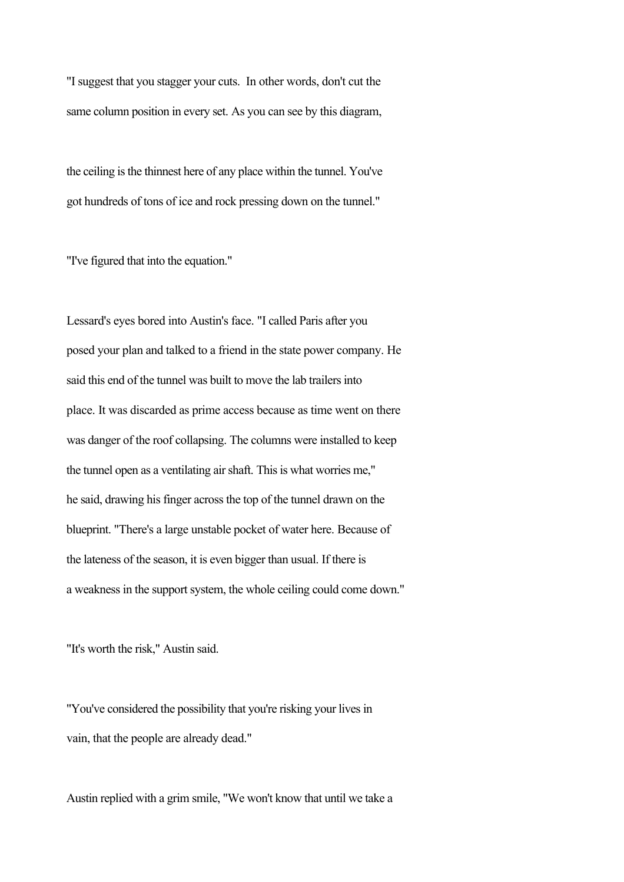"I suggest that you stagger your cuts. In other words, don't cut the same column position in every set. As you can see by this diagram,

 the ceiling is the thinnest here of any place within the tunnel. You've got hundreds of tons of ice and rock pressing down on the tunnel."

"I've figured that into the equation."

 Lessard's eyes bored into Austin's face. "I called Paris after you posed your plan and talked to a friend in the state power company. He said this end of the tunnel was built to move the lab trailers into place. It was discarded as prime access because as time went on there was danger of the roof collapsing. The columns were installed to keep the tunnel open as a ventilating air shaft. This is what worries me," he said, drawing his finger across the top of the tunnel drawn on the blueprint. "There's a large unstable pocket of water here. Because of the lateness of the season, it is even bigger than usual. If there is a weakness in the support system, the whole ceiling could come down."

"It's worth the risk," Austin said.

 "You've considered the possibility that you're risking your lives in vain, that the people are already dead."

Austin replied with a grim smile, "We won't know that until we take a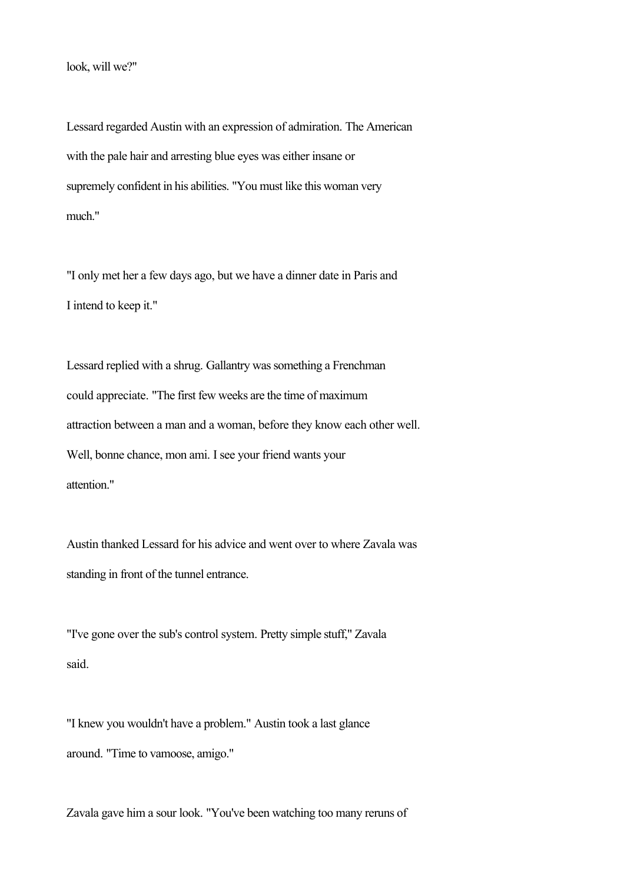Lessard regarded Austin with an expression of admiration. The American with the pale hair and arresting blue eyes was either insane or supremely confident in his abilities. "You must like this woman very much."

 "I only met her a few days ago, but we have a dinner date in Paris and I intend to keep it."

 Lessard replied with a shrug. Gallantry was something a Frenchman could appreciate. "The first few weeks are the time of maximum attraction between a man and a woman, before they know each other well. Well, bonne chance, mon ami. I see your friend wants your attention."

 Austin thanked Lessard for his advice and went over to where Zavala was standing in front of the tunnel entrance.

 "I've gone over the sub's control system. Pretty simple stuff," Zavala said.

 "I knew you wouldn't have a problem." Austin took a last glance around. "Time to vamoose, amigo."

Zavala gave him a sour look. "You've been watching too many reruns of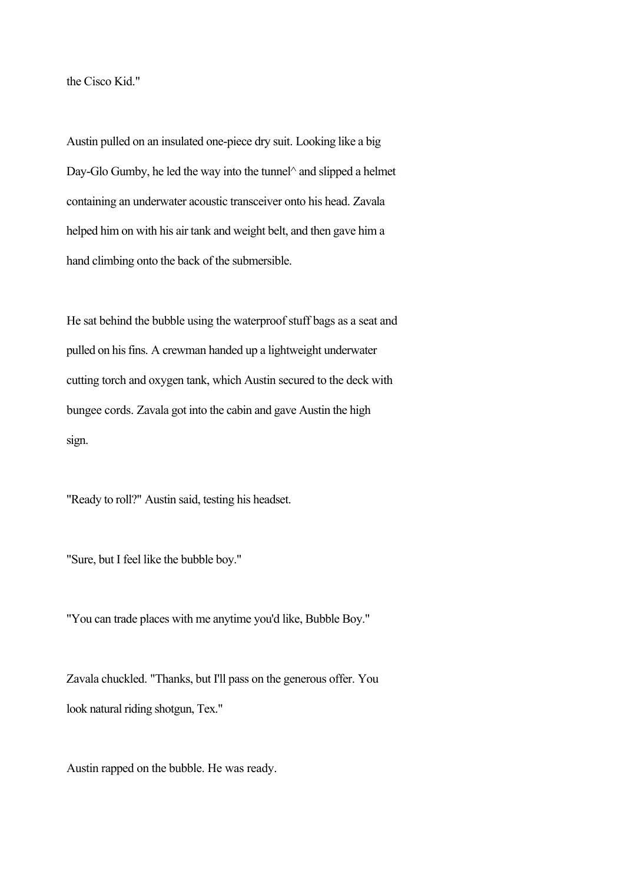the Cisco Kid."

 Austin pulled on an insulated one-piece dry suit. Looking like a big Day-Glo Gumby, he led the way into the tunnel<sup> $\land$ </sup> and slipped a helmet containing an underwater acoustic transceiver onto his head. Zavala helped him on with his air tank and weight belt, and then gave him a hand climbing onto the back of the submersible.

 He sat behind the bubble using the waterproof stuff bags as a seat and pulled on his fins. A crewman handed up a lightweight underwater cutting torch and oxygen tank, which Austin secured to the deck with bungee cords. Zavala got into the cabin and gave Austin the high sign.

"Ready to roll?" Austin said, testing his headset.

"Sure, but I feel like the bubble boy."

"You can trade places with me anytime you'd like, Bubble Boy."

 Zavala chuckled. "Thanks, but I'll pass on the generous offer. You look natural riding shotgun, Tex."

Austin rapped on the bubble. He was ready.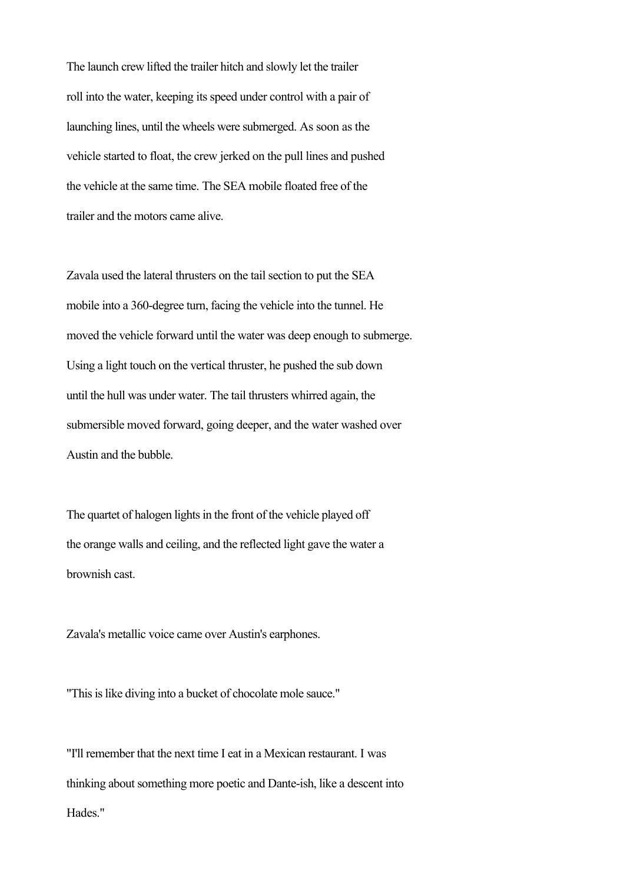The launch crew lifted the trailer hitch and slowly let the trailer roll into the water, keeping its speed under control with a pair of launching lines, until the wheels were submerged. As soon as the vehicle started to float, the crew jerked on the pull lines and pushed the vehicle at the same time. The SEA mobile floated free of the trailer and the motors came alive.

 Zavala used the lateral thrusters on the tail section to put the SEA mobile into a 360-degree turn, facing the vehicle into the tunnel. He moved the vehicle forward until the water was deep enough to submerge. Using a light touch on the vertical thruster, he pushed the sub down until the hull was under water. The tail thrusters whirred again, the submersible moved forward, going deeper, and the water washed over Austin and the bubble.

 The quartet of halogen lights in the front of the vehicle played off the orange walls and ceiling, and the reflected light gave the water a brownish cast.

Zavala's metallic voice came over Austin's earphones.

"This is like diving into a bucket of chocolate mole sauce."

 "I'll remember that the next time I eat in a Mexican restaurant. I was thinking about something more poetic and Dante-ish, like a descent into Hades."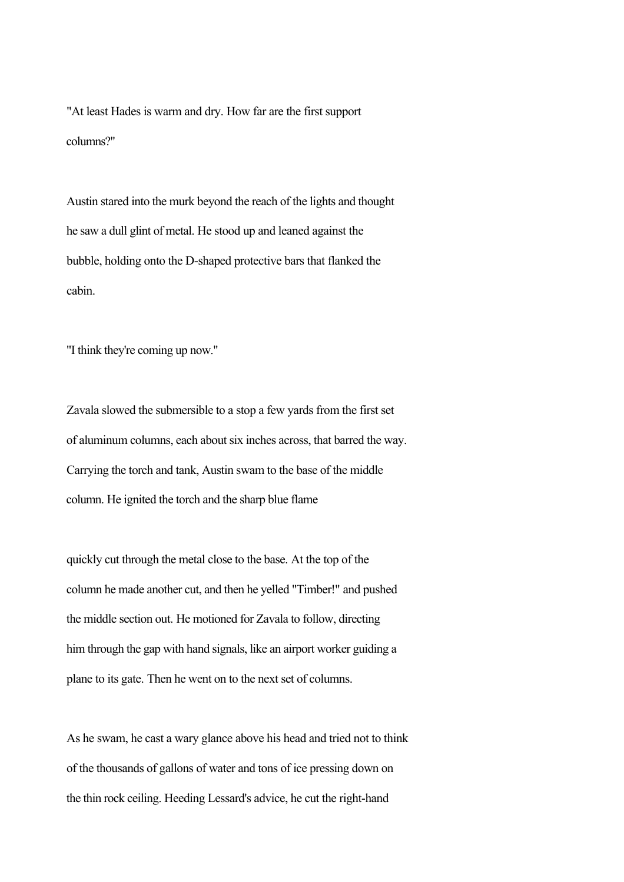"At least Hades is warm and dry. How far are the first support columns?"

 Austin stared into the murk beyond the reach of the lights and thought he saw a dull glint of metal. He stood up and leaned against the bubble, holding onto the D-shaped protective bars that flanked the cabin.

"I think they're coming up now."

 Zavala slowed the submersible to a stop a few yards from the first set of aluminum columns, each about six inches across, that barred the way. Carrying the torch and tank, Austin swam to the base of the middle column. He ignited the torch and the sharp blue flame

 quickly cut through the metal close to the base. At the top of the column he made another cut, and then he yelled "Timber!" and pushed the middle section out. He motioned for Zavala to follow, directing him through the gap with hand signals, like an airport worker guiding a plane to its gate. Then he went on to the next set of columns.

 As he swam, he cast a wary glance above his head and tried not to think of the thousands of gallons of water and tons of ice pressing down on the thin rock ceiling. Heeding Lessard's advice, he cut the right-hand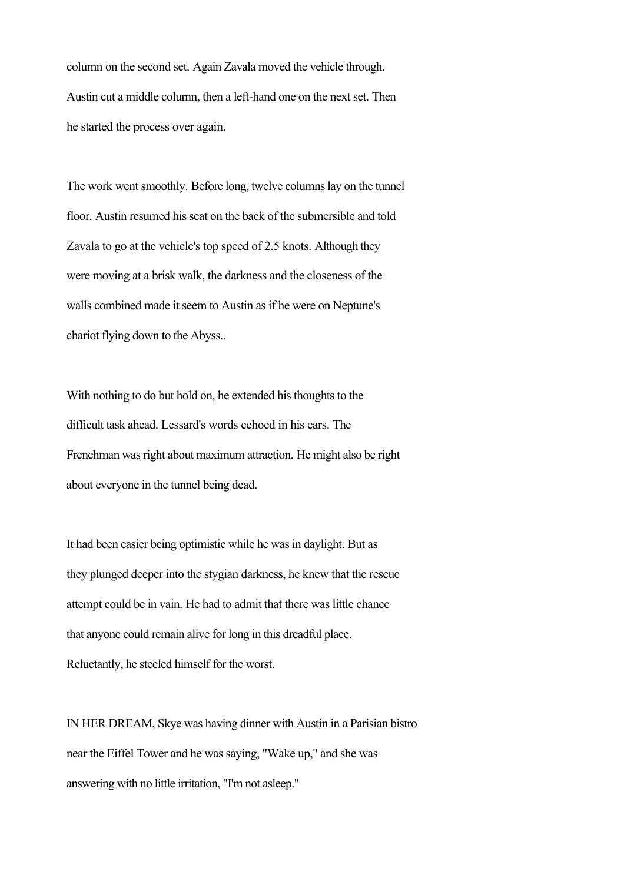column on the second set. Again Zavala moved the vehicle through. Austin cut a middle column, then a left-hand one on the next set. Then he started the process over again.

 The work went smoothly. Before long, twelve columns lay on the tunnel floor. Austin resumed his seat on the back of the submersible and told Zavala to go at the vehicle's top speed of 2.5 knots. Although they were moving at a brisk walk, the darkness and the closeness of the walls combined made it seem to Austin as if he were on Neptune's chariot flying down to the Abyss..

 With nothing to do but hold on, he extended his thoughts to the difficult task ahead. Lessard's words echoed in his ears. The Frenchman was right about maximum attraction. He might also be right about everyone in the tunnel being dead.

 It had been easier being optimistic while he was in daylight. But as they plunged deeper into the stygian darkness, he knew that the rescue attempt could be in vain. He had to admit that there was little chance that anyone could remain alive for long in this dreadful place. Reluctantly, he steeled himself for the worst.

 IN HER DREAM, Skye was having dinner with Austin in a Parisian bistro near the Eiffel Tower and he was saying, "Wake up," and she was answering with no little irritation, "I'm not asleep."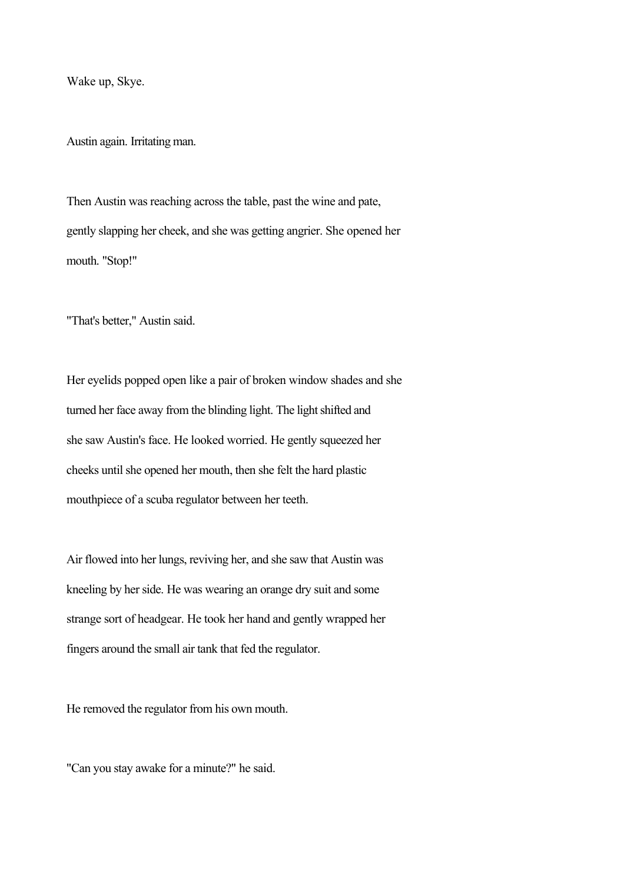Wake up, Skye.

Austin again. Irritating man.

 Then Austin was reaching across the table, past the wine and pate, gently slapping her cheek, and she was getting angrier. She opened her mouth. "Stop!"

"That's better," Austin said.

 Her eyelids popped open like a pair of broken window shades and she turned her face away from the blinding light. The light shifted and she saw Austin's face. He looked worried. He gently squeezed her cheeks until she opened her mouth, then she felt the hard plastic mouthpiece of a scuba regulator between her teeth.

 Air flowed into her lungs, reviving her, and she saw that Austin was kneeling by her side. He was wearing an orange dry suit and some strange sort of headgear. He took her hand and gently wrapped her fingers around the small air tank that fed the regulator.

He removed the regulator from his own mouth.

"Can you stay awake for a minute?" he said.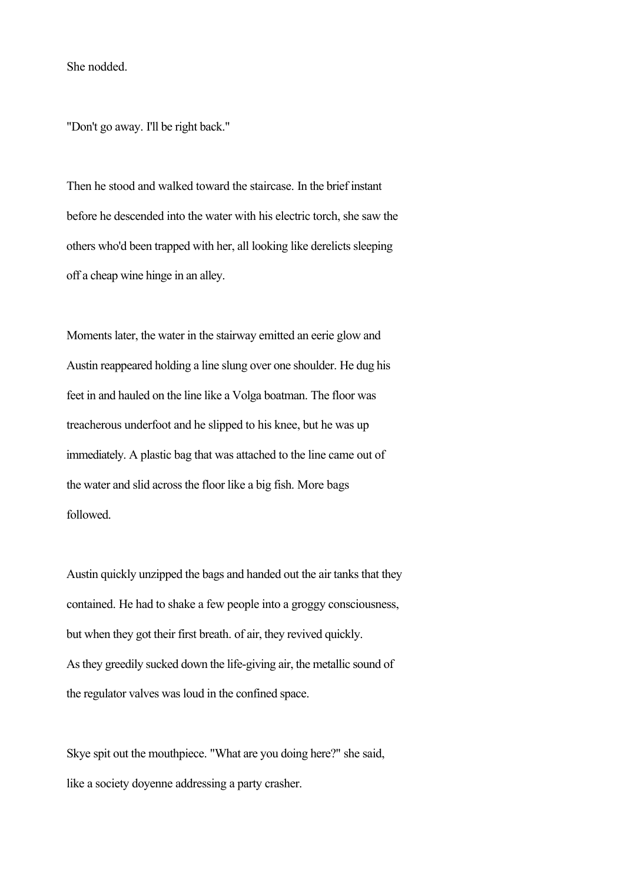She nodded.

"Don't go away. I'll be right back."

 Then he stood and walked toward the staircase. In the brief instant before he descended into the water with his electric torch, she saw the others who'd been trapped with her, all looking like derelicts sleeping off a cheap wine hinge in an alley.

 Moments later, the water in the stairway emitted an eerie glow and Austin reappeared holding a line slung over one shoulder. He dug his feet in and hauled on the line like a Volga boatman. The floor was treacherous underfoot and he slipped to his knee, but he was up immediately. A plastic bag that was attached to the line came out of the water and slid across the floor like a big fish. More bags followed.

 Austin quickly unzipped the bags and handed out the air tanks that they contained. He had to shake a few people into a groggy consciousness, but when they got their first breath. of air, they revived quickly. As they greedily sucked down the life-giving air, the metallic sound of the regulator valves was loud in the confined space.

 Skye spit out the mouthpiece. "What are you doing here?" she said, like a society doyenne addressing a party crasher.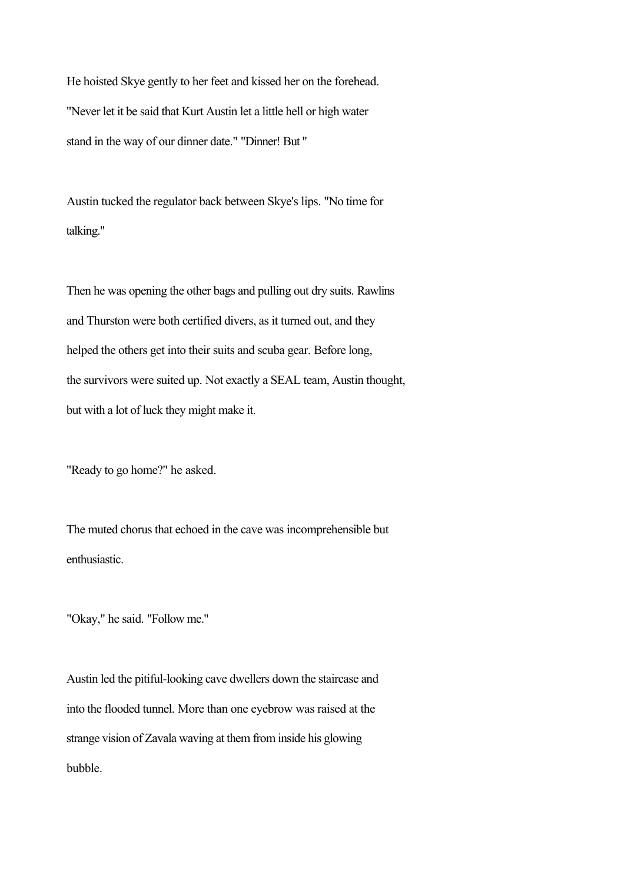He hoisted Skye gently to her feet and kissed her on the forehead. "Never let it be said that Kurt Austin let a little hell or high water stand in the way of our dinner date." "Dinner! But "

 Austin tucked the regulator back between Skye's lips. "No time for talking."

 Then he was opening the other bags and pulling out dry suits. Rawlins and Thurston were both certified divers, as it turned out, and they helped the others get into their suits and scuba gear. Before long, the survivors were suited up. Not exactly a SEAL team, Austin thought, but with a lot of luck they might make it.

"Ready to go home?" he asked.

 The muted chorus that echoed in the cave was incomprehensible but enthusiastic.

"Okay," he said. "Follow me."

 Austin led the pitiful-looking cave dwellers down the staircase and into the flooded tunnel. More than one eyebrow was raised at the strange vision of Zavala waving at them from inside his glowing bubble.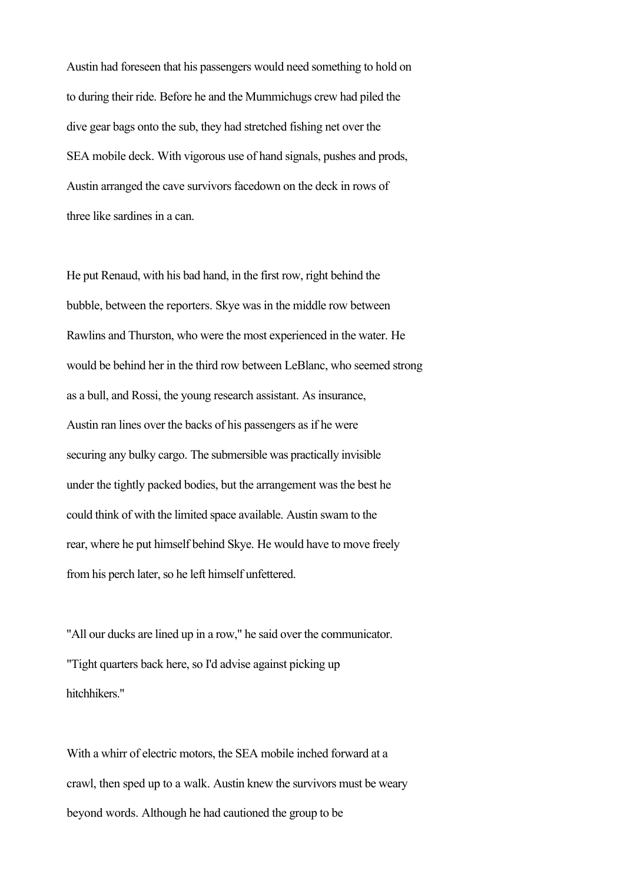Austin had foreseen that his passengers would need something to hold on to during their ride. Before he and the Mummichugs crew had piled the dive gear bags onto the sub, they had stretched fishing net over the SEA mobile deck. With vigorous use of hand signals, pushes and prods, Austin arranged the cave survivors facedown on the deck in rows of three like sardines in a can.

 He put Renaud, with his bad hand, in the first row, right behind the bubble, between the reporters. Skye was in the middle row between Rawlins and Thurston, who were the most experienced in the water. He would be behind her in the third row between LeBlanc, who seemed strong as a bull, and Rossi, the young research assistant. As insurance, Austin ran lines over the backs of his passengers as if he were securing any bulky cargo. The submersible was practically invisible under the tightly packed bodies, but the arrangement was the best he could think of with the limited space available. Austin swam to the rear, where he put himself behind Skye. He would have to move freely from his perch later, so he left himself unfettered.

 "All our ducks are lined up in a row," he said over the communicator. "Tight quarters back here, so I'd advise against picking up hitchhikers."

 With a whirr of electric motors, the SEA mobile inched forward at a crawl, then sped up to a walk. Austin knew the survivors must be weary beyond words. Although he had cautioned the group to be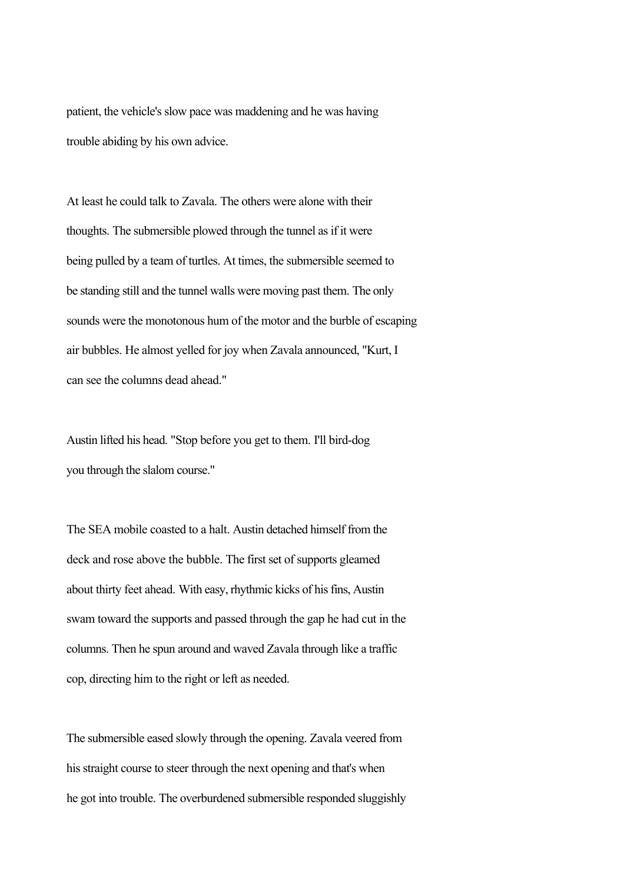patient, the vehicle's slow pace was maddening and he was having trouble abiding by his own advice.

 At least he could talk to Zavala. The others were alone with their thoughts. The submersible plowed through the tunnel as if it were being pulled by a team of turtles. At times, the submersible seemed to be standing still and the tunnel walls were moving past them. The only sounds were the monotonous hum of the motor and the burble of escaping air bubbles. He almost yelled for joy when Zavala announced, "Kurt, I can see the columns dead ahead."

 Austin lifted his head. "Stop before you get to them. I'll bird-dog you through the slalom course."

 The SEA mobile coasted to a halt. Austin detached himself from the deck and rose above the bubble. The first set of supports gleamed about thirty feet ahead. With easy, rhythmic kicks of his fins, Austin swam toward the supports and passed through the gap he had cut in the columns. Then he spun around and waved Zavala through like a traffic cop, directing him to the right or left as needed.

 The submersible eased slowly through the opening. Zavala veered from his straight course to steer through the next opening and that's when he got into trouble. The overburdened submersible responded sluggishly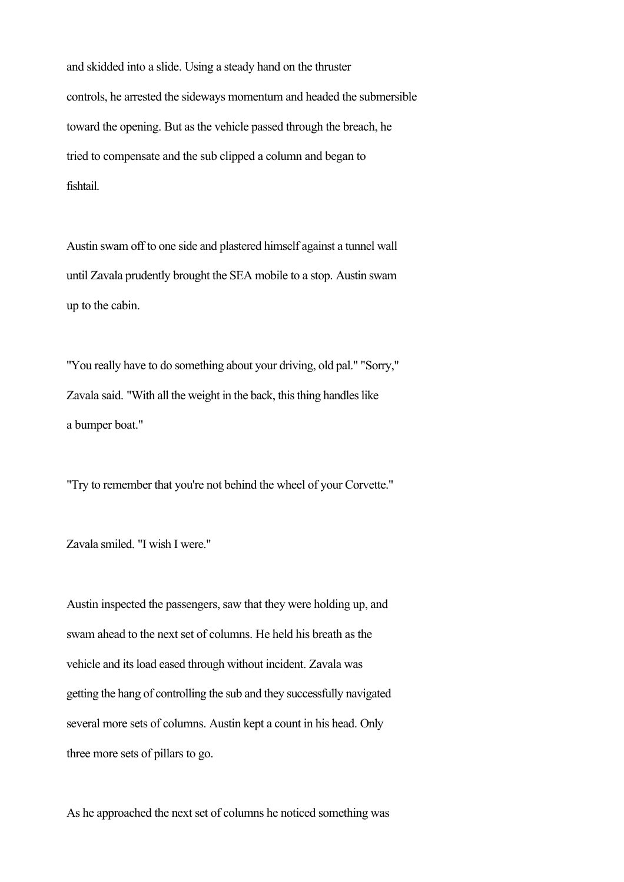and skidded into a slide. Using a steady hand on the thruster controls, he arrested the sideways momentum and headed the submersible toward the opening. But as the vehicle passed through the breach, he tried to compensate and the sub clipped a column and began to fishtail.

 Austin swam off to one side and plastered himself against a tunnel wall until Zavala prudently brought the SEA mobile to a stop. Austin swam up to the cabin.

 "You really have to do something about your driving, old pal." "Sorry," Zavala said. "With all the weight in the back, this thing handles like a bumper boat."

"Try to remember that you're not behind the wheel of your Corvette."

Zavala smiled. "I wish I were."

 Austin inspected the passengers, saw that they were holding up, and swam ahead to the next set of columns. He held his breath as the vehicle and its load eased through without incident. Zavala was getting the hang of controlling the sub and they successfully navigated several more sets of columns. Austin kept a count in his head. Only three more sets of pillars to go.

As he approached the next set of columns he noticed something was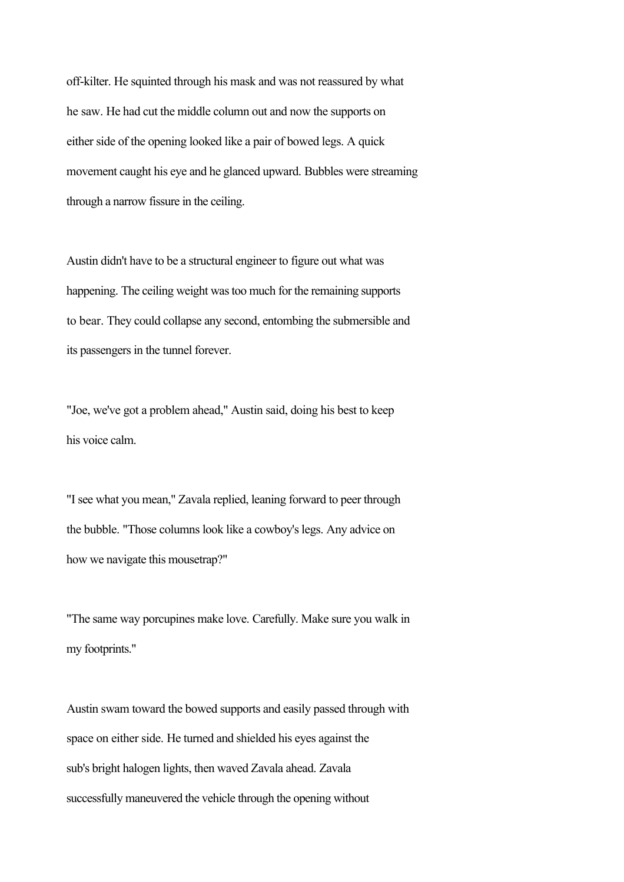off-kilter. He squinted through his mask and was not reassured by what he saw. He had cut the middle column out and now the supports on either side of the opening looked like a pair of bowed legs. A quick movement caught his eye and he glanced upward. Bubbles were streaming through a narrow fissure in the ceiling.

 Austin didn't have to be a structural engineer to figure out what was happening. The ceiling weight was too much for the remaining supports to bear. They could collapse any second, entombing the submersible and its passengers in the tunnel forever.

 "Joe, we've got a problem ahead," Austin said, doing his best to keep his voice calm.

 "I see what you mean," Zavala replied, leaning forward to peer through the bubble. "Those columns look like a cowboy's legs. Any advice on how we navigate this mousetrap?"

 "The same way porcupines make love. Carefully. Make sure you walk in my footprints."

 Austin swam toward the bowed supports and easily passed through with space on either side. He turned and shielded his eyes against the sub's bright halogen lights, then waved Zavala ahead. Zavala successfully maneuvered the vehicle through the opening without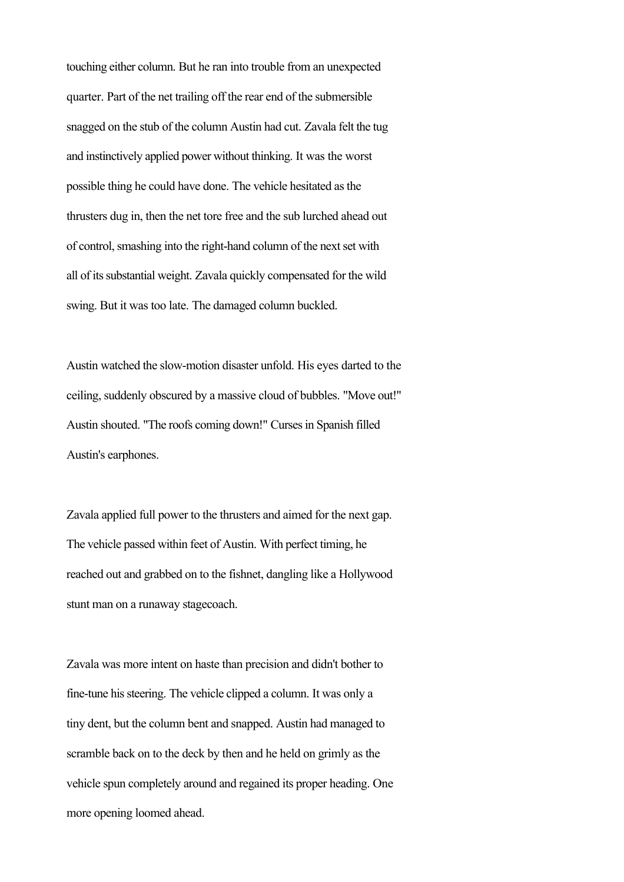touching either column. But he ran into trouble from an unexpected quarter. Part of the net trailing off the rear end of the submersible snagged on the stub of the column Austin had cut. Zavala felt the tug and instinctively applied power without thinking. It was the worst possible thing he could have done. The vehicle hesitated as the thrusters dug in, then the net tore free and the sub lurched ahead out of control, smashing into the right-hand column of the next set with all of its substantial weight. Zavala quickly compensated for the wild swing. But it was too late. The damaged column buckled.

 Austin watched the slow-motion disaster unfold. His eyes darted to the ceiling, suddenly obscured by a massive cloud of bubbles. "Move out!" Austin shouted. "The roofs coming down!" Curses in Spanish filled Austin's earphones.

 Zavala applied full power to the thrusters and aimed for the next gap. The vehicle passed within feet of Austin. With perfect timing, he reached out and grabbed on to the fishnet, dangling like a Hollywood stunt man on a runaway stagecoach.

 Zavala was more intent on haste than precision and didn't bother to fine-tune his steering. The vehicle clipped a column. It was only a tiny dent, but the column bent and snapped. Austin had managed to scramble back on to the deck by then and he held on grimly as the vehicle spun completely around and regained its proper heading. One more opening loomed ahead.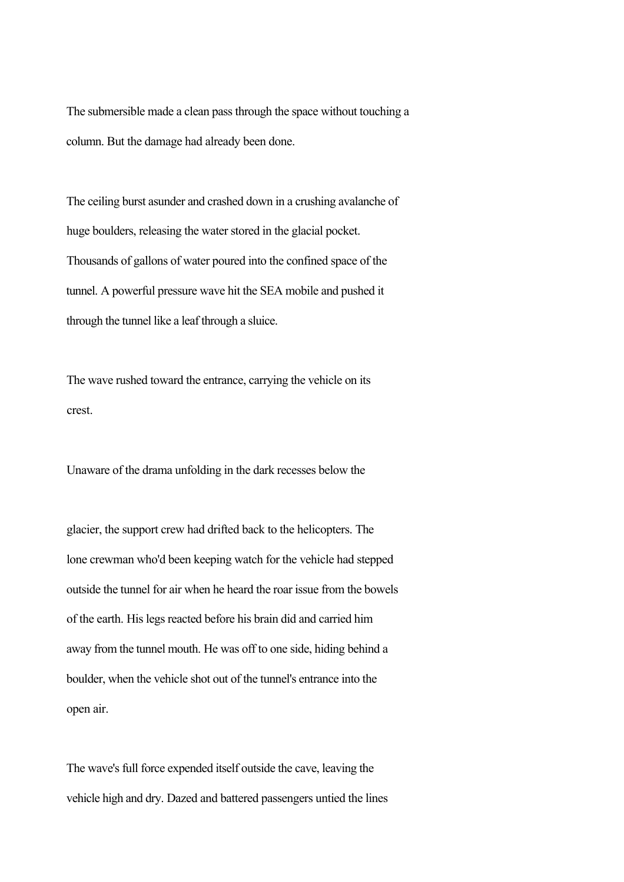The submersible made a clean pass through the space without touching a column. But the damage had already been done.

 The ceiling burst asunder and crashed down in a crushing avalanche of huge boulders, releasing the water stored in the glacial pocket. Thousands of gallons of water poured into the confined space of the tunnel. A powerful pressure wave hit the SEA mobile and pushed it through the tunnel like a leaf through a sluice.

 The wave rushed toward the entrance, carrying the vehicle on its crest.

Unaware of the drama unfolding in the dark recesses below the

 glacier, the support crew had drifted back to the helicopters. The lone crewman who'd been keeping watch for the vehicle had stepped outside the tunnel for air when he heard the roar issue from the bowels of the earth. His legs reacted before his brain did and carried him away from the tunnel mouth. He was off to one side, hiding behind a boulder, when the vehicle shot out of the tunnel's entrance into the open air.

 The wave's full force expended itself outside the cave, leaving the vehicle high and dry. Dazed and battered passengers untied the lines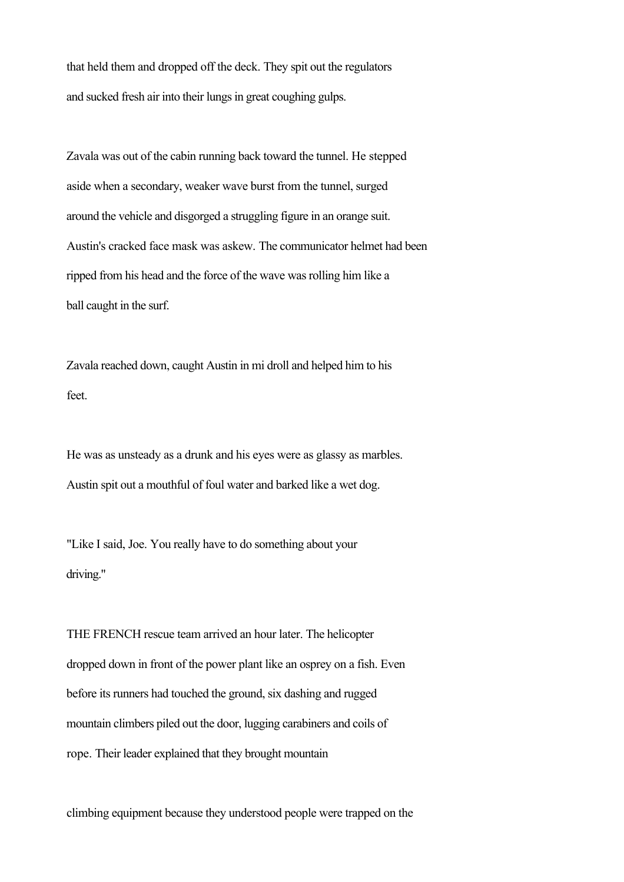that held them and dropped off the deck. They spit out the regulators and sucked fresh air into their lungs in great coughing gulps.

 Zavala was out of the cabin running back toward the tunnel. He stepped aside when a secondary, weaker wave burst from the tunnel, surged around the vehicle and disgorged a struggling figure in an orange suit. Austin's cracked face mask was askew. The communicator helmet had been ripped from his head and the force of the wave was rolling him like a ball caught in the surf.

 Zavala reached down, caught Austin in mi droll and helped him to his feet.

 He was as unsteady as a drunk and his eyes were as glassy as marbles. Austin spit out a mouthful of foul water and barked like a wet dog.

 "Like I said, Joe. You really have to do something about your driving."

 THE FRENCH rescue team arrived an hour later. The helicopter dropped down in front of the power plant like an osprey on a fish. Even before its runners had touched the ground, six dashing and rugged mountain climbers piled out the door, lugging carabiners and coils of rope. Their leader explained that they brought mountain

climbing equipment because they understood people were trapped on the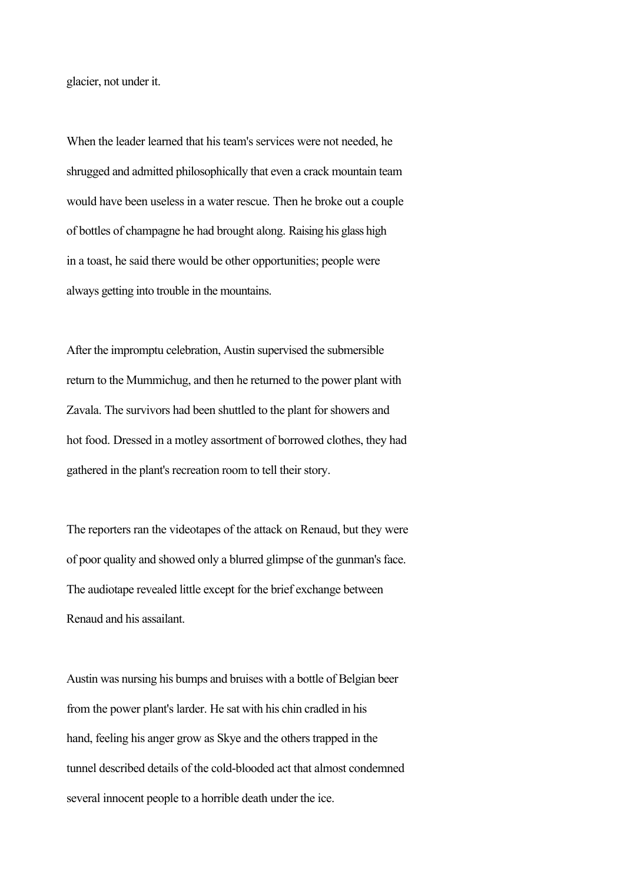glacier, not under it.

 When the leader learned that his team's services were not needed, he shrugged and admitted philosophically that even a crack mountain team would have been useless in a water rescue. Then he broke out a couple of bottles of champagne he had brought along. Raising his glass high in a toast, he said there would be other opportunities; people were always getting into trouble in the mountains.

 After the impromptu celebration, Austin supervised the submersible return to the Mummichug, and then he returned to the power plant with Zavala. The survivors had been shuttled to the plant for showers and hot food. Dressed in a motley assortment of borrowed clothes, they had gathered in the plant's recreation room to tell their story.

 The reporters ran the videotapes of the attack on Renaud, but they were of poor quality and showed only a blurred glimpse of the gunman's face. The audiotape revealed little except for the brief exchange between Renaud and his assailant.

 Austin was nursing his bumps and bruises with a bottle of Belgian beer from the power plant's larder. He sat with his chin cradled in his hand, feeling his anger grow as Skye and the others trapped in the tunnel described details of the cold-blooded act that almost condemned several innocent people to a horrible death under the ice.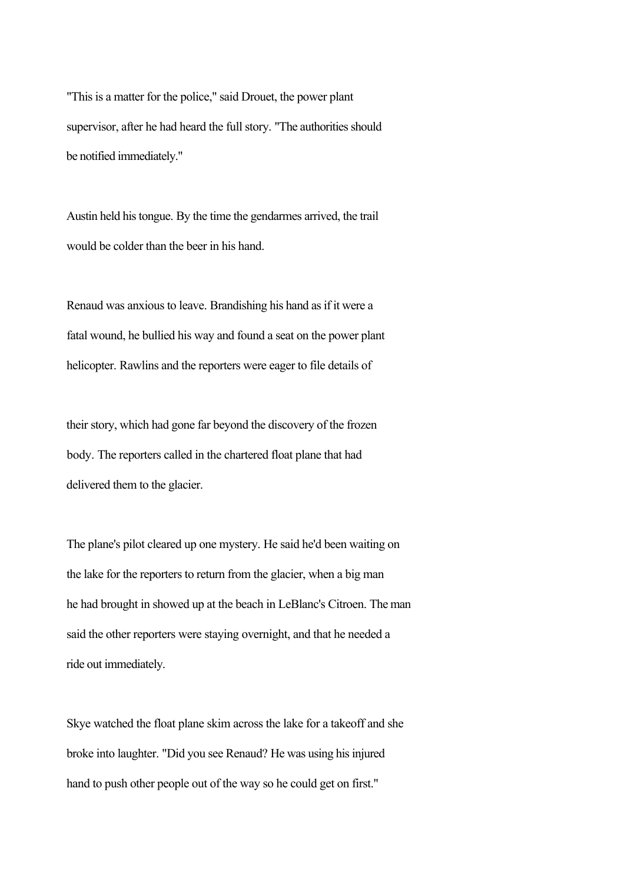"This is a matter for the police," said Drouet, the power plant supervisor, after he had heard the full story. "The authorities should be notified immediately."

 Austin held his tongue. By the time the gendarmes arrived, the trail would be colder than the beer in his hand.

 Renaud was anxious to leave. Brandishing his hand as if it were a fatal wound, he bullied his way and found a seat on the power plant helicopter. Rawlins and the reporters were eager to file details of

 their story, which had gone far beyond the discovery of the frozen body. The reporters called in the chartered float plane that had delivered them to the glacier.

 The plane's pilot cleared up one mystery. He said he'd been waiting on the lake for the reporters to return from the glacier, when a big man he had brought in showed up at the beach in LeBlanc's Citroen. The man said the other reporters were staying overnight, and that he needed a ride out immediately.

 Skye watched the float plane skim across the lake for a takeoff and she broke into laughter. "Did you see Renaud? He was using his injured hand to push other people out of the way so he could get on first."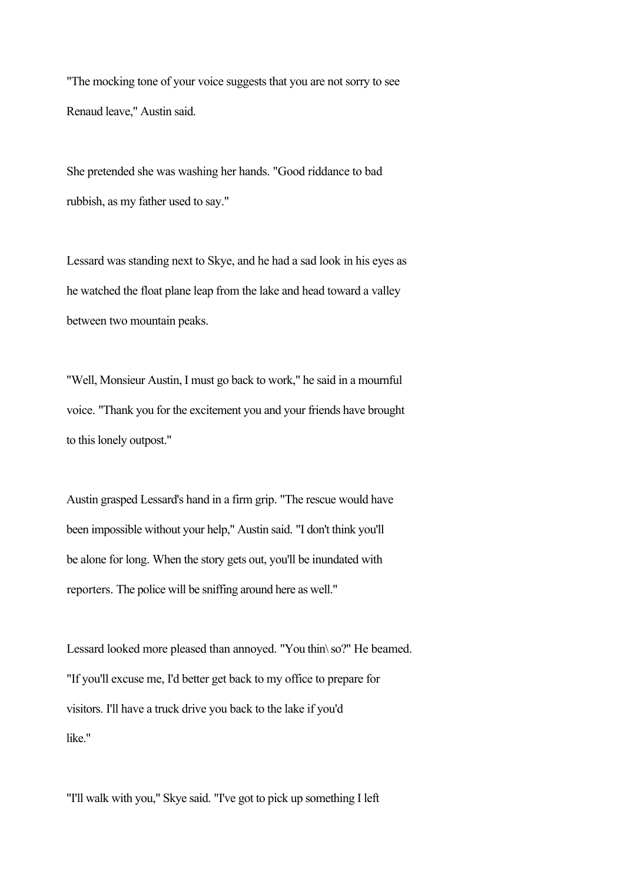"The mocking tone of your voice suggests that you are not sorry to see Renaud leave," Austin said.

 She pretended she was washing her hands. "Good riddance to bad rubbish, as my father used to say."

 Lessard was standing next to Skye, and he had a sad look in his eyes as he watched the float plane leap from the lake and head toward a valley between two mountain peaks.

 "Well, Monsieur Austin, I must go back to work," he said in a mournful voice. "Thank you for the excitement you and your friends have brought to this lonely outpost."

 Austin grasped Lessard's hand in a firm grip. "The rescue would have been impossible without your help," Austin said. "I don't think you'll be alone for long. When the story gets out, you'll be inundated with reporters. The police will be sniffing around here as well."

 Lessard looked more pleased than annoyed. "You thin\ so?" He beamed. "If you'll excuse me, I'd better get back to my office to prepare for visitors. I'll have a truck drive you back to the lake if you'd like."

"I'll walk with you," Skye said. "I've got to pick up something I left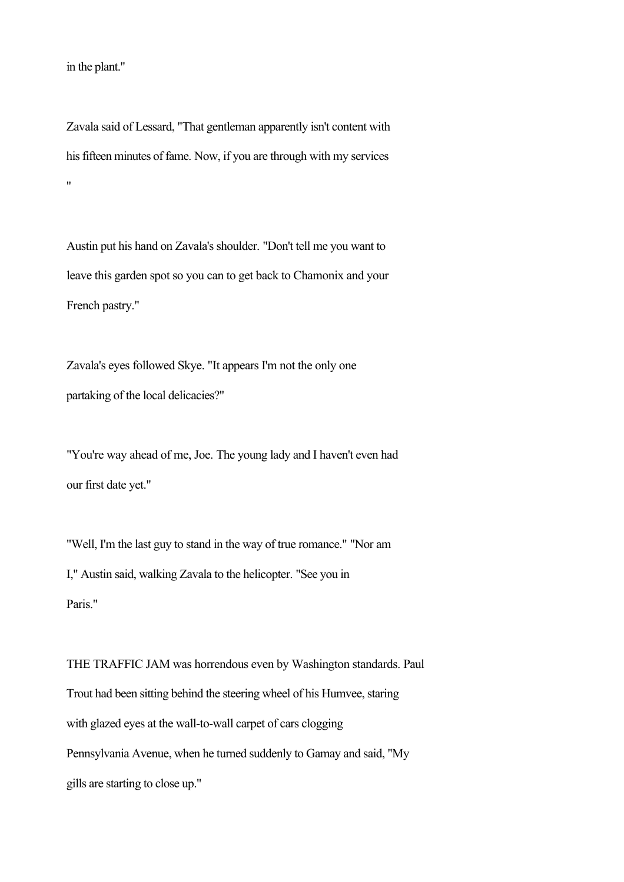in the plant."

 Zavala said of Lessard, "That gentleman apparently isn't content with his fifteen minutes of fame. Now, if you are through with my services "

 Austin put his hand on Zavala's shoulder. "Don't tell me you want to leave this garden spot so you can to get back to Chamonix and your French pastry."

 Zavala's eyes followed Skye. "It appears I'm not the only one partaking of the local delicacies?"

 "You're way ahead of me, Joe. The young lady and I haven't even had our first date yet."

 "Well, I'm the last guy to stand in the way of true romance." "Nor am I," Austin said, walking Zavala to the helicopter. "See you in Paris<sup>"</sup>

 THE TRAFFIC JAM was horrendous even by Washington standards. Paul Trout had been sitting behind the steering wheel of his Humvee, staring with glazed eyes at the wall-to-wall carpet of cars clogging Pennsylvania Avenue, when he turned suddenly to Gamay and said, "My gills are starting to close up."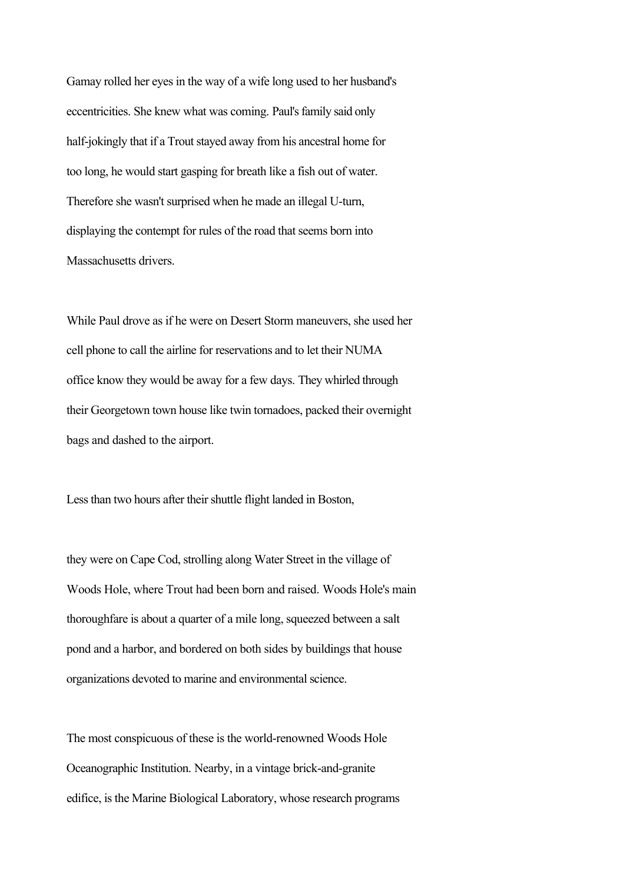Gamay rolled her eyes in the way of a wife long used to her husband's eccentricities. She knew what was coming. Paul's family said only half-jokingly that if a Trout stayed away from his ancestral home for too long, he would start gasping for breath like a fish out of water. Therefore she wasn't surprised when he made an illegal U-turn, displaying the contempt for rules of the road that seems born into Massachusetts drivers.

 While Paul drove as if he were on Desert Storm maneuvers, she used her cell phone to call the airline for reservations and to let their NUMA office know they would be away for a few days. They whirled through their Georgetown town house like twin tornadoes, packed their overnight bags and dashed to the airport.

Less than two hours after their shuttle flight landed in Boston,

 they were on Cape Cod, strolling along Water Street in the village of Woods Hole, where Trout had been born and raised. Woods Hole's main thoroughfare is about a quarter of a mile long, squeezed between a salt pond and a harbor, and bordered on both sides by buildings that house organizations devoted to marine and environmental science.

 The most conspicuous of these is the world-renowned Woods Hole Oceanographic Institution. Nearby, in a vintage brick-and-granite edifice, is the Marine Biological Laboratory, whose research programs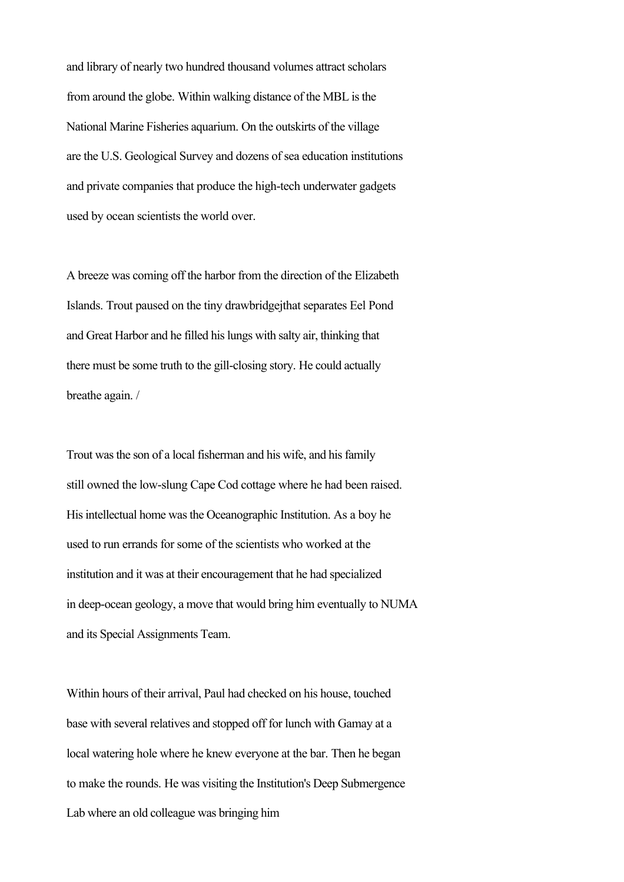and library of nearly two hundred thousand volumes attract scholars from around the globe. Within walking distance of the MBL is the National Marine Fisheries aquarium. On the outskirts of the village are the U.S. Geological Survey and dozens of sea education institutions and private companies that produce the high-tech underwater gadgets used by ocean scientists the world over.

 A breeze was coming off the harbor from the direction of the Elizabeth Islands. Trout paused on the tiny drawbridgejthat separates Eel Pond and Great Harbor and he filled his lungs with salty air, thinking that there must be some truth to the gill-closing story. He could actually breathe again. /

 Trout was the son of a local fisherman and his wife, and his family still owned the low-slung Cape Cod cottage where he had been raised. His intellectual home was the Oceanographic Institution. As a boy he used to run errands for some of the scientists who worked at the institution and it was at their encouragement that he had specialized in deep-ocean geology, a move that would bring him eventually to NUMA and its Special Assignments Team.

 Within hours of their arrival, Paul had checked on his house, touched base with several relatives and stopped off for lunch with Gamay at a local watering hole where he knew everyone at the bar. Then he began to make the rounds. He was visiting the Institution's Deep Submergence Lab where an old colleague was bringing him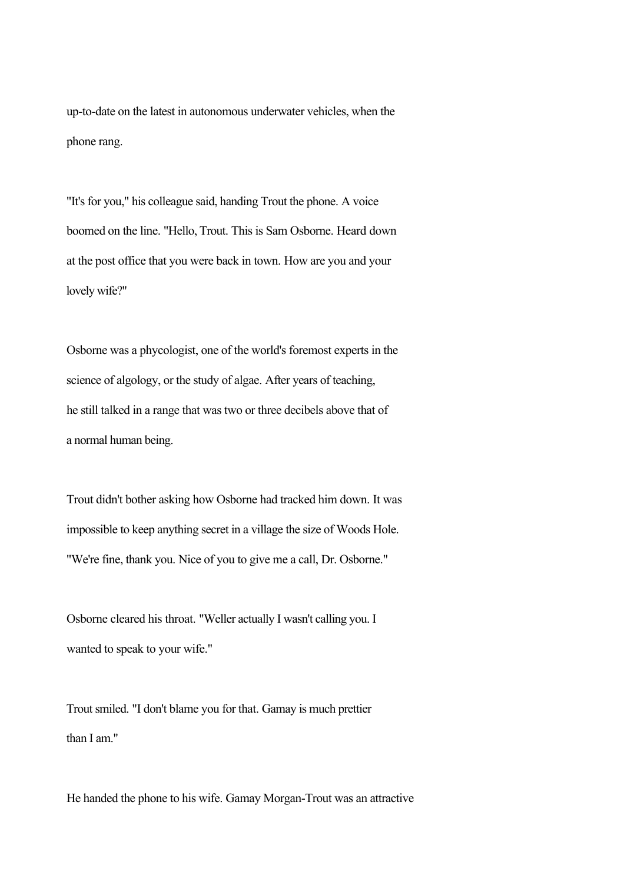up-to-date on the latest in autonomous underwater vehicles, when the phone rang.

 "It's for you," his colleague said, handing Trout the phone. A voice boomed on the line. "Hello, Trout. This is Sam Osborne. Heard down at the post office that you were back in town. How are you and your lovely wife?"

 Osborne was a phycologist, one of the world's foremost experts in the science of algology, or the study of algae. After years of teaching, he still talked in a range that was two or three decibels above that of a normal human being.

 Trout didn't bother asking how Osborne had tracked him down. It was impossible to keep anything secret in a village the size of Woods Hole. "We're fine, thank you. Nice of you to give me a call, Dr. Osborne."

 Osborne cleared his throat. "Weller actually I wasn't calling you. I wanted to speak to your wife."

 Trout smiled. "I don't blame you for that. Gamay is much prettier than I am."

He handed the phone to his wife. Gamay Morgan-Trout was an attractive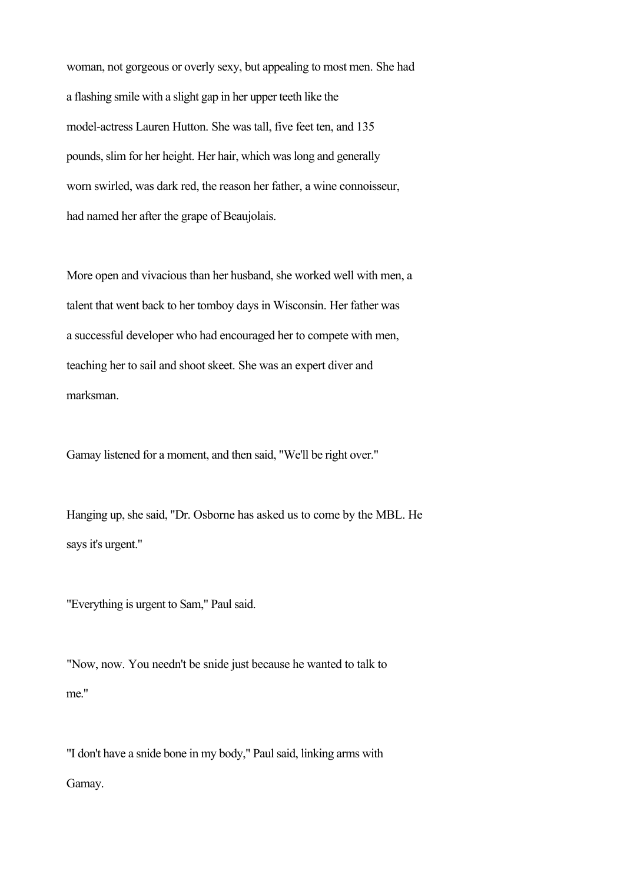woman, not gorgeous or overly sexy, but appealing to most men. She had a flashing smile with a slight gap in her upper teeth like the model-actress Lauren Hutton. She was tall, five feet ten, and 135 pounds, slim for her height. Her hair, which was long and generally worn swirled, was dark red, the reason her father, a wine connoisseur, had named her after the grape of Beaujolais.

 More open and vivacious than her husband, she worked well with men, a talent that went back to her tomboy days in Wisconsin. Her father was a successful developer who had encouraged her to compete with men, teaching her to sail and shoot skeet. She was an expert diver and marksman.

Gamay listened for a moment, and then said, "We'll be right over."

 Hanging up, she said, "Dr. Osborne has asked us to come by the MBL. He says it's urgent."

"Everything is urgent to Sam," Paul said.

 "Now, now. You needn't be snide just because he wanted to talk to me."

 "I don't have a snide bone in my body," Paul said, linking arms with Gamay.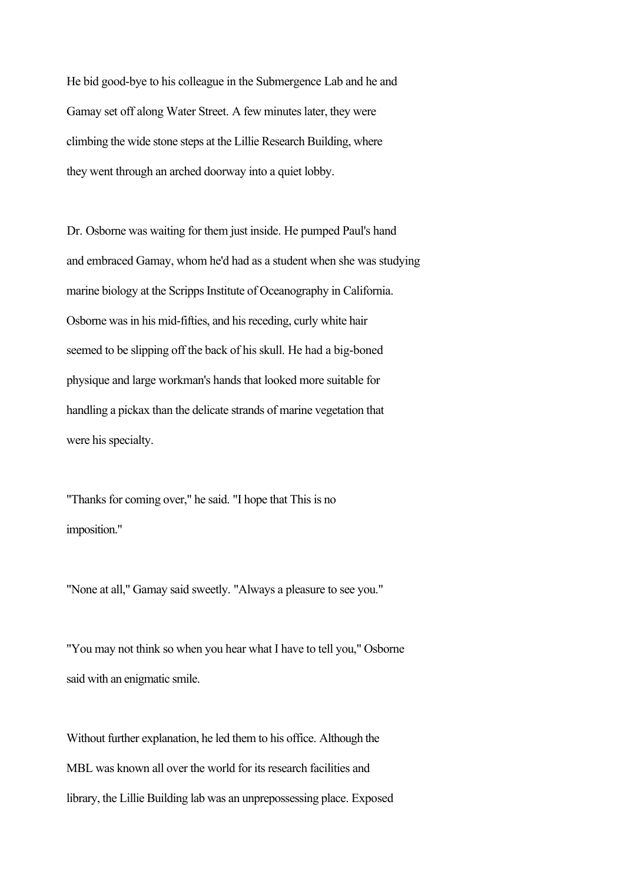He bid good-bye to his colleague in the Submergence Lab and he and Gamay set off along Water Street. A few minutes later, they were climbing the wide stone steps at the Lillie Research Building, where they went through an arched doorway into a quiet lobby.

 Dr. Osborne was waiting for them just inside. He pumped Paul's hand and embraced Gamay, whom he'd had as a student when she was studying marine biology at the Scripps Institute of Oceanography in California. Osborne was in his mid-fifties, and his receding, curly white hair seemed to be slipping off the back of his skull. He had a big-boned physique and large workman's hands that looked more suitable for handling a pickax than the delicate strands of marine vegetation that were his specialty.

 "Thanks for coming over," he said. "I hope that This is no imposition."

"None at all," Gamay said sweetly. "Always a pleasure to see you."

 "You may not think so when you hear what I have to tell you," Osborne said with an enigmatic smile.

 Without further explanation, he led them to his office. Although the MBL was known all over the world for its research facilities and library, the Lillie Building lab was an unprepossessing place. Exposed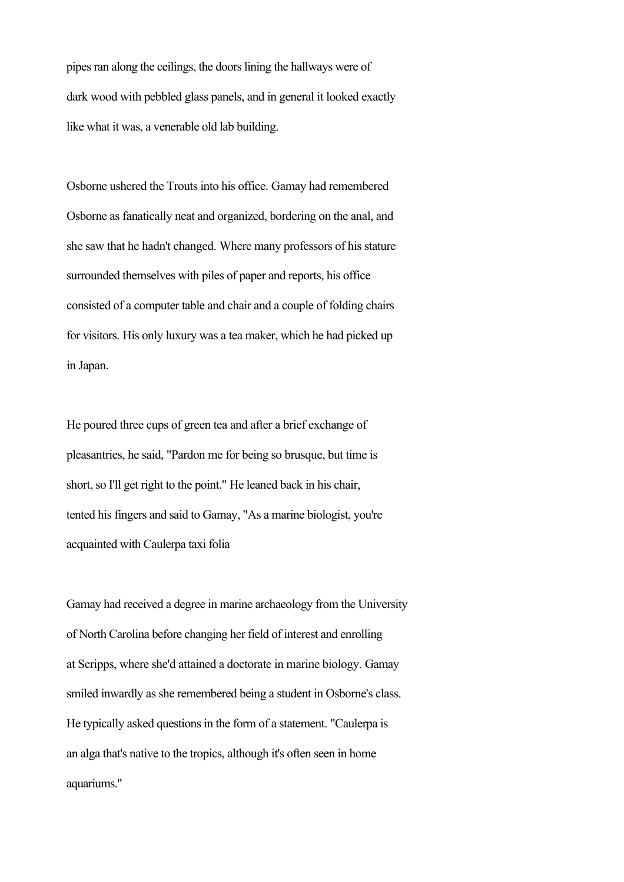pipes ran along the ceilings, the doors lining the hallways were of dark wood with pebbled glass panels, and in general it looked exactly like what it was, a venerable old lab building.

 Osborne ushered the Trouts into his office. Gamay had remembered Osborne as fanatically neat and organized, bordering on the anal, and she saw that he hadn't changed. Where many professors of his stature surrounded themselves with piles of paper and reports, his office consisted of a computer table and chair and a couple of folding chairs for visitors. His only luxury was a tea maker, which he had picked up in Japan.

 He poured three cups of green tea and after a brief exchange of pleasantries, he said, "Pardon me for being so brusque, but time is short, so I'll get right to the point." He leaned back in his chair, tented his fingers and said to Gamay, "As a marine biologist, you're acquainted with Caulerpa taxi folia

 Gamay had received a degree in marine archaeology from the University of North Carolina before changing her field of interest and enrolling at Scripps, where she'd attained a doctorate in marine biology. Gamay smiled inwardly as she remembered being a student in Osborne's class. He typically asked questions in the form of a statement. "Caulerpa is an alga that's native to the tropics, although it's often seen in home aquariums."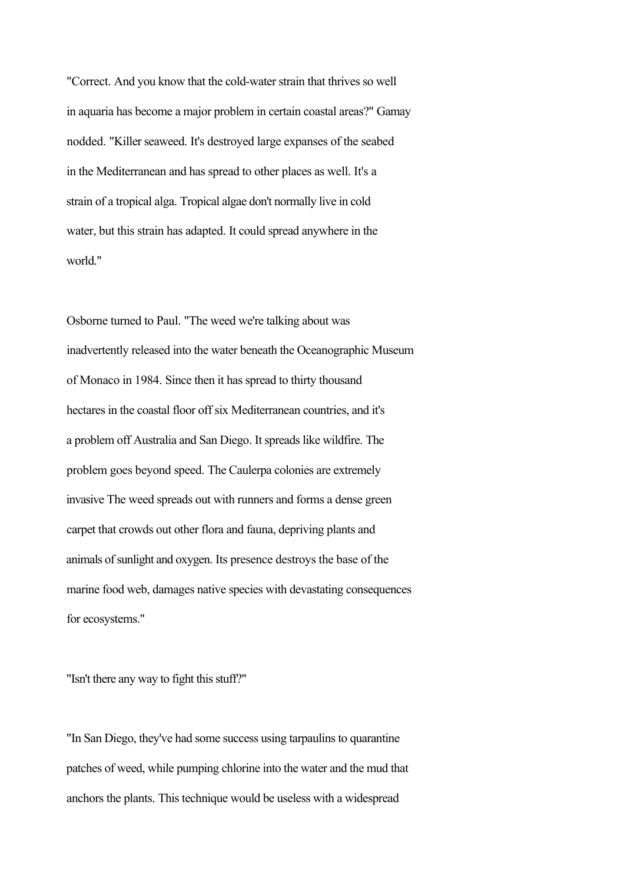"Correct. And you know that the cold-water strain that thrives so well in aquaria has become a major problem in certain coastal areas?" Gamay nodded. "Killer seaweed. It's destroyed large expanses of the seabed in the Mediterranean and has spread to other places as well. It's a strain of a tropical alga. Tropical algae don't normally live in cold water, but this strain has adapted. It could spread anywhere in the world."

 Osborne turned to Paul. "The weed we're talking about was inadvertently released into the water beneath the Oceanographic Museum of Monaco in 1984. Since then it has spread to thirty thousand hectares in the coastal floor off six Mediterranean countries, and it's a problem off Australia and San Diego. It spreads like wildfire. The problem goes beyond speed. The Caulerpa colonies are extremely invasive The weed spreads out with runners and forms a dense green carpet that crowds out other flora and fauna, depriving plants and animals of sunlight and oxygen. Its presence destroys the base of the marine food web, damages native species with devastating consequences for ecosystems."

"Isn't there any way to fight this stuff?"

 "In San Diego, they've had some success using tarpaulins to quarantine patches of weed, while pumping chlorine into the water and the mud that anchors the plants. This technique would be useless with a widespread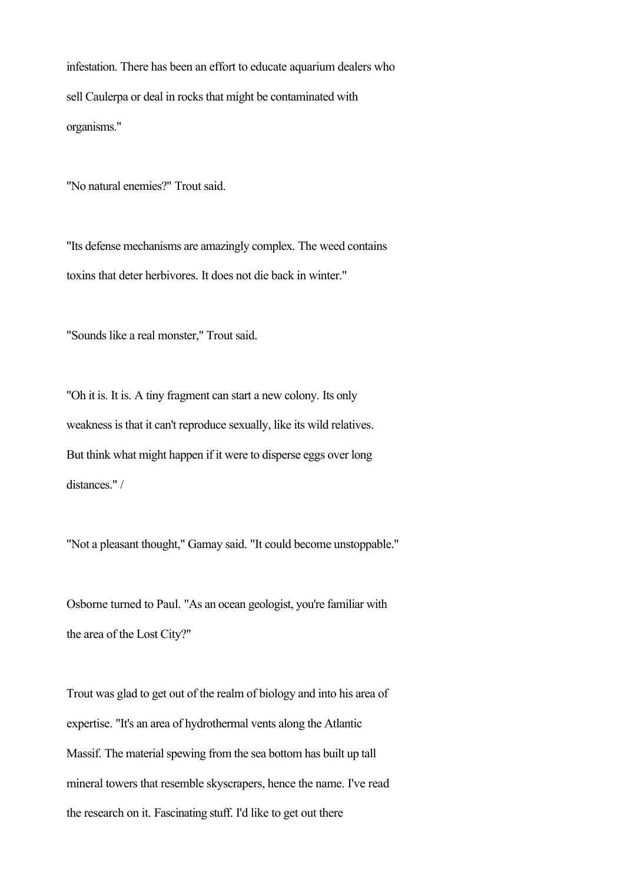infestation. There has been an effort to educate aquarium dealers who sell Caulerpa or deal in rocks that might be contaminated with organisms."

"No natural enemies?" Trout said.

 "Its defense mechanisms are amazingly complex. The weed contains toxins that deter herbivores. It does not die back in winter."

"Sounds like a real monster," Trout said.

 "Oh it is. It is. A tiny fragment can start a new colony. Its only weakness is that it can't reproduce sexually, like its wild relatives. But think what might happen if it were to disperse eggs over long distances." /

"Not a pleasant thought," Gamay said. "It could become unstoppable."

 Osborne turned to Paul. "As an ocean geologist, you're familiar with the area of the Lost City?"

 Trout was glad to get out of the realm of biology and into his area of expertise. "It's an area of hydrothermal vents along the Atlantic Massif. The material spewing from the sea bottom has built up tall mineral towers that resemble skyscrapers, hence the name. I've read the research on it. Fascinating stuff. I'd like to get out there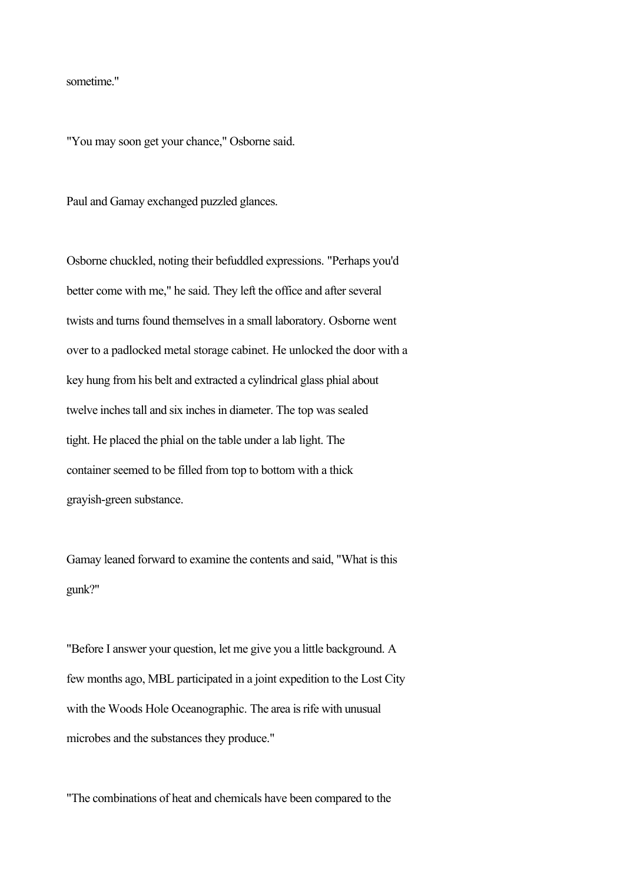sometime."

"You may soon get your chance," Osborne said.

Paul and Gamay exchanged puzzled glances.

 Osborne chuckled, noting their befuddled expressions. "Perhaps you'd better come with me," he said. They left the office and after several twists and turns found themselves in a small laboratory. Osborne went over to a padlocked metal storage cabinet. He unlocked the door with a key hung from his belt and extracted a cylindrical glass phial about twelve inches tall and six inches in diameter. The top was sealed tight. He placed the phial on the table under a lab light. The container seemed to be filled from top to bottom with a thick grayish-green substance.

 Gamay leaned forward to examine the contents and said, "What is this gunk?"

 "Before I answer your question, let me give you a little background. A few months ago, MBL participated in a joint expedition to the Lost City with the Woods Hole Oceanographic. The area is rife with unusual microbes and the substances they produce."

"The combinations of heat and chemicals have been compared to the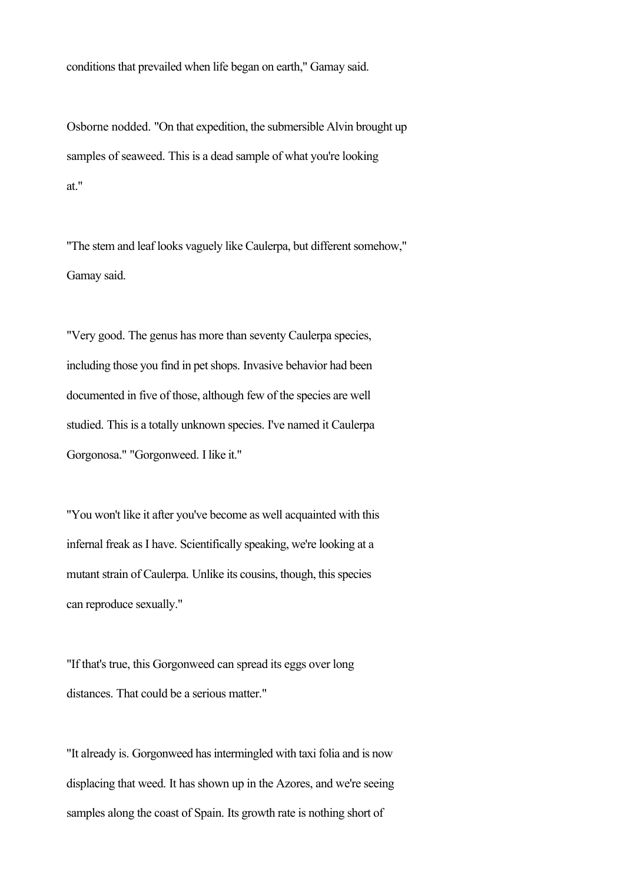conditions that prevailed when life began on earth," Gamay said.

 Osborne nodded. "On that expedition, the submersible Alvin brought up samples of seaweed. This is a dead sample of what you're looking at."

 "The stem and leaf looks vaguely like Caulerpa, but different somehow," Gamay said.

 "Very good. The genus has more than seventy Caulerpa species, including those you find in pet shops. Invasive behavior had been documented in five of those, although few of the species are well studied. This is a totally unknown species. I've named it Caulerpa Gorgonosa." "Gorgonweed. I like it."

 "You won't like it after you've become as well acquainted with this infernal freak as I have. Scientifically speaking, we're looking at a mutant strain of Caulerpa. Unlike its cousins, though, this species can reproduce sexually."

 "If that's true, this Gorgonweed can spread its eggs over long distances. That could be a serious matter."

 "It already is. Gorgonweed has intermingled with taxi folia and is now displacing that weed. It has shown up in the Azores, and we're seeing samples along the coast of Spain. Its growth rate is nothing short of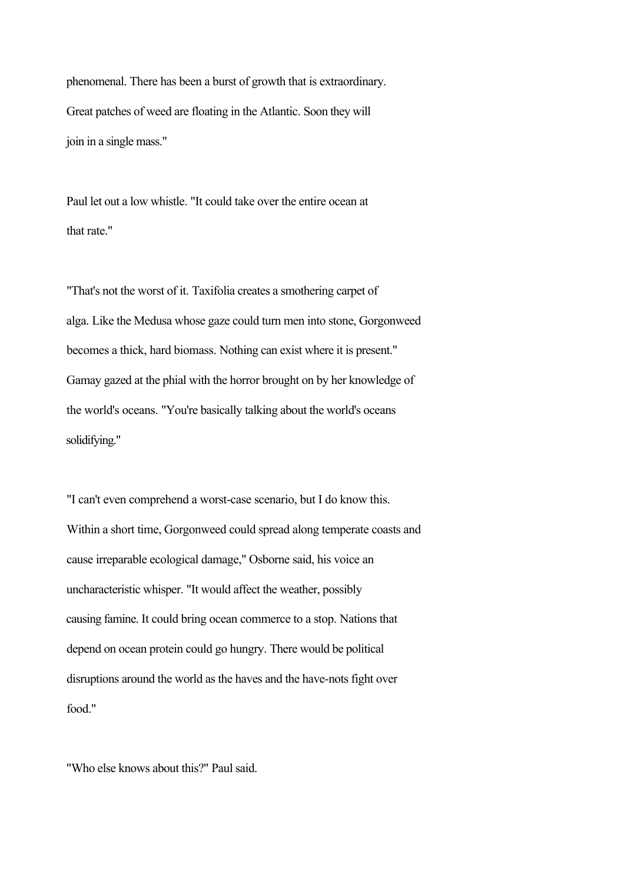phenomenal. There has been a burst of growth that is extraordinary. Great patches of weed are floating in the Atlantic. Soon they will join in a single mass."

 Paul let out a low whistle. "It could take over the entire ocean at that rate."

 "That's not the worst of it. Taxifolia creates a smothering carpet of alga. Like the Medusa whose gaze could turn men into stone, Gorgonweed becomes a thick, hard biomass. Nothing can exist where it is present." Gamay gazed at the phial with the horror brought on by her knowledge of the world's oceans. "You're basically talking about the world's oceans solidifying."

 "I can't even comprehend a worst-case scenario, but I do know this. Within a short time, Gorgonweed could spread along temperate coasts and cause irreparable ecological damage," Osborne said, his voice an uncharacteristic whisper. "It would affect the weather, possibly causing famine. It could bring ocean commerce to a stop. Nations that depend on ocean protein could go hungry. There would be political disruptions around the world as the haves and the have-nots fight over food."

"Who else knows about this?" Paul said.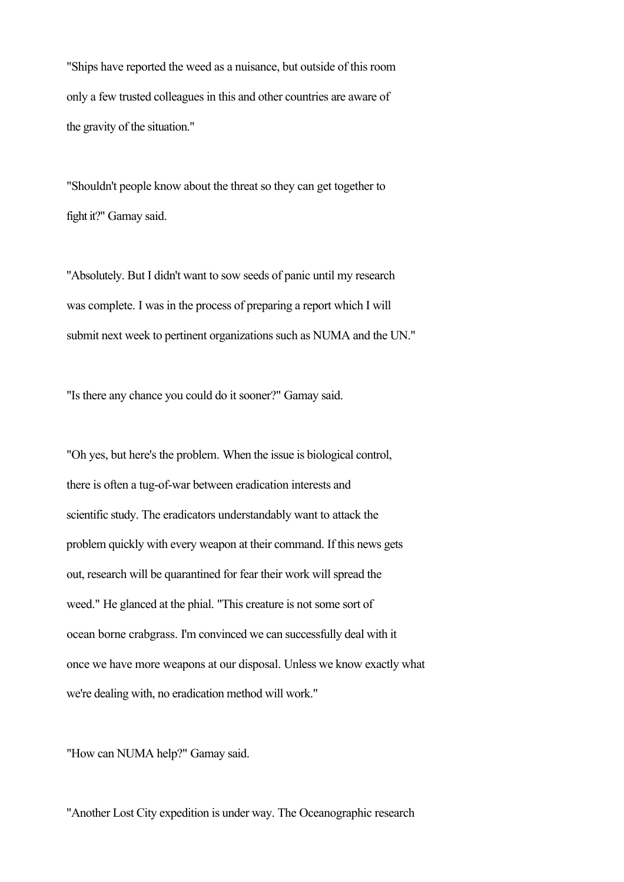"Ships have reported the weed as a nuisance, but outside of this room only a few trusted colleagues in this and other countries are aware of the gravity of the situation."

 "Shouldn't people know about the threat so they can get together to fight it?" Gamay said.

 "Absolutely. But I didn't want to sow seeds of panic until my research was complete. I was in the process of preparing a report which I will submit next week to pertinent organizations such as NUMA and the UN."

"Is there any chance you could do it sooner?" Gamay said.

 "Oh yes, but here's the problem. When the issue is biological control, there is often a tug-of-war between eradication interests and scientific study. The eradicators understandably want to attack the problem quickly with every weapon at their command. If this news gets out, research will be quarantined for fear their work will spread the weed." He glanced at the phial. "This creature is not some sort of ocean borne crabgrass. I'm convinced we can successfully deal with it once we have more weapons at our disposal. Unless we know exactly what we're dealing with, no eradication method will work."

"How can NUMA help?" Gamay said.

"Another Lost City expedition is under way. The Oceanographic research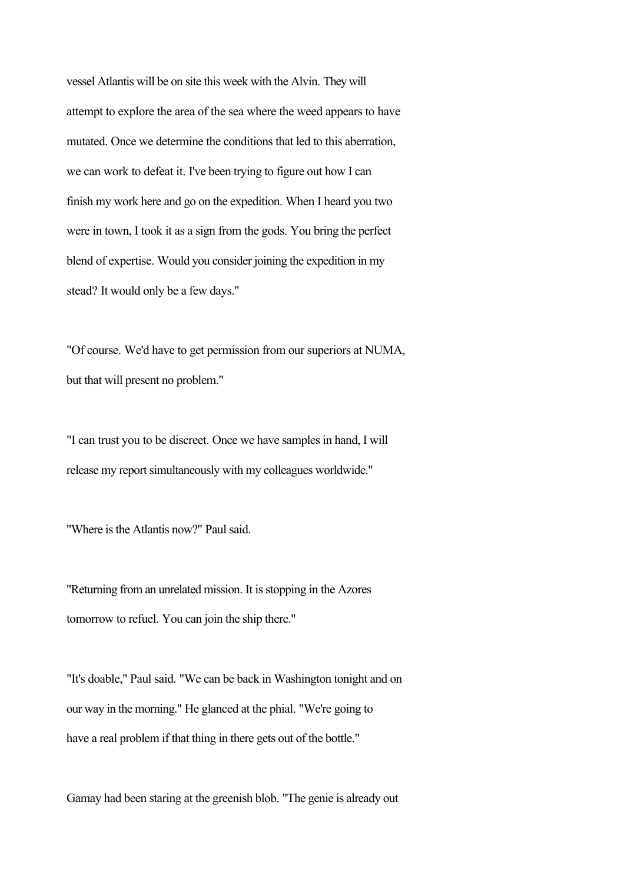vessel Atlantis will be on site this week with the Alvin. They will attempt to explore the area of the sea where the weed appears to have mutated. Once we determine the conditions that led to this aberration, we can work to defeat it. I've been trying to figure out how I can finish my work here and go on the expedition. When I heard you two were in town, I took it as a sign from the gods. You bring the perfect blend of expertise. Would you consider joining the expedition in my stead? It would only be a few days."

 "Of course. We'd have to get permission from our superiors at NUMA, but that will present no problem."

 "I can trust you to be discreet. Once we have samples in hand, I will release my report simultaneously with my colleagues worldwide."

"Where is the Atlantis now?" Paul said.

 "Returning from an unrelated mission. It is stopping in the Azores tomorrow to refuel. You can join the ship there."

 "It's doable," Paul said. "We can be back in Washington tonight and on our way in the morning." He glanced at the phial. "We're going to have a real problem if that thing in there gets out of the bottle."

Gamay had been staring at the greenish blob. "The genie is already out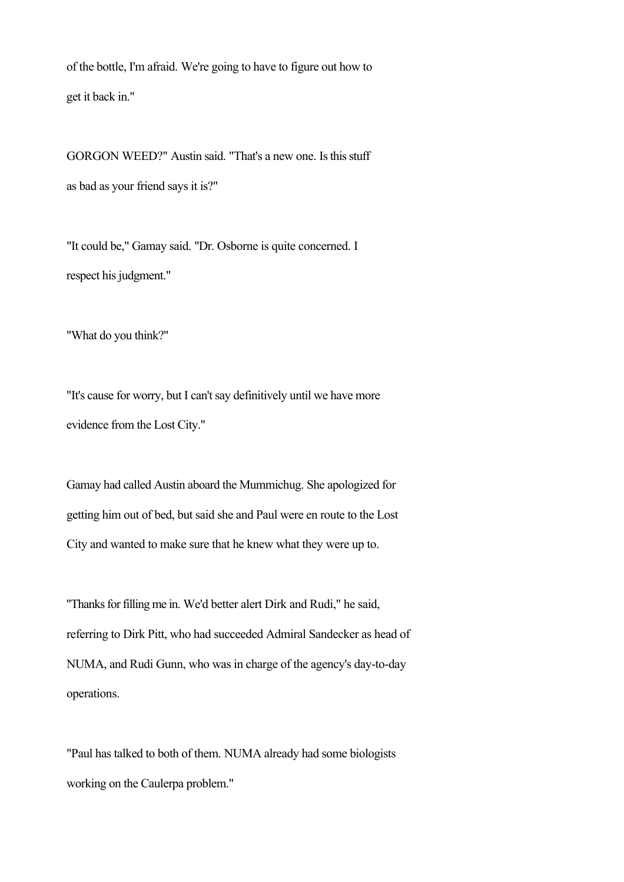of the bottle, I'm afraid. We're going to have to figure out how to get it back in."

 GORGON WEED?" Austin said. "That's a new one. Is this stuff as bad as your friend says it is?"

 "It could be," Gamay said. "Dr. Osborne is quite concerned. I respect his judgment."

"What do you think?"

 "It's cause for worry, but I can't say definitively until we have more evidence from the Lost City."

 Gamay had called Austin aboard the Mummichug. She apologized for getting him out of bed, but said she and Paul were en route to the Lost City and wanted to make sure that he knew what they were up to.

 "Thanks for filling me in. We'd better alert Dirk and Rudi," he said, referring to Dirk Pitt, who had succeeded Admiral Sandecker as head of NUMA, and Rudi Gunn, who was in charge of the agency's day-to-day operations.

 "Paul has talked to both of them. NUMA already had some biologists working on the Caulerpa problem."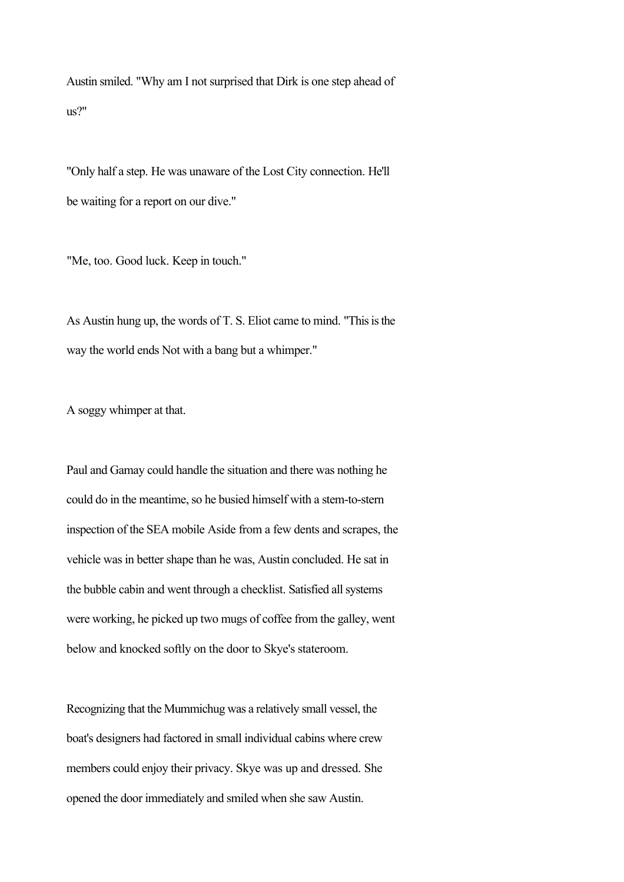Austin smiled. "Why am I not surprised that Dirk is one step ahead of us?"

 "Only half a step. He was unaware of the Lost City connection. He'll be waiting for a report on our dive."

"Me, too. Good luck. Keep in touch."

 As Austin hung up, the words of T. S. Eliot came to mind. "This is the way the world ends Not with a bang but a whimper."

A soggy whimper at that.

 Paul and Gamay could handle the situation and there was nothing he could do in the meantime, so he busied himself with a stem-to-stern inspection of the SEA mobile Aside from a few dents and scrapes, the vehicle was in better shape than he was, Austin concluded. He sat in the bubble cabin and went through a checklist. Satisfied all systems were working, he picked up two mugs of coffee from the galley, went below and knocked softly on the door to Skye's stateroom.

 Recognizing that the Mummichug was a relatively small vessel, the boat's designers had factored in small individual cabins where crew members could enjoy their privacy. Skye was up and dressed. She opened the door immediately and smiled when she saw Austin.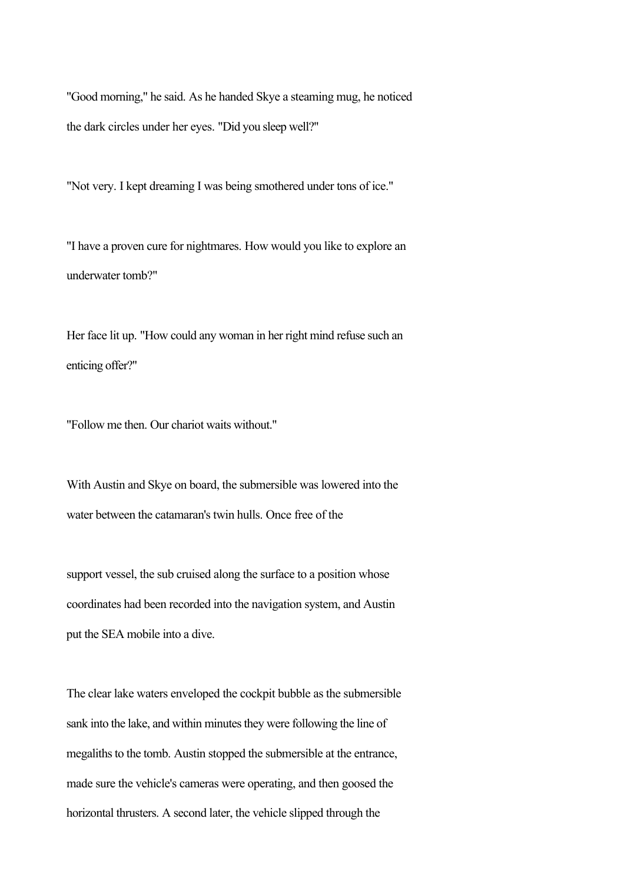"Good morning," he said. As he handed Skye a steaming mug, he noticed the dark circles under her eyes. "Did you sleep well?"

"Not very. I kept dreaming I was being smothered under tons of ice."

 "I have a proven cure for nightmares. How would you like to explore an underwater tomb?"

 Her face lit up. "How could any woman in her right mind refuse such an enticing offer?"

"Follow me then. Our chariot waits without."

 With Austin and Skye on board, the submersible was lowered into the water between the catamaran's twin hulls. Once free of the

 support vessel, the sub cruised along the surface to a position whose coordinates had been recorded into the navigation system, and Austin put the SEA mobile into a dive.

 The clear lake waters enveloped the cockpit bubble as the submersible sank into the lake, and within minutes they were following the line of megaliths to the tomb. Austin stopped the submersible at the entrance, made sure the vehicle's cameras were operating, and then goosed the horizontal thrusters. A second later, the vehicle slipped through the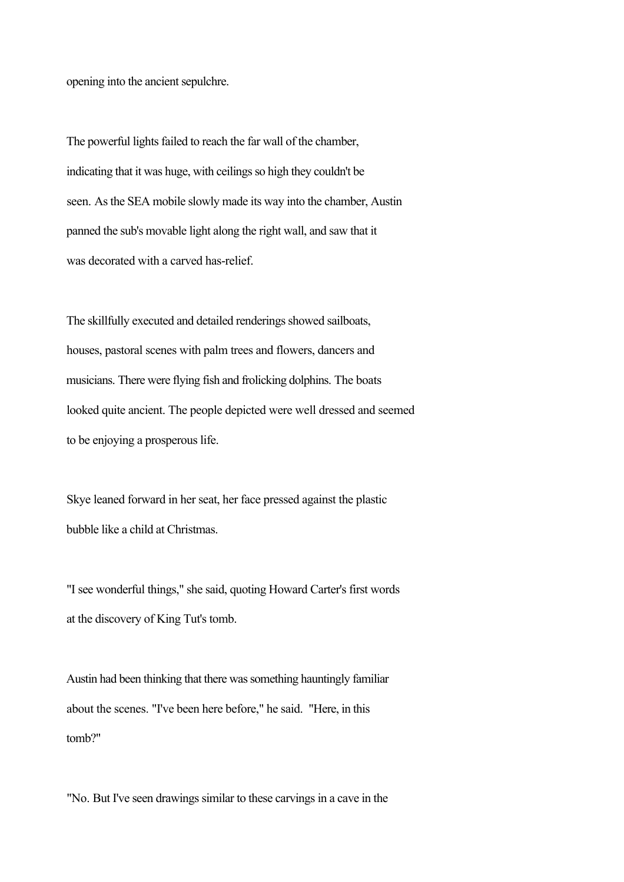opening into the ancient sepulchre.

 The powerful lights failed to reach the far wall of the chamber, indicating that it was huge, with ceilings so high they couldn't be seen. As the SEA mobile slowly made its way into the chamber, Austin panned the sub's movable light along the right wall, and saw that it was decorated with a carved has-relief.

 The skillfully executed and detailed renderings showed sailboats, houses, pastoral scenes with palm trees and flowers, dancers and musicians. There were flying fish and frolicking dolphins. The boats looked quite ancient. The people depicted were well dressed and seemed to be enjoying a prosperous life.

 Skye leaned forward in her seat, her face pressed against the plastic bubble like a child at Christmas.

 "I see wonderful things," she said, quoting Howard Carter's first words at the discovery of King Tut's tomb.

 Austin had been thinking that there was something hauntingly familiar about the scenes. "I've been here before," he said. "Here, in this tomb?"

"No. But I've seen drawings similar to these carvings in a cave in the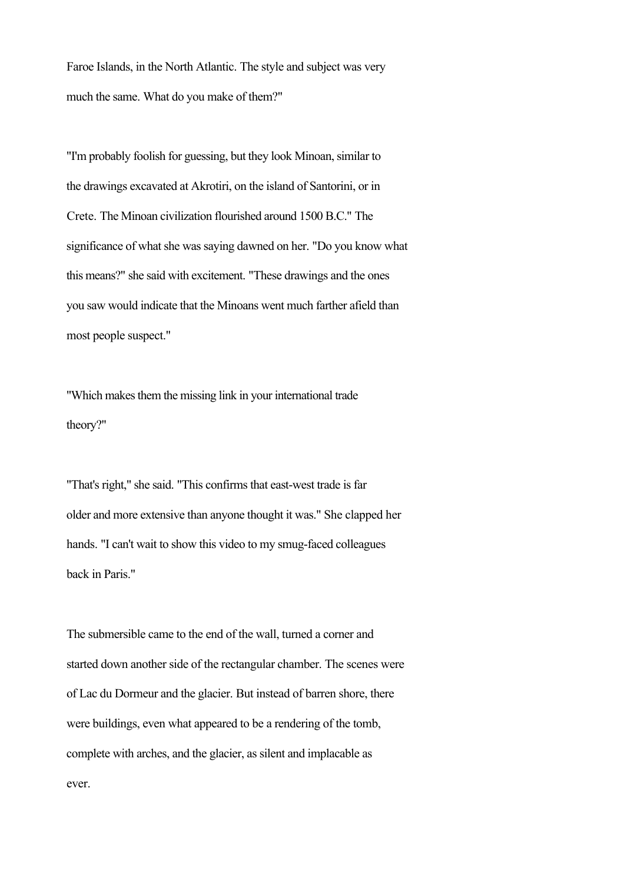Faroe Islands, in the North Atlantic. The style and subject was very much the same. What do you make of them?"

 "I'm probably foolish for guessing, but they look Minoan, similar to the drawings excavated at Akrotiri, on the island of Santorini, or in Crete. The Minoan civilization flourished around 1500 B.C." The significance of what she was saying dawned on her. "Do you know what this means?" she said with excitement. "These drawings and the ones you saw would indicate that the Minoans went much farther afield than most people suspect."

 "Which makes them the missing link in your international trade theory?"

 "That's right," she said. "This confirms that east-west trade is far older and more extensive than anyone thought it was." She clapped her hands. "I can't wait to show this video to my smug-faced colleagues back in Paris."

 The submersible came to the end of the wall, turned a corner and started down another side of the rectangular chamber. The scenes were of Lac du Dormeur and the glacier. But instead of barren shore, there were buildings, even what appeared to be a rendering of the tomb, complete with arches, and the glacier, as silent and implacable as ever.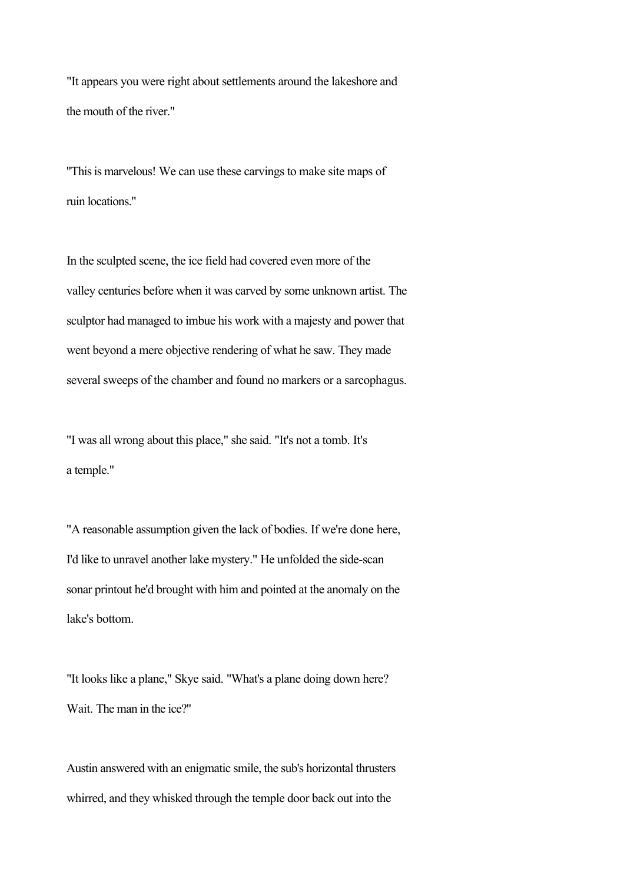"It appears you were right about settlements around the lakeshore and the mouth of the river."

 "This is marvelous! We can use these carvings to make site maps of ruin locations."

 In the sculpted scene, the ice field had covered even more of the valley centuries before when it was carved by some unknown artist. The sculptor had managed to imbue his work with a majesty and power that went beyond a mere objective rendering of what he saw. They made several sweeps of the chamber and found no markers or a sarcophagus.

 "I was all wrong about this place," she said. "It's not a tomb. It's a temple."

 "A reasonable assumption given the lack of bodies. If we're done here, I'd like to unravel another lake mystery." He unfolded the side-scan sonar printout he'd brought with him and pointed at the anomaly on the lake's bottom.

 "It looks like a plane," Skye said. "What's a plane doing down here? Wait. The man in the ice?"

 Austin answered with an enigmatic smile, the sub's horizontal thrusters whirred, and they whisked through the temple door back out into the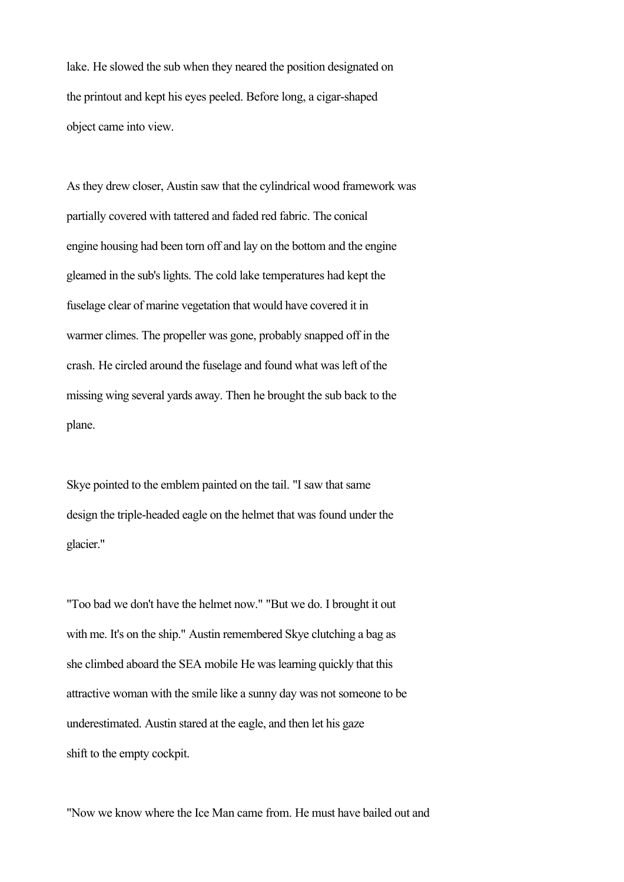lake. He slowed the sub when they neared the position designated on the printout and kept his eyes peeled. Before long, a cigar-shaped object came into view.

 As they drew closer, Austin saw that the cylindrical wood framework was partially covered with tattered and faded red fabric. The conical engine housing had been torn off and lay on the bottom and the engine gleamed in the sub's lights. The cold lake temperatures had kept the fuselage clear of marine vegetation that would have covered it in warmer climes. The propeller was gone, probably snapped off in the crash. He circled around the fuselage and found what was left of the missing wing several yards away. Then he brought the sub back to the plane.

 Skye pointed to the emblem painted on the tail. "I saw that same design the triple-headed eagle on the helmet that was found under the glacier."

 "Too bad we don't have the helmet now." "But we do. I brought it out with me. It's on the ship." Austin remembered Skye clutching a bag as she climbed aboard the SEA mobile He was learning quickly that this attractive woman with the smile like a sunny day was not someone to be underestimated. Austin stared at the eagle, and then let his gaze shift to the empty cockpit.

"Now we know where the Ice Man came from. He must have bailed out and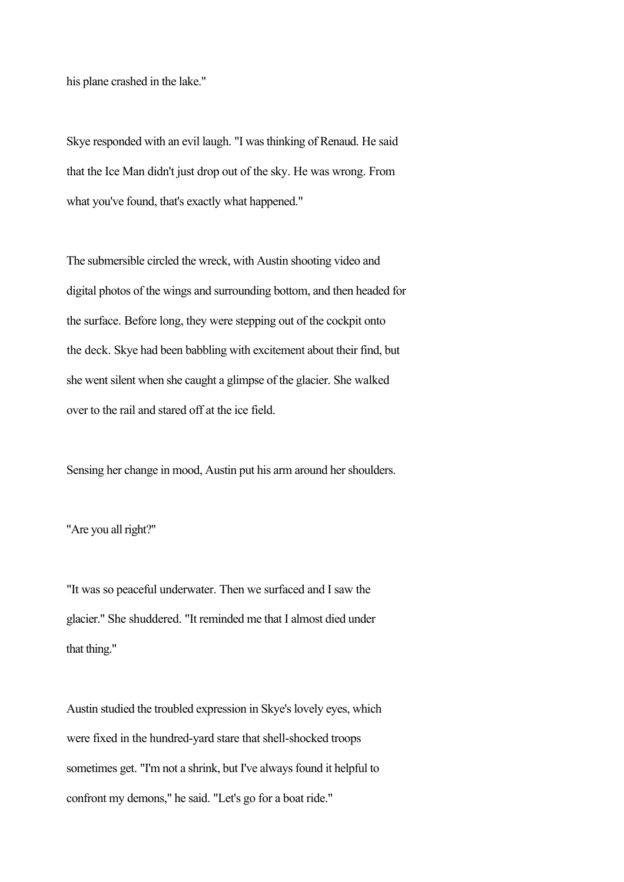his plane crashed in the lake."

 Skye responded with an evil laugh. "I was thinking of Renaud. He said that the Ice Man didn't just drop out of the sky. He was wrong. From what you've found, that's exactly what happened."

 The submersible circled the wreck, with Austin shooting video and digital photos of the wings and surrounding bottom, and then headed for the surface. Before long, they were stepping out of the cockpit onto the deck. Skye had been babbling with excitement about their find, but she went silent when she caught a glimpse of the glacier. She walked over to the rail and stared off at the ice field.

Sensing her change in mood, Austin put his arm around her shoulders.

"Are you all right?"

 "It was so peaceful underwater. Then we surfaced and I saw the glacier." She shuddered. "It reminded me that I almost died under that thing."

 Austin studied the troubled expression in Skye's lovely eyes, which were fixed in the hundred-yard stare that shell-shocked troops sometimes get. "I'm not a shrink, but I've always found it helpful to confront my demons," he said. "Let's go for a boat ride."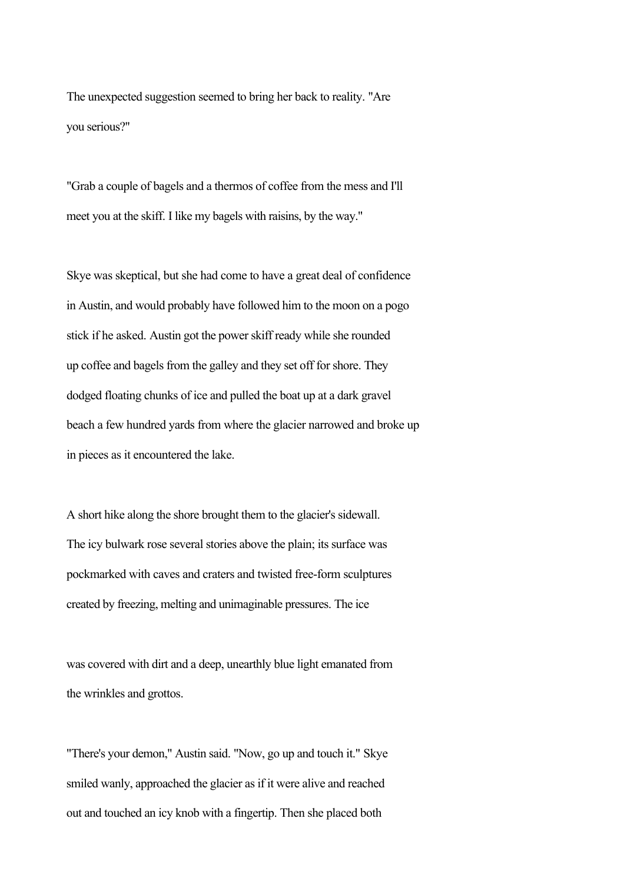The unexpected suggestion seemed to bring her back to reality. "Are you serious?"

 "Grab a couple of bagels and a thermos of coffee from the mess and I'll meet you at the skiff. I like my bagels with raisins, by the way."

 Skye was skeptical, but she had come to have a great deal of confidence in Austin, and would probably have followed him to the moon on a pogo stick if he asked. Austin got the power skiff ready while she rounded up coffee and bagels from the galley and they set off for shore. They dodged floating chunks of ice and pulled the boat up at a dark gravel beach a few hundred yards from where the glacier narrowed and broke up in pieces as it encountered the lake.

 A short hike along the shore brought them to the glacier's sidewall. The icy bulwark rose several stories above the plain; its surface was pockmarked with caves and craters and twisted free-form sculptures created by freezing, melting and unimaginable pressures. The ice

 was covered with dirt and a deep, unearthly blue light emanated from the wrinkles and grottos.

 "There's your demon," Austin said. "Now, go up and touch it." Skye smiled wanly, approached the glacier as if it were alive and reached out and touched an icy knob with a fingertip. Then she placed both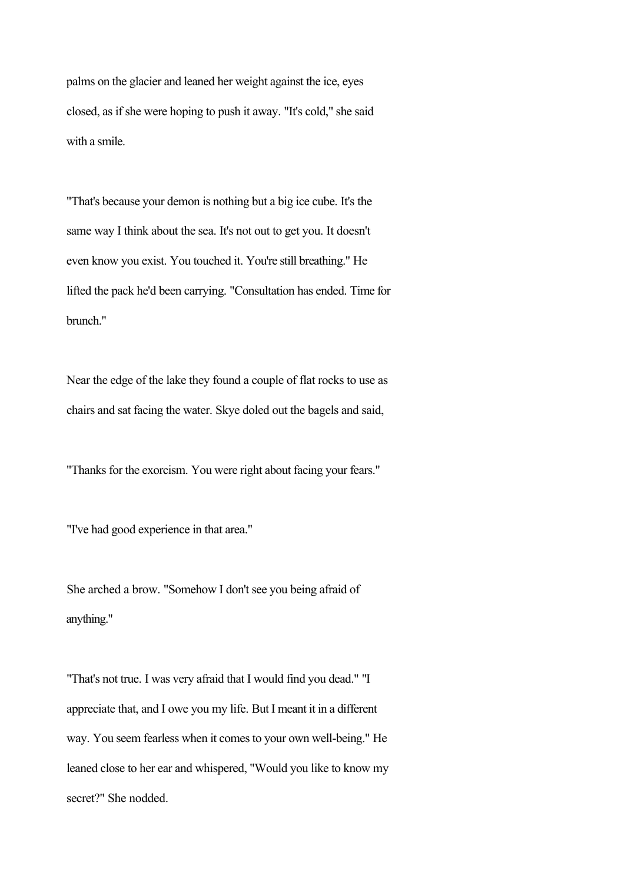palms on the glacier and leaned her weight against the ice, eyes closed, as if she were hoping to push it away. "It's cold," she said with a smile.

 "That's because your demon is nothing but a big ice cube. It's the same way I think about the sea. It's not out to get you. It doesn't even know you exist. You touched it. You're still breathing." He lifted the pack he'd been carrying. "Consultation has ended. Time for brunch."

 Near the edge of the lake they found a couple of flat rocks to use as chairs and sat facing the water. Skye doled out the bagels and said,

"Thanks for the exorcism. You were right about facing your fears."

"I've had good experience in that area."

 She arched a brow. "Somehow I don't see you being afraid of anything."

 "That's not true. I was very afraid that I would find you dead." "I appreciate that, and I owe you my life. But I meant it in a different way. You seem fearless when it comes to your own well-being." He leaned close to her ear and whispered, "Would you like to know my secret?" She nodded.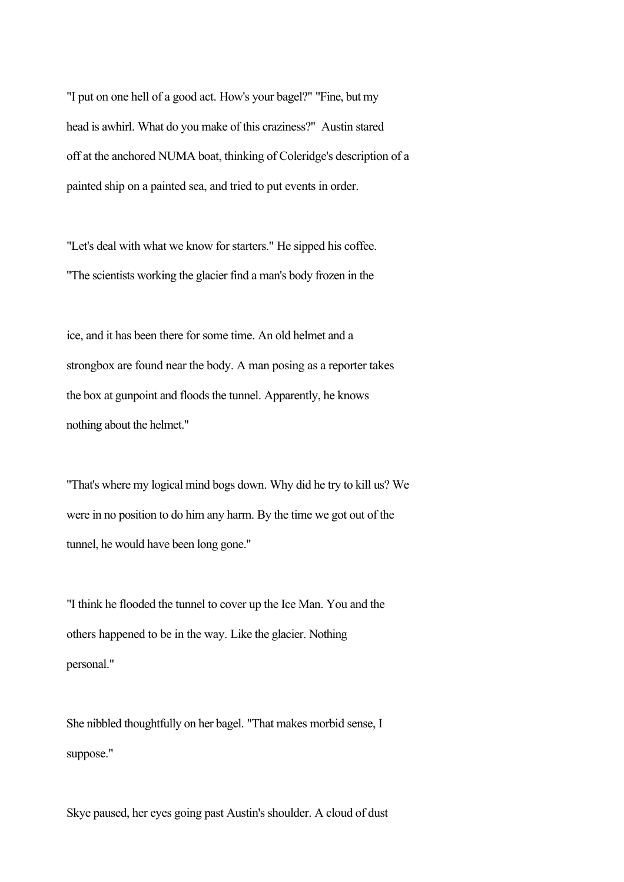"I put on one hell of a good act. How's your bagel?" "Fine, but my head is awhirl. What do you make of this craziness?" Austin stared off at the anchored NUMA boat, thinking of Coleridge's description of a painted ship on a painted sea, and tried to put events in order.

 "Let's deal with what we know for starters." He sipped his coffee. "The scientists working the glacier find a man's body frozen in the

 ice, and it has been there for some time. An old helmet and a strongbox are found near the body. A man posing as a reporter takes the box at gunpoint and floods the tunnel. Apparently, he knows nothing about the helmet."

 "That's where my logical mind bogs down. Why did he try to kill us? We were in no position to do him any harm. By the time we got out of the tunnel, he would have been long gone."

 "I think he flooded the tunnel to cover up the Ice Man. You and the others happened to be in the way. Like the glacier. Nothing personal."

 She nibbled thoughtfully on her bagel. "That makes morbid sense, I suppose."

Skye paused, her eyes going past Austin's shoulder. A cloud of dust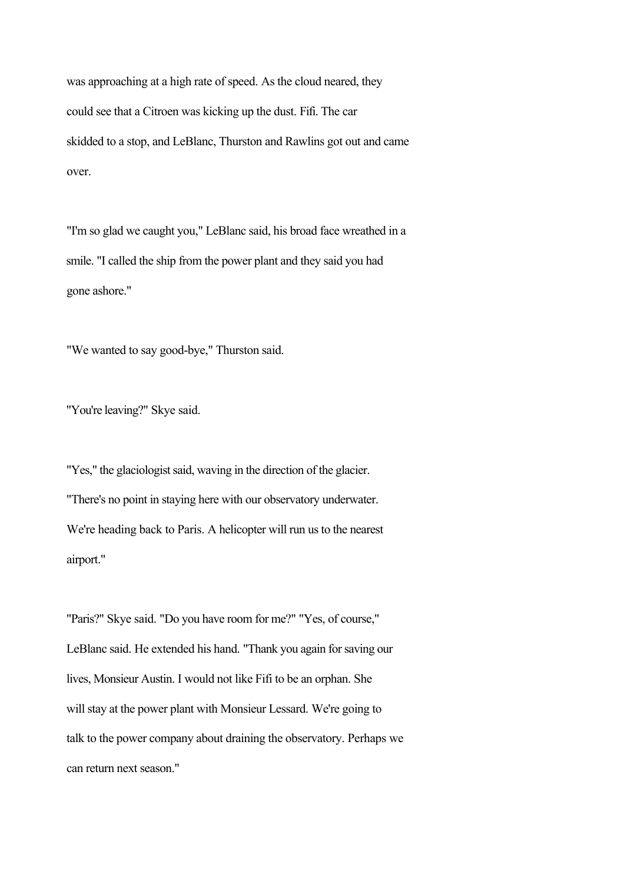was approaching at a high rate of speed. As the cloud neared, they could see that a Citroen was kicking up the dust. Fifi. The car skidded to a stop, and LeBlanc, Thurston and Rawlins got out and came over.

 "I'm so glad we caught you," LeBlanc said, his broad face wreathed in a smile. "I called the ship from the power plant and they said you had gone ashore."

"We wanted to say good-bye," Thurston said.

"You're leaving?" Skye said.

 "Yes," the glaciologist said, waving in the direction of the glacier. "There's no point in staying here with our observatory underwater. We're heading back to Paris. A helicopter will run us to the nearest airport."

 "Paris?" Skye said. "Do you have room for me?" "Yes, of course," LeBlanc said. He extended his hand. "Thank you again for saving our lives, Monsieur Austin. I would not like Fifi to be an orphan. She will stay at the power plant with Monsieur Lessard. We're going to talk to the power company about draining the observatory. Perhaps we can return next season."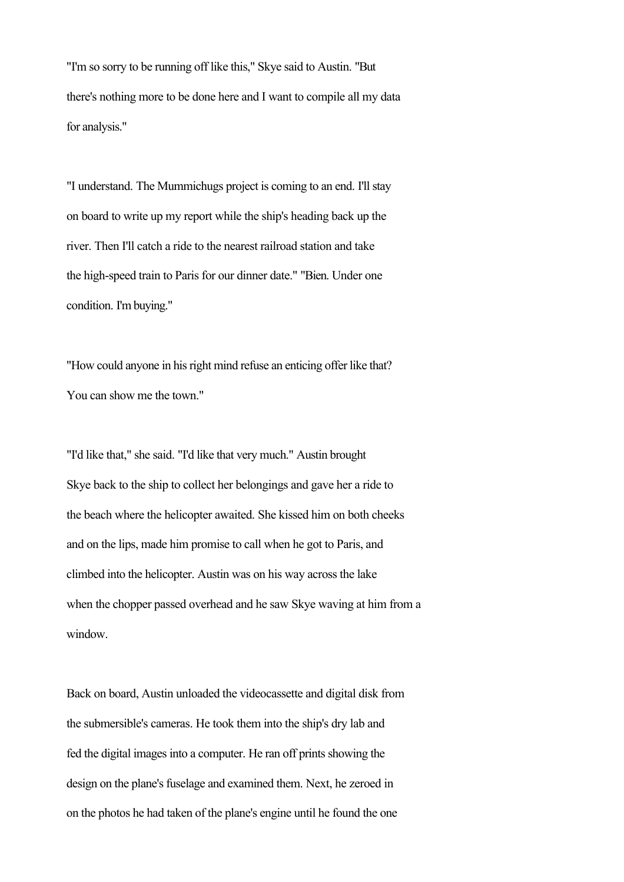"I'm so sorry to be running off like this," Skye said to Austin. "But there's nothing more to be done here and I want to compile all my data for analysis."

 "I understand. The Mummichugs project is coming to an end. I'll stay on board to write up my report while the ship's heading back up the river. Then I'll catch a ride to the nearest railroad station and take the high-speed train to Paris for our dinner date." "Bien. Under one condition. I'm buying."

 "How could anyone in his right mind refuse an enticing offer like that? You can show me the town."

 "I'd like that," she said. "I'd like that very much." Austin brought Skye back to the ship to collect her belongings and gave her a ride to the beach where the helicopter awaited. She kissed him on both cheeks and on the lips, made him promise to call when he got to Paris, and climbed into the helicopter. Austin was on his way across the lake when the chopper passed overhead and he saw Skye waving at him from a window.

 Back on board, Austin unloaded the videocassette and digital disk from the submersible's cameras. He took them into the ship's dry lab and fed the digital images into a computer. He ran off prints showing the design on the plane's fuselage and examined them. Next, he zeroed in on the photos he had taken of the plane's engine until he found the one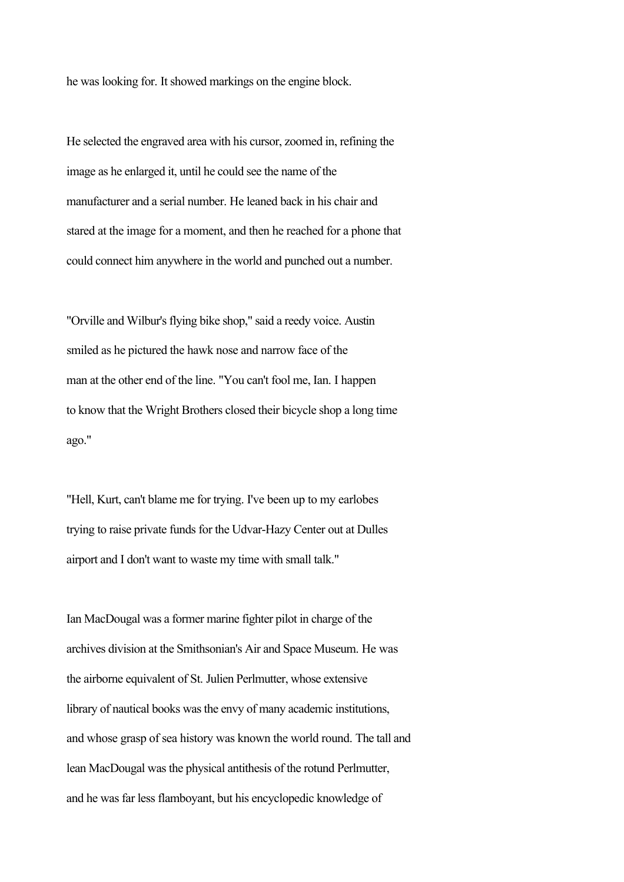he was looking for. It showed markings on the engine block.

 He selected the engraved area with his cursor, zoomed in, refining the image as he enlarged it, until he could see the name of the manufacturer and a serial number. He leaned back in his chair and stared at the image for a moment, and then he reached for a phone that could connect him anywhere in the world and punched out a number.

 "Orville and Wilbur's flying bike shop," said a reedy voice. Austin smiled as he pictured the hawk nose and narrow face of the man at the other end of the line. "You can't fool me, Ian. I happen to know that the Wright Brothers closed their bicycle shop a long time ago."

 "Hell, Kurt, can't blame me for trying. I've been up to my earlobes trying to raise private funds for the Udvar-Hazy Center out at Dulles airport and I don't want to waste my time with small talk."

 Ian MacDougal was a former marine fighter pilot in charge of the archives division at the Smithsonian's Air and Space Museum. He was the airborne equivalent of St. Julien Perlmutter, whose extensive library of nautical books was the envy of many academic institutions, and whose grasp of sea history was known the world round. The tall and lean MacDougal was the physical antithesis of the rotund Perlmutter, and he was far less flamboyant, but his encyclopedic knowledge of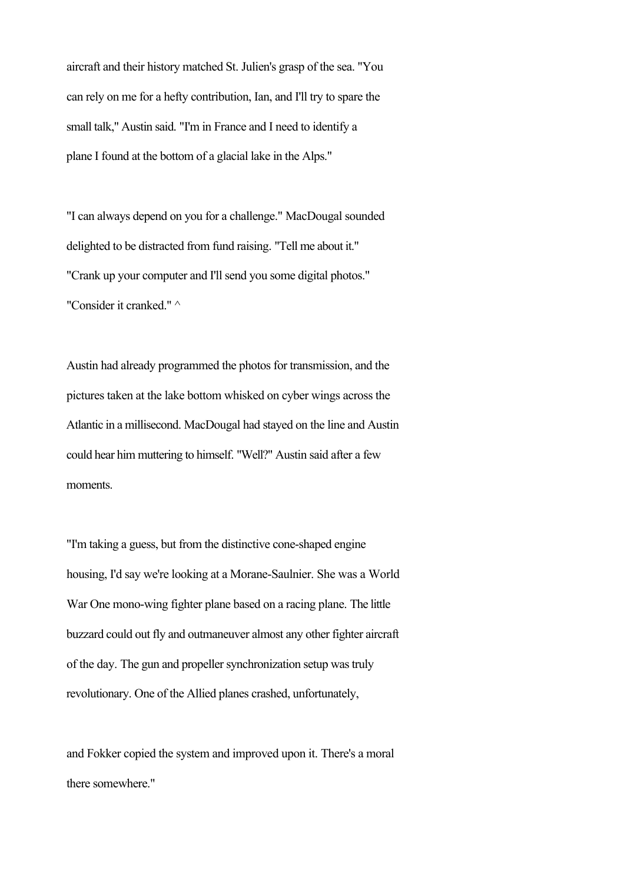aircraft and their history matched St. Julien's grasp of the sea. "You can rely on me for a hefty contribution, Ian, and I'll try to spare the small talk," Austin said. "I'm in France and I need to identify a plane I found at the bottom of a glacial lake in the Alps."

 "I can always depend on you for a challenge." MacDougal sounded delighted to be distracted from fund raising. "Tell me about it." "Crank up your computer and I'll send you some digital photos." "Consider it cranked." ^

 Austin had already programmed the photos for transmission, and the pictures taken at the lake bottom whisked on cyber wings across the Atlantic in a millisecond. MacDougal had stayed on the line and Austin could hear him muttering to himself. "Well?" Austin said after a few moments.

 "I'm taking a guess, but from the distinctive cone-shaped engine housing, I'd say we're looking at a Morane-Saulnier. She was a World War One mono-wing fighter plane based on a racing plane. The little buzzard could out fly and outmaneuver almost any other fighter aircraft of the day. The gun and propeller synchronization setup was truly revolutionary. One of the Allied planes crashed, unfortunately,

 and Fokker copied the system and improved upon it. There's a moral there somewhere."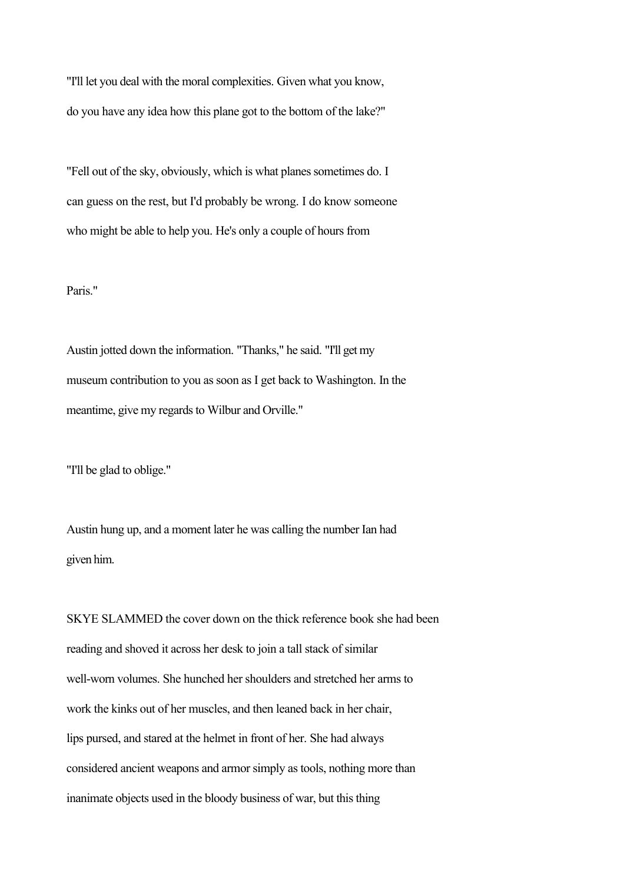"I'll let you deal with the moral complexities. Given what you know, do you have any idea how this plane got to the bottom of the lake?"

 "Fell out of the sky, obviously, which is what planes sometimes do. I can guess on the rest, but I'd probably be wrong. I do know someone who might be able to help you. He's only a couple of hours from

## Paris."

 Austin jotted down the information. "Thanks," he said. "I'll get my museum contribution to you as soon as I get back to Washington. In the meantime, give my regards to Wilbur and Orville."

"I'll be glad to oblige."

 Austin hung up, and a moment later he was calling the number Ian had given him.

 SKYE SLAMMED the cover down on the thick reference book she had been reading and shoved it across her desk to join a tall stack of similar well-worn volumes. She hunched her shoulders and stretched her arms to work the kinks out of her muscles, and then leaned back in her chair, lips pursed, and stared at the helmet in front of her. She had always considered ancient weapons and armor simply as tools, nothing more than inanimate objects used in the bloody business of war, but this thing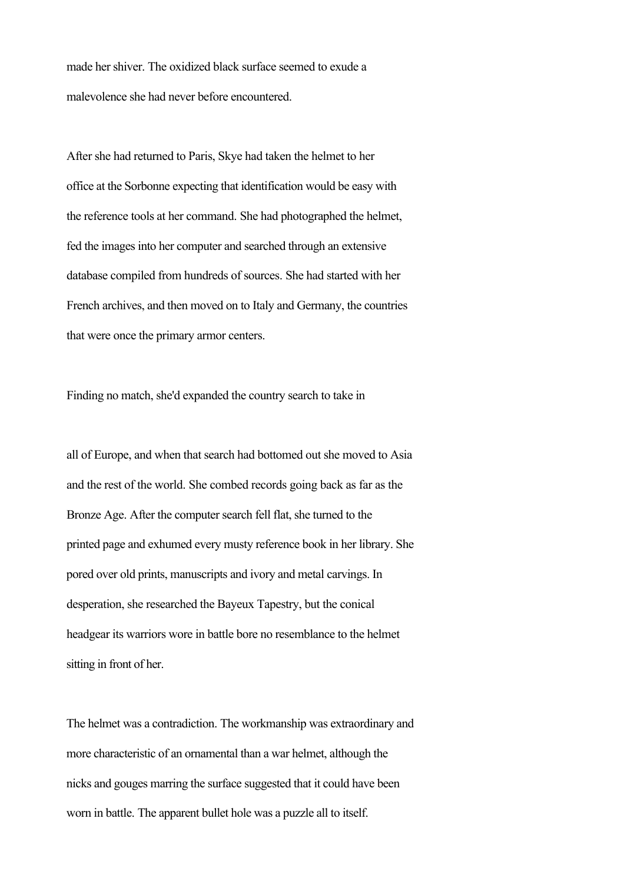made her shiver. The oxidized black surface seemed to exude a malevolence she had never before encountered.

 After she had returned to Paris, Skye had taken the helmet to her office at the Sorbonne expecting that identification would be easy with the reference tools at her command. She had photographed the helmet, fed the images into her computer and searched through an extensive database compiled from hundreds of sources. She had started with her French archives, and then moved on to Italy and Germany, the countries that were once the primary armor centers.

Finding no match, she'd expanded the country search to take in

 all of Europe, and when that search had bottomed out she moved to Asia and the rest of the world. She combed records going back as far as the Bronze Age. After the computer search fell flat, she turned to the printed page and exhumed every musty reference book in her library. She pored over old prints, manuscripts and ivory and metal carvings. In desperation, she researched the Bayeux Tapestry, but the conical headgear its warriors wore in battle bore no resemblance to the helmet sitting in front of her.

 The helmet was a contradiction. The workmanship was extraordinary and more characteristic of an ornamental than a war helmet, although the nicks and gouges marring the surface suggested that it could have been worn in battle. The apparent bullet hole was a puzzle all to itself.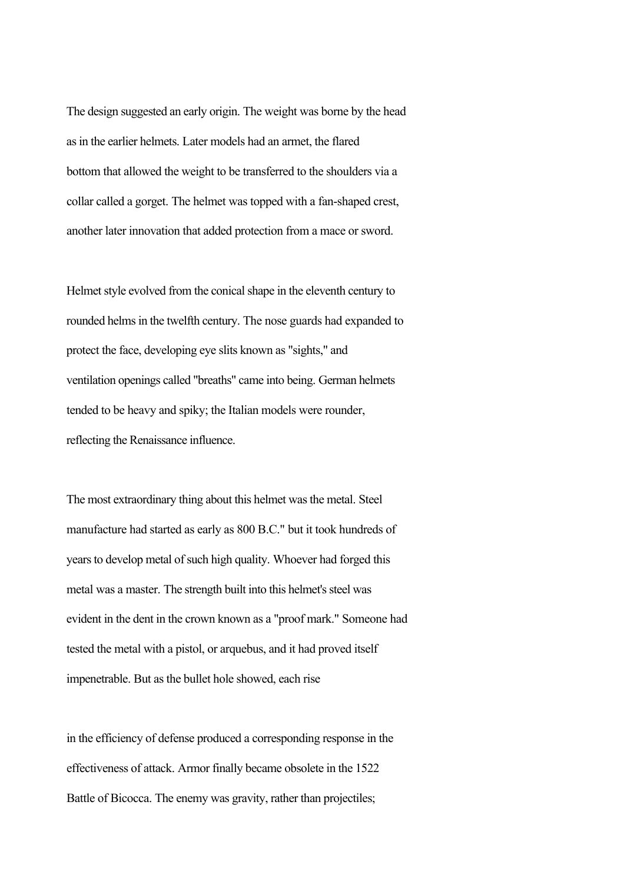The design suggested an early origin. The weight was borne by the head as in the earlier helmets. Later models had an armet, the flared bottom that allowed the weight to be transferred to the shoulders via a collar called a gorget. The helmet was topped with a fan-shaped crest, another later innovation that added protection from a mace or sword.

 Helmet style evolved from the conical shape in the eleventh century to rounded helms in the twelfth century. The nose guards had expanded to protect the face, developing eye slits known as "sights," and ventilation openings called "breaths" came into being. German helmets tended to be heavy and spiky; the Italian models were rounder, reflecting the Renaissance influence.

 The most extraordinary thing about this helmet was the metal. Steel manufacture had started as early as 800 B.C." but it took hundreds of years to develop metal of such high quality. Whoever had forged this metal was a master. The strength built into this helmet's steel was evident in the dent in the crown known as a "proof mark." Someone had tested the metal with a pistol, or arquebus, and it had proved itself impenetrable. But as the bullet hole showed, each rise

 in the efficiency of defense produced a corresponding response in the effectiveness of attack. Armor finally became obsolete in the 1522 Battle of Bicocca. The enemy was gravity, rather than projectiles;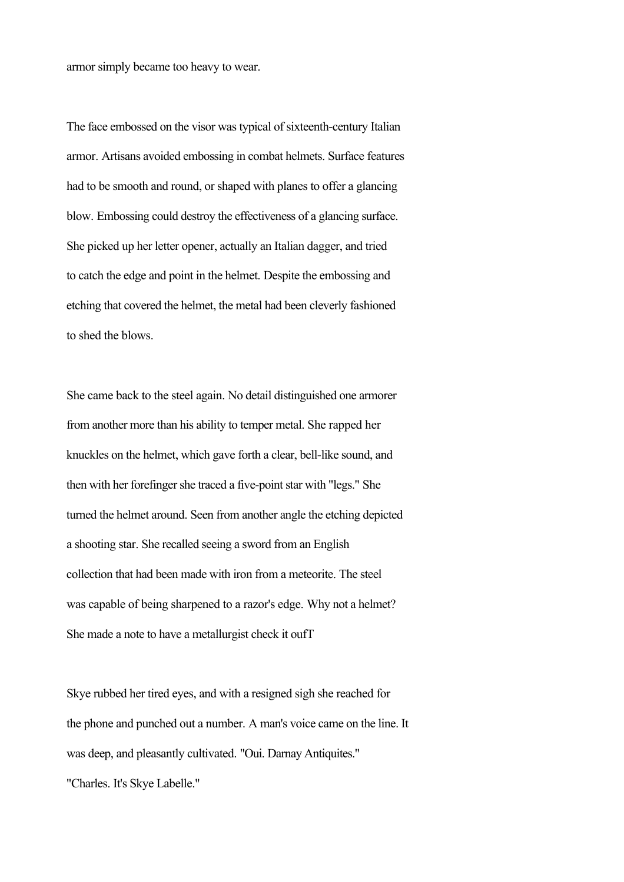armor simply became too heavy to wear.

 The face embossed on the visor was typical of sixteenth-century Italian armor. Artisans avoided embossing in combat helmets. Surface features had to be smooth and round, or shaped with planes to offer a glancing blow. Embossing could destroy the effectiveness of a glancing surface. She picked up her letter opener, actually an Italian dagger, and tried to catch the edge and point in the helmet. Despite the embossing and etching that covered the helmet, the metal had been cleverly fashioned to shed the blows.

 She came back to the steel again. No detail distinguished one armorer from another more than his ability to temper metal. She rapped her knuckles on the helmet, which gave forth a clear, bell-like sound, and then with her forefinger she traced a five-point star with "legs." She turned the helmet around. Seen from another angle the etching depicted a shooting star. She recalled seeing a sword from an English collection that had been made with iron from a meteorite. The steel was capable of being sharpened to a razor's edge. Why not a helmet? She made a note to have a metallurgist check it oufT

 Skye rubbed her tired eyes, and with a resigned sigh she reached for the phone and punched out a number. A man's voice came on the line. It was deep, and pleasantly cultivated. "Oui. Darnay Antiquites." "Charles. It's Skye Labelle."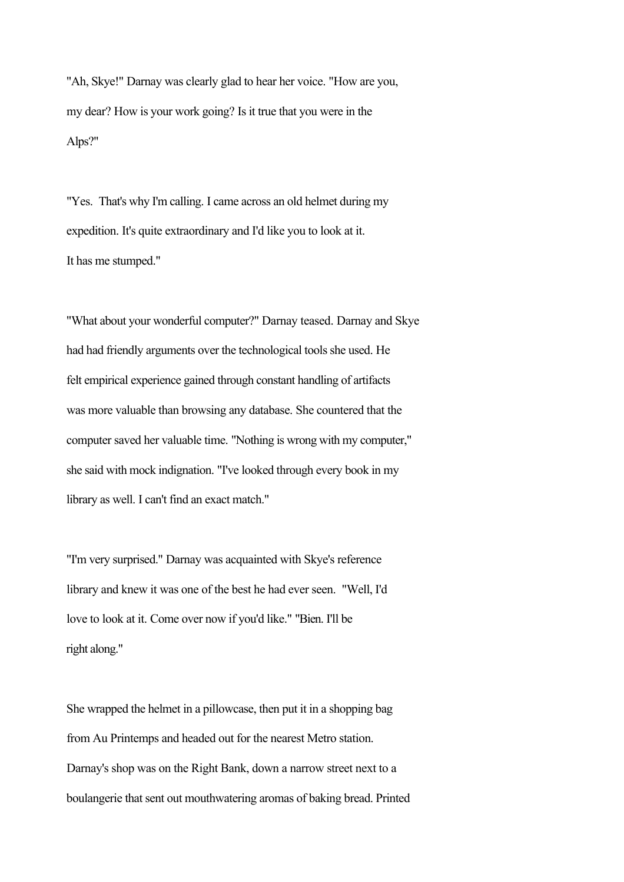"Ah, Skye!" Darnay was clearly glad to hear her voice. "How are you, my dear? How is your work going? Is it true that you were in the Alps?"

 "Yes. That's why I'm calling. I came across an old helmet during my expedition. It's quite extraordinary and I'd like you to look at it. It has me stumped."

 "What about your wonderful computer?" Darnay teased. Darnay and Skye had had friendly arguments over the technological tools she used. He felt empirical experience gained through constant handling of artifacts was more valuable than browsing any database. She countered that the computer saved her valuable time. "Nothing is wrong with my computer," she said with mock indignation. "I've looked through every book in my library as well. I can't find an exact match."

 "I'm very surprised." Darnay was acquainted with Skye's reference library and knew it was one of the best he had ever seen. "Well, I'd love to look at it. Come over now if you'd like." "Bien. I'll be right along."

 She wrapped the helmet in a pillowcase, then put it in a shopping bag from Au Printemps and headed out for the nearest Metro station. Darnay's shop was on the Right Bank, down a narrow street next to a boulangerie that sent out mouthwatering aromas of baking bread. Printed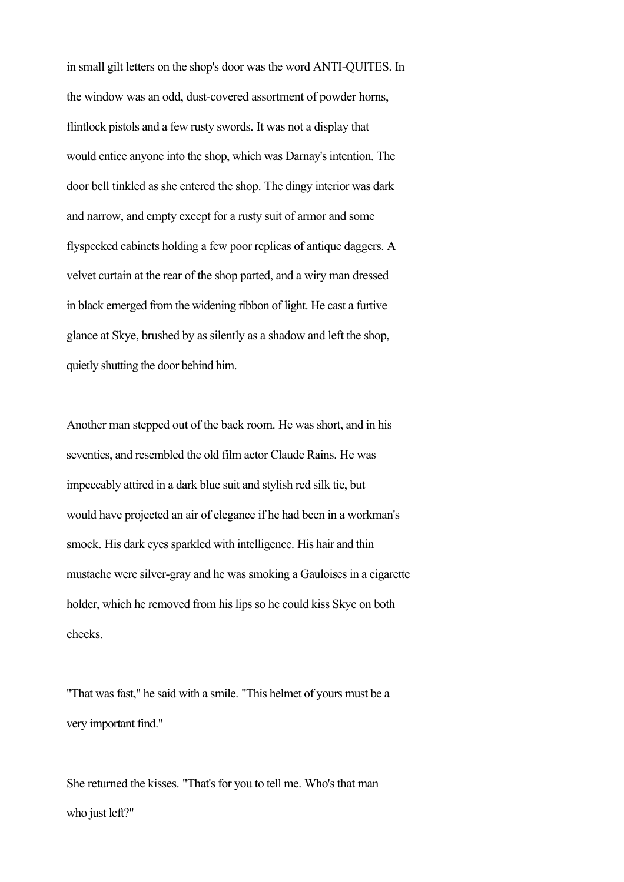in small gilt letters on the shop's door was the word ANTI-QUITES. In the window was an odd, dust-covered assortment of powder horns, flintlock pistols and a few rusty swords. It was not a display that would entice anyone into the shop, which was Darnay's intention. The door bell tinkled as she entered the shop. The dingy interior was dark and narrow, and empty except for a rusty suit of armor and some flyspecked cabinets holding a few poor replicas of antique daggers. A velvet curtain at the rear of the shop parted, and a wiry man dressed in black emerged from the widening ribbon of light. He cast a furtive glance at Skye, brushed by as silently as a shadow and left the shop, quietly shutting the door behind him.

 Another man stepped out of the back room. He was short, and in his seventies, and resembled the old film actor Claude Rains. He was impeccably attired in a dark blue suit and stylish red silk tie, but would have projected an air of elegance if he had been in a workman's smock. His dark eyes sparkled with intelligence. His hair and thin mustache were silver-gray and he was smoking a Gauloises in a cigarette holder, which he removed from his lips so he could kiss Skye on both cheeks.

 "That was fast," he said with a smile. "This helmet of yours must be a very important find."

 She returned the kisses. "That's for you to tell me. Who's that man who just left?"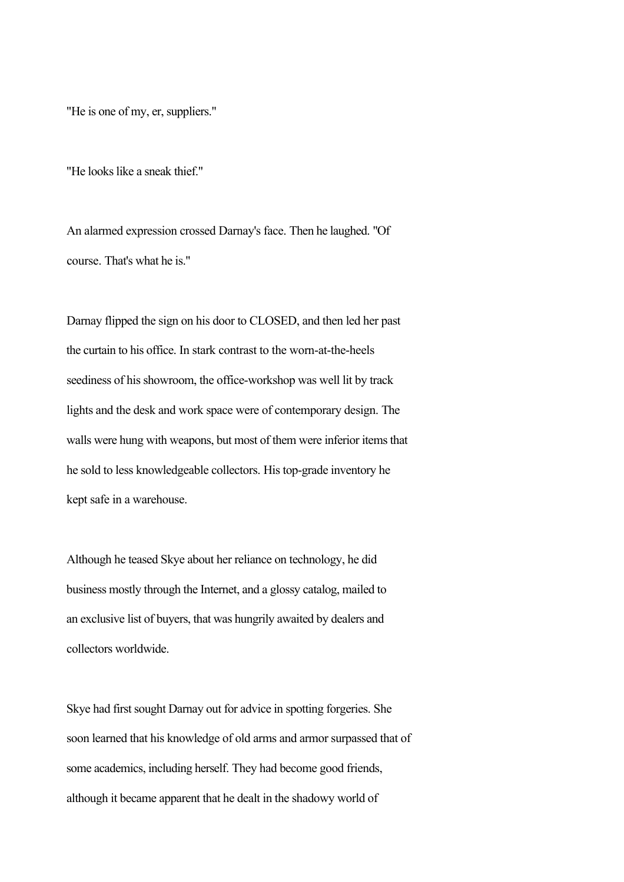"He is one of my, er, suppliers."

"He looks like a sneak thief"

 An alarmed expression crossed Darnay's face. Then he laughed. "Of course. That's what he is."

 Darnay flipped the sign on his door to CLOSED, and then led her past the curtain to his office. In stark contrast to the worn-at-the-heels seediness of his showroom, the office-workshop was well lit by track lights and the desk and work space were of contemporary design. The walls were hung with weapons, but most of them were inferior items that he sold to less knowledgeable collectors. His top-grade inventory he kept safe in a warehouse.

 Although he teased Skye about her reliance on technology, he did business mostly through the Internet, and a glossy catalog, mailed to an exclusive list of buyers, that was hungrily awaited by dealers and collectors worldwide.

 Skye had first sought Darnay out for advice in spotting forgeries. She soon learned that his knowledge of old arms and armor surpassed that of some academics, including herself. They had become good friends, although it became apparent that he dealt in the shadowy world of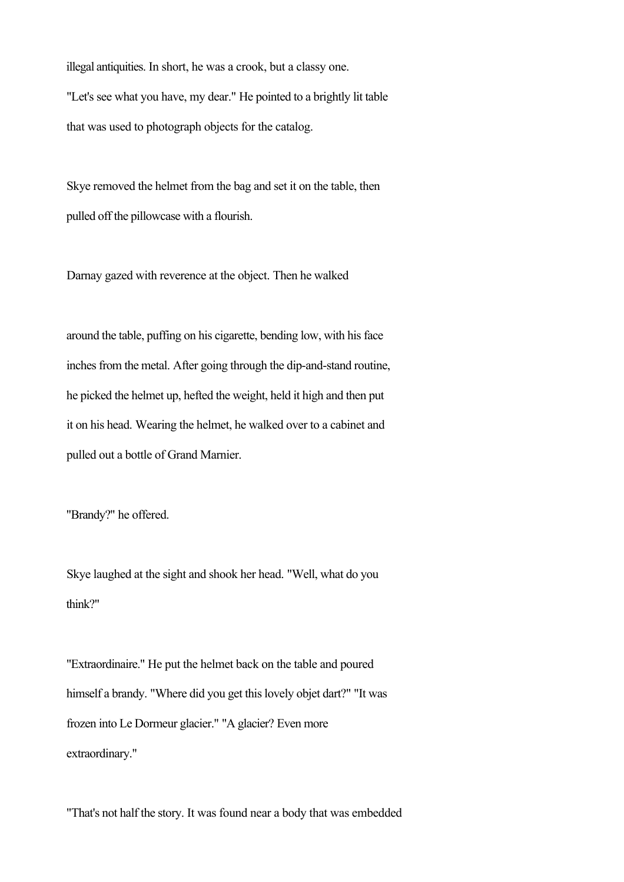illegal antiquities. In short, he was a crook, but a classy one. "Let's see what you have, my dear." He pointed to a brightly lit table that was used to photograph objects for the catalog.

 Skye removed the helmet from the bag and set it on the table, then pulled off the pillowcase with a flourish.

Darnay gazed with reverence at the object. Then he walked

 around the table, puffing on his cigarette, bending low, with his face inches from the metal. After going through the dip-and-stand routine, he picked the helmet up, hefted the weight, held it high and then put it on his head. Wearing the helmet, he walked over to a cabinet and pulled out a bottle of Grand Marnier.

"Brandy?" he offered.

 Skye laughed at the sight and shook her head. "Well, what do you think?"

 "Extraordinaire." He put the helmet back on the table and poured himself a brandy. "Where did you get this lovely objet dart?" "It was frozen into Le Dormeur glacier." "A glacier? Even more extraordinary."

"That's not half the story. It was found near a body that was embedded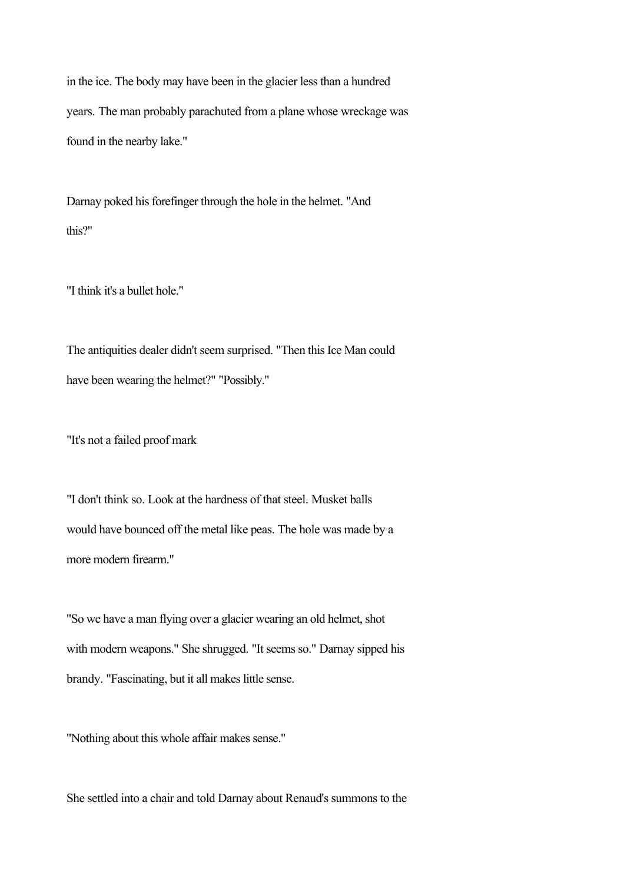in the ice. The body may have been in the glacier less than a hundred years. The man probably parachuted from a plane whose wreckage was found in the nearby lake."

 Darnay poked his forefinger through the hole in the helmet. "And this?"

"I think it's a bullet hole."

 The antiquities dealer didn't seem surprised. "Then this Ice Man could have been wearing the helmet?" "Possibly."

"It's not a failed proof mark

 "I don't think so. Look at the hardness of that steel. Musket balls would have bounced off the metal like peas. The hole was made by a more modern firearm."

 "So we have a man flying over a glacier wearing an old helmet, shot with modern weapons." She shrugged. "It seems so." Darnay sipped his brandy. "Fascinating, but it all makes little sense.

"Nothing about this whole affair makes sense."

She settled into a chair and told Darnay about Renaud's summons to the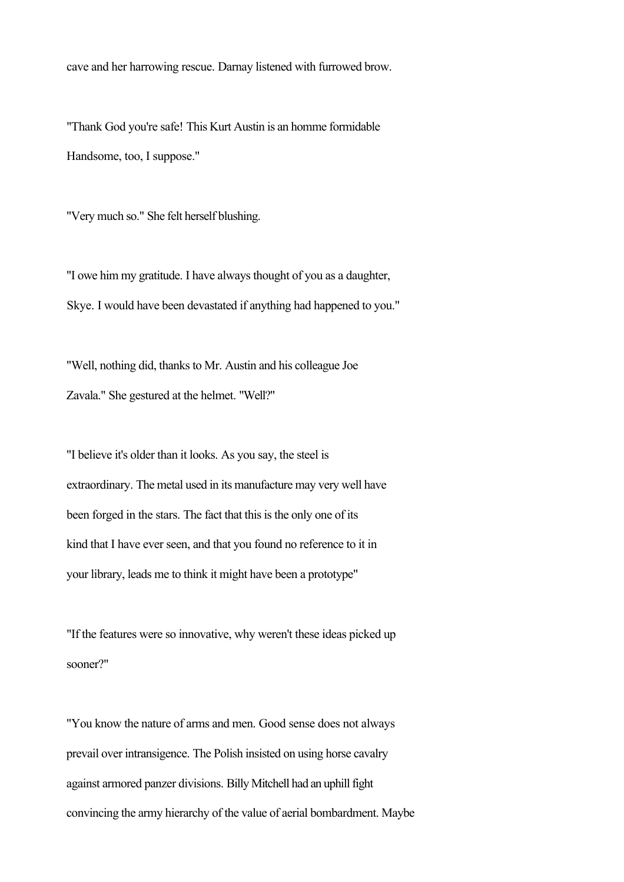cave and her harrowing rescue. Darnay listened with furrowed brow.

 "Thank God you're safe! This Kurt Austin is an homme formidable Handsome, too, I suppose."

"Very much so." She felt herself blushing.

 "I owe him my gratitude. I have always thought of you as a daughter, Skye. I would have been devastated if anything had happened to you."

 "Well, nothing did, thanks to Mr. Austin and his colleague Joe Zavala." She gestured at the helmet. "Well?"

 "I believe it's older than it looks. As you say, the steel is extraordinary. The metal used in its manufacture may very well have been forged in the stars. The fact that this is the only one of its kind that I have ever seen, and that you found no reference to it in your library, leads me to think it might have been a prototype"

 "If the features were so innovative, why weren't these ideas picked up sooner?"

 "You know the nature of arms and men. Good sense does not always prevail over intransigence. The Polish insisted on using horse cavalry against armored panzer divisions. Billy Mitchell had an uphill fight convincing the army hierarchy of the value of aerial bombardment. Maybe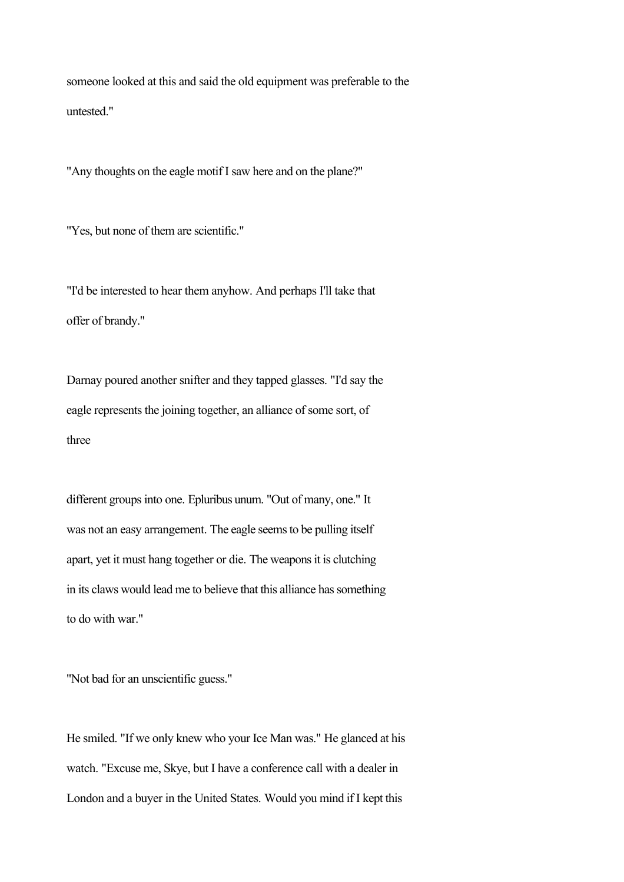someone looked at this and said the old equipment was preferable to the untested."

"Any thoughts on the eagle motif I saw here and on the plane?"

"Yes, but none of them are scientific."

 "I'd be interested to hear them anyhow. And perhaps I'll take that offer of brandy."

 Darnay poured another snifter and they tapped glasses. "I'd say the eagle represents the joining together, an alliance of some sort, of three

 different groups into one. Epluribus unum. "Out of many, one." It was not an easy arrangement. The eagle seems to be pulling itself apart, yet it must hang together or die. The weapons it is clutching in its claws would lead me to believe that this alliance has something to do with war."

"Not bad for an unscientific guess."

 He smiled. "If we only knew who your Ice Man was." He glanced at his watch. "Excuse me, Skye, but I have a conference call with a dealer in London and a buyer in the United States. Would you mind if I kept this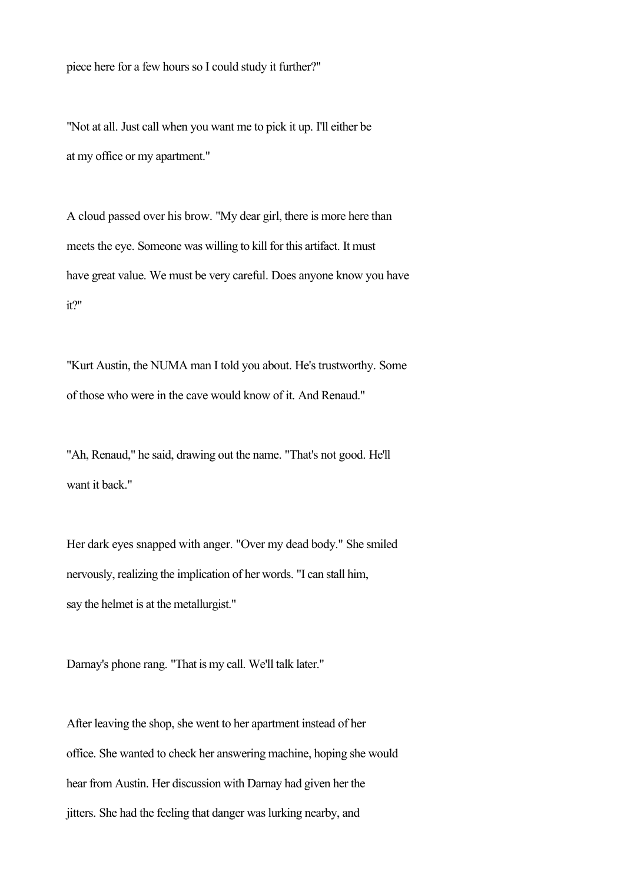piece here for a few hours so I could study it further?"

 "Not at all. Just call when you want me to pick it up. I'll either be at my office or my apartment."

 A cloud passed over his brow. "My dear girl, there is more here than meets the eye. Someone was willing to kill for this artifact. It must have great value. We must be very careful. Does anyone know you have it?"

 "Kurt Austin, the NUMA man I told you about. He's trustworthy. Some of those who were in the cave would know of it. And Renaud."

 "Ah, Renaud," he said, drawing out the name. "That's not good. He'll want it back."

 Her dark eyes snapped with anger. "Over my dead body." She smiled nervously, realizing the implication of her words. "I can stall him, say the helmet is at the metallurgist."

Darnay's phone rang. "That is my call. We'll talk later."

 After leaving the shop, she went to her apartment instead of her office. She wanted to check her answering machine, hoping she would hear from Austin. Her discussion with Darnay had given her the jitters. She had the feeling that danger was lurking nearby, and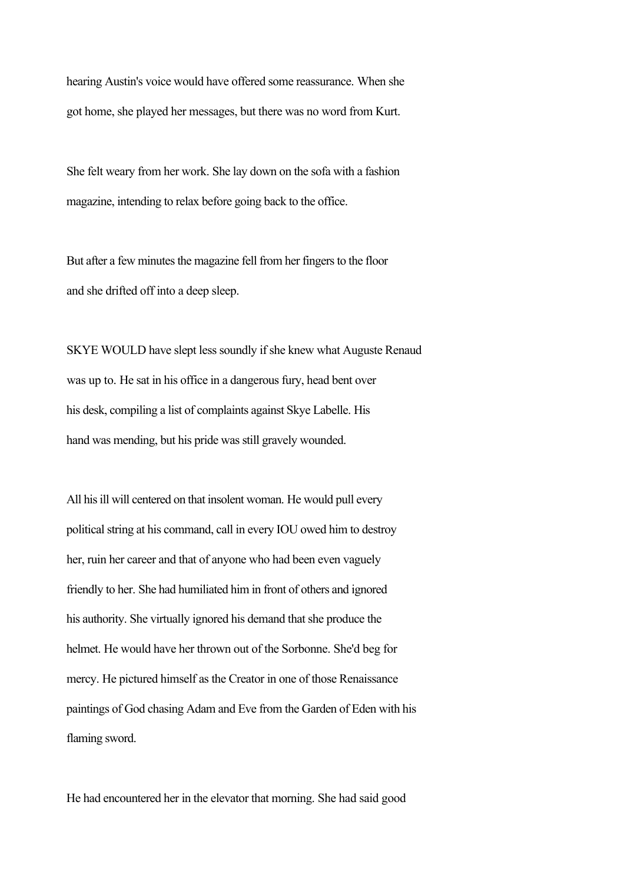hearing Austin's voice would have offered some reassurance. When she got home, she played her messages, but there was no word from Kurt.

 She felt weary from her work. She lay down on the sofa with a fashion magazine, intending to relax before going back to the office.

 But after a few minutes the magazine fell from her fingers to the floor and she drifted off into a deep sleep.

 SKYE WOULD have slept less soundly if she knew what Auguste Renaud was up to. He sat in his office in a dangerous fury, head bent over his desk, compiling a list of complaints against Skye Labelle. His hand was mending, but his pride was still gravely wounded.

 All his ill will centered on that insolent woman. He would pull every political string at his command, call in every IOU owed him to destroy her, ruin her career and that of anyone who had been even vaguely friendly to her. She had humiliated him in front of others and ignored his authority. She virtually ignored his demand that she produce the helmet. He would have her thrown out of the Sorbonne. She'd beg for mercy. He pictured himself as the Creator in one of those Renaissance paintings of God chasing Adam and Eve from the Garden of Eden with his flaming sword.

He had encountered her in the elevator that morning. She had said good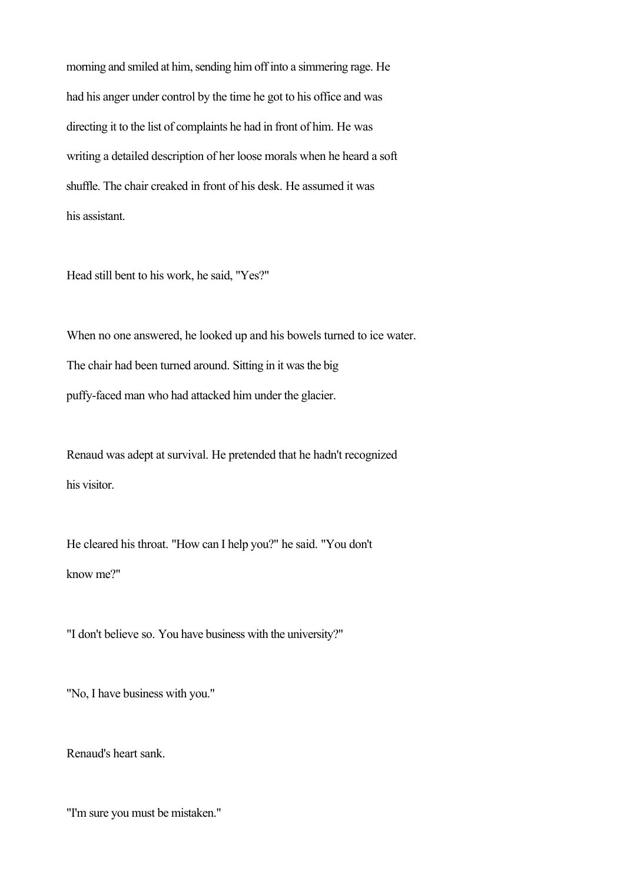morning and smiled at him, sending him off into a simmering rage. He had his anger under control by the time he got to his office and was directing it to the list of complaints he had in front of him. He was writing a detailed description of her loose morals when he heard a soft shuffle. The chair creaked in front of his desk. He assumed it was his assistant.

Head still bent to his work, he said, "Yes?"

 When no one answered, he looked up and his bowels turned to ice water. The chair had been turned around. Sitting in it was the big puffy-faced man who had attacked him under the glacier.

 Renaud was adept at survival. He pretended that he hadn't recognized his visitor.

 He cleared his throat. "How can I help you?" he said. "You don't know me?"

"I don't believe so. You have business with the university?"

"No, I have business with you."

Renaud's heart sank.

"I'm sure you must be mistaken."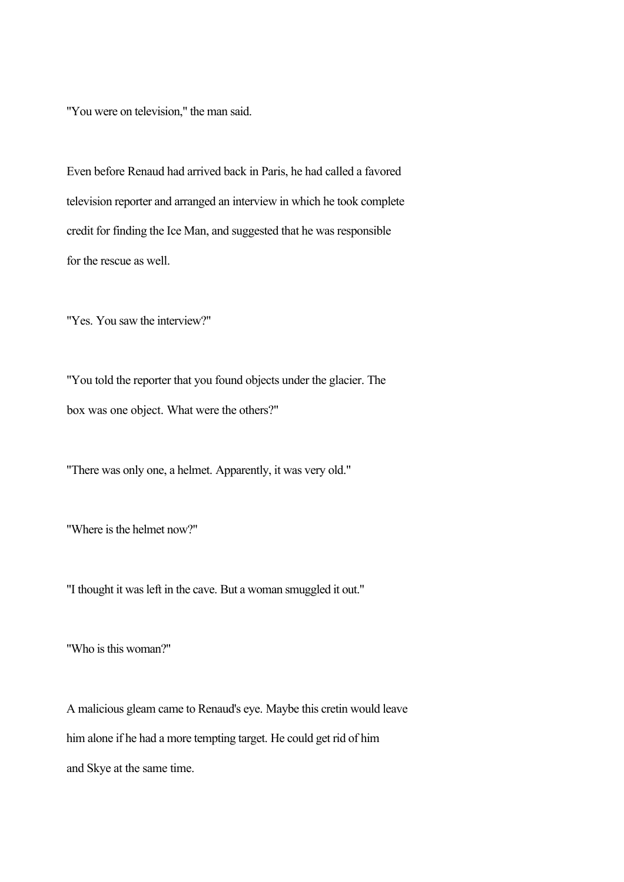"You were on television," the man said.

 Even before Renaud had arrived back in Paris, he had called a favored television reporter and arranged an interview in which he took complete credit for finding the Ice Man, and suggested that he was responsible for the rescue as well.

"Yes. You saw the interview?"

 "You told the reporter that you found objects under the glacier. The box was one object. What were the others?"

"There was only one, a helmet. Apparently, it was very old."

"Where is the helmet now?"

"I thought it was left in the cave. But a woman smuggled it out."

"Who is this woman?"

 A malicious gleam came to Renaud's eye. Maybe this cretin would leave him alone if he had a more tempting target. He could get rid of him and Skye at the same time.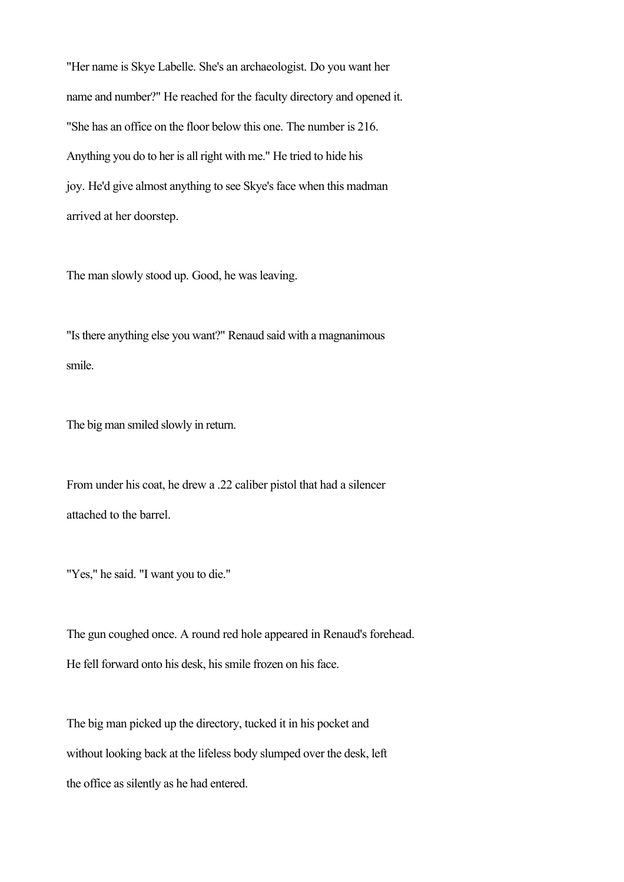"Her name is Skye Labelle. She's an archaeologist. Do you want her name and number?" He reached for the faculty directory and opened it. "She has an office on the floor below this one. The number is 216. Anything you do to her is all right with me." He tried to hide his joy. He'd give almost anything to see Skye's face when this madman arrived at her doorstep.

The man slowly stood up. Good, he was leaving.

 "Is there anything else you want?" Renaud said with a magnanimous smile.

The big man smiled slowly in return.

 From under his coat, he drew a .22 caliber pistol that had a silencer attached to the barrel.

"Yes," he said. "I want you to die."

 The gun coughed once. A round red hole appeared in Renaud's forehead. He fell forward onto his desk, his smile frozen on his face.

 The big man picked up the directory, tucked it in his pocket and without looking back at the lifeless body slumped over the desk, left the office as silently as he had entered.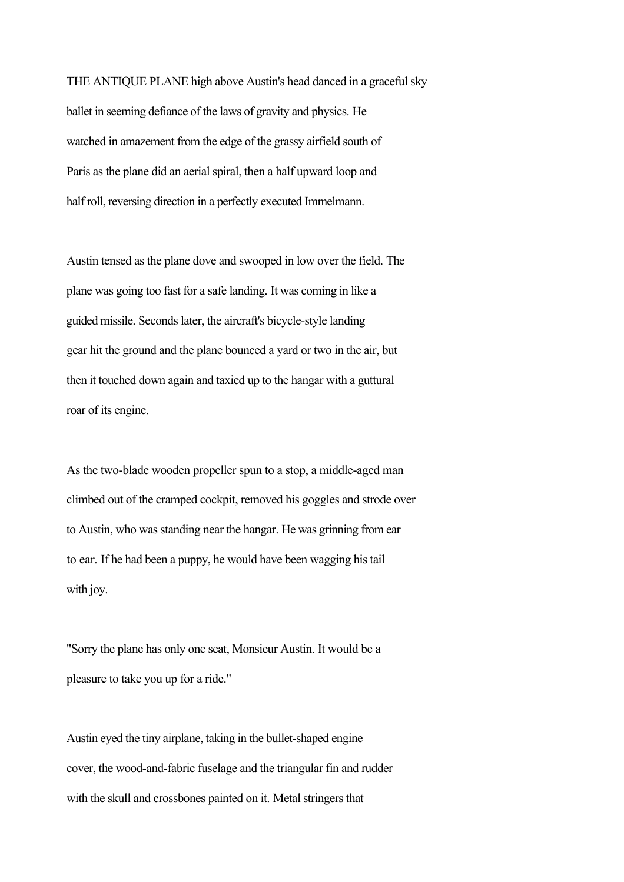THE ANTIQUE PLANE high above Austin's head danced in a graceful sky ballet in seeming defiance of the laws of gravity and physics. He watched in amazement from the edge of the grassy airfield south of Paris as the plane did an aerial spiral, then a half upward loop and half roll, reversing direction in a perfectly executed Immelmann.

 Austin tensed as the plane dove and swooped in low over the field. The plane was going too fast for a safe landing. It was coming in like a guided missile. Seconds later, the aircraft's bicycle-style landing gear hit the ground and the plane bounced a yard or two in the air, but then it touched down again and taxied up to the hangar with a guttural roar of its engine.

 As the two-blade wooden propeller spun to a stop, a middle-aged man climbed out of the cramped cockpit, removed his goggles and strode over to Austin, who was standing near the hangar. He was grinning from ear to ear. If he had been a puppy, he would have been wagging his tail with joy.

 "Sorry the plane has only one seat, Monsieur Austin. It would be a pleasure to take you up for a ride."

 Austin eyed the tiny airplane, taking in the bullet-shaped engine cover, the wood-and-fabric fuselage and the triangular fin and rudder with the skull and crossbones painted on it. Metal stringers that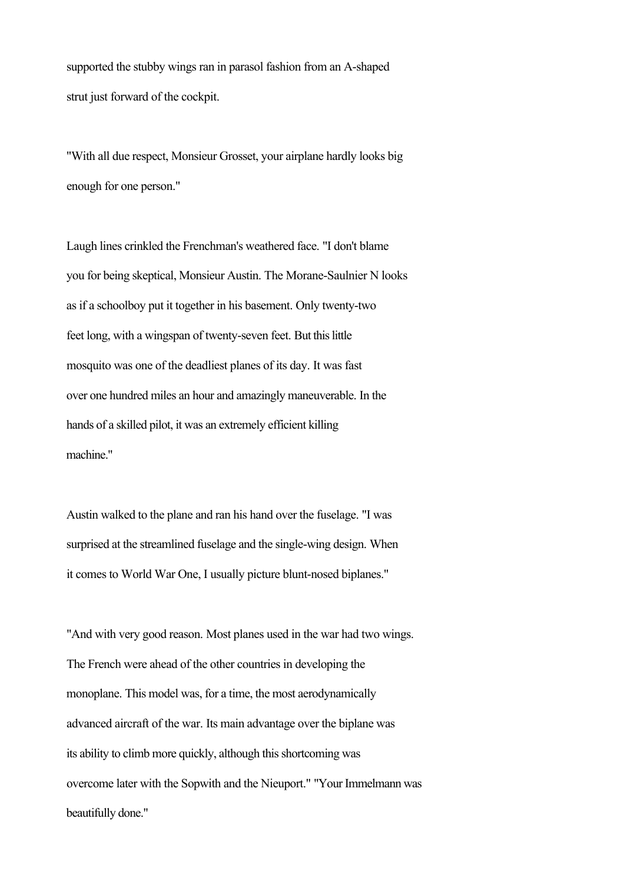supported the stubby wings ran in parasol fashion from an A-shaped strut just forward of the cockpit.

 "With all due respect, Monsieur Grosset, your airplane hardly looks big enough for one person."

 Laugh lines crinkled the Frenchman's weathered face. "I don't blame you for being skeptical, Monsieur Austin. The Morane-Saulnier N looks as if a schoolboy put it together in his basement. Only twenty-two feet long, with a wingspan of twenty-seven feet. But this little mosquito was one of the deadliest planes of its day. It was fast over one hundred miles an hour and amazingly maneuverable. In the hands of a skilled pilot, it was an extremely efficient killing machine."

 Austin walked to the plane and ran his hand over the fuselage. "I was surprised at the streamlined fuselage and the single-wing design. When it comes to World War One, I usually picture blunt-nosed biplanes."

 "And with very good reason. Most planes used in the war had two wings. The French were ahead of the other countries in developing the monoplane. This model was, for a time, the most aerodynamically advanced aircraft of the war. Its main advantage over the biplane was its ability to climb more quickly, although this shortcoming was overcome later with the Sopwith and the Nieuport." "Your Immelmann was beautifully done."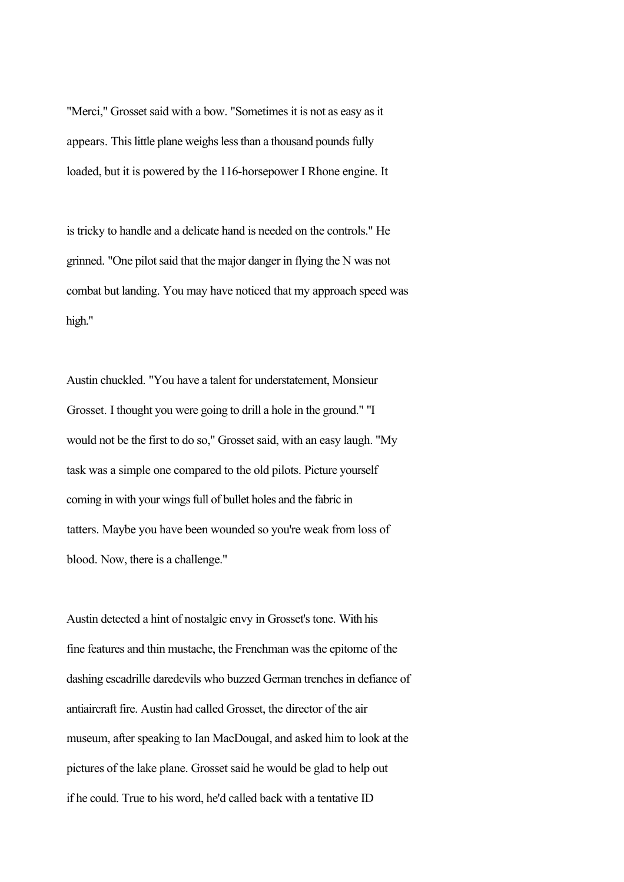"Merci," Grosset said with a bow. "Sometimes it is not as easy as it appears. This little plane weighs less than a thousand pounds fully loaded, but it is powered by the 116-horsepower I Rhone engine. It

 is tricky to handle and a delicate hand is needed on the controls." He grinned. "One pilot said that the major danger in flying the N was not combat but landing. You may have noticed that my approach speed was high."

 Austin chuckled. "You have a talent for understatement, Monsieur Grosset. I thought you were going to drill a hole in the ground." "I would not be the first to do so," Grosset said, with an easy laugh. "My task was a simple one compared to the old pilots. Picture yourself coming in with your wings full of bullet holes and the fabric in tatters. Maybe you have been wounded so you're weak from loss of blood. Now, there is a challenge."

 Austin detected a hint of nostalgic envy in Grosset's tone. With his fine features and thin mustache, the Frenchman was the epitome of the dashing escadrille daredevils who buzzed German trenches in defiance of antiaircraft fire. Austin had called Grosset, the director of the air museum, after speaking to Ian MacDougal, and asked him to look at the pictures of the lake plane. Grosset said he would be glad to help out if he could. True to his word, he'd called back with a tentative ID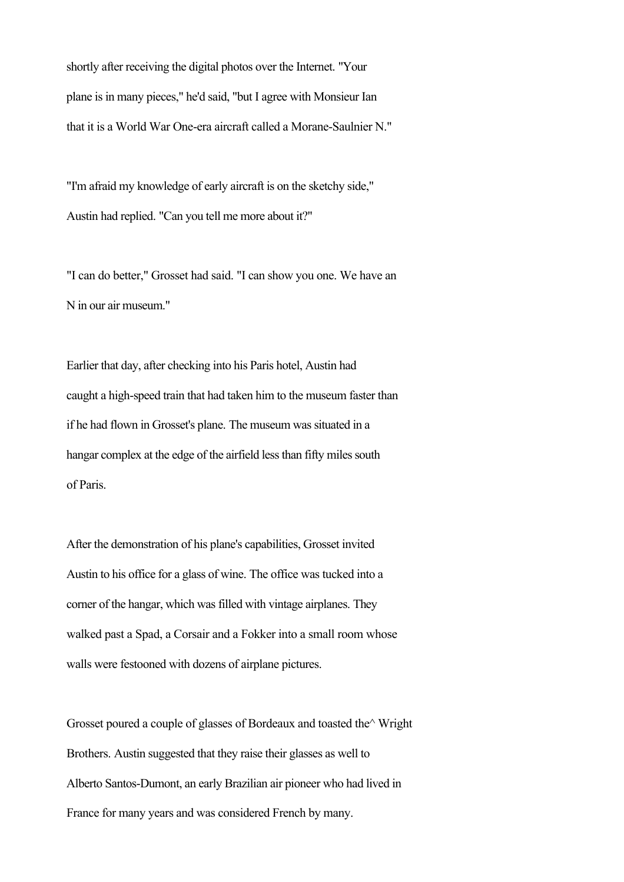shortly after receiving the digital photos over the Internet. "Your plane is in many pieces," he'd said, "but I agree with Monsieur Ian that it is a World War One-era aircraft called a Morane-Saulnier N."

 "I'm afraid my knowledge of early aircraft is on the sketchy side," Austin had replied. "Can you tell me more about it?"

 "I can do better," Grosset had said. "I can show you one. We have an N in our air museum."

 Earlier that day, after checking into his Paris hotel, Austin had caught a high-speed train that had taken him to the museum faster than if he had flown in Grosset's plane. The museum was situated in a hangar complex at the edge of the airfield less than fifty miles south of Paris.

 After the demonstration of his plane's capabilities, Grosset invited Austin to his office for a glass of wine. The office was tucked into a corner of the hangar, which was filled with vintage airplanes. They walked past a Spad, a Corsair and a Fokker into a small room whose walls were festooned with dozens of airplane pictures.

 Grosset poured a couple of glasses of Bordeaux and toasted the^ Wright Brothers. Austin suggested that they raise their glasses as well to Alberto Santos-Dumont, an early Brazilian air pioneer who had lived in France for many years and was considered French by many.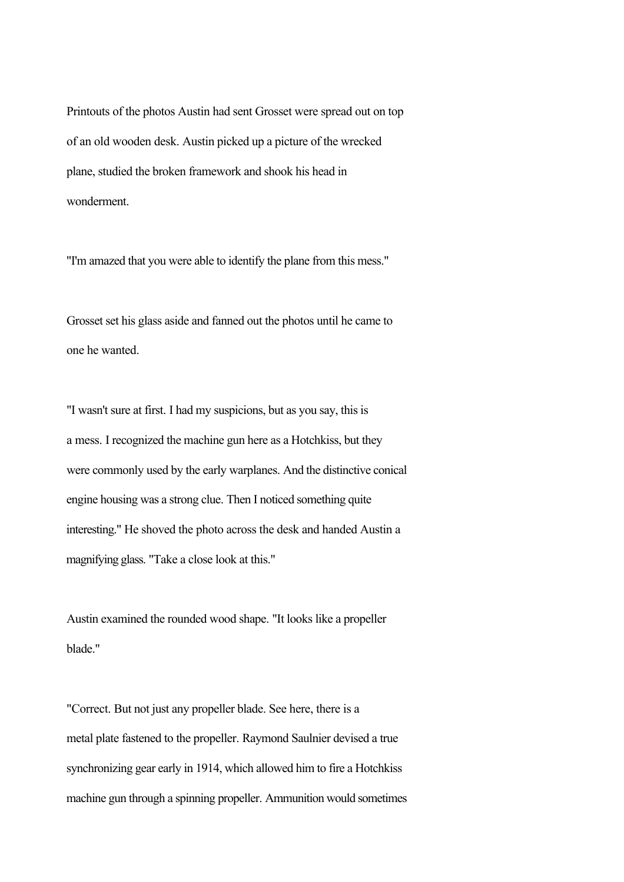Printouts of the photos Austin had sent Grosset were spread out on top of an old wooden desk. Austin picked up a picture of the wrecked plane, studied the broken framework and shook his head in wonderment.

"I'm amazed that you were able to identify the plane from this mess."

 Grosset set his glass aside and fanned out the photos until he came to one he wanted.

 "I wasn't sure at first. I had my suspicions, but as you say, this is a mess. I recognized the machine gun here as a Hotchkiss, but they were commonly used by the early warplanes. And the distinctive conical engine housing was a strong clue. Then I noticed something quite interesting." He shoved the photo across the desk and handed Austin a magnifying glass. "Take a close look at this."

 Austin examined the rounded wood shape. "It looks like a propeller blade<sup>"</sup>

 "Correct. But not just any propeller blade. See here, there is a metal plate fastened to the propeller. Raymond Saulnier devised a true synchronizing gear early in 1914, which allowed him to fire a Hotchkiss machine gun through a spinning propeller. Ammunition would sometimes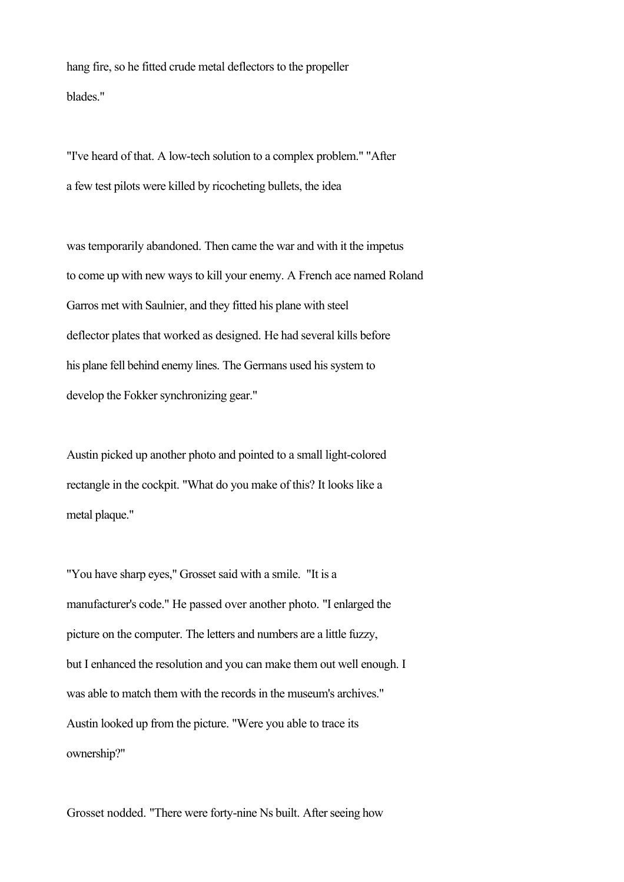hang fire, so he fitted crude metal deflectors to the propeller blades."

 "I've heard of that. A low-tech solution to a complex problem." "After a few test pilots were killed by ricocheting bullets, the idea

 was temporarily abandoned. Then came the war and with it the impetus to come up with new ways to kill your enemy. A French ace named Roland Garros met with Saulnier, and they fitted his plane with steel deflector plates that worked as designed. He had several kills before his plane fell behind enemy lines. The Germans used his system to develop the Fokker synchronizing gear."

 Austin picked up another photo and pointed to a small light-colored rectangle in the cockpit. "What do you make of this? It looks like a metal plaque."

 "You have sharp eyes," Grosset said with a smile. "It is a manufacturer's code." He passed over another photo. "I enlarged the picture on the computer. The letters and numbers are a little fuzzy, but I enhanced the resolution and you can make them out well enough. I was able to match them with the records in the museum's archives." Austin looked up from the picture. "Were you able to trace its ownership?"

Grosset nodded. "There were forty-nine Ns built. After seeing how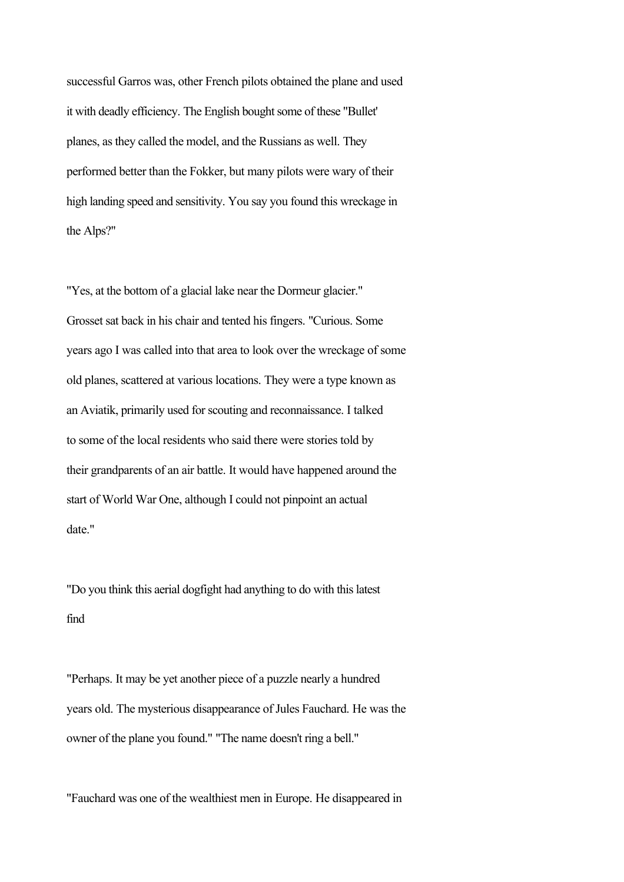successful Garros was, other French pilots obtained the plane and used it with deadly efficiency. The English bought some of these "Bullet' planes, as they called the model, and the Russians as well. They performed better than the Fokker, but many pilots were wary of their high landing speed and sensitivity. You say you found this wreckage in the Alps?"

 "Yes, at the bottom of a glacial lake near the Dormeur glacier." Grosset sat back in his chair and tented his fingers. "Curious. Some years ago I was called into that area to look over the wreckage of some old planes, scattered at various locations. They were a type known as an Aviatik, primarily used for scouting and reconnaissance. I talked to some of the local residents who said there were stories told by their grandparents of an air battle. It would have happened around the start of World War One, although I could not pinpoint an actual date"

 "Do you think this aerial dogfight had anything to do with this latest find

 "Perhaps. It may be yet another piece of a puzzle nearly a hundred years old. The mysterious disappearance of Jules Fauchard. He was the owner of the plane you found." "The name doesn't ring a bell."

"Fauchard was one of the wealthiest men in Europe. He disappeared in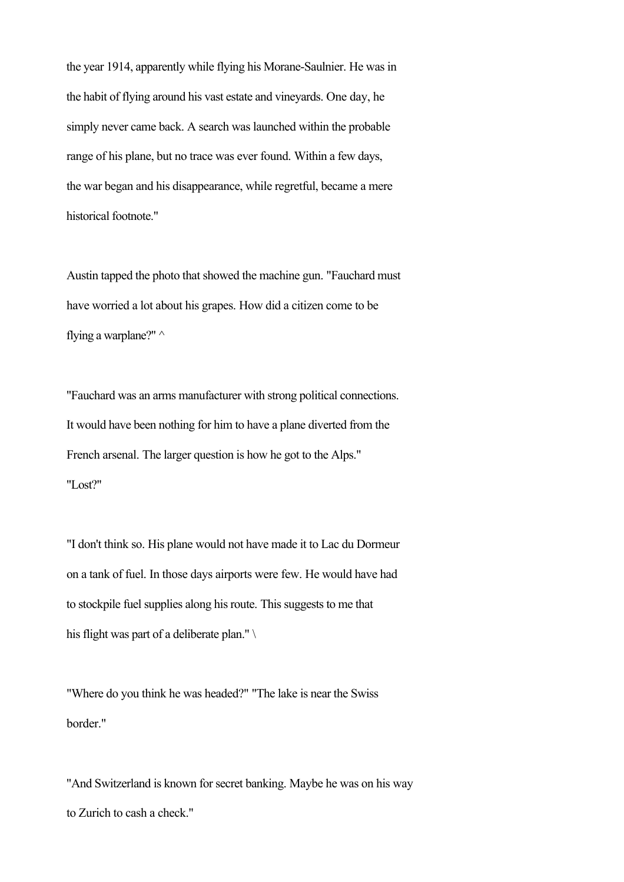the year 1914, apparently while flying his Morane-Saulnier. He was in the habit of flying around his vast estate and vineyards. One day, he simply never came back. A search was launched within the probable range of his plane, but no trace was ever found. Within a few days, the war began and his disappearance, while regretful, became a mere historical footnote."

 Austin tapped the photo that showed the machine gun. "Fauchard must have worried a lot about his grapes. How did a citizen come to be flying a warplane?" ^

 "Fauchard was an arms manufacturer with strong political connections. It would have been nothing for him to have a plane diverted from the French arsenal. The larger question is how he got to the Alps." "Lost?"

 "I don't think so. His plane would not have made it to Lac du Dormeur on a tank of fuel. In those days airports were few. He would have had to stockpile fuel supplies along his route. This suggests to me that his flight was part of a deliberate plan." \

 "Where do you think he was headed?" "The lake is near the Swiss border."

 "And Switzerland is known for secret banking. Maybe he was on his way to Zurich to cash a check."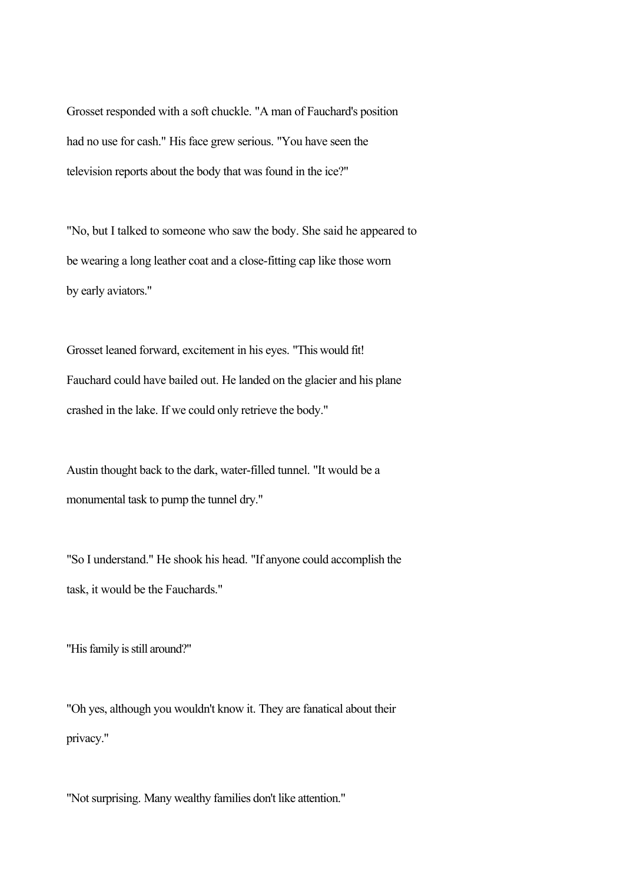Grosset responded with a soft chuckle. "A man of Fauchard's position had no use for cash." His face grew serious. "You have seen the television reports about the body that was found in the ice?"

 "No, but I talked to someone who saw the body. She said he appeared to be wearing a long leather coat and a close-fitting cap like those worn by early aviators."

 Grosset leaned forward, excitement in his eyes. "This would fit! Fauchard could have bailed out. He landed on the glacier and his plane crashed in the lake. If we could only retrieve the body."

 Austin thought back to the dark, water-filled tunnel. "It would be a monumental task to pump the tunnel dry."

 "So I understand." He shook his head. "If anyone could accomplish the task, it would be the Fauchards."

"His family is still around?"

 "Oh yes, although you wouldn't know it. They are fanatical about their privacy."

"Not surprising. Many wealthy families don't like attention."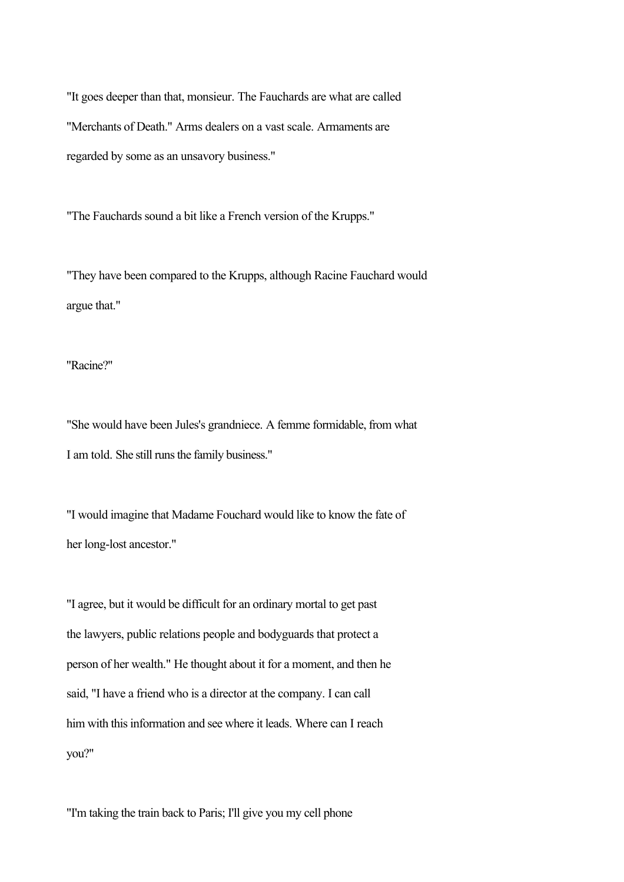"It goes deeper than that, monsieur. The Fauchards are what are called "Merchants of Death." Arms dealers on a vast scale. Armaments are regarded by some as an unsavory business."

"The Fauchards sound a bit like a French version of the Krupps."

 "They have been compared to the Krupps, although Racine Fauchard would argue that."

"Racine?"

 "She would have been Jules's grandniece. A femme formidable, from what I am told. She still runs the family business."

 "I would imagine that Madame Fouchard would like to know the fate of her long-lost ancestor."

 "I agree, but it would be difficult for an ordinary mortal to get past the lawyers, public relations people and bodyguards that protect a person of her wealth." He thought about it for a moment, and then he said, "I have a friend who is a director at the company. I can call him with this information and see where it leads. Where can I reach you?"

"I'm taking the train back to Paris; I'll give you my cell phone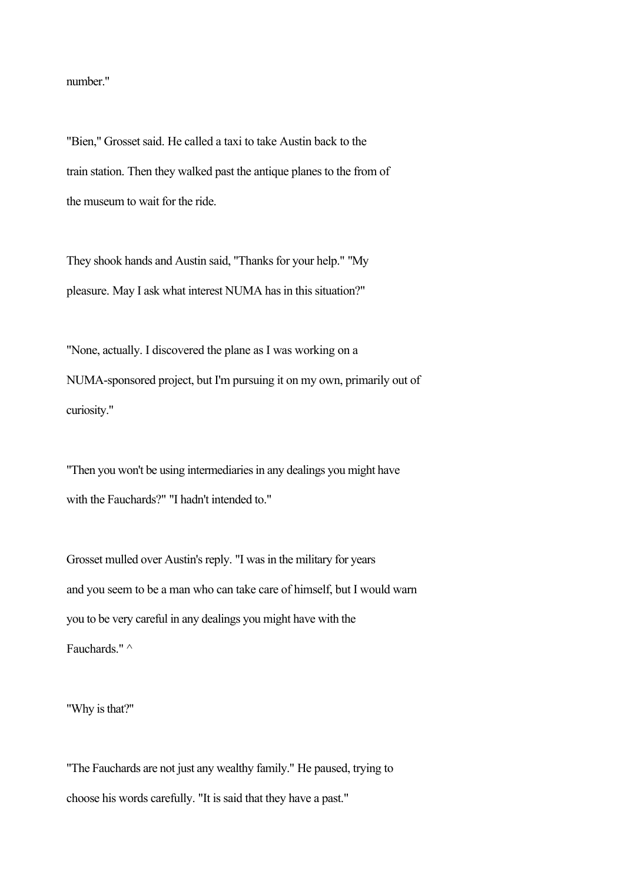number."

 "Bien," Grosset said. He called a taxi to take Austin back to the train station. Then they walked past the antique planes to the from of the museum to wait for the ride.

 They shook hands and Austin said, "Thanks for your help." "My pleasure. May I ask what interest NUMA has in this situation?"

 "None, actually. I discovered the plane as I was working on a NUMA-sponsored project, but I'm pursuing it on my own, primarily out of curiosity."

 "Then you won't be using intermediaries in any dealings you might have with the Fauchards?" "I hadn't intended to."

 Grosset mulled over Austin's reply. "I was in the military for years and you seem to be a man who can take care of himself, but I would warn you to be very careful in any dealings you might have with the Fauchards." ^

"Why is that?"

 "The Fauchards are not just any wealthy family." He paused, trying to choose his words carefully. "It is said that they have a past."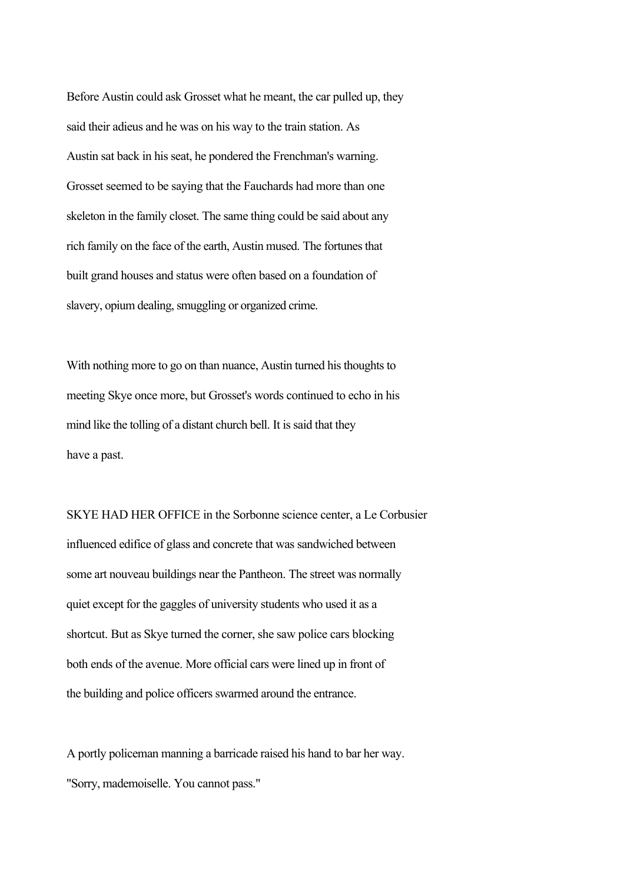Before Austin could ask Grosset what he meant, the car pulled up, they said their adieus and he was on his way to the train station. As Austin sat back in his seat, he pondered the Frenchman's warning. Grosset seemed to be saying that the Fauchards had more than one skeleton in the family closet. The same thing could be said about any rich family on the face of the earth, Austin mused. The fortunes that built grand houses and status were often based on a foundation of slavery, opium dealing, smuggling or organized crime.

 With nothing more to go on than nuance, Austin turned his thoughts to meeting Skye once more, but Grosset's words continued to echo in his mind like the tolling of a distant church bell. It is said that they have a past.

 SKYE HAD HER OFFICE in the Sorbonne science center, a Le Corbusier influenced edifice of glass and concrete that was sandwiched between some art nouveau buildings near the Pantheon. The street was normally quiet except for the gaggles of university students who used it as a shortcut. But as Skye turned the corner, she saw police cars blocking both ends of the avenue. More official cars were lined up in front of the building and police officers swarmed around the entrance.

 A portly policeman manning a barricade raised his hand to bar her way. "Sorry, mademoiselle. You cannot pass."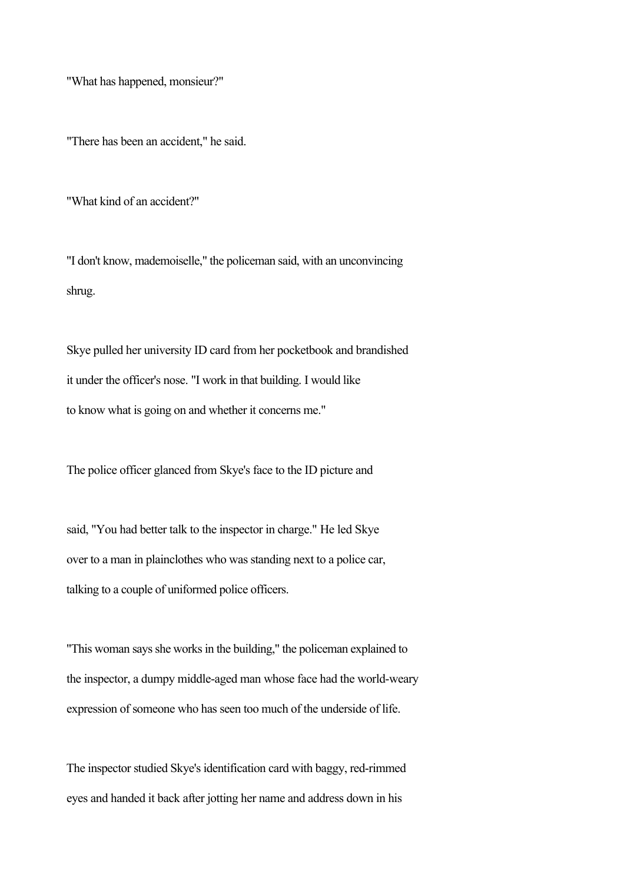"What has happened, monsieur?"

"There has been an accident," he said.

"What kind of an accident?"

 "I don't know, mademoiselle," the policeman said, with an unconvincing shrug.

 Skye pulled her university ID card from her pocketbook and brandished it under the officer's nose. "I work in that building. I would like to know what is going on and whether it concerns me."

The police officer glanced from Skye's face to the ID picture and

 said, "You had better talk to the inspector in charge." He led Skye over to a man in plainclothes who was standing next to a police car, talking to a couple of uniformed police officers.

 "This woman says she works in the building," the policeman explained to the inspector, a dumpy middle-aged man whose face had the world-weary expression of someone who has seen too much of the underside of life.

 The inspector studied Skye's identification card with baggy, red-rimmed eyes and handed it back after jotting her name and address down in his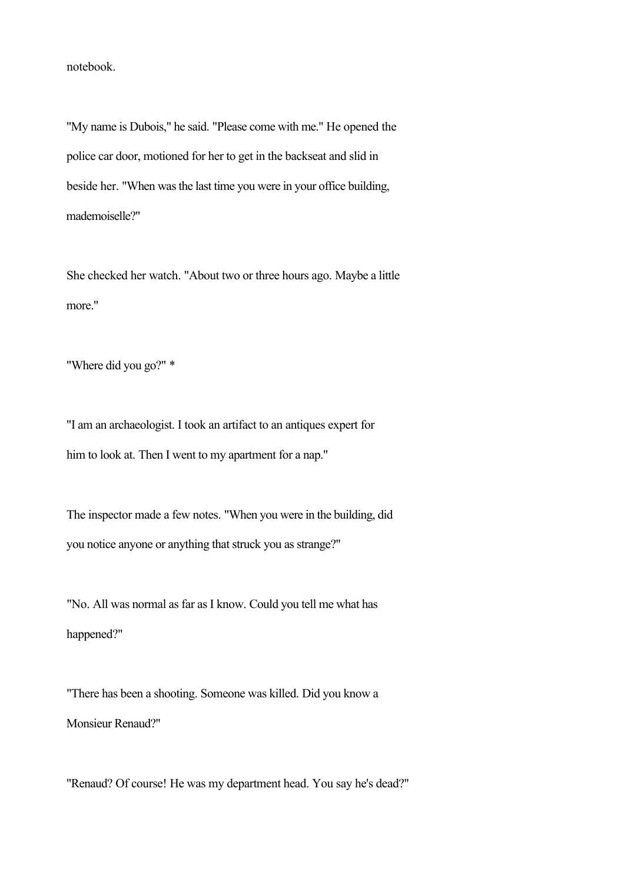notebook.

 "My name is Dubois," he said. "Please come with me." He opened the police car door, motioned for her to get in the backseat and slid in beside her. "When was the last time you were in your office building, mademoiselle?"

 She checked her watch. "About two or three hours ago. Maybe a little more."

"Where did you go?" \*

 "I am an archaeologist. I took an artifact to an antiques expert for him to look at. Then I went to my apartment for a nap."

 The inspector made a few notes. "When you were in the building, did you notice anyone or anything that struck you as strange?"

 "No. All was normal as far as I know. Could you tell me what has happened?"

 "There has been a shooting. Someone was killed. Did you know a Monsieur Renaud?"

"Renaud? Of course! He was my department head. You say he's dead?"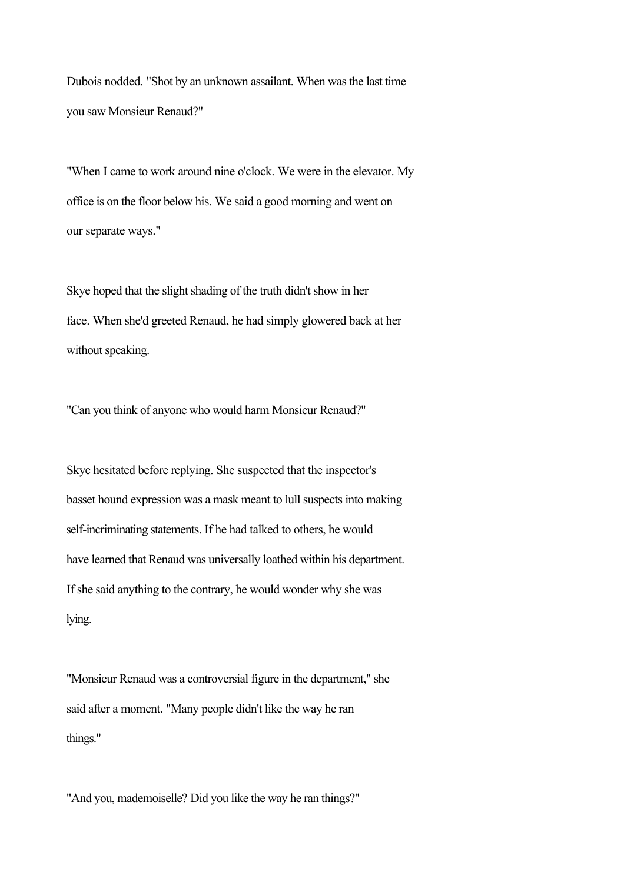Dubois nodded. "Shot by an unknown assailant. When was the last time you saw Monsieur Renaud?"

 "When I came to work around nine o'clock. We were in the elevator. My office is on the floor below his. We said a good morning and went on our separate ways."

 Skye hoped that the slight shading of the truth didn't show in her face. When she'd greeted Renaud, he had simply glowered back at her without speaking.

"Can you think of anyone who would harm Monsieur Renaud?"

 Skye hesitated before replying. She suspected that the inspector's basset hound expression was a mask meant to lull suspects into making self-incriminating statements. If he had talked to others, he would have learned that Renaud was universally loathed within his department. If she said anything to the contrary, he would wonder why she was lying.

 "Monsieur Renaud was a controversial figure in the department," she said after a moment. "Many people didn't like the way he ran things."

"And you, mademoiselle? Did you like the way he ran things?"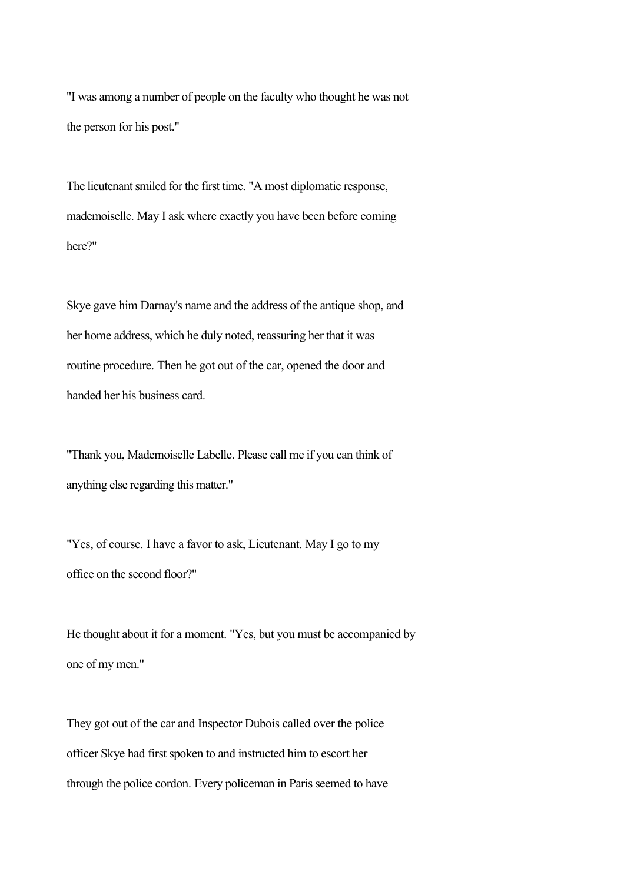"I was among a number of people on the faculty who thought he was not the person for his post."

 The lieutenant smiled for the first time. "A most diplomatic response, mademoiselle. May I ask where exactly you have been before coming here?"

 Skye gave him Darnay's name and the address of the antique shop, and her home address, which he duly noted, reassuring her that it was routine procedure. Then he got out of the car, opened the door and handed her his business card.

 "Thank you, Mademoiselle Labelle. Please call me if you can think of anything else regarding this matter."

 "Yes, of course. I have a favor to ask, Lieutenant. May I go to my office on the second floor?"

 He thought about it for a moment. "Yes, but you must be accompanied by one of my men."

 They got out of the car and Inspector Dubois called over the police officer Skye had first spoken to and instructed him to escort her through the police cordon. Every policeman in Paris seemed to have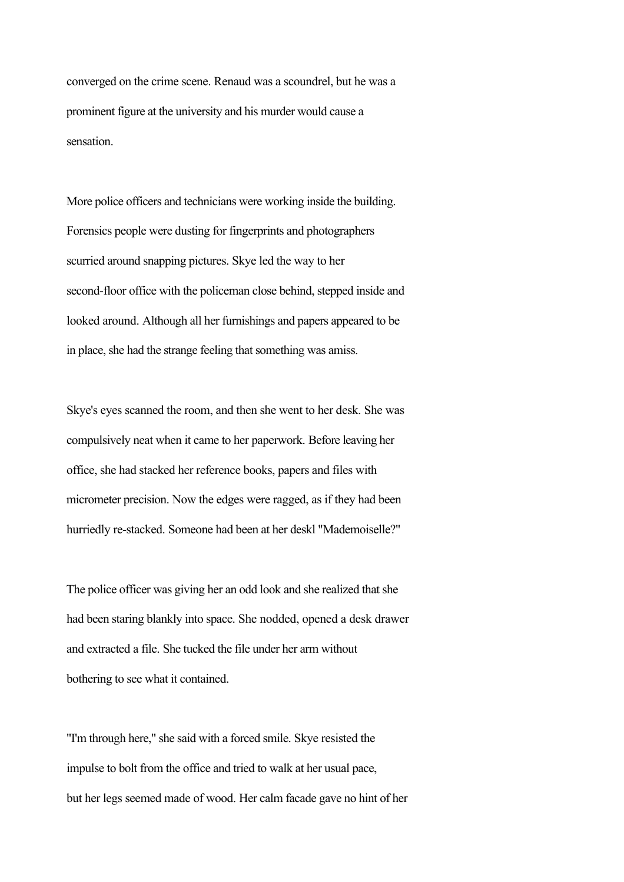converged on the crime scene. Renaud was a scoundrel, but he was a prominent figure at the university and his murder would cause a sensation.

 More police officers and technicians were working inside the building. Forensics people were dusting for fingerprints and photographers scurried around snapping pictures. Skye led the way to her second-floor office with the policeman close behind, stepped inside and looked around. Although all her furnishings and papers appeared to be in place, she had the strange feeling that something was amiss.

 Skye's eyes scanned the room, and then she went to her desk. She was compulsively neat when it came to her paperwork. Before leaving her office, she had stacked her reference books, papers and files with micrometer precision. Now the edges were ragged, as if they had been hurriedly re-stacked. Someone had been at her deskl "Mademoiselle?"

 The police officer was giving her an odd look and she realized that she had been staring blankly into space. She nodded, opened a desk drawer and extracted a file. She tucked the file under her arm without bothering to see what it contained.

 "I'm through here," she said with a forced smile. Skye resisted the impulse to bolt from the office and tried to walk at her usual pace, but her legs seemed made of wood. Her calm facade gave no hint of her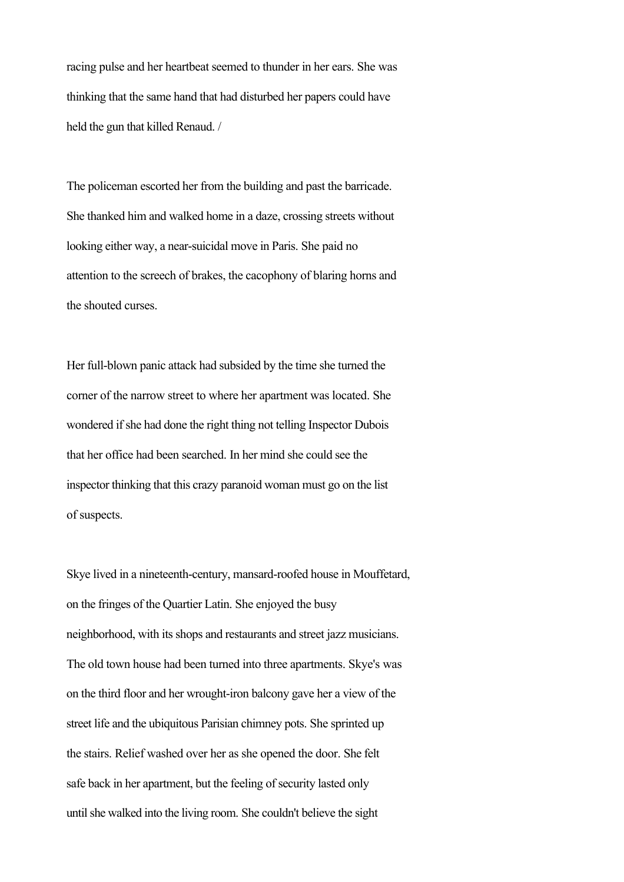racing pulse and her heartbeat seemed to thunder in her ears. She was thinking that the same hand that had disturbed her papers could have held the gun that killed Renaud. /

 The policeman escorted her from the building and past the barricade. She thanked him and walked home in a daze, crossing streets without looking either way, a near-suicidal move in Paris. She paid no attention to the screech of brakes, the cacophony of blaring horns and the shouted curses.

 Her full-blown panic attack had subsided by the time she turned the corner of the narrow street to where her apartment was located. She wondered if she had done the right thing not telling Inspector Dubois that her office had been searched. In her mind she could see the inspector thinking that this crazy paranoid woman must go on the list of suspects.

 Skye lived in a nineteenth-century, mansard-roofed house in Mouffetard, on the fringes of the Quartier Latin. She enjoyed the busy neighborhood, with its shops and restaurants and street jazz musicians. The old town house had been turned into three apartments. Skye's was on the third floor and her wrought-iron balcony gave her a view of the street life and the ubiquitous Parisian chimney pots. She sprinted up the stairs. Relief washed over her as she opened the door. She felt safe back in her apartment, but the feeling of security lasted only until she walked into the living room. She couldn't believe the sight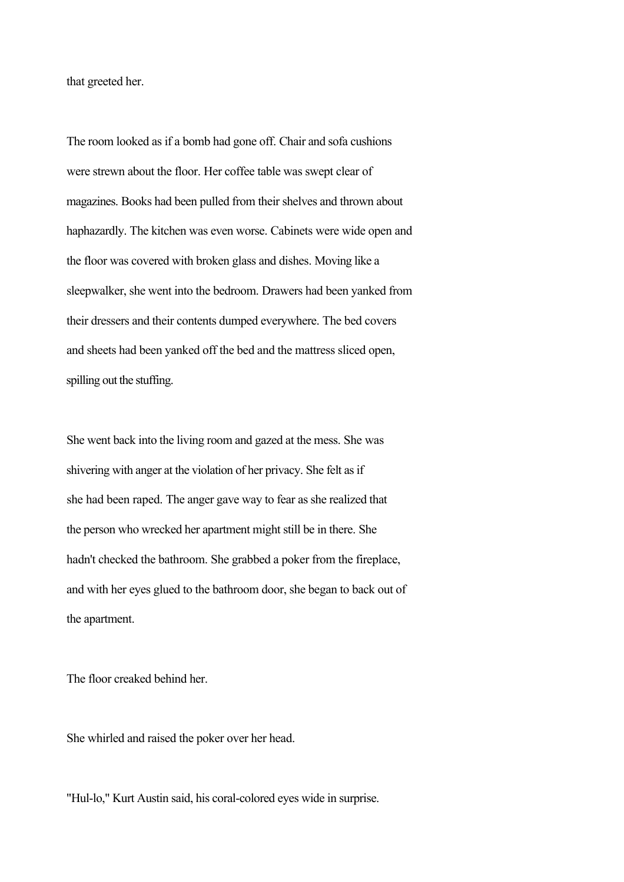that greeted her.

 The room looked as if a bomb had gone off. Chair and sofa cushions were strewn about the floor. Her coffee table was swept clear of magazines. Books had been pulled from their shelves and thrown about haphazardly. The kitchen was even worse. Cabinets were wide open and the floor was covered with broken glass and dishes. Moving like a sleepwalker, she went into the bedroom. Drawers had been yanked from their dressers and their contents dumped everywhere. The bed covers and sheets had been yanked off the bed and the mattress sliced open, spilling out the stuffing.

 She went back into the living room and gazed at the mess. She was shivering with anger at the violation of her privacy. She felt as if she had been raped. The anger gave way to fear as she realized that the person who wrecked her apartment might still be in there. She hadn't checked the bathroom. She grabbed a poker from the fireplace, and with her eyes glued to the bathroom door, she began to back out of the apartment.

The floor creaked behind her.

She whirled and raised the poker over her head.

"Hul-lo," Kurt Austin said, his coral-colored eyes wide in surprise.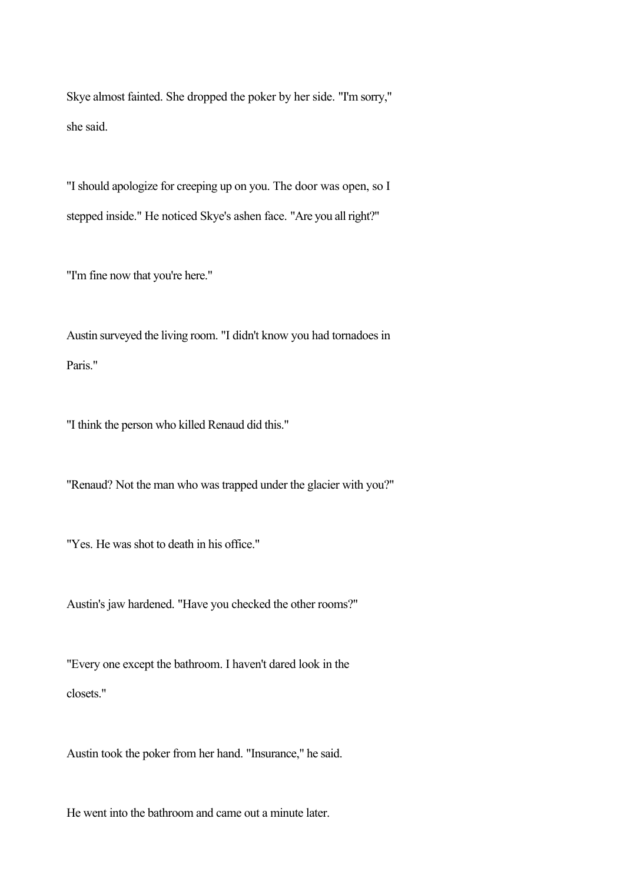Skye almost fainted. She dropped the poker by her side. "I'm sorry," she said.

 "I should apologize for creeping up on you. The door was open, so I stepped inside." He noticed Skye's ashen face. "Are you all right?"

"I'm fine now that you're here."

 Austin surveyed the living room. "I didn't know you had tornadoes in Paris."

"I think the person who killed Renaud did this."

"Renaud? Not the man who was trapped under the glacier with you?"

"Yes. He was shot to death in his office."

Austin's jaw hardened. "Have you checked the other rooms?"

 "Every one except the bathroom. I haven't dared look in the closets."

Austin took the poker from her hand. "Insurance," he said.

He went into the bathroom and came out a minute later.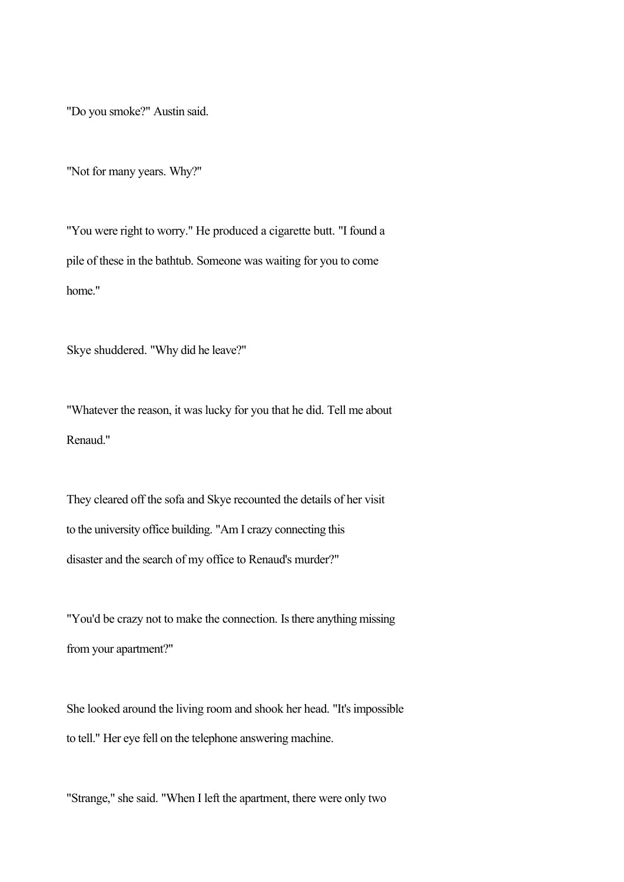"Do you smoke?" Austin said.

"Not for many years. Why?"

 "You were right to worry." He produced a cigarette butt. "I found a pile of these in the bathtub. Someone was waiting for you to come home"

Skye shuddered. "Why did he leave?"

 "Whatever the reason, it was lucky for you that he did. Tell me about Renaud<sup>"</sup>

 They cleared off the sofa and Skye recounted the details of her visit to the university office building. "Am I crazy connecting this disaster and the search of my office to Renaud's murder?"

 "You'd be crazy not to make the connection. Is there anything missing from your apartment?"

 She looked around the living room and shook her head. "It's impossible to tell." Her eye fell on the telephone answering machine.

"Strange," she said. "When I left the apartment, there were only two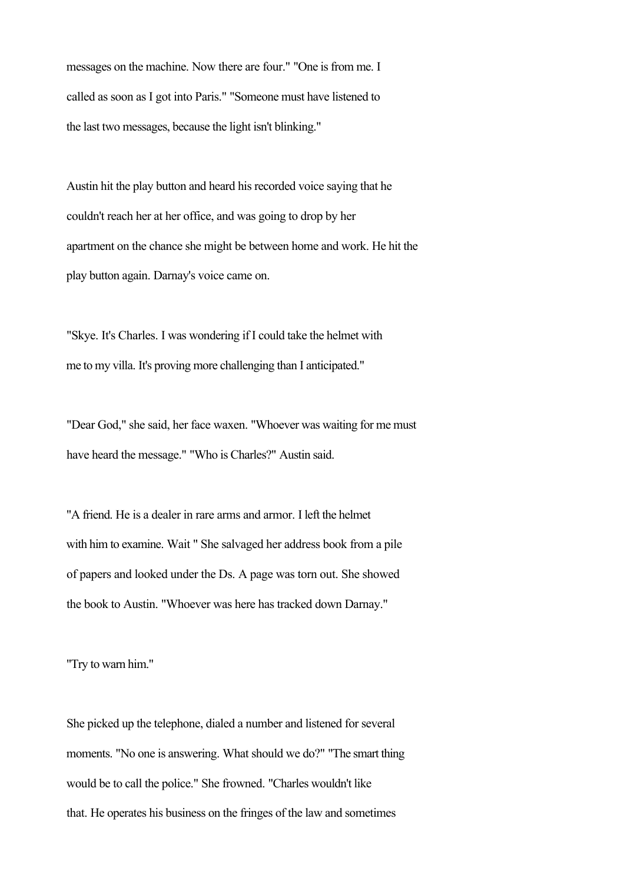messages on the machine. Now there are four." "One is from me. I called as soon as I got into Paris." "Someone must have listened to the last two messages, because the light isn't blinking."

 Austin hit the play button and heard his recorded voice saying that he couldn't reach her at her office, and was going to drop by her apartment on the chance she might be between home and work. He hit the play button again. Darnay's voice came on.

 "Skye. It's Charles. I was wondering if I could take the helmet with me to my villa. It's proving more challenging than I anticipated."

 "Dear God," she said, her face waxen. "Whoever was waiting for me must have heard the message." "Who is Charles?" Austin said.

 "A friend. He is a dealer in rare arms and armor. I left the helmet with him to examine. Wait " She salvaged her address book from a pile of papers and looked under the Ds. A page was torn out. She showed the book to Austin. "Whoever was here has tracked down Darnay."

"Try to warn him."

 She picked up the telephone, dialed a number and listened for several moments. "No one is answering. What should we do?" "The smart thing would be to call the police." She frowned. "Charles wouldn't like that. He operates his business on the fringes of the law and sometimes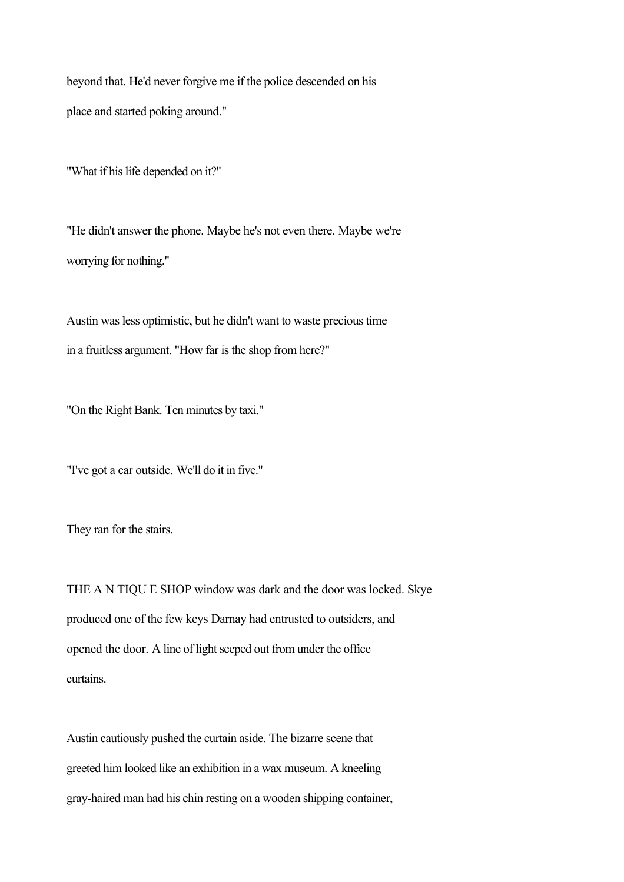beyond that. He'd never forgive me if the police descended on his place and started poking around."

"What if his life depended on it?"

 "He didn't answer the phone. Maybe he's not even there. Maybe we're worrying for nothing."

 Austin was less optimistic, but he didn't want to waste precious time in a fruitless argument. "How far is the shop from here?"

"On the Right Bank. Ten minutes by taxi."

"I've got a car outside. We'll do it in five."

They ran for the stairs.

 THE A N TIQU E SHOP window was dark and the door was locked. Skye produced one of the few keys Darnay had entrusted to outsiders, and opened the door. A line of light seeped out from under the office curtains.

 Austin cautiously pushed the curtain aside. The bizarre scene that greeted him looked like an exhibition in a wax museum. A kneeling gray-haired man had his chin resting on a wooden shipping container,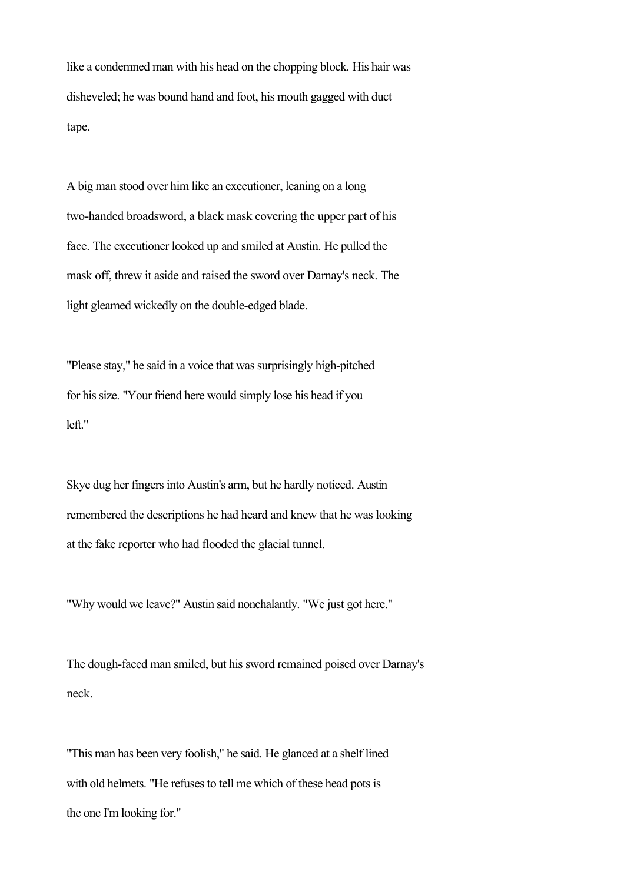like a condemned man with his head on the chopping block. His hair was disheveled; he was bound hand and foot, his mouth gagged with duct tape.

 A big man stood over him like an executioner, leaning on a long two-handed broadsword, a black mask covering the upper part of his face. The executioner looked up and smiled at Austin. He pulled the mask off, threw it aside and raised the sword over Darnay's neck. The light gleamed wickedly on the double-edged blade.

 "Please stay," he said in a voice that was surprisingly high-pitched for his size. "Your friend here would simply lose his head if you left."

 Skye dug her fingers into Austin's arm, but he hardly noticed. Austin remembered the descriptions he had heard and knew that he was looking at the fake reporter who had flooded the glacial tunnel.

"Why would we leave?" Austin said nonchalantly. "We just got here."

 The dough-faced man smiled, but his sword remained poised over Darnay's neck.

 "This man has been very foolish," he said. He glanced at a shelf lined with old helmets. "He refuses to tell me which of these head pots is the one I'm looking for."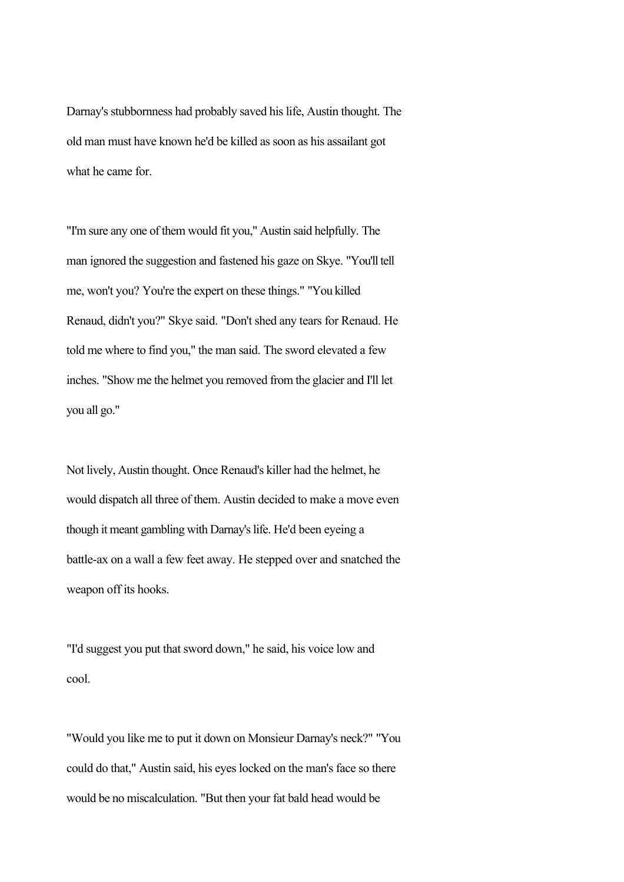Darnay's stubbornness had probably saved his life, Austin thought. The old man must have known he'd be killed as soon as his assailant got what he came for

 "I'm sure any one of them would fit you," Austin said helpfully. The man ignored the suggestion and fastened his gaze on Skye. "You'll tell me, won't you? You're the expert on these things." "You killed Renaud, didn't you?" Skye said. "Don't shed any tears for Renaud. He told me where to find you," the man said. The sword elevated a few inches. "Show me the helmet you removed from the glacier and I'll let you all go."

 Not lively, Austin thought. Once Renaud's killer had the helmet, he would dispatch all three of them. Austin decided to make a move even though it meant gambling with Darnay's life. He'd been eyeing a battle-ax on a wall a few feet away. He stepped over and snatched the weapon off its hooks.

 "I'd suggest you put that sword down," he said, his voice low and cool.

 "Would you like me to put it down on Monsieur Darnay's neck?" "You could do that," Austin said, his eyes locked on the man's face so there would be no miscalculation. "But then your fat bald head would be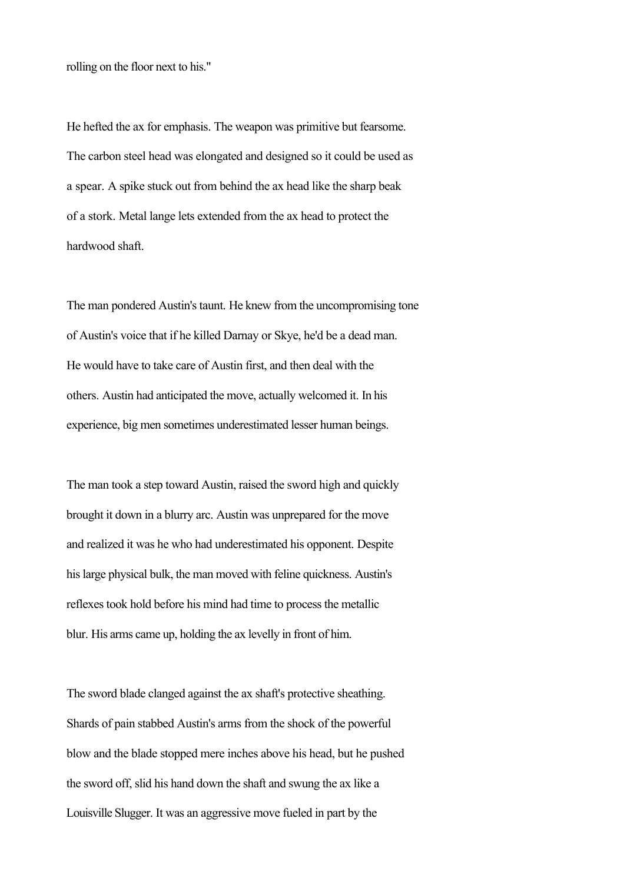rolling on the floor next to his."

 He hefted the ax for emphasis. The weapon was primitive but fearsome. The carbon steel head was elongated and designed so it could be used as a spear. A spike stuck out from behind the ax head like the sharp beak of a stork. Metal lange lets extended from the ax head to protect the hardwood shaft.

 The man pondered Austin's taunt. He knew from the uncompromising tone of Austin's voice that if he killed Darnay or Skye, he'd be a dead man. He would have to take care of Austin first, and then deal with the others. Austin had anticipated the move, actually welcomed it. In his experience, big men sometimes underestimated lesser human beings.

 The man took a step toward Austin, raised the sword high and quickly brought it down in a blurry arc. Austin was unprepared for the move and realized it was he who had underestimated his opponent. Despite his large physical bulk, the man moved with feline quickness. Austin's reflexes took hold before his mind had time to process the metallic blur. His arms came up, holding the ax levelly in front of him.

 The sword blade clanged against the ax shaft's protective sheathing. Shards of pain stabbed Austin's arms from the shock of the powerful blow and the blade stopped mere inches above his head, but he pushed the sword off, slid his hand down the shaft and swung the ax like a Louisville Slugger. It was an aggressive move fueled in part by the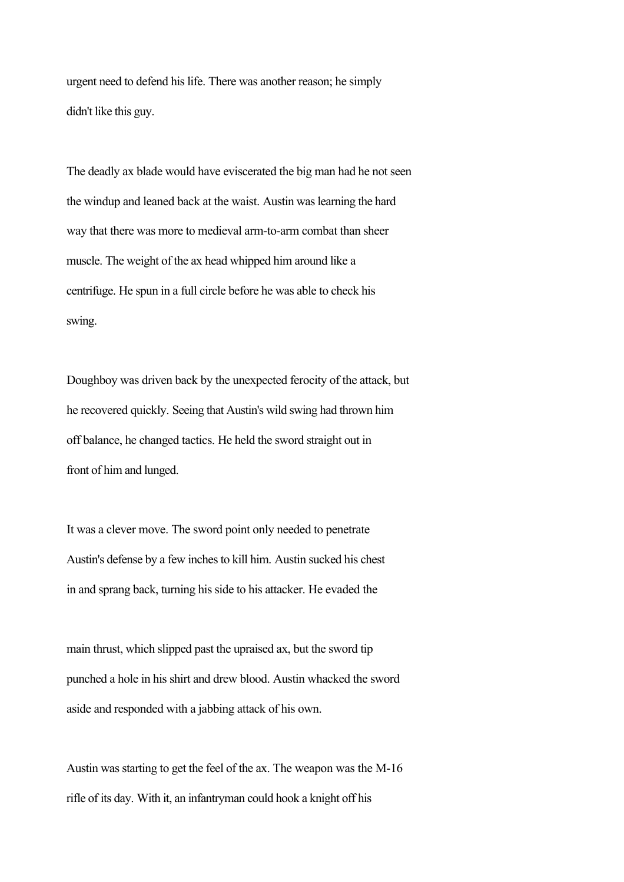urgent need to defend his life. There was another reason; he simply didn't like this guy.

 The deadly ax blade would have eviscerated the big man had he not seen the windup and leaned back at the waist. Austin was learning the hard way that there was more to medieval arm-to-arm combat than sheer muscle. The weight of the ax head whipped him around like a centrifuge. He spun in a full circle before he was able to check his swing.

 Doughboy was driven back by the unexpected ferocity of the attack, but he recovered quickly. Seeing that Austin's wild swing had thrown him off balance, he changed tactics. He held the sword straight out in front of him and lunged.

 It was a clever move. The sword point only needed to penetrate Austin's defense by a few inches to kill him. Austin sucked his chest in and sprang back, turning his side to his attacker. He evaded the

 main thrust, which slipped past the upraised ax, but the sword tip punched a hole in his shirt and drew blood. Austin whacked the sword aside and responded with a jabbing attack of his own.

 Austin was starting to get the feel of the ax. The weapon was the M-16 rifle of its day. With it, an infantryman could hook a knight off his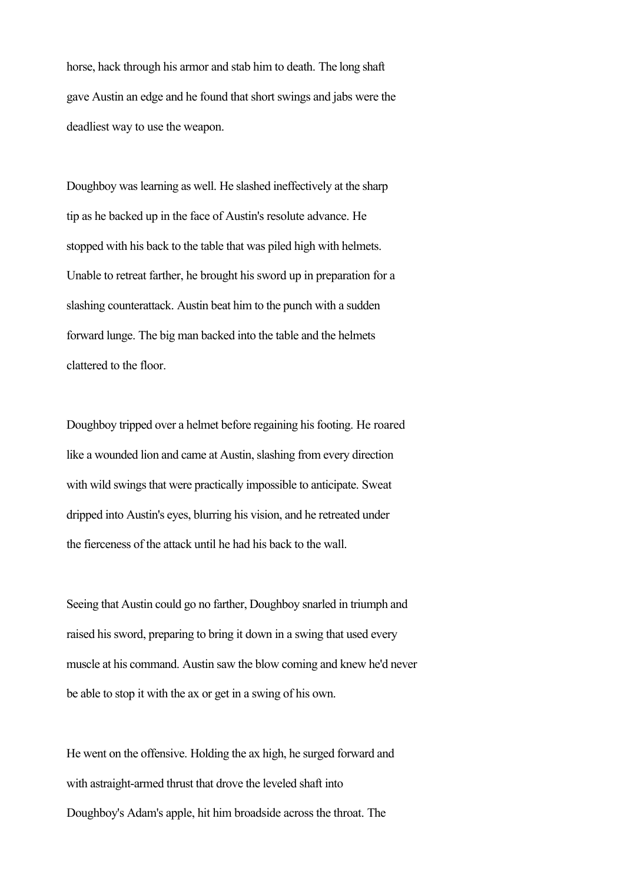horse, hack through his armor and stab him to death. The long shaft gave Austin an edge and he found that short swings and jabs were the deadliest way to use the weapon.

 Doughboy was learning as well. He slashed ineffectively at the sharp tip as he backed up in the face of Austin's resolute advance. He stopped with his back to the table that was piled high with helmets. Unable to retreat farther, he brought his sword up in preparation for a slashing counterattack. Austin beat him to the punch with a sudden forward lunge. The big man backed into the table and the helmets clattered to the floor.

 Doughboy tripped over a helmet before regaining his footing. He roared like a wounded lion and came at Austin, slashing from every direction with wild swings that were practically impossible to anticipate. Sweat dripped into Austin's eyes, blurring his vision, and he retreated under the fierceness of the attack until he had his back to the wall.

 Seeing that Austin could go no farther, Doughboy snarled in triumph and raised his sword, preparing to bring it down in a swing that used every muscle at his command. Austin saw the blow coming and knew he'd never be able to stop it with the ax or get in a swing of his own.

 He went on the offensive. Holding the ax high, he surged forward and with astraight-armed thrust that drove the leveled shaft into Doughboy's Adam's apple, hit him broadside across the throat. The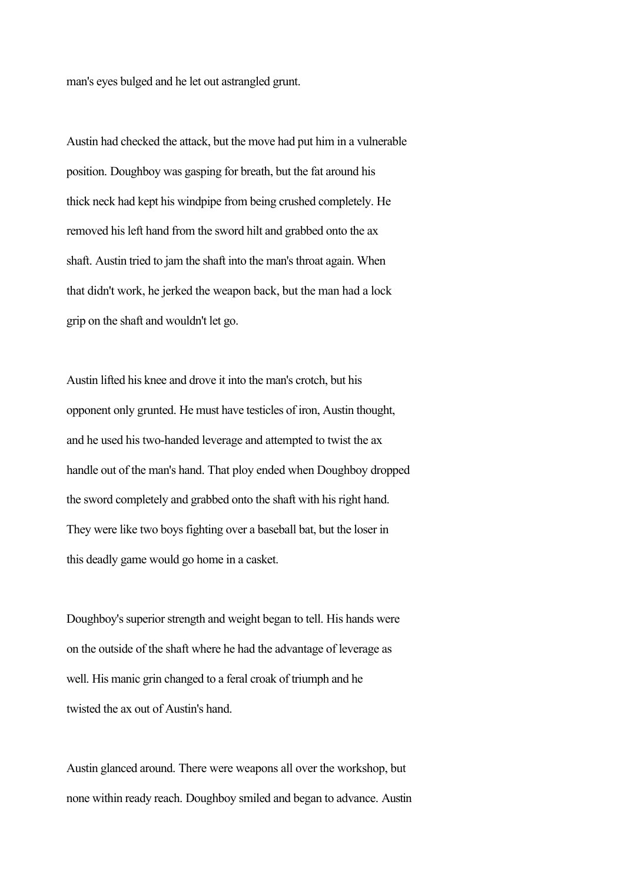man's eyes bulged and he let out astrangled grunt.

 Austin had checked the attack, but the move had put him in a vulnerable position. Doughboy was gasping for breath, but the fat around his thick neck had kept his windpipe from being crushed completely. He removed his left hand from the sword hilt and grabbed onto the ax shaft. Austin tried to jam the shaft into the man's throat again. When that didn't work, he jerked the weapon back, but the man had a lock grip on the shaft and wouldn't let go.

 Austin lifted his knee and drove it into the man's crotch, but his opponent only grunted. He must have testicles of iron, Austin thought, and he used his two-handed leverage and attempted to twist the ax handle out of the man's hand. That ploy ended when Doughboy dropped the sword completely and grabbed onto the shaft with his right hand. They were like two boys fighting over a baseball bat, but the loser in this deadly game would go home in a casket.

 Doughboy's superior strength and weight began to tell. His hands were on the outside of the shaft where he had the advantage of leverage as well. His manic grin changed to a feral croak of triumph and he twisted the ax out of Austin's hand.

 Austin glanced around. There were weapons all over the workshop, but none within ready reach. Doughboy smiled and began to advance. Austin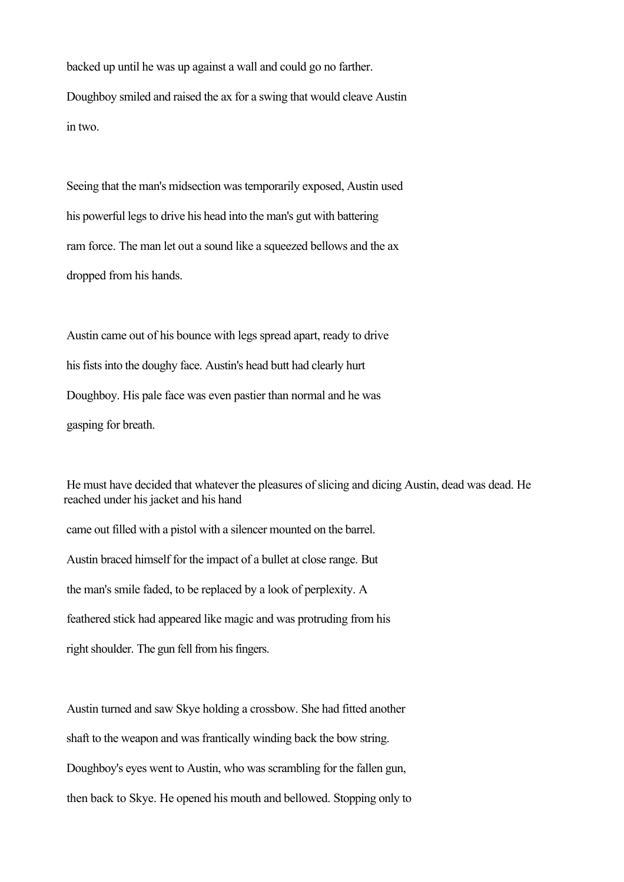backed up until he was up against a wall and could go no farther.

 Doughboy smiled and raised the ax for a swing that would cleave Austin in two.

 Seeing that the man's midsection was temporarily exposed, Austin used his powerful legs to drive his head into the man's gut with battering ram force. The man let out a sound like a squeezed bellows and the ax dropped from his hands.

 Austin came out of his bounce with legs spread apart, ready to drive his fists into the doughy face. Austin's head butt had clearly hurt Doughboy. His pale face was even pastier than normal and he was gasping for breath.

 He must have decided that whatever the pleasures of slicing and dicing Austin, dead was dead. He reached under his jacket and his hand came out filled with a pistol with a silencer mounted on the barrel. Austin braced himself for the impact of a bullet at close range. But the man's smile faded, to be replaced by a look of perplexity. A feathered stick had appeared like magic and was protruding from his right shoulder. The gun fell from his fingers.

 Austin turned and saw Skye holding a crossbow. She had fitted another shaft to the weapon and was frantically winding back the bow string. Doughboy's eyes went to Austin, who was scrambling for the fallen gun, then back to Skye. He opened his mouth and bellowed. Stopping only to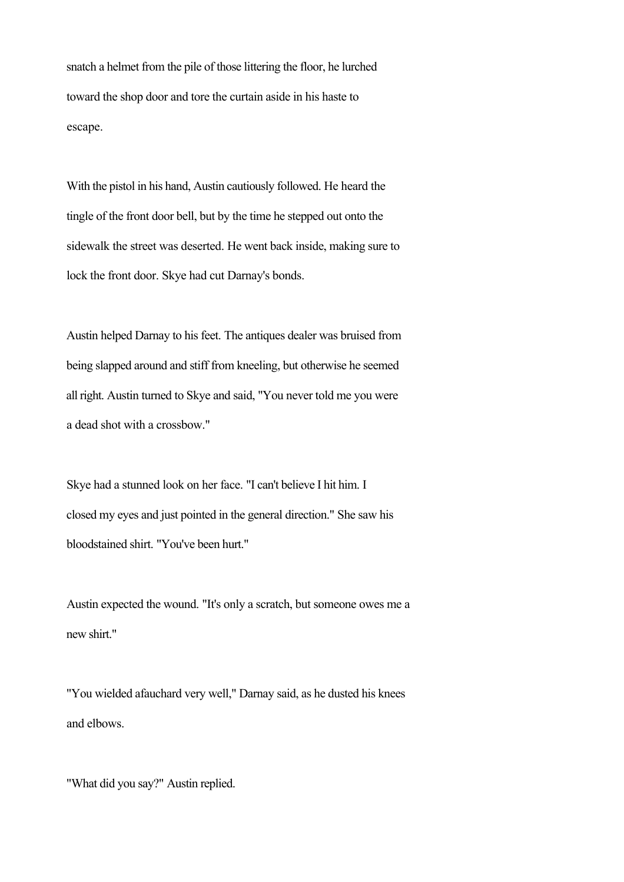snatch a helmet from the pile of those littering the floor, he lurched toward the shop door and tore the curtain aside in his haste to escape.

 With the pistol in his hand, Austin cautiously followed. He heard the tingle of the front door bell, but by the time he stepped out onto the sidewalk the street was deserted. He went back inside, making sure to lock the front door. Skye had cut Darnay's bonds.

 Austin helped Darnay to his feet. The antiques dealer was bruised from being slapped around and stiff from kneeling, but otherwise he seemed all right. Austin turned to Skye and said, "You never told me you were a dead shot with a crossbow."

 Skye had a stunned look on her face. "I can't believe I hit him. I closed my eyes and just pointed in the general direction." She saw his bloodstained shirt. "You've been hurt."

 Austin expected the wound. "It's only a scratch, but someone owes me a new shirt."

 "You wielded afauchard very well," Darnay said, as he dusted his knees and elbows.

"What did you say?" Austin replied.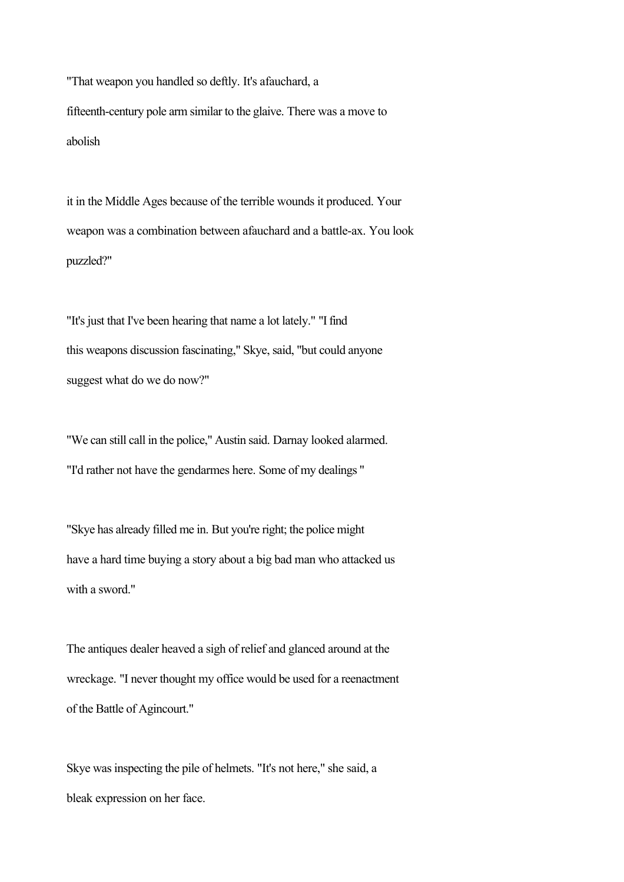"That weapon you handled so deftly. It's afauchard, a fifteenth-century pole arm similar to the glaive. There was a move to abolish

 it in the Middle Ages because of the terrible wounds it produced. Your weapon was a combination between afauchard and a battle-ax. You look puzzled?"

 "It's just that I've been hearing that name a lot lately." "I find this weapons discussion fascinating," Skye, said, "but could anyone suggest what do we do now?"

 "We can still call in the police," Austin said. Darnay looked alarmed. "I'd rather not have the gendarmes here. Some of my dealings "

 "Skye has already filled me in. But you're right; the police might have a hard time buying a story about a big bad man who attacked us with a sword."

 The antiques dealer heaved a sigh of relief and glanced around at the wreckage. "I never thought my office would be used for a reenactment of the Battle of Agincourt."

 Skye was inspecting the pile of helmets. "It's not here," she said, a bleak expression on her face.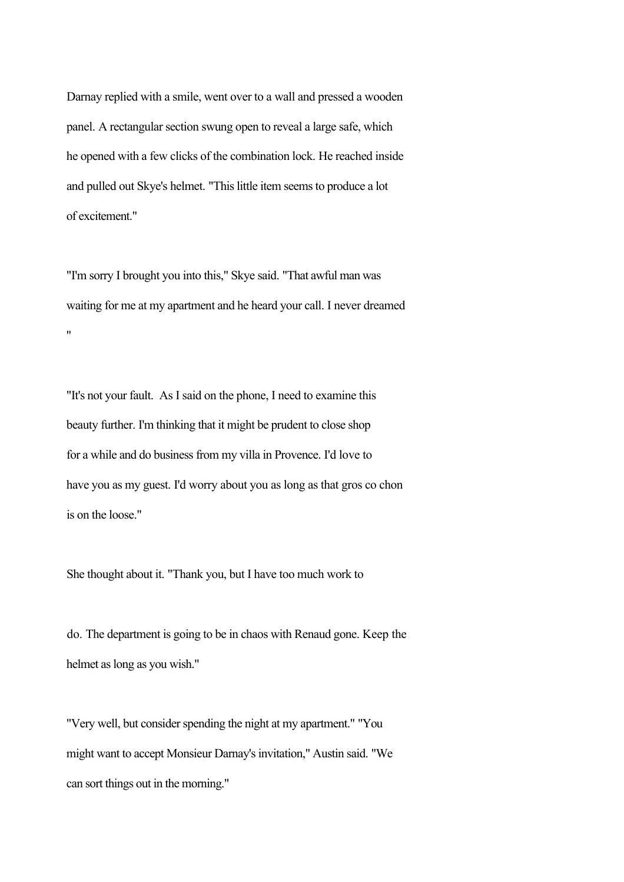Darnay replied with a smile, went over to a wall and pressed a wooden panel. A rectangular section swung open to reveal a large safe, which he opened with a few clicks of the combination lock. He reached inside and pulled out Skye's helmet. "This little item seems to produce a lot of excitement."

 "I'm sorry I brought you into this," Skye said. "That awful man was waiting for me at my apartment and he heard your call. I never dreamed  $"$ 

 "It's not your fault. As I said on the phone, I need to examine this beauty further. I'm thinking that it might be prudent to close shop for a while and do business from my villa in Provence. I'd love to have you as my guest. I'd worry about you as long as that gros co chon is on the loose."

She thought about it. "Thank you, but I have too much work to

 do. The department is going to be in chaos with Renaud gone. Keep the helmet as long as you wish."

 "Very well, but consider spending the night at my apartment." "You might want to accept Monsieur Darnay's invitation," Austin said. "We can sort things out in the morning."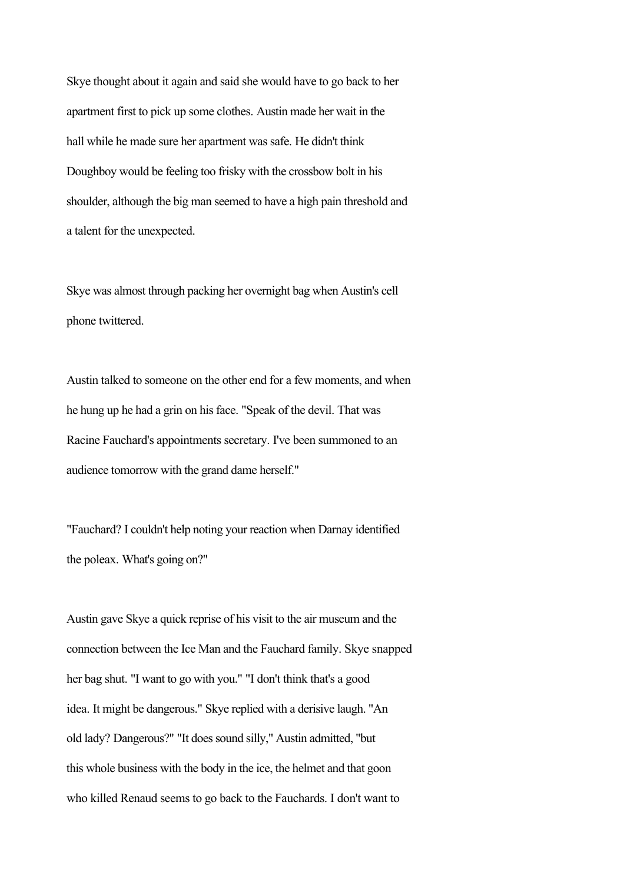Skye thought about it again and said she would have to go back to her apartment first to pick up some clothes. Austin made her wait in the hall while he made sure her apartment was safe. He didn't think Doughboy would be feeling too frisky with the crossbow bolt in his shoulder, although the big man seemed to have a high pain threshold and a talent for the unexpected.

 Skye was almost through packing her overnight bag when Austin's cell phone twittered.

 Austin talked to someone on the other end for a few moments, and when he hung up he had a grin on his face. "Speak of the devil. That was Racine Fauchard's appointments secretary. I've been summoned to an audience tomorrow with the grand dame herself."

 "Fauchard? I couldn't help noting your reaction when Darnay identified the poleax. What's going on?"

 Austin gave Skye a quick reprise of his visit to the air museum and the connection between the Ice Man and the Fauchard family. Skye snapped her bag shut. "I want to go with you." "I don't think that's a good idea. It might be dangerous." Skye replied with a derisive laugh. "An old lady? Dangerous?" "It does sound silly," Austin admitted, "but this whole business with the body in the ice, the helmet and that goon who killed Renaud seems to go back to the Fauchards. I don't want to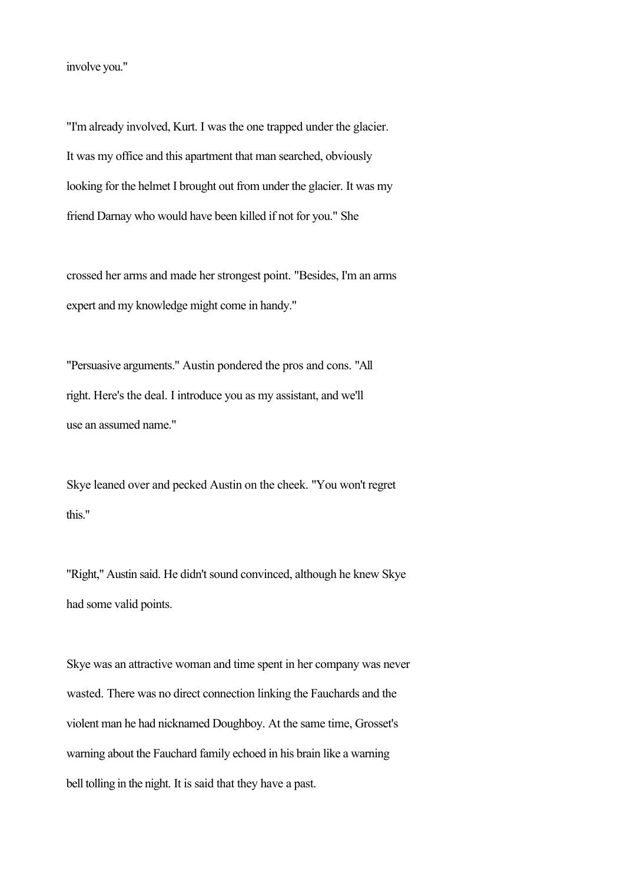involve you."

 "I'm already involved, Kurt. I was the one trapped under the glacier. It was my office and this apartment that man searched, obviously looking for the helmet I brought out from under the glacier. It was my friend Darnay who would have been killed if not for you." She

 crossed her arms and made her strongest point. "Besides, I'm an arms expert and my knowledge might come in handy."

 "Persuasive arguments." Austin pondered the pros and cons. "All right. Here's the deal. I introduce you as my assistant, and we'll use an assumed name."

 Skye leaned over and pecked Austin on the cheek. "You won't regret this."

 "Right," Austin said. He didn't sound convinced, although he knew Skye had some valid points.

 Skye was an attractive woman and time spent in her company was never wasted. There was no direct connection linking the Fauchards and the violent man he had nicknamed Doughboy. At the same time, Grosset's warning about the Fauchard family echoed in his brain like a warning bell tolling in the night. It is said that they have a past.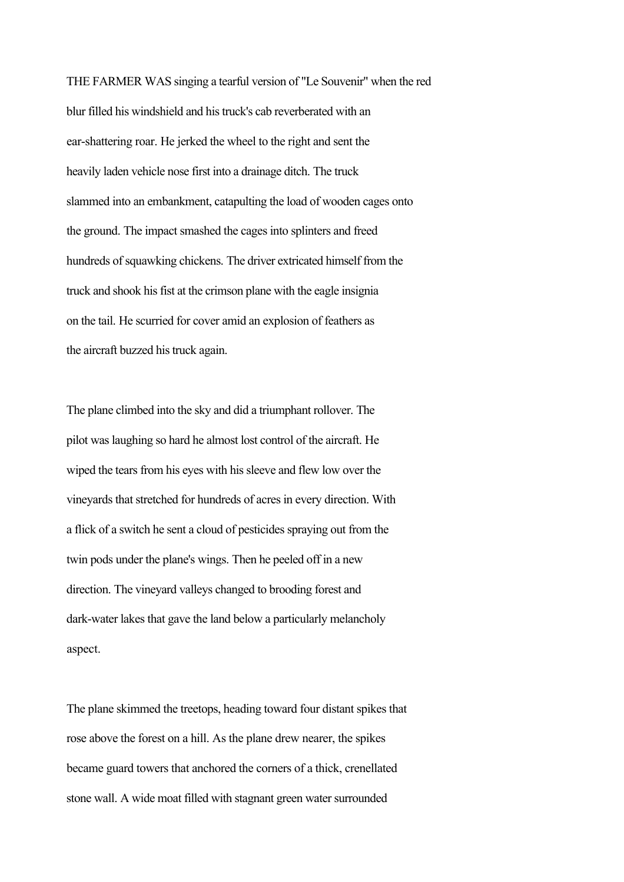THE FARMER WAS singing a tearful version of "Le Souvenir" when the red blur filled his windshield and his truck's cab reverberated with an ear-shattering roar. He jerked the wheel to the right and sent the heavily laden vehicle nose first into a drainage ditch. The truck slammed into an embankment, catapulting the load of wooden cages onto the ground. The impact smashed the cages into splinters and freed hundreds of squawking chickens. The driver extricated himself from the truck and shook his fist at the crimson plane with the eagle insignia on the tail. He scurried for cover amid an explosion of feathers as the aircraft buzzed his truck again.

 The plane climbed into the sky and did a triumphant rollover. The pilot was laughing so hard he almost lost control of the aircraft. He wiped the tears from his eyes with his sleeve and flew low over the vineyards that stretched for hundreds of acres in every direction. With a flick of a switch he sent a cloud of pesticides spraying out from the twin pods under the plane's wings. Then he peeled off in a new direction. The vineyard valleys changed to brooding forest and dark-water lakes that gave the land below a particularly melancholy aspect.

 The plane skimmed the treetops, heading toward four distant spikes that rose above the forest on a hill. As the plane drew nearer, the spikes became guard towers that anchored the corners of a thick, crenellated stone wall. A wide moat filled with stagnant green water surrounded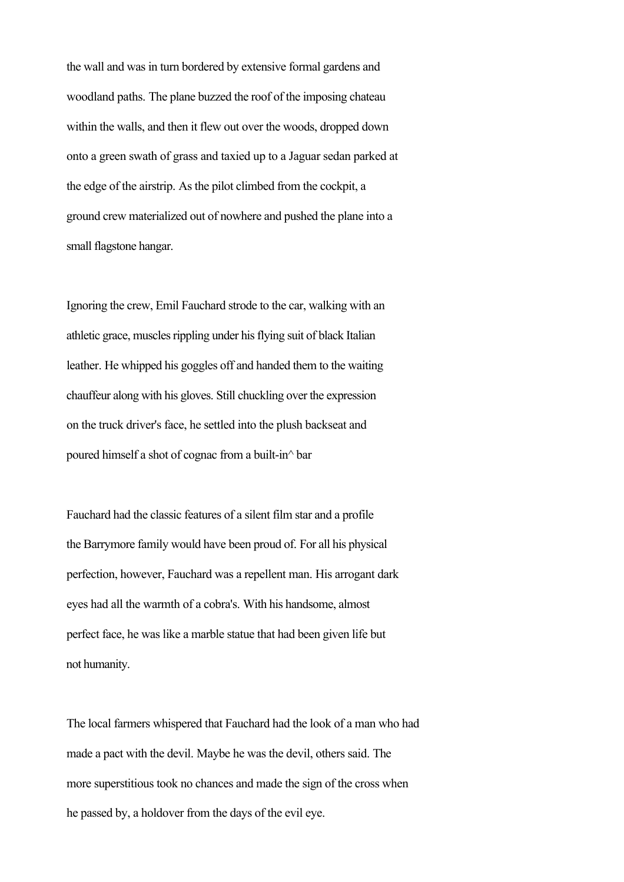the wall and was in turn bordered by extensive formal gardens and woodland paths. The plane buzzed the roof of the imposing chateau within the walls, and then it flew out over the woods, dropped down onto a green swath of grass and taxied up to a Jaguar sedan parked at the edge of the airstrip. As the pilot climbed from the cockpit, a ground crew materialized out of nowhere and pushed the plane into a small flagstone hangar.

 Ignoring the crew, Emil Fauchard strode to the car, walking with an athletic grace, muscles rippling under his flying suit of black Italian leather. He whipped his goggles off and handed them to the waiting chauffeur along with his gloves. Still chuckling over the expression on the truck driver's face, he settled into the plush backseat and poured himself a shot of cognac from a built-in^ bar

 Fauchard had the classic features of a silent film star and a profile the Barrymore family would have been proud of. For all his physical perfection, however, Fauchard was a repellent man. His arrogant dark eyes had all the warmth of a cobra's. With his handsome, almost perfect face, he was like a marble statue that had been given life but not humanity.

 The local farmers whispered that Fauchard had the look of a man who had made a pact with the devil. Maybe he was the devil, others said. The more superstitious took no chances and made the sign of the cross when he passed by, a holdover from the days of the evil eye.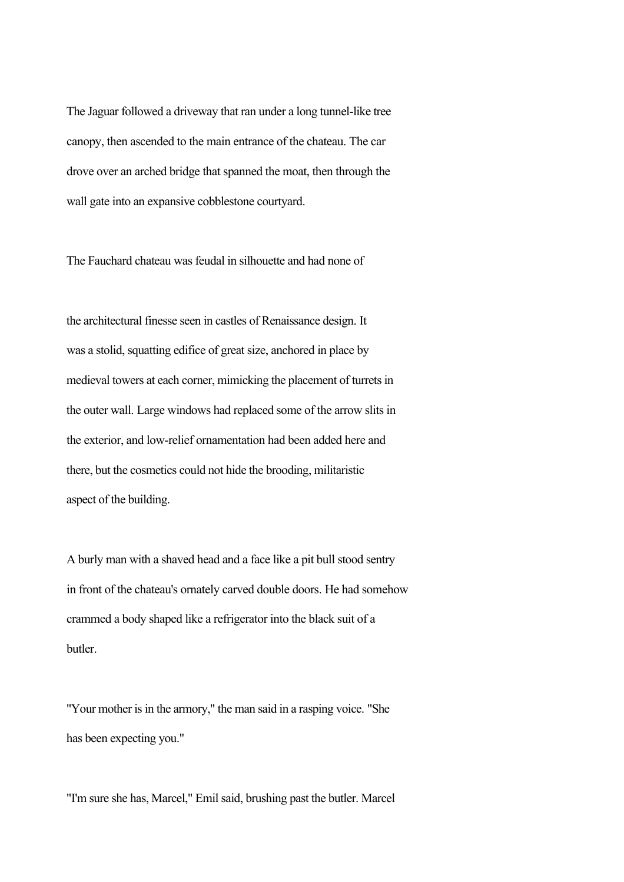The Jaguar followed a driveway that ran under a long tunnel-like tree canopy, then ascended to the main entrance of the chateau. The car drove over an arched bridge that spanned the moat, then through the wall gate into an expansive cobblestone courtyard.

The Fauchard chateau was feudal in silhouette and had none of

 the architectural finesse seen in castles of Renaissance design. It was a stolid, squatting edifice of great size, anchored in place by medieval towers at each corner, mimicking the placement of turrets in the outer wall. Large windows had replaced some of the arrow slits in the exterior, and low-relief ornamentation had been added here and there, but the cosmetics could not hide the brooding, militaristic aspect of the building.

 A burly man with a shaved head and a face like a pit bull stood sentry in front of the chateau's ornately carved double doors. He had somehow crammed a body shaped like a refrigerator into the black suit of a butler.

 "Your mother is in the armory," the man said in a rasping voice. "She has been expecting you."

"I'm sure she has, Marcel," Emil said, brushing past the butler. Marcel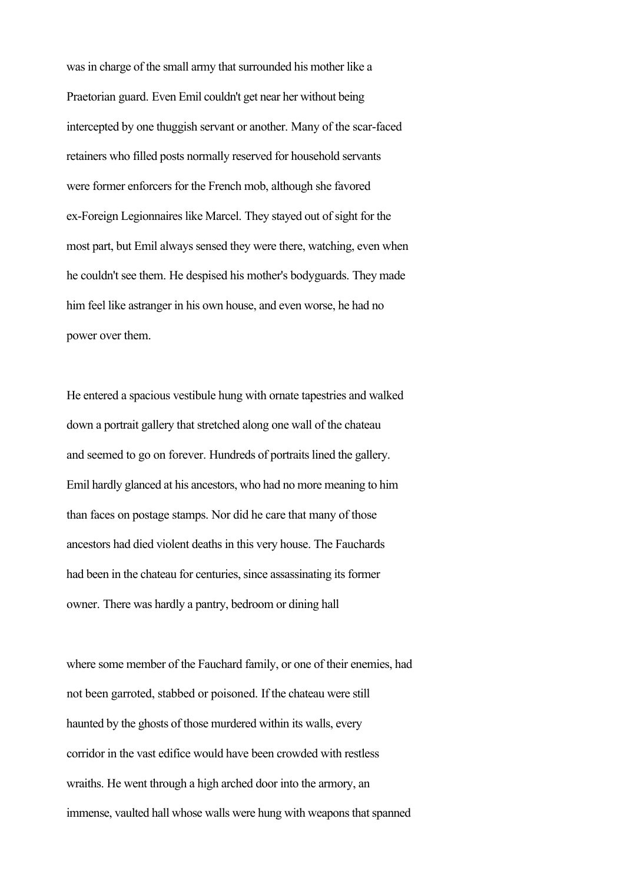was in charge of the small army that surrounded his mother like a Praetorian guard. Even Emil couldn't get near her without being intercepted by one thuggish servant or another. Many of the scar-faced retainers who filled posts normally reserved for household servants were former enforcers for the French mob, although she favored ex-Foreign Legionnaires like Marcel. They stayed out of sight for the most part, but Emil always sensed they were there, watching, even when he couldn't see them. He despised his mother's bodyguards. They made him feel like astranger in his own house, and even worse, he had no power over them.

 He entered a spacious vestibule hung with ornate tapestries and walked down a portrait gallery that stretched along one wall of the chateau and seemed to go on forever. Hundreds of portraits lined the gallery. Emil hardly glanced at his ancestors, who had no more meaning to him than faces on postage stamps. Nor did he care that many of those ancestors had died violent deaths in this very house. The Fauchards had been in the chateau for centuries, since assassinating its former owner. There was hardly a pantry, bedroom or dining hall

 where some member of the Fauchard family, or one of their enemies, had not been garroted, stabbed or poisoned. If the chateau were still haunted by the ghosts of those murdered within its walls, every corridor in the vast edifice would have been crowded with restless wraiths. He went through a high arched door into the armory, an immense, vaulted hall whose walls were hung with weapons that spanned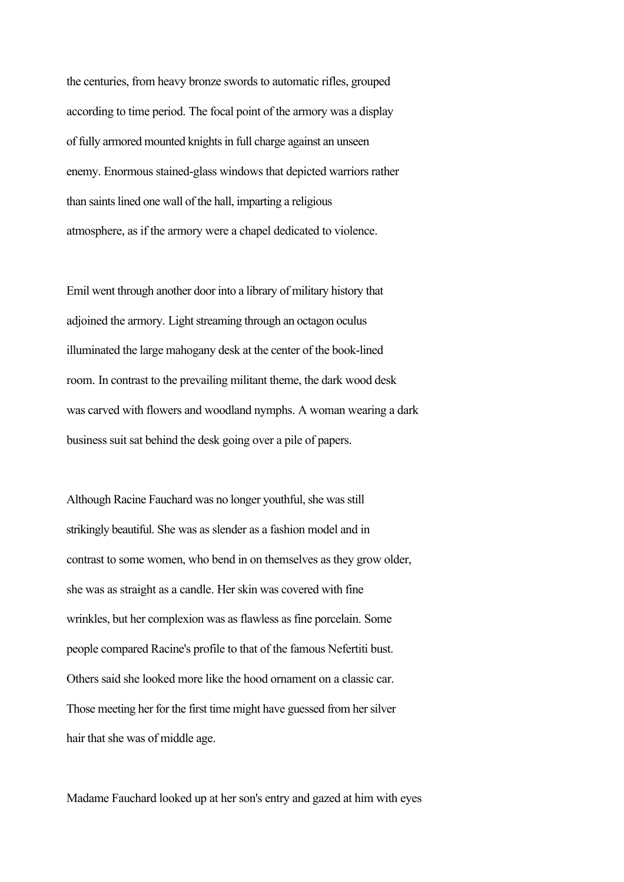the centuries, from heavy bronze swords to automatic rifles, grouped according to time period. The focal point of the armory was a display of fully armored mounted knights in full charge against an unseen enemy. Enormous stained-glass windows that depicted warriors rather than saints lined one wall of the hall, imparting a religious atmosphere, as if the armory were a chapel dedicated to violence.

 Emil went through another door into a library of military history that adjoined the armory. Light streaming through an octagon oculus illuminated the large mahogany desk at the center of the book-lined room. In contrast to the prevailing militant theme, the dark wood desk was carved with flowers and woodland nymphs. A woman wearing a dark business suit sat behind the desk going over a pile of papers.

 Although Racine Fauchard was no longer youthful, she was still strikingly beautiful. She was as slender as a fashion model and in contrast to some women, who bend in on themselves as they grow older, she was as straight as a candle. Her skin was covered with fine wrinkles, but her complexion was as flawless as fine porcelain. Some people compared Racine's profile to that of the famous Nefertiti bust. Others said she looked more like the hood ornament on a classic car. Those meeting her for the first time might have guessed from her silver hair that she was of middle age.

Madame Fauchard looked up at her son's entry and gazed at him with eyes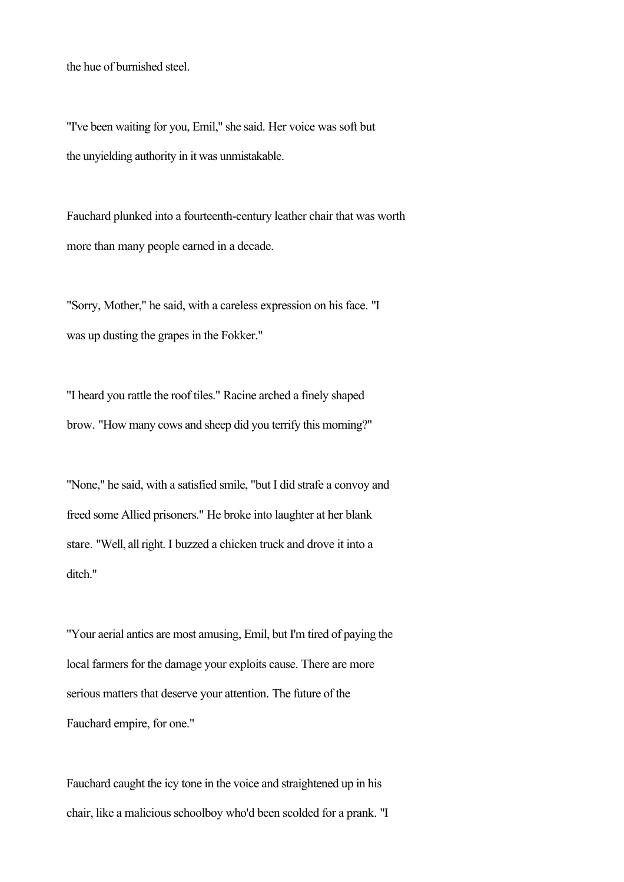the hue of burnished steel.

 "I've been waiting for you, Emil," she said. Her voice was soft but the unyielding authority in it was unmistakable.

 Fauchard plunked into a fourteenth-century leather chair that was worth more than many people earned in a decade.

 "Sorry, Mother," he said, with a careless expression on his face. "I was up dusting the grapes in the Fokker."

 "I heard you rattle the roof tiles." Racine arched a finely shaped brow. "How many cows and sheep did you terrify this morning?"

 "None," he said, with a satisfied smile, "but I did strafe a convoy and freed some Allied prisoners." He broke into laughter at her blank stare. "Well, all right. I buzzed a chicken truck and drove it into a ditch."

 "Your aerial antics are most amusing, Emil, but I'm tired of paying the local farmers for the damage your exploits cause. There are more serious matters that deserve your attention. The future of the Fauchard empire, for one."

 Fauchard caught the icy tone in the voice and straightened up in his chair, like a malicious schoolboy who'd been scolded for a prank. "I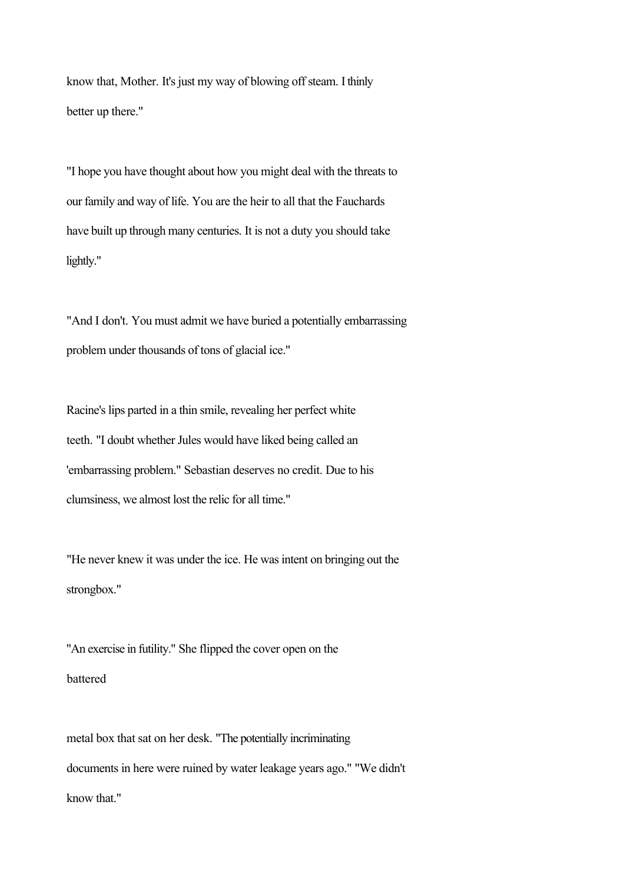know that, Mother. It's just my way of blowing off steam. I thinly better up there."

 "I hope you have thought about how you might deal with the threats to our family and way of life. You are the heir to all that the Fauchards have built up through many centuries. It is not a duty you should take lightly."

 "And I don't. You must admit we have buried a potentially embarrassing problem under thousands of tons of glacial ice."

 Racine's lips parted in a thin smile, revealing her perfect white teeth. "I doubt whether Jules would have liked being called an 'embarrassing problem." Sebastian deserves no credit. Due to his clumsiness, we almost lost the relic for all time."

 "He never knew it was under the ice. He was intent on bringing out the strongbox."

 "An exercise in futility." She flipped the cover open on the battered

 metal box that sat on her desk. "The potentially incriminating documents in here were ruined by water leakage years ago." "We didn't know that."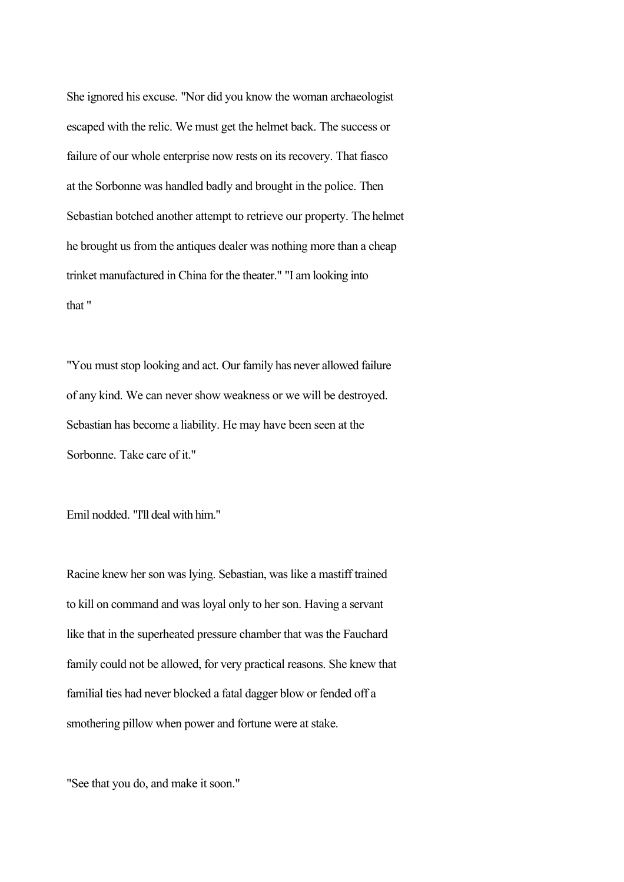She ignored his excuse. "Nor did you know the woman archaeologist escaped with the relic. We must get the helmet back. The success or failure of our whole enterprise now rests on its recovery. That fiasco at the Sorbonne was handled badly and brought in the police. Then Sebastian botched another attempt to retrieve our property. The helmet he brought us from the antiques dealer was nothing more than a cheap trinket manufactured in China for the theater." "I am looking into that "

 "You must stop looking and act. Our family has never allowed failure of any kind. We can never show weakness or we will be destroyed. Sebastian has become a liability. He may have been seen at the Sorbonne. Take care of it."

Emil nodded. "I'll deal with him."

 Racine knew her son was lying. Sebastian, was like a mastiff trained to kill on command and was loyal only to her son. Having a servant like that in the superheated pressure chamber that was the Fauchard family could not be allowed, for very practical reasons. She knew that familial ties had never blocked a fatal dagger blow or fended off a smothering pillow when power and fortune were at stake.

"See that you do, and make it soon."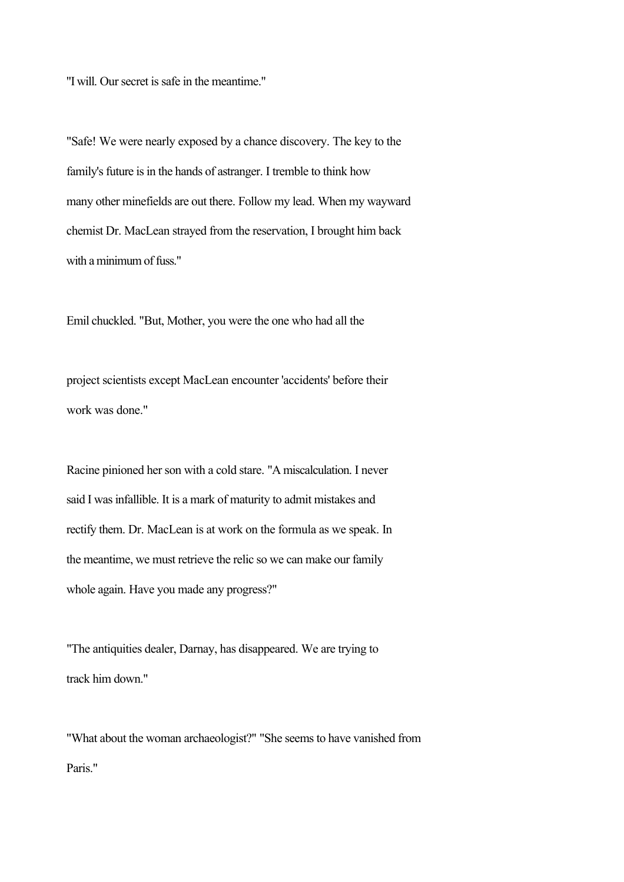"I will. Our secret is safe in the meantime."

 "Safe! We were nearly exposed by a chance discovery. The key to the family's future is in the hands of astranger. I tremble to think how many other minefields are out there. Follow my lead. When my wayward chemist Dr. MacLean strayed from the reservation, I brought him back with a minimum of fuss."

Emil chuckled. "But, Mother, you were the one who had all the

 project scientists except MacLean encounter 'accidents' before their work was done."

 Racine pinioned her son with a cold stare. "A miscalculation. I never said I was infallible. It is a mark of maturity to admit mistakes and rectify them. Dr. MacLean is at work on the formula as we speak. In the meantime, we must retrieve the relic so we can make our family whole again. Have you made any progress?"

 "The antiquities dealer, Darnay, has disappeared. We are trying to track him down."

 "What about the woman archaeologist?" "She seems to have vanished from Paris."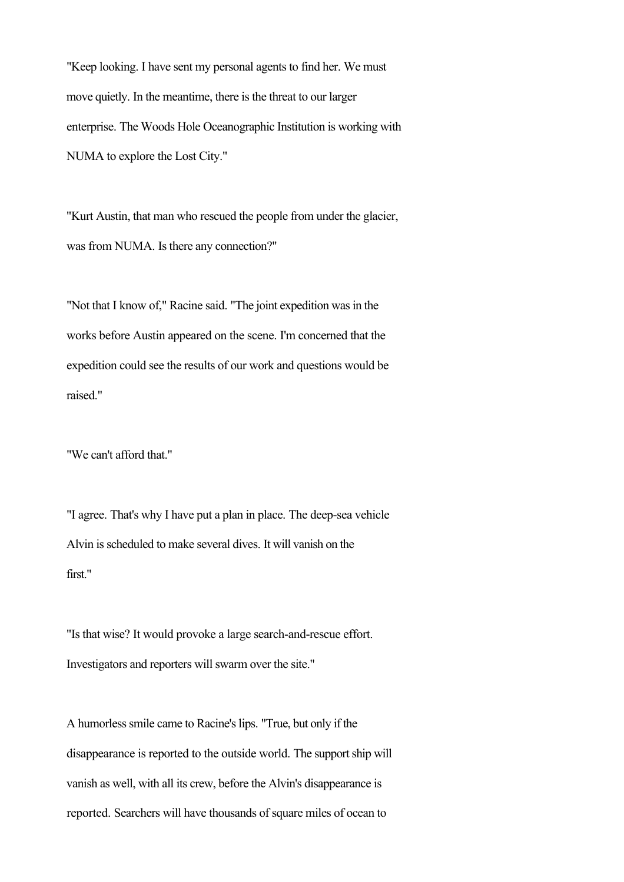"Keep looking. I have sent my personal agents to find her. We must move quietly. In the meantime, there is the threat to our larger enterprise. The Woods Hole Oceanographic Institution is working with NUMA to explore the Lost City."

 "Kurt Austin, that man who rescued the people from under the glacier, was from NUMA. Is there any connection?"

 "Not that I know of," Racine said. "The joint expedition was in the works before Austin appeared on the scene. I'm concerned that the expedition could see the results of our work and questions would be raised."

"We can't afford that."

 "I agree. That's why I have put a plan in place. The deep-sea vehicle Alvin is scheduled to make several dives. It will vanish on the first."

 "Is that wise? It would provoke a large search-and-rescue effort. Investigators and reporters will swarm over the site."

 A humorless smile came to Racine's lips. "True, but only if the disappearance is reported to the outside world. The support ship will vanish as well, with all its crew, before the Alvin's disappearance is reported. Searchers will have thousands of square miles of ocean to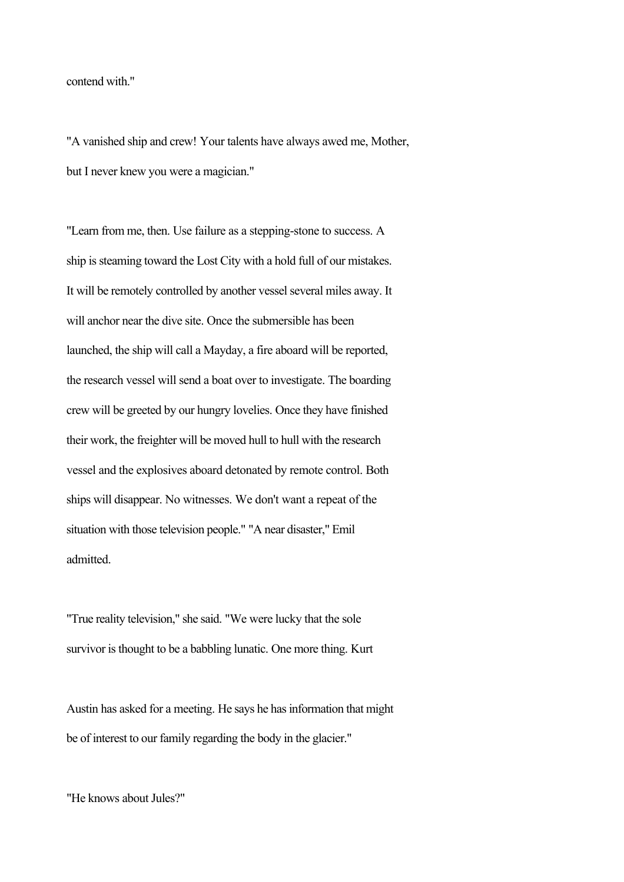contend with."

 "A vanished ship and crew! Your talents have always awed me, Mother, but I never knew you were a magician."

 "Learn from me, then. Use failure as a stepping-stone to success. A ship is steaming toward the Lost City with a hold full of our mistakes. It will be remotely controlled by another vessel several miles away. It will anchor near the dive site. Once the submersible has been launched, the ship will call a Mayday, a fire aboard will be reported, the research vessel will send a boat over to investigate. The boarding crew will be greeted by our hungry lovelies. Once they have finished their work, the freighter will be moved hull to hull with the research vessel and the explosives aboard detonated by remote control. Both ships will disappear. No witnesses. We don't want a repeat of the situation with those television people." "A near disaster," Emil admitted.

 "True reality television," she said. "We were lucky that the sole survivor is thought to be a babbling lunatic. One more thing. Kurt

 Austin has asked for a meeting. He says he has information that might be of interest to our family regarding the body in the glacier."

"He knows about Jules?"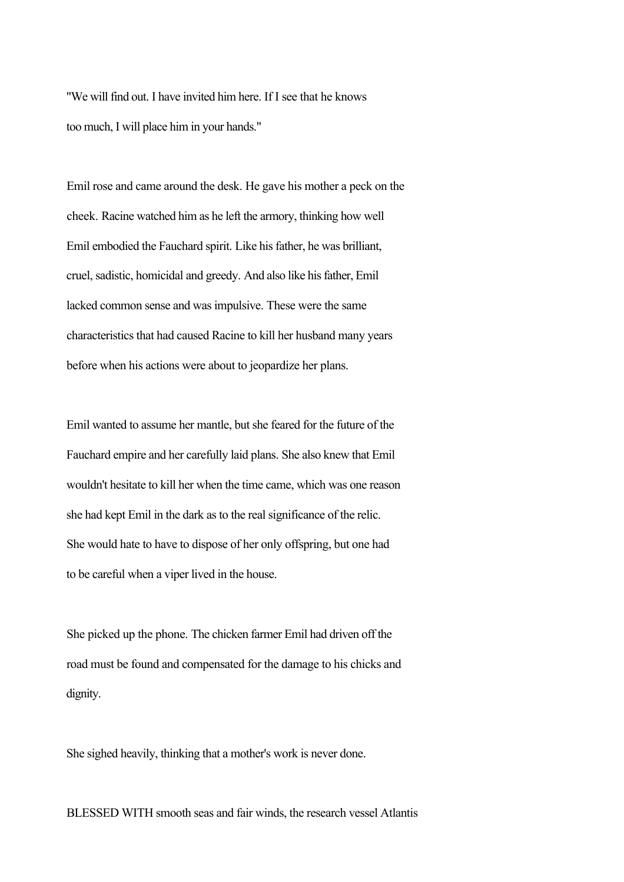"We will find out. I have invited him here. If I see that he knows too much, I will place him in your hands."

 Emil rose and came around the desk. He gave his mother a peck on the cheek. Racine watched him as he left the armory, thinking how well Emil embodied the Fauchard spirit. Like his father, he was brilliant, cruel, sadistic, homicidal and greedy. And also like his father, Emil lacked common sense and was impulsive. These were the same characteristics that had caused Racine to kill her husband many years before when his actions were about to jeopardize her plans.

 Emil wanted to assume her mantle, but she feared for the future of the Fauchard empire and her carefully laid plans. She also knew that Emil wouldn't hesitate to kill her when the time came, which was one reason she had kept Emil in the dark as to the real significance of the relic. She would hate to have to dispose of her only offspring, but one had to be careful when a viper lived in the house.

 She picked up the phone. The chicken farmer Emil had driven off the road must be found and compensated for the damage to his chicks and dignity.

She sighed heavily, thinking that a mother's work is never done.

BLESSED WITH smooth seas and fair winds, the research vessel Atlantis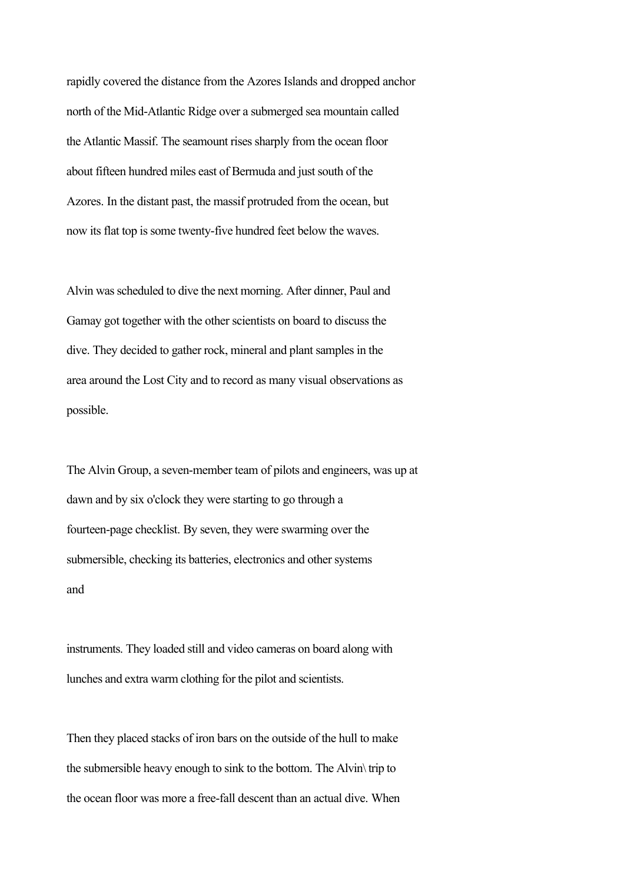rapidly covered the distance from the Azores Islands and dropped anchor north of the Mid-Atlantic Ridge over a submerged sea mountain called the Atlantic Massif. The seamount rises sharply from the ocean floor about fifteen hundred miles east of Bermuda and just south of the Azores. In the distant past, the massif protruded from the ocean, but now its flat top is some twenty-five hundred feet below the waves.

 Alvin was scheduled to dive the next morning. After dinner, Paul and Gamay got together with the other scientists on board to discuss the dive. They decided to gather rock, mineral and plant samples in the area around the Lost City and to record as many visual observations as possible.

 The Alvin Group, a seven-member team of pilots and engineers, was up at dawn and by six o'clock they were starting to go through a fourteen-page checklist. By seven, they were swarming over the submersible, checking its batteries, electronics and other systems and

 instruments. They loaded still and video cameras on board along with lunches and extra warm clothing for the pilot and scientists.

 Then they placed stacks of iron bars on the outside of the hull to make the submersible heavy enough to sink to the bottom. The Alvin\ trip to the ocean floor was more a free-fall descent than an actual dive. When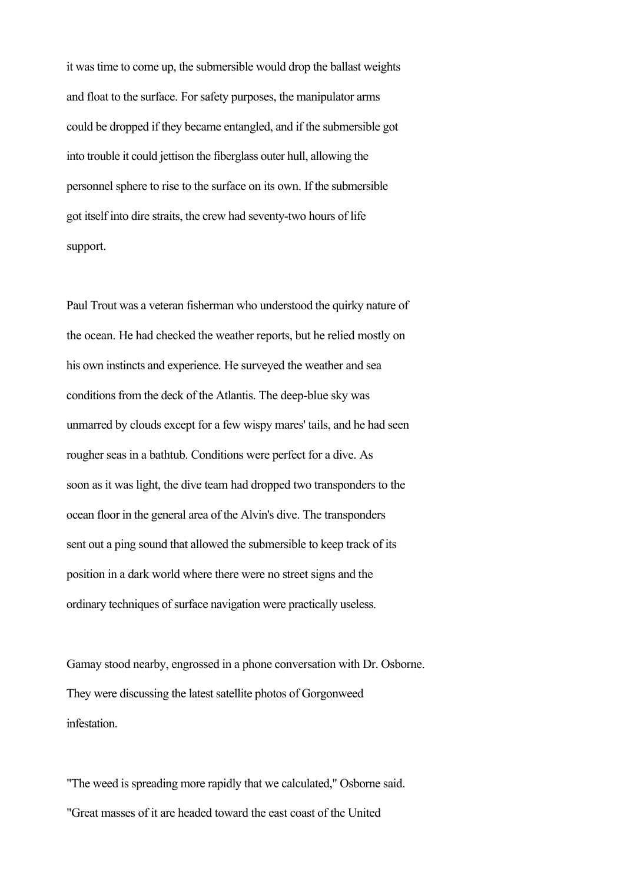it was time to come up, the submersible would drop the ballast weights and float to the surface. For safety purposes, the manipulator arms could be dropped if they became entangled, and if the submersible got into trouble it could jettison the fiberglass outer hull, allowing the personnel sphere to rise to the surface on its own. If the submersible got itself into dire straits, the crew had seventy-two hours of life support.

 Paul Trout was a veteran fisherman who understood the quirky nature of the ocean. He had checked the weather reports, but he relied mostly on his own instincts and experience. He surveyed the weather and sea conditions from the deck of the Atlantis. The deep-blue sky was unmarred by clouds except for a few wispy mares' tails, and he had seen rougher seas in a bathtub. Conditions were perfect for a dive. As soon as it was light, the dive team had dropped two transponders to the ocean floor in the general area of the Alvin's dive. The transponders sent out a ping sound that allowed the submersible to keep track of its position in a dark world where there were no street signs and the ordinary techniques of surface navigation were practically useless.

 Gamay stood nearby, engrossed in a phone conversation with Dr. Osborne. They were discussing the latest satellite photos of Gorgonweed infestation.

 "The weed is spreading more rapidly that we calculated," Osborne said. "Great masses of it are headed toward the east coast of the United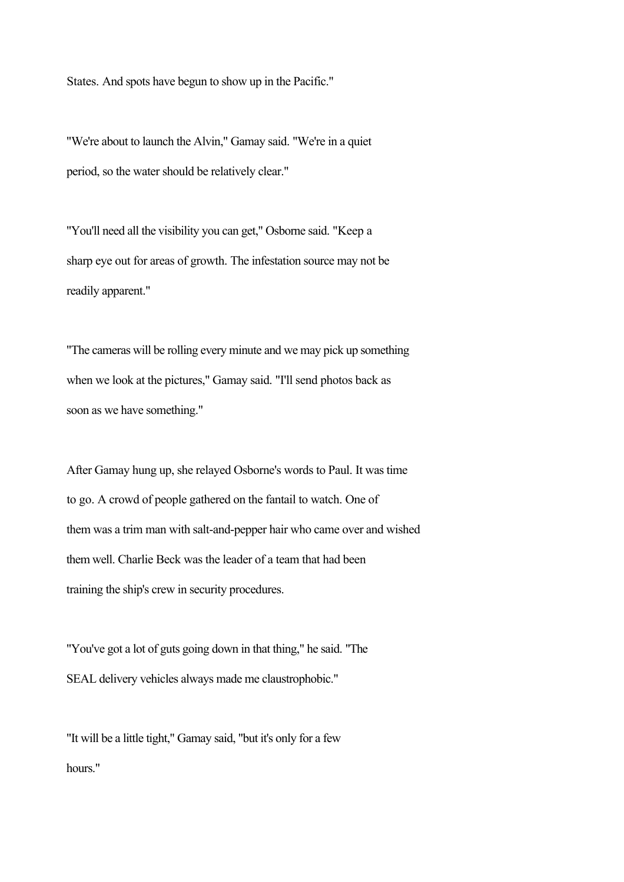States. And spots have begun to show up in the Pacific."

 "We're about to launch the Alvin," Gamay said. "We're in a quiet period, so the water should be relatively clear."

 "You'll need all the visibility you can get," Osborne said. "Keep a sharp eye out for areas of growth. The infestation source may not be readily apparent."

 "The cameras will be rolling every minute and we may pick up something when we look at the pictures," Gamay said. "I'll send photos back as soon as we have something."

 After Gamay hung up, she relayed Osborne's words to Paul. It was time to go. A crowd of people gathered on the fantail to watch. One of them was a trim man with salt-and-pepper hair who came over and wished them well. Charlie Beck was the leader of a team that had been training the ship's crew in security procedures.

 "You've got a lot of guts going down in that thing," he said. "The SEAL delivery vehicles always made me claustrophobic."

 "It will be a little tight," Gamay said, "but it's only for a few hours."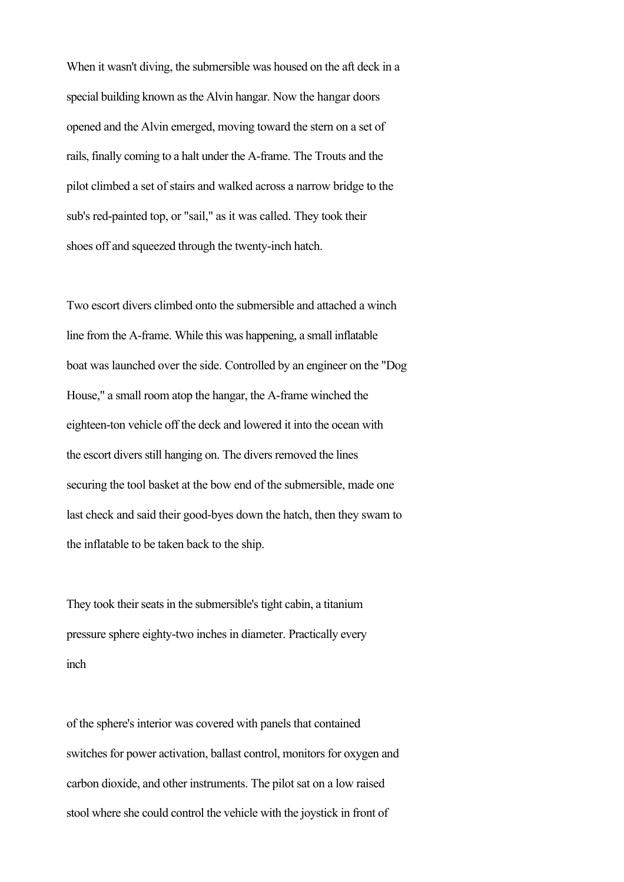When it wasn't diving, the submersible was housed on the aft deck in a special building known as the Alvin hangar. Now the hangar doors opened and the Alvin emerged, moving toward the stern on a set of rails, finally coming to a halt under the A-frame. The Trouts and the pilot climbed a set of stairs and walked across a narrow bridge to the sub's red-painted top, or "sail," as it was called. They took their shoes off and squeezed through the twenty-inch hatch.

 Two escort divers climbed onto the submersible and attached a winch line from the A-frame. While this was happening, a small inflatable boat was launched over the side. Controlled by an engineer on the "Dog House," a small room atop the hangar, the A-frame winched the eighteen-ton vehicle off the deck and lowered it into the ocean with the escort divers still hanging on. The divers removed the lines securing the tool basket at the bow end of the submersible, made one last check and said their good-byes down the hatch, then they swam to the inflatable to be taken back to the ship.

 They took their seats in the submersible's tight cabin, a titanium pressure sphere eighty-two inches in diameter. Practically every inch

 of the sphere's interior was covered with panels that contained switches for power activation, ballast control, monitors for oxygen and carbon dioxide, and other instruments. The pilot sat on a low raised stool where she could control the vehicle with the joystick in front of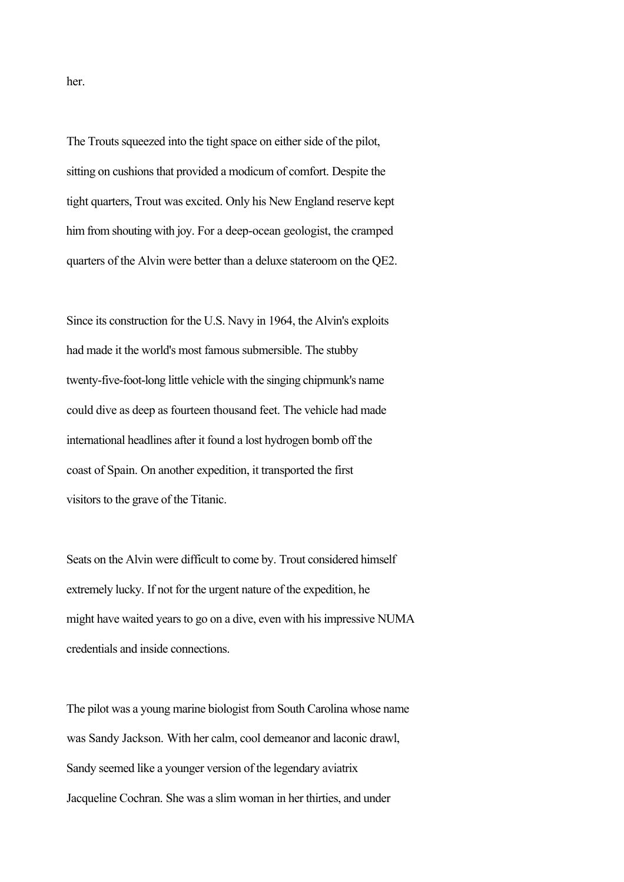her.

 The Trouts squeezed into the tight space on either side of the pilot, sitting on cushions that provided a modicum of comfort. Despite the tight quarters, Trout was excited. Only his New England reserve kept him from shouting with joy. For a deep-ocean geologist, the cramped quarters of the Alvin were better than a deluxe stateroom on the QE2.

 Since its construction for the U.S. Navy in 1964, the Alvin's exploits had made it the world's most famous submersible. The stubby twenty-five-foot-long little vehicle with the singing chipmunk's name could dive as deep as fourteen thousand feet. The vehicle had made international headlines after it found a lost hydrogen bomb off the coast of Spain. On another expedition, it transported the first visitors to the grave of the Titanic.

 Seats on the Alvin were difficult to come by. Trout considered himself extremely lucky. If not for the urgent nature of the expedition, he might have waited years to go on a dive, even with his impressive NUMA credentials and inside connections.

 The pilot was a young marine biologist from South Carolina whose name was Sandy Jackson. With her calm, cool demeanor and laconic drawl, Sandy seemed like a younger version of the legendary aviatrix Jacqueline Cochran. She was a slim woman in her thirties, and under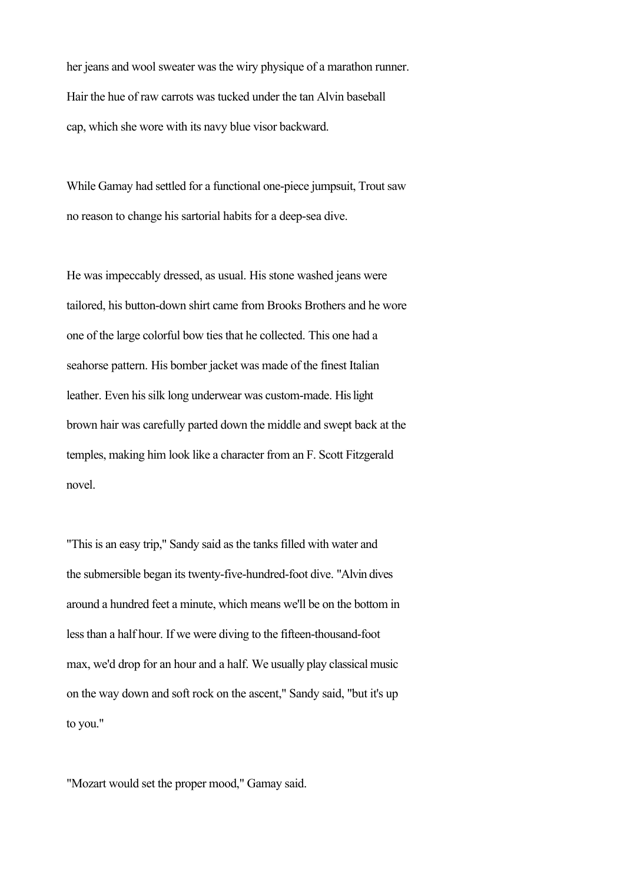her jeans and wool sweater was the wiry physique of a marathon runner. Hair the hue of raw carrots was tucked under the tan Alvin baseball cap, which she wore with its navy blue visor backward.

 While Gamay had settled for a functional one-piece jumpsuit, Trout saw no reason to change his sartorial habits for a deep-sea dive.

 He was impeccably dressed, as usual. His stone washed jeans were tailored, his button-down shirt came from Brooks Brothers and he wore one of the large colorful bow ties that he collected. This one had a seahorse pattern. His bomber jacket was made of the finest Italian leather. Even his silk long underwear was custom-made. His light brown hair was carefully parted down the middle and swept back at the temples, making him look like a character from an F. Scott Fitzgerald novel.

 "This is an easy trip," Sandy said as the tanks filled with water and the submersible began its twenty-five-hundred-foot dive. "Alvin dives around a hundred feet a minute, which means we'll be on the bottom in less than a half hour. If we were diving to the fifteen-thousand-foot max, we'd drop for an hour and a half. We usually play classical music on the way down and soft rock on the ascent," Sandy said, "but it's up to you."

"Mozart would set the proper mood," Gamay said.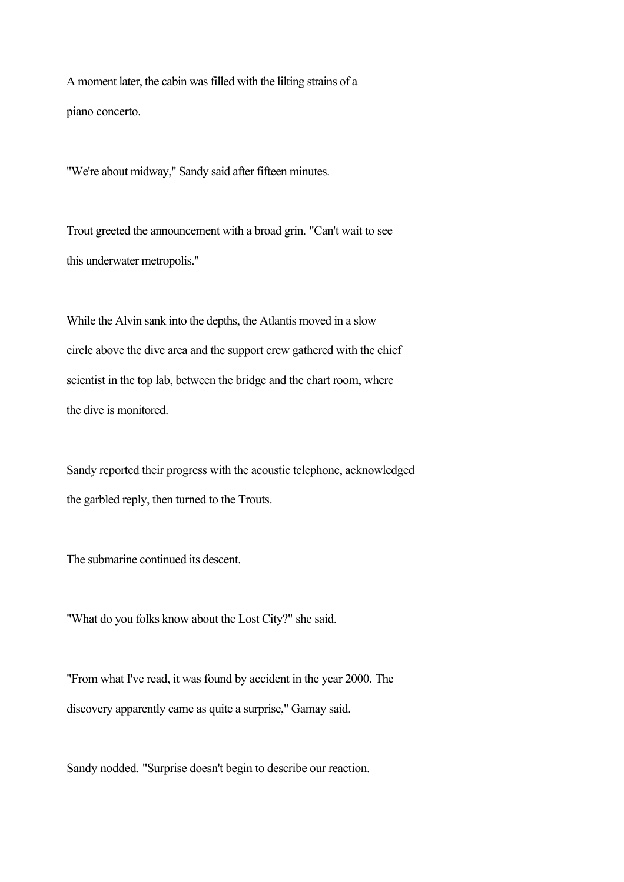A moment later, the cabin was filled with the lilting strains of a piano concerto.

"We're about midway," Sandy said after fifteen minutes.

 Trout greeted the announcement with a broad grin. "Can't wait to see this underwater metropolis."

 While the Alvin sank into the depths, the Atlantis moved in a slow circle above the dive area and the support crew gathered with the chief scientist in the top lab, between the bridge and the chart room, where the dive is monitored.

 Sandy reported their progress with the acoustic telephone, acknowledged the garbled reply, then turned to the Trouts.

The submarine continued its descent.

"What do you folks know about the Lost City?" she said.

 "From what I've read, it was found by accident in the year 2000. The discovery apparently came as quite a surprise," Gamay said.

Sandy nodded. "Surprise doesn't begin to describe our reaction.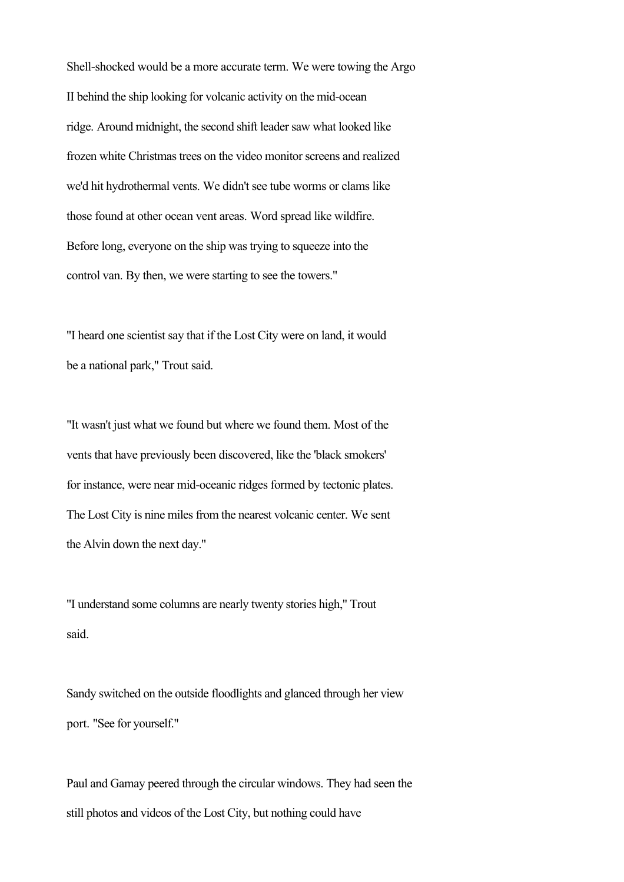Shell-shocked would be a more accurate term. We were towing the Argo II behind the ship looking for volcanic activity on the mid-ocean ridge. Around midnight, the second shift leader saw what looked like frozen white Christmas trees on the video monitor screens and realized we'd hit hydrothermal vents. We didn't see tube worms or clams like those found at other ocean vent areas. Word spread like wildfire. Before long, everyone on the ship was trying to squeeze into the control van. By then, we were starting to see the towers."

 "I heard one scientist say that if the Lost City were on land, it would be a national park," Trout said.

 "It wasn't just what we found but where we found them. Most of the vents that have previously been discovered, like the 'black smokers' for instance, were near mid-oceanic ridges formed by tectonic plates. The Lost City is nine miles from the nearest volcanic center. We sent the Alvin down the next day."

 "I understand some columns are nearly twenty stories high," Trout said.

 Sandy switched on the outside floodlights and glanced through her view port. "See for yourself."

 Paul and Gamay peered through the circular windows. They had seen the still photos and videos of the Lost City, but nothing could have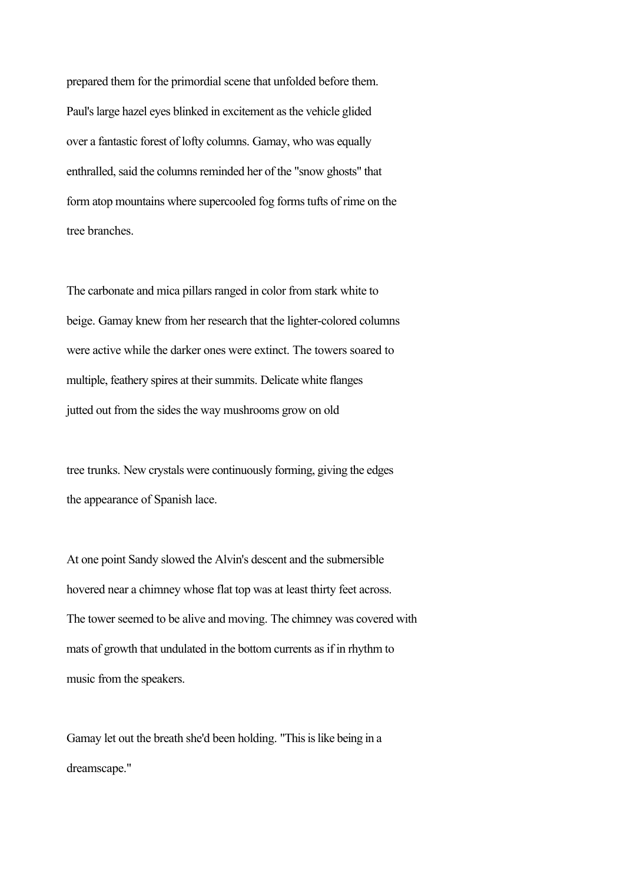prepared them for the primordial scene that unfolded before them. Paul's large hazel eyes blinked in excitement as the vehicle glided over a fantastic forest of lofty columns. Gamay, who was equally enthralled, said the columns reminded her of the "snow ghosts" that form atop mountains where supercooled fog forms tufts of rime on the tree branches.

 The carbonate and mica pillars ranged in color from stark white to beige. Gamay knew from her research that the lighter-colored columns were active while the darker ones were extinct. The towers soared to multiple, feathery spires at their summits. Delicate white flanges jutted out from the sides the way mushrooms grow on old

 tree trunks. New crystals were continuously forming, giving the edges the appearance of Spanish lace.

 At one point Sandy slowed the Alvin's descent and the submersible hovered near a chimney whose flat top was at least thirty feet across. The tower seemed to be alive and moving. The chimney was covered with mats of growth that undulated in the bottom currents as if in rhythm to music from the speakers.

 Gamay let out the breath she'd been holding. "This is like being in a dreamscape."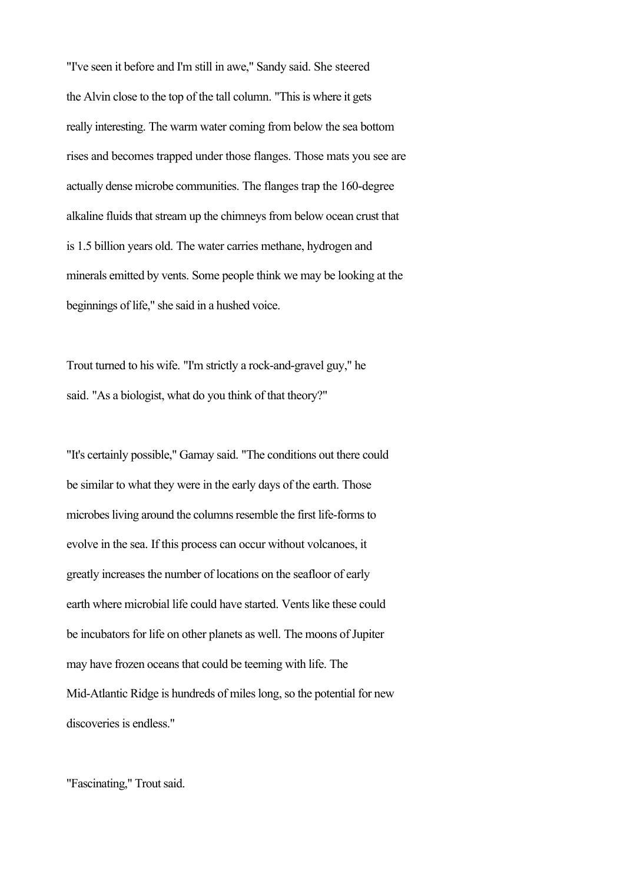"I've seen it before and I'm still in awe," Sandy said. She steered the Alvin close to the top of the tall column. "This is where it gets really interesting. The warm water coming from below the sea bottom rises and becomes trapped under those flanges. Those mats you see are actually dense microbe communities. The flanges trap the 160-degree alkaline fluids that stream up the chimneys from below ocean crust that is 1.5 billion years old. The water carries methane, hydrogen and minerals emitted by vents. Some people think we may be looking at the beginnings of life," she said in a hushed voice.

 Trout turned to his wife. "I'm strictly a rock-and-gravel guy," he said. "As a biologist, what do you think of that theory?"

 "It's certainly possible," Gamay said. "The conditions out there could be similar to what they were in the early days of the earth. Those microbes living around the columns resemble the first life-forms to evolve in the sea. If this process can occur without volcanoes, it greatly increases the number of locations on the seafloor of early earth where microbial life could have started. Vents like these could be incubators for life on other planets as well. The moons of Jupiter may have frozen oceans that could be teeming with life. The Mid-Atlantic Ridge is hundreds of miles long, so the potential for new discoveries is endless."

"Fascinating," Trout said.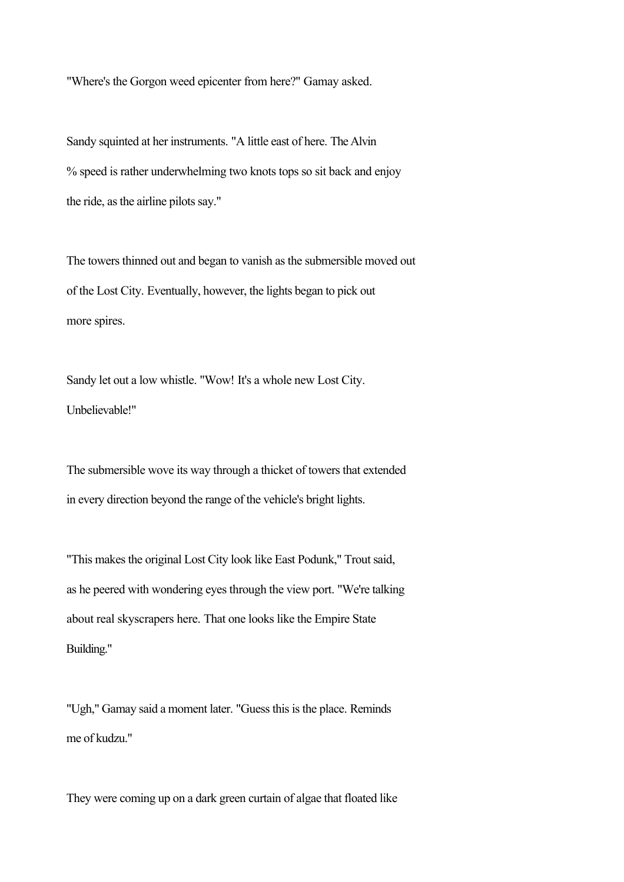"Where's the Gorgon weed epicenter from here?" Gamay asked.

 Sandy squinted at her instruments. "A little east of here. The Alvin % speed is rather underwhelming two knots tops so sit back and enjoy the ride, as the airline pilots say."

 The towers thinned out and began to vanish as the submersible moved out of the Lost City. Eventually, however, the lights began to pick out more spires.

 Sandy let out a low whistle. "Wow! It's a whole new Lost City. Unbelievable!"

 The submersible wove its way through a thicket of towers that extended in every direction beyond the range of the vehicle's bright lights.

 "This makes the original Lost City look like East Podunk," Trout said, as he peered with wondering eyes through the view port. "We're talking about real skyscrapers here. That one looks like the Empire State Building."

 "Ugh," Gamay said a moment later. "Guess this is the place. Reminds me of kudzu."

They were coming up on a dark green curtain of algae that floated like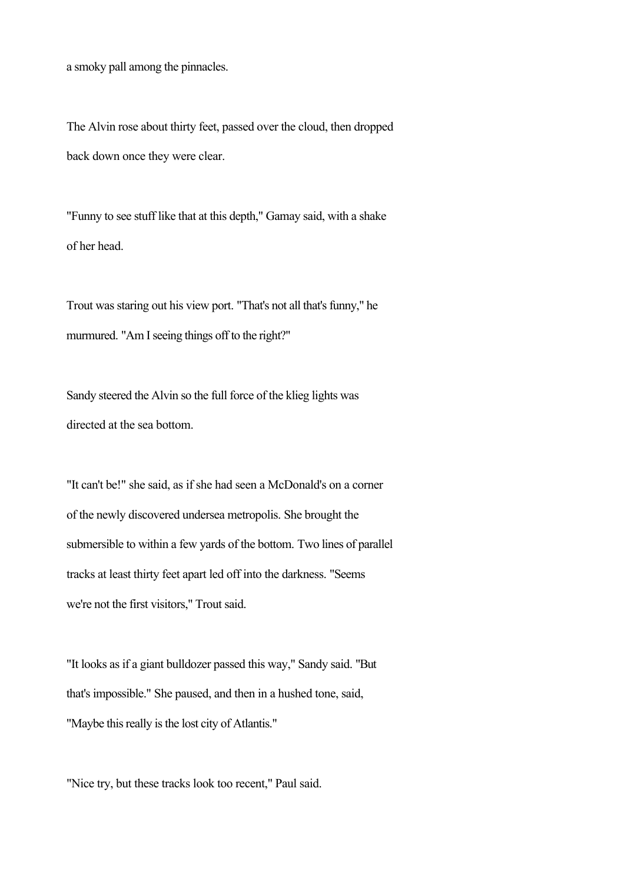a smoky pall among the pinnacles.

 The Alvin rose about thirty feet, passed over the cloud, then dropped back down once they were clear.

 "Funny to see stuff like that at this depth," Gamay said, with a shake of her head.

 Trout was staring out his view port. "That's not all that's funny," he murmured. "Am I seeing things off to the right?"

 Sandy steered the Alvin so the full force of the klieg lights was directed at the sea bottom.

 "It can't be!" she said, as if she had seen a McDonald's on a corner of the newly discovered undersea metropolis. She brought the submersible to within a few yards of the bottom. Two lines of parallel tracks at least thirty feet apart led off into the darkness. "Seems we're not the first visitors," Trout said.

 "It looks as if a giant bulldozer passed this way," Sandy said. "But that's impossible." She paused, and then in a hushed tone, said, "Maybe this really is the lost city of Atlantis."

"Nice try, but these tracks look too recent," Paul said.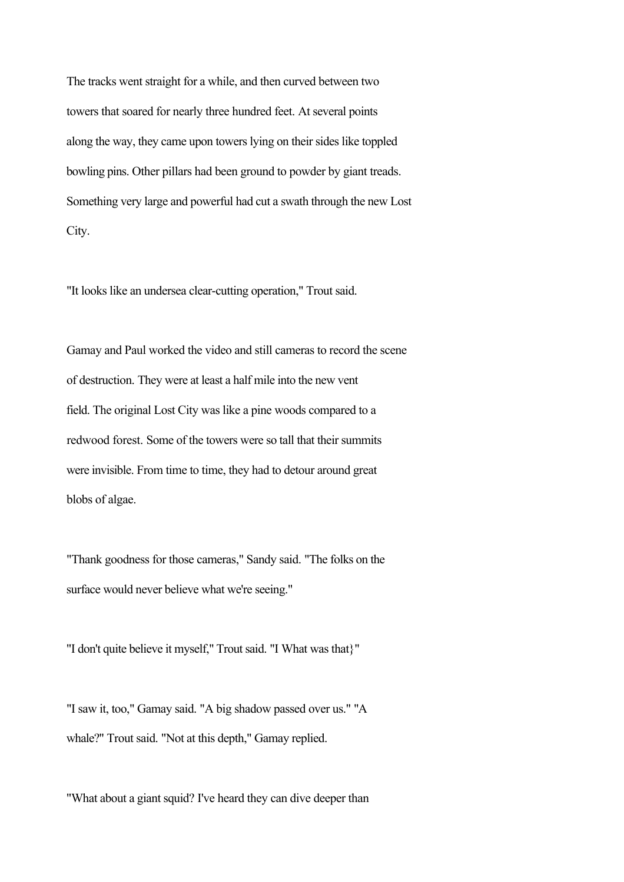The tracks went straight for a while, and then curved between two towers that soared for nearly three hundred feet. At several points along the way, they came upon towers lying on their sides like toppled bowling pins. Other pillars had been ground to powder by giant treads. Something very large and powerful had cut a swath through the new Lost City.

"It looks like an undersea clear-cutting operation," Trout said.

 Gamay and Paul worked the video and still cameras to record the scene of destruction. They were at least a half mile into the new vent field. The original Lost City was like a pine woods compared to a redwood forest. Some of the towers were so tall that their summits were invisible. From time to time, they had to detour around great blobs of algae.

 "Thank goodness for those cameras," Sandy said. "The folks on the surface would never believe what we're seeing."

"I don't quite believe it myself," Trout said. "I What was that}"

 "I saw it, too," Gamay said. "A big shadow passed over us." "A whale?" Trout said. "Not at this depth," Gamay replied.

"What about a giant squid? I've heard they can dive deeper than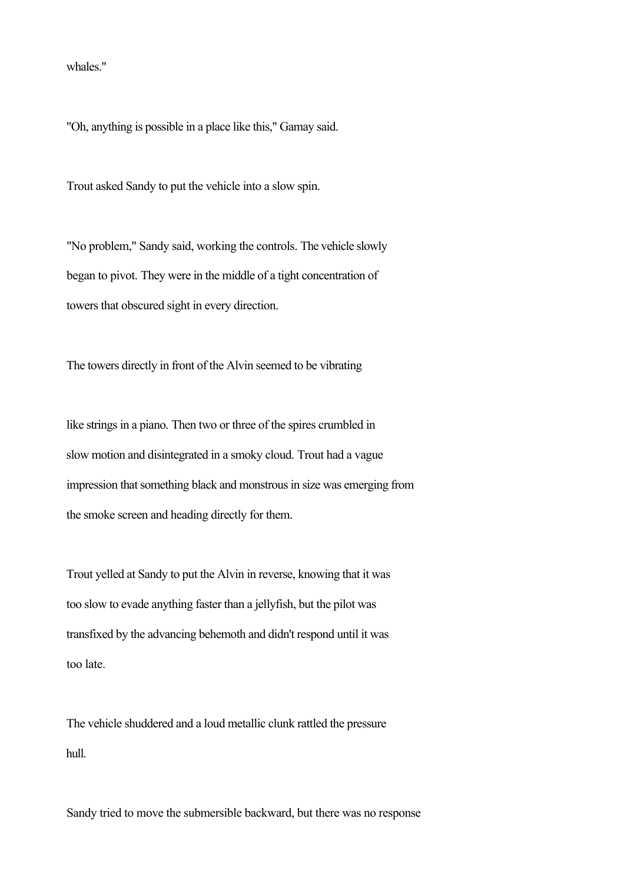whales."

"Oh, anything is possible in a place like this," Gamay said.

Trout asked Sandy to put the vehicle into a slow spin.

 "No problem," Sandy said, working the controls. The vehicle slowly began to pivot. They were in the middle of a tight concentration of towers that obscured sight in every direction.

The towers directly in front of the Alvin seemed to be vibrating

 like strings in a piano. Then two or three of the spires crumbled in slow motion and disintegrated in a smoky cloud. Trout had a vague impression that something black and monstrous in size was emerging from the smoke screen and heading directly for them.

 Trout yelled at Sandy to put the Alvin in reverse, knowing that it was too slow to evade anything faster than a jellyfish, but the pilot was transfixed by the advancing behemoth and didn't respond until it was too late.

 The vehicle shuddered and a loud metallic clunk rattled the pressure hull.

Sandy tried to move the submersible backward, but there was no response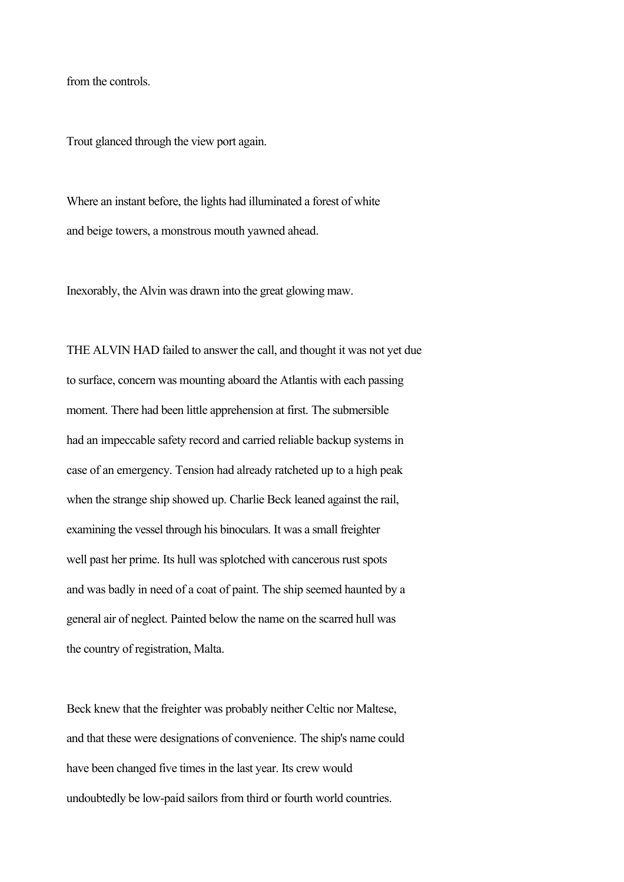from the controls.

Trout glanced through the view port again.

 Where an instant before, the lights had illuminated a forest of white and beige towers, a monstrous mouth yawned ahead.

Inexorably, the Alvin was drawn into the great glowing maw.

 THE ALVIN HAD failed to answer the call, and thought it was not yet due to surface, concern was mounting aboard the Atlantis with each passing moment. There had been little apprehension at first. The submersible had an impeccable safety record and carried reliable backup systems in case of an emergency. Tension had already ratcheted up to a high peak when the strange ship showed up. Charlie Beck leaned against the rail, examining the vessel through his binoculars. It was a small freighter well past her prime. Its hull was splotched with cancerous rust spots and was badly in need of a coat of paint. The ship seemed haunted by a general air of neglect. Painted below the name on the scarred hull was the country of registration, Malta.

 Beck knew that the freighter was probably neither Celtic nor Maltese, and that these were designations of convenience. The ship's name could have been changed five times in the last year. Its crew would undoubtedly be low-paid sailors from third or fourth world countries.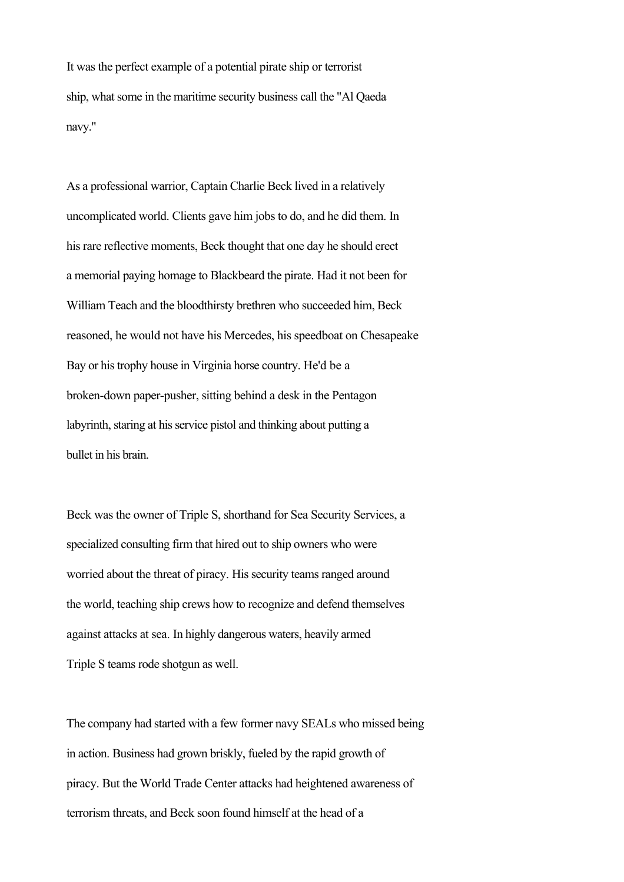It was the perfect example of a potential pirate ship or terrorist ship, what some in the maritime security business call the "Al Qaeda navy."

 As a professional warrior, Captain Charlie Beck lived in a relatively uncomplicated world. Clients gave him jobs to do, and he did them. In his rare reflective moments, Beck thought that one day he should erect a memorial paying homage to Blackbeard the pirate. Had it not been for William Teach and the bloodthirsty brethren who succeeded him, Beck reasoned, he would not have his Mercedes, his speedboat on Chesapeake Bay or his trophy house in Virginia horse country. He'd be a broken-down paper-pusher, sitting behind a desk in the Pentagon labyrinth, staring at his service pistol and thinking about putting a bullet in his brain.

 Beck was the owner of Triple S, shorthand for Sea Security Services, a specialized consulting firm that hired out to ship owners who were worried about the threat of piracy. His security teams ranged around the world, teaching ship crews how to recognize and defend themselves against attacks at sea. In highly dangerous waters, heavily armed Triple S teams rode shotgun as well.

 The company had started with a few former navy SEALs who missed being in action. Business had grown briskly, fueled by the rapid growth of piracy. But the World Trade Center attacks had heightened awareness of terrorism threats, and Beck soon found himself at the head of a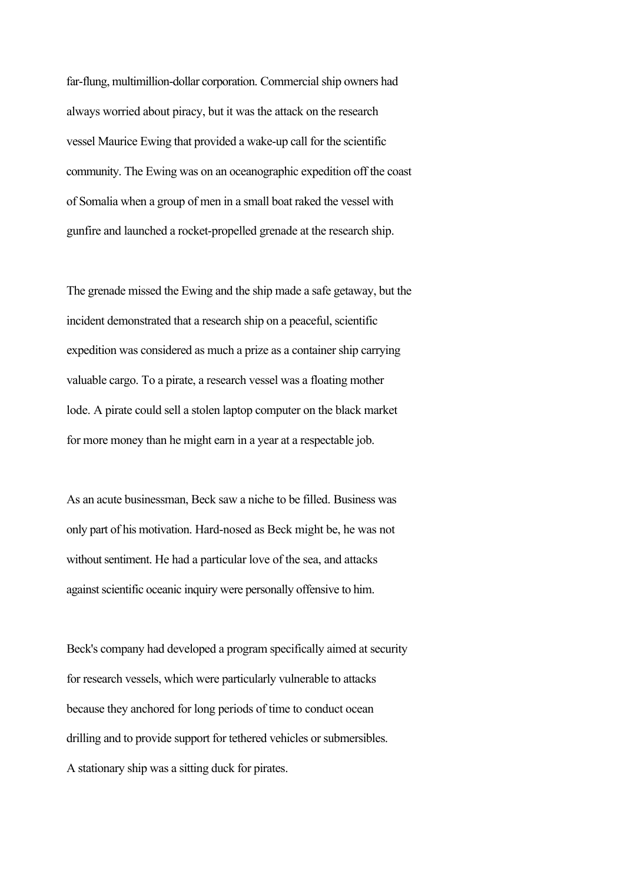far-flung, multimillion-dollar corporation. Commercial ship owners had always worried about piracy, but it was the attack on the research vessel Maurice Ewing that provided a wake-up call for the scientific community. The Ewing was on an oceanographic expedition off the coast of Somalia when a group of men in a small boat raked the vessel with gunfire and launched a rocket-propelled grenade at the research ship.

 The grenade missed the Ewing and the ship made a safe getaway, but the incident demonstrated that a research ship on a peaceful, scientific expedition was considered as much a prize as a container ship carrying valuable cargo. To a pirate, a research vessel was a floating mother lode. A pirate could sell a stolen laptop computer on the black market for more money than he might earn in a year at a respectable job.

 As an acute businessman, Beck saw a niche to be filled. Business was only part of his motivation. Hard-nosed as Beck might be, he was not without sentiment. He had a particular love of the sea, and attacks against scientific oceanic inquiry were personally offensive to him.

 Beck's company had developed a program specifically aimed at security for research vessels, which were particularly vulnerable to attacks because they anchored for long periods of time to conduct ocean drilling and to provide support for tethered vehicles or submersibles. A stationary ship was a sitting duck for pirates.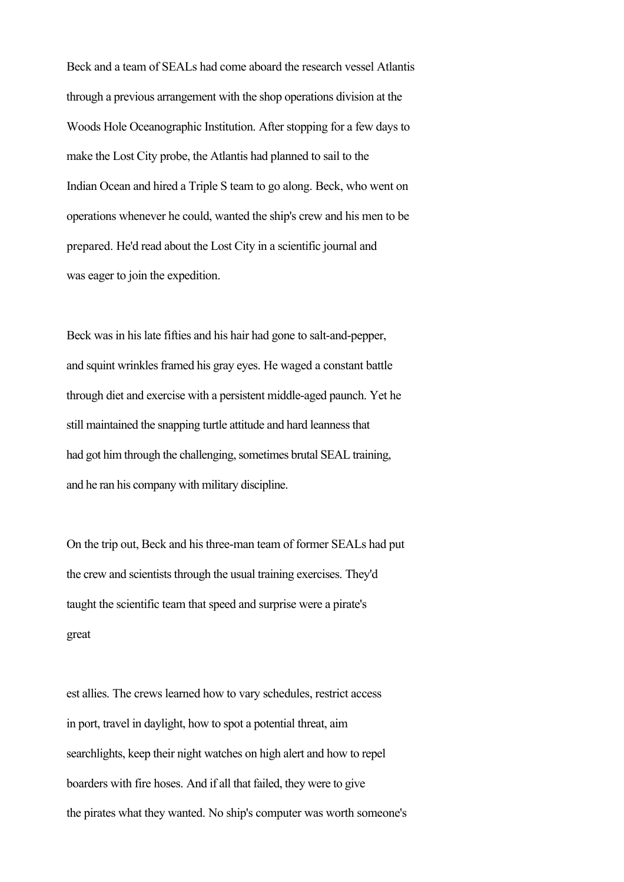Beck and a team of SEALs had come aboard the research vessel Atlantis through a previous arrangement with the shop operations division at the Woods Hole Oceanographic Institution. After stopping for a few days to make the Lost City probe, the Atlantis had planned to sail to the Indian Ocean and hired a Triple S team to go along. Beck, who went on operations whenever he could, wanted the ship's crew and his men to be prepared. He'd read about the Lost City in a scientific journal and was eager to join the expedition.

 Beck was in his late fifties and his hair had gone to salt-and-pepper, and squint wrinkles framed his gray eyes. He waged a constant battle through diet and exercise with a persistent middle-aged paunch. Yet he still maintained the snapping turtle attitude and hard leanness that had got him through the challenging, sometimes brutal SEAL training. and he ran his company with military discipline.

 On the trip out, Beck and his three-man team of former SEALs had put the crew and scientists through the usual training exercises. They'd taught the scientific team that speed and surprise were a pirate's great

 est allies. The crews learned how to vary schedules, restrict access in port, travel in daylight, how to spot a potential threat, aim searchlights, keep their night watches on high alert and how to repel boarders with fire hoses. And if all that failed, they were to give the pirates what they wanted. No ship's computer was worth someone's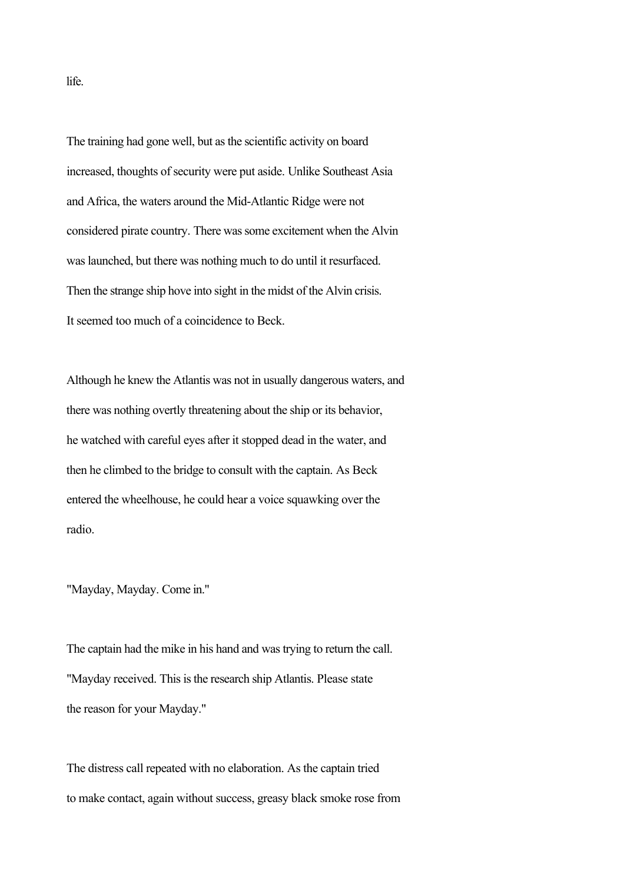The training had gone well, but as the scientific activity on board increased, thoughts of security were put aside. Unlike Southeast Asia and Africa, the waters around the Mid-Atlantic Ridge were not considered pirate country. There was some excitement when the Alvin was launched, but there was nothing much to do until it resurfaced. Then the strange ship hove into sight in the midst of the Alvin crisis. It seemed too much of a coincidence to Beck.

 Although he knew the Atlantis was not in usually dangerous waters, and there was nothing overtly threatening about the ship or its behavior, he watched with careful eyes after it stopped dead in the water, and then he climbed to the bridge to consult with the captain. As Beck entered the wheelhouse, he could hear a voice squawking over the radio.

"Mayday, Mayday. Come in."

 The captain had the mike in his hand and was trying to return the call. "Mayday received. This is the research ship Atlantis. Please state the reason for your Mayday."

 The distress call repeated with no elaboration. As the captain tried to make contact, again without success, greasy black smoke rose from

life.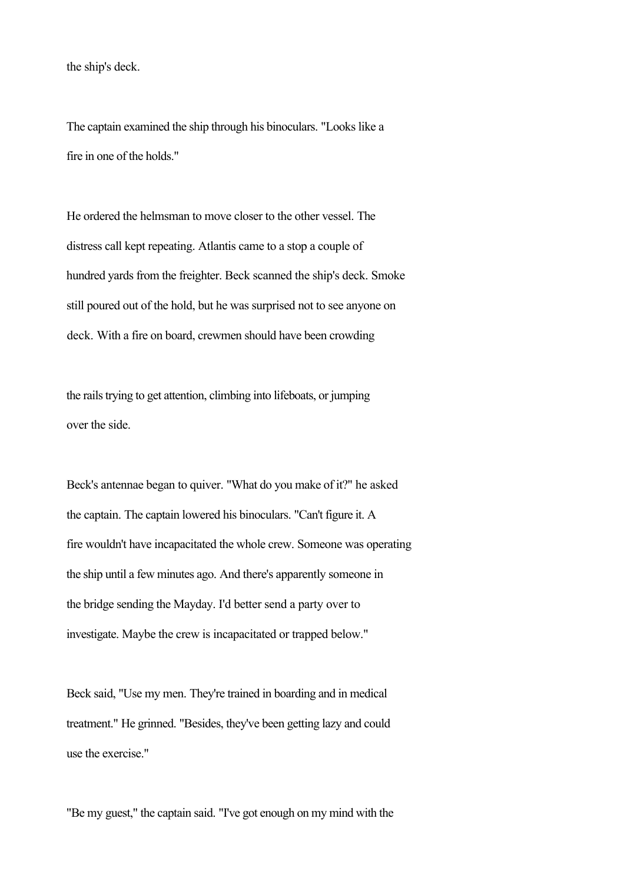the ship's deck.

 The captain examined the ship through his binoculars. "Looks like a fire in one of the holds."

 He ordered the helmsman to move closer to the other vessel. The distress call kept repeating. Atlantis came to a stop a couple of hundred yards from the freighter. Beck scanned the ship's deck. Smoke still poured out of the hold, but he was surprised not to see anyone on deck. With a fire on board, crewmen should have been crowding

 the rails trying to get attention, climbing into lifeboats, or jumping over the side.

 Beck's antennae began to quiver. "What do you make of it?" he asked the captain. The captain lowered his binoculars. "Can't figure it. A fire wouldn't have incapacitated the whole crew. Someone was operating the ship until a few minutes ago. And there's apparently someone in the bridge sending the Mayday. I'd better send a party over to investigate. Maybe the crew is incapacitated or trapped below."

 Beck said, "Use my men. They're trained in boarding and in medical treatment." He grinned. "Besides, they've been getting lazy and could use the exercise."

"Be my guest," the captain said. "I've got enough on my mind with the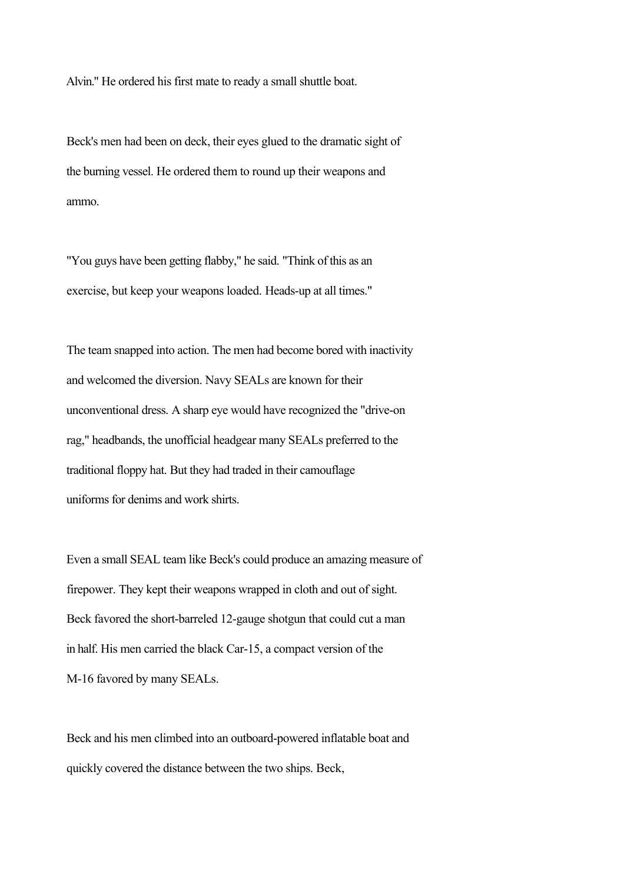Alvin." He ordered his first mate to ready a small shuttle boat.

 Beck's men had been on deck, their eyes glued to the dramatic sight of the burning vessel. He ordered them to round up their weapons and ammo.

 "You guys have been getting flabby," he said. "Think of this as an exercise, but keep your weapons loaded. Heads-up at all times."

 The team snapped into action. The men had become bored with inactivity and welcomed the diversion. Navy SEALs are known for their unconventional dress. A sharp eye would have recognized the "drive-on rag," headbands, the unofficial headgear many SEALs preferred to the traditional floppy hat. But they had traded in their camouflage uniforms for denims and work shirts.

 Even a small SEAL team like Beck's could produce an amazing measure of firepower. They kept their weapons wrapped in cloth and out of sight. Beck favored the short-barreled 12-gauge shotgun that could cut a man in half. His men carried the black Car-15, a compact version of the M-16 favored by many SEALs.

 Beck and his men climbed into an outboard-powered inflatable boat and quickly covered the distance between the two ships. Beck,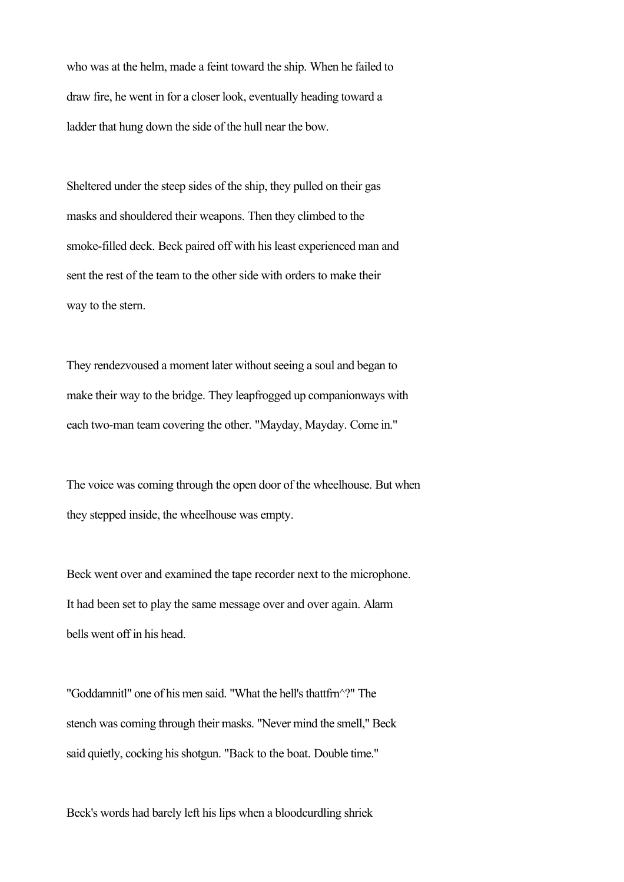who was at the helm, made a feint toward the ship. When he failed to draw fire, he went in for a closer look, eventually heading toward a ladder that hung down the side of the hull near the bow.

 Sheltered under the steep sides of the ship, they pulled on their gas masks and shouldered their weapons. Then they climbed to the smoke-filled deck. Beck paired off with his least experienced man and sent the rest of the team to the other side with orders to make their way to the stern.

 They rendezvoused a moment later without seeing a soul and began to make their way to the bridge. They leapfrogged up companionways with each two-man team covering the other. "Mayday, Mayday. Come in."

 The voice was coming through the open door of the wheelhouse. But when they stepped inside, the wheelhouse was empty.

 Beck went over and examined the tape recorder next to the microphone. It had been set to play the same message over and over again. Alarm bells went off in his head.

 "Goddamnitl" one of his men said. "What the hell's thattfrn^?" The stench was coming through their masks. "Never mind the smell," Beck said quietly, cocking his shotgun. "Back to the boat. Double time."

Beck's words had barely left his lips when a bloodcurdling shriek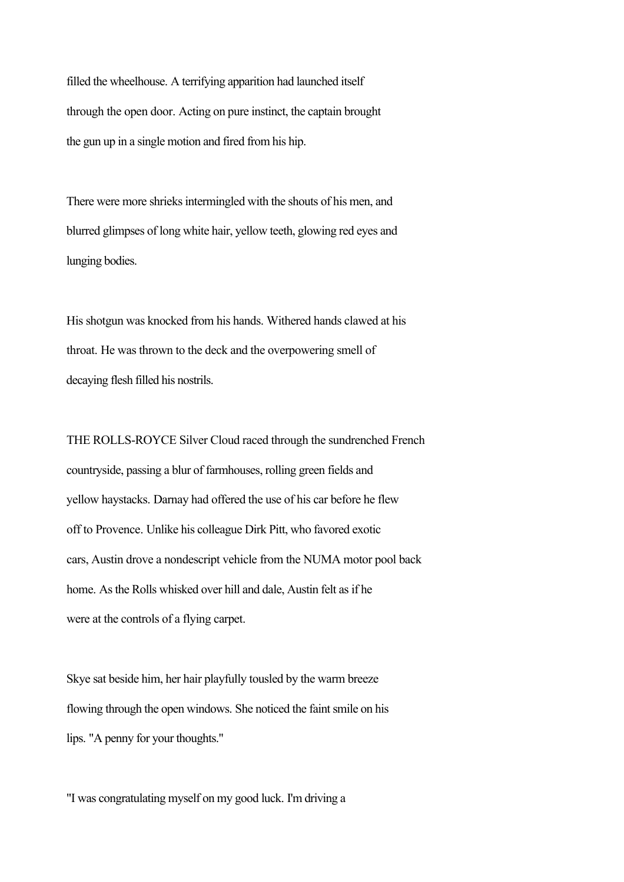filled the wheelhouse. A terrifying apparition had launched itself through the open door. Acting on pure instinct, the captain brought the gun up in a single motion and fired from his hip.

 There were more shrieks intermingled with the shouts of his men, and blurred glimpses of long white hair, yellow teeth, glowing red eyes and lunging bodies.

 His shotgun was knocked from his hands. Withered hands clawed at his throat. He was thrown to the deck and the overpowering smell of decaying flesh filled his nostrils.

 THE ROLLS-ROYCE Silver Cloud raced through the sundrenched French countryside, passing a blur of farmhouses, rolling green fields and yellow haystacks. Darnay had offered the use of his car before he flew off to Provence. Unlike his colleague Dirk Pitt, who favored exotic cars, Austin drove a nondescript vehicle from the NUMA motor pool back home. As the Rolls whisked over hill and dale, Austin felt as if he were at the controls of a flying carpet.

 Skye sat beside him, her hair playfully tousled by the warm breeze flowing through the open windows. She noticed the faint smile on his lips. "A penny for your thoughts."

"I was congratulating myself on my good luck. I'm driving a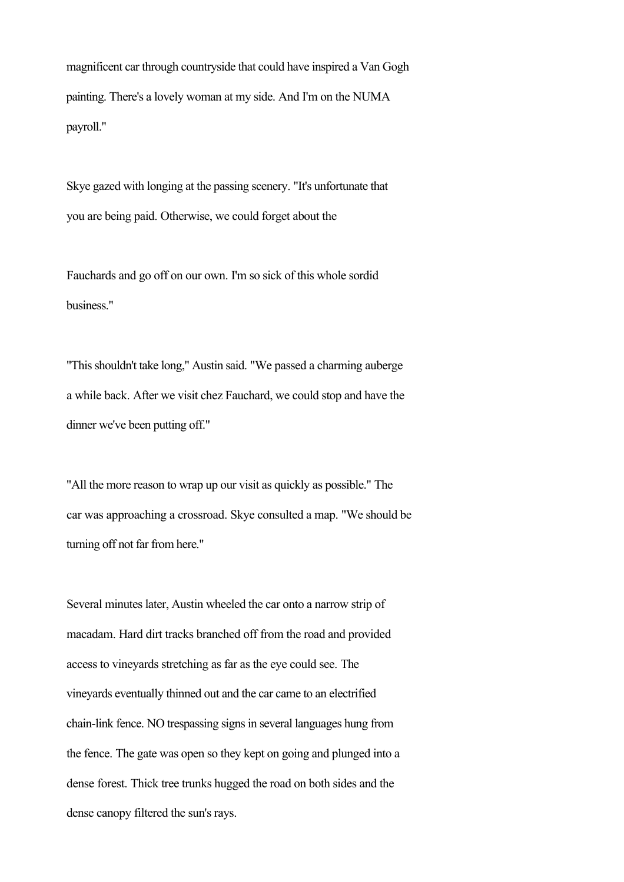magnificent car through countryside that could have inspired a Van Gogh painting. There's a lovely woman at my side. And I'm on the NUMA payroll."

 Skye gazed with longing at the passing scenery. "It's unfortunate that you are being paid. Otherwise, we could forget about the

 Fauchards and go off on our own. I'm so sick of this whole sordid business."

 "This shouldn't take long," Austin said. "We passed a charming auberge a while back. After we visit chez Fauchard, we could stop and have the dinner we've been putting off."

 "All the more reason to wrap up our visit as quickly as possible." The car was approaching a crossroad. Skye consulted a map. "We should be turning off not far from here."

 Several minutes later, Austin wheeled the car onto a narrow strip of macadam. Hard dirt tracks branched off from the road and provided access to vineyards stretching as far as the eye could see. The vineyards eventually thinned out and the car came to an electrified chain-link fence. NO trespassing signs in several languages hung from the fence. The gate was open so they kept on going and plunged into a dense forest. Thick tree trunks hugged the road on both sides and the dense canopy filtered the sun's rays.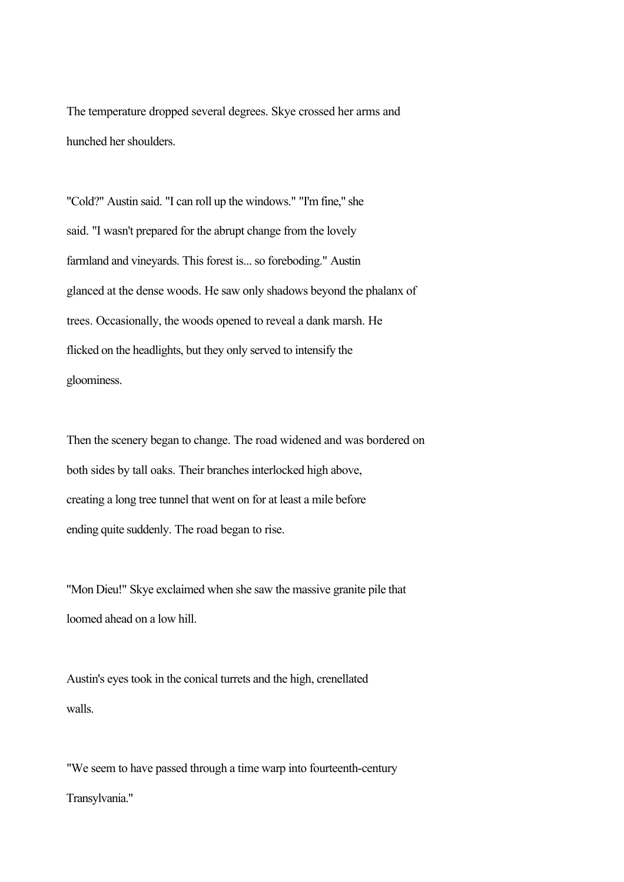The temperature dropped several degrees. Skye crossed her arms and hunched her shoulders.

 "Cold?" Austin said. "I can roll up the windows." "I'm fine," she said. "I wasn't prepared for the abrupt change from the lovely farmland and vineyards. This forest is... so foreboding." Austin glanced at the dense woods. He saw only shadows beyond the phalanx of trees. Occasionally, the woods opened to reveal a dank marsh. He flicked on the headlights, but they only served to intensify the gloominess.

 Then the scenery began to change. The road widened and was bordered on both sides by tall oaks. Their branches interlocked high above, creating a long tree tunnel that went on for at least a mile before ending quite suddenly. The road began to rise.

 "Mon Dieu!" Skye exclaimed when she saw the massive granite pile that loomed ahead on a low hill.

 Austin's eyes took in the conical turrets and the high, crenellated walls.

 "We seem to have passed through a time warp into fourteenth-century Transylvania."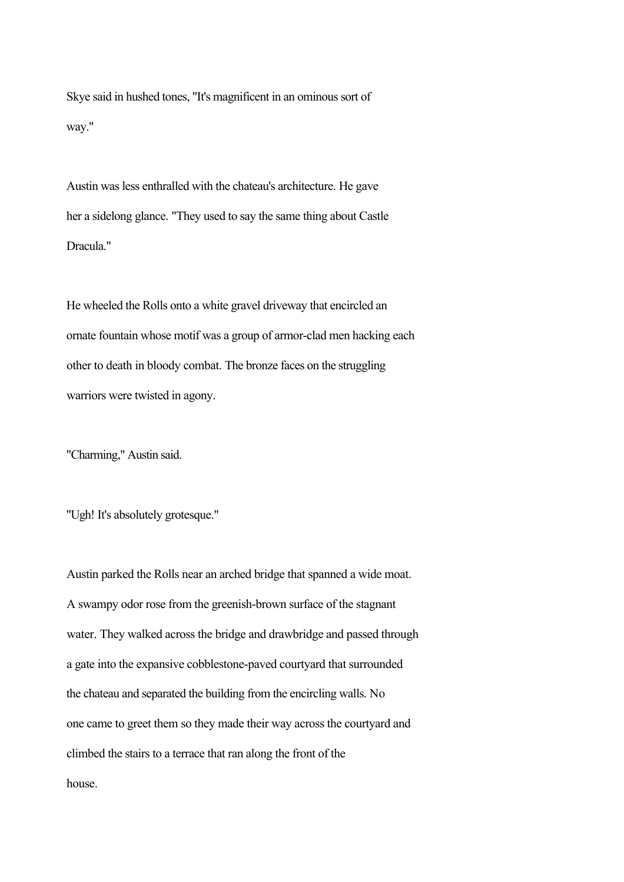Skye said in hushed tones, "It's magnificent in an ominous sort of way."

 Austin was less enthralled with the chateau's architecture. He gave her a sidelong glance. "They used to say the same thing about Castle Dracula."

 He wheeled the Rolls onto a white gravel driveway that encircled an ornate fountain whose motif was a group of armor-clad men hacking each other to death in bloody combat. The bronze faces on the struggling warriors were twisted in agony.

"Charming," Austin said.

"Ugh! It's absolutely grotesque."

 Austin parked the Rolls near an arched bridge that spanned a wide moat. A swampy odor rose from the greenish-brown surface of the stagnant water. They walked across the bridge and drawbridge and passed through a gate into the expansive cobblestone-paved courtyard that surrounded the chateau and separated the building from the encircling walls. No one came to greet them so they made their way across the courtyard and climbed the stairs to a terrace that ran along the front of the house.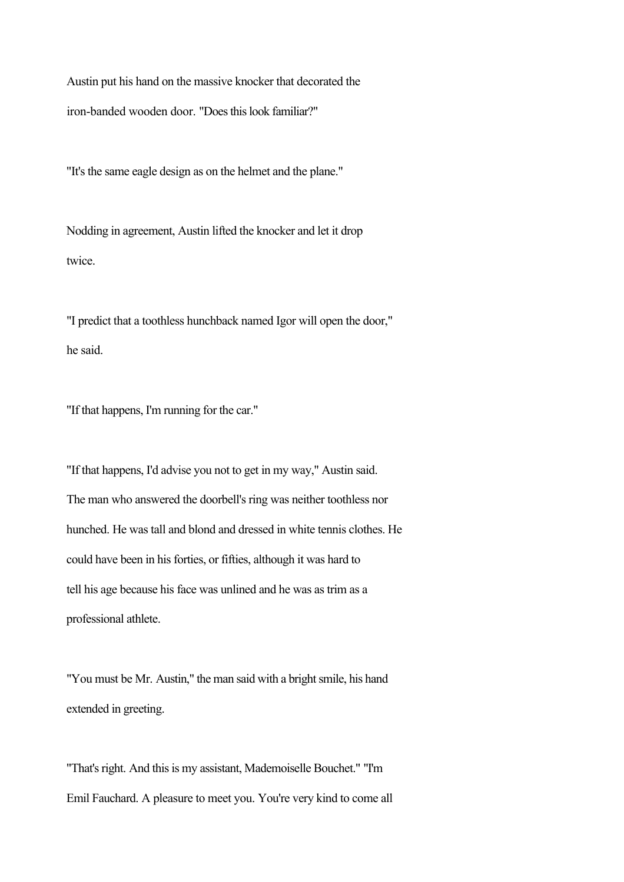Austin put his hand on the massive knocker that decorated the iron-banded wooden door. "Does this look familiar?"

"It's the same eagle design as on the helmet and the plane."

 Nodding in agreement, Austin lifted the knocker and let it drop twice.

 "I predict that a toothless hunchback named Igor will open the door," he said.

"If that happens, I'm running for the car."

 "If that happens, I'd advise you not to get in my way," Austin said. The man who answered the doorbell's ring was neither toothless nor hunched. He was tall and blond and dressed in white tennis clothes. He could have been in his forties, or fifties, although it was hard to tell his age because his face was unlined and he was as trim as a professional athlete.

 "You must be Mr. Austin," the man said with a bright smile, his hand extended in greeting.

 "That's right. And this is my assistant, Mademoiselle Bouchet." "I'm Emil Fauchard. A pleasure to meet you. You're very kind to come all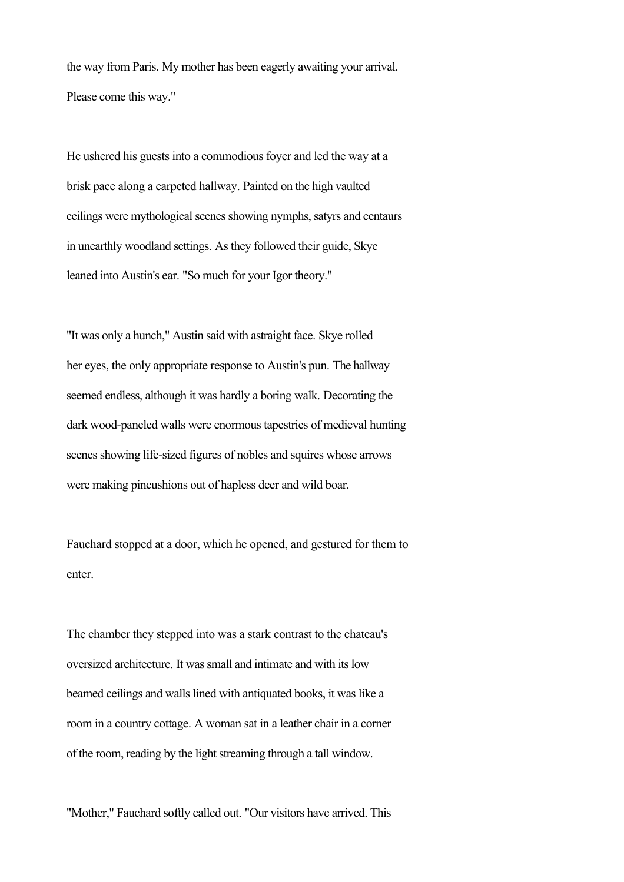the way from Paris. My mother has been eagerly awaiting your arrival. Please come this way."

 He ushered his guests into a commodious foyer and led the way at a brisk pace along a carpeted hallway. Painted on the high vaulted ceilings were mythological scenes showing nymphs, satyrs and centaurs in unearthly woodland settings. As they followed their guide, Skye leaned into Austin's ear. "So much for your Igor theory."

 "It was only a hunch," Austin said with astraight face. Skye rolled her eyes, the only appropriate response to Austin's pun. The hallway seemed endless, although it was hardly a boring walk. Decorating the dark wood-paneled walls were enormous tapestries of medieval hunting scenes showing life-sized figures of nobles and squires whose arrows were making pincushions out of hapless deer and wild boar.

 Fauchard stopped at a door, which he opened, and gestured for them to enter.

 The chamber they stepped into was a stark contrast to the chateau's oversized architecture. It was small and intimate and with its low beamed ceilings and walls lined with antiquated books, it was like a room in a country cottage. A woman sat in a leather chair in a corner of the room, reading by the light streaming through a tall window.

"Mother," Fauchard softly called out. "Our visitors have arrived. This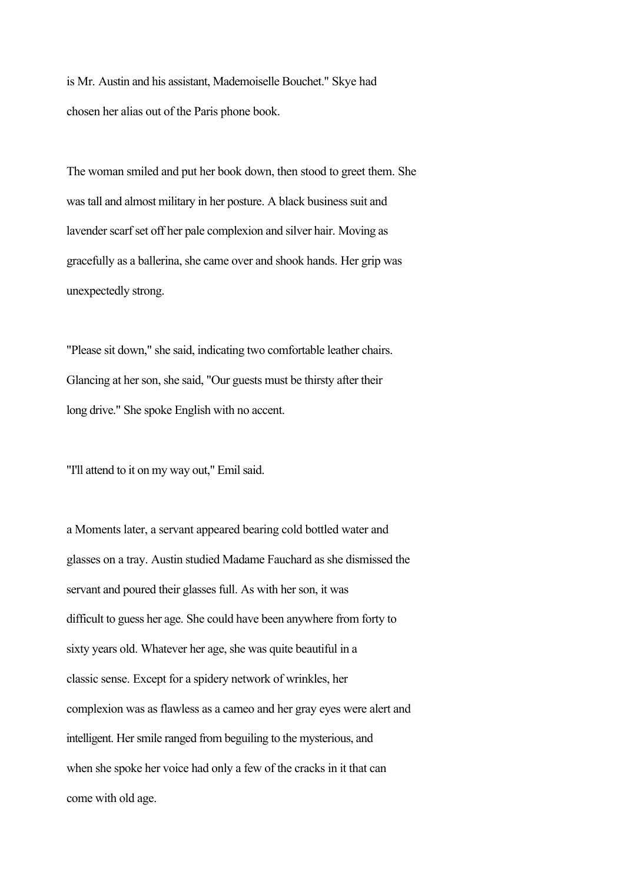is Mr. Austin and his assistant, Mademoiselle Bouchet." Skye had chosen her alias out of the Paris phone book.

 The woman smiled and put her book down, then stood to greet them. She was tall and almost military in her posture. A black business suit and lavender scarf set off her pale complexion and silver hair. Moving as gracefully as a ballerina, she came over and shook hands. Her grip was unexpectedly strong.

 "Please sit down," she said, indicating two comfortable leather chairs. Glancing at her son, she said, "Our guests must be thirsty after their long drive." She spoke English with no accent.

"I'll attend to it on my way out," Emil said.

 a Moments later, a servant appeared bearing cold bottled water and glasses on a tray. Austin studied Madame Fauchard as she dismissed the servant and poured their glasses full. As with her son, it was difficult to guess her age. She could have been anywhere from forty to sixty years old. Whatever her age, she was quite beautiful in a classic sense. Except for a spidery network of wrinkles, her complexion was as flawless as a cameo and her gray eyes were alert and intelligent. Her smile ranged from beguiling to the mysterious, and when she spoke her voice had only a few of the cracks in it that can come with old age.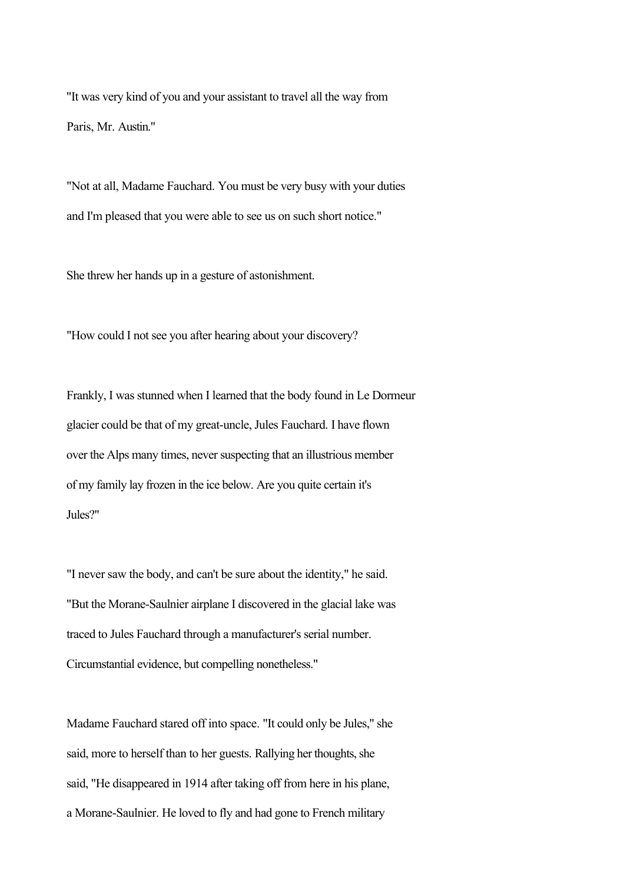"It was very kind of you and your assistant to travel all the way from Paris, Mr. Austin."

 "Not at all, Madame Fauchard. You must be very busy with your duties and I'm pleased that you were able to see us on such short notice."

She threw her hands up in a gesture of astonishment.

"How could I not see you after hearing about your discovery?

 Frankly, I was stunned when I learned that the body found in Le Dormeur glacier could be that of my great-uncle, Jules Fauchard. I have flown over the Alps many times, never suspecting that an illustrious member of my family lay frozen in the ice below. Are you quite certain it's Jules?"

 "I never saw the body, and can't be sure about the identity," he said. "But the Morane-Saulnier airplane I discovered in the glacial lake was traced to Jules Fauchard through a manufacturer's serial number. Circumstantial evidence, but compelling nonetheless."

 Madame Fauchard stared off into space. "It could only be Jules," she said, more to herself than to her guests. Rallying her thoughts, she said, "He disappeared in 1914 after taking off from here in his plane, a Morane-Saulnier. He loved to fly and had gone to French military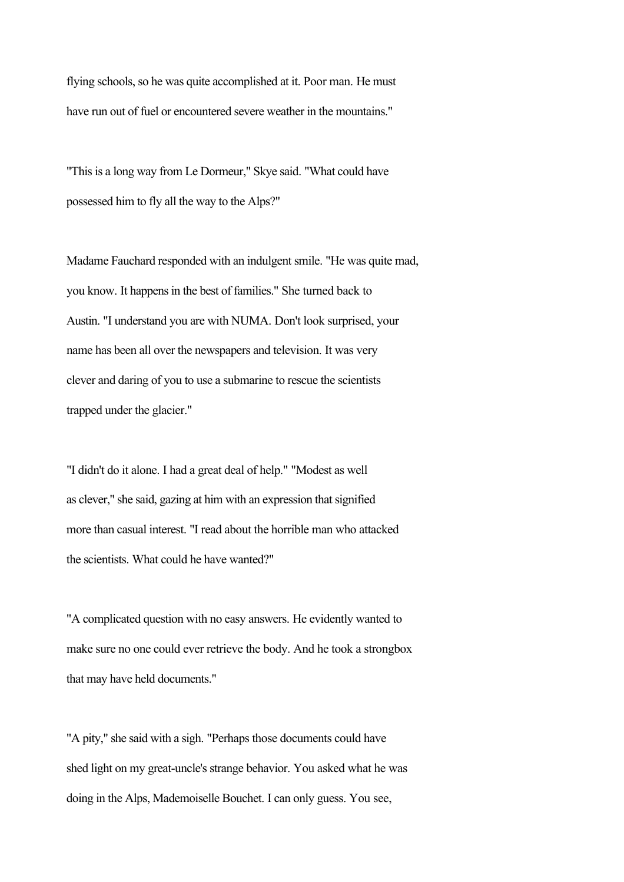flying schools, so he was quite accomplished at it. Poor man. He must have run out of fuel or encountered severe weather in the mountains."

 "This is a long way from Le Dormeur," Skye said. "What could have possessed him to fly all the way to the Alps?"

 Madame Fauchard responded with an indulgent smile. "He was quite mad, you know. It happens in the best of families." She turned back to Austin. "I understand you are with NUMA. Don't look surprised, your name has been all over the newspapers and television. It was very clever and daring of you to use a submarine to rescue the scientists trapped under the glacier."

 "I didn't do it alone. I had a great deal of help." "Modest as well as clever," she said, gazing at him with an expression that signified more than casual interest. "I read about the horrible man who attacked the scientists. What could he have wanted?"

 "A complicated question with no easy answers. He evidently wanted to make sure no one could ever retrieve the body. And he took a strongbox that may have held documents."

 "A pity," she said with a sigh. "Perhaps those documents could have shed light on my great-uncle's strange behavior. You asked what he was doing in the Alps, Mademoiselle Bouchet. I can only guess. You see,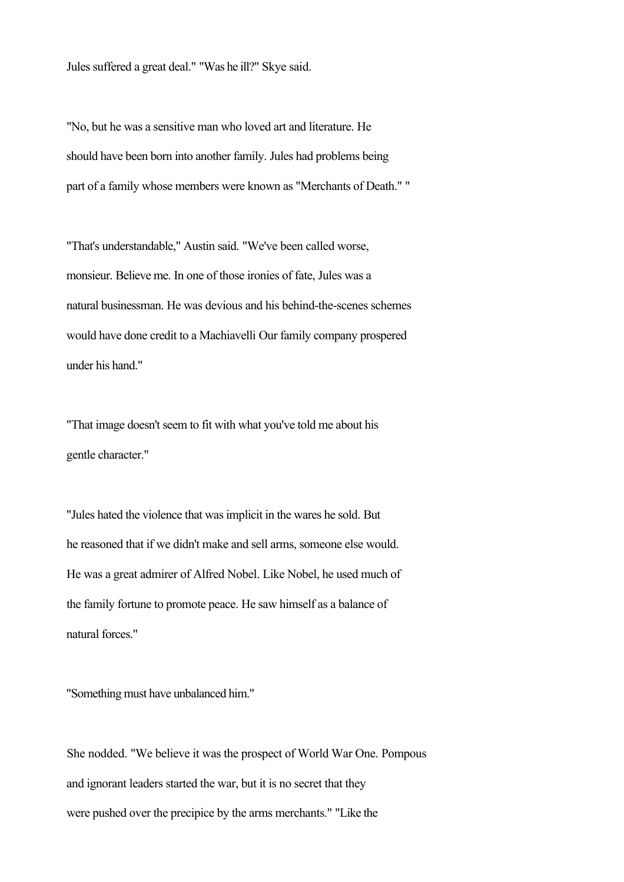Jules suffered a great deal." "Was he ill?" Skye said.

 "No, but he was a sensitive man who loved art and literature. He should have been born into another family. Jules had problems being part of a family whose members were known as "Merchants of Death." "

 "That's understandable," Austin said. "We've been called worse, monsieur. Believe me. In one of those ironies of fate, Jules was a natural businessman. He was devious and his behind-the-scenes schemes would have done credit to a Machiavelli Our family company prospered under his hand."

 "That image doesn't seem to fit with what you've told me about his gentle character."

 "Jules hated the violence that was implicit in the wares he sold. But he reasoned that if we didn't make and sell arms, someone else would. He was a great admirer of Alfred Nobel. Like Nobel, he used much of the family fortune to promote peace. He saw himself as a balance of natural forces."

"Something must have unbalanced him."

 She nodded. "We believe it was the prospect of World War One. Pompous and ignorant leaders started the war, but it is no secret that they were pushed over the precipice by the arms merchants." "Like the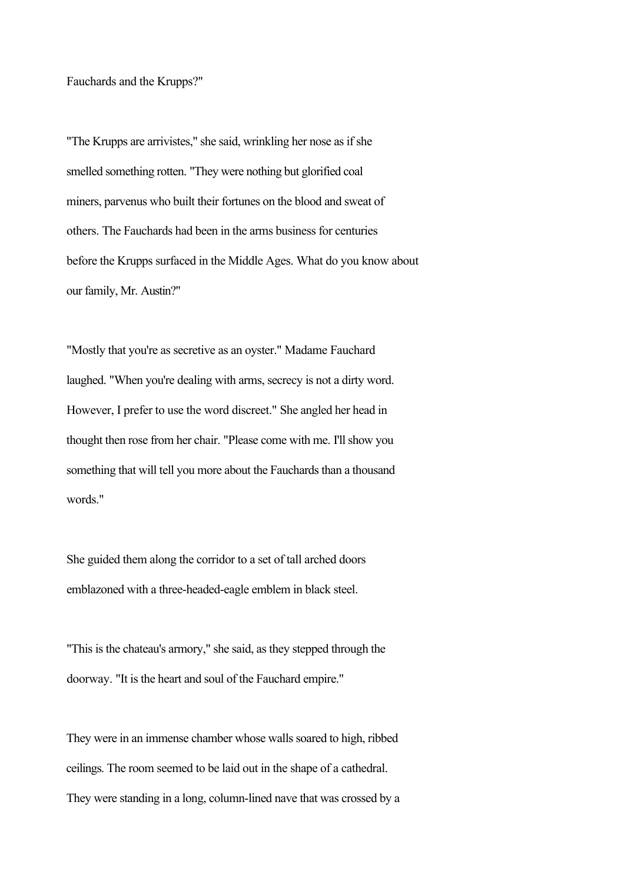Fauchards and the Krupps?"

 "The Krupps are arrivistes," she said, wrinkling her nose as if she smelled something rotten. "They were nothing but glorified coal miners, parvenus who built their fortunes on the blood and sweat of others. The Fauchards had been in the arms business for centuries before the Krupps surfaced in the Middle Ages. What do you know about our family, Mr. Austin?"

 "Mostly that you're as secretive as an oyster." Madame Fauchard laughed. "When you're dealing with arms, secrecy is not a dirty word. However, I prefer to use the word discreet." She angled her head in thought then rose from her chair. "Please come with me. I'll show you something that will tell you more about the Fauchards than a thousand words."

 She guided them along the corridor to a set of tall arched doors emblazoned with a three-headed-eagle emblem in black steel.

 "This is the chateau's armory," she said, as they stepped through the doorway. "It is the heart and soul of the Fauchard empire."

 They were in an immense chamber whose walls soared to high, ribbed ceilings. The room seemed to be laid out in the shape of a cathedral. They were standing in a long, column-lined nave that was crossed by a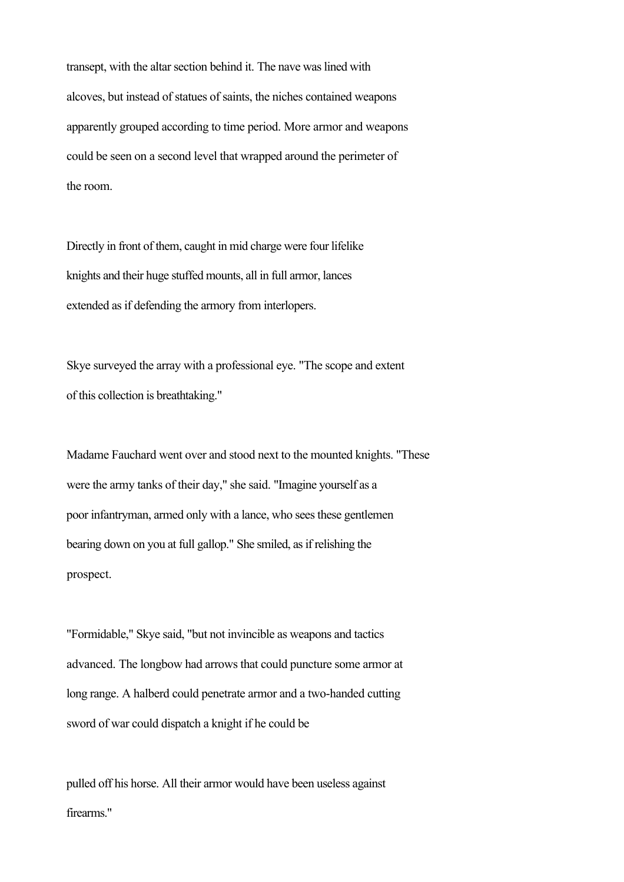transept, with the altar section behind it. The nave was lined with alcoves, but instead of statues of saints, the niches contained weapons apparently grouped according to time period. More armor and weapons could be seen on a second level that wrapped around the perimeter of the room.

 Directly in front of them, caught in mid charge were four lifelike knights and their huge stuffed mounts, all in full armor, lances extended as if defending the armory from interlopers.

 Skye surveyed the array with a professional eye. "The scope and extent of this collection is breathtaking."

 Madame Fauchard went over and stood next to the mounted knights. "These were the army tanks of their day," she said. "Imagine yourself as a poor infantryman, armed only with a lance, who sees these gentlemen bearing down on you at full gallop." She smiled, as if relishing the prospect.

 "Formidable," Skye said, "but not invincible as weapons and tactics advanced. The longbow had arrows that could puncture some armor at long range. A halberd could penetrate armor and a two-handed cutting sword of war could dispatch a knight if he could be

 pulled off his horse. All their armor would have been useless against firearms."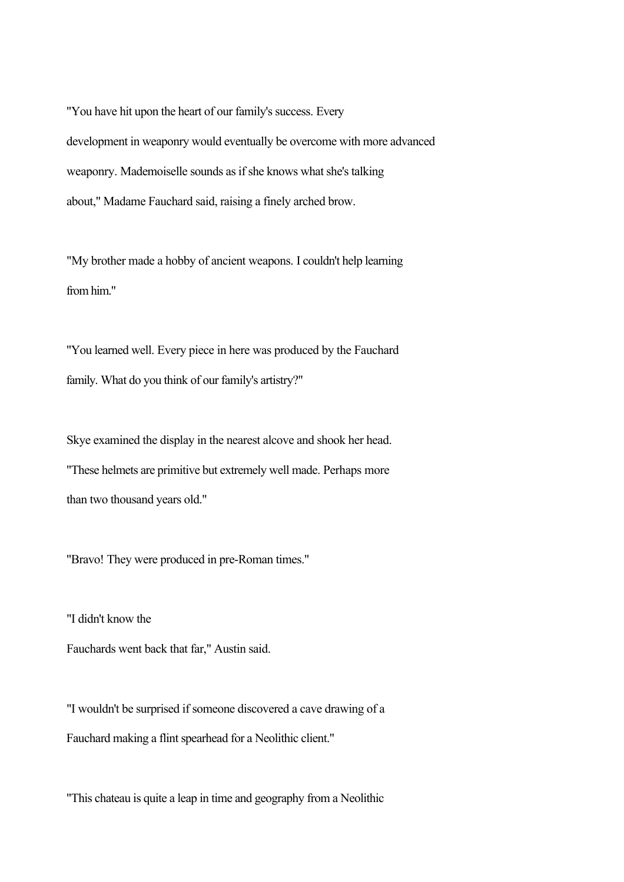"You have hit upon the heart of our family's success. Every development in weaponry would eventually be overcome with more advanced weaponry. Mademoiselle sounds as if she knows what she's talking about," Madame Fauchard said, raising a finely arched brow.

 "My brother made a hobby of ancient weapons. I couldn't help learning from him."

 "You learned well. Every piece in here was produced by the Fauchard family. What do you think of our family's artistry?"

 Skye examined the display in the nearest alcove and shook her head. "These helmets are primitive but extremely well made. Perhaps more than two thousand years old."

"Bravo! They were produced in pre-Roman times."

"I didn't know the

Fauchards went back that far," Austin said.

 "I wouldn't be surprised if someone discovered a cave drawing of a Fauchard making a flint spearhead for a Neolithic client."

"This chateau is quite a leap in time and geography from a Neolithic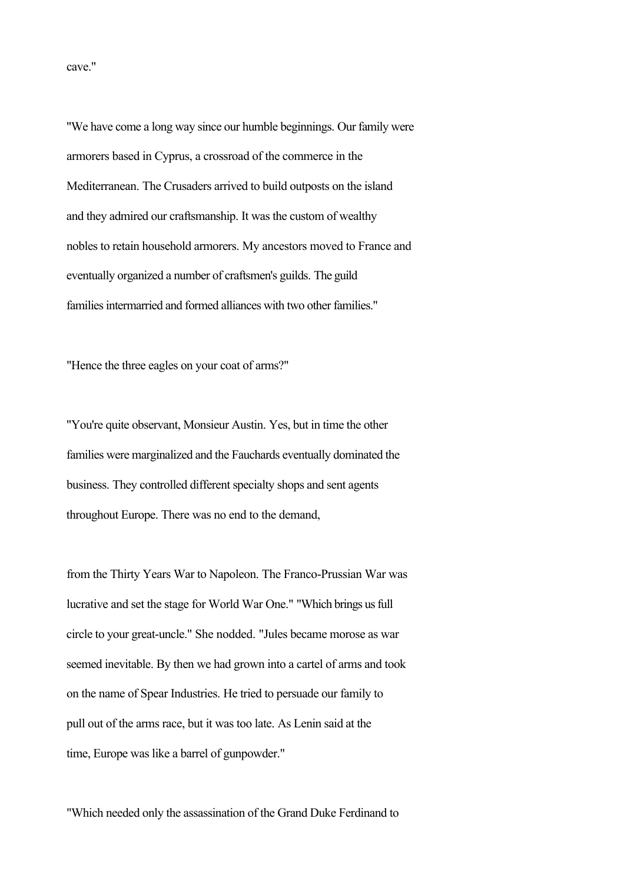cave."

 "We have come a long way since our humble beginnings. Our family were armorers based in Cyprus, a crossroad of the commerce in the Mediterranean. The Crusaders arrived to build outposts on the island and they admired our craftsmanship. It was the custom of wealthy nobles to retain household armorers. My ancestors moved to France and eventually organized a number of craftsmen's guilds. The guild families intermarried and formed alliances with two other families."

"Hence the three eagles on your coat of arms?"

 "You're quite observant, Monsieur Austin. Yes, but in time the other families were marginalized and the Fauchards eventually dominated the business. They controlled different specialty shops and sent agents throughout Europe. There was no end to the demand,

 from the Thirty Years War to Napoleon. The Franco-Prussian War was lucrative and set the stage for World War One." "Which brings us full circle to your great-uncle." She nodded. "Jules became morose as war seemed inevitable. By then we had grown into a cartel of arms and took on the name of Spear Industries. He tried to persuade our family to pull out of the arms race, but it was too late. As Lenin said at the time, Europe was like a barrel of gunpowder."

"Which needed only the assassination of the Grand Duke Ferdinand to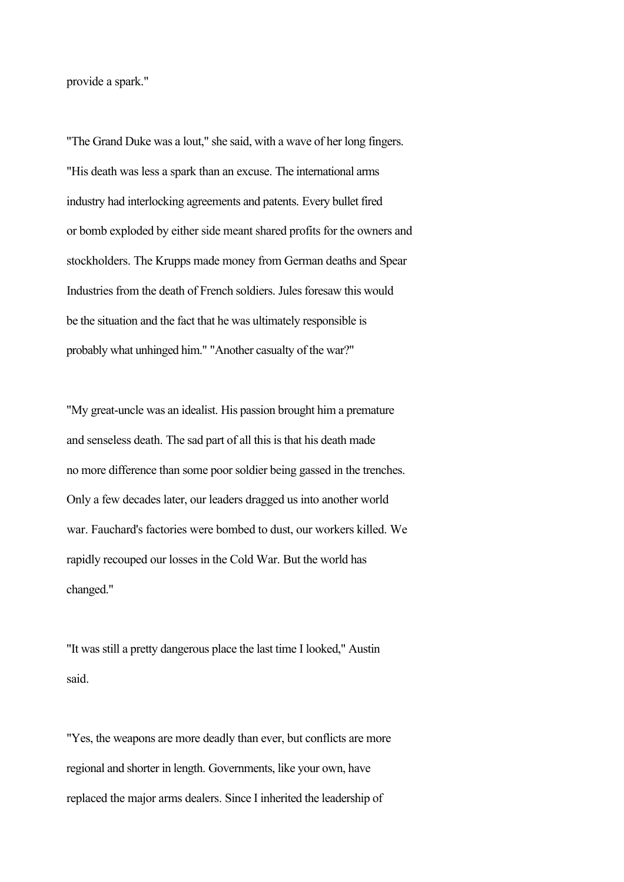provide a spark."

 "The Grand Duke was a lout," she said, with a wave of her long fingers. "His death was less a spark than an excuse. The international arms industry had interlocking agreements and patents. Every bullet fired or bomb exploded by either side meant shared profits for the owners and stockholders. The Krupps made money from German deaths and Spear Industries from the death of French soldiers. Jules foresaw this would be the situation and the fact that he was ultimately responsible is probably what unhinged him." "Another casualty of the war?"

 "My great-uncle was an idealist. His passion brought him a premature and senseless death. The sad part of all this is that his death made no more difference than some poor soldier being gassed in the trenches. Only a few decades later, our leaders dragged us into another world war. Fauchard's factories were bombed to dust, our workers killed. We rapidly recouped our losses in the Cold War. But the world has changed."

 "It was still a pretty dangerous place the last time I looked," Austin said.

 "Yes, the weapons are more deadly than ever, but conflicts are more regional and shorter in length. Governments, like your own, have replaced the major arms dealers. Since I inherited the leadership of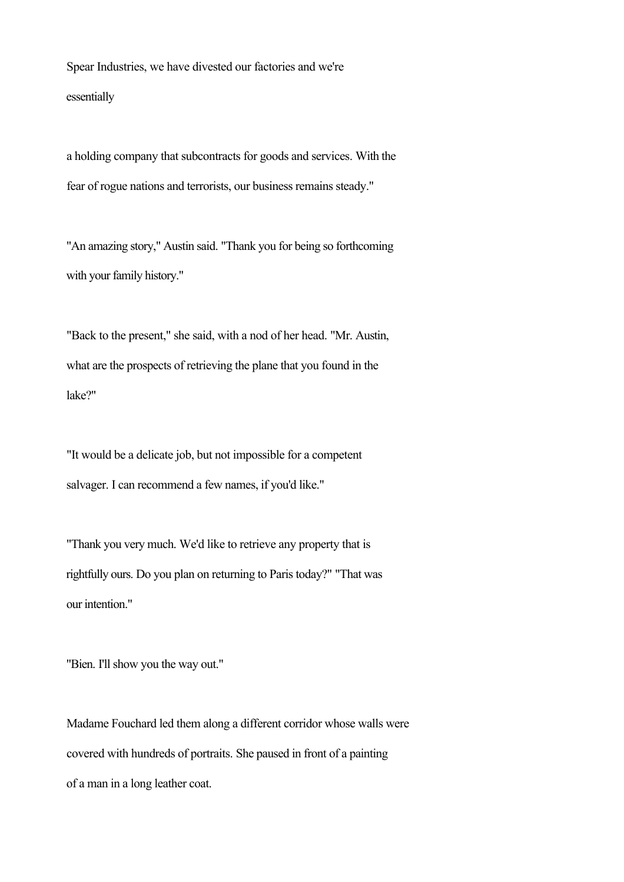Spear Industries, we have divested our factories and we're essentially

 a holding company that subcontracts for goods and services. With the fear of rogue nations and terrorists, our business remains steady."

 "An amazing story," Austin said. "Thank you for being so forthcoming with your family history."

 "Back to the present," she said, with a nod of her head. "Mr. Austin, what are the prospects of retrieving the plane that you found in the lake?"

 "It would be a delicate job, but not impossible for a competent salvager. I can recommend a few names, if you'd like."

 "Thank you very much. We'd like to retrieve any property that is rightfully ours. Do you plan on returning to Paris today?" "That was our intention."

"Bien. I'll show you the way out."

 Madame Fouchard led them along a different corridor whose walls were covered with hundreds of portraits. She paused in front of a painting of a man in a long leather coat.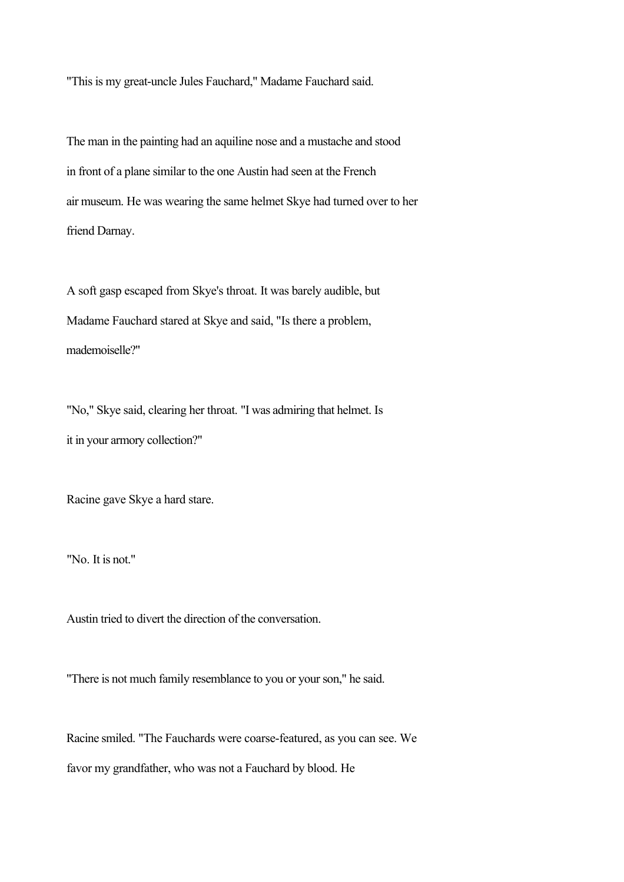"This is my great-uncle Jules Fauchard," Madame Fauchard said.

 The man in the painting had an aquiline nose and a mustache and stood in front of a plane similar to the one Austin had seen at the French air museum. He was wearing the same helmet Skye had turned over to her friend Darnay.

 A soft gasp escaped from Skye's throat. It was barely audible, but Madame Fauchard stared at Skye and said, "Is there a problem, mademoiselle?"

 "No," Skye said, clearing her throat. "I was admiring that helmet. Is it in your armory collection?"

Racine gave Skye a hard stare.

"No. It is not."

Austin tried to divert the direction of the conversation.

"There is not much family resemblance to you or your son," he said.

 Racine smiled. "The Fauchards were coarse-featured, as you can see. We favor my grandfather, who was not a Fauchard by blood. He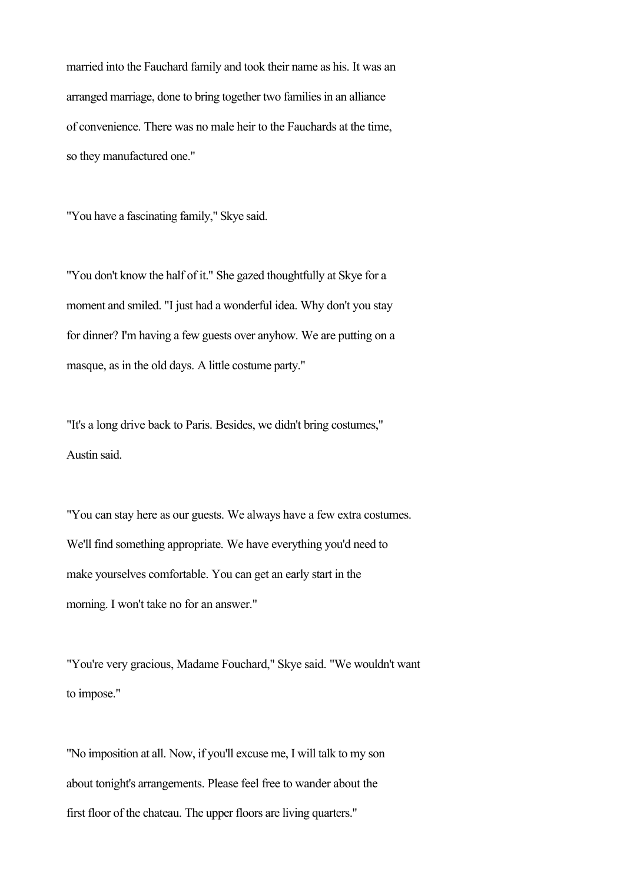married into the Fauchard family and took their name as his. It was an arranged marriage, done to bring together two families in an alliance of convenience. There was no male heir to the Fauchards at the time, so they manufactured one."

"You have a fascinating family," Skye said.

 "You don't know the half of it." She gazed thoughtfully at Skye for a moment and smiled. "I just had a wonderful idea. Why don't you stay for dinner? I'm having a few guests over anyhow. We are putting on a masque, as in the old days. A little costume party."

 "It's a long drive back to Paris. Besides, we didn't bring costumes," Austin said.

 "You can stay here as our guests. We always have a few extra costumes. We'll find something appropriate. We have everything you'd need to make yourselves comfortable. You can get an early start in the morning. I won't take no for an answer."

 "You're very gracious, Madame Fouchard," Skye said. "We wouldn't want to impose."

 "No imposition at all. Now, if you'll excuse me, I will talk to my son about tonight's arrangements. Please feel free to wander about the first floor of the chateau. The upper floors are living quarters."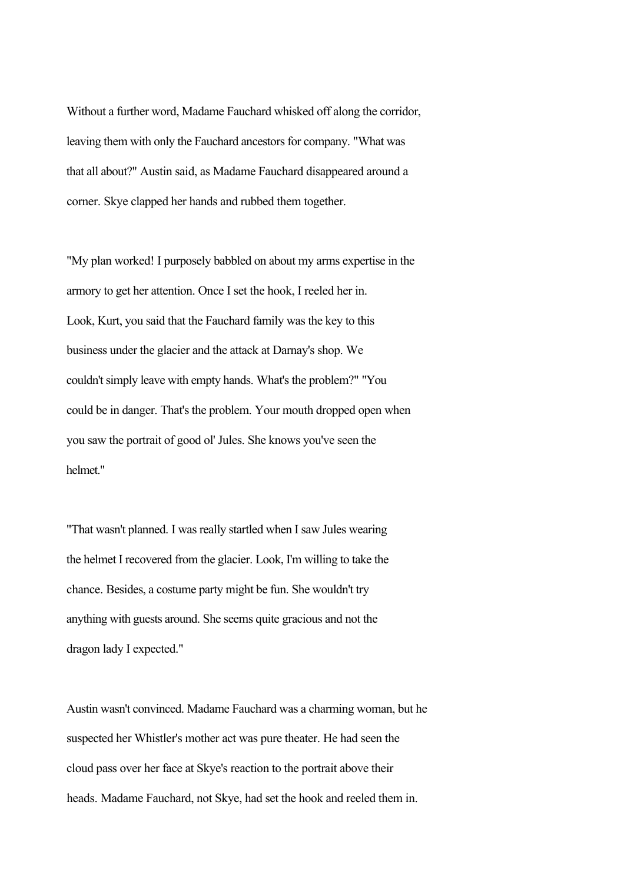Without a further word, Madame Fauchard whisked off along the corridor, leaving them with only the Fauchard ancestors for company. "What was that all about?" Austin said, as Madame Fauchard disappeared around a corner. Skye clapped her hands and rubbed them together.

 "My plan worked! I purposely babbled on about my arms expertise in the armory to get her attention. Once I set the hook, I reeled her in. Look, Kurt, you said that the Fauchard family was the key to this business under the glacier and the attack at Darnay's shop. We couldn't simply leave with empty hands. What's the problem?" "You could be in danger. That's the problem. Your mouth dropped open when you saw the portrait of good ol' Jules. She knows you've seen the helmet."

 "That wasn't planned. I was really startled when I saw Jules wearing the helmet I recovered from the glacier. Look, I'm willing to take the chance. Besides, a costume party might be fun. She wouldn't try anything with guests around. She seems quite gracious and not the dragon lady I expected."

 Austin wasn't convinced. Madame Fauchard was a charming woman, but he suspected her Whistler's mother act was pure theater. He had seen the cloud pass over her face at Skye's reaction to the portrait above their heads. Madame Fauchard, not Skye, had set the hook and reeled them in.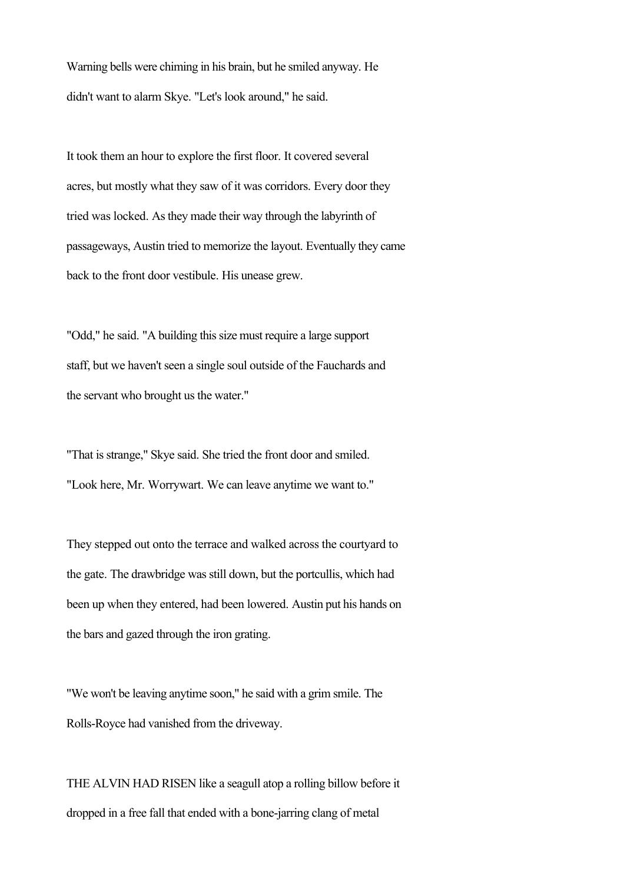Warning bells were chiming in his brain, but he smiled anyway. He didn't want to alarm Skye. "Let's look around," he said.

 It took them an hour to explore the first floor. It covered several acres, but mostly what they saw of it was corridors. Every door they tried was locked. As they made their way through the labyrinth of passageways, Austin tried to memorize the layout. Eventually they came back to the front door vestibule. His unease grew.

 "Odd," he said. "A building this size must require a large support staff, but we haven't seen a single soul outside of the Fauchards and the servant who brought us the water."

 "That is strange," Skye said. She tried the front door and smiled. "Look here, Mr. Worrywart. We can leave anytime we want to."

 They stepped out onto the terrace and walked across the courtyard to the gate. The drawbridge was still down, but the portcullis, which had been up when they entered, had been lowered. Austin put his hands on the bars and gazed through the iron grating.

 "We won't be leaving anytime soon," he said with a grim smile. The Rolls-Royce had vanished from the driveway.

 THE ALVIN HAD RISEN like a seagull atop a rolling billow before it dropped in a free fall that ended with a bone-jarring clang of metal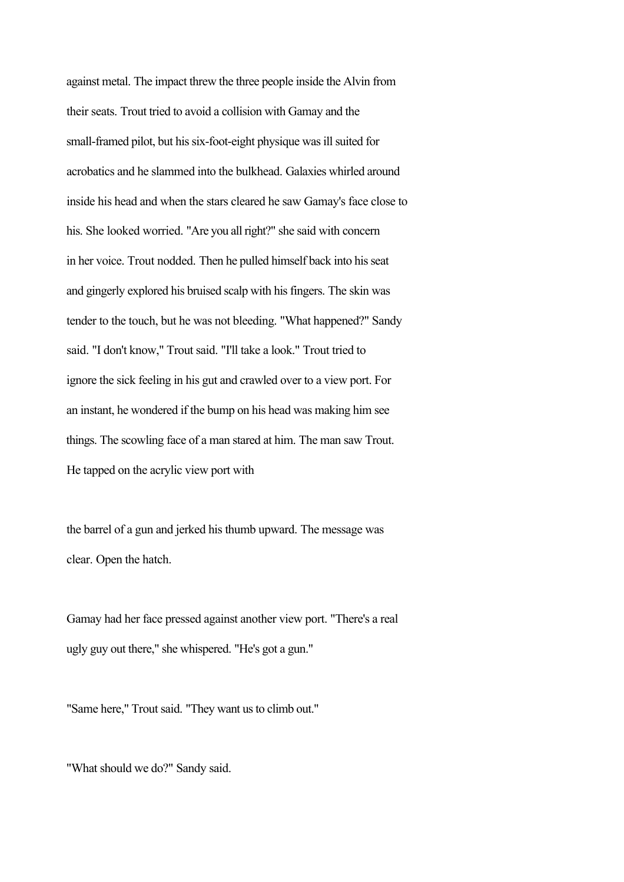against metal. The impact threw the three people inside the Alvin from their seats. Trout tried to avoid a collision with Gamay and the small-framed pilot, but his six-foot-eight physique was ill suited for acrobatics and he slammed into the bulkhead. Galaxies whirled around inside his head and when the stars cleared he saw Gamay's face close to his. She looked worried. "Are you all right?" she said with concern in her voice. Trout nodded. Then he pulled himself back into his seat and gingerly explored his bruised scalp with his fingers. The skin was tender to the touch, but he was not bleeding. "What happened?" Sandy said. "I don't know," Trout said. "I'll take a look." Trout tried to ignore the sick feeling in his gut and crawled over to a view port. For an instant, he wondered if the bump on his head was making him see things. The scowling face of a man stared at him. The man saw Trout. He tapped on the acrylic view port with

 the barrel of a gun and jerked his thumb upward. The message was clear. Open the hatch.

 Gamay had her face pressed against another view port. "There's a real ugly guy out there," she whispered. "He's got a gun."

"Same here," Trout said. "They want us to climb out."

"What should we do?" Sandy said.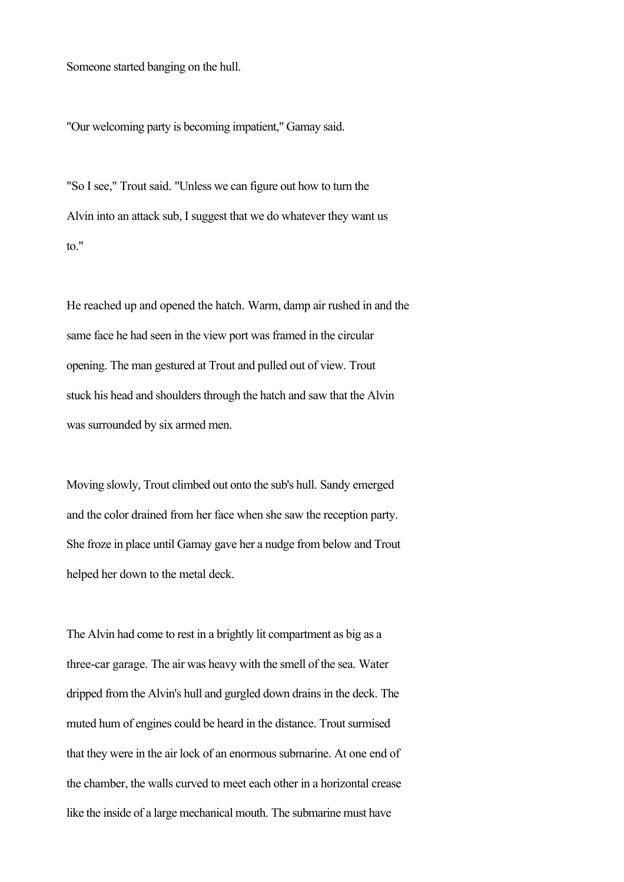Someone started banging on the hull.

"Our welcoming party is becoming impatient," Gamay said.

 "So I see," Trout said. "Unless we can figure out how to turn the Alvin into an attack sub, I suggest that we do whatever they want us to."

 He reached up and opened the hatch. Warm, damp air rushed in and the same face he had seen in the view port was framed in the circular opening. The man gestured at Trout and pulled out of view. Trout stuck his head and shoulders through the hatch and saw that the Alvin was surrounded by six armed men.

 Moving slowly, Trout climbed out onto the sub's hull. Sandy emerged and the color drained from her face when she saw the reception party. She froze in place until Gamay gave her a nudge from below and Trout helped her down to the metal deck.

 The Alvin had come to rest in a brightly lit compartment as big as a three-car garage. The air was heavy with the smell of the sea. Water dripped from the Alvin's hull and gurgled down drains in the deck. The muted hum of engines could be heard in the distance. Trout surmised that they were in the air lock of an enormous submarine. At one end of the chamber, the walls curved to meet each other in a horizontal crease like the inside of a large mechanical mouth. The submarine must have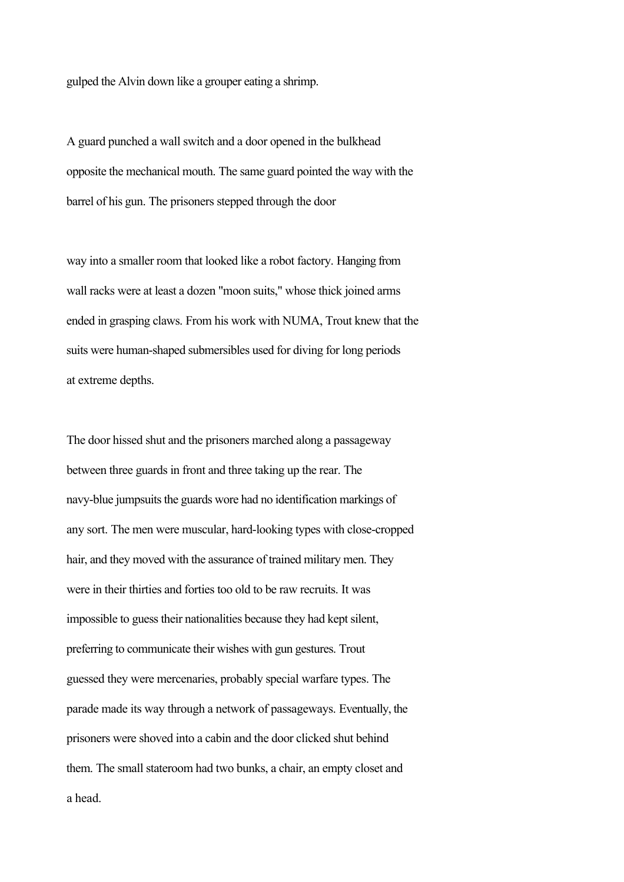gulped the Alvin down like a grouper eating a shrimp.

 A guard punched a wall switch and a door opened in the bulkhead opposite the mechanical mouth. The same guard pointed the way with the barrel of his gun. The prisoners stepped through the door

 way into a smaller room that looked like a robot factory. Hanging from wall racks were at least a dozen "moon suits," whose thick joined arms ended in grasping claws. From his work with NUMA, Trout knew that the suits were human-shaped submersibles used for diving for long periods at extreme depths.

 The door hissed shut and the prisoners marched along a passageway between three guards in front and three taking up the rear. The navy-blue jumpsuits the guards wore had no identification markings of any sort. The men were muscular, hard-looking types with close-cropped hair, and they moved with the assurance of trained military men. They were in their thirties and forties too old to be raw recruits. It was impossible to guess their nationalities because they had kept silent, preferring to communicate their wishes with gun gestures. Trout guessed they were mercenaries, probably special warfare types. The parade made its way through a network of passageways. Eventually, the prisoners were shoved into a cabin and the door clicked shut behind them. The small stateroom had two bunks, a chair, an empty closet and a head.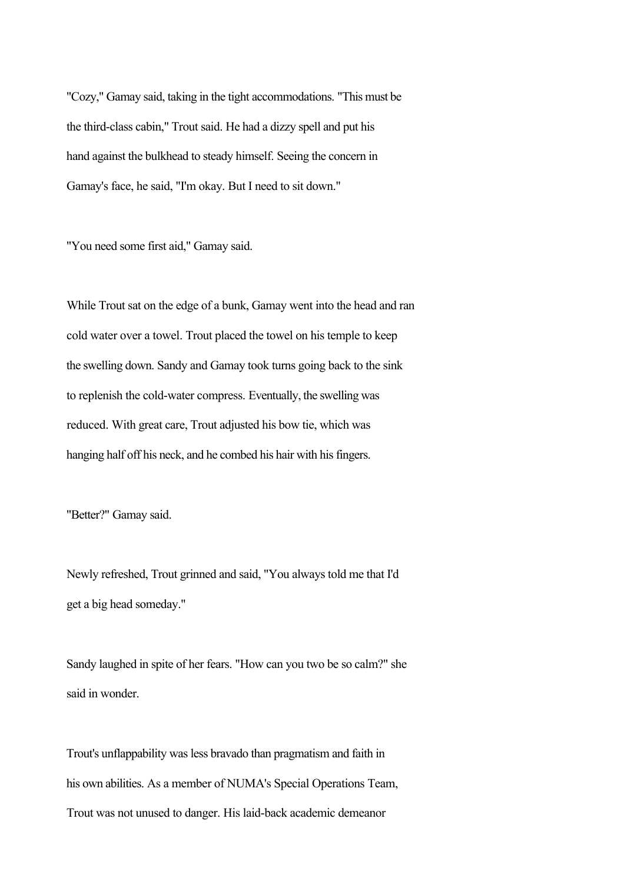"Cozy," Gamay said, taking in the tight accommodations. "This must be the third-class cabin," Trout said. He had a dizzy spell and put his hand against the bulkhead to steady himself. Seeing the concern in Gamay's face, he said, "I'm okay. But I need to sit down."

"You need some first aid," Gamay said.

 While Trout sat on the edge of a bunk, Gamay went into the head and ran cold water over a towel. Trout placed the towel on his temple to keep the swelling down. Sandy and Gamay took turns going back to the sink to replenish the cold-water compress. Eventually, the swelling was reduced. With great care, Trout adjusted his bow tie, which was hanging half off his neck, and he combed his hair with his fingers.

"Better?" Gamay said.

 Newly refreshed, Trout grinned and said, "You always told me that I'd get a big head someday."

 Sandy laughed in spite of her fears. "How can you two be so calm?" she said in wonder.

 Trout's unflappability was less bravado than pragmatism and faith in his own abilities. As a member of NUMA's Special Operations Team, Trout was not unused to danger. His laid-back academic demeanor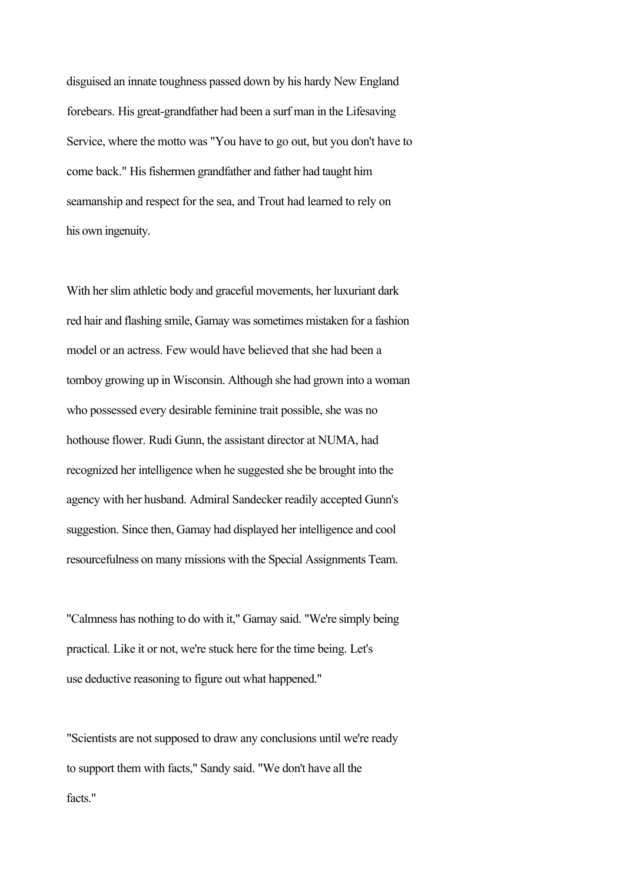disguised an innate toughness passed down by his hardy New England forebears. His great-grandfather had been a surf man in the Lifesaving Service, where the motto was "You have to go out, but you don't have to come back." His fishermen grandfather and father had taught him seamanship and respect for the sea, and Trout had learned to rely on his own ingenuity.

 With her slim athletic body and graceful movements, her luxuriant dark red hair and flashing smile, Gamay was sometimes mistaken for a fashion model or an actress. Few would have believed that she had been a tomboy growing up in Wisconsin. Although she had grown into a woman who possessed every desirable feminine trait possible, she was no hothouse flower. Rudi Gunn, the assistant director at NUMA, had recognized her intelligence when he suggested she be brought into the agency with her husband. Admiral Sandecker readily accepted Gunn's suggestion. Since then, Gamay had displayed her intelligence and cool resourcefulness on many missions with the Special Assignments Team.

 "Calmness has nothing to do with it," Gamay said. "We're simply being practical. Like it or not, we're stuck here for the time being. Let's use deductive reasoning to figure out what happened."

 "Scientists are not supposed to draw any conclusions until we're ready to support them with facts," Sandy said. "We don't have all the facts."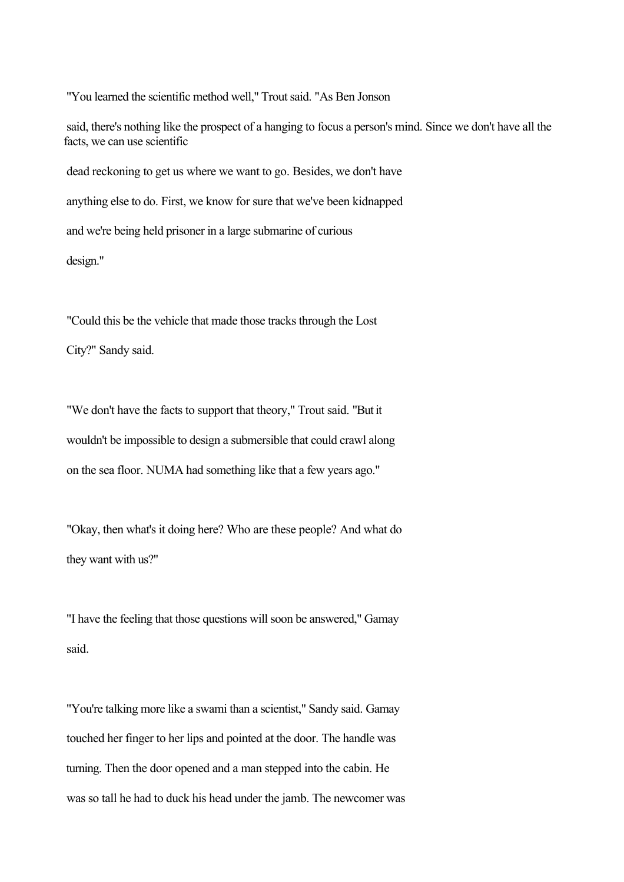"You learned the scientific method well," Trout said. "As Ben Jonson

 said, there's nothing like the prospect of a hanging to focus a person's mind. Since we don't have all the facts, we can use scientific

 dead reckoning to get us where we want to go. Besides, we don't have anything else to do. First, we know for sure that we've been kidnapped and we're being held prisoner in a large submarine of curious design."

 "Could this be the vehicle that made those tracks through the Lost City?" Sandy said.

 "We don't have the facts to support that theory," Trout said. "But it wouldn't be impossible to design a submersible that could crawl along on the sea floor. NUMA had something like that a few years ago."

 "Okay, then what's it doing here? Who are these people? And what do they want with us?"

 "I have the feeling that those questions will soon be answered," Gamay said.

 "You're talking more like a swami than a scientist," Sandy said. Gamay touched her finger to her lips and pointed at the door. The handle was turning. Then the door opened and a man stepped into the cabin. He was so tall he had to duck his head under the jamb. The newcomer was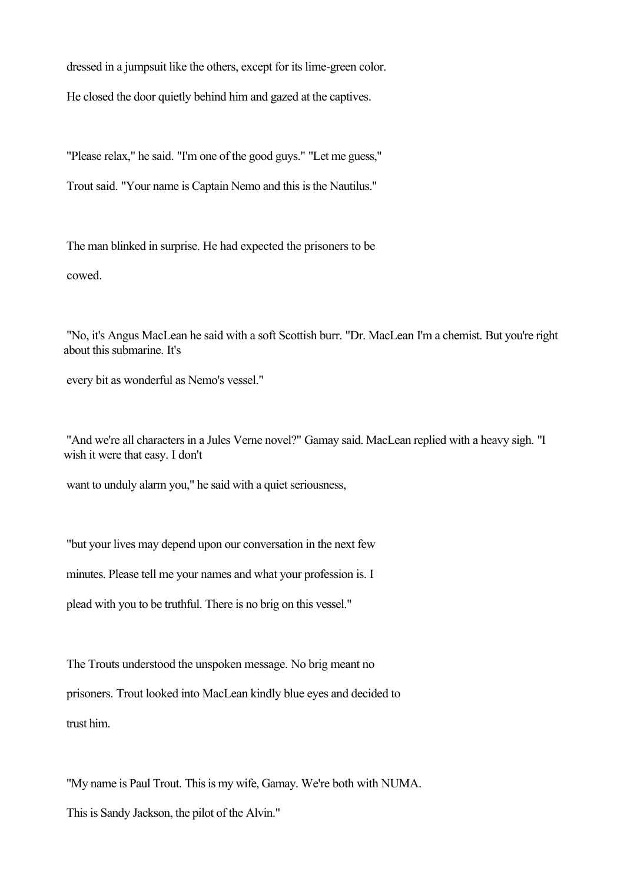dressed in a jumpsuit like the others, except for its lime-green color.

He closed the door quietly behind him and gazed at the captives.

"Please relax," he said. "I'm one of the good guys." "Let me guess,"

Trout said. "Your name is Captain Nemo and this is the Nautilus."

 The man blinked in surprise. He had expected the prisoners to be cowed.

 "No, it's Angus MacLean he said with a soft Scottish burr. "Dr. MacLean I'm a chemist. But you're right about this submarine. It's

every bit as wonderful as Nemo's vessel."

 "And we're all characters in a Jules Verne novel?" Gamay said. MacLean replied with a heavy sigh. "I wish it were that easy. I don't

want to unduly alarm you," he said with a quiet seriousness,

"but your lives may depend upon our conversation in the next few

minutes. Please tell me your names and what your profession is. I

plead with you to be truthful. There is no brig on this vessel."

The Trouts understood the unspoken message. No brig meant no

prisoners. Trout looked into MacLean kindly blue eyes and decided to

trust him.

"My name is Paul Trout. This is my wife, Gamay. We're both with NUMA.

This is Sandy Jackson, the pilot of the Alvin."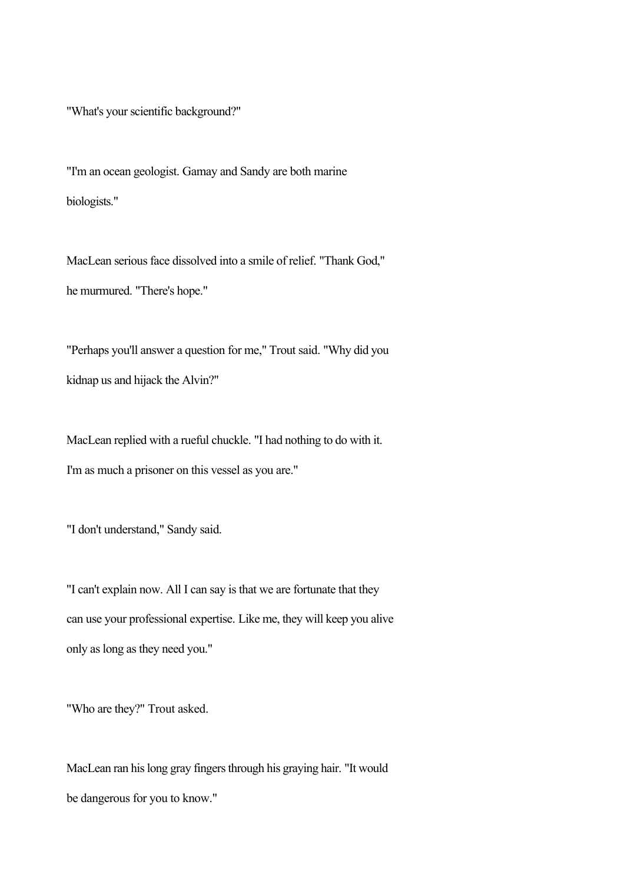"What's your scientific background?"

 "I'm an ocean geologist. Gamay and Sandy are both marine biologists."

 MacLean serious face dissolved into a smile of relief. "Thank God," he murmured. "There's hope."

 "Perhaps you'll answer a question for me," Trout said. "Why did you kidnap us and hijack the Alvin?"

 MacLean replied with a rueful chuckle. "I had nothing to do with it. I'm as much a prisoner on this vessel as you are."

"I don't understand," Sandy said.

 "I can't explain now. All I can say is that we are fortunate that they can use your professional expertise. Like me, they will keep you alive only as long as they need you."

"Who are they?" Trout asked.

 MacLean ran his long gray fingers through his graying hair. "It would be dangerous for you to know."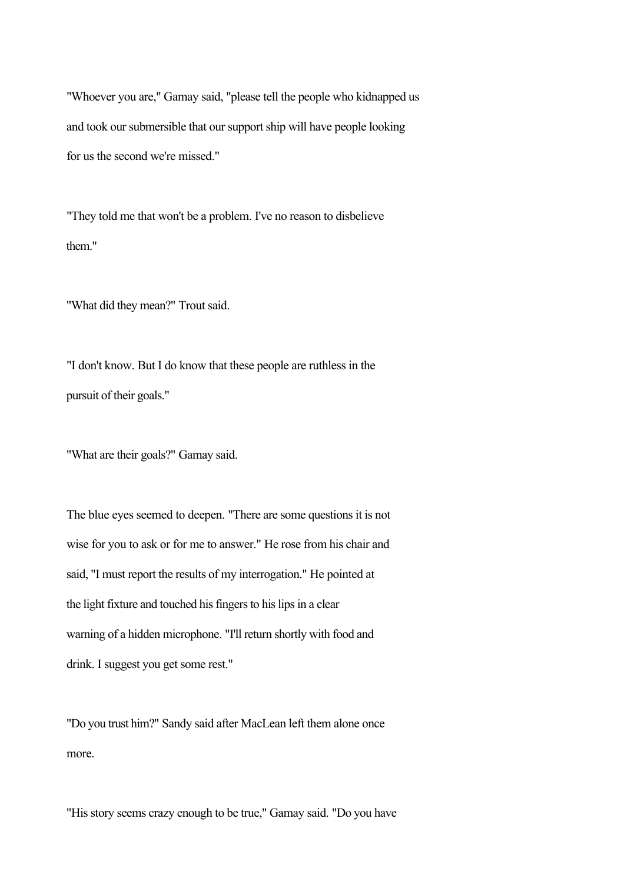"Whoever you are," Gamay said, "please tell the people who kidnapped us and took our submersible that our support ship will have people looking for us the second we're missed."

 "They told me that won't be a problem. I've no reason to disbelieve them<sup>"</sup>

"What did they mean?" Trout said.

 "I don't know. But I do know that these people are ruthless in the pursuit of their goals."

"What are their goals?" Gamay said.

 The blue eyes seemed to deepen. "There are some questions it is not wise for you to ask or for me to answer." He rose from his chair and said, "I must report the results of my interrogation." He pointed at the light fixture and touched his fingers to his lips in a clear warning of a hidden microphone. "I'll return shortly with food and drink. I suggest you get some rest."

 "Do you trust him?" Sandy said after MacLean left them alone once more.

"His story seems crazy enough to be true," Gamay said. "Do you have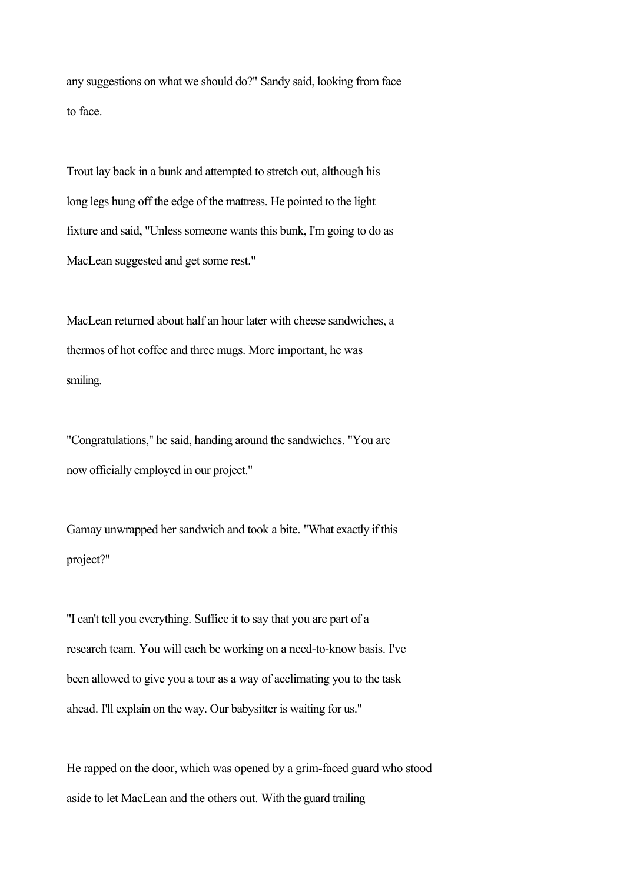any suggestions on what we should do?" Sandy said, looking from face to face.

 Trout lay back in a bunk and attempted to stretch out, although his long legs hung off the edge of the mattress. He pointed to the light fixture and said, "Unless someone wants this bunk, I'm going to do as MacLean suggested and get some rest."

 MacLean returned about half an hour later with cheese sandwiches, a thermos of hot coffee and three mugs. More important, he was smiling.

 "Congratulations," he said, handing around the sandwiches. "You are now officially employed in our project."

 Gamay unwrapped her sandwich and took a bite. "What exactly if this project?"

 "I can't tell you everything. Suffice it to say that you are part of a research team. You will each be working on a need-to-know basis. I've been allowed to give you a tour as a way of acclimating you to the task ahead. I'll explain on the way. Our babysitter is waiting for us."

 He rapped on the door, which was opened by a grim-faced guard who stood aside to let MacLean and the others out. With the guard trailing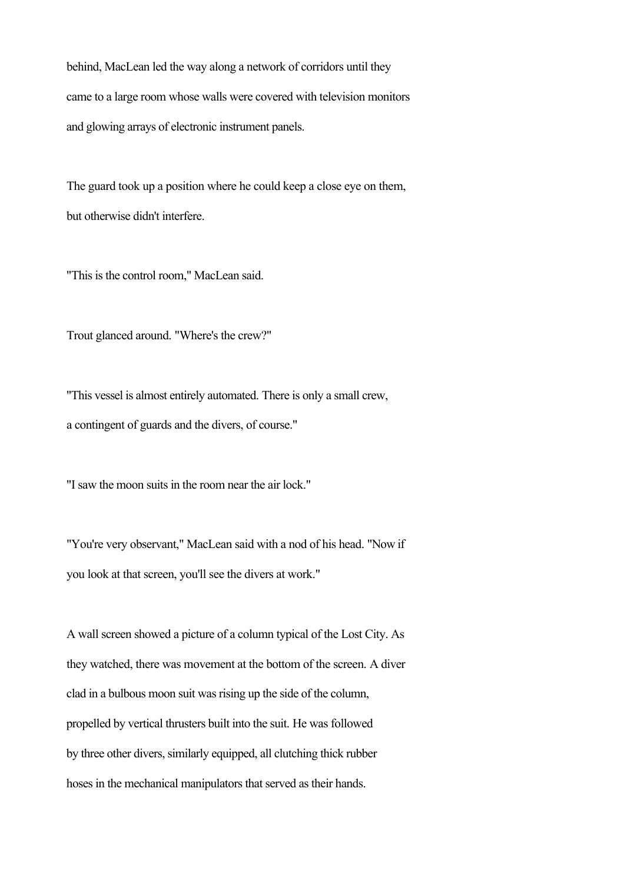behind, MacLean led the way along a network of corridors until they came to a large room whose walls were covered with television monitors and glowing arrays of electronic instrument panels.

 The guard took up a position where he could keep a close eye on them, but otherwise didn't interfere.

"This is the control room," MacLean said.

Trout glanced around. "Where's the crew?"

 "This vessel is almost entirely automated. There is only a small crew, a contingent of guards and the divers, of course."

"I saw the moon suits in the room near the air lock."

 "You're very observant," MacLean said with a nod of his head. "Now if you look at that screen, you'll see the divers at work."

 A wall screen showed a picture of a column typical of the Lost City. As they watched, there was movement at the bottom of the screen. A diver clad in a bulbous moon suit was rising up the side of the column, propelled by vertical thrusters built into the suit. He was followed by three other divers, similarly equipped, all clutching thick rubber hoses in the mechanical manipulators that served as their hands.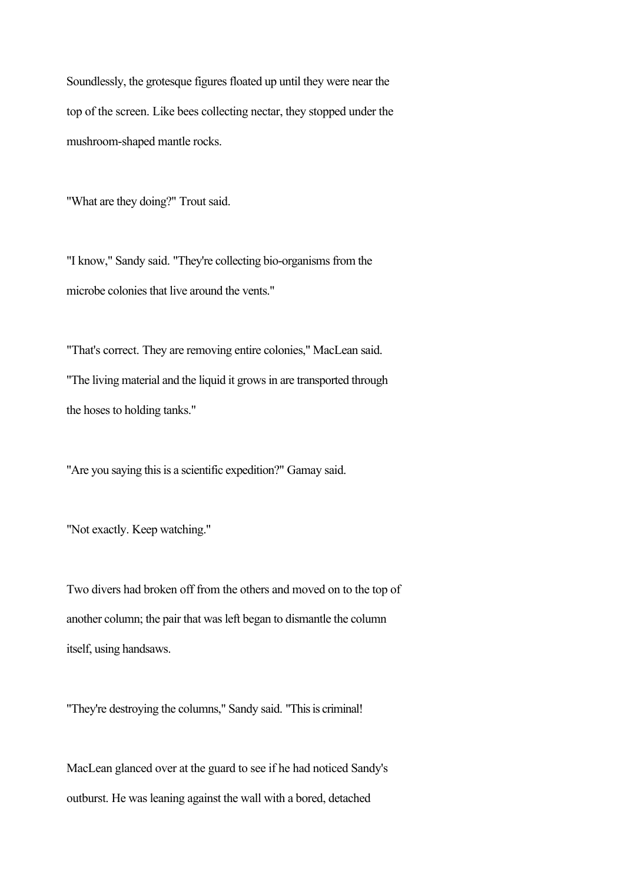Soundlessly, the grotesque figures floated up until they were near the top of the screen. Like bees collecting nectar, they stopped under the mushroom-shaped mantle rocks.

"What are they doing?" Trout said.

 "I know," Sandy said. "They're collecting bio-organisms from the microbe colonies that live around the vents."

 "That's correct. They are removing entire colonies," MacLean said. "The living material and the liquid it grows in are transported through the hoses to holding tanks."

"Are you saying this is a scientific expedition?" Gamay said.

"Not exactly. Keep watching."

 Two divers had broken off from the others and moved on to the top of another column; the pair that was left began to dismantle the column itself, using handsaws.

"They're destroying the columns," Sandy said. "This is criminal!

 MacLean glanced over at the guard to see if he had noticed Sandy's outburst. He was leaning against the wall with a bored, detached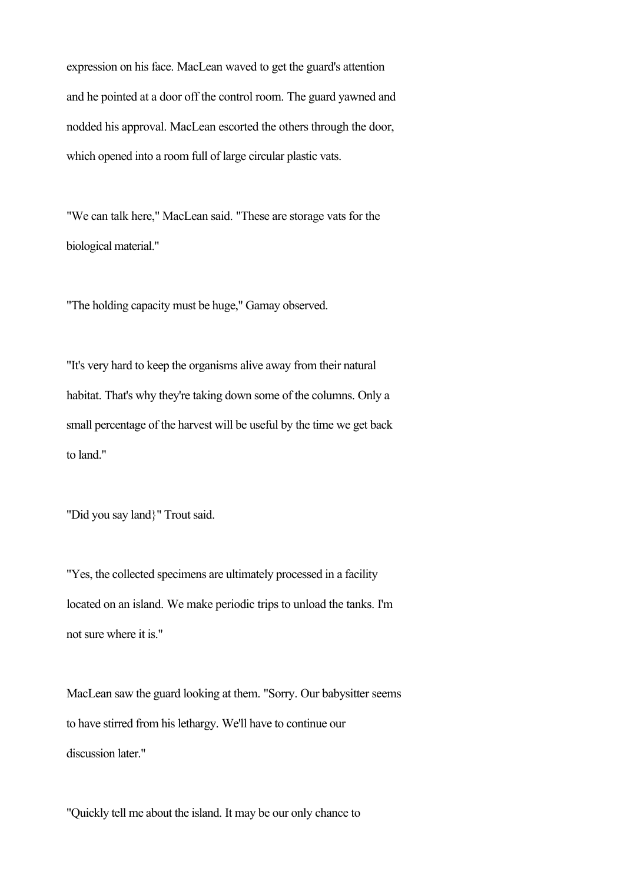expression on his face. MacLean waved to get the guard's attention and he pointed at a door off the control room. The guard yawned and nodded his approval. MacLean escorted the others through the door, which opened into a room full of large circular plastic vats.

 "We can talk here," MacLean said. "These are storage vats for the biological material."

"The holding capacity must be huge," Gamay observed.

 "It's very hard to keep the organisms alive away from their natural habitat. That's why they're taking down some of the columns. Only a small percentage of the harvest will be useful by the time we get back to land."

"Did you say land}" Trout said.

 "Yes, the collected specimens are ultimately processed in a facility located on an island. We make periodic trips to unload the tanks. I'm not sure where it is."

 MacLean saw the guard looking at them. "Sorry. Our babysitter seems to have stirred from his lethargy. We'll have to continue our discussion later."

"Quickly tell me about the island. It may be our only chance to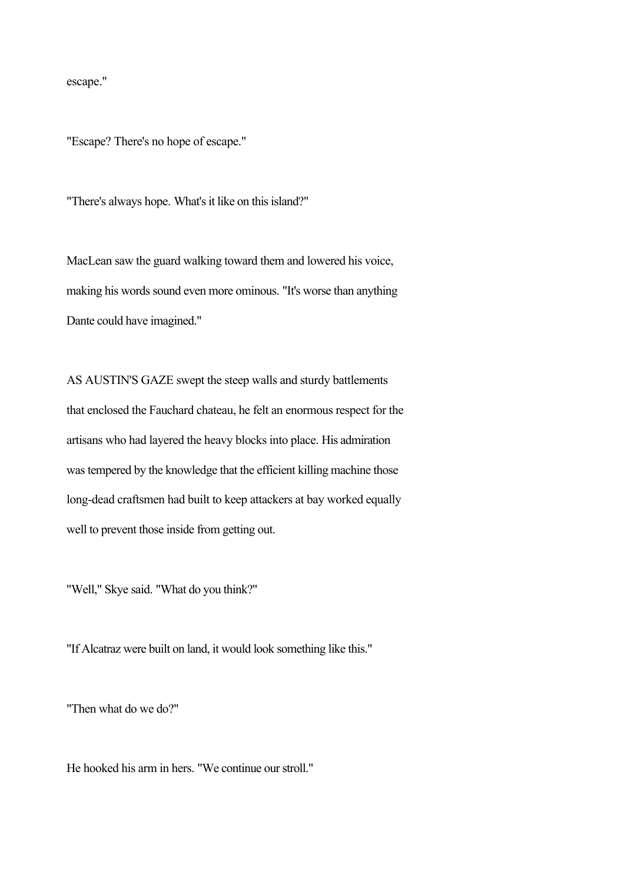escape."

"Escape? There's no hope of escape."

"There's always hope. What's it like on this island?"

 MacLean saw the guard walking toward them and lowered his voice, making his words sound even more ominous. "It's worse than anything Dante could have imagined."

 AS AUSTIN'S GAZE swept the steep walls and sturdy battlements that enclosed the Fauchard chateau, he felt an enormous respect for the artisans who had layered the heavy blocks into place. His admiration was tempered by the knowledge that the efficient killing machine those long-dead craftsmen had built to keep attackers at bay worked equally well to prevent those inside from getting out.

"Well," Skye said. "What do you think?"

"If Alcatraz were built on land, it would look something like this."

"Then what do we do?"

He hooked his arm in hers. "We continue our stroll."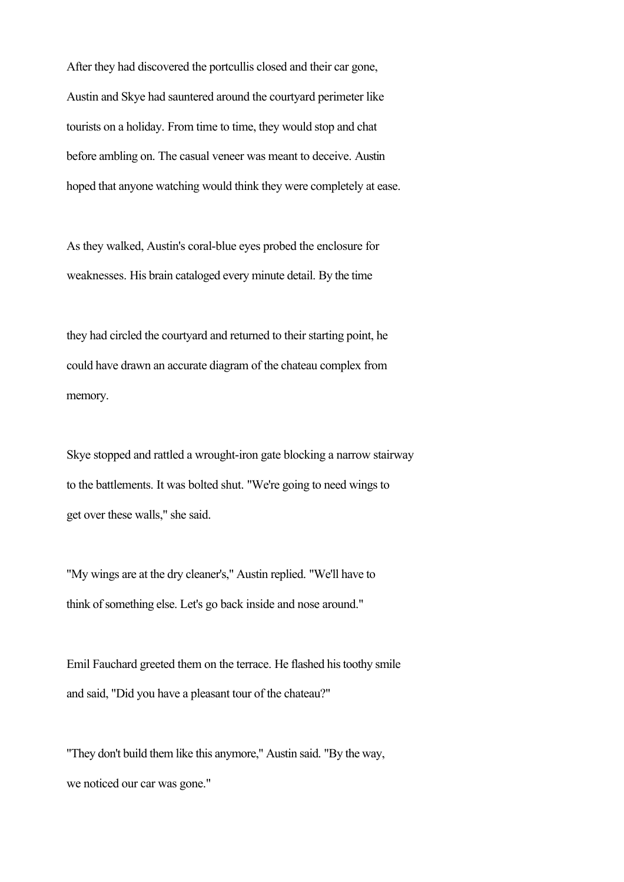After they had discovered the portcullis closed and their car gone, Austin and Skye had sauntered around the courtyard perimeter like tourists on a holiday. From time to time, they would stop and chat before ambling on. The casual veneer was meant to deceive. Austin hoped that anyone watching would think they were completely at ease.

 As they walked, Austin's coral-blue eyes probed the enclosure for weaknesses. His brain cataloged every minute detail. By the time

 they had circled the courtyard and returned to their starting point, he could have drawn an accurate diagram of the chateau complex from memory.

 Skye stopped and rattled a wrought-iron gate blocking a narrow stairway to the battlements. It was bolted shut. "We're going to need wings to get over these walls," she said.

 "My wings are at the dry cleaner's," Austin replied. "We'll have to think of something else. Let's go back inside and nose around."

 Emil Fauchard greeted them on the terrace. He flashed his toothy smile and said, "Did you have a pleasant tour of the chateau?"

 "They don't build them like this anymore," Austin said. "By the way, we noticed our car was gone."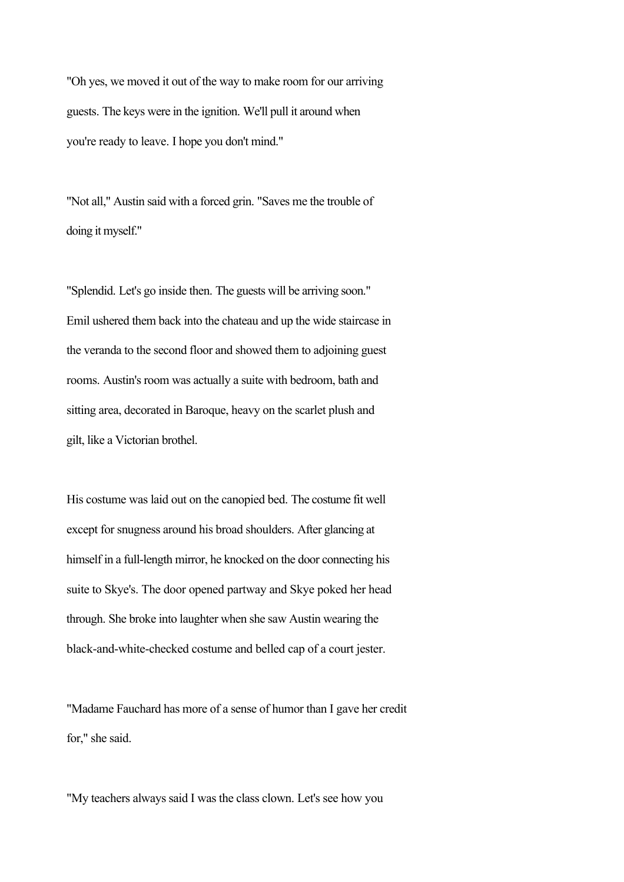"Oh yes, we moved it out of the way to make room for our arriving guests. The keys were in the ignition. We'll pull it around when you're ready to leave. I hope you don't mind."

 "Not all," Austin said with a forced grin. "Saves me the trouble of doing it myself."

 "Splendid. Let's go inside then. The guests will be arriving soon." Emil ushered them back into the chateau and up the wide staircase in the veranda to the second floor and showed them to adjoining guest rooms. Austin's room was actually a suite with bedroom, bath and sitting area, decorated in Baroque, heavy on the scarlet plush and gilt, like a Victorian brothel.

 His costume was laid out on the canopied bed. The costume fit well except for snugness around his broad shoulders. After glancing at himself in a full-length mirror, he knocked on the door connecting his suite to Skye's. The door opened partway and Skye poked her head through. She broke into laughter when she saw Austin wearing the black-and-white-checked costume and belled cap of a court jester.

 "Madame Fauchard has more of a sense of humor than I gave her credit for," she said.

"My teachers always said I was the class clown. Let's see how you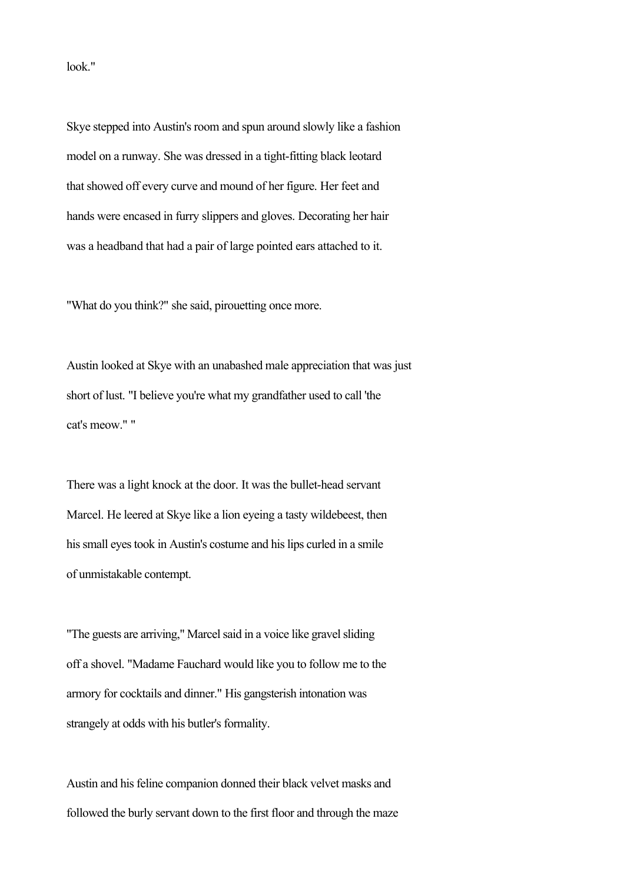look"

 Skye stepped into Austin's room and spun around slowly like a fashion model on a runway. She was dressed in a tight-fitting black leotard that showed off every curve and mound of her figure. Her feet and hands were encased in furry slippers and gloves. Decorating her hair was a headband that had a pair of large pointed ears attached to it.

"What do you think?" she said, pirouetting once more.

 Austin looked at Skye with an unabashed male appreciation that was just short of lust. "I believe you're what my grandfather used to call 'the cat's meow." "

 There was a light knock at the door. It was the bullet-head servant Marcel. He leered at Skye like a lion eyeing a tasty wildebeest, then his small eyes took in Austin's costume and his lips curled in a smile of unmistakable contempt.

 "The guests are arriving," Marcel said in a voice like gravel sliding off a shovel. "Madame Fauchard would like you to follow me to the armory for cocktails and dinner." His gangsterish intonation was strangely at odds with his butler's formality.

 Austin and his feline companion donned their black velvet masks and followed the burly servant down to the first floor and through the maze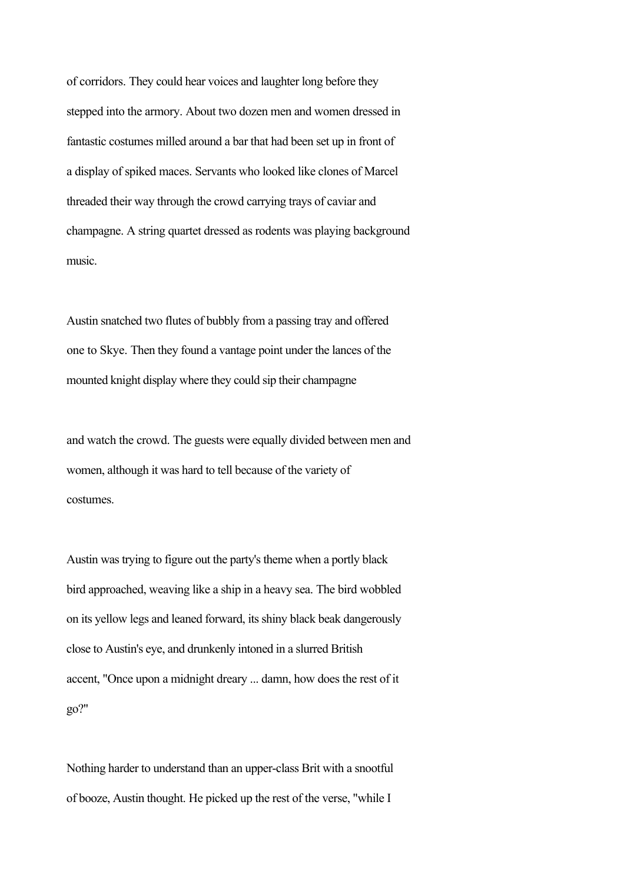of corridors. They could hear voices and laughter long before they stepped into the armory. About two dozen men and women dressed in fantastic costumes milled around a bar that had been set up in front of a display of spiked maces. Servants who looked like clones of Marcel threaded their way through the crowd carrying trays of caviar and champagne. A string quartet dressed as rodents was playing background music.

 Austin snatched two flutes of bubbly from a passing tray and offered one to Skye. Then they found a vantage point under the lances of the mounted knight display where they could sip their champagne

 and watch the crowd. The guests were equally divided between men and women, although it was hard to tell because of the variety of costumes.

 Austin was trying to figure out the party's theme when a portly black bird approached, weaving like a ship in a heavy sea. The bird wobbled on its yellow legs and leaned forward, its shiny black beak dangerously close to Austin's eye, and drunkenly intoned in a slurred British accent, "Once upon a midnight dreary ... damn, how does the rest of it go?"

 Nothing harder to understand than an upper-class Brit with a snootful of booze, Austin thought. He picked up the rest of the verse, "while I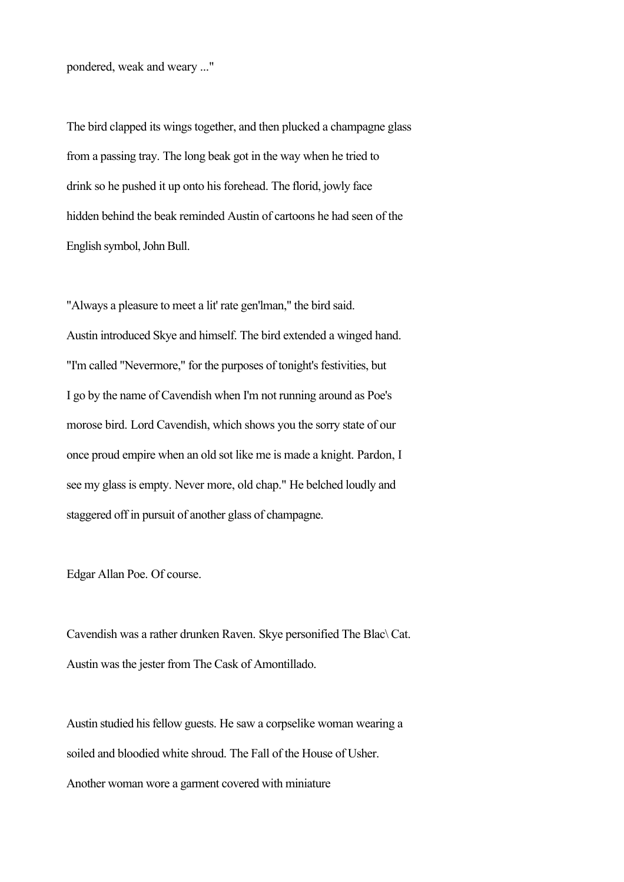pondered, weak and weary ..."

 The bird clapped its wings together, and then plucked a champagne glass from a passing tray. The long beak got in the way when he tried to drink so he pushed it up onto his forehead. The florid, jowly face hidden behind the beak reminded Austin of cartoons he had seen of the English symbol, John Bull.

 "Always a pleasure to meet a lit' rate gen'lman," the bird said. Austin introduced Skye and himself. The bird extended a winged hand. "I'm called "Nevermore," for the purposes of tonight's festivities, but I go by the name of Cavendish when I'm not running around as Poe's morose bird. Lord Cavendish, which shows you the sorry state of our once proud empire when an old sot like me is made a knight. Pardon, I see my glass is empty. Never more, old chap." He belched loudly and staggered off in pursuit of another glass of champagne.

Edgar Allan Poe. Of course.

 Cavendish was a rather drunken Raven. Skye personified The Blac\ Cat. Austin was the jester from The Cask of Amontillado.

 Austin studied his fellow guests. He saw a corpselike woman wearing a soiled and bloodied white shroud. The Fall of the House of Usher. Another woman wore a garment covered with miniature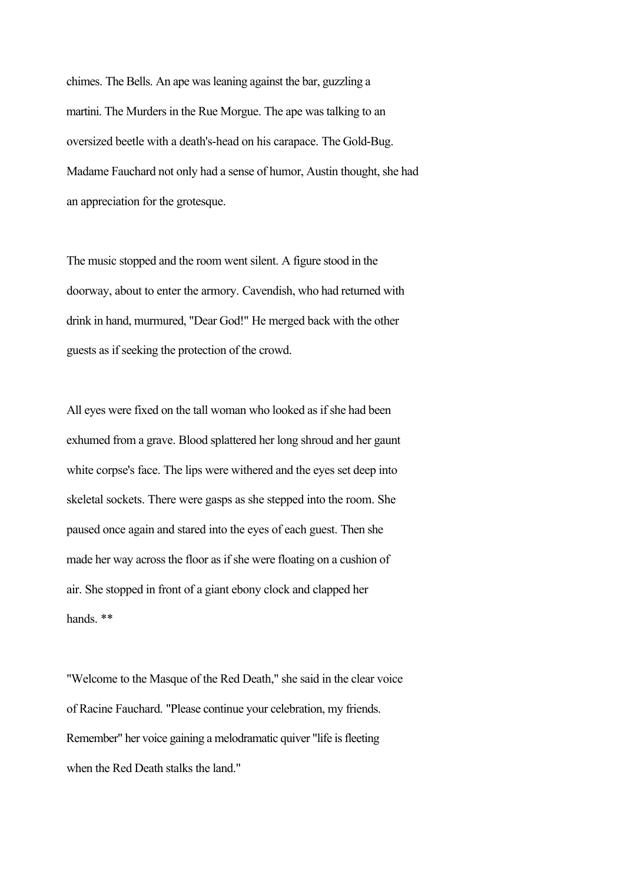chimes. The Bells. An ape was leaning against the bar, guzzling a martini. The Murders in the Rue Morgue. The ape was talking to an oversized beetle with a death's-head on his carapace. The Gold-Bug. Madame Fauchard not only had a sense of humor, Austin thought, she had an appreciation for the grotesque.

 The music stopped and the room went silent. A figure stood in the doorway, about to enter the armory. Cavendish, who had returned with drink in hand, murmured, "Dear God!" He merged back with the other guests as if seeking the protection of the crowd.

 All eyes were fixed on the tall woman who looked as if she had been exhumed from a grave. Blood splattered her long shroud and her gaunt white corpse's face. The lips were withered and the eyes set deep into skeletal sockets. There were gasps as she stepped into the room. She paused once again and stared into the eyes of each guest. Then she made her way across the floor as if she were floating on a cushion of air. She stopped in front of a giant ebony clock and clapped her hands \*\*

 "Welcome to the Masque of the Red Death," she said in the clear voice of Racine Fauchard. "Please continue your celebration, my friends. Remember" her voice gaining a melodramatic quiver "life is fleeting when the Red Death stalks the land."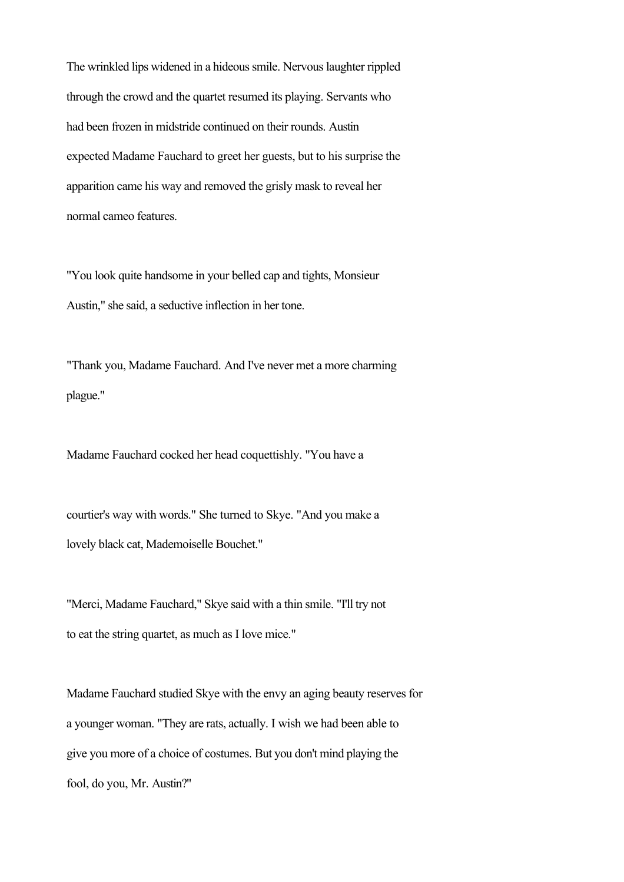The wrinkled lips widened in a hideous smile. Nervous laughter rippled through the crowd and the quartet resumed its playing. Servants who had been frozen in midstride continued on their rounds. Austin expected Madame Fauchard to greet her guests, but to his surprise the apparition came his way and removed the grisly mask to reveal her normal cameo features.

 "You look quite handsome in your belled cap and tights, Monsieur Austin," she said, a seductive inflection in her tone.

 "Thank you, Madame Fauchard. And I've never met a more charming plague."

Madame Fauchard cocked her head coquettishly. "You have a

 courtier's way with words." She turned to Skye. "And you make a lovely black cat, Mademoiselle Bouchet."

"Merci, Madame Fauchard," Skye said with a thin smile. "I'll try not to eat the string quartet, as much as I love mice."

 Madame Fauchard studied Skye with the envy an aging beauty reserves for a younger woman. "They are rats, actually. I wish we had been able to give you more of a choice of costumes. But you don't mind playing the fool, do you, Mr. Austin?"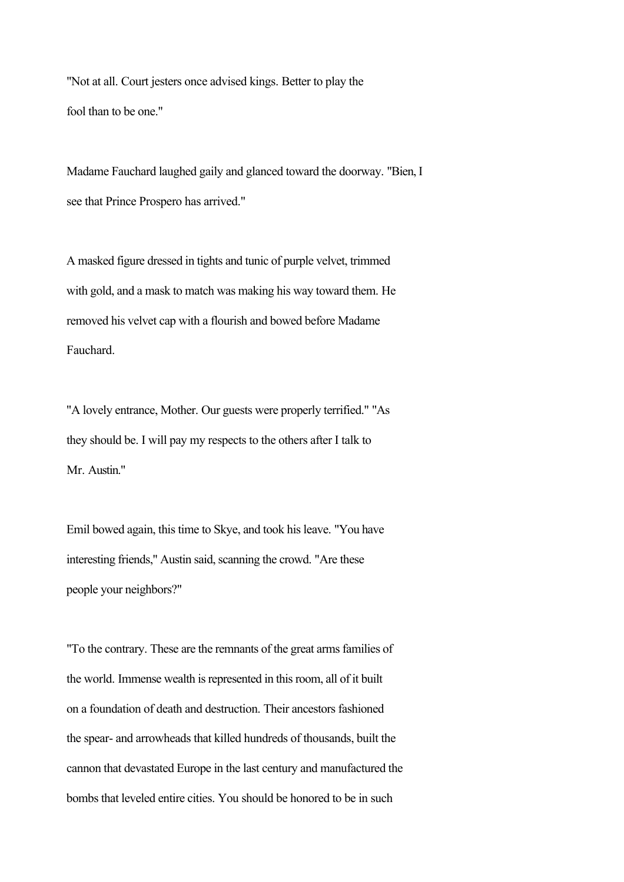"Not at all. Court jesters once advised kings. Better to play the fool than to be one."

 Madame Fauchard laughed gaily and glanced toward the doorway. "Bien, I see that Prince Prospero has arrived."

 A masked figure dressed in tights and tunic of purple velvet, trimmed with gold, and a mask to match was making his way toward them. He removed his velvet cap with a flourish and bowed before Madame Fauchard.

 "A lovely entrance, Mother. Our guests were properly terrified." "As they should be. I will pay my respects to the others after I talk to Mr. Austin."

 Emil bowed again, this time to Skye, and took his leave. "You have interesting friends," Austin said, scanning the crowd. "Are these people your neighbors?"

 "To the contrary. These are the remnants of the great arms families of the world. Immense wealth is represented in this room, all of it built on a foundation of death and destruction. Their ancestors fashioned the spear- and arrowheads that killed hundreds of thousands, built the cannon that devastated Europe in the last century and manufactured the bombs that leveled entire cities. You should be honored to be in such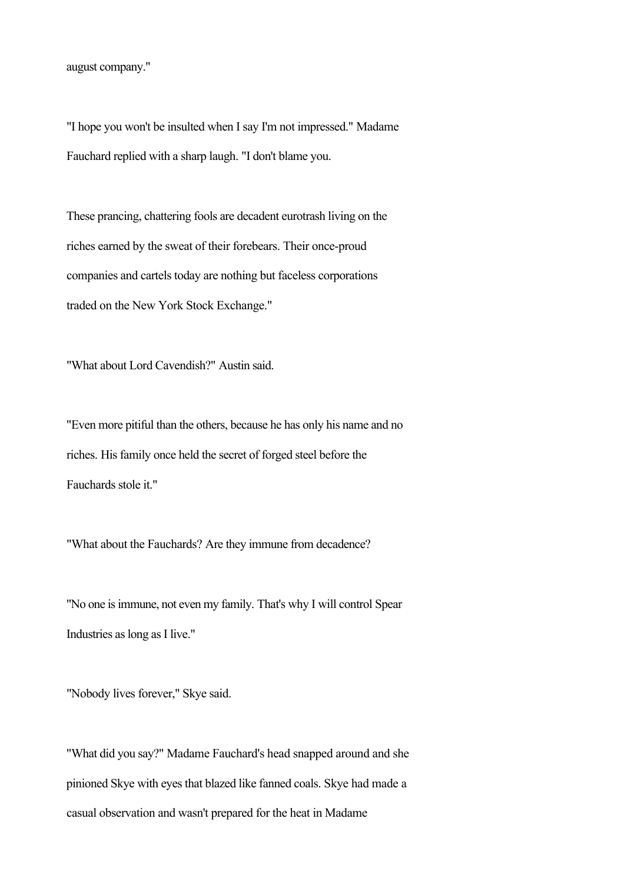august company."

 "I hope you won't be insulted when I say I'm not impressed." Madame Fauchard replied with a sharp laugh. "I don't blame you.

 These prancing, chattering fools are decadent eurotrash living on the riches earned by the sweat of their forebears. Their once-proud companies and cartels today are nothing but faceless corporations traded on the New York Stock Exchange."

"What about Lord Cavendish?" Austin said.

 "Even more pitiful than the others, because he has only his name and no riches. His family once held the secret of forged steel before the Fauchards stole it."

"What about the Fauchards? Are they immune from decadence?

 "No one is immune, not even my family. That's why I will control Spear Industries as long as I live."

"Nobody lives forever," Skye said.

 "What did you say?" Madame Fauchard's head snapped around and she pinioned Skye with eyes that blazed like fanned coals. Skye had made a casual observation and wasn't prepared for the heat in Madame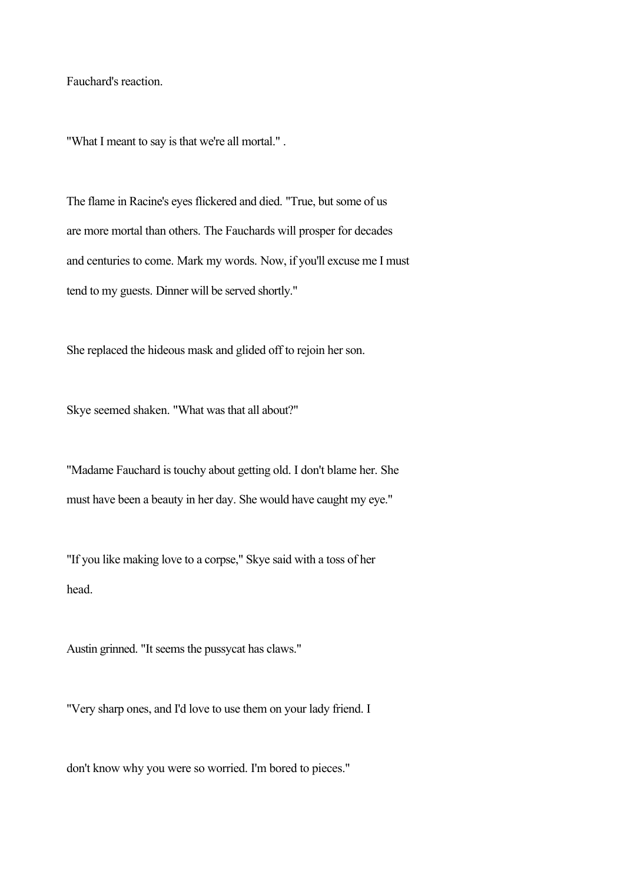Fauchard's reaction.

"What I meant to say is that we're all mortal." .

 The flame in Racine's eyes flickered and died. "True, but some of us are more mortal than others. The Fauchards will prosper for decades and centuries to come. Mark my words. Now, if you'll excuse me I must tend to my guests. Dinner will be served shortly."

She replaced the hideous mask and glided off to rejoin her son.

Skye seemed shaken. "What was that all about?"

 "Madame Fauchard is touchy about getting old. I don't blame her. She must have been a beauty in her day. She would have caught my eye."

 "If you like making love to a corpse," Skye said with a toss of her head.

Austin grinned. "It seems the pussycat has claws."

"Very sharp ones, and I'd love to use them on your lady friend. I

don't know why you were so worried. I'm bored to pieces."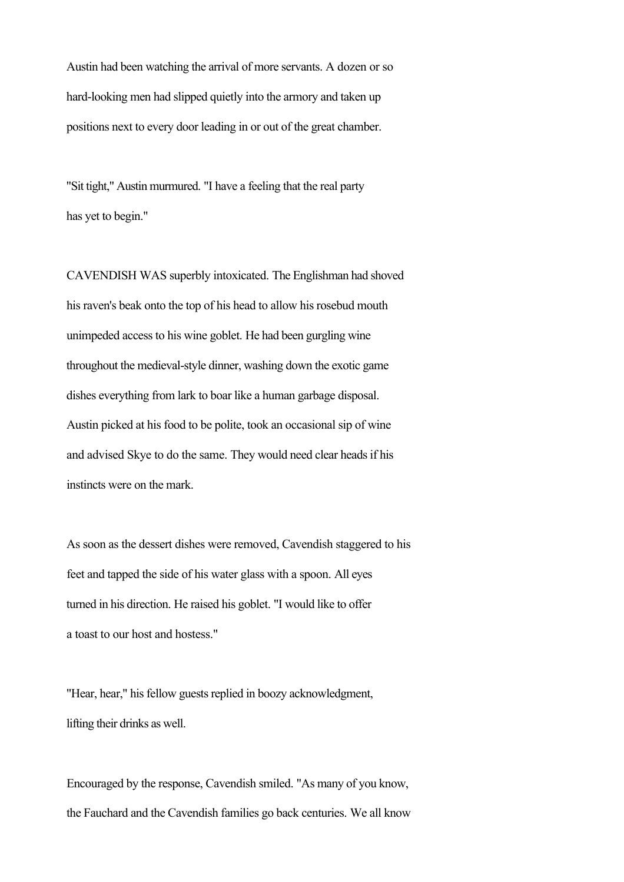Austin had been watching the arrival of more servants. A dozen or so hard-looking men had slipped quietly into the armory and taken up positions next to every door leading in or out of the great chamber.

 "Sit tight," Austin murmured. "I have a feeling that the real party has yet to begin."

 CAVENDISH WAS superbly intoxicated. The Englishman had shoved his raven's beak onto the top of his head to allow his rosebud mouth unimpeded access to his wine goblet. He had been gurgling wine throughout the medieval-style dinner, washing down the exotic game dishes everything from lark to boar like a human garbage disposal. Austin picked at his food to be polite, took an occasional sip of wine and advised Skye to do the same. They would need clear heads if his instincts were on the mark.

 As soon as the dessert dishes were removed, Cavendish staggered to his feet and tapped the side of his water glass with a spoon. All eyes turned in his direction. He raised his goblet. "I would like to offer a toast to our host and hostess."

 "Hear, hear," his fellow guests replied in boozy acknowledgment, lifting their drinks as well.

 Encouraged by the response, Cavendish smiled. "As many of you know, the Fauchard and the Cavendish families go back centuries. We all know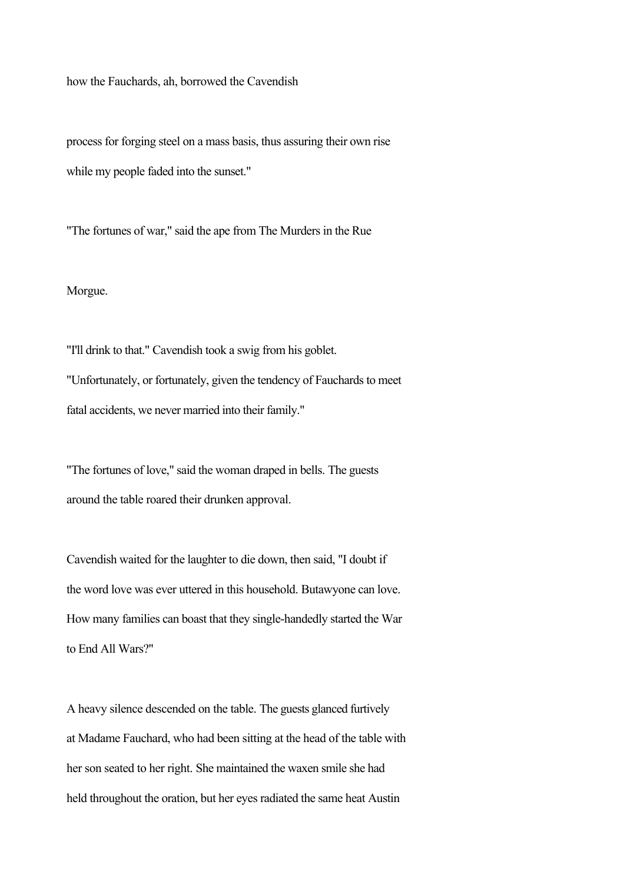how the Fauchards, ah, borrowed the Cavendish

 process for forging steel on a mass basis, thus assuring their own rise while my people faded into the sunset."

"The fortunes of war," said the ape from The Murders in the Rue

## Morgue.

 "I'll drink to that." Cavendish took a swig from his goblet. "Unfortunately, or fortunately, given the tendency of Fauchards to meet fatal accidents, we never married into their family."

 "The fortunes of love," said the woman draped in bells. The guests around the table roared their drunken approval.

 Cavendish waited for the laughter to die down, then said, "I doubt if the word love was ever uttered in this household. Butawyone can love. How many families can boast that they single-handedly started the War to End All Wars?"

 A heavy silence descended on the table. The guests glanced furtively at Madame Fauchard, who had been sitting at the head of the table with her son seated to her right. She maintained the waxen smile she had held throughout the oration, but her eyes radiated the same heat Austin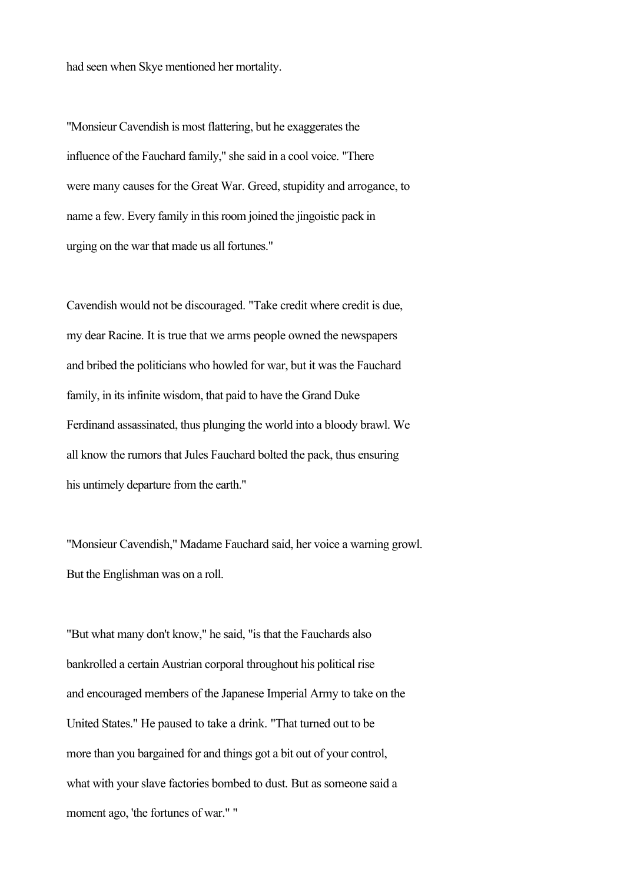had seen when Skye mentioned her mortality.

 "Monsieur Cavendish is most flattering, but he exaggerates the influence of the Fauchard family," she said in a cool voice. "There were many causes for the Great War. Greed, stupidity and arrogance, to name a few. Every family in this room joined the jingoistic pack in urging on the war that made us all fortunes."

 Cavendish would not be discouraged. "Take credit where credit is due, my dear Racine. It is true that we arms people owned the newspapers and bribed the politicians who howled for war, but it was the Fauchard family, in its infinite wisdom, that paid to have the Grand Duke Ferdinand assassinated, thus plunging the world into a bloody brawl. We all know the rumors that Jules Fauchard bolted the pack, thus ensuring his untimely departure from the earth."

 "Monsieur Cavendish," Madame Fauchard said, her voice a warning growl. But the Englishman was on a roll.

 "But what many don't know," he said, "is that the Fauchards also bankrolled a certain Austrian corporal throughout his political rise and encouraged members of the Japanese Imperial Army to take on the United States." He paused to take a drink. "That turned out to be more than you bargained for and things got a bit out of your control, what with your slave factories bombed to dust. But as someone said a moment ago, 'the fortunes of war." "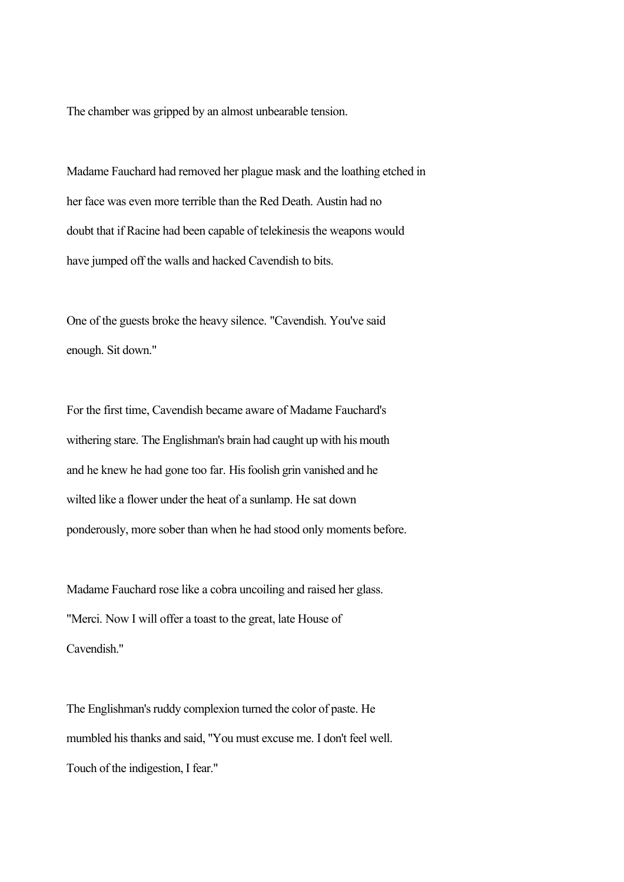The chamber was gripped by an almost unbearable tension.

 Madame Fauchard had removed her plague mask and the loathing etched in her face was even more terrible than the Red Death. Austin had no doubt that if Racine had been capable of telekinesis the weapons would have jumped off the walls and hacked Cavendish to bits.

 One of the guests broke the heavy silence. "Cavendish. You've said enough. Sit down."

 For the first time, Cavendish became aware of Madame Fauchard's withering stare. The Englishman's brain had caught up with his mouth and he knew he had gone too far. His foolish grin vanished and he wilted like a flower under the heat of a sunlamp. He sat down ponderously, more sober than when he had stood only moments before.

 Madame Fauchard rose like a cobra uncoiling and raised her glass. "Merci. Now I will offer a toast to the great, late House of Cavendish."

 The Englishman's ruddy complexion turned the color of paste. He mumbled his thanks and said, "You must excuse me. I don't feel well. Touch of the indigestion, I fear."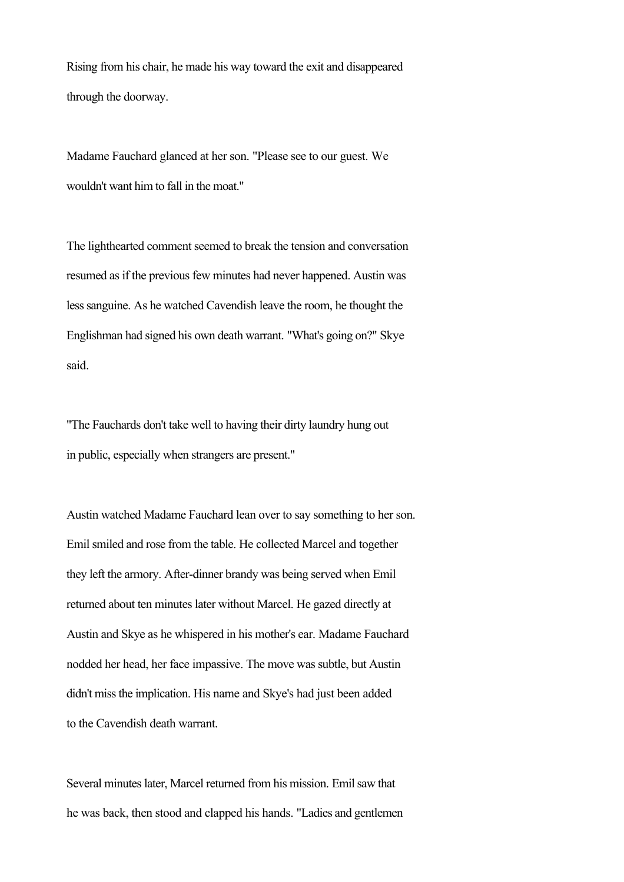Rising from his chair, he made his way toward the exit and disappeared through the doorway.

 Madame Fauchard glanced at her son. "Please see to our guest. We wouldn't want him to fall in the moat."

 The lighthearted comment seemed to break the tension and conversation resumed as if the previous few minutes had never happened. Austin was less sanguine. As he watched Cavendish leave the room, he thought the Englishman had signed his own death warrant. "What's going on?" Skye said.

 "The Fauchards don't take well to having their dirty laundry hung out in public, especially when strangers are present."

 Austin watched Madame Fauchard lean over to say something to her son. Emil smiled and rose from the table. He collected Marcel and together they left the armory. After-dinner brandy was being served when Emil returned about ten minutes later without Marcel. He gazed directly at Austin and Skye as he whispered in his mother's ear. Madame Fauchard nodded her head, her face impassive. The move was subtle, but Austin didn't miss the implication. His name and Skye's had just been added to the Cavendish death warrant.

 Several minutes later, Marcel returned from his mission. Emil saw that he was back, then stood and clapped his hands. "Ladies and gentlemen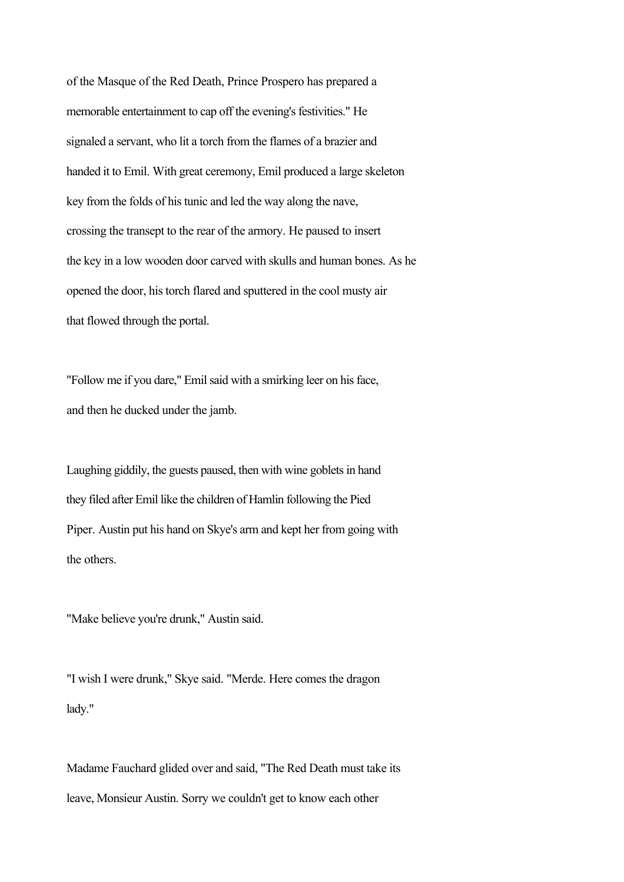of the Masque of the Red Death, Prince Prospero has prepared a memorable entertainment to cap off the evening's festivities." He signaled a servant, who lit a torch from the flames of a brazier and handed it to Emil. With great ceremony, Emil produced a large skeleton key from the folds of his tunic and led the way along the nave, crossing the transept to the rear of the armory. He paused to insert the key in a low wooden door carved with skulls and human bones. As he opened the door, his torch flared and sputtered in the cool musty air that flowed through the portal.

 "Follow me if you dare," Emil said with a smirking leer on his face, and then he ducked under the jamb.

 Laughing giddily, the guests paused, then with wine goblets in hand they filed after Emil like the children of Hamlin following the Pied Piper. Austin put his hand on Skye's arm and kept her from going with the others.

"Make believe you're drunk," Austin said.

 "I wish I were drunk," Skye said. "Merde. Here comes the dragon lady."

 Madame Fauchard glided over and said, "The Red Death must take its leave, Monsieur Austin. Sorry we couldn't get to know each other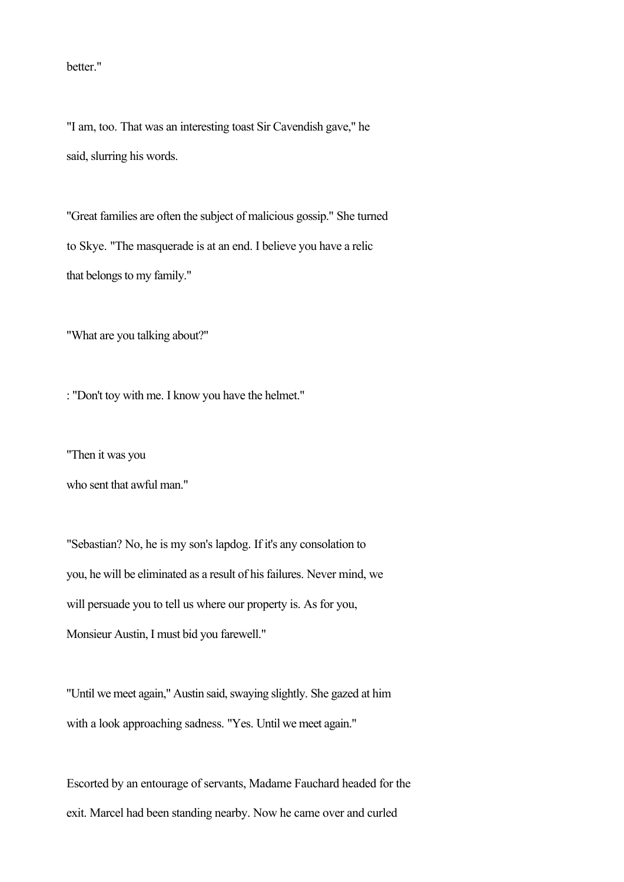## better."

 "I am, too. That was an interesting toast Sir Cavendish gave," he said, slurring his words.

 "Great families are often the subject of malicious gossip." She turned to Skye. "The masquerade is at an end. I believe you have a relic that belongs to my family."

"What are you talking about?"

: "Don't toy with me. I know you have the helmet."

"Then it was you

who sent that awful man."

 "Sebastian? No, he is my son's lapdog. If it's any consolation to you, he will be eliminated as a result of his failures. Never mind, we will persuade you to tell us where our property is. As for you, Monsieur Austin, I must bid you farewell."

 "Until we meet again," Austin said, swaying slightly. She gazed at him with a look approaching sadness. "Yes. Until we meet again."

 Escorted by an entourage of servants, Madame Fauchard headed for the exit. Marcel had been standing nearby. Now he came over and curled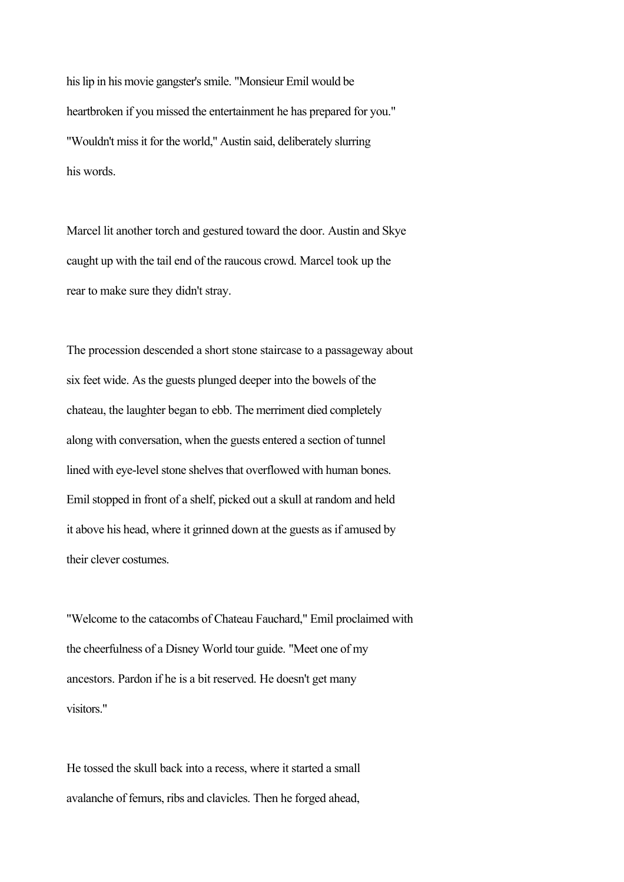his lip in his movie gangster's smile. "Monsieur Emil would be heartbroken if you missed the entertainment he has prepared for you." "Wouldn't miss it for the world," Austin said, deliberately slurring his words.

 Marcel lit another torch and gestured toward the door. Austin and Skye caught up with the tail end of the raucous crowd. Marcel took up the rear to make sure they didn't stray.

 The procession descended a short stone staircase to a passageway about six feet wide. As the guests plunged deeper into the bowels of the chateau, the laughter began to ebb. The merriment died completely along with conversation, when the guests entered a section of tunnel lined with eye-level stone shelves that overflowed with human bones. Emil stopped in front of a shelf, picked out a skull at random and held it above his head, where it grinned down at the guests as if amused by their clever costumes.

 "Welcome to the catacombs of Chateau Fauchard," Emil proclaimed with the cheerfulness of a Disney World tour guide. "Meet one of my ancestors. Pardon if he is a bit reserved. He doesn't get many visitors."

 He tossed the skull back into a recess, where it started a small avalanche of femurs, ribs and clavicles. Then he forged ahead,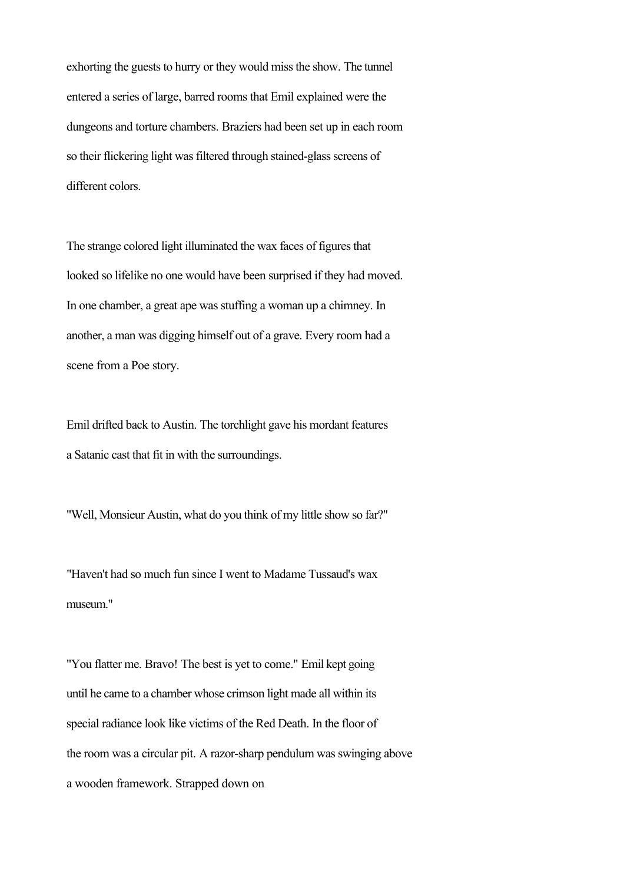exhorting the guests to hurry or they would miss the show. The tunnel entered a series of large, barred rooms that Emil explained were the dungeons and torture chambers. Braziers had been set up in each room so their flickering light was filtered through stained-glass screens of different colors.

 The strange colored light illuminated the wax faces of figures that looked so lifelike no one would have been surprised if they had moved. In one chamber, a great ape was stuffing a woman up a chimney. In another, a man was digging himself out of a grave. Every room had a scene from a Poe story.

 Emil drifted back to Austin. The torchlight gave his mordant features a Satanic cast that fit in with the surroundings.

"Well, Monsieur Austin, what do you think of my little show so far?"

 "Haven't had so much fun since I went to Madame Tussaud's wax museum."

 "You flatter me. Bravo! The best is yet to come." Emil kept going until he came to a chamber whose crimson light made all within its special radiance look like victims of the Red Death. In the floor of the room was a circular pit. A razor-sharp pendulum was swinging above a wooden framework. Strapped down on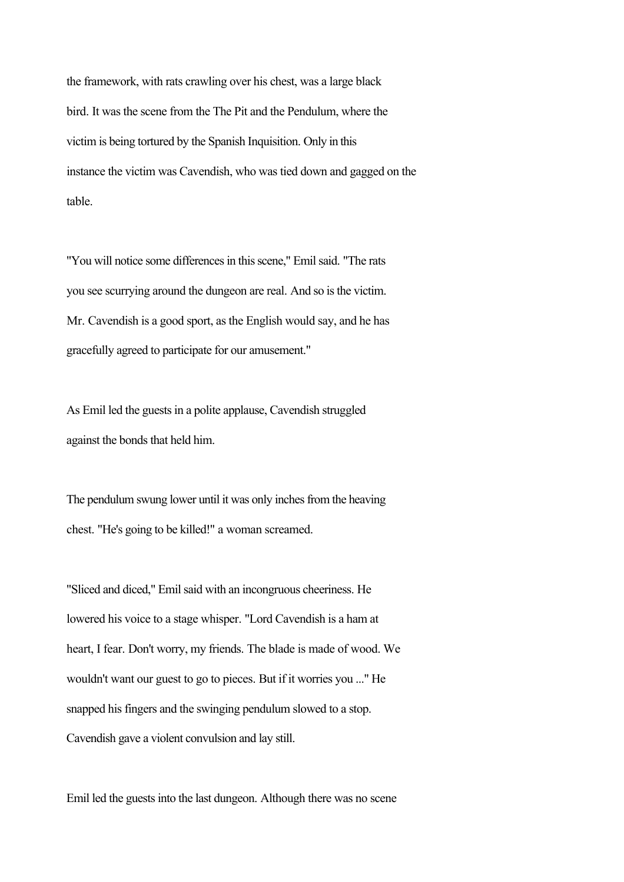the framework, with rats crawling over his chest, was a large black bird. It was the scene from the The Pit and the Pendulum, where the victim is being tortured by the Spanish Inquisition. Only in this instance the victim was Cavendish, who was tied down and gagged on the table.

 "You will notice some differences in this scene," Emil said. "The rats you see scurrying around the dungeon are real. And so is the victim. Mr. Cavendish is a good sport, as the English would say, and he has gracefully agreed to participate for our amusement."

 As Emil led the guests in a polite applause, Cavendish struggled against the bonds that held him.

 The pendulum swung lower until it was only inches from the heaving chest. "He's going to be killed!" a woman screamed.

 "Sliced and diced," Emil said with an incongruous cheeriness. He lowered his voice to a stage whisper. "Lord Cavendish is a ham at heart, I fear. Don't worry, my friends. The blade is made of wood. We wouldn't want our guest to go to pieces. But if it worries you ..." He snapped his fingers and the swinging pendulum slowed to a stop. Cavendish gave a violent convulsion and lay still.

Emil led the guests into the last dungeon. Although there was no scene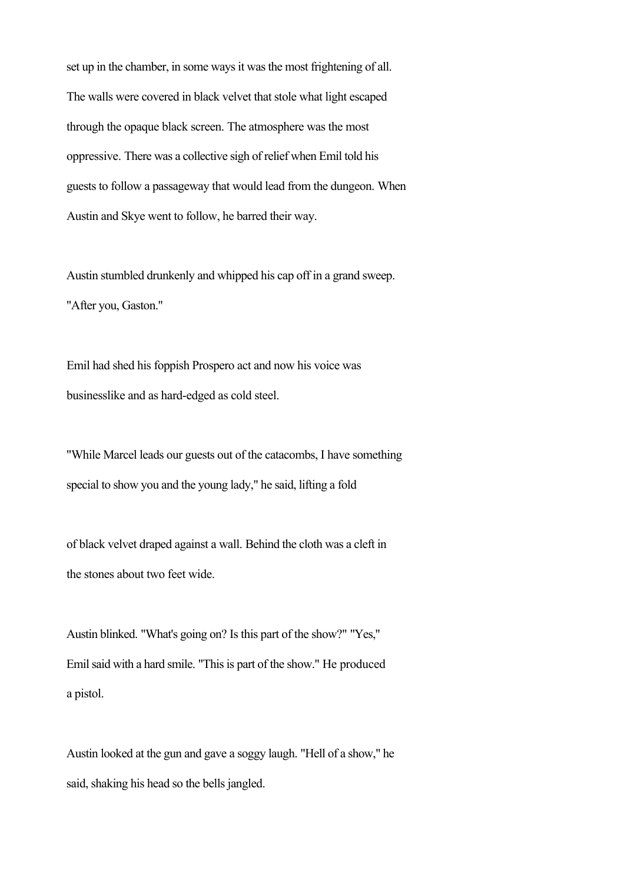set up in the chamber, in some ways it was the most frightening of all. The walls were covered in black velvet that stole what light escaped through the opaque black screen. The atmosphere was the most oppressive. There was a collective sigh of relief when Emil told his guests to follow a passageway that would lead from the dungeon. When Austin and Skye went to follow, he barred their way.

 Austin stumbled drunkenly and whipped his cap off in a grand sweep. "After you, Gaston."

 Emil had shed his foppish Prospero act and now his voice was businesslike and as hard-edged as cold steel.

 "While Marcel leads our guests out of the catacombs, I have something special to show you and the young lady," he said, lifting a fold

 of black velvet draped against a wall. Behind the cloth was a cleft in the stones about two feet wide.

 Austin blinked. "What's going on? Is this part of the show?" "Yes," Emil said with a hard smile. "This is part of the show." He produced a pistol.

 Austin looked at the gun and gave a soggy laugh. "Hell of a show," he said, shaking his head so the bells jangled.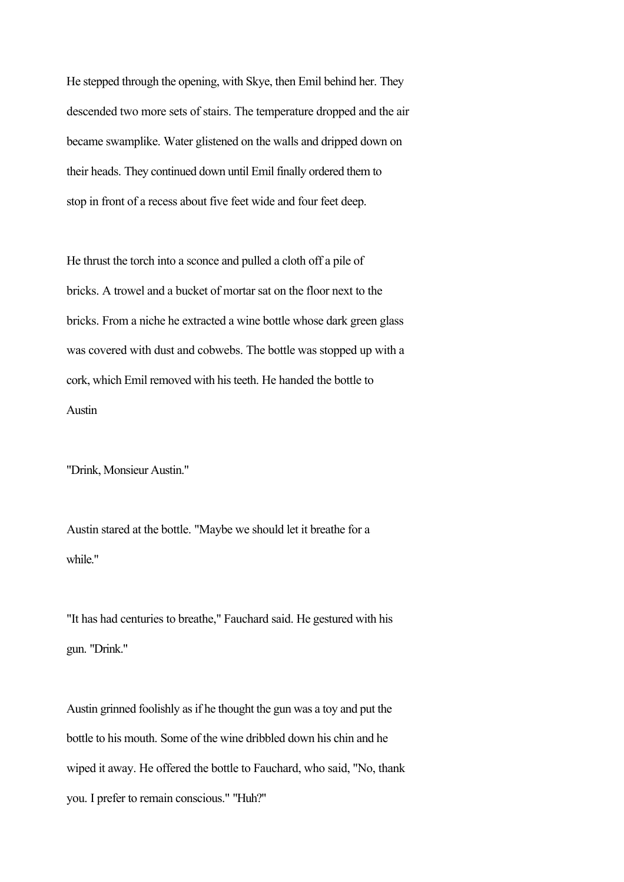He stepped through the opening, with Skye, then Emil behind her. They descended two more sets of stairs. The temperature dropped and the air became swamplike. Water glistened on the walls and dripped down on their heads. They continued down until Emil finally ordered them to stop in front of a recess about five feet wide and four feet deep.

 He thrust the torch into a sconce and pulled a cloth off a pile of bricks. A trowel and a bucket of mortar sat on the floor next to the bricks. From a niche he extracted a wine bottle whose dark green glass was covered with dust and cobwebs. The bottle was stopped up with a cork, which Emil removed with his teeth. He handed the bottle to Austin

"Drink, Monsieur Austin."

 Austin stared at the bottle. "Maybe we should let it breathe for a while."

 "It has had centuries to breathe," Fauchard said. He gestured with his gun. "Drink."

 Austin grinned foolishly as if he thought the gun was a toy and put the bottle to his mouth. Some of the wine dribbled down his chin and he wiped it away. He offered the bottle to Fauchard, who said, "No, thank you. I prefer to remain conscious." "Huh?"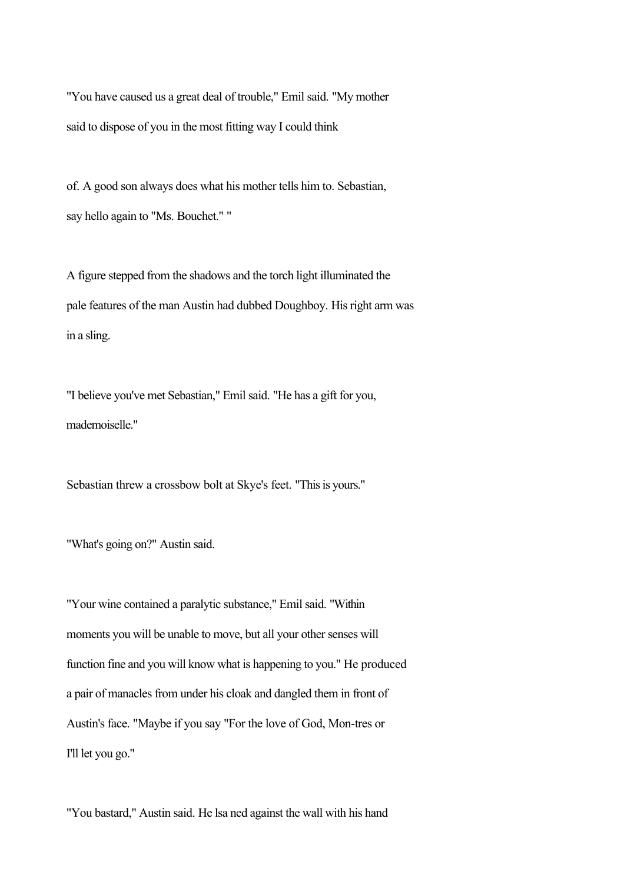"You have caused us a great deal of trouble," Emil said. "My mother said to dispose of you in the most fitting way I could think

 of. A good son always does what his mother tells him to. Sebastian, say hello again to "Ms. Bouchet." "

 A figure stepped from the shadows and the torch light illuminated the pale features of the man Austin had dubbed Doughboy. His right arm was in a sling.

 "I believe you've met Sebastian," Emil said. "He has a gift for you, mademoiselle."

Sebastian threw a crossbow bolt at Skye's feet. "This is yours."

"What's going on?" Austin said.

 "Your wine contained a paralytic substance," Emil said. "Within moments you will be unable to move, but all your other senses will function fine and you will know what is happening to you." He produced a pair of manacles from under his cloak and dangled them in front of Austin's face. "Maybe if you say "For the love of God, Mon-tres or I'll let you go."

"You bastard," Austin said. He lsa ned against the wall with his hand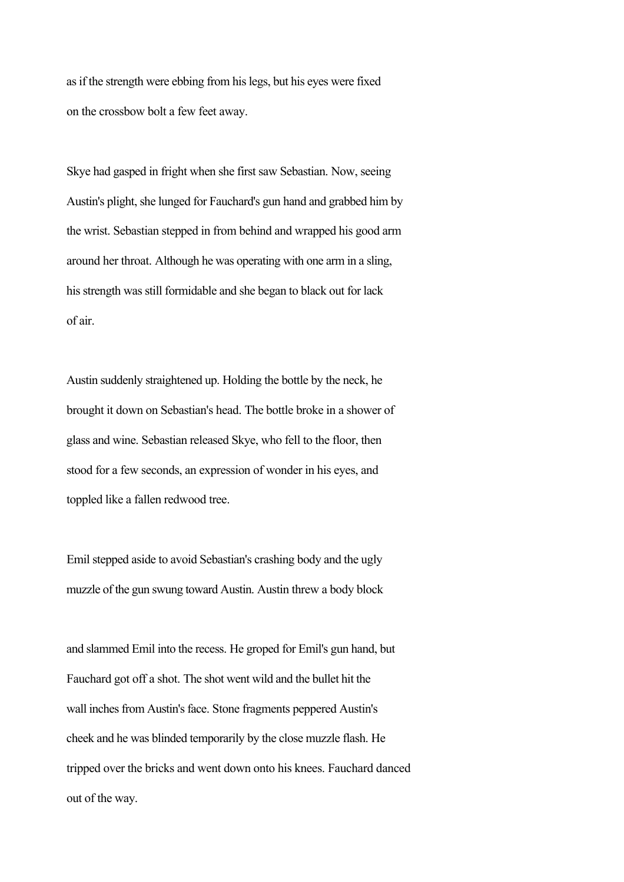as if the strength were ebbing from his legs, but his eyes were fixed on the crossbow bolt a few feet away.

 Skye had gasped in fright when she first saw Sebastian. Now, seeing Austin's plight, she lunged for Fauchard's gun hand and grabbed him by the wrist. Sebastian stepped in from behind and wrapped his good arm around her throat. Although he was operating with one arm in a sling, his strength was still formidable and she began to black out for lack of air.

 Austin suddenly straightened up. Holding the bottle by the neck, he brought it down on Sebastian's head. The bottle broke in a shower of glass and wine. Sebastian released Skye, who fell to the floor, then stood for a few seconds, an expression of wonder in his eyes, and toppled like a fallen redwood tree.

 Emil stepped aside to avoid Sebastian's crashing body and the ugly muzzle of the gun swung toward Austin. Austin threw a body block

 and slammed Emil into the recess. He groped for Emil's gun hand, but Fauchard got off a shot. The shot went wild and the bullet hit the wall inches from Austin's face. Stone fragments peppered Austin's cheek and he was blinded temporarily by the close muzzle flash. He tripped over the bricks and went down onto his knees. Fauchard danced out of the way.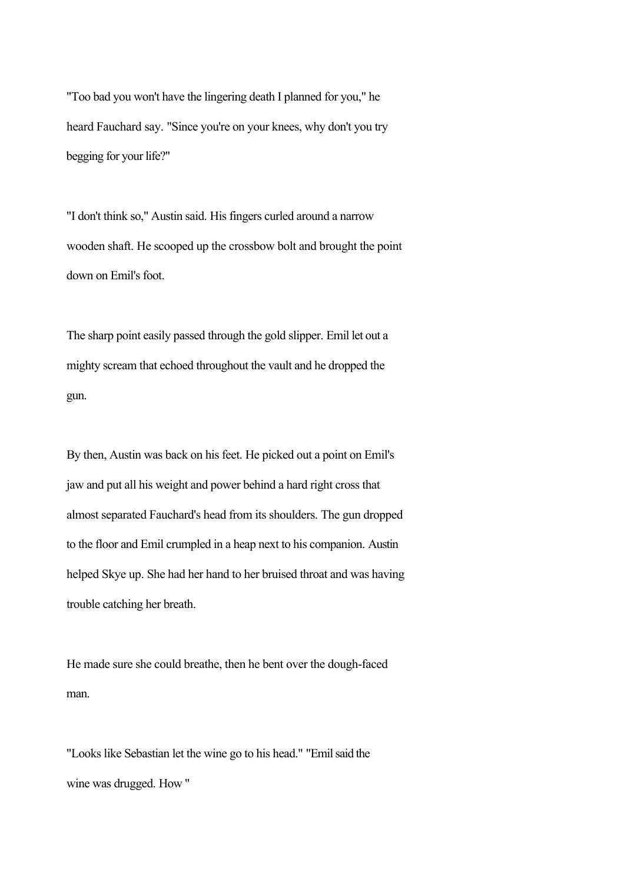"Too bad you won't have the lingering death I planned for you," he heard Fauchard say. "Since you're on your knees, why don't you try begging for your life?"

 "I don't think so," Austin said. His fingers curled around a narrow wooden shaft. He scooped up the crossbow bolt and brought the point down on Emil's foot.

 The sharp point easily passed through the gold slipper. Emil let out a mighty scream that echoed throughout the vault and he dropped the gun.

 By then, Austin was back on his feet. He picked out a point on Emil's jaw and put all his weight and power behind a hard right cross that almost separated Fauchard's head from its shoulders. The gun dropped to the floor and Emil crumpled in a heap next to his companion. Austin helped Skye up. She had her hand to her bruised throat and was having trouble catching her breath.

 He made sure she could breathe, then he bent over the dough-faced man.

 "Looks like Sebastian let the wine go to his head." "Emil said the wine was drugged. How "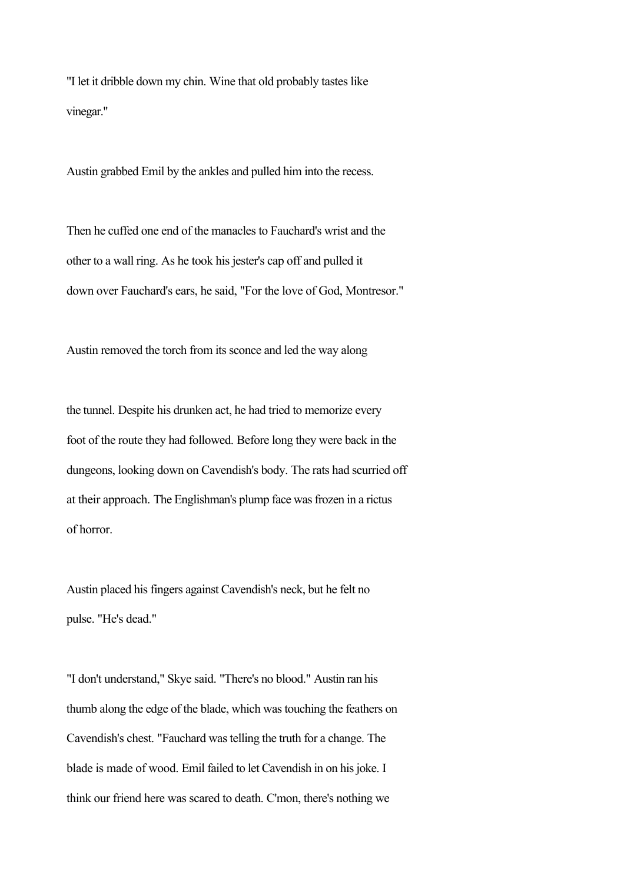"I let it dribble down my chin. Wine that old probably tastes like vinegar."

Austin grabbed Emil by the ankles and pulled him into the recess.

 Then he cuffed one end of the manacles to Fauchard's wrist and the other to a wall ring. As he took his jester's cap off and pulled it down over Fauchard's ears, he said, "For the love of God, Montresor."

Austin removed the torch from its sconce and led the way along

 the tunnel. Despite his drunken act, he had tried to memorize every foot of the route they had followed. Before long they were back in the dungeons, looking down on Cavendish's body. The rats had scurried off at their approach. The Englishman's plump face was frozen in a rictus of horror.

 Austin placed his fingers against Cavendish's neck, but he felt no pulse. "He's dead."

 "I don't understand," Skye said. "There's no blood." Austin ran his thumb along the edge of the blade, which was touching the feathers on Cavendish's chest. "Fauchard was telling the truth for a change. The blade is made of wood. Emil failed to let Cavendish in on his joke. I think our friend here was scared to death. C'mon, there's nothing we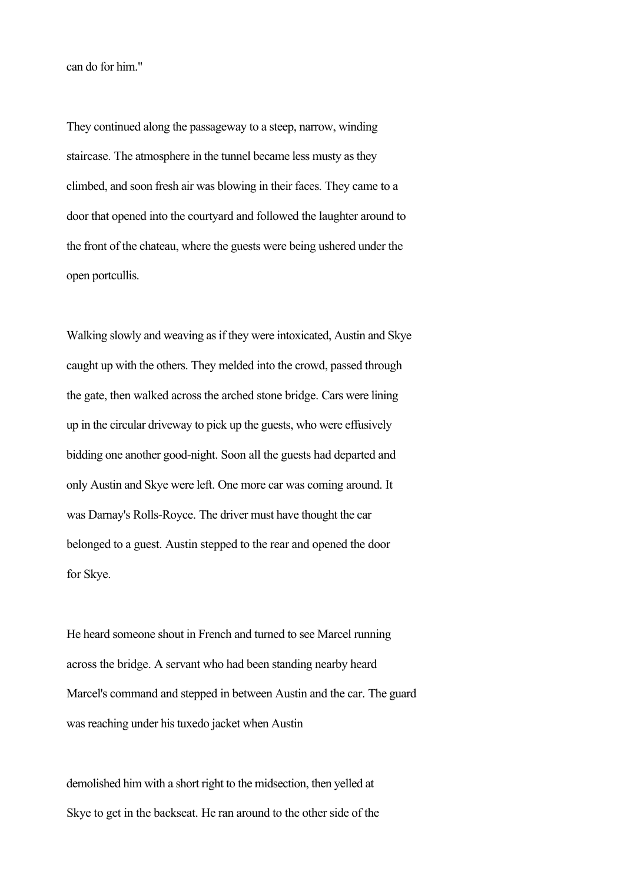can do for him."

 They continued along the passageway to a steep, narrow, winding staircase. The atmosphere in the tunnel became less musty as they climbed, and soon fresh air was blowing in their faces. They came to a door that opened into the courtyard and followed the laughter around to the front of the chateau, where the guests were being ushered under the open portcullis.

 Walking slowly and weaving as if they were intoxicated, Austin and Skye caught up with the others. They melded into the crowd, passed through the gate, then walked across the arched stone bridge. Cars were lining up in the circular driveway to pick up the guests, who were effusively bidding one another good-night. Soon all the guests had departed and only Austin and Skye were left. One more car was coming around. It was Darnay's Rolls-Royce. The driver must have thought the car belonged to a guest. Austin stepped to the rear and opened the door for Skye.

 He heard someone shout in French and turned to see Marcel running across the bridge. A servant who had been standing nearby heard Marcel's command and stepped in between Austin and the car. The guard was reaching under his tuxedo jacket when Austin

 demolished him with a short right to the midsection, then yelled at Skye to get in the backseat. He ran around to the other side of the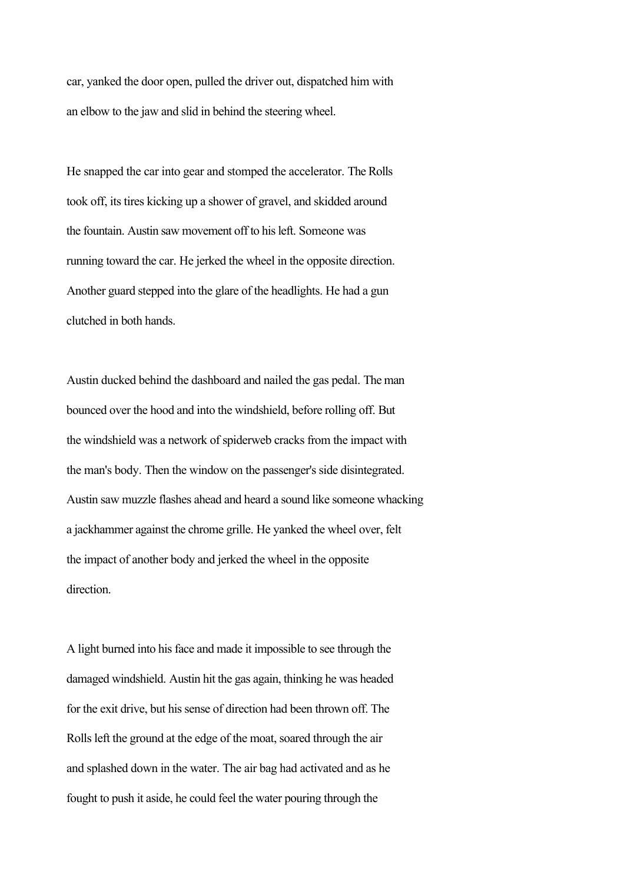car, yanked the door open, pulled the driver out, dispatched him with an elbow to the jaw and slid in behind the steering wheel.

 He snapped the car into gear and stomped the accelerator. The Rolls took off, its tires kicking up a shower of gravel, and skidded around the fountain. Austin saw movement off to his left. Someone was running toward the car. He jerked the wheel in the opposite direction. Another guard stepped into the glare of the headlights. He had a gun clutched in both hands.

 Austin ducked behind the dashboard and nailed the gas pedal. The man bounced over the hood and into the windshield, before rolling off. But the windshield was a network of spiderweb cracks from the impact with the man's body. Then the window on the passenger's side disintegrated. Austin saw muzzle flashes ahead and heard a sound like someone whacking a jackhammer against the chrome grille. He yanked the wheel over, felt the impact of another body and jerked the wheel in the opposite direction.

 A light burned into his face and made it impossible to see through the damaged windshield. Austin hit the gas again, thinking he was headed for the exit drive, but his sense of direction had been thrown off. The Rolls left the ground at the edge of the moat, soared through the air and splashed down in the water. The air bag had activated and as he fought to push it aside, he could feel the water pouring through the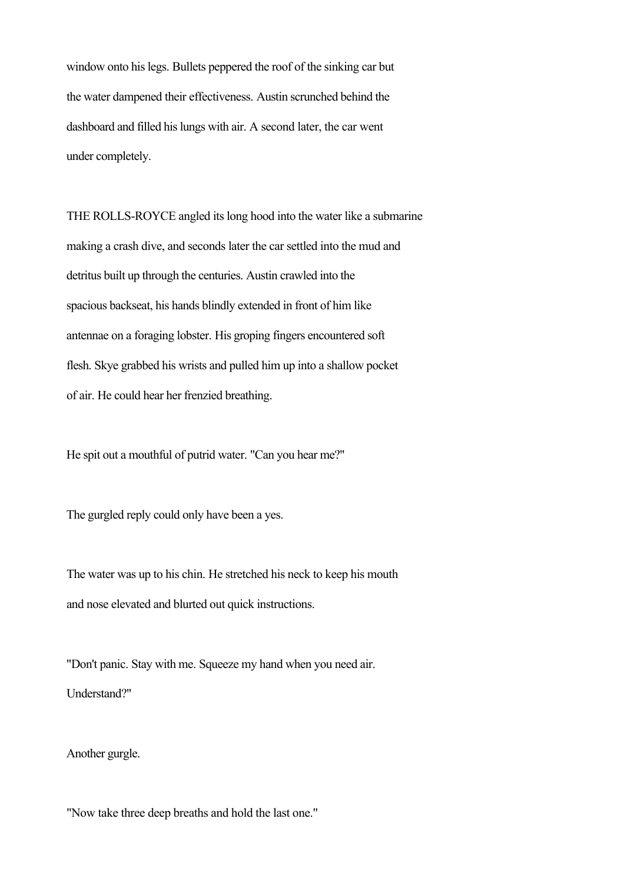window onto his legs. Bullets peppered the roof of the sinking car but the water dampened their effectiveness. Austin scrunched behind the dashboard and filled his lungs with air. A second later, the car went under completely.

 THE ROLLS-ROYCE angled its long hood into the water like a submarine making a crash dive, and seconds later the car settled into the mud and detritus built up through the centuries. Austin crawled into the spacious backseat, his hands blindly extended in front of him like antennae on a foraging lobster. His groping fingers encountered soft flesh. Skye grabbed his wrists and pulled him up into a shallow pocket of air. He could hear her frenzied breathing.

He spit out a mouthful of putrid water. "Can you hear me?"

The gurgled reply could only have been a yes.

 The water was up to his chin. He stretched his neck to keep his mouth and nose elevated and blurted out quick instructions.

 "Don't panic. Stay with me. Squeeze my hand when you need air. Understand?"

Another gurgle.

"Now take three deep breaths and hold the last one."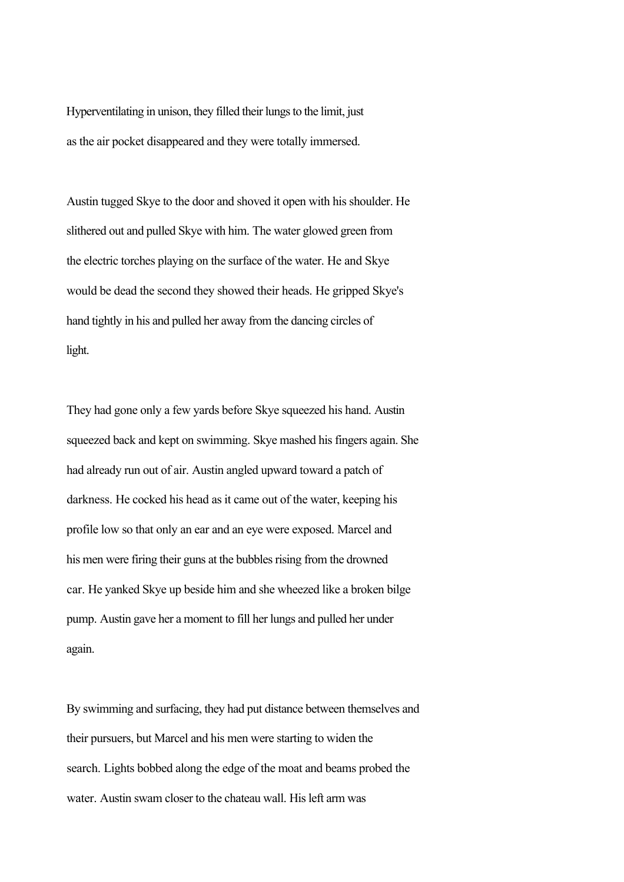Hyperventilating in unison, they filled their lungs to the limit, just as the air pocket disappeared and they were totally immersed.

 Austin tugged Skye to the door and shoved it open with his shoulder. He slithered out and pulled Skye with him. The water glowed green from the electric torches playing on the surface of the water. He and Skye would be dead the second they showed their heads. He gripped Skye's hand tightly in his and pulled her away from the dancing circles of light.

 They had gone only a few yards before Skye squeezed his hand. Austin squeezed back and kept on swimming. Skye mashed his fingers again. She had already run out of air. Austin angled upward toward a patch of darkness. He cocked his head as it came out of the water, keeping his profile low so that only an ear and an eye were exposed. Marcel and his men were firing their guns at the bubbles rising from the drowned car. He yanked Skye up beside him and she wheezed like a broken bilge pump. Austin gave her a moment to fill her lungs and pulled her under again.

 By swimming and surfacing, they had put distance between themselves and their pursuers, but Marcel and his men were starting to widen the search. Lights bobbed along the edge of the moat and beams probed the water. Austin swam closer to the chateau wall. His left arm was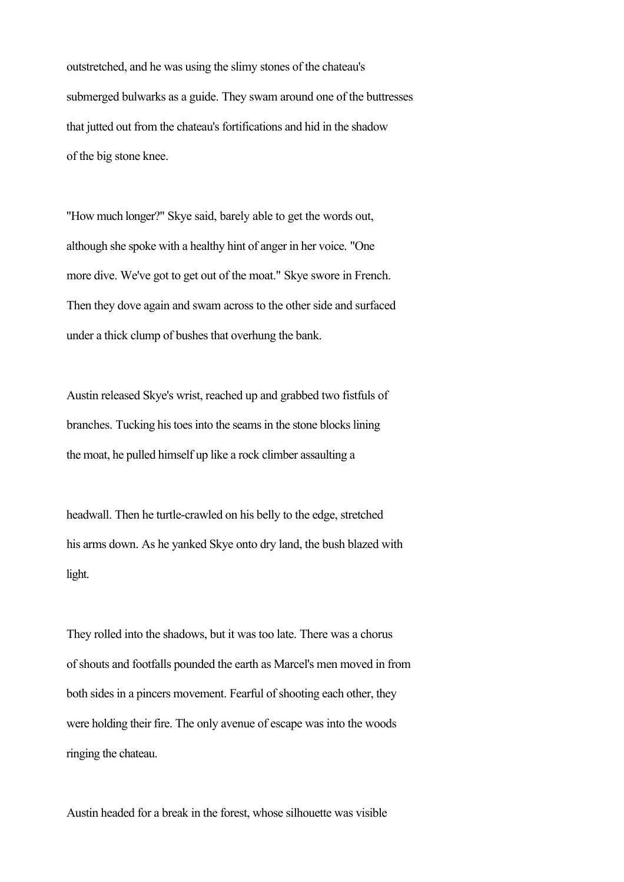outstretched, and he was using the slimy stones of the chateau's submerged bulwarks as a guide. They swam around one of the buttresses that jutted out from the chateau's fortifications and hid in the shadow of the big stone knee.

 "How much longer?" Skye said, barely able to get the words out, although she spoke with a healthy hint of anger in her voice. "One more dive. We've got to get out of the moat." Skye swore in French. Then they dove again and swam across to the other side and surfaced under a thick clump of bushes that overhung the bank.

 Austin released Skye's wrist, reached up and grabbed two fistfuls of branches. Tucking his toes into the seams in the stone blocks lining the moat, he pulled himself up like a rock climber assaulting a

 headwall. Then he turtle-crawled on his belly to the edge, stretched his arms down. As he yanked Skye onto dry land, the bush blazed with light.

 They rolled into the shadows, but it was too late. There was a chorus of shouts and footfalls pounded the earth as Marcel's men moved in from both sides in a pincers movement. Fearful of shooting each other, they were holding their fire. The only avenue of escape was into the woods ringing the chateau.

Austin headed for a break in the forest, whose silhouette was visible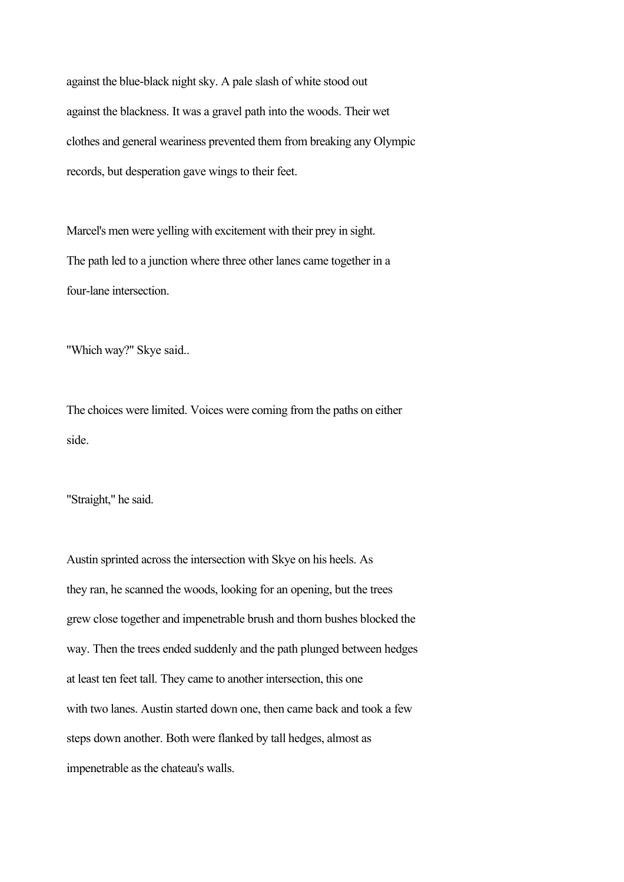against the blue-black night sky. A pale slash of white stood out against the blackness. It was a gravel path into the woods. Their wet clothes and general weariness prevented them from breaking any Olympic records, but desperation gave wings to their feet.

 Marcel's men were yelling with excitement with their prey in sight. The path led to a junction where three other lanes came together in a four-lane intersection.

"Which way?" Skye said..

 The choices were limited. Voices were coming from the paths on either side.

"Straight," he said.

 Austin sprinted across the intersection with Skye on his heels. As they ran, he scanned the woods, looking for an opening, but the trees grew close together and impenetrable brush and thorn bushes blocked the way. Then the trees ended suddenly and the path plunged between hedges at least ten feet tall. They came to another intersection, this one with two lanes. Austin started down one, then came back and took a few steps down another. Both were flanked by tall hedges, almost as impenetrable as the chateau's walls.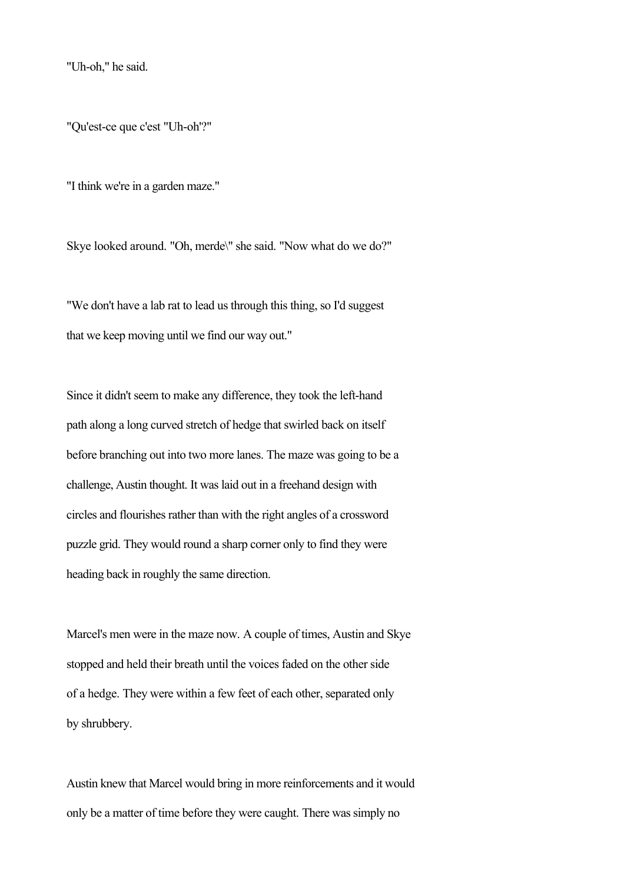"Uh-oh," he said.

"Qu'est-ce que c'est "Uh-oh'?"

"I think we're in a garden maze."

Skye looked around. "Oh, merde\" she said. "Now what do we do?"

 "We don't have a lab rat to lead us through this thing, so I'd suggest that we keep moving until we find our way out."

 Since it didn't seem to make any difference, they took the left-hand path along a long curved stretch of hedge that swirled back on itself before branching out into two more lanes. The maze was going to be a challenge, Austin thought. It was laid out in a freehand design with circles and flourishes rather than with the right angles of a crossword puzzle grid. They would round a sharp corner only to find they were heading back in roughly the same direction.

 Marcel's men were in the maze now. A couple of times, Austin and Skye stopped and held their breath until the voices faded on the other side of a hedge. They were within a few feet of each other, separated only by shrubbery.

 Austin knew that Marcel would bring in more reinforcements and it would only be a matter of time before they were caught. There was simply no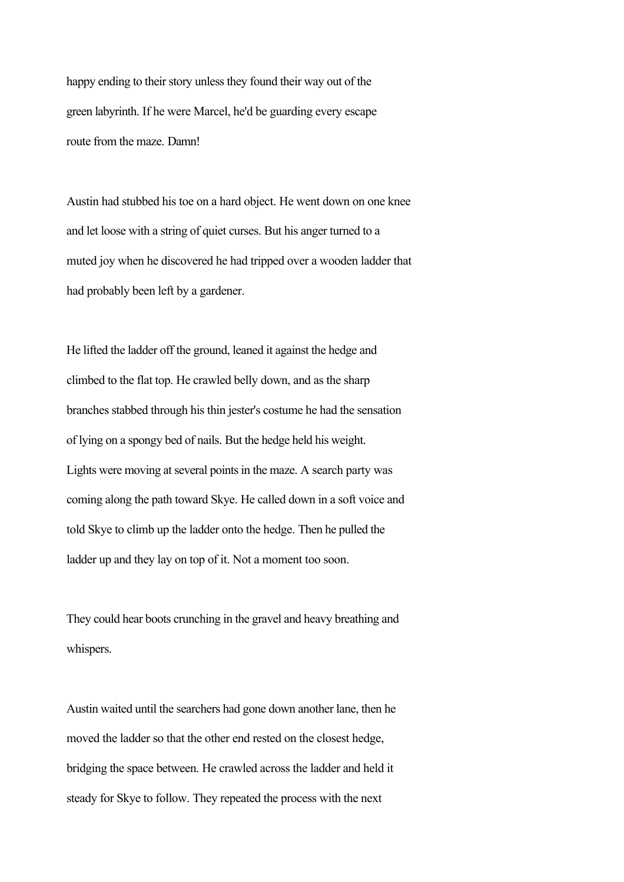happy ending to their story unless they found their way out of the green labyrinth. If he were Marcel, he'd be guarding every escape route from the maze. Damn!

 Austin had stubbed his toe on a hard object. He went down on one knee and let loose with a string of quiet curses. But his anger turned to a muted joy when he discovered he had tripped over a wooden ladder that had probably been left by a gardener.

 He lifted the ladder off the ground, leaned it against the hedge and climbed to the flat top. He crawled belly down, and as the sharp branches stabbed through his thin jester's costume he had the sensation of lying on a spongy bed of nails. But the hedge held his weight. Lights were moving at several points in the maze. A search party was coming along the path toward Skye. He called down in a soft voice and told Skye to climb up the ladder onto the hedge. Then he pulled the ladder up and they lay on top of it. Not a moment too soon.

 They could hear boots crunching in the gravel and heavy breathing and whispers.

 Austin waited until the searchers had gone down another lane, then he moved the ladder so that the other end rested on the closest hedge, bridging the space between. He crawled across the ladder and held it steady for Skye to follow. They repeated the process with the next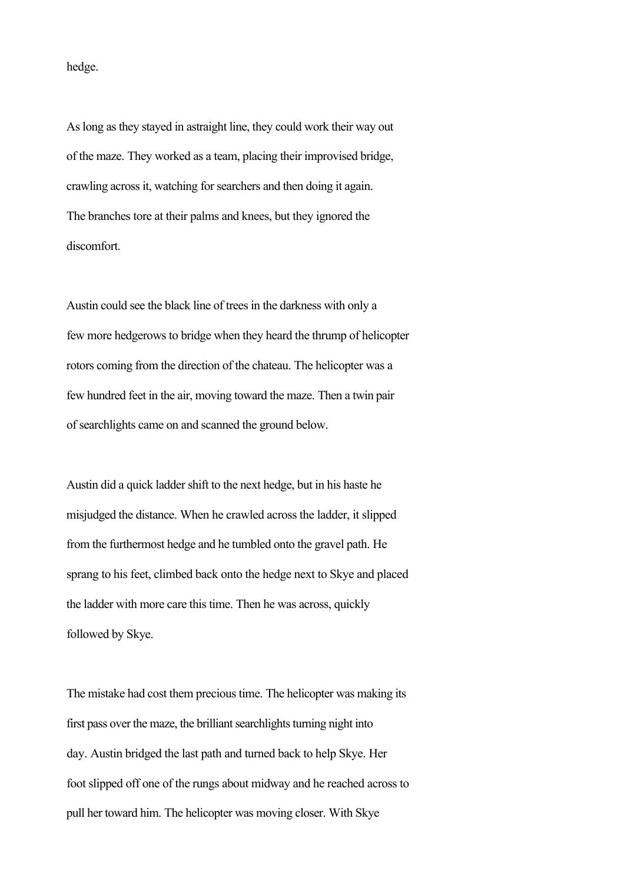hedge.

 As long as they stayed in astraight line, they could work their way out of the maze. They worked as a team, placing their improvised bridge, crawling across it, watching for searchers and then doing it again. The branches tore at their palms and knees, but they ignored the discomfort.

 Austin could see the black line of trees in the darkness with only a few more hedgerows to bridge when they heard the thrump of helicopter rotors coming from the direction of the chateau. The helicopter was a few hundred feet in the air, moving toward the maze. Then a twin pair of searchlights came on and scanned the ground below.

 Austin did a quick ladder shift to the next hedge, but in his haste he misjudged the distance. When he crawled across the ladder, it slipped from the furthermost hedge and he tumbled onto the gravel path. He sprang to his feet, climbed back onto the hedge next to Skye and placed the ladder with more care this time. Then he was across, quickly followed by Skye.

 The mistake had cost them precious time. The helicopter was making its first pass over the maze, the brilliant searchlights turning night into day. Austin bridged the last path and turned back to help Skye. Her foot slipped off one of the rungs about midway and he reached across to pull her toward him. The helicopter was moving closer. With Skye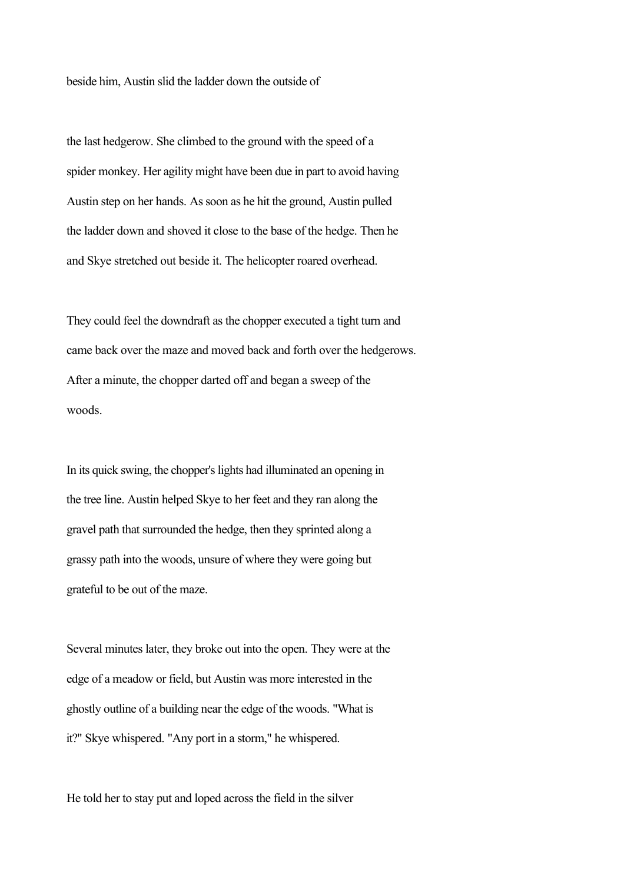beside him, Austin slid the ladder down the outside of

 the last hedgerow. She climbed to the ground with the speed of a spider monkey. Her agility might have been due in part to avoid having Austin step on her hands. As soon as he hit the ground, Austin pulled the ladder down and shoved it close to the base of the hedge. Then he and Skye stretched out beside it. The helicopter roared overhead.

 They could feel the downdraft as the chopper executed a tight turn and came back over the maze and moved back and forth over the hedgerows. After a minute, the chopper darted off and began a sweep of the woods.

 In its quick swing, the chopper's lights had illuminated an opening in the tree line. Austin helped Skye to her feet and they ran along the gravel path that surrounded the hedge, then they sprinted along a grassy path into the woods, unsure of where they were going but grateful to be out of the maze.

 Several minutes later, they broke out into the open. They were at the edge of a meadow or field, but Austin was more interested in the ghostly outline of a building near the edge of the woods. "What is it?" Skye whispered. "Any port in a storm," he whispered.

He told her to stay put and loped across the field in the silver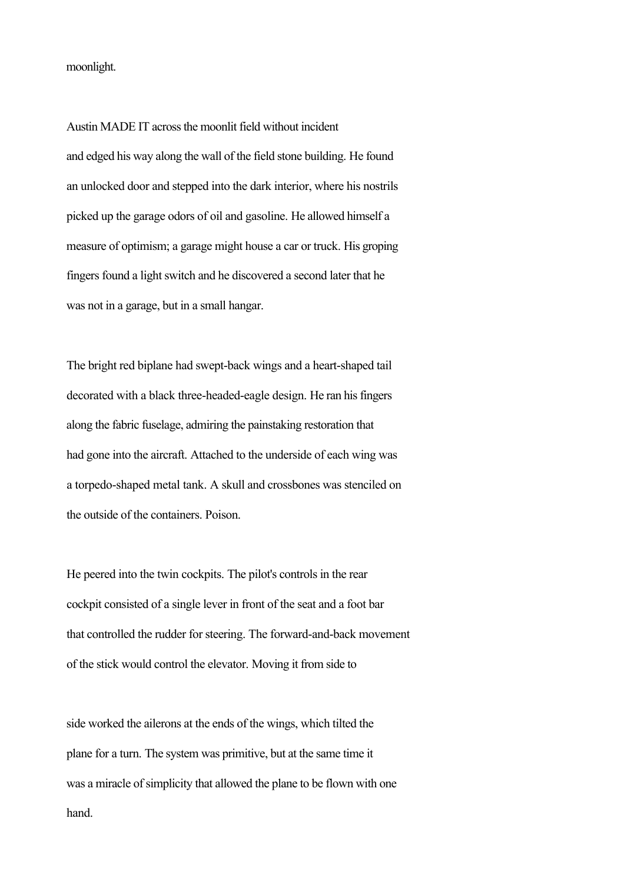moonlight.

 Austin MADE IT across the moonlit field without incident and edged his way along the wall of the field stone building. He found an unlocked door and stepped into the dark interior, where his nostrils picked up the garage odors of oil and gasoline. He allowed himself a measure of optimism; a garage might house a car or truck. His groping fingers found a light switch and he discovered a second later that he was not in a garage, but in a small hangar.

 The bright red biplane had swept-back wings and a heart-shaped tail decorated with a black three-headed-eagle design. He ran his fingers along the fabric fuselage, admiring the painstaking restoration that had gone into the aircraft. Attached to the underside of each wing was a torpedo-shaped metal tank. A skull and crossbones was stenciled on the outside of the containers. Poison.

 He peered into the twin cockpits. The pilot's controls in the rear cockpit consisted of a single lever in front of the seat and a foot bar that controlled the rudder for steering. The forward-and-back movement of the stick would control the elevator. Moving it from side to

 side worked the ailerons at the ends of the wings, which tilted the plane for a turn. The system was primitive, but at the same time it was a miracle of simplicity that allowed the plane to be flown with one hand.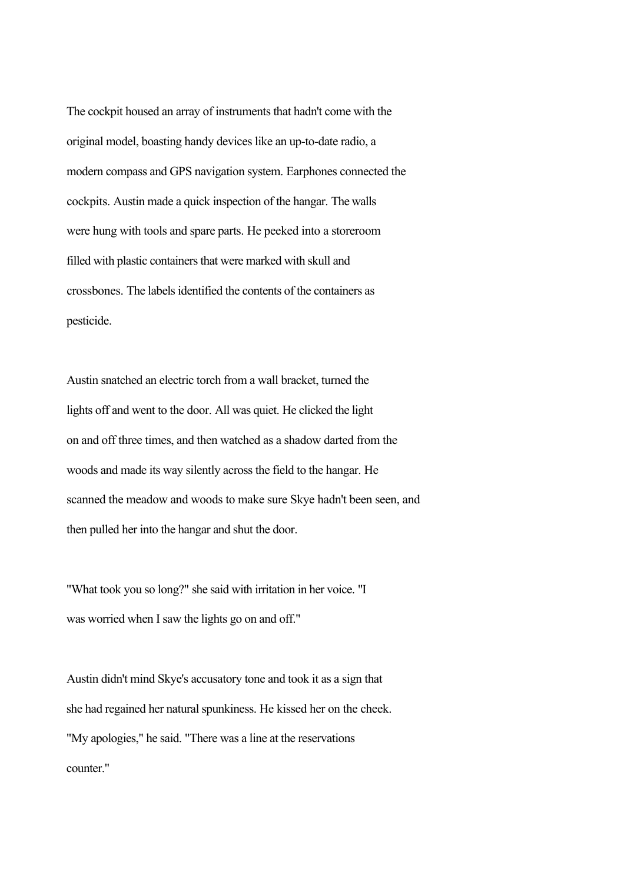The cockpit housed an array of instruments that hadn't come with the original model, boasting handy devices like an up-to-date radio, a modern compass and GPS navigation system. Earphones connected the cockpits. Austin made a quick inspection of the hangar. The walls were hung with tools and spare parts. He peeked into a storeroom filled with plastic containers that were marked with skull and crossbones. The labels identified the contents of the containers as pesticide.

 Austin snatched an electric torch from a wall bracket, turned the lights off and went to the door. All was quiet. He clicked the light on and off three times, and then watched as a shadow darted from the woods and made its way silently across the field to the hangar. He scanned the meadow and woods to make sure Skye hadn't been seen, and then pulled her into the hangar and shut the door.

 "What took you so long?" she said with irritation in her voice. "I was worried when I saw the lights go on and off."

 Austin didn't mind Skye's accusatory tone and took it as a sign that she had regained her natural spunkiness. He kissed her on the cheek. "My apologies," he said. "There was a line at the reservations counter."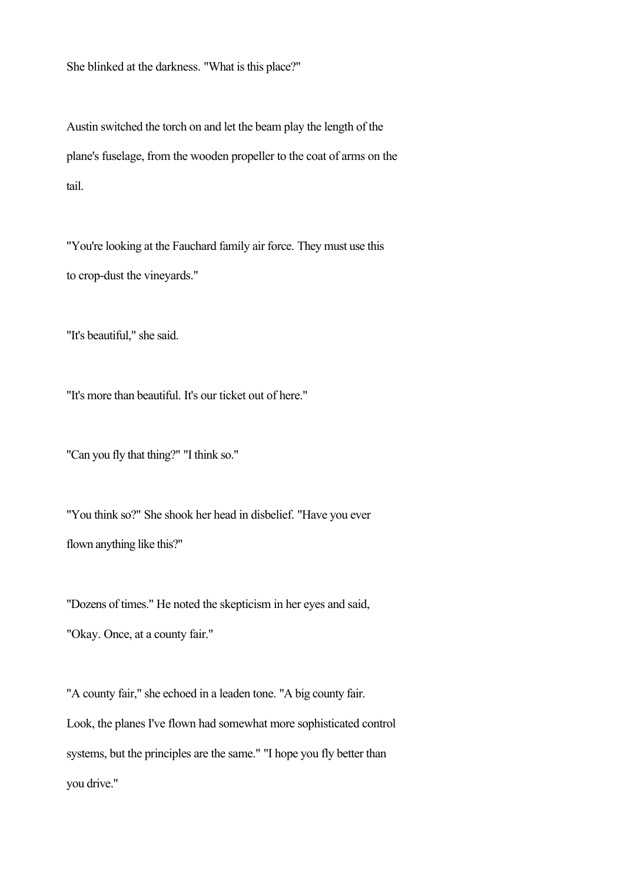She blinked at the darkness. "What is this place?"

 Austin switched the torch on and let the beam play the length of the plane's fuselage, from the wooden propeller to the coat of arms on the tail.

 "You're looking at the Fauchard family air force. They must use this to crop-dust the vineyards."

"It's beautiful," she said.

"It's more than beautiful. It's our ticket out of here."

"Can you fly that thing?" "I think so."

 "You think so?" She shook her head in disbelief. "Have you ever flown anything like this?"

"Dozens of times." He noted the skepticism in her eyes and said,

"Okay. Once, at a county fair."

 "A county fair," she echoed in a leaden tone. "A big county fair. Look, the planes I've flown had somewhat more sophisticated control systems, but the principles are the same." "I hope you fly better than you drive."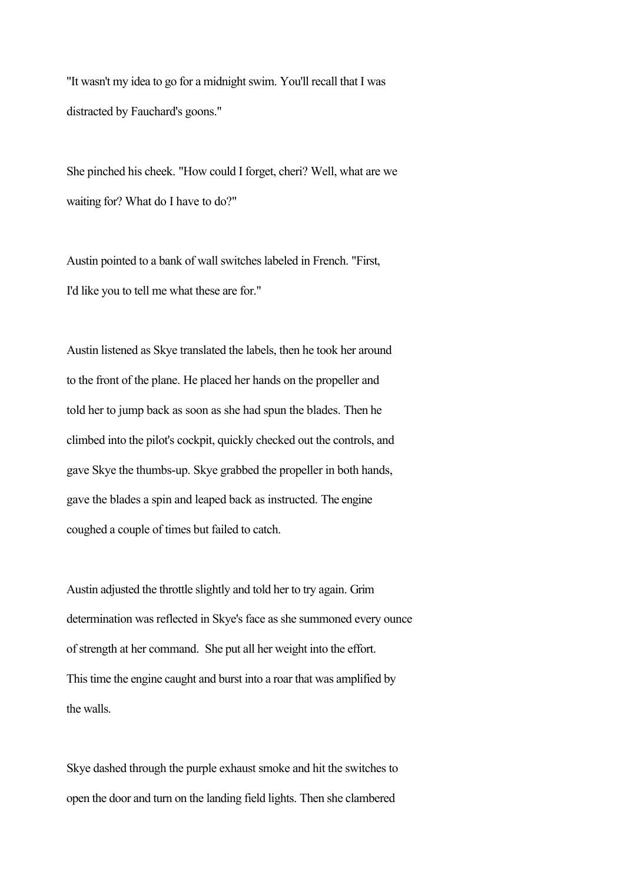"It wasn't my idea to go for a midnight swim. You'll recall that I was distracted by Fauchard's goons."

 She pinched his cheek. "How could I forget, cheri? Well, what are we waiting for? What do I have to do?"

 Austin pointed to a bank of wall switches labeled in French. "First, I'd like you to tell me what these are for."

 Austin listened as Skye translated the labels, then he took her around to the front of the plane. He placed her hands on the propeller and told her to jump back as soon as she had spun the blades. Then he climbed into the pilot's cockpit, quickly checked out the controls, and gave Skye the thumbs-up. Skye grabbed the propeller in both hands, gave the blades a spin and leaped back as instructed. The engine coughed a couple of times but failed to catch.

 Austin adjusted the throttle slightly and told her to try again. Grim determination was reflected in Skye's face as she summoned every ounce of strength at her command. She put all her weight into the effort. This time the engine caught and burst into a roar that was amplified by the walls.

 Skye dashed through the purple exhaust smoke and hit the switches to open the door and turn on the landing field lights. Then she clambered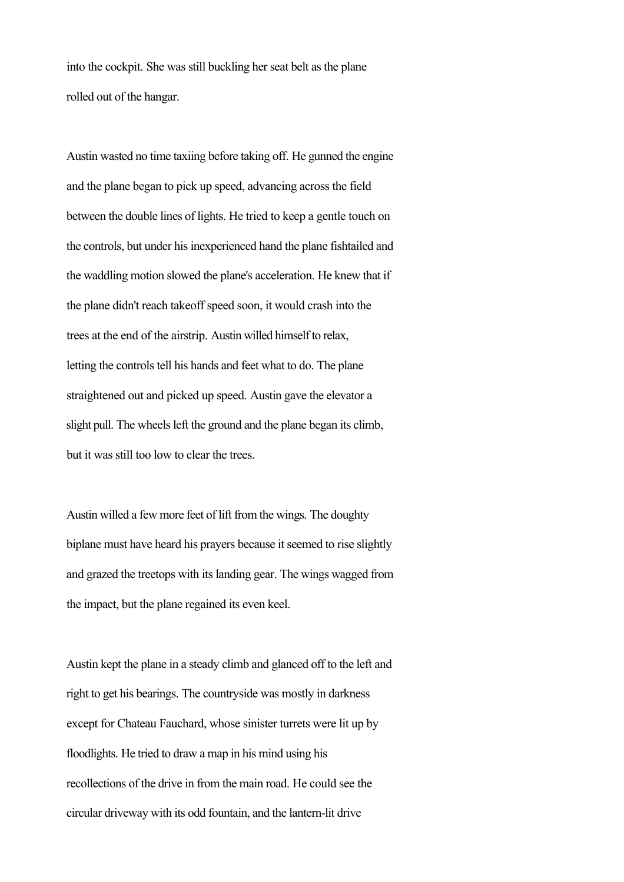into the cockpit. She was still buckling her seat belt as the plane rolled out of the hangar.

 Austin wasted no time taxiing before taking off. He gunned the engine and the plane began to pick up speed, advancing across the field between the double lines of lights. He tried to keep a gentle touch on the controls, but under his inexperienced hand the plane fishtailed and the waddling motion slowed the plane's acceleration. He knew that if the plane didn't reach takeoff speed soon, it would crash into the trees at the end of the airstrip. Austin willed himself to relax, letting the controls tell his hands and feet what to do. The plane straightened out and picked up speed. Austin gave the elevator a slight pull. The wheels left the ground and the plane began its climb, but it was still too low to clear the trees.

 Austin willed a few more feet of lift from the wings. The doughty biplane must have heard his prayers because it seemed to rise slightly and grazed the treetops with its landing gear. The wings wagged from the impact, but the plane regained its even keel.

 Austin kept the plane in a steady climb and glanced off to the left and right to get his bearings. The countryside was mostly in darkness except for Chateau Fauchard, whose sinister turrets were lit up by floodlights. He tried to draw a map in his mind using his recollections of the drive in from the main road. He could see the circular driveway with its odd fountain, and the lantern-lit drive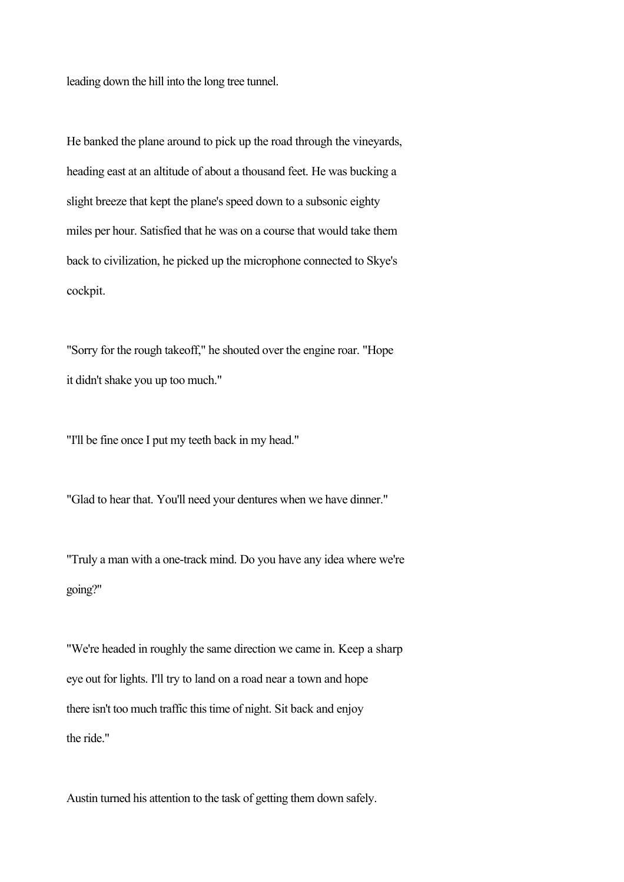leading down the hill into the long tree tunnel.

 He banked the plane around to pick up the road through the vineyards, heading east at an altitude of about a thousand feet. He was bucking a slight breeze that kept the plane's speed down to a subsonic eighty miles per hour. Satisfied that he was on a course that would take them back to civilization, he picked up the microphone connected to Skye's cockpit.

 "Sorry for the rough takeoff," he shouted over the engine roar. "Hope it didn't shake you up too much."

"I'll be fine once I put my teeth back in my head."

"Glad to hear that. You'll need your dentures when we have dinner."

 "Truly a man with a one-track mind. Do you have any idea where we're going?"

 "We're headed in roughly the same direction we came in. Keep a sharp eye out for lights. I'll try to land on a road near a town and hope there isn't too much traffic this time of night. Sit back and enjoy the ride."

Austin turned his attention to the task of getting them down safely.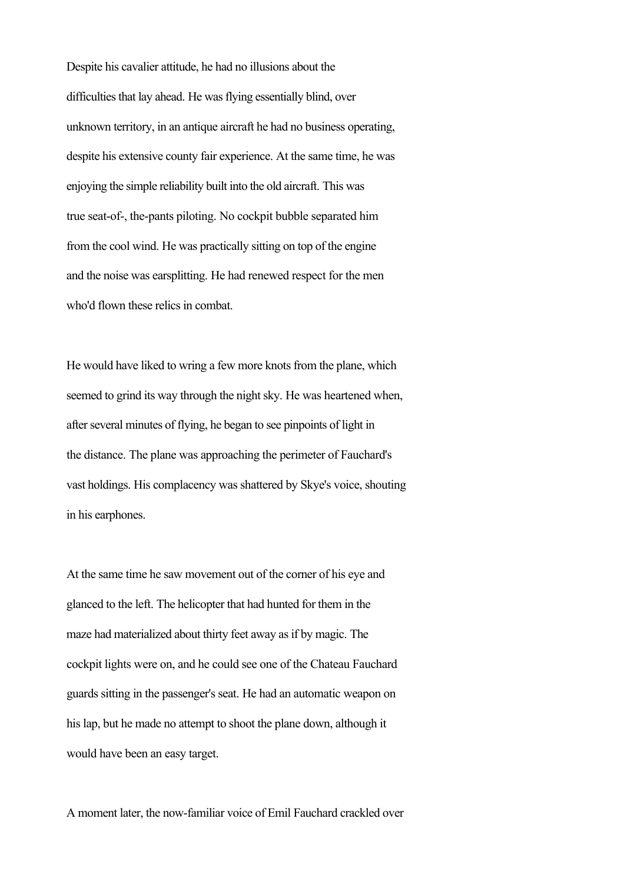Despite his cavalier attitude, he had no illusions about the difficulties that lay ahead. He was flying essentially blind, over unknown territory, in an antique aircraft he had no business operating, despite his extensive county fair experience. At the same time, he was enjoying the simple reliability built into the old aircraft. This was true seat-of-, the-pants piloting. No cockpit bubble separated him from the cool wind. He was practically sitting on top of the engine and the noise was earsplitting. He had renewed respect for the men who'd flown these relics in combat.

 He would have liked to wring a few more knots from the plane, which seemed to grind its way through the night sky. He was heartened when, after several minutes of flying, he began to see pinpoints of light in the distance. The plane was approaching the perimeter of Fauchard's vast holdings. His complacency was shattered by Skye's voice, shouting in his earphones.

 At the same time he saw movement out of the corner of his eye and glanced to the left. The helicopter that had hunted for them in the maze had materialized about thirty feet away as if by magic. The cockpit lights were on, and he could see one of the Chateau Fauchard guards sitting in the passenger's seat. He had an automatic weapon on his lap, but he made no attempt to shoot the plane down, although it would have been an easy target.

A moment later, the now-familiar voice of Emil Fauchard crackled over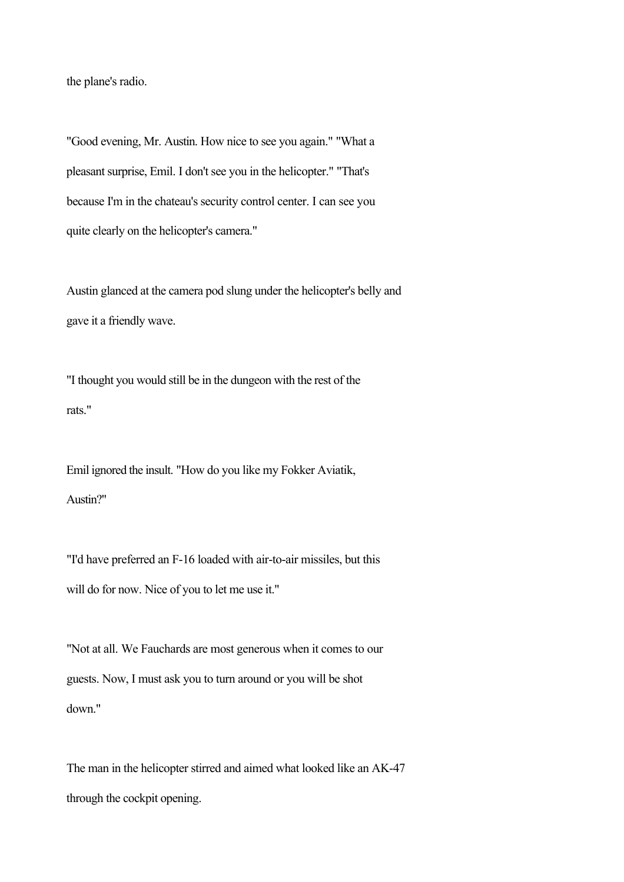the plane's radio.

 "Good evening, Mr. Austin. How nice to see you again." "What a pleasant surprise, Emil. I don't see you in the helicopter." "That's because I'm in the chateau's security control center. I can see you quite clearly on the helicopter's camera."

 Austin glanced at the camera pod slung under the helicopter's belly and gave it a friendly wave.

 "I thought you would still be in the dungeon with the rest of the rats."

 Emil ignored the insult. "How do you like my Fokker Aviatik, Austin?"

 "I'd have preferred an F-16 loaded with air-to-air missiles, but this will do for now. Nice of you to let me use it."

 "Not at all. We Fauchards are most generous when it comes to our guests. Now, I must ask you to turn around or you will be shot down."

 The man in the helicopter stirred and aimed what looked like an AK-47 through the cockpit opening.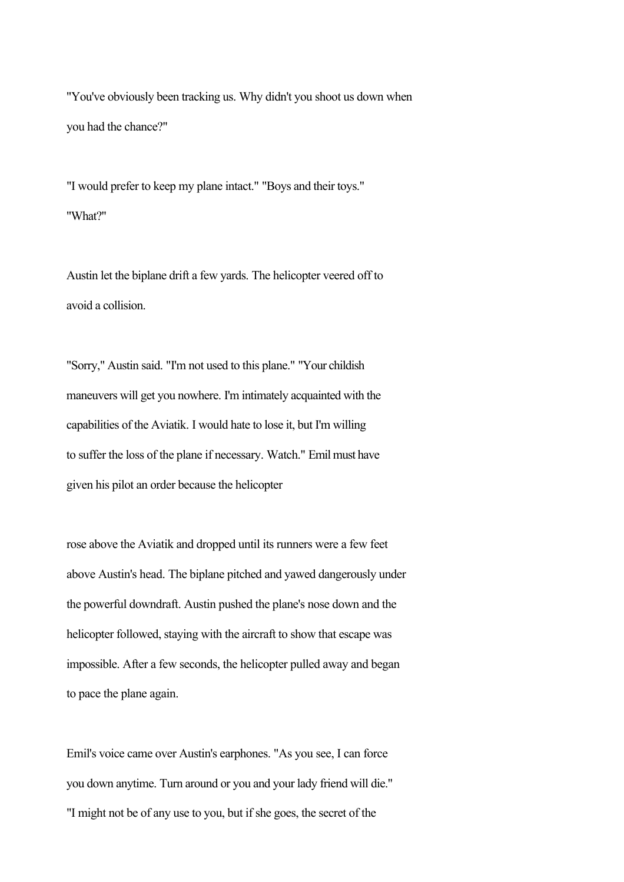"You've obviously been tracking us. Why didn't you shoot us down when you had the chance?"

 "I would prefer to keep my plane intact." "Boys and their toys." "What?"

 Austin let the biplane drift a few yards. The helicopter veered off to avoid a collision.

 "Sorry," Austin said. "I'm not used to this plane." "Your childish maneuvers will get you nowhere. I'm intimately acquainted with the capabilities of the Aviatik. I would hate to lose it, but I'm willing to suffer the loss of the plane if necessary. Watch." Emil must have given his pilot an order because the helicopter

 rose above the Aviatik and dropped until its runners were a few feet above Austin's head. The biplane pitched and yawed dangerously under the powerful downdraft. Austin pushed the plane's nose down and the helicopter followed, staying with the aircraft to show that escape was impossible. After a few seconds, the helicopter pulled away and began to pace the plane again.

 Emil's voice came over Austin's earphones. "As you see, I can force you down anytime. Turn around or you and your lady friend will die." "I might not be of any use to you, but if she goes, the secret of the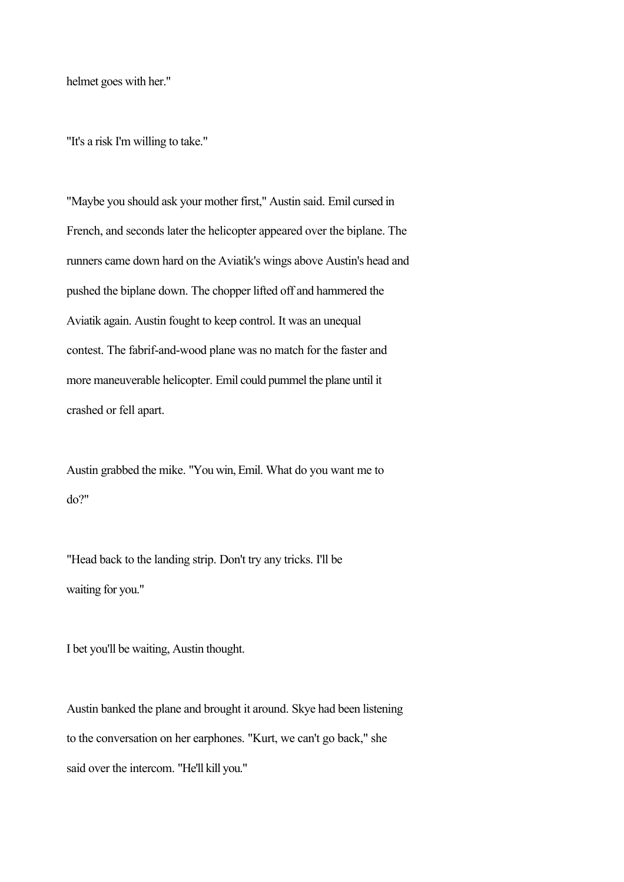helmet goes with her."

"It's a risk I'm willing to take."

 "Maybe you should ask your mother first," Austin said. Emil cursed in French, and seconds later the helicopter appeared over the biplane. The runners came down hard on the Aviatik's wings above Austin's head and pushed the biplane down. The chopper lifted off and hammered the Aviatik again. Austin fought to keep control. It was an unequal contest. The fabrif-and-wood plane was no match for the faster and more maneuverable helicopter. Emil could pummel the plane until it crashed or fell apart.

 Austin grabbed the mike. "You win, Emil. What do you want me to do?"

 "Head back to the landing strip. Don't try any tricks. I'll be waiting for you."

I bet you'll be waiting, Austin thought.

 Austin banked the plane and brought it around. Skye had been listening to the conversation on her earphones. "Kurt, we can't go back," she said over the intercom. "He'll kill you."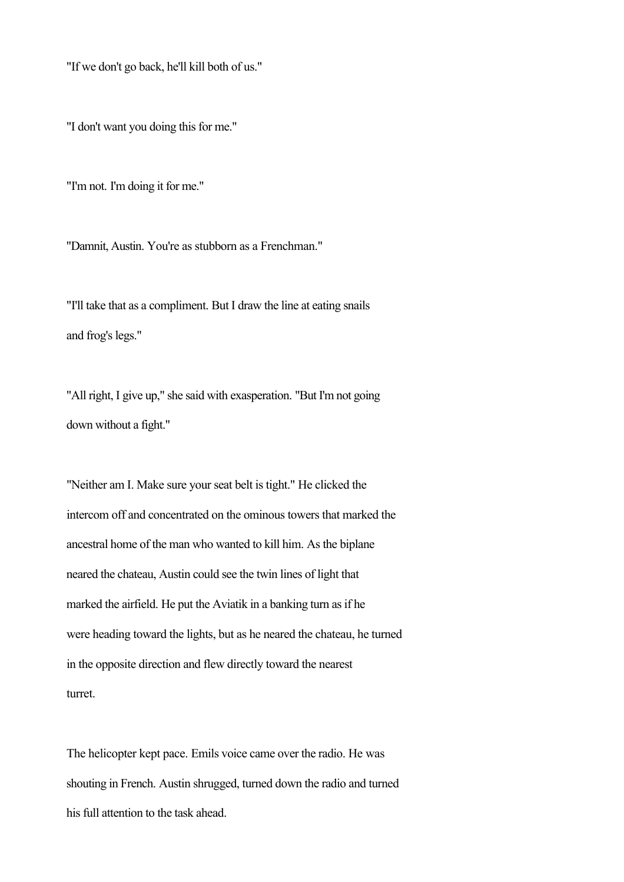"If we don't go back, he'll kill both of us."

"I don't want you doing this for me."

"I'm not. I'm doing it for me."

"Damnit, Austin. You're as stubborn as a Frenchman."

 "I'll take that as a compliment. But I draw the line at eating snails and frog's legs."

 "All right, I give up," she said with exasperation. "But I'm not going down without a fight."

 "Neither am I. Make sure your seat belt is tight." He clicked the intercom off and concentrated on the ominous towers that marked the ancestral home of the man who wanted to kill him. As the biplane neared the chateau, Austin could see the twin lines of light that marked the airfield. He put the Aviatik in a banking turn as if he were heading toward the lights, but as he neared the chateau, he turned in the opposite direction and flew directly toward the nearest turret.

 The helicopter kept pace. Emils voice came over the radio. He was shouting in French. Austin shrugged, turned down the radio and turned his full attention to the task ahead.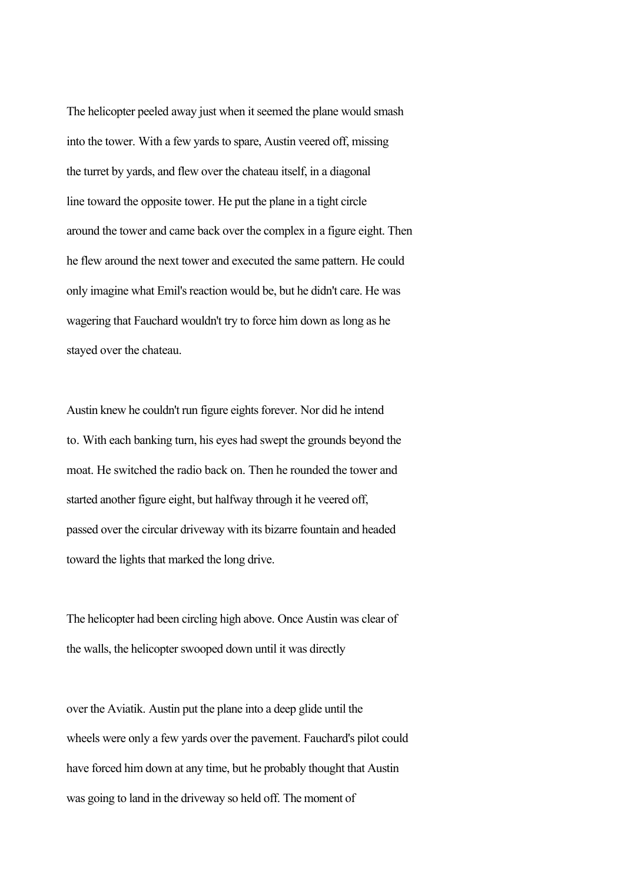The helicopter peeled away just when it seemed the plane would smash into the tower. With a few yards to spare, Austin veered off, missing the turret by yards, and flew over the chateau itself, in a diagonal line toward the opposite tower. He put the plane in a tight circle around the tower and came back over the complex in a figure eight. Then he flew around the next tower and executed the same pattern. He could only imagine what Emil's reaction would be, but he didn't care. He was wagering that Fauchard wouldn't try to force him down as long as he stayed over the chateau.

 Austin knew he couldn't run figure eights forever. Nor did he intend to. With each banking turn, his eyes had swept the grounds beyond the moat. He switched the radio back on. Then he rounded the tower and started another figure eight, but halfway through it he veered off, passed over the circular driveway with its bizarre fountain and headed toward the lights that marked the long drive.

 The helicopter had been circling high above. Once Austin was clear of the walls, the helicopter swooped down until it was directly

 over the Aviatik. Austin put the plane into a deep glide until the wheels were only a few yards over the pavement. Fauchard's pilot could have forced him down at any time, but he probably thought that Austin was going to land in the driveway so held off. The moment of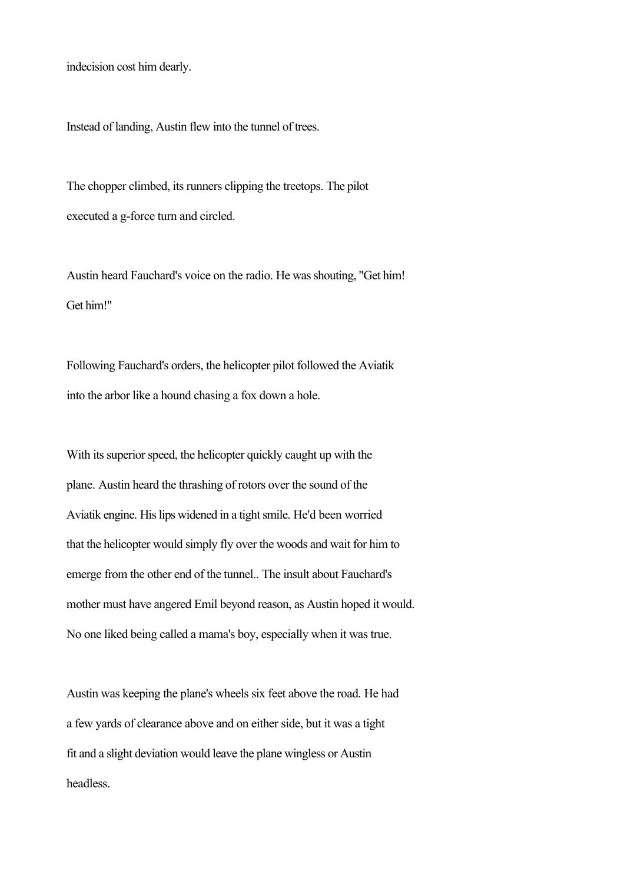indecision cost him dearly.

Instead of landing, Austin flew into the tunnel of trees.

 The chopper climbed, its runners clipping the treetops. The pilot executed a g-force turn and circled.

 Austin heard Fauchard's voice on the radio. He was shouting, "Get him! Get him!"

 Following Fauchard's orders, the helicopter pilot followed the Aviatik into the arbor like a hound chasing a fox down a hole.

 With its superior speed, the helicopter quickly caught up with the plane. Austin heard the thrashing of rotors over the sound of the Aviatik engine. His lips widened in a tight smile. He'd been worried that the helicopter would simply fly over the woods and wait for him to emerge from the other end of the tunnel.. The insult about Fauchard's mother must have angered Emil beyond reason, as Austin hoped it would. No one liked being called a mama's boy, especially when it was true.

 Austin was keeping the plane's wheels six feet above the road. He had a few yards of clearance above and on either side, but it was a tight fit and a slight deviation would leave the plane wingless or Austin headless.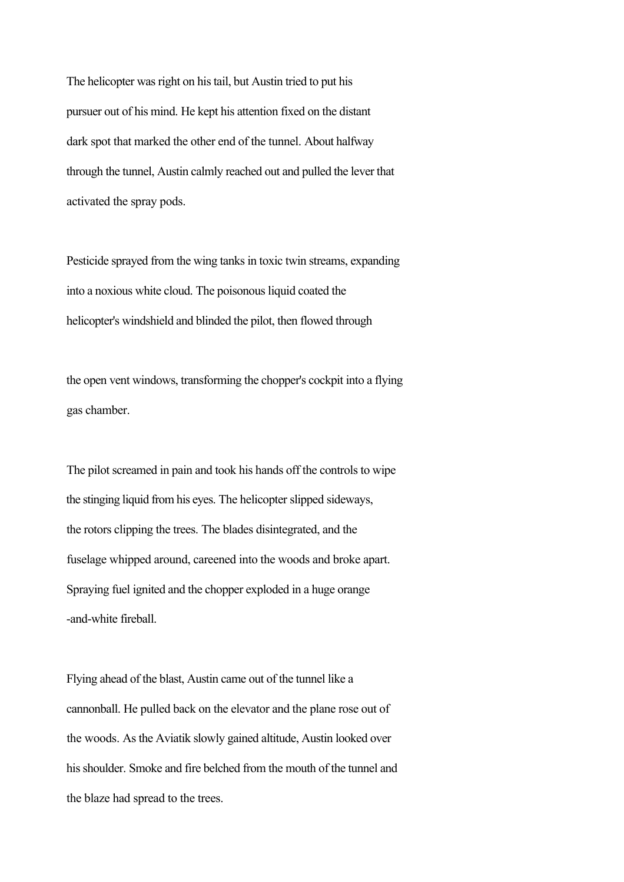The helicopter was right on his tail, but Austin tried to put his pursuer out of his mind. He kept his attention fixed on the distant dark spot that marked the other end of the tunnel. About halfway through the tunnel, Austin calmly reached out and pulled the lever that activated the spray pods.

 Pesticide sprayed from the wing tanks in toxic twin streams, expanding into a noxious white cloud. The poisonous liquid coated the helicopter's windshield and blinded the pilot, then flowed through

 the open vent windows, transforming the chopper's cockpit into a flying gas chamber.

 The pilot screamed in pain and took his hands off the controls to wipe the stinging liquid from his eyes. The helicopter slipped sideways, the rotors clipping the trees. The blades disintegrated, and the fuselage whipped around, careened into the woods and broke apart. Spraying fuel ignited and the chopper exploded in a huge orange -and-white fireball.

 Flying ahead of the blast, Austin came out of the tunnel like a cannonball. He pulled back on the elevator and the plane rose out of the woods. As the Aviatik slowly gained altitude, Austin looked over his shoulder. Smoke and fire belched from the mouth of the tunnel and the blaze had spread to the trees.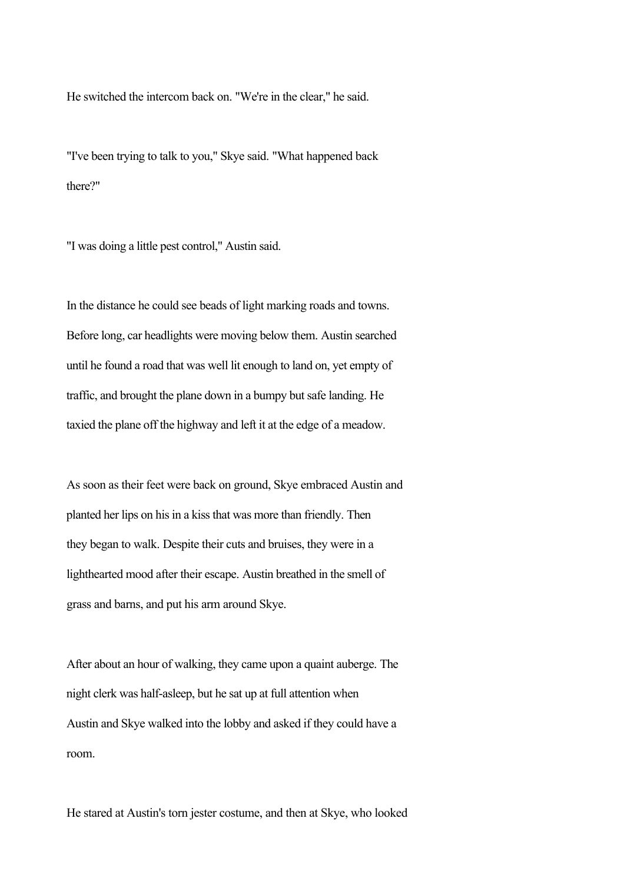He switched the intercom back on. "We're in the clear," he said.

 "I've been trying to talk to you," Skye said. "What happened back there?"

"I was doing a little pest control," Austin said.

 In the distance he could see beads of light marking roads and towns. Before long, car headlights were moving below them. Austin searched until he found a road that was well lit enough to land on, yet empty of traffic, and brought the plane down in a bumpy but safe landing. He taxied the plane off the highway and left it at the edge of a meadow.

 As soon as their feet were back on ground, Skye embraced Austin and planted her lips on his in a kiss that was more than friendly. Then they began to walk. Despite their cuts and bruises, they were in a lighthearted mood after their escape. Austin breathed in the smell of grass and barns, and put his arm around Skye.

 After about an hour of walking, they came upon a quaint auberge. The night clerk was half-asleep, but he sat up at full attention when Austin and Skye walked into the lobby and asked if they could have a room.

He stared at Austin's torn jester costume, and then at Skye, who looked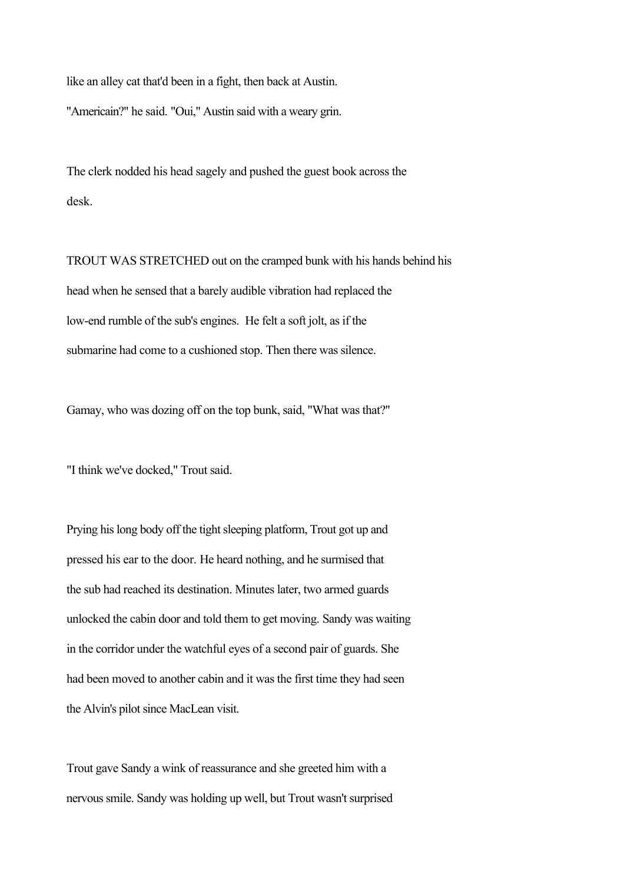like an alley cat that'd been in a fight, then back at Austin.

"Americain?" he said. "Oui," Austin said with a weary grin.

 The clerk nodded his head sagely and pushed the guest book across the desk.

 TROUT WAS STRETCHED out on the cramped bunk with his hands behind his head when he sensed that a barely audible vibration had replaced the low-end rumble of the sub's engines. He felt a soft jolt, as if the submarine had come to a cushioned stop. Then there was silence.

Gamay, who was dozing off on the top bunk, said, "What was that?"

"I think we've docked," Trout said.

 Prying his long body off the tight sleeping platform, Trout got up and pressed his ear to the door. He heard nothing, and he surmised that the sub had reached its destination. Minutes later, two armed guards unlocked the cabin door and told them to get moving. Sandy was waiting in the corridor under the watchful eyes of a second pair of guards. She had been moved to another cabin and it was the first time they had seen the Alvin's pilot since MacLean visit.

 Trout gave Sandy a wink of reassurance and she greeted him with a nervous smile. Sandy was holding up well, but Trout wasn't surprised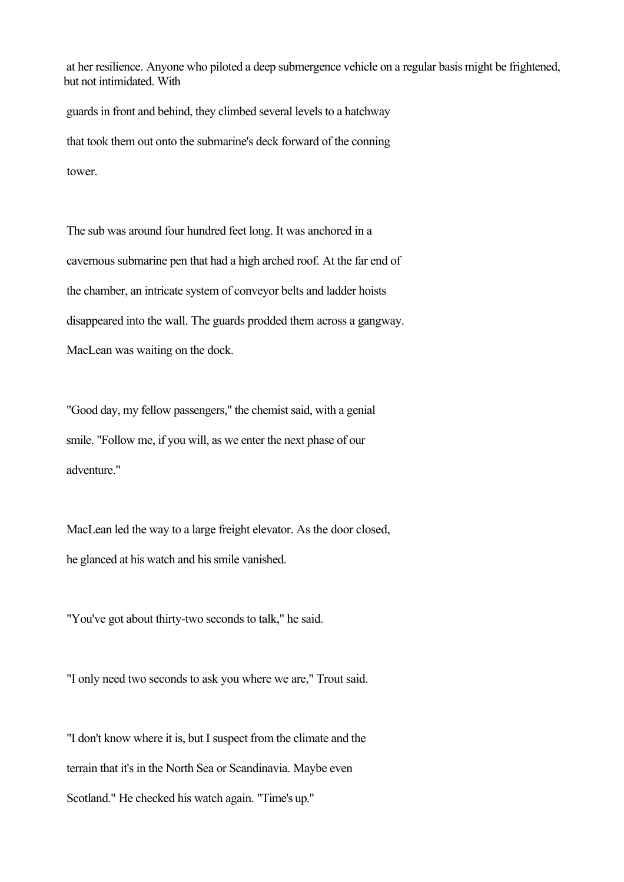at her resilience. Anyone who piloted a deep submergence vehicle on a regular basis might be frightened, but not intimidated. With

 guards in front and behind, they climbed several levels to a hatchway that took them out onto the submarine's deck forward of the conning tower.

 The sub was around four hundred feet long. It was anchored in a cavernous submarine pen that had a high arched roof. At the far end of the chamber, an intricate system of conveyor belts and ladder hoists disappeared into the wall. The guards prodded them across a gangway. MacLean was waiting on the dock.

 "Good day, my fellow passengers," the chemist said, with a genial smile. "Follow me, if you will, as we enter the next phase of our adventure."

 MacLean led the way to a large freight elevator. As the door closed, he glanced at his watch and his smile vanished.

"You've got about thirty-two seconds to talk," he said.

"I only need two seconds to ask you where we are," Trout said.

 "I don't know where it is, but I suspect from the climate and the terrain that it's in the North Sea or Scandinavia. Maybe even Scotland." He checked his watch again. "Time's up."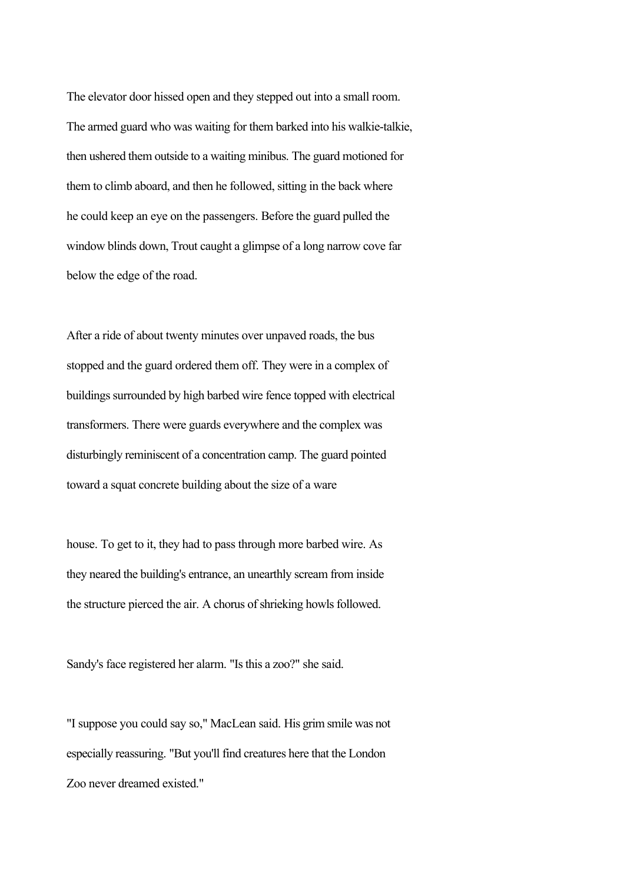The elevator door hissed open and they stepped out into a small room. The armed guard who was waiting for them barked into his walkie-talkie, then ushered them outside to a waiting minibus. The guard motioned for them to climb aboard, and then he followed, sitting in the back where he could keep an eye on the passengers. Before the guard pulled the window blinds down, Trout caught a glimpse of a long narrow cove far below the edge of the road.

 After a ride of about twenty minutes over unpaved roads, the bus stopped and the guard ordered them off. They were in a complex of buildings surrounded by high barbed wire fence topped with electrical transformers. There were guards everywhere and the complex was disturbingly reminiscent of a concentration camp. The guard pointed toward a squat concrete building about the size of a ware

 house. To get to it, they had to pass through more barbed wire. As they neared the building's entrance, an unearthly scream from inside the structure pierced the air. A chorus of shrieking howls followed.

Sandy's face registered her alarm. "Is this a zoo?" she said.

 "I suppose you could say so," MacLean said. His grim smile was not especially reassuring. "But you'll find creatures here that the London Zoo never dreamed existed."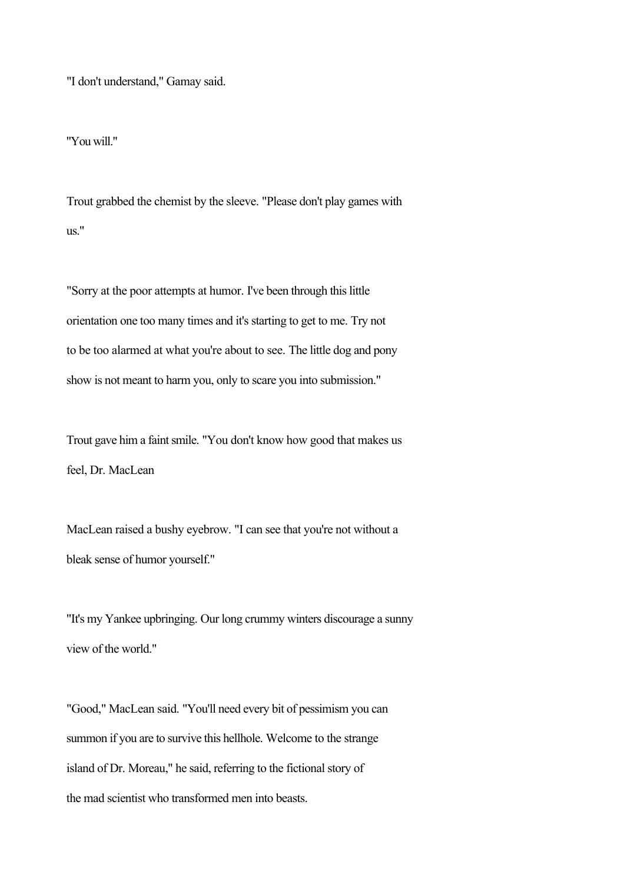"I don't understand," Gamay said.

"You will."

 Trout grabbed the chemist by the sleeve. "Please don't play games with us."

 "Sorry at the poor attempts at humor. I've been through this little orientation one too many times and it's starting to get to me. Try not to be too alarmed at what you're about to see. The little dog and pony show is not meant to harm you, only to scare you into submission."

 Trout gave him a faint smile. "You don't know how good that makes us feel, Dr. MacLean

 MacLean raised a bushy eyebrow. "I can see that you're not without a bleak sense of humor yourself."

 "It's my Yankee upbringing. Our long crummy winters discourage a sunny view of the world."

 "Good," MacLean said. "You'll need every bit of pessimism you can summon if you are to survive this hellhole. Welcome to the strange island of Dr. Moreau," he said, referring to the fictional story of the mad scientist who transformed men into beasts.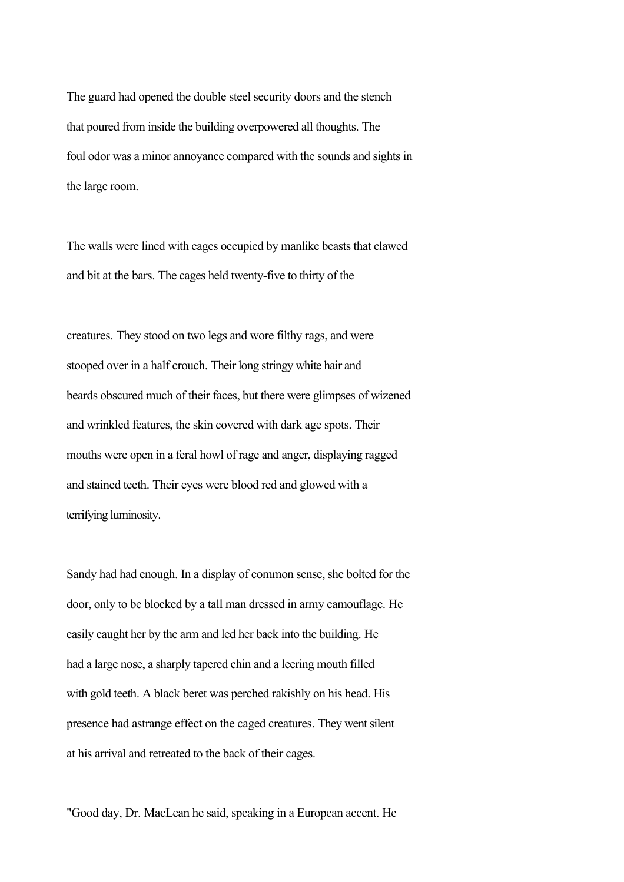The guard had opened the double steel security doors and the stench that poured from inside the building overpowered all thoughts. The foul odor was a minor annoyance compared with the sounds and sights in the large room.

 The walls were lined with cages occupied by manlike beasts that clawed and bit at the bars. The cages held twenty-five to thirty of the

 creatures. They stood on two legs and wore filthy rags, and were stooped over in a half crouch. Their long stringy white hair and beards obscured much of their faces, but there were glimpses of wizened and wrinkled features, the skin covered with dark age spots. Their mouths were open in a feral howl of rage and anger, displaying ragged and stained teeth. Their eyes were blood red and glowed with a terrifying luminosity.

 Sandy had had enough. In a display of common sense, she bolted for the door, only to be blocked by a tall man dressed in army camouflage. He easily caught her by the arm and led her back into the building. He had a large nose, a sharply tapered chin and a leering mouth filled with gold teeth. A black beret was perched rakishly on his head. His presence had astrange effect on the caged creatures. They went silent at his arrival and retreated to the back of their cages.

"Good day, Dr. MacLean he said, speaking in a European accent. He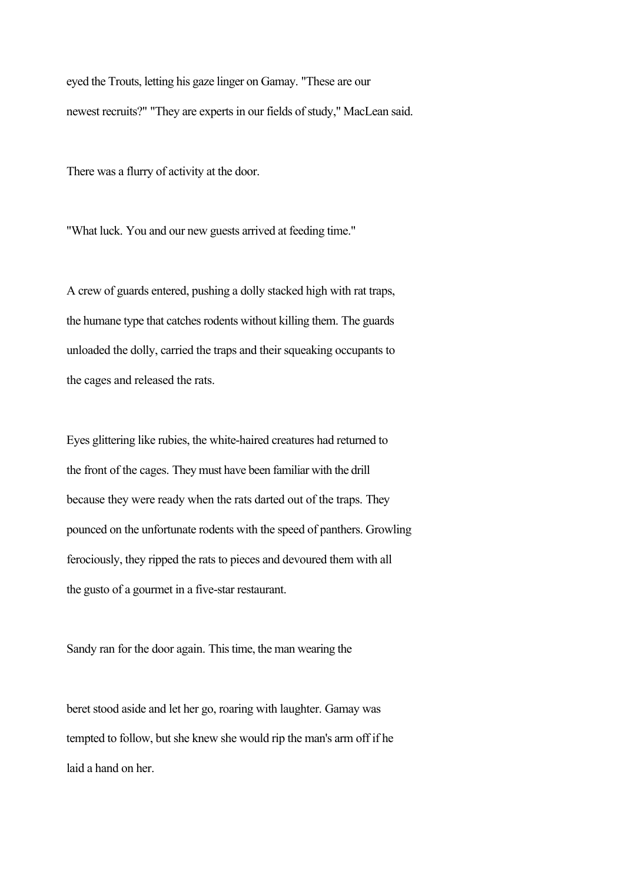eyed the Trouts, letting his gaze linger on Gamay. "These are our newest recruits?" "They are experts in our fields of study," MacLean said.

There was a flurry of activity at the door.

"What luck. You and our new guests arrived at feeding time."

 A crew of guards entered, pushing a dolly stacked high with rat traps, the humane type that catches rodents without killing them. The guards unloaded the dolly, carried the traps and their squeaking occupants to the cages and released the rats.

 Eyes glittering like rubies, the white-haired creatures had returned to the front of the cages. They must have been familiar with the drill because they were ready when the rats darted out of the traps. They pounced on the unfortunate rodents with the speed of panthers. Growling ferociously, they ripped the rats to pieces and devoured them with all the gusto of a gourmet in a five-star restaurant.

Sandy ran for the door again. This time, the man wearing the

 beret stood aside and let her go, roaring with laughter. Gamay was tempted to follow, but she knew she would rip the man's arm off if he laid a hand on her.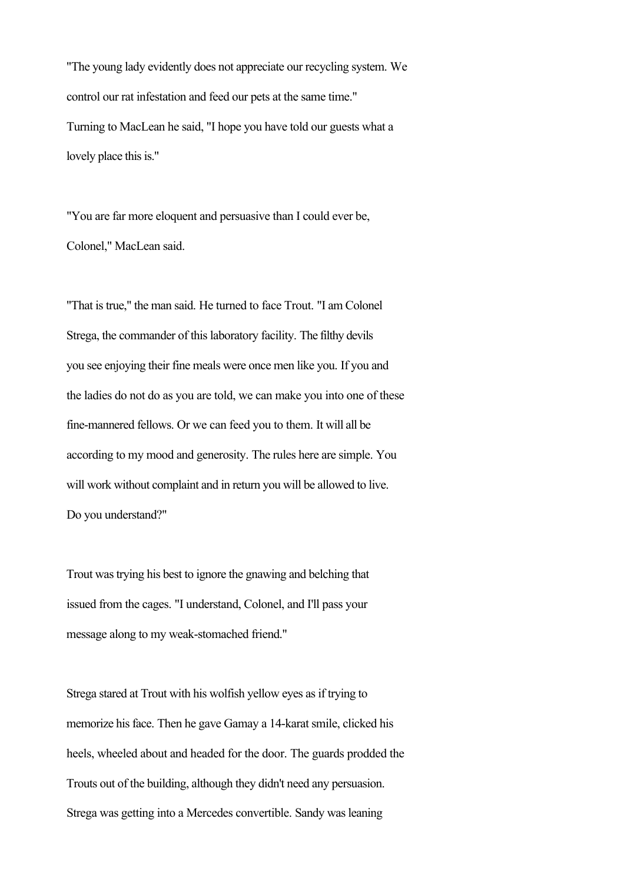"The young lady evidently does not appreciate our recycling system. We control our rat infestation and feed our pets at the same time." Turning to MacLean he said, "I hope you have told our guests what a lovely place this is."

 "You are far more eloquent and persuasive than I could ever be, Colonel," MacLean said.

 "That is true," the man said. He turned to face Trout. "I am Colonel Strega, the commander of this laboratory facility. The filthy devils you see enjoying their fine meals were once men like you. If you and the ladies do not do as you are told, we can make you into one of these fine-mannered fellows. Or we can feed you to them. It will all be according to my mood and generosity. The rules here are simple. You will work without complaint and in return you will be allowed to live. Do you understand?"

 Trout was trying his best to ignore the gnawing and belching that issued from the cages. "I understand, Colonel, and I'll pass your message along to my weak-stomached friend."

 Strega stared at Trout with his wolfish yellow eyes as if trying to memorize his face. Then he gave Gamay a 14-karat smile, clicked his heels, wheeled about and headed for the door. The guards prodded the Trouts out of the building, although they didn't need any persuasion. Strega was getting into a Mercedes convertible. Sandy was leaning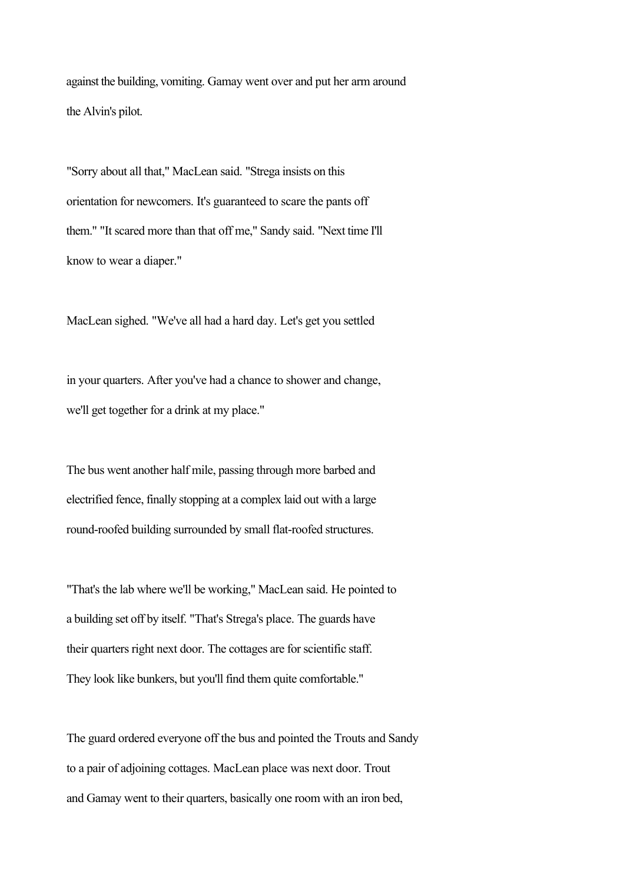against the building, vomiting. Gamay went over and put her arm around the Alvin's pilot.

 "Sorry about all that," MacLean said. "Strega insists on this orientation for newcomers. It's guaranteed to scare the pants off them." "It scared more than that off me," Sandy said. "Next time I'll know to wear a diaper."

MacLean sighed. "We've all had a hard day. Let's get you settled

 in your quarters. After you've had a chance to shower and change, we'll get together for a drink at my place."

 The bus went another half mile, passing through more barbed and electrified fence, finally stopping at a complex laid out with a large round-roofed building surrounded by small flat-roofed structures.

 "That's the lab where we'll be working," MacLean said. He pointed to a building set off by itself. "That's Strega's place. The guards have their quarters right next door. The cottages are for scientific staff. They look like bunkers, but you'll find them quite comfortable."

 The guard ordered everyone off the bus and pointed the Trouts and Sandy to a pair of adjoining cottages. MacLean place was next door. Trout and Gamay went to their quarters, basically one room with an iron bed,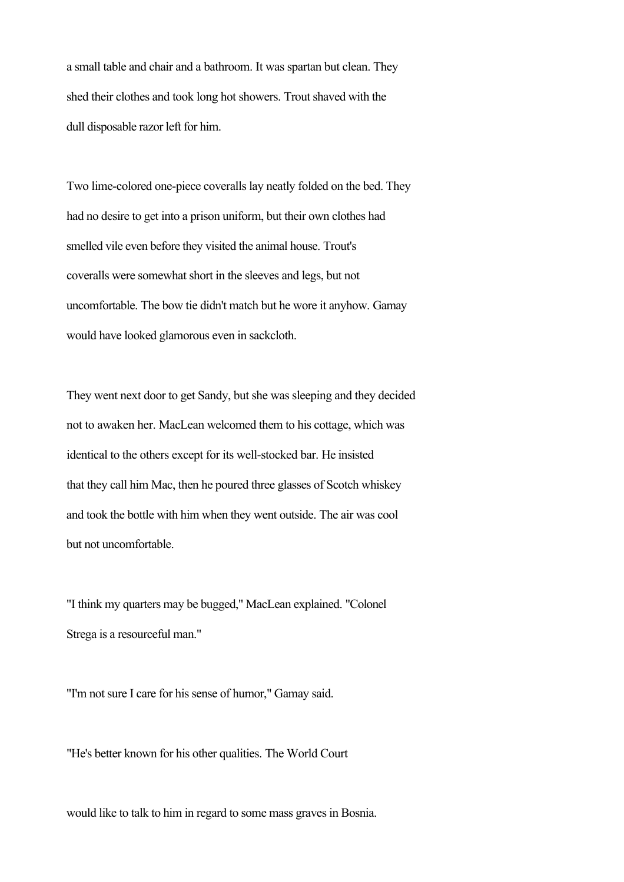a small table and chair and a bathroom. It was spartan but clean. They shed their clothes and took long hot showers. Trout shaved with the dull disposable razor left for him.

 Two lime-colored one-piece coveralls lay neatly folded on the bed. They had no desire to get into a prison uniform, but their own clothes had smelled vile even before they visited the animal house. Trout's coveralls were somewhat short in the sleeves and legs, but not uncomfortable. The bow tie didn't match but he wore it anyhow. Gamay would have looked glamorous even in sackcloth.

 They went next door to get Sandy, but she was sleeping and they decided not to awaken her. MacLean welcomed them to his cottage, which was identical to the others except for its well-stocked bar. He insisted that they call him Mac, then he poured three glasses of Scotch whiskey and took the bottle with him when they went outside. The air was cool but not uncomfortable.

 "I think my quarters may be bugged," MacLean explained. "Colonel Strega is a resourceful man."

"I'm not sure I care for his sense of humor," Gamay said.

"He's better known for his other qualities. The World Court

would like to talk to him in regard to some mass graves in Bosnia.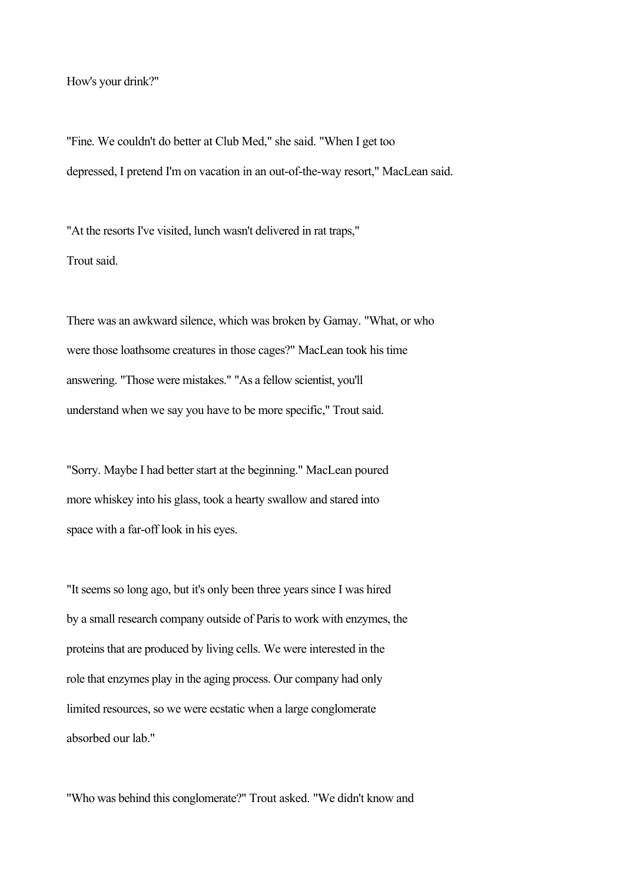How's your drink?"

 "Fine. We couldn't do better at Club Med," she said. "When I get too depressed, I pretend I'm on vacation in an out-of-the-way resort," MacLean said.

 "At the resorts I've visited, lunch wasn't delivered in rat traps," Trout said.

 There was an awkward silence, which was broken by Gamay. "What, or who were those loathsome creatures in those cages?" MacLean took his time answering. "Those were mistakes." "As a fellow scientist, you'll understand when we say you have to be more specific," Trout said.

 "Sorry. Maybe I had better start at the beginning." MacLean poured more whiskey into his glass, took a hearty swallow and stared into space with a far-off look in his eyes.

 "It seems so long ago, but it's only been three years since I was hired by a small research company outside of Paris to work with enzymes, the proteins that are produced by living cells. We were interested in the role that enzymes play in the aging process. Our company had only limited resources, so we were ecstatic when a large conglomerate absorbed our lab."

"Who was behind this conglomerate?" Trout asked. "We didn't know and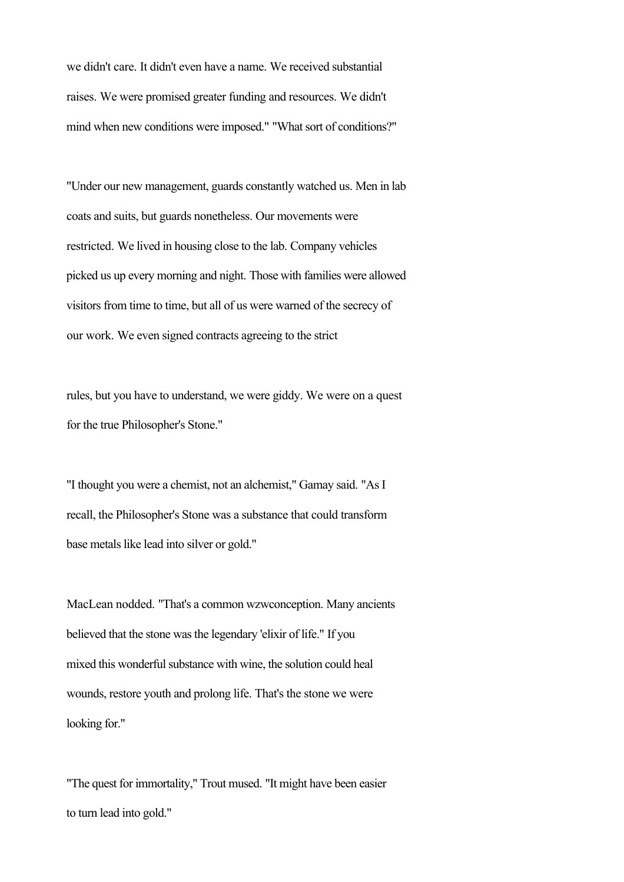we didn't care. It didn't even have a name. We received substantial raises. We were promised greater funding and resources. We didn't mind when new conditions were imposed." "What sort of conditions?"

 "Under our new management, guards constantly watched us. Men in lab coats and suits, but guards nonetheless. Our movements were restricted. We lived in housing close to the lab. Company vehicles picked us up every morning and night. Those with families were allowed visitors from time to time, but all of us were warned of the secrecy of our work. We even signed contracts agreeing to the strict

 rules, but you have to understand, we were giddy. We were on a quest for the true Philosopher's Stone."

 "I thought you were a chemist, not an alchemist," Gamay said. "As I recall, the Philosopher's Stone was a substance that could transform base metals like lead into silver or gold."

 MacLean nodded. "That's a common wzwconception. Many ancients believed that the stone was the legendary 'elixir of life." If you mixed this wonderful substance with wine, the solution could heal wounds, restore youth and prolong life. That's the stone we were looking for."

 "The quest for immortality," Trout mused. "It might have been easier to turn lead into gold."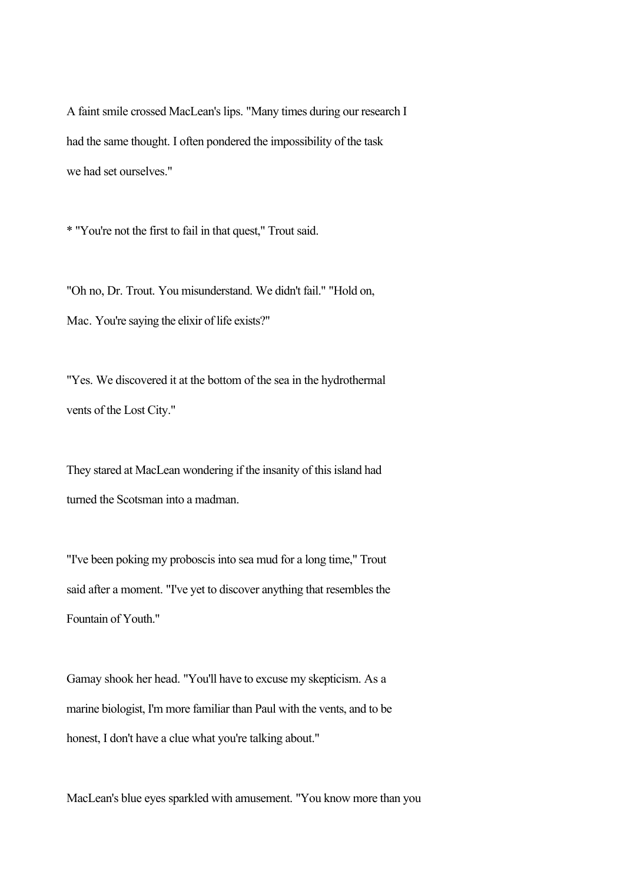A faint smile crossed MacLean's lips. "Many times during our research I had the same thought. I often pondered the impossibility of the task we had set ourselves."

\* "You're not the first to fail in that quest," Trout said.

 "Oh no, Dr. Trout. You misunderstand. We didn't fail." "Hold on, Mac. You're saying the elixir of life exists?"

 "Yes. We discovered it at the bottom of the sea in the hydrothermal vents of the Lost City."

 They stared at MacLean wondering if the insanity of this island had turned the Scotsman into a madman.

 "I've been poking my proboscis into sea mud for a long time," Trout said after a moment. "I've yet to discover anything that resembles the Fountain of Youth."

 Gamay shook her head. "You'll have to excuse my skepticism. As a marine biologist, I'm more familiar than Paul with the vents, and to be honest, I don't have a clue what you're talking about."

MacLean's blue eyes sparkled with amusement. "You know more than you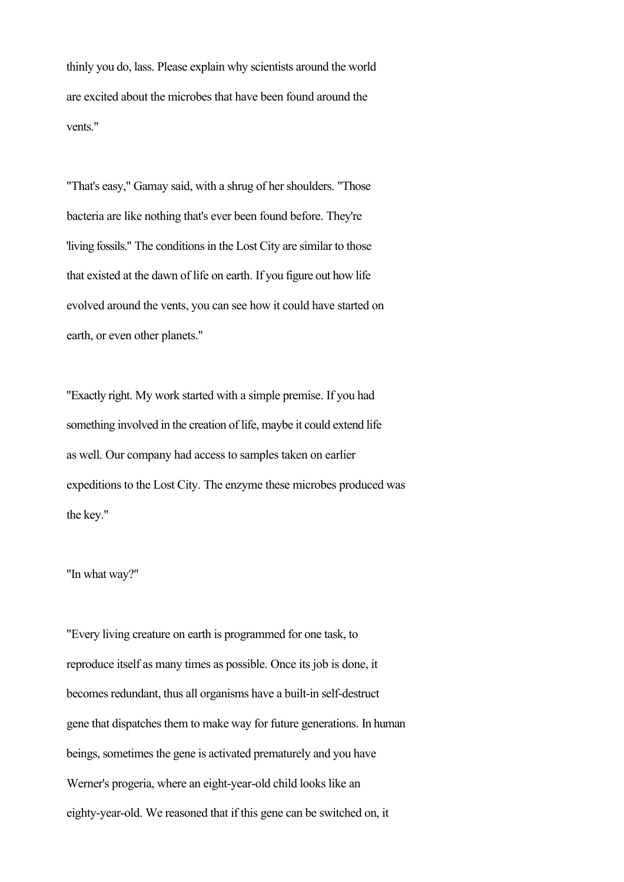thinly you do, lass. Please explain why scientists around the world are excited about the microbes that have been found around the vents."

 "That's easy," Gamay said, with a shrug of her shoulders. "Those bacteria are like nothing that's ever been found before. They're 'living fossils." The conditions in the Lost City are similar to those that existed at the dawn of life on earth. If you figure out how life evolved around the vents, you can see how it could have started on earth, or even other planets."

 "Exactly right. My work started with a simple premise. If you had something involved in the creation of life, maybe it could extend life as well. Our company had access to samples taken on earlier expeditions to the Lost City. The enzyme these microbes produced was the key."

## "In what way?"

 "Every living creature on earth is programmed for one task, to reproduce itself as many times as possible. Once its job is done, it becomes redundant, thus all organisms have a built-in self-destruct gene that dispatches them to make way for future generations. In human beings, sometimes the gene is activated prematurely and you have Werner's progeria, where an eight-year-old child looks like an eighty-year-old. We reasoned that if this gene can be switched on, it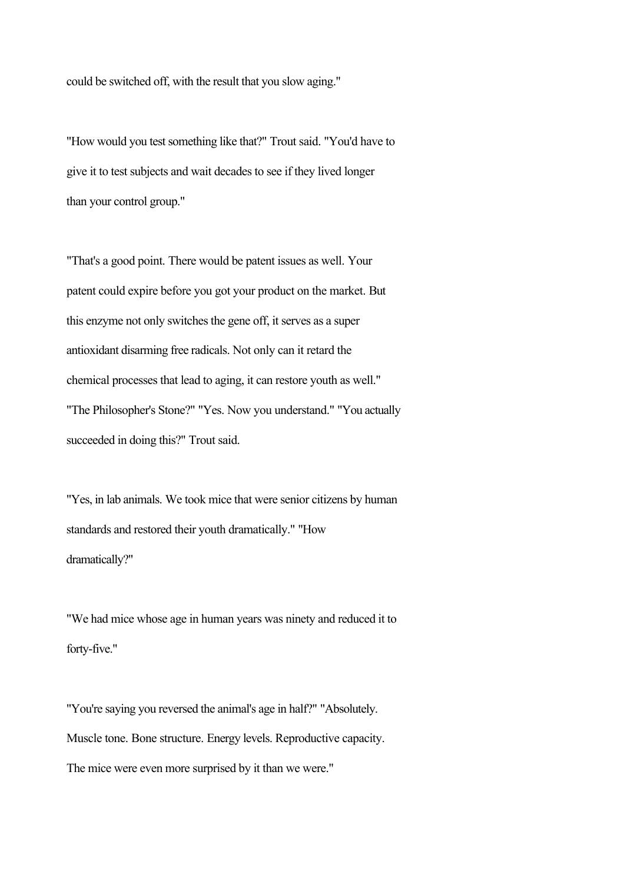could be switched off, with the result that you slow aging."

 "How would you test something like that?" Trout said. "You'd have to give it to test subjects and wait decades to see if they lived longer than your control group."

 "That's a good point. There would be patent issues as well. Your patent could expire before you got your product on the market. But this enzyme not only switches the gene off, it serves as a super antioxidant disarming free radicals. Not only can it retard the chemical processes that lead to aging, it can restore youth as well." "The Philosopher's Stone?" "Yes. Now you understand." "You actually succeeded in doing this?" Trout said.

 "Yes, in lab animals. We took mice that were senior citizens by human standards and restored their youth dramatically." "How dramatically?"

 "We had mice whose age in human years was ninety and reduced it to forty-five."

 "You're saying you reversed the animal's age in half?" "Absolutely. Muscle tone. Bone structure. Energy levels. Reproductive capacity. The mice were even more surprised by it than we were."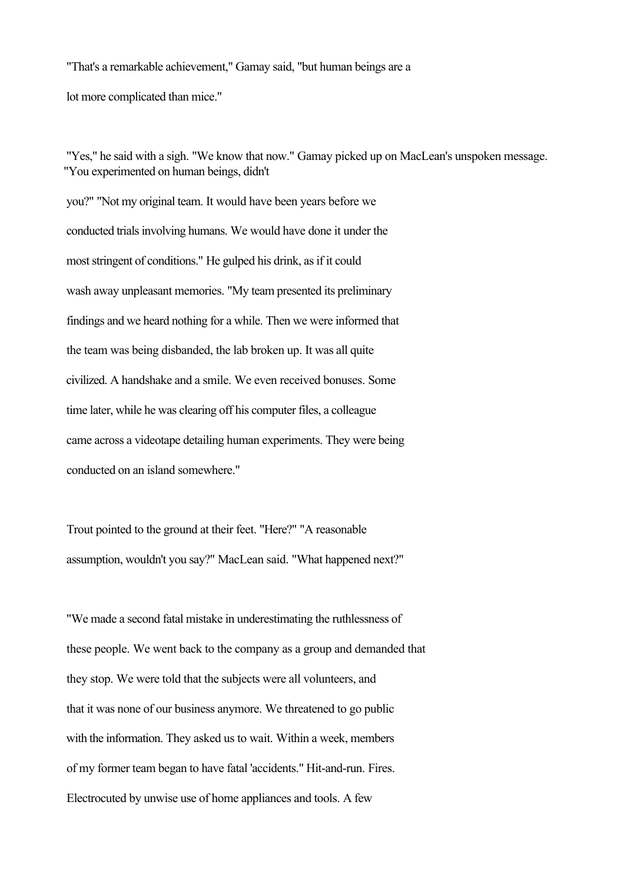"That's a remarkable achievement," Gamay said, "but human beings are a lot more complicated than mice."

 "Yes," he said with a sigh. "We know that now." Gamay picked up on MacLean's unspoken message. "You experimented on human beings, didn't

 you?" "Not my original team. It would have been years before we conducted trials involving humans. We would have done it under the most stringent of conditions." He gulped his drink, as if it could wash away unpleasant memories. "My team presented its preliminary findings and we heard nothing for a while. Then we were informed that the team was being disbanded, the lab broken up. It was all quite civilized. A handshake and a smile. We even received bonuses. Some time later, while he was clearing off his computer files, a colleague came across a videotape detailing human experiments. They were being conducted on an island somewhere."

 Trout pointed to the ground at their feet. "Here?" "A reasonable assumption, wouldn't you say?" MacLean said. "What happened next?"

 "We made a second fatal mistake in underestimating the ruthlessness of these people. We went back to the company as a group and demanded that they stop. We were told that the subjects were all volunteers, and that it was none of our business anymore. We threatened to go public with the information. They asked us to wait. Within a week, members of my former team began to have fatal 'accidents." Hit-and-run. Fires. Electrocuted by unwise use of home appliances and tools. A few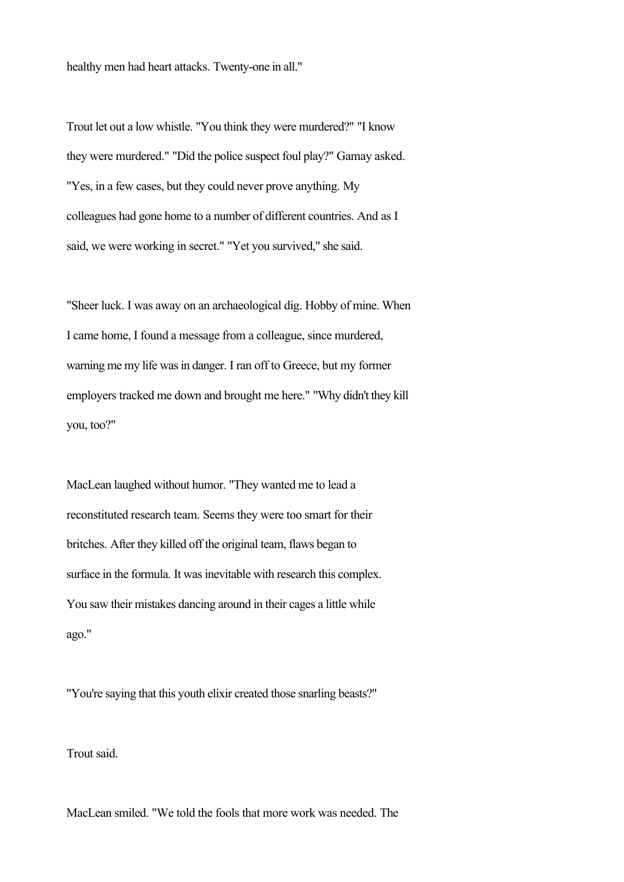healthy men had heart attacks. Twenty-one in all."

 Trout let out a low whistle. "You think they were murdered?" "I know they were murdered." "Did the police suspect foul play?" Gamay asked. "Yes, in a few cases, but they could never prove anything. My colleagues had gone home to a number of different countries. And as I said, we were working in secret." "Yet you survived," she said.

 "Sheer luck. I was away on an archaeological dig. Hobby of mine. When I came home, I found a message from a colleague, since murdered, warning me my life was in danger. I ran off to Greece, but my former employers tracked me down and brought me here." "Why didn't they kill you, too?"

 MacLean laughed without humor. "They wanted me to lead a reconstituted research team. Seems they were too smart for their britches. After they killed off the original team, flaws began to surface in the formula. It was inevitable with research this complex. You saw their mistakes dancing around in their cages a little while ago."

"You're saying that this youth elixir created those snarling beasts?"

Trout said.

MacLean smiled. "We told the fools that more work was needed. The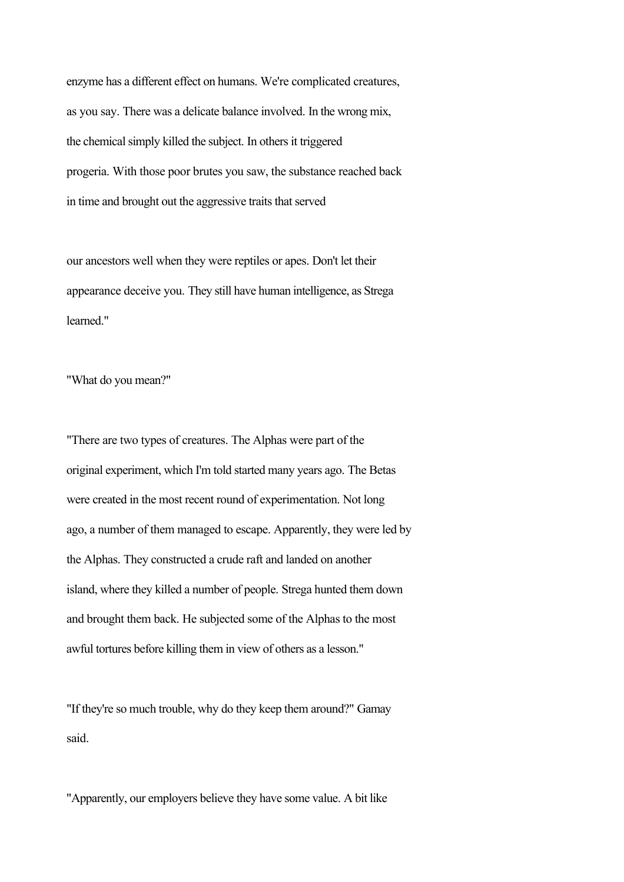enzyme has a different effect on humans. We're complicated creatures, as you say. There was a delicate balance involved. In the wrong mix, the chemical simply killed the subject. In others it triggered progeria. With those poor brutes you saw, the substance reached back in time and brought out the aggressive traits that served

 our ancestors well when they were reptiles or apes. Don't let their appearance deceive you. They still have human intelligence, as Strega learned."

"What do you mean?"

 "There are two types of creatures. The Alphas were part of the original experiment, which I'm told started many years ago. The Betas were created in the most recent round of experimentation. Not long ago, a number of them managed to escape. Apparently, they were led by the Alphas. They constructed a crude raft and landed on another island, where they killed a number of people. Strega hunted them down and brought them back. He subjected some of the Alphas to the most awful tortures before killing them in view of others as a lesson."

 "If they're so much trouble, why do they keep them around?" Gamay said.

"Apparently, our employers believe they have some value. A bit like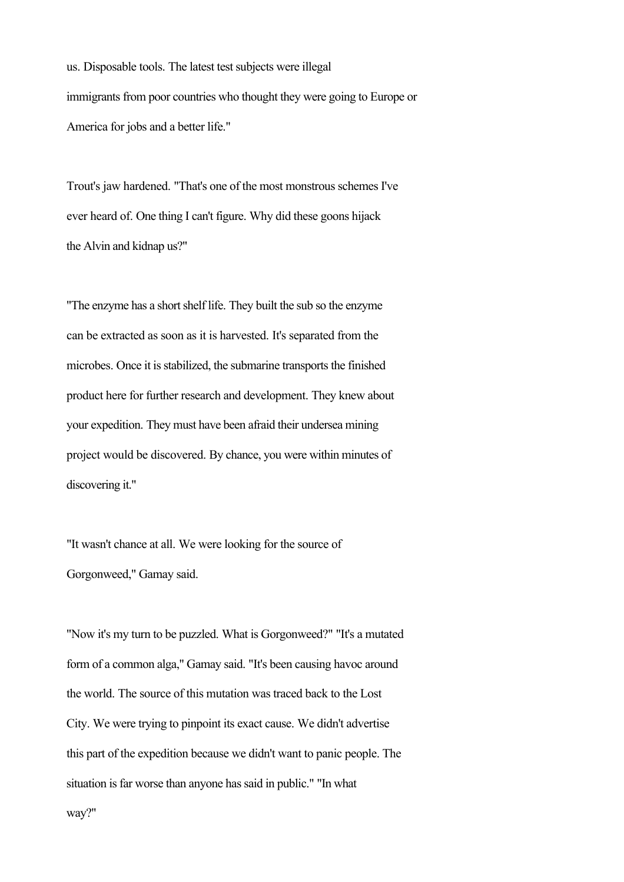us. Disposable tools. The latest test subjects were illegal immigrants from poor countries who thought they were going to Europe or America for jobs and a better life."

 Trout's jaw hardened. "That's one of the most monstrous schemes I've ever heard of. One thing I can't figure. Why did these goons hijack the Alvin and kidnap us?"

 "The enzyme has a short shelf life. They built the sub so the enzyme can be extracted as soon as it is harvested. It's separated from the microbes. Once it is stabilized, the submarine transports the finished product here for further research and development. They knew about your expedition. They must have been afraid their undersea mining project would be discovered. By chance, you were within minutes of discovering it."

 "It wasn't chance at all. We were looking for the source of Gorgonweed," Gamay said.

 "Now it's my turn to be puzzled. What is Gorgonweed?" "It's a mutated form of a common alga," Gamay said. "It's been causing havoc around the world. The source of this mutation was traced back to the Lost City. We were trying to pinpoint its exact cause. We didn't advertise this part of the expedition because we didn't want to panic people. The situation is far worse than anyone has said in public." "In what

way?"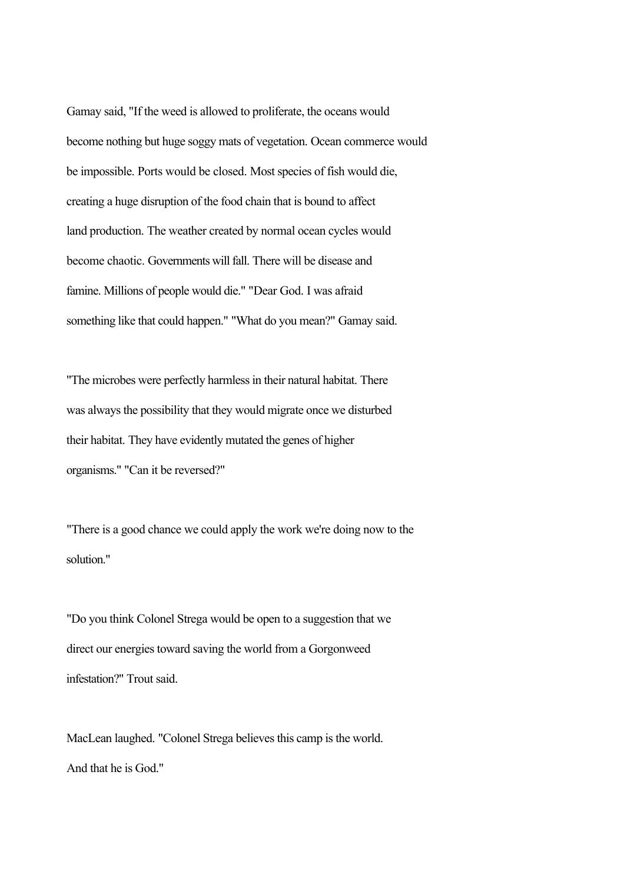Gamay said, "If the weed is allowed to proliferate, the oceans would become nothing but huge soggy mats of vegetation. Ocean commerce would be impossible. Ports would be closed. Most species of fish would die, creating a huge disruption of the food chain that is bound to affect land production. The weather created by normal ocean cycles would become chaotic. Governments will fall. There will be disease and famine. Millions of people would die." "Dear God. I was afraid something like that could happen." "What do you mean?" Gamay said.

 "The microbes were perfectly harmless in their natural habitat. There was always the possibility that they would migrate once we disturbed their habitat. They have evidently mutated the genes of higher organisms." "Can it be reversed?"

 "There is a good chance we could apply the work we're doing now to the solution."

 "Do you think Colonel Strega would be open to a suggestion that we direct our energies toward saving the world from a Gorgonweed infestation?" Trout said.

 MacLean laughed. "Colonel Strega believes this camp is the world. And that he is God."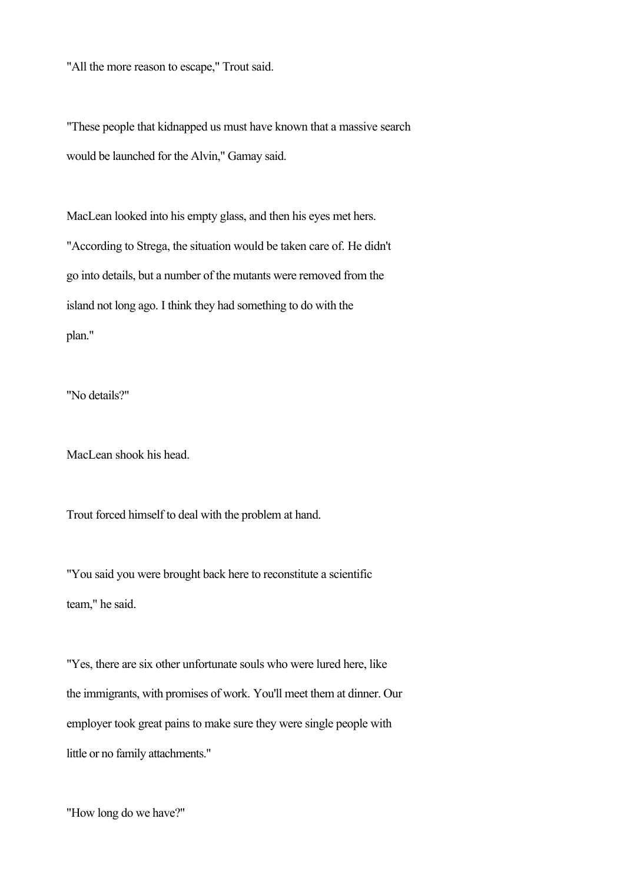"All the more reason to escape," Trout said.

 "These people that kidnapped us must have known that a massive search would be launched for the Alvin," Gamay said.

 MacLean looked into his empty glass, and then his eyes met hers. "According to Strega, the situation would be taken care of. He didn't go into details, but a number of the mutants were removed from the island not long ago. I think they had something to do with the plan."

"No details?"

MacLean shook his head.

Trout forced himself to deal with the problem at hand.

 "You said you were brought back here to reconstitute a scientific team," he said.

 "Yes, there are six other unfortunate souls who were lured here, like the immigrants, with promises of work. You'll meet them at dinner. Our employer took great pains to make sure they were single people with little or no family attachments."

"How long do we have?"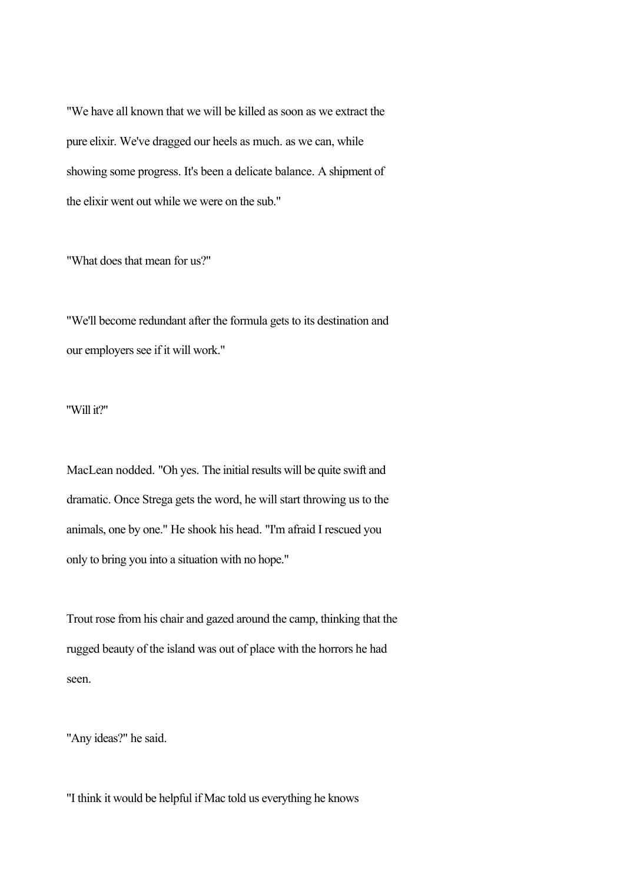"We have all known that we will be killed as soon as we extract the pure elixir. We've dragged our heels as much. as we can, while showing some progress. It's been a delicate balance. A shipment of the elixir went out while we were on the sub."

"What does that mean for us?"

 "We'll become redundant after the formula gets to its destination and our employers see if it will work."

"Will it?"

 MacLean nodded. "Oh yes. The initial results will be quite swift and dramatic. Once Strega gets the word, he will start throwing us to the animals, one by one." He shook his head. "I'm afraid I rescued you only to bring you into a situation with no hope."

 Trout rose from his chair and gazed around the camp, thinking that the rugged beauty of the island was out of place with the horrors he had seen.

"Any ideas?" he said.

"I think it would be helpful if Mac told us everything he knows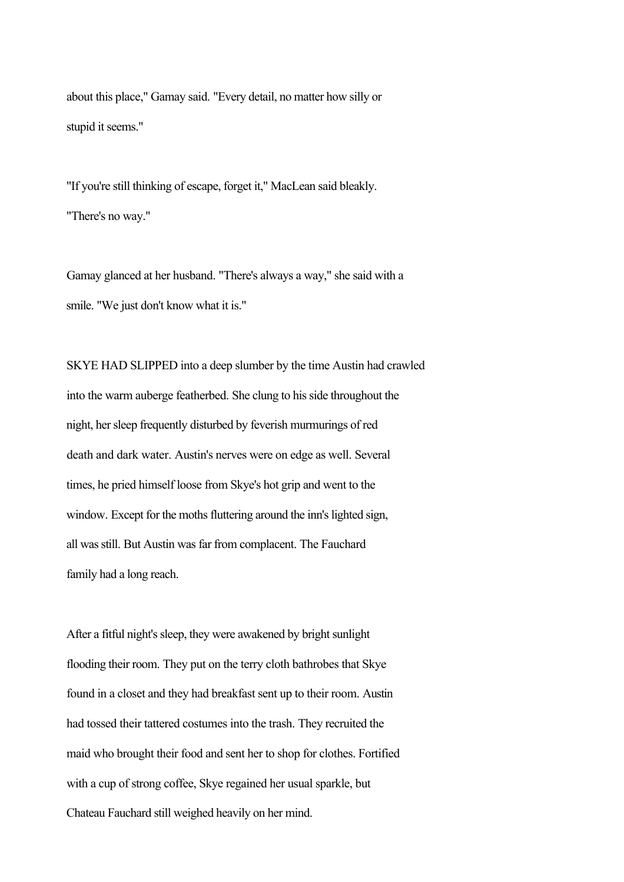about this place," Gamay said. "Every detail, no matter how silly or stupid it seems."

 "If you're still thinking of escape, forget it," MacLean said bleakly. "There's no way."

 Gamay glanced at her husband. "There's always a way," she said with a smile. "We just don't know what it is."

 SKYE HAD SLIPPED into a deep slumber by the time Austin had crawled into the warm auberge featherbed. She clung to his side throughout the night, her sleep frequently disturbed by feverish murmurings of red death and dark water. Austin's nerves were on edge as well. Several times, he pried himself loose from Skye's hot grip and went to the window. Except for the moths fluttering around the inn's lighted sign, all was still. But Austin was far from complacent. The Fauchard family had a long reach.

 After a fitful night's sleep, they were awakened by bright sunlight flooding their room. They put on the terry cloth bathrobes that Skye found in a closet and they had breakfast sent up to their room. Austin had tossed their tattered costumes into the trash. They recruited the maid who brought their food and sent her to shop for clothes. Fortified with a cup of strong coffee, Skye regained her usual sparkle, but Chateau Fauchard still weighed heavily on her mind.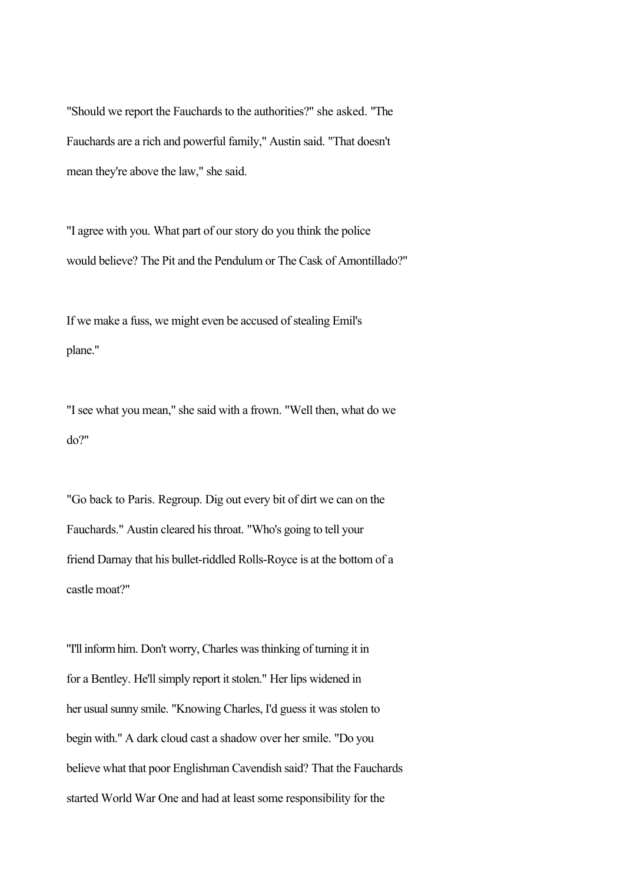"Should we report the Fauchards to the authorities?" she asked. "The Fauchards are a rich and powerful family," Austin said. "That doesn't mean they're above the law," she said.

 "I agree with you. What part of our story do you think the police would believe? The Pit and the Pendulum or The Cask of Amontillado?"

 If we make a fuss, we might even be accused of stealing Emil's plane."

 "I see what you mean," she said with a frown. "Well then, what do we do?"

 "Go back to Paris. Regroup. Dig out every bit of dirt we can on the Fauchards." Austin cleared his throat. "Who's going to tell your friend Darnay that his bullet-riddled Rolls-Royce is at the bottom of a castle moat?"

 "I'll inform him. Don't worry, Charles was thinking of turning it in for a Bentley. He'll simply report it stolen." Her lips widened in her usual sunny smile. "Knowing Charles, I'd guess it was stolen to begin with." A dark cloud cast a shadow over her smile. "Do you believe what that poor Englishman Cavendish said? That the Fauchards started World War One and had at least some responsibility for the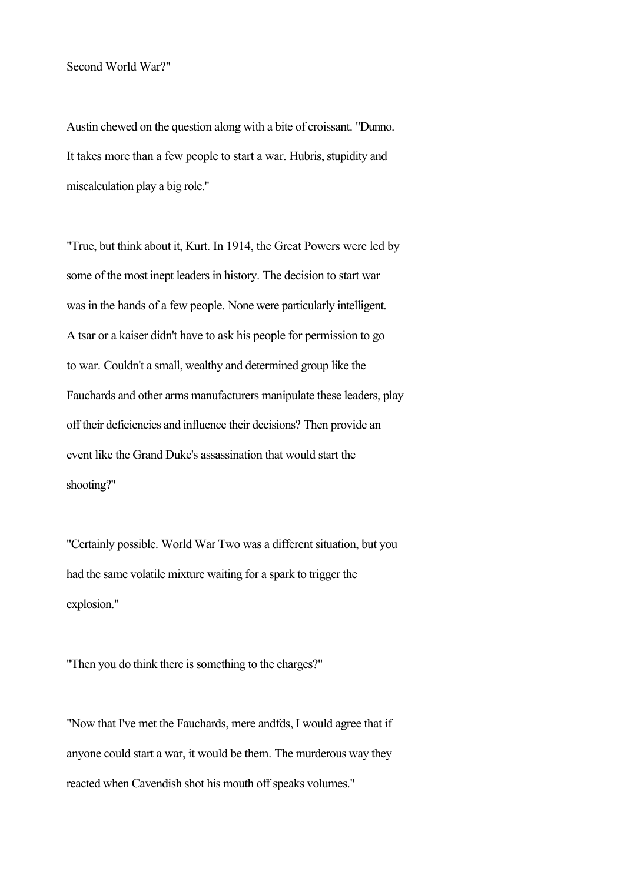Austin chewed on the question along with a bite of croissant. "Dunno. It takes more than a few people to start a war. Hubris, stupidity and miscalculation play a big role."

 "True, but think about it, Kurt. In 1914, the Great Powers were led by some of the most inept leaders in history. The decision to start war was in the hands of a few people. None were particularly intelligent. A tsar or a kaiser didn't have to ask his people for permission to go to war. Couldn't a small, wealthy and determined group like the Fauchards and other arms manufacturers manipulate these leaders, play off their deficiencies and influence their decisions? Then provide an event like the Grand Duke's assassination that would start the shooting?"

 "Certainly possible. World War Two was a different situation, but you had the same volatile mixture waiting for a spark to trigger the explosion."

"Then you do think there is something to the charges?"

 "Now that I've met the Fauchards, mere andfds, I would agree that if anyone could start a war, it would be them. The murderous way they reacted when Cavendish shot his mouth off speaks volumes."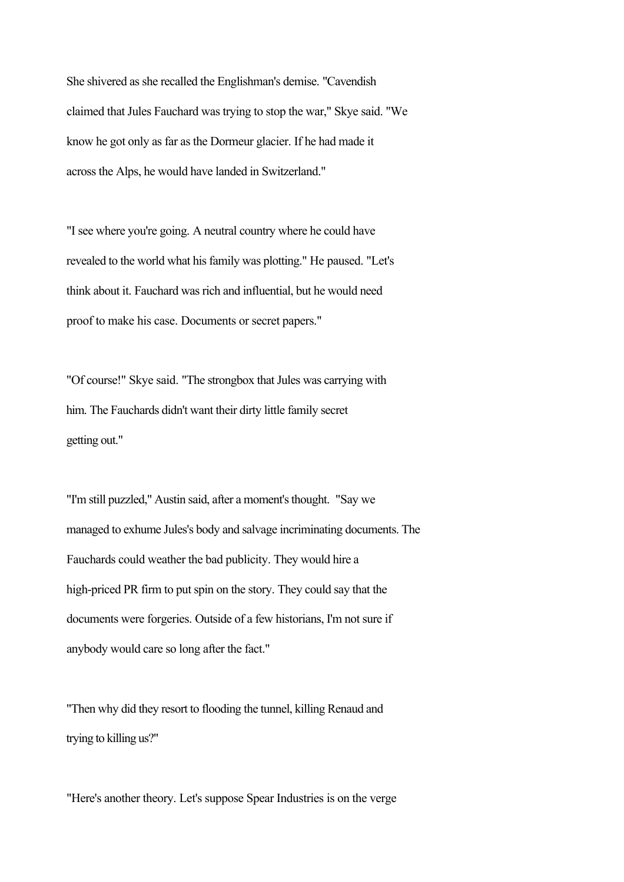She shivered as she recalled the Englishman's demise. "Cavendish claimed that Jules Fauchard was trying to stop the war," Skye said. "We know he got only as far as the Dormeur glacier. If he had made it across the Alps, he would have landed in Switzerland."

 "I see where you're going. A neutral country where he could have revealed to the world what his family was plotting." He paused. "Let's think about it. Fauchard was rich and influential, but he would need proof to make his case. Documents or secret papers."

 "Of course!" Skye said. "The strongbox that Jules was carrying with him. The Fauchards didn't want their dirty little family secret getting out."

 "I'm still puzzled," Austin said, after a moment's thought. "Say we managed to exhume Jules's body and salvage incriminating documents. The Fauchards could weather the bad publicity. They would hire a high-priced PR firm to put spin on the story. They could say that the documents were forgeries. Outside of a few historians, I'm not sure if anybody would care so long after the fact."

 "Then why did they resort to flooding the tunnel, killing Renaud and trying to killing us?"

"Here's another theory. Let's suppose Spear Industries is on the verge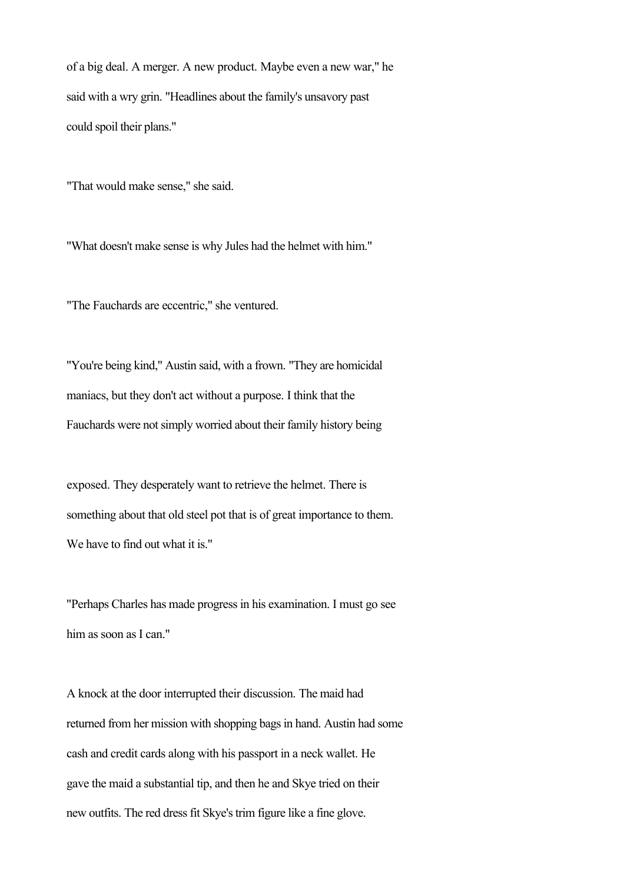of a big deal. A merger. A new product. Maybe even a new war," he said with a wry grin. "Headlines about the family's unsavory past could spoil their plans."

"That would make sense," she said.

"What doesn't make sense is why Jules had the helmet with him."

"The Fauchards are eccentric," she ventured.

 "You're being kind," Austin said, with a frown. "They are homicidal maniacs, but they don't act without a purpose. I think that the Fauchards were not simply worried about their family history being

 exposed. They desperately want to retrieve the helmet. There is something about that old steel pot that is of great importance to them. We have to find out what it is."

 "Perhaps Charles has made progress in his examination. I must go see him as soon as I can."

 A knock at the door interrupted their discussion. The maid had returned from her mission with shopping bags in hand. Austin had some cash and credit cards along with his passport in a neck wallet. He gave the maid a substantial tip, and then he and Skye tried on their new outfits. The red dress fit Skye's trim figure like a fine glove.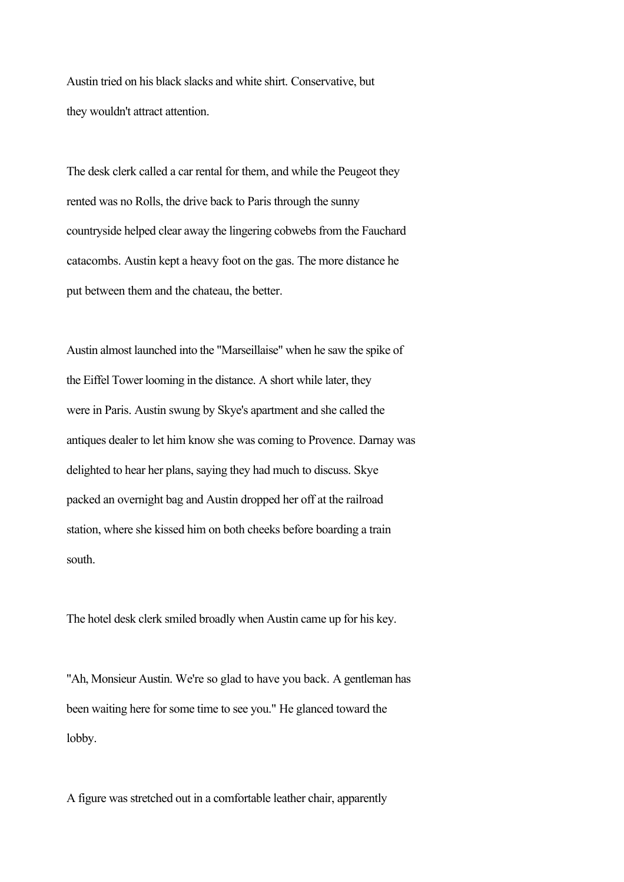Austin tried on his black slacks and white shirt. Conservative, but they wouldn't attract attention.

 The desk clerk called a car rental for them, and while the Peugeot they rented was no Rolls, the drive back to Paris through the sunny countryside helped clear away the lingering cobwebs from the Fauchard catacombs. Austin kept a heavy foot on the gas. The more distance he put between them and the chateau, the better.

 Austin almost launched into the "Marseillaise" when he saw the spike of the Eiffel Tower looming in the distance. A short while later, they were in Paris. Austin swung by Skye's apartment and she called the antiques dealer to let him know she was coming to Provence. Darnay was delighted to hear her plans, saying they had much to discuss. Skye packed an overnight bag and Austin dropped her off at the railroad station, where she kissed him on both cheeks before boarding a train south.

The hotel desk clerk smiled broadly when Austin came up for his key.

 "Ah, Monsieur Austin. We're so glad to have you back. A gentleman has been waiting here for some time to see you." He glanced toward the lobby.

A figure was stretched out in a comfortable leather chair, apparently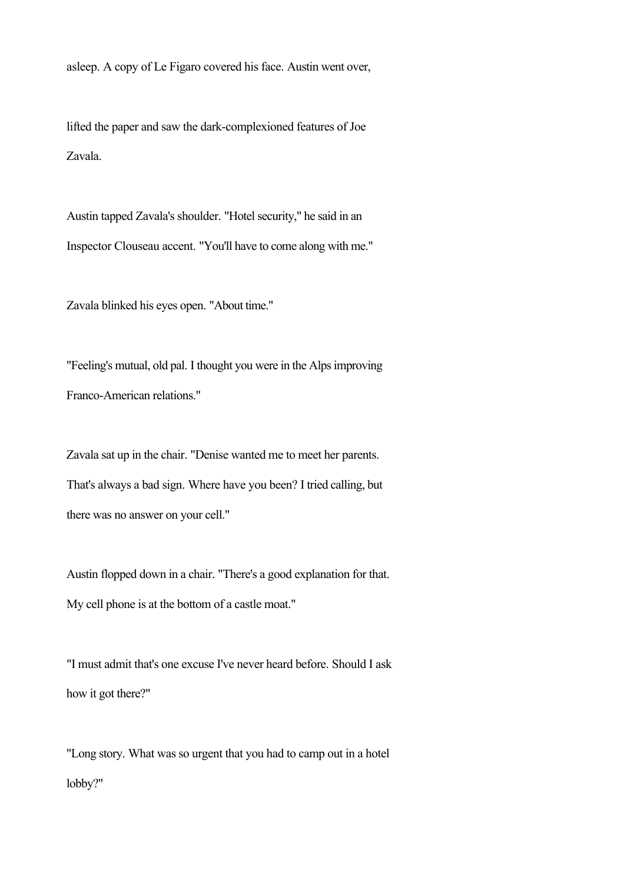asleep. A copy of Le Figaro covered his face. Austin went over,

 lifted the paper and saw the dark-complexioned features of Joe Zavala.

 Austin tapped Zavala's shoulder. "Hotel security," he said in an Inspector Clouseau accent. "You'll have to come along with me."

Zavala blinked his eyes open. "About time."

 "Feeling's mutual, old pal. I thought you were in the Alps improving Franco-American relations."

 Zavala sat up in the chair. "Denise wanted me to meet her parents. That's always a bad sign. Where have you been? I tried calling, but there was no answer on your cell."

 Austin flopped down in a chair. "There's a good explanation for that. My cell phone is at the bottom of a castle moat."

 "I must admit that's one excuse I've never heard before. Should I ask how it got there?"

 "Long story. What was so urgent that you had to camp out in a hotel lobby?"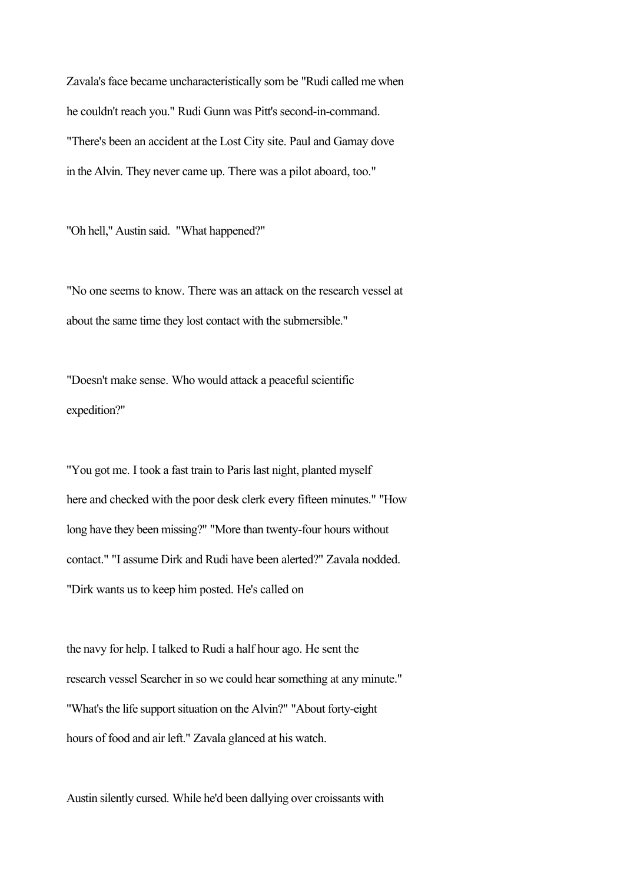Zavala's face became uncharacteristically som be "Rudi called me when he couldn't reach you." Rudi Gunn was Pitt's second-in-command. "There's been an accident at the Lost City site. Paul and Gamay dove in the Alvin. They never came up. There was a pilot aboard, too."

"Oh hell," Austin said. "What happened?"

 "No one seems to know. There was an attack on the research vessel at about the same time they lost contact with the submersible."

 "Doesn't make sense. Who would attack a peaceful scientific expedition?"

 "You got me. I took a fast train to Paris last night, planted myself here and checked with the poor desk clerk every fifteen minutes." "How long have they been missing?" "More than twenty-four hours without contact." "I assume Dirk and Rudi have been alerted?" Zavala nodded. "Dirk wants us to keep him posted. He's called on

 the navy for help. I talked to Rudi a half hour ago. He sent the research vessel Searcher in so we could hear something at any minute." "What's the life support situation on the Alvin?" "About forty-eight hours of food and air left." Zavala glanced at his watch.

Austin silently cursed. While he'd been dallying over croissants with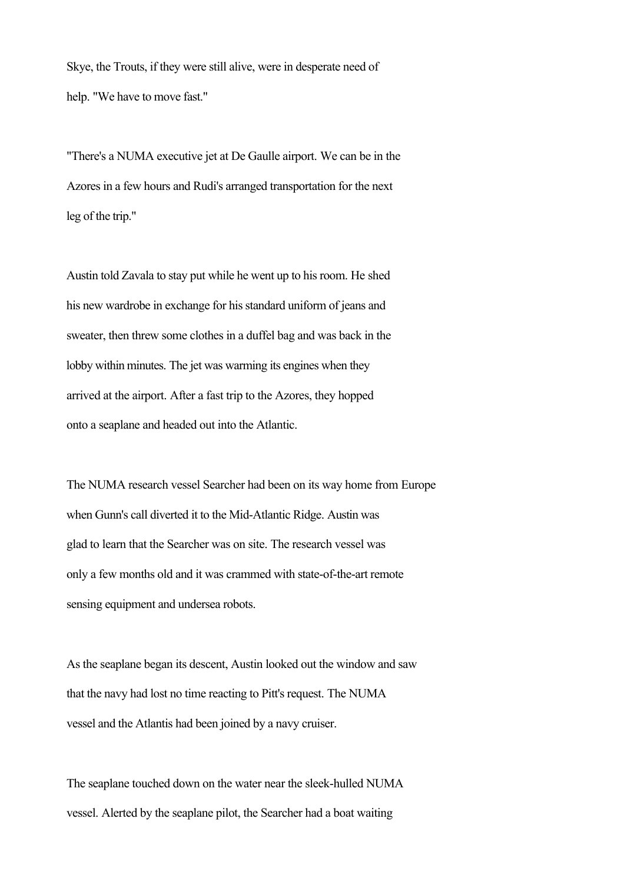Skye, the Trouts, if they were still alive, were in desperate need of help. "We have to move fast."

 "There's a NUMA executive jet at De Gaulle airport. We can be in the Azores in a few hours and Rudi's arranged transportation for the next leg of the trip."

 Austin told Zavala to stay put while he went up to his room. He shed his new wardrobe in exchange for his standard uniform of jeans and sweater, then threw some clothes in a duffel bag and was back in the lobby within minutes. The jet was warming its engines when they arrived at the airport. After a fast trip to the Azores, they hopped onto a seaplane and headed out into the Atlantic.

 The NUMA research vessel Searcher had been on its way home from Europe when Gunn's call diverted it to the Mid-Atlantic Ridge. Austin was glad to learn that the Searcher was on site. The research vessel was only a few months old and it was crammed with state-of-the-art remote sensing equipment and undersea robots.

 As the seaplane began its descent, Austin looked out the window and saw that the navy had lost no time reacting to Pitt's request. The NUMA vessel and the Atlantis had been joined by a navy cruiser.

 The seaplane touched down on the water near the sleek-hulled NUMA vessel. Alerted by the seaplane pilot, the Searcher had a boat waiting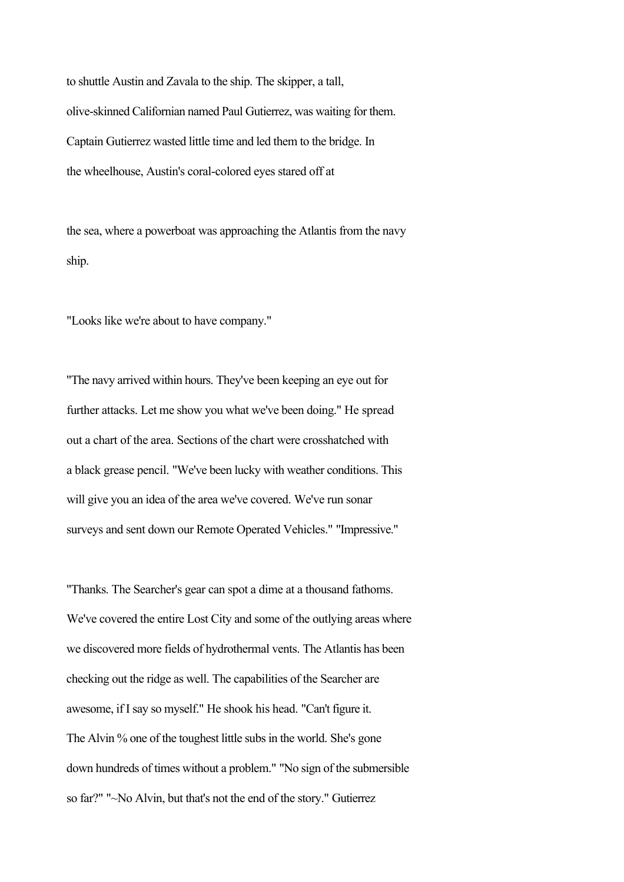to shuttle Austin and Zavala to the ship. The skipper, a tall, olive-skinned Californian named Paul Gutierrez, was waiting for them. Captain Gutierrez wasted little time and led them to the bridge. In the wheelhouse, Austin's coral-colored eyes stared off at

 the sea, where a powerboat was approaching the Atlantis from the navy ship.

"Looks like we're about to have company."

 "The navy arrived within hours. They've been keeping an eye out for further attacks. Let me show you what we've been doing." He spread out a chart of the area. Sections of the chart were crosshatched with a black grease pencil. "We've been lucky with weather conditions. This will give you an idea of the area we've covered. We've run sonar surveys and sent down our Remote Operated Vehicles." "Impressive."

 "Thanks. The Searcher's gear can spot a dime at a thousand fathoms. We've covered the entire Lost City and some of the outlying areas where we discovered more fields of hydrothermal vents. The Atlantis has been checking out the ridge as well. The capabilities of the Searcher are awesome, if I say so myself." He shook his head. "Can't figure it. The Alvin % one of the toughest little subs in the world. She's gone down hundreds of times without a problem." "No sign of the submersible so far?" "~No Alvin, but that's not the end of the story." Gutierrez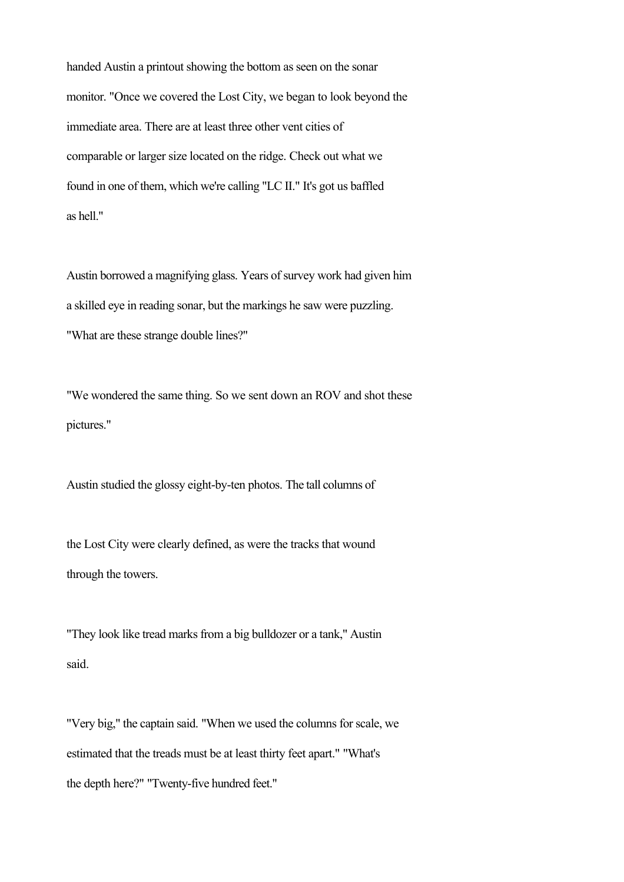handed Austin a printout showing the bottom as seen on the sonar monitor. "Once we covered the Lost City, we began to look beyond the immediate area. There are at least three other vent cities of comparable or larger size located on the ridge. Check out what we found in one of them, which we're calling "LC II." It's got us baffled as hell."

 Austin borrowed a magnifying glass. Years of survey work had given him a skilled eye in reading sonar, but the markings he saw were puzzling. "What are these strange double lines?"

 "We wondered the same thing. So we sent down an ROV and shot these pictures."

Austin studied the glossy eight-by-ten photos. The tall columns of

 the Lost City were clearly defined, as were the tracks that wound through the towers.

 "They look like tread marks from a big bulldozer or a tank," Austin said.

 "Very big," the captain said. "When we used the columns for scale, we estimated that the treads must be at least thirty feet apart." "What's the depth here?" "Twenty-five hundred feet."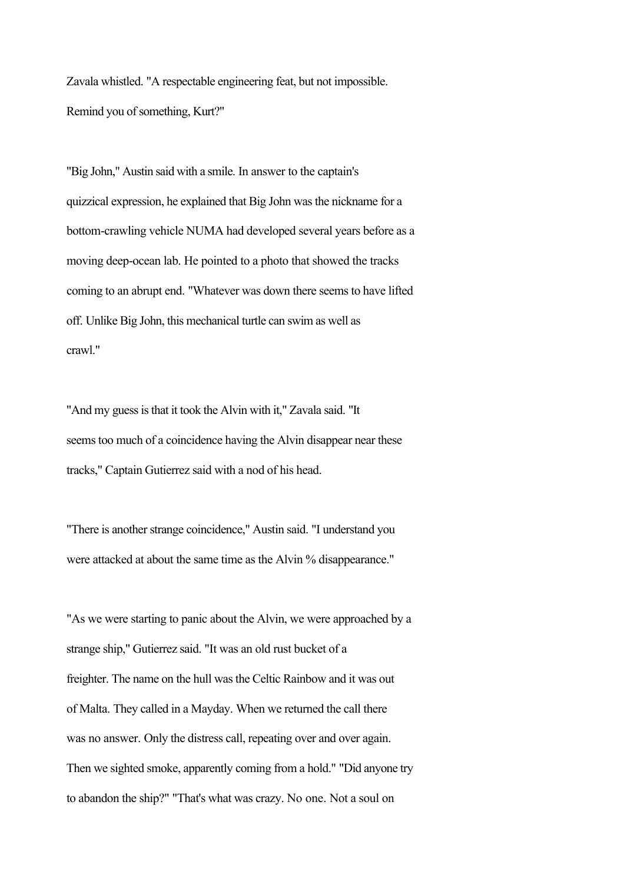Zavala whistled. "A respectable engineering feat, but not impossible. Remind you of something, Kurt?"

 "Big John," Austin said with a smile. In answer to the captain's quizzical expression, he explained that Big John was the nickname for a bottom-crawling vehicle NUMA had developed several years before as a moving deep-ocean lab. He pointed to a photo that showed the tracks coming to an abrupt end. "Whatever was down there seems to have lifted off. Unlike Big John, this mechanical turtle can swim as well as crawl"

 "And my guess is that it took the Alvin with it," Zavala said. "It seems too much of a coincidence having the Alvin disappear near these tracks," Captain Gutierrez said with a nod of his head.

 "There is another strange coincidence," Austin said. "I understand you were attacked at about the same time as the Alvin % disappearance."

 "As we were starting to panic about the Alvin, we were approached by a strange ship," Gutierrez said. "It was an old rust bucket of a freighter. The name on the hull was the Celtic Rainbow and it was out of Malta. They called in a Mayday. When we returned the call there was no answer. Only the distress call, repeating over and over again. Then we sighted smoke, apparently coming from a hold." "Did anyone try to abandon the ship?" "That's what was crazy. No one. Not a soul on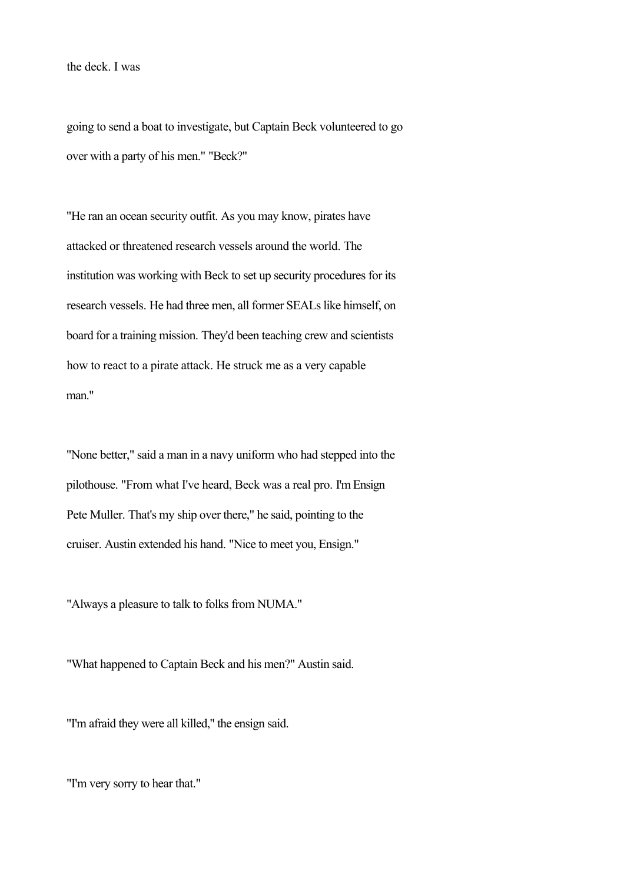the deck. I was

 going to send a boat to investigate, but Captain Beck volunteered to go over with a party of his men." "Beck?"

 "He ran an ocean security outfit. As you may know, pirates have attacked or threatened research vessels around the world. The institution was working with Beck to set up security procedures for its research vessels. He had three men, all former SEALs like himself, on board for a training mission. They'd been teaching crew and scientists how to react to a pirate attack. He struck me as a very capable man."

 "None better," said a man in a navy uniform who had stepped into the pilothouse. "From what I've heard, Beck was a real pro. I'm Ensign Pete Muller. That's my ship over there," he said, pointing to the cruiser. Austin extended his hand. "Nice to meet you, Ensign."

"Always a pleasure to talk to folks from NUMA."

"What happened to Captain Beck and his men?" Austin said.

"I'm afraid they were all killed," the ensign said.

"I'm very sorry to hear that."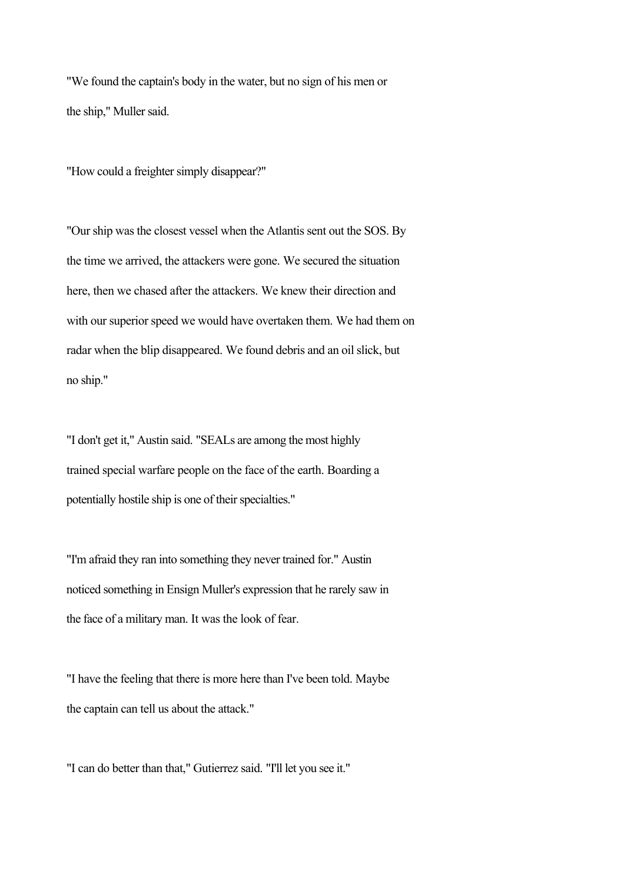"We found the captain's body in the water, but no sign of his men or the ship," Muller said.

"How could a freighter simply disappear?"

 "Our ship was the closest vessel when the Atlantis sent out the SOS. By the time we arrived, the attackers were gone. We secured the situation here, then we chased after the attackers. We knew their direction and with our superior speed we would have overtaken them. We had them on radar when the blip disappeared. We found debris and an oil slick, but no ship."

 "I don't get it," Austin said. "SEALs are among the most highly trained special warfare people on the face of the earth. Boarding a potentially hostile ship is one of their specialties."

 "I'm afraid they ran into something they never trained for." Austin noticed something in Ensign Muller's expression that he rarely saw in the face of a military man. It was the look of fear.

 "I have the feeling that there is more here than I've been told. Maybe the captain can tell us about the attack."

"I can do better than that," Gutierrez said. "I'll let you see it."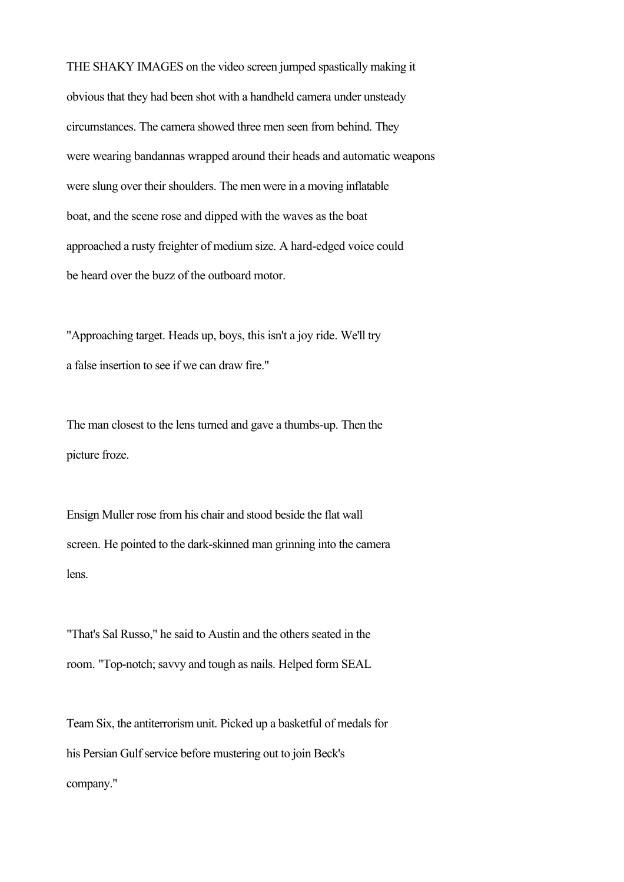THE SHAKY IMAGES on the video screen jumped spastically making it obvious that they had been shot with a handheld camera under unsteady circumstances. The camera showed three men seen from behind. They were wearing bandannas wrapped around their heads and automatic weapons were slung over their shoulders. The men were in a moving inflatable boat, and the scene rose and dipped with the waves as the boat approached a rusty freighter of medium size. A hard-edged voice could be heard over the buzz of the outboard motor.

 "Approaching target. Heads up, boys, this isn't a joy ride. We'll try a false insertion to see if we can draw fire."

 The man closest to the lens turned and gave a thumbs-up. Then the picture froze.

 Ensign Muller rose from his chair and stood beside the flat wall screen. He pointed to the dark-skinned man grinning into the camera lens.

 "That's Sal Russo," he said to Austin and the others seated in the room. "Top-notch; savvy and tough as nails. Helped form SEAL

 Team Six, the antiterrorism unit. Picked up a basketful of medals for his Persian Gulf service before mustering out to join Beck's company."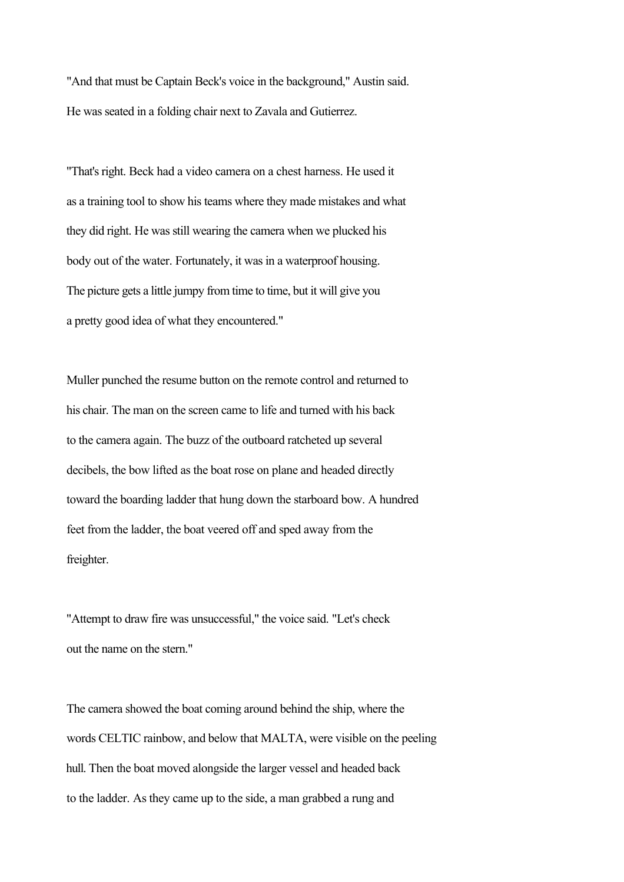"And that must be Captain Beck's voice in the background," Austin said. He was seated in a folding chair next to Zavala and Gutierrez.

 "That's right. Beck had a video camera on a chest harness. He used it as a training tool to show his teams where they made mistakes and what they did right. He was still wearing the camera when we plucked his body out of the water. Fortunately, it was in a waterproof housing. The picture gets a little jumpy from time to time, but it will give you a pretty good idea of what they encountered."

 Muller punched the resume button on the remote control and returned to his chair. The man on the screen came to life and turned with his back to the camera again. The buzz of the outboard ratcheted up several decibels, the bow lifted as the boat rose on plane and headed directly toward the boarding ladder that hung down the starboard bow. A hundred feet from the ladder, the boat veered off and sped away from the freighter.

 "Attempt to draw fire was unsuccessful," the voice said. "Let's check out the name on the stern."

 The camera showed the boat coming around behind the ship, where the words CELTIC rainbow, and below that MALTA, were visible on the peeling hull. Then the boat moved alongside the larger vessel and headed back to the ladder. As they came up to the side, a man grabbed a rung and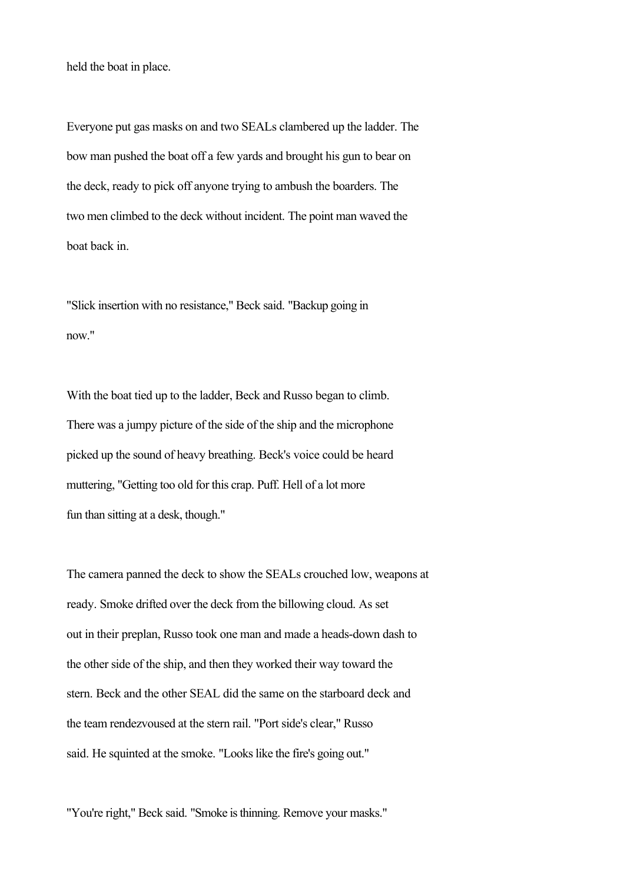held the boat in place.

 Everyone put gas masks on and two SEALs clambered up the ladder. The bow man pushed the boat off a few yards and brought his gun to bear on the deck, ready to pick off anyone trying to ambush the boarders. The two men climbed to the deck without incident. The point man waved the boat back in.

 "Slick insertion with no resistance," Beck said. "Backup going in now."

 With the boat tied up to the ladder, Beck and Russo began to climb. There was a jumpy picture of the side of the ship and the microphone picked up the sound of heavy breathing. Beck's voice could be heard muttering, "Getting too old for this crap. Puff. Hell of a lot more fun than sitting at a desk, though."

 The camera panned the deck to show the SEALs crouched low, weapons at ready. Smoke drifted over the deck from the billowing cloud. As set out in their preplan, Russo took one man and made a heads-down dash to the other side of the ship, and then they worked their way toward the stern. Beck and the other SEAL did the same on the starboard deck and the team rendezvoused at the stern rail. "Port side's clear," Russo said. He squinted at the smoke. "Looks like the fire's going out."

"You're right," Beck said. "Smoke is thinning. Remove your masks."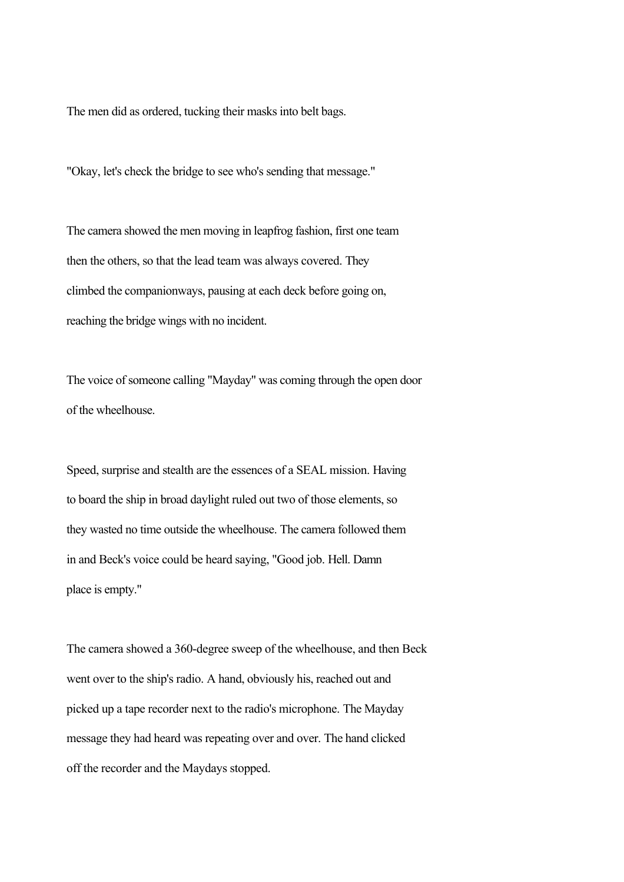The men did as ordered, tucking their masks into belt bags.

"Okay, let's check the bridge to see who's sending that message."

 The camera showed the men moving in leapfrog fashion, first one team then the others, so that the lead team was always covered. They climbed the companionways, pausing at each deck before going on, reaching the bridge wings with no incident.

 The voice of someone calling "Mayday" was coming through the open door of the wheelhouse.

 Speed, surprise and stealth are the essences of a SEAL mission. Having to board the ship in broad daylight ruled out two of those elements, so they wasted no time outside the wheelhouse. The camera followed them in and Beck's voice could be heard saying, "Good job. Hell. Damn place is empty."

 The camera showed a 360-degree sweep of the wheelhouse, and then Beck went over to the ship's radio. A hand, obviously his, reached out and picked up a tape recorder next to the radio's microphone. The Mayday message they had heard was repeating over and over. The hand clicked off the recorder and the Maydays stopped.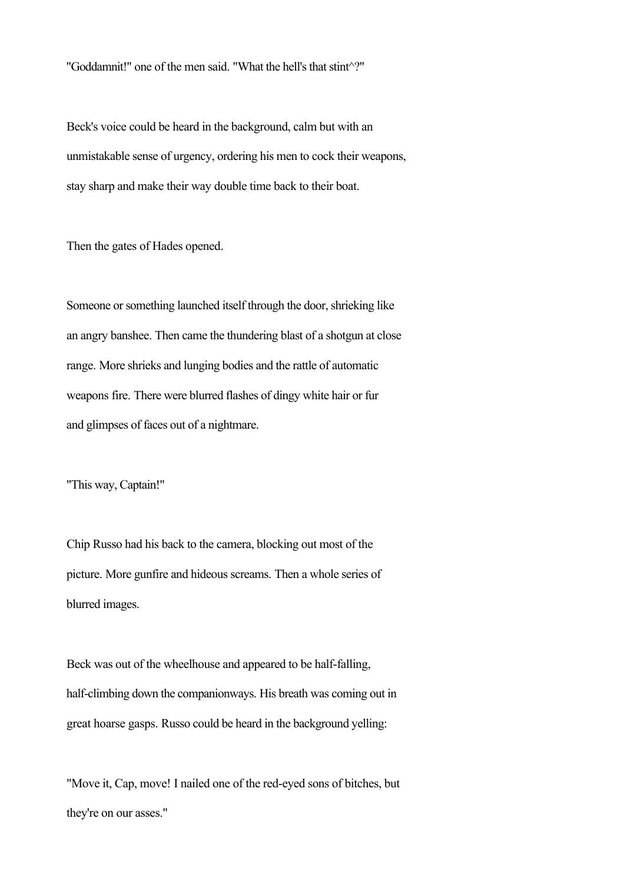"Goddamnit!" one of the men said. "What the hell's that stint^?"

 Beck's voice could be heard in the background, calm but with an unmistakable sense of urgency, ordering his men to cock their weapons, stay sharp and make their way double time back to their boat.

Then the gates of Hades opened.

 Someone or something launched itself through the door, shrieking like an angry banshee. Then came the thundering blast of a shotgun at close range. More shrieks and lunging bodies and the rattle of automatic weapons fire. There were blurred flashes of dingy white hair or fur and glimpses of faces out of a nightmare.

"This way, Captain!"

 Chip Russo had his back to the camera, blocking out most of the picture. More gunfire and hideous screams. Then a whole series of blurred images.

 Beck was out of the wheelhouse and appeared to be half-falling, half-climbing down the companionways. His breath was coming out in great hoarse gasps. Russo could be heard in the background yelling:

 "Move it, Cap, move! I nailed one of the red-eyed sons of bitches, but they're on our asses."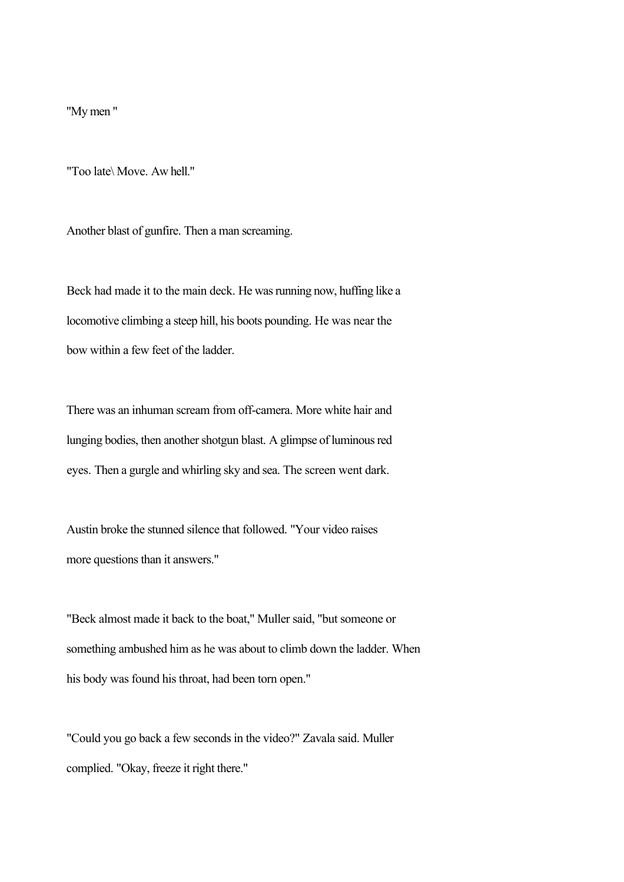"My men "

"Too late\ Move. Aw hell."

Another blast of gunfire. Then a man screaming.

 Beck had made it to the main deck. He was running now, huffing like a locomotive climbing a steep hill, his boots pounding. He was near the bow within a few feet of the ladder.

 There was an inhuman scream from off-camera. More white hair and lunging bodies, then another shotgun blast. A glimpse of luminous red eyes. Then a gurgle and whirling sky and sea. The screen went dark.

 Austin broke the stunned silence that followed. "Your video raises more questions than it answers."

 "Beck almost made it back to the boat," Muller said, "but someone or something ambushed him as he was about to climb down the ladder. When his body was found his throat, had been torn open."

 "Could you go back a few seconds in the video?" Zavala said. Muller complied. "Okay, freeze it right there."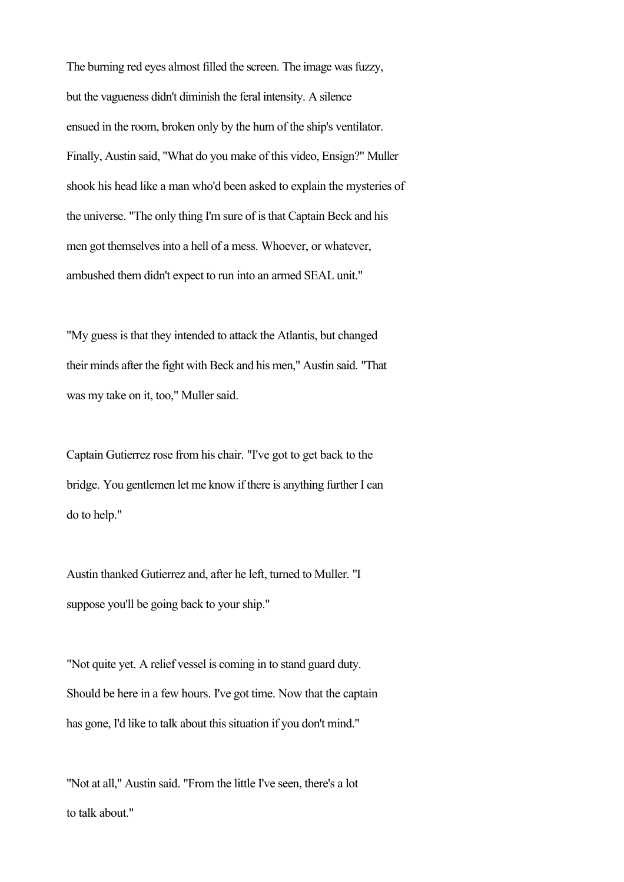The burning red eyes almost filled the screen. The image was fuzzy, but the vagueness didn't diminish the feral intensity. A silence ensued in the room, broken only by the hum of the ship's ventilator. Finally, Austin said, "What do you make of this video, Ensign?" Muller shook his head like a man who'd been asked to explain the mysteries of the universe. "The only thing I'm sure of is that Captain Beck and his men got themselves into a hell of a mess. Whoever, or whatever, ambushed them didn't expect to run into an armed SEAL unit."

 "My guess is that they intended to attack the Atlantis, but changed their minds after the fight with Beck and his men," Austin said. "That was my take on it, too," Muller said.

 Captain Gutierrez rose from his chair. "I've got to get back to the bridge. You gentlemen let me know if there is anything further I can do to help."

 Austin thanked Gutierrez and, after he left, turned to Muller. "I suppose you'll be going back to your ship."

 "Not quite yet. A relief vessel is coming in to stand guard duty. Should be here in a few hours. I've got time. Now that the captain has gone, I'd like to talk about this situation if you don't mind."

 "Not at all," Austin said. "From the little I've seen, there's a lot to talk about."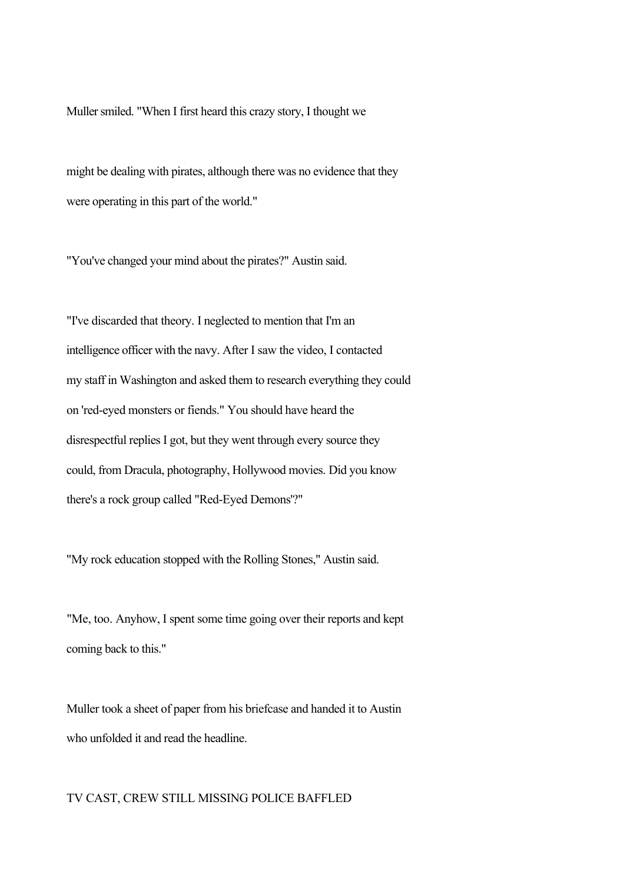Muller smiled. "When I first heard this crazy story, I thought we

 might be dealing with pirates, although there was no evidence that they were operating in this part of the world."

"You've changed your mind about the pirates?" Austin said.

 "I've discarded that theory. I neglected to mention that I'm an intelligence officer with the navy. After I saw the video, I contacted my staff in Washington and asked them to research everything they could on 'red-eyed monsters or fiends." You should have heard the disrespectful replies I got, but they went through every source they could, from Dracula, photography, Hollywood movies. Did you know there's a rock group called "Red-Eyed Demons'?"

"My rock education stopped with the Rolling Stones," Austin said.

 "Me, too. Anyhow, I spent some time going over their reports and kept coming back to this."

 Muller took a sheet of paper from his briefcase and handed it to Austin who unfolded it and read the headline.

## TV CAST, CREW STILL MISSING POLICE BAFFLED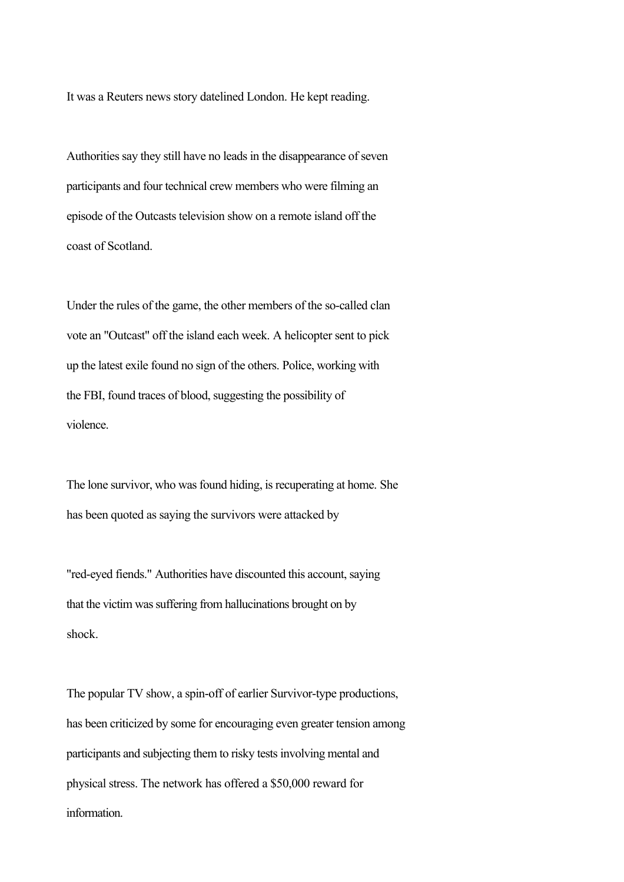It was a Reuters news story datelined London. He kept reading.

 Authorities say they still have no leads in the disappearance of seven participants and four technical crew members who were filming an episode of the Outcasts television show on a remote island off the coast of Scotland.

 Under the rules of the game, the other members of the so-called clan vote an "Outcast" off the island each week. A helicopter sent to pick up the latest exile found no sign of the others. Police, working with the FBI, found traces of blood, suggesting the possibility of violence.

 The lone survivor, who was found hiding, is recuperating at home. She has been quoted as saying the survivors were attacked by

 "red-eyed fiends." Authorities have discounted this account, saying that the victim was suffering from hallucinations brought on by shock.

 The popular TV show, a spin-off of earlier Survivor-type productions, has been criticized by some for encouraging even greater tension among participants and subjecting them to risky tests involving mental and physical stress. The network has offered a \$50,000 reward for information.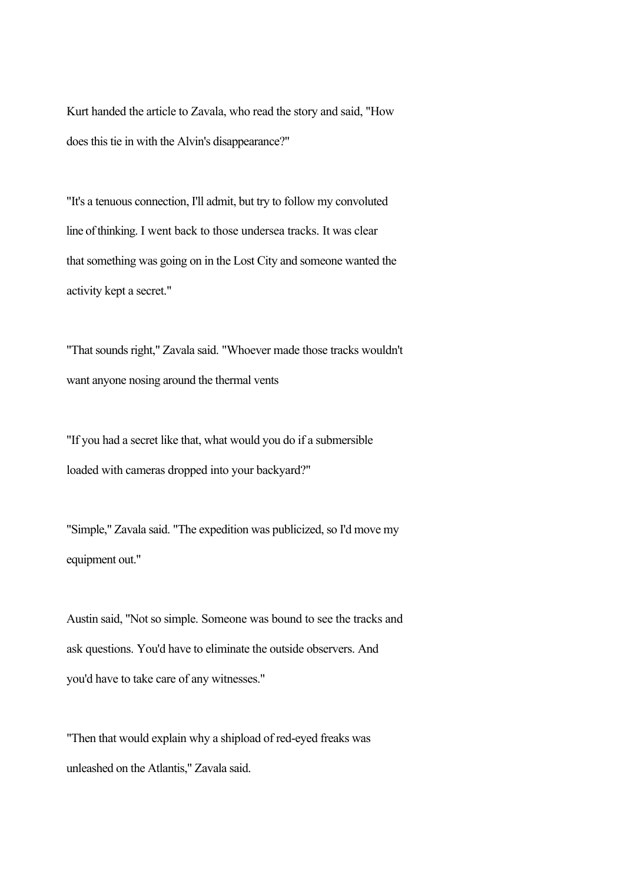Kurt handed the article to Zavala, who read the story and said, "How does this tie in with the Alvin's disappearance?"

 "It's a tenuous connection, I'll admit, but try to follow my convoluted line of thinking. I went back to those undersea tracks. It was clear that something was going on in the Lost City and someone wanted the activity kept a secret."

 "That sounds right," Zavala said. "Whoever made those tracks wouldn't want anyone nosing around the thermal vents

 "If you had a secret like that, what would you do if a submersible loaded with cameras dropped into your backyard?"

 "Simple," Zavala said. "The expedition was publicized, so I'd move my equipment out."

 Austin said, "Not so simple. Someone was bound to see the tracks and ask questions. You'd have to eliminate the outside observers. And you'd have to take care of any witnesses."

 "Then that would explain why a shipload of red-eyed freaks was unleashed on the Atlantis," Zavala said.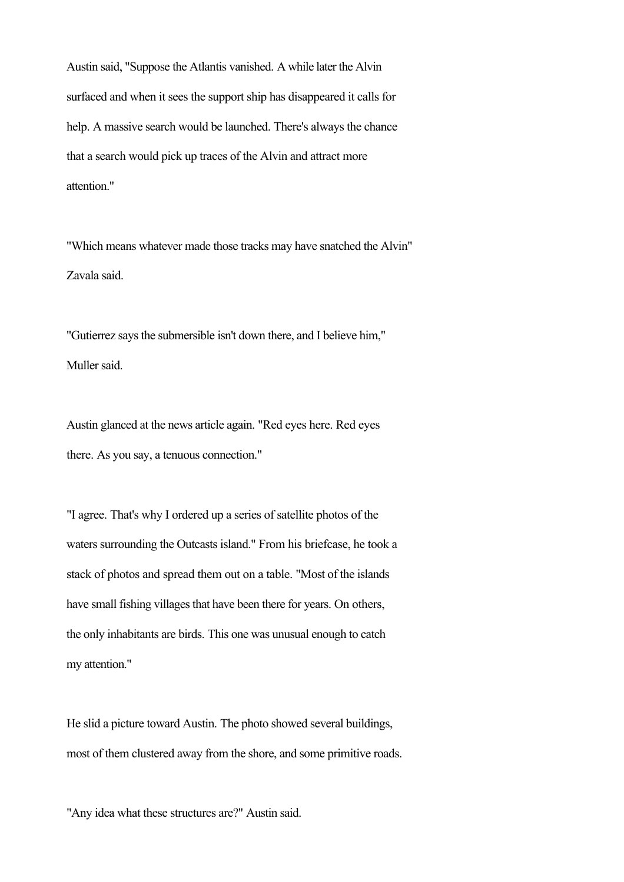Austin said, "Suppose the Atlantis vanished. A while later the Alvin surfaced and when it sees the support ship has disappeared it calls for help. A massive search would be launched. There's always the chance that a search would pick up traces of the Alvin and attract more attention."

 "Which means whatever made those tracks may have snatched the Alvin" Zavala said.

 "Gutierrez says the submersible isn't down there, and I believe him," Muller said.

 Austin glanced at the news article again. "Red eyes here. Red eyes there. As you say, a tenuous connection."

 "I agree. That's why I ordered up a series of satellite photos of the waters surrounding the Outcasts island." From his briefcase, he took a stack of photos and spread them out on a table. "Most of the islands have small fishing villages that have been there for years. On others, the only inhabitants are birds. This one was unusual enough to catch my attention."

 He slid a picture toward Austin. The photo showed several buildings, most of them clustered away from the shore, and some primitive roads.

"Any idea what these structures are?" Austin said.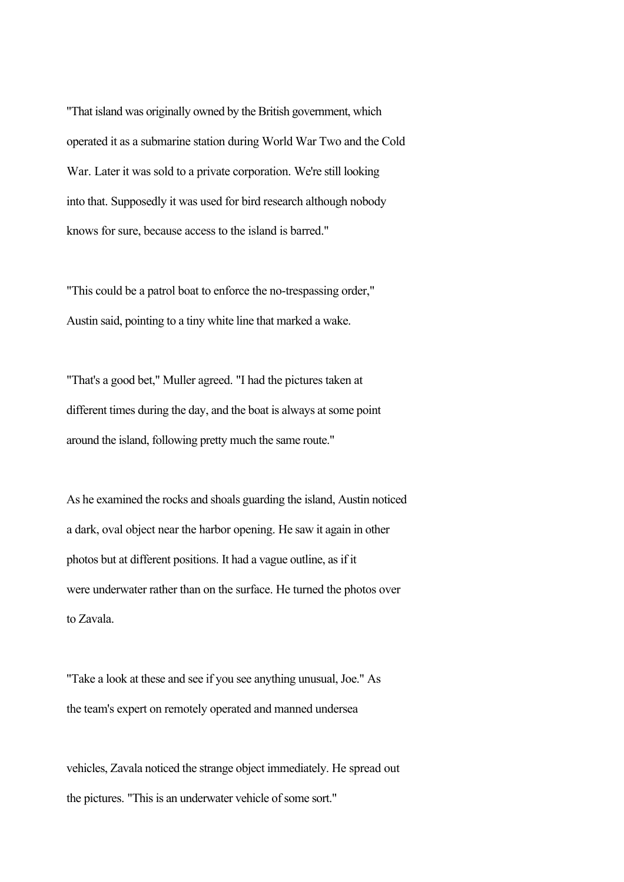"That island was originally owned by the British government, which operated it as a submarine station during World War Two and the Cold War. Later it was sold to a private corporation. We're still looking into that. Supposedly it was used for bird research although nobody knows for sure, because access to the island is barred."

 "This could be a patrol boat to enforce the no-trespassing order," Austin said, pointing to a tiny white line that marked a wake.

 "That's a good bet," Muller agreed. "I had the pictures taken at different times during the day, and the boat is always at some point around the island, following pretty much the same route."

 As he examined the rocks and shoals guarding the island, Austin noticed a dark, oval object near the harbor opening. He saw it again in other photos but at different positions. It had a vague outline, as if it were underwater rather than on the surface. He turned the photos over to Zavala.

 "Take a look at these and see if you see anything unusual, Joe." As the team's expert on remotely operated and manned undersea

 vehicles, Zavala noticed the strange object immediately. He spread out the pictures. "This is an underwater vehicle of some sort."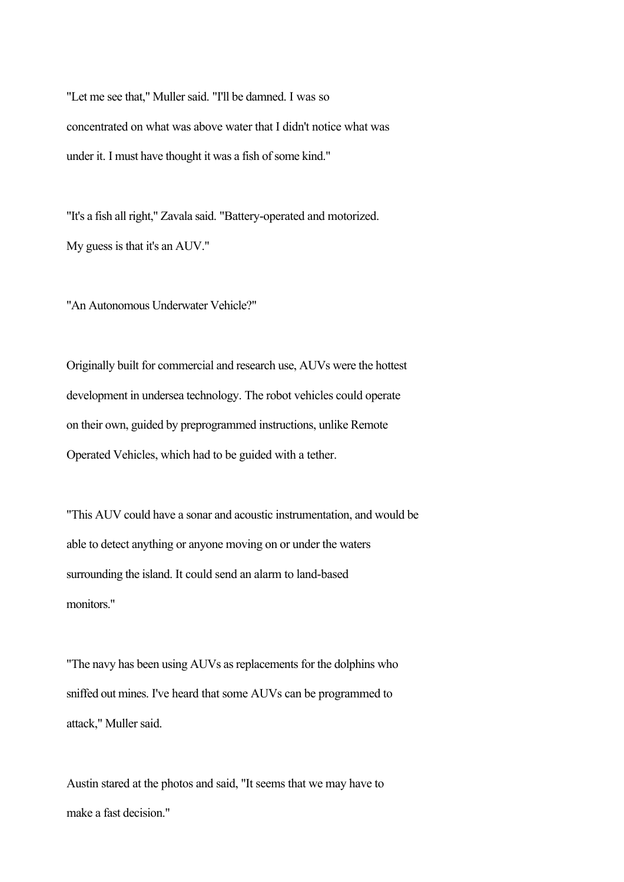"Let me see that," Muller said. "I'll be damned. I was so concentrated on what was above water that I didn't notice what was under it. I must have thought it was a fish of some kind."

 "It's a fish all right," Zavala said. "Battery-operated and motorized. My guess is that it's an AUV."

"An Autonomous Underwater Vehicle?"

 Originally built for commercial and research use, AUVs were the hottest development in undersea technology. The robot vehicles could operate on their own, guided by preprogrammed instructions, unlike Remote Operated Vehicles, which had to be guided with a tether.

 "This AUV could have a sonar and acoustic instrumentation, and would be able to detect anything or anyone moving on or under the waters surrounding the island. It could send an alarm to land-based monitors."

 "The navy has been using AUVs as replacements for the dolphins who sniffed out mines. I've heard that some AUVs can be programmed to attack," Muller said.

 Austin stared at the photos and said, "It seems that we may have to make a fast decision."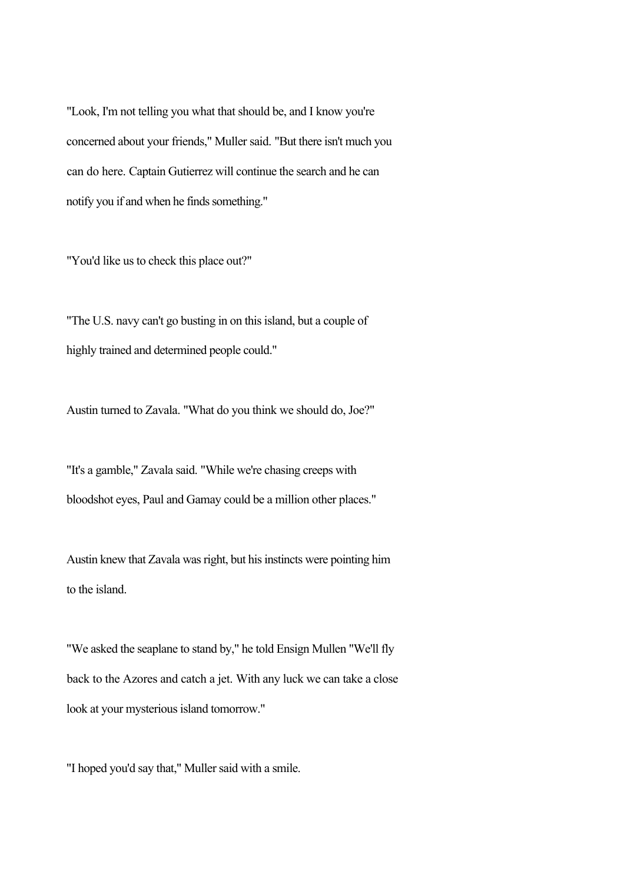"Look, I'm not telling you what that should be, and I know you're concerned about your friends," Muller said. "But there isn't much you can do here. Captain Gutierrez will continue the search and he can notify you if and when he finds something."

"You'd like us to check this place out?"

 "The U.S. navy can't go busting in on this island, but a couple of highly trained and determined people could."

Austin turned to Zavala. "What do you think we should do, Joe?"

 "It's a gamble," Zavala said. "While we're chasing creeps with bloodshot eyes, Paul and Gamay could be a million other places."

 Austin knew that Zavala was right, but his instincts were pointing him to the island.

 "We asked the seaplane to stand by," he told Ensign Mullen "We'll fly back to the Azores and catch a jet. With any luck we can take a close look at your mysterious island tomorrow."

"I hoped you'd say that," Muller said with a smile.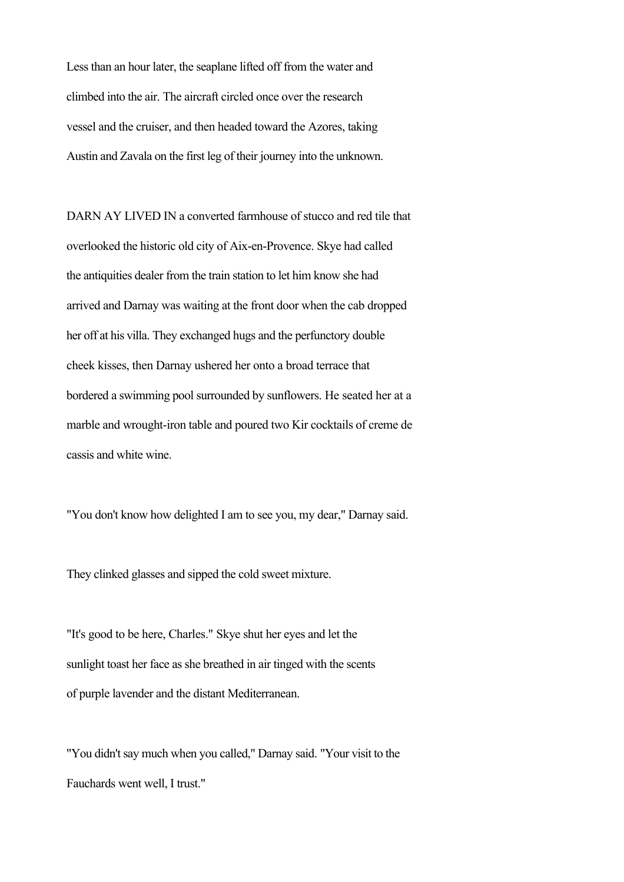Less than an hour later, the seaplane lifted off from the water and climbed into the air. The aircraft circled once over the research vessel and the cruiser, and then headed toward the Azores, taking Austin and Zavala on the first leg of their journey into the unknown.

 DARN AY LIVED IN a converted farmhouse of stucco and red tile that overlooked the historic old city of Aix-en-Provence. Skye had called the antiquities dealer from the train station to let him know she had arrived and Darnay was waiting at the front door when the cab dropped her off at his villa. They exchanged hugs and the perfunctory double cheek kisses, then Darnay ushered her onto a broad terrace that bordered a swimming pool surrounded by sunflowers. He seated her at a marble and wrought-iron table and poured two Kir cocktails of creme de cassis and white wine.

"You don't know how delighted I am to see you, my dear," Darnay said.

They clinked glasses and sipped the cold sweet mixture.

 "It's good to be here, Charles." Skye shut her eyes and let the sunlight toast her face as she breathed in air tinged with the scents of purple lavender and the distant Mediterranean.

 "You didn't say much when you called," Darnay said. "Your visit to the Fauchards went well, I trust."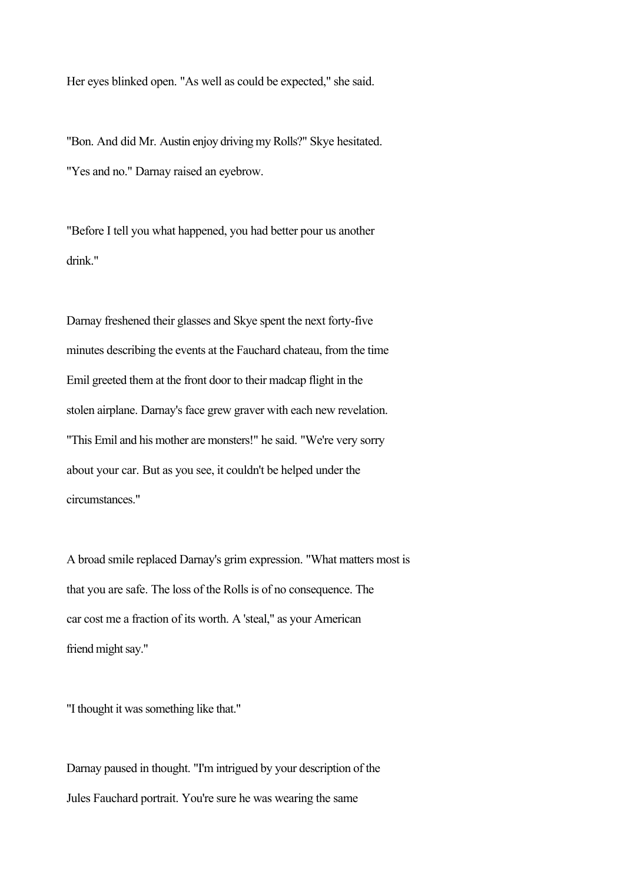Her eyes blinked open. "As well as could be expected," she said.

 "Bon. And did Mr. Austin enjoy driving my Rolls?" Skye hesitated. "Yes and no." Darnay raised an eyebrow.

 "Before I tell you what happened, you had better pour us another drink."

 Darnay freshened their glasses and Skye spent the next forty-five minutes describing the events at the Fauchard chateau, from the time Emil greeted them at the front door to their madcap flight in the stolen airplane. Darnay's face grew graver with each new revelation. "This Emil and his mother are monsters!" he said. "We're very sorry about your car. But as you see, it couldn't be helped under the circumstances."

 A broad smile replaced Darnay's grim expression. "What matters most is that you are safe. The loss of the Rolls is of no consequence. The car cost me a fraction of its worth. A 'steal," as your American friend might say."

"I thought it was something like that."

 Darnay paused in thought. "I'm intrigued by your description of the Jules Fauchard portrait. You're sure he was wearing the same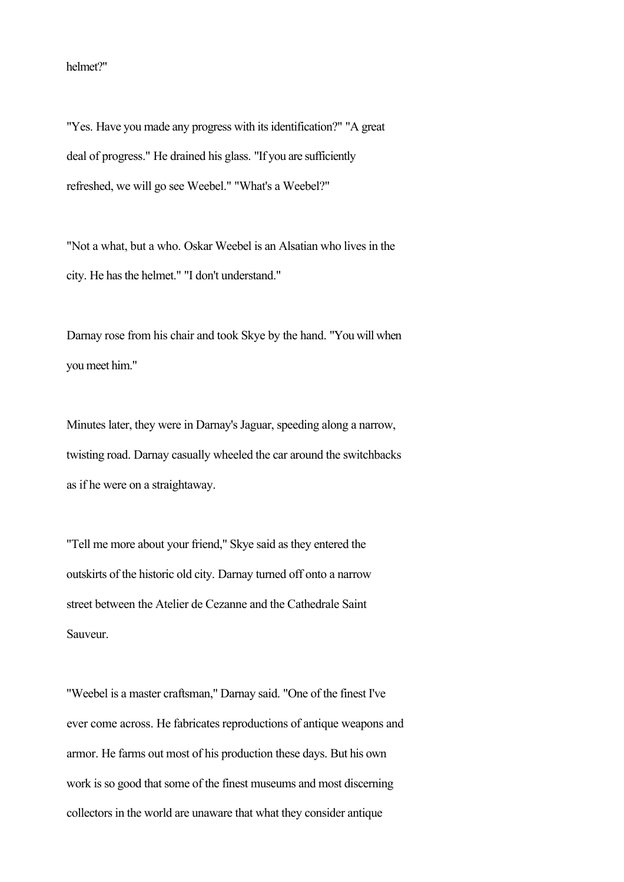## helmet?"

 "Yes. Have you made any progress with its identification?" "A great deal of progress." He drained his glass. "If you are sufficiently refreshed, we will go see Weebel." "What's a Weebel?"

 "Not a what, but a who. Oskar Weebel is an Alsatian who lives in the city. He has the helmet." "I don't understand."

 Darnay rose from his chair and took Skye by the hand. "You will when you meet him."

 Minutes later, they were in Darnay's Jaguar, speeding along a narrow, twisting road. Darnay casually wheeled the car around the switchbacks as if he were on a straightaway.

 "Tell me more about your friend," Skye said as they entered the outskirts of the historic old city. Darnay turned off onto a narrow street between the Atelier de Cezanne and the Cathedrale Saint Sauveur.

 "Weebel is a master craftsman," Darnay said. "One of the finest I've ever come across. He fabricates reproductions of antique weapons and armor. He farms out most of his production these days. But his own work is so good that some of the finest museums and most discerning collectors in the world are unaware that what they consider antique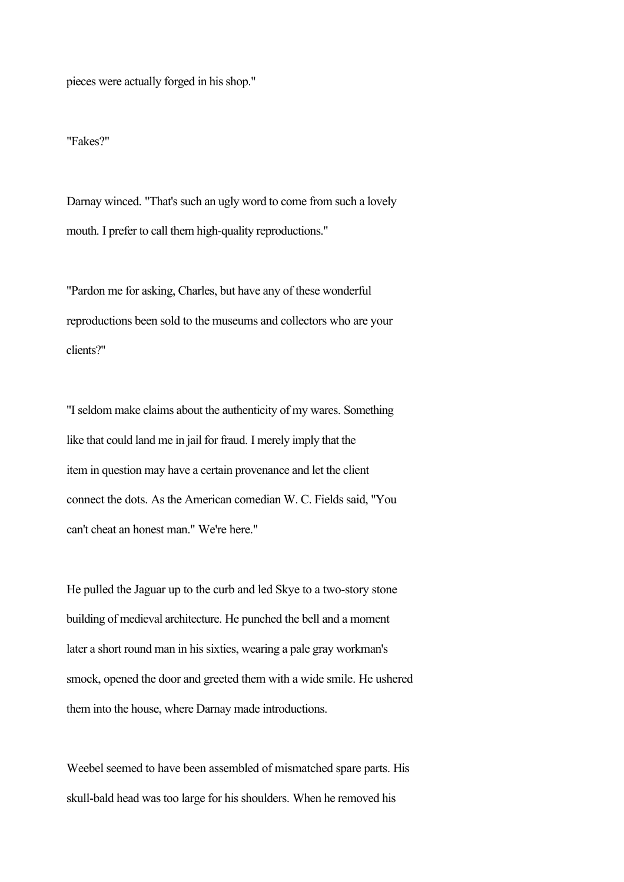pieces were actually forged in his shop."

"Fakes?"

 Darnay winced. "That's such an ugly word to come from such a lovely mouth. I prefer to call them high-quality reproductions."

 "Pardon me for asking, Charles, but have any of these wonderful reproductions been sold to the museums and collectors who are your clients?"

 "I seldom make claims about the authenticity of my wares. Something like that could land me in jail for fraud. I merely imply that the item in question may have a certain provenance and let the client connect the dots. As the American comedian W. C. Fields said, "You can't cheat an honest man." We're here."

 He pulled the Jaguar up to the curb and led Skye to a two-story stone building of medieval architecture. He punched the bell and a moment later a short round man in his sixties, wearing a pale gray workman's smock, opened the door and greeted them with a wide smile. He ushered them into the house, where Darnay made introductions.

 Weebel seemed to have been assembled of mismatched spare parts. His skull-bald head was too large for his shoulders. When he removed his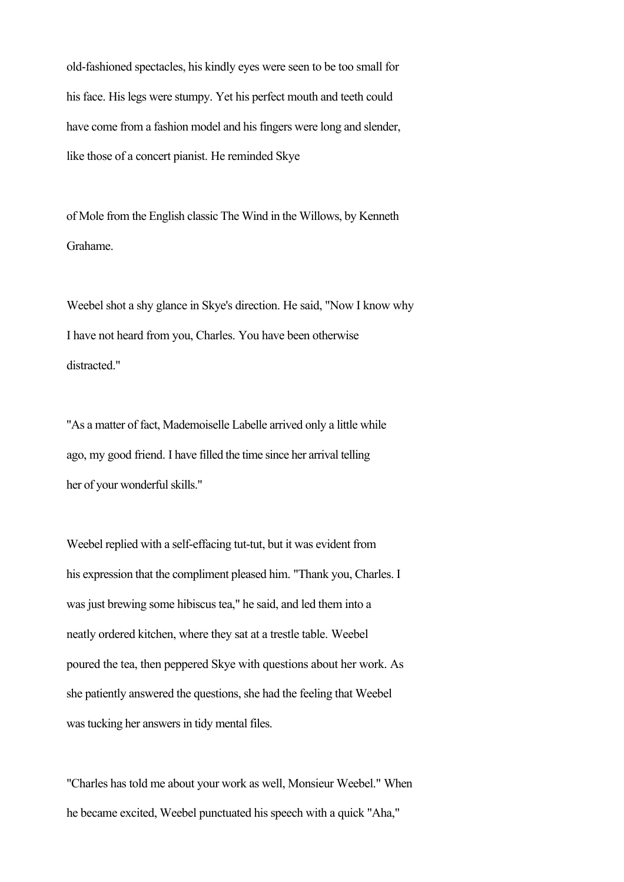old-fashioned spectacles, his kindly eyes were seen to be too small for his face. His legs were stumpy. Yet his perfect mouth and teeth could have come from a fashion model and his fingers were long and slender, like those of a concert pianist. He reminded Skye

 of Mole from the English classic The Wind in the Willows, by Kenneth Grahame.

Weebel shot a shy glance in Skye's direction. He said, "Now I know why I have not heard from you, Charles. You have been otherwise distracted."

 "As a matter of fact, Mademoiselle Labelle arrived only a little while ago, my good friend. I have filled the time since her arrival telling her of your wonderful skills."

 Weebel replied with a self-effacing tut-tut, but it was evident from his expression that the compliment pleased him. "Thank you, Charles. I was just brewing some hibiscus tea," he said, and led them into a neatly ordered kitchen, where they sat at a trestle table. Weebel poured the tea, then peppered Skye with questions about her work. As she patiently answered the questions, she had the feeling that Weebel was tucking her answers in tidy mental files.

 "Charles has told me about your work as well, Monsieur Weebel." When he became excited, Weebel punctuated his speech with a quick "Aha,"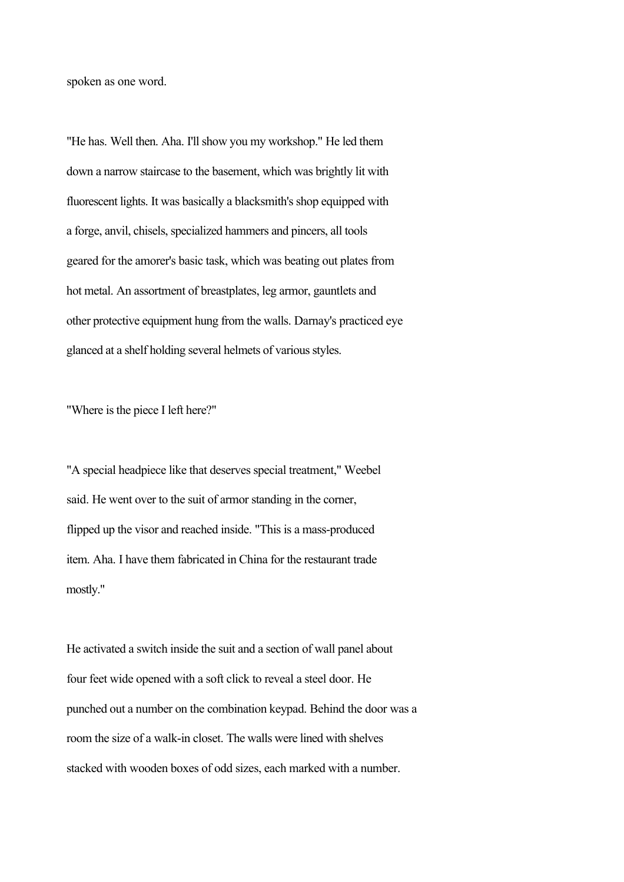spoken as one word.

 "He has. Well then. Aha. I'll show you my workshop." He led them down a narrow staircase to the basement, which was brightly lit with fluorescent lights. It was basically a blacksmith's shop equipped with a forge, anvil, chisels, specialized hammers and pincers, all tools geared for the amorer's basic task, which was beating out plates from hot metal. An assortment of breastplates, leg armor, gauntlets and other protective equipment hung from the walls. Darnay's practiced eye glanced at a shelf holding several helmets of various styles.

"Where is the piece I left here?"

 "A special headpiece like that deserves special treatment," Weebel said. He went over to the suit of armor standing in the corner, flipped up the visor and reached inside. "This is a mass-produced item. Aha. I have them fabricated in China for the restaurant trade mostly."

 He activated a switch inside the suit and a section of wall panel about four feet wide opened with a soft click to reveal a steel door. He punched out a number on the combination keypad. Behind the door was a room the size of a walk-in closet. The walls were lined with shelves stacked with wooden boxes of odd sizes, each marked with a number.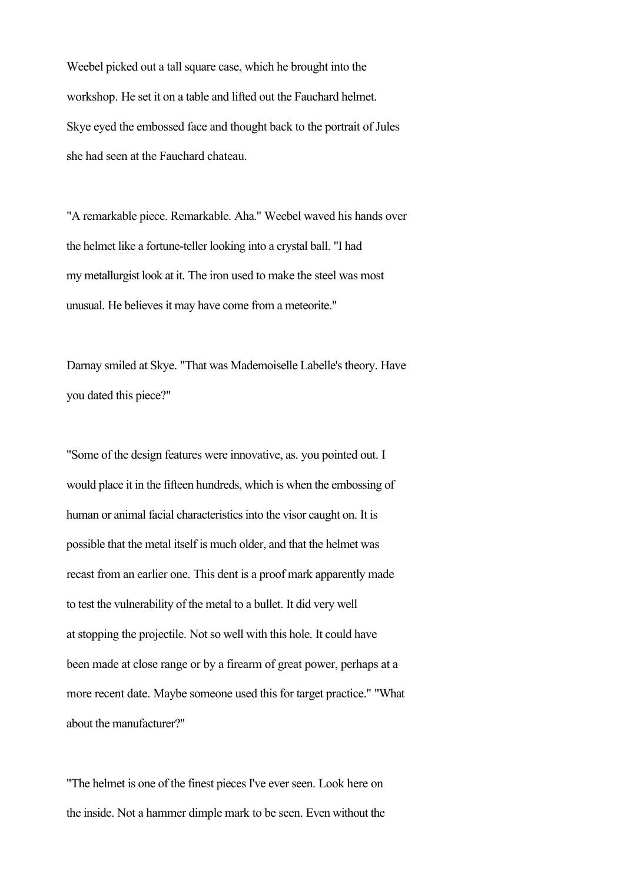Weebel picked out a tall square case, which he brought into the workshop. He set it on a table and lifted out the Fauchard helmet. Skye eyed the embossed face and thought back to the portrait of Jules she had seen at the Fauchard chateau.

 "A remarkable piece. Remarkable. Aha." Weebel waved his hands over the helmet like a fortune-teller looking into a crystal ball. "I had my metallurgist look at it. The iron used to make the steel was most unusual. He believes it may have come from a meteorite."

 Darnay smiled at Skye. "That was Mademoiselle Labelle's theory. Have you dated this piece?"

 "Some of the design features were innovative, as. you pointed out. I would place it in the fifteen hundreds, which is when the embossing of human or animal facial characteristics into the visor caught on. It is possible that the metal itself is much older, and that the helmet was recast from an earlier one. This dent is a proof mark apparently made to test the vulnerability of the metal to a bullet. It did very well at stopping the projectile. Not so well with this hole. It could have been made at close range or by a firearm of great power, perhaps at a more recent date. Maybe someone used this for target practice." "What about the manufacturer?"

 "The helmet is one of the finest pieces I've ever seen. Look here on the inside. Not a hammer dimple mark to be seen. Even without the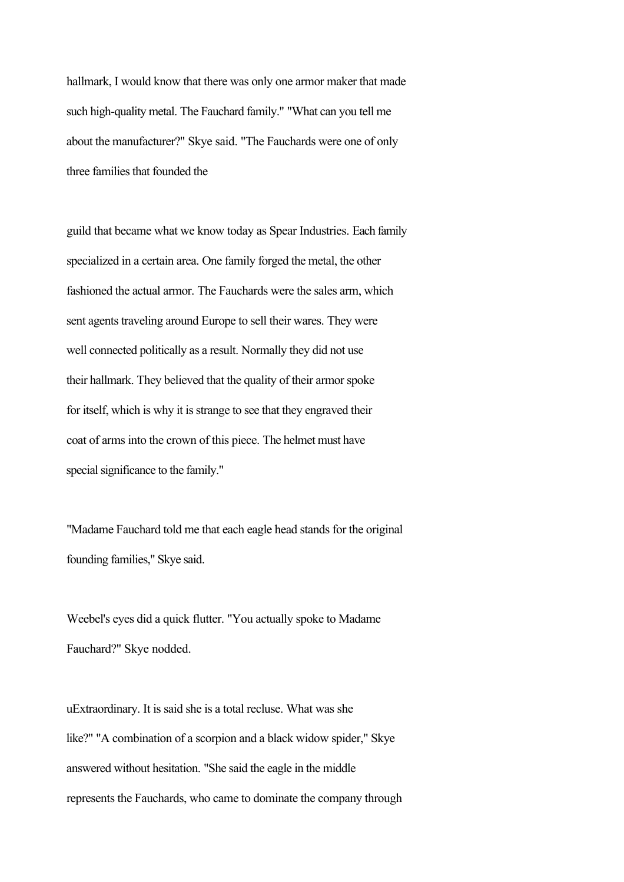hallmark, I would know that there was only one armor maker that made such high-quality metal. The Fauchard family." "What can you tell me about the manufacturer?" Skye said. "The Fauchards were one of only three families that founded the

 guild that became what we know today as Spear Industries. Each family specialized in a certain area. One family forged the metal, the other fashioned the actual armor. The Fauchards were the sales arm, which sent agents traveling around Europe to sell their wares. They were well connected politically as a result. Normally they did not use their hallmark. They believed that the quality of their armor spoke for itself, which is why it is strange to see that they engraved their coat of arms into the crown of this piece. The helmet must have special significance to the family."

 "Madame Fauchard told me that each eagle head stands for the original founding families," Skye said.

 Weebel's eyes did a quick flutter. "You actually spoke to Madame Fauchard?" Skye nodded.

 uExtraordinary. It is said she is a total recluse. What was she like?" "A combination of a scorpion and a black widow spider," Skye answered without hesitation. "She said the eagle in the middle represents the Fauchards, who came to dominate the company through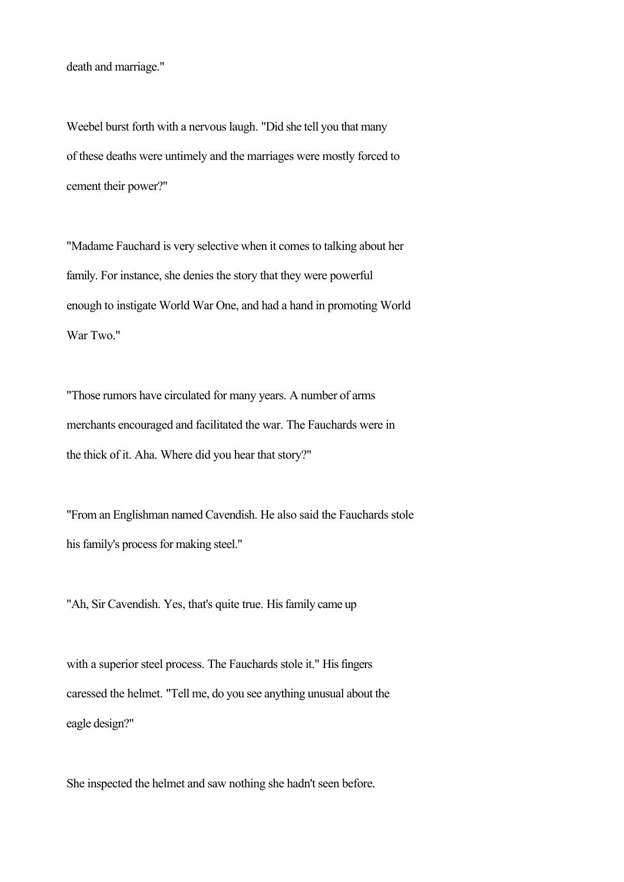death and marriage."

 Weebel burst forth with a nervous laugh. "Did she tell you that many of these deaths were untimely and the marriages were mostly forced to cement their power?"

 "Madame Fauchard is very selective when it comes to talking about her family. For instance, she denies the story that they were powerful enough to instigate World War One, and had a hand in promoting World War Two."

 "Those rumors have circulated for many years. A number of arms merchants encouraged and facilitated the war. The Fauchards were in the thick of it. Aha. Where did you hear that story?"

 "From an Englishman named Cavendish. He also said the Fauchards stole his family's process for making steel."

"Ah, Sir Cavendish. Yes, that's quite true. His family came up

 with a superior steel process. The Fauchards stole it." His fingers caressed the helmet. "Tell me, do you see anything unusual about the eagle design?"

She inspected the helmet and saw nothing she hadn't seen before.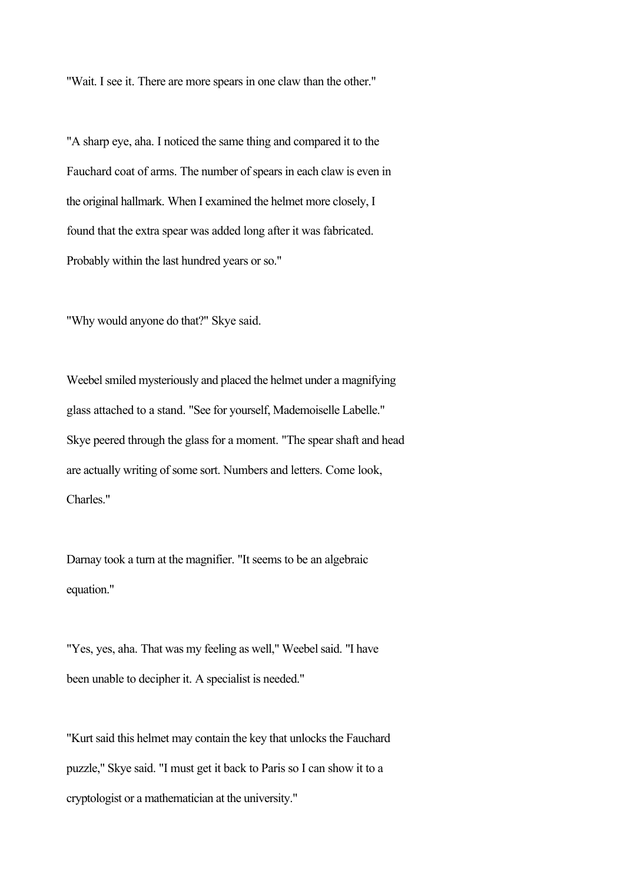"Wait. I see it. There are more spears in one claw than the other."

 "A sharp eye, aha. I noticed the same thing and compared it to the Fauchard coat of arms. The number of spears in each claw is even in the original hallmark. When I examined the helmet more closely, I found that the extra spear was added long after it was fabricated. Probably within the last hundred years or so."

"Why would anyone do that?" Skye said.

 Weebel smiled mysteriously and placed the helmet under a magnifying glass attached to a stand. "See for yourself, Mademoiselle Labelle." Skye peered through the glass for a moment. "The spear shaft and head are actually writing of some sort. Numbers and letters. Come look, Charles<sup>"</sup>

 Darnay took a turn at the magnifier. "It seems to be an algebraic equation."

 "Yes, yes, aha. That was my feeling as well," Weebel said. "I have been unable to decipher it. A specialist is needed."

 "Kurt said this helmet may contain the key that unlocks the Fauchard puzzle," Skye said. "I must get it back to Paris so I can show it to a cryptologist or a mathematician at the university."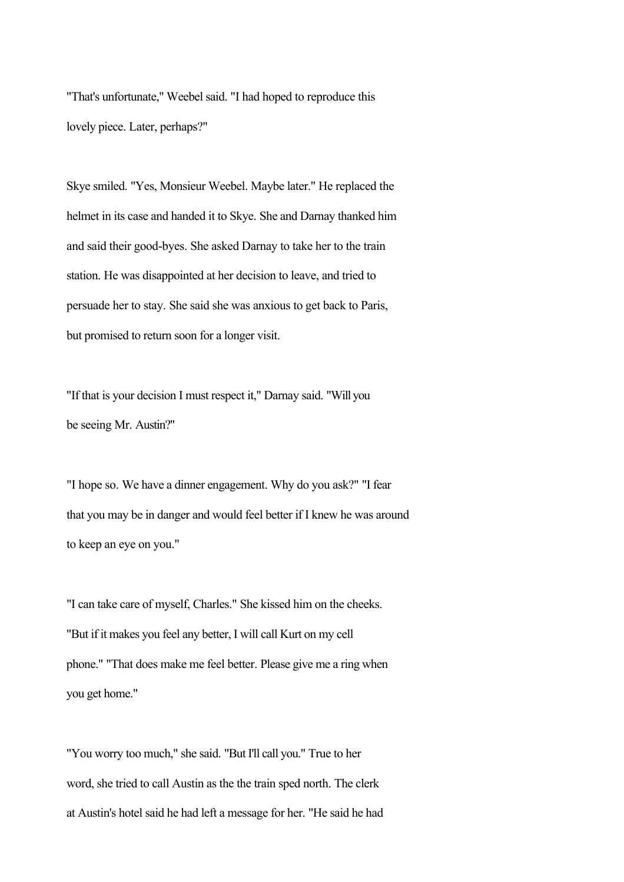"That's unfortunate," Weebel said. "I had hoped to reproduce this lovely piece. Later, perhaps?"

 Skye smiled. "Yes, Monsieur Weebel. Maybe later." He replaced the helmet in its case and handed it to Skye. She and Darnay thanked him and said their good-byes. She asked Darnay to take her to the train station. He was disappointed at her decision to leave, and tried to persuade her to stay. She said she was anxious to get back to Paris, but promised to return soon for a longer visit.

 "If that is your decision I must respect it," Darnay said. "Will you be seeing Mr. Austin?"

 "I hope so. We have a dinner engagement. Why do you ask?" "I fear that you may be in danger and would feel better if I knew he was around to keep an eye on you."

 "I can take care of myself, Charles." She kissed him on the cheeks. "But if it makes you feel any better, I will call Kurt on my cell phone." "That does make me feel better. Please give me a ring when you get home."

 "You worry too much," she said. "But I'll call you." True to her word, she tried to call Austin as the the train sped north. The clerk at Austin's hotel said he had left a message for her. "He said he had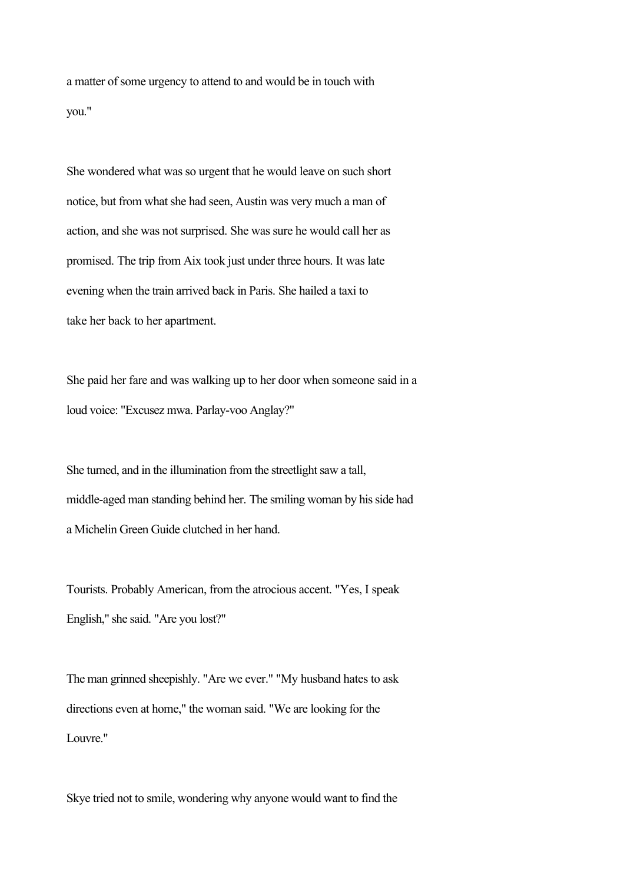a matter of some urgency to attend to and would be in touch with you."

 She wondered what was so urgent that he would leave on such short notice, but from what she had seen, Austin was very much a man of action, and she was not surprised. She was sure he would call her as promised. The trip from Aix took just under three hours. It was late evening when the train arrived back in Paris. She hailed a taxi to take her back to her apartment.

 She paid her fare and was walking up to her door when someone said in a loud voice: "Excusez mwa. Parlay-voo Anglay?"

 She turned, and in the illumination from the streetlight saw a tall, middle-aged man standing behind her. The smiling woman by his side had a Michelin Green Guide clutched in her hand.

 Tourists. Probably American, from the atrocious accent. "Yes, I speak English," she said. "Are you lost?"

 The man grinned sheepishly. "Are we ever." "My husband hates to ask directions even at home," the woman said. "We are looking for the Louvre."

Skye tried not to smile, wondering why anyone would want to find the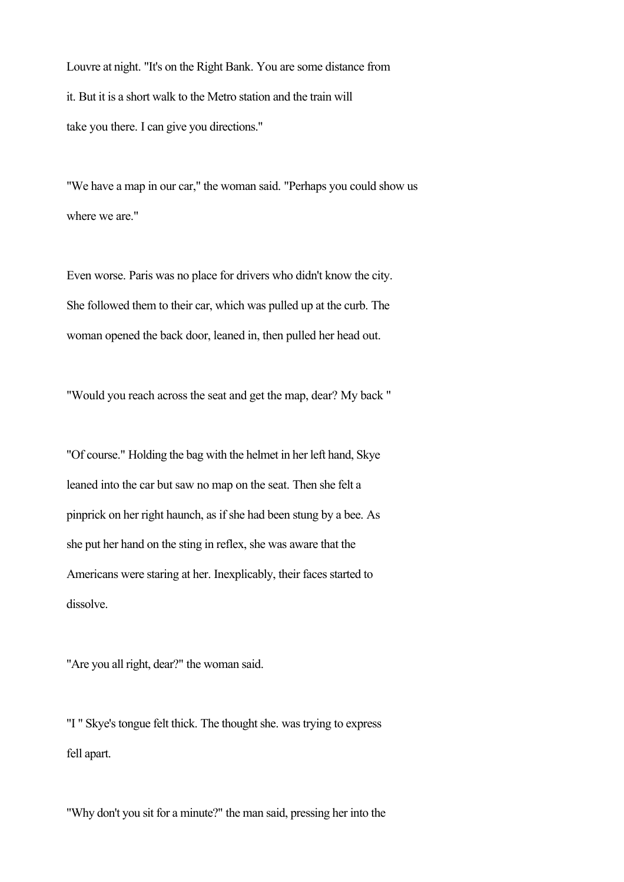Louvre at night. "It's on the Right Bank. You are some distance from it. But it is a short walk to the Metro station and the train will take you there. I can give you directions."

 "We have a map in our car," the woman said. "Perhaps you could show us where we are."

 Even worse. Paris was no place for drivers who didn't know the city. She followed them to their car, which was pulled up at the curb. The woman opened the back door, leaned in, then pulled her head out.

"Would you reach across the seat and get the map, dear? My back "

 "Of course." Holding the bag with the helmet in her left hand, Skye leaned into the car but saw no map on the seat. Then she felt a pinprick on her right haunch, as if she had been stung by a bee. As she put her hand on the sting in reflex, she was aware that the Americans were staring at her. Inexplicably, their faces started to dissolve.

"Are you all right, dear?" the woman said.

 "I " Skye's tongue felt thick. The thought she. was trying to express fell apart.

"Why don't you sit for a minute?" the man said, pressing her into the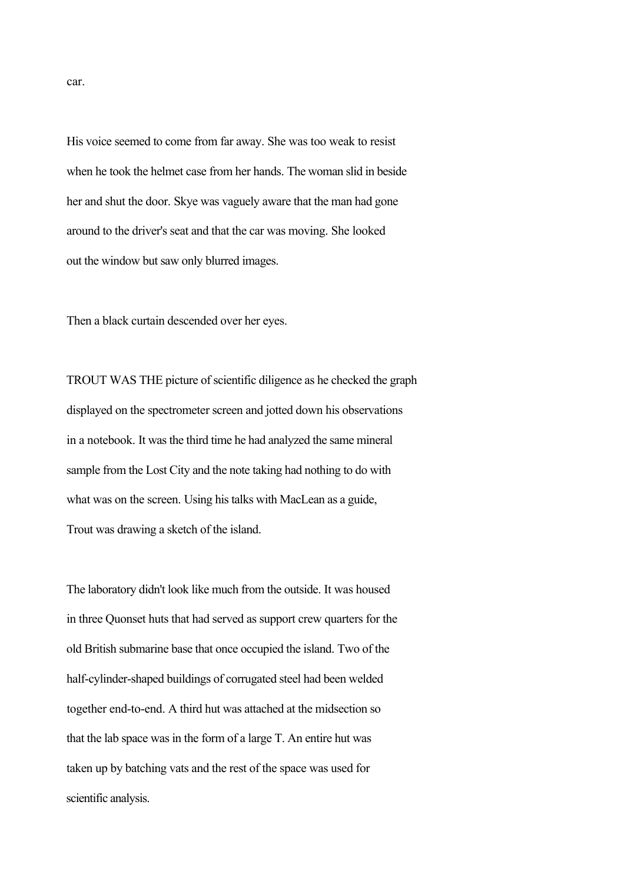His voice seemed to come from far away. She was too weak to resist when he took the helmet case from her hands. The woman slid in beside her and shut the door. Skye was vaguely aware that the man had gone around to the driver's seat and that the car was moving. She looked out the window but saw only blurred images.

Then a black curtain descended over her eyes.

 TROUT WAS THE picture of scientific diligence as he checked the graph displayed on the spectrometer screen and jotted down his observations in a notebook. It was the third time he had analyzed the same mineral sample from the Lost City and the note taking had nothing to do with what was on the screen. Using his talks with MacLean as a guide, Trout was drawing a sketch of the island.

 The laboratory didn't look like much from the outside. It was housed in three Quonset huts that had served as support crew quarters for the old British submarine base that once occupied the island. Two of the half-cylinder-shaped buildings of corrugated steel had been welded together end-to-end. A third hut was attached at the midsection so that the lab space was in the form of a large T. An entire hut was taken up by batching vats and the rest of the space was used for scientific analysis.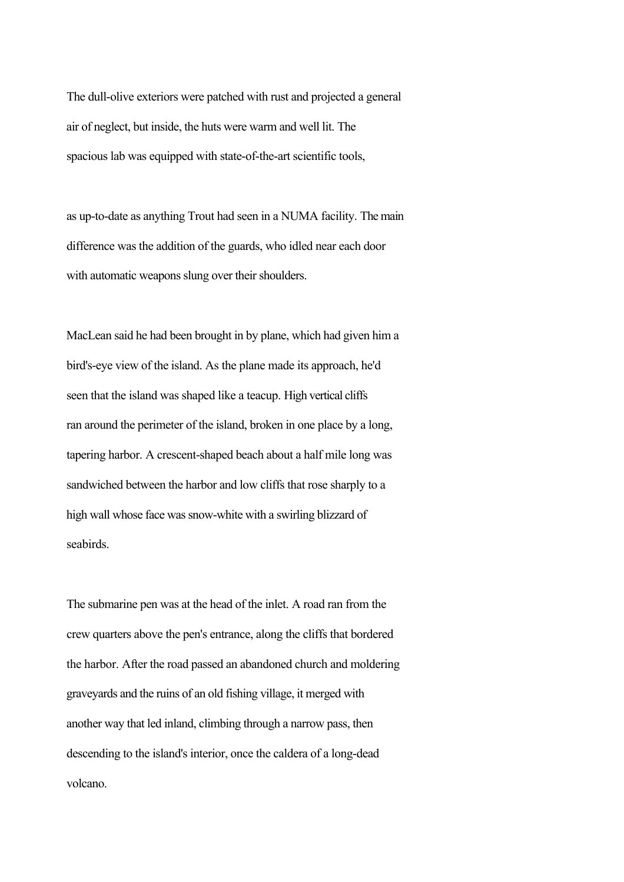The dull-olive exteriors were patched with rust and projected a general air of neglect, but inside, the huts were warm and well lit. The spacious lab was equipped with state-of-the-art scientific tools,

 as up-to-date as anything Trout had seen in a NUMA facility. The main difference was the addition of the guards, who idled near each door with automatic weapons slung over their shoulders.

 MacLean said he had been brought in by plane, which had given him a bird's-eye view of the island. As the plane made its approach, he'd seen that the island was shaped like a teacup. High vertical cliffs ran around the perimeter of the island, broken in one place by a long, tapering harbor. A crescent-shaped beach about a half mile long was sandwiched between the harbor and low cliffs that rose sharply to a high wall whose face was snow-white with a swirling blizzard of seabirds.

 The submarine pen was at the head of the inlet. A road ran from the crew quarters above the pen's entrance, along the cliffs that bordered the harbor. After the road passed an abandoned church and moldering graveyards and the ruins of an old fishing village, it merged with another way that led inland, climbing through a narrow pass, then descending to the island's interior, once the caldera of a long-dead volcano.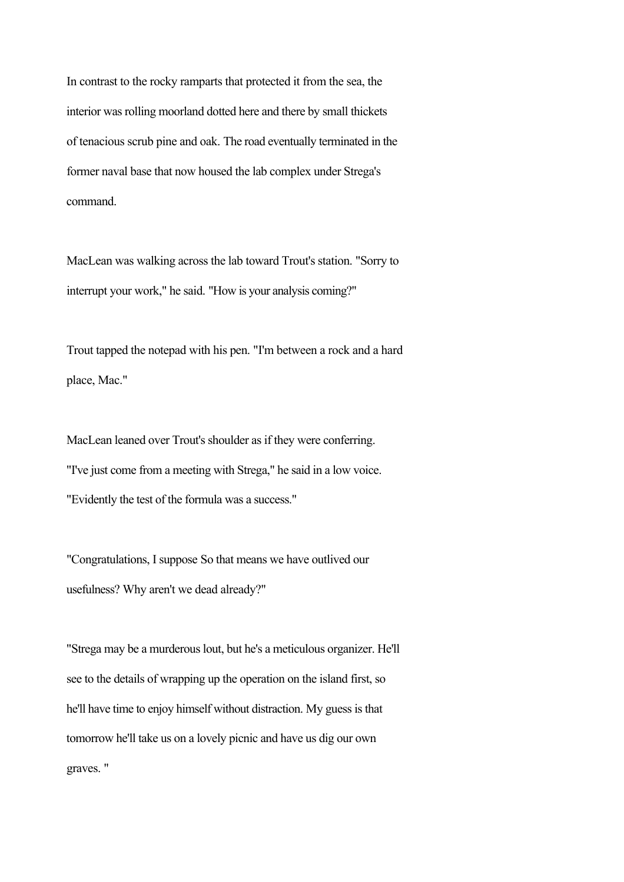In contrast to the rocky ramparts that protected it from the sea, the interior was rolling moorland dotted here and there by small thickets of tenacious scrub pine and oak. The road eventually terminated in the former naval base that now housed the lab complex under Strega's command.

 MacLean was walking across the lab toward Trout's station. "Sorry to interrupt your work," he said. "How is your analysis coming?"

 Trout tapped the notepad with his pen. "I'm between a rock and a hard place, Mac."

 MacLean leaned over Trout's shoulder as if they were conferring. "I've just come from a meeting with Strega," he said in a low voice. "Evidently the test of the formula was a success."

 "Congratulations, I suppose So that means we have outlived our usefulness? Why aren't we dead already?"

 "Strega may be a murderous lout, but he's a meticulous organizer. He'll see to the details of wrapping up the operation on the island first, so he'll have time to enjoy himself without distraction. My guess is that tomorrow he'll take us on a lovely picnic and have us dig our own graves. "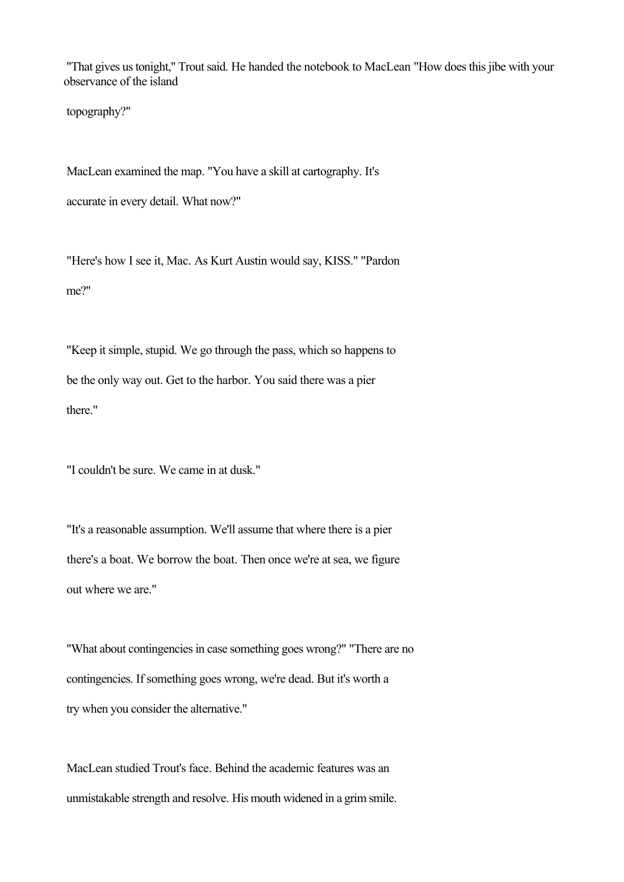"That gives us tonight," Trout said. He handed the notebook to MacLean "How does this jibe with your observance of the island

topography?"

 MacLean examined the map. "You have a skill at cartography. It's accurate in every detail. What now?"

 "Here's how I see it, Mac. As Kurt Austin would say, KISS." "Pardon me?"

 "Keep it simple, stupid. We go through the pass, which so happens to be the only way out. Get to the harbor. You said there was a pier there."

"I couldn't be sure. We came in at dusk."

 "It's a reasonable assumption. We'll assume that where there is a pier there's a boat. We borrow the boat. Then once we're at sea, we figure out where we are."

 "What about contingencies in case something goes wrong?" "There are no contingencies. If something goes wrong, we're dead. But it's worth a try when you consider the alternative."

 MacLean studied Trout's face. Behind the academic features was an unmistakable strength and resolve. His mouth widened in a grim smile.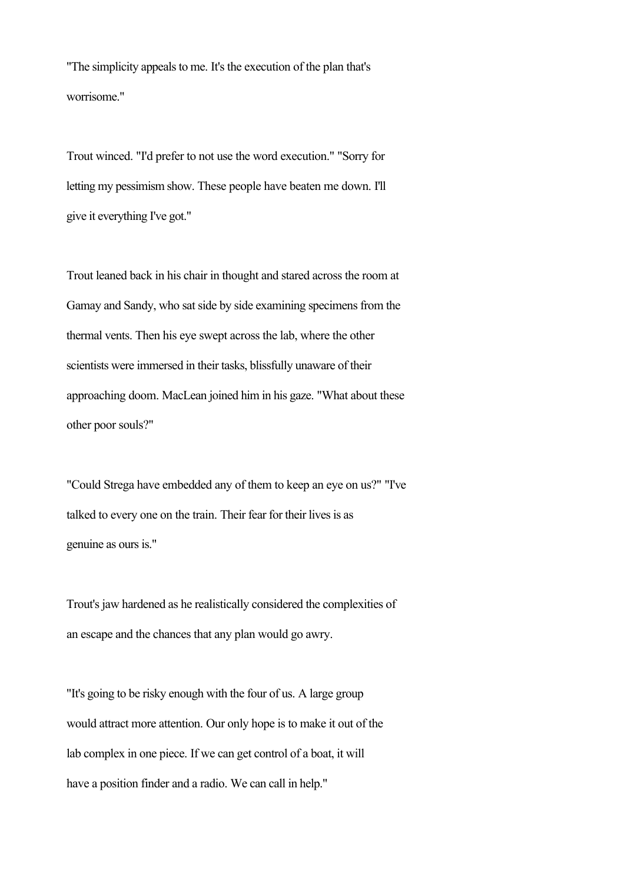"The simplicity appeals to me. It's the execution of the plan that's worrisome."

 Trout winced. "I'd prefer to not use the word execution." "Sorry for letting my pessimism show. These people have beaten me down. I'll give it everything I've got."

 Trout leaned back in his chair in thought and stared across the room at Gamay and Sandy, who sat side by side examining specimens from the thermal vents. Then his eye swept across the lab, where the other scientists were immersed in their tasks, blissfully unaware of their approaching doom. MacLean joined him in his gaze. "What about these other poor souls?"

 "Could Strega have embedded any of them to keep an eye on us?" "I've talked to every one on the train. Their fear for their lives is as genuine as ours is."

 Trout's jaw hardened as he realistically considered the complexities of an escape and the chances that any plan would go awry.

 "It's going to be risky enough with the four of us. A large group would attract more attention. Our only hope is to make it out of the lab complex in one piece. If we can get control of a boat, it will have a position finder and a radio. We can call in help."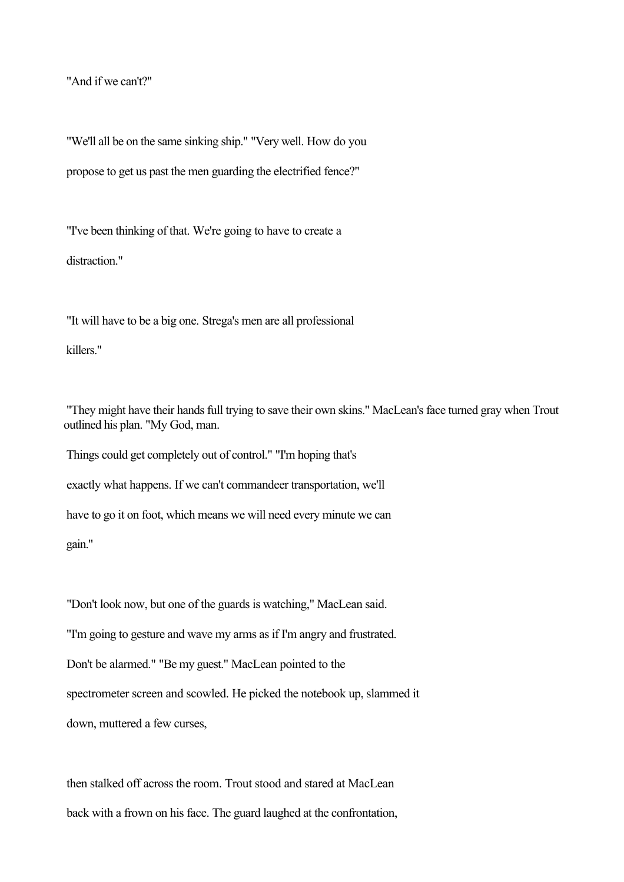"And if we can't?"

 "We'll all be on the same sinking ship." "Very well. How do you propose to get us past the men guarding the electrified fence?"

 "I've been thinking of that. We're going to have to create a distraction."

 "It will have to be a big one. Strega's men are all professional killers."

 "They might have their hands full trying to save their own skins." MacLean's face turned gray when Trout outlined his plan. "My God, man.

 Things could get completely out of control." "I'm hoping that's exactly what happens. If we can't commandeer transportation, we'll have to go it on foot, which means we will need every minute we can gain."

 "Don't look now, but one of the guards is watching," MacLean said. "I'm going to gesture and wave my arms as if I'm angry and frustrated. Don't be alarmed." "Be my guest." MacLean pointed to the spectrometer screen and scowled. He picked the notebook up, slammed it down, muttered a few curses,

 then stalked off across the room. Trout stood and stared at MacLean back with a frown on his face. The guard laughed at the confrontation,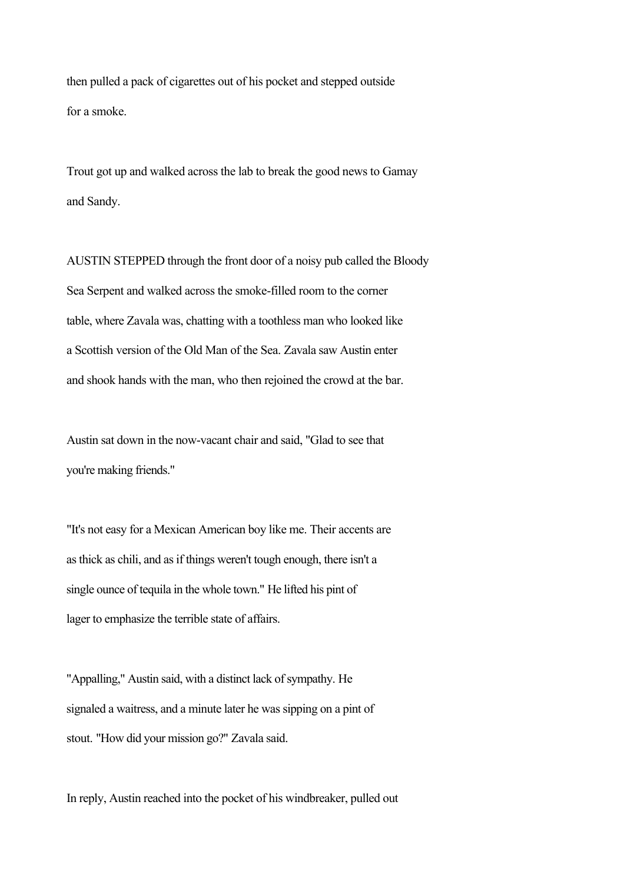then pulled a pack of cigarettes out of his pocket and stepped outside for a smoke.

 Trout got up and walked across the lab to break the good news to Gamay and Sandy.

 AUSTIN STEPPED through the front door of a noisy pub called the Bloody Sea Serpent and walked across the smoke-filled room to the corner table, where Zavala was, chatting with a toothless man who looked like a Scottish version of the Old Man of the Sea. Zavala saw Austin enter and shook hands with the man, who then rejoined the crowd at the bar.

 Austin sat down in the now-vacant chair and said, "Glad to see that you're making friends."

 "It's not easy for a Mexican American boy like me. Their accents are as thick as chili, and as if things weren't tough enough, there isn't a single ounce of tequila in the whole town." He lifted his pint of lager to emphasize the terrible state of affairs.

 "Appalling," Austin said, with a distinct lack of sympathy. He signaled a waitress, and a minute later he was sipping on a pint of stout. "How did your mission go?" Zavala said.

In reply, Austin reached into the pocket of his windbreaker, pulled out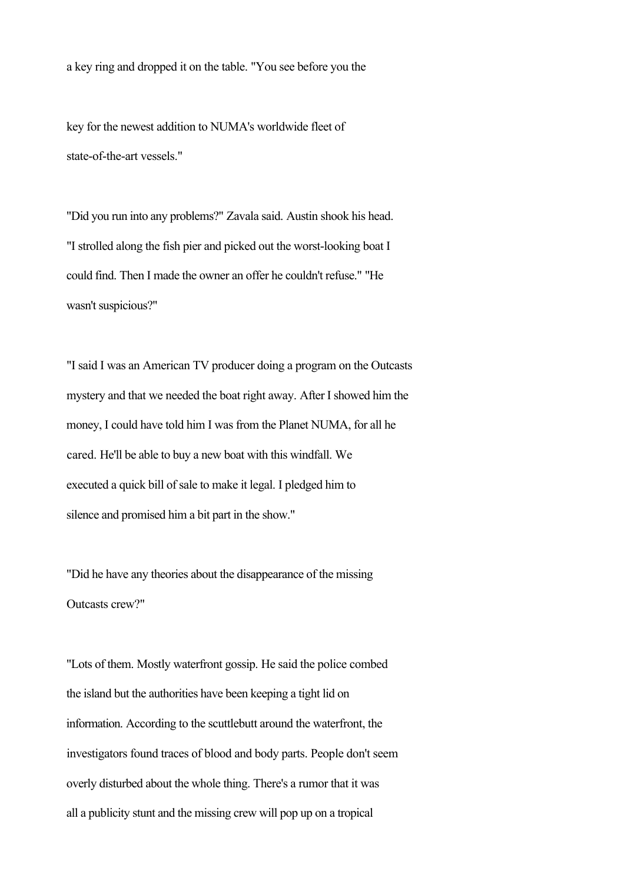a key ring and dropped it on the table. "You see before you the

 key for the newest addition to NUMA's worldwide fleet of state-of-the-art vessels."

 "Did you run into any problems?" Zavala said. Austin shook his head. "I strolled along the fish pier and picked out the worst-looking boat I could find. Then I made the owner an offer he couldn't refuse." "He wasn't suspicious?"

 "I said I was an American TV producer doing a program on the Outcasts mystery and that we needed the boat right away. After I showed him the money, I could have told him I was from the Planet NUMA, for all he cared. He'll be able to buy a new boat with this windfall. We executed a quick bill of sale to make it legal. I pledged him to silence and promised him a bit part in the show."

 "Did he have any theories about the disappearance of the missing Outcasts crew?"

 "Lots of them. Mostly waterfront gossip. He said the police combed the island but the authorities have been keeping a tight lid on information. According to the scuttlebutt around the waterfront, the investigators found traces of blood and body parts. People don't seem overly disturbed about the whole thing. There's a rumor that it was all a publicity stunt and the missing crew will pop up on a tropical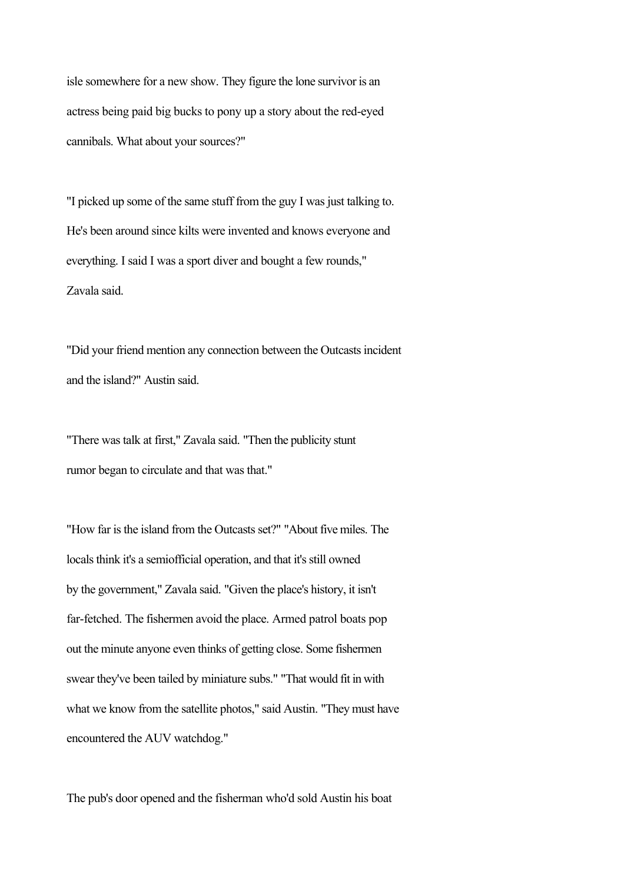isle somewhere for a new show. They figure the lone survivor is an actress being paid big bucks to pony up a story about the red-eyed cannibals. What about your sources?"

 "I picked up some of the same stuff from the guy I was just talking to. He's been around since kilts were invented and knows everyone and everything. I said I was a sport diver and bought a few rounds," Zavala said.

 "Did your friend mention any connection between the Outcasts incident and the island?" Austin said.

 "There was talk at first," Zavala said. "Then the publicity stunt rumor began to circulate and that was that."

 "How far is the island from the Outcasts set?" "About five miles. The locals think it's a semiofficial operation, and that it's still owned by the government," Zavala said. "Given the place's history, it isn't far-fetched. The fishermen avoid the place. Armed patrol boats pop out the minute anyone even thinks of getting close. Some fishermen swear they've been tailed by miniature subs." "That would fit in with what we know from the satellite photos," said Austin. "They must have encountered the AUV watchdog."

The pub's door opened and the fisherman who'd sold Austin his boat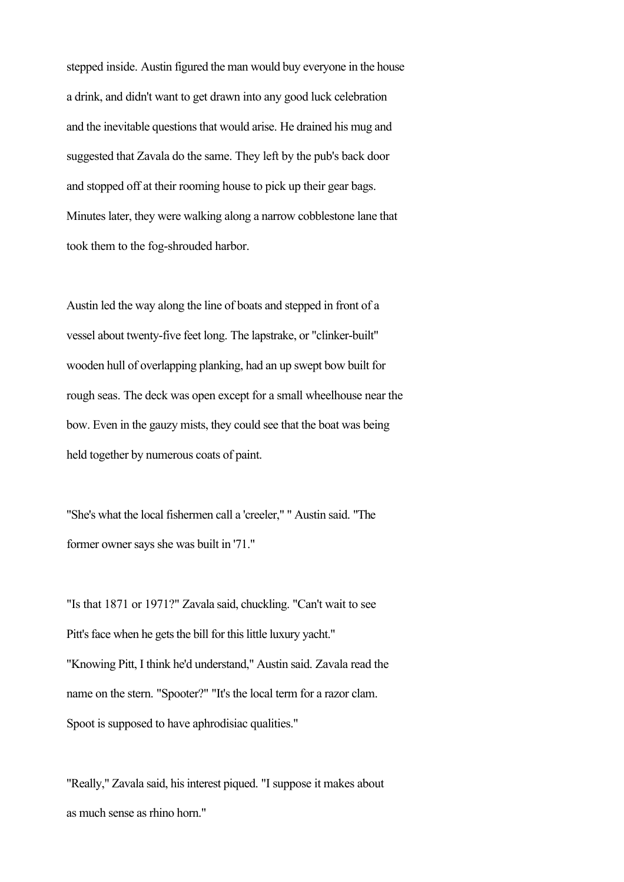stepped inside. Austin figured the man would buy everyone in the house a drink, and didn't want to get drawn into any good luck celebration and the inevitable questions that would arise. He drained his mug and suggested that Zavala do the same. They left by the pub's back door and stopped off at their rooming house to pick up their gear bags. Minutes later, they were walking along a narrow cobblestone lane that took them to the fog-shrouded harbor.

 Austin led the way along the line of boats and stepped in front of a vessel about twenty-five feet long. The lapstrake, or "clinker-built" wooden hull of overlapping planking, had an up swept bow built for rough seas. The deck was open except for a small wheelhouse near the bow. Even in the gauzy mists, they could see that the boat was being held together by numerous coats of paint.

 "She's what the local fishermen call a 'creeler," " Austin said. "The former owner says she was built in '71."

 "Is that 1871 or 1971?" Zavala said, chuckling. "Can't wait to see Pitt's face when he gets the bill for this little luxury yacht." "Knowing Pitt, I think he'd understand," Austin said. Zavala read the name on the stern. "Spooter?" "It's the local term for a razor clam. Spoot is supposed to have aphrodisiac qualities."

 "Really," Zavala said, his interest piqued. "I suppose it makes about as much sense as rhino horn."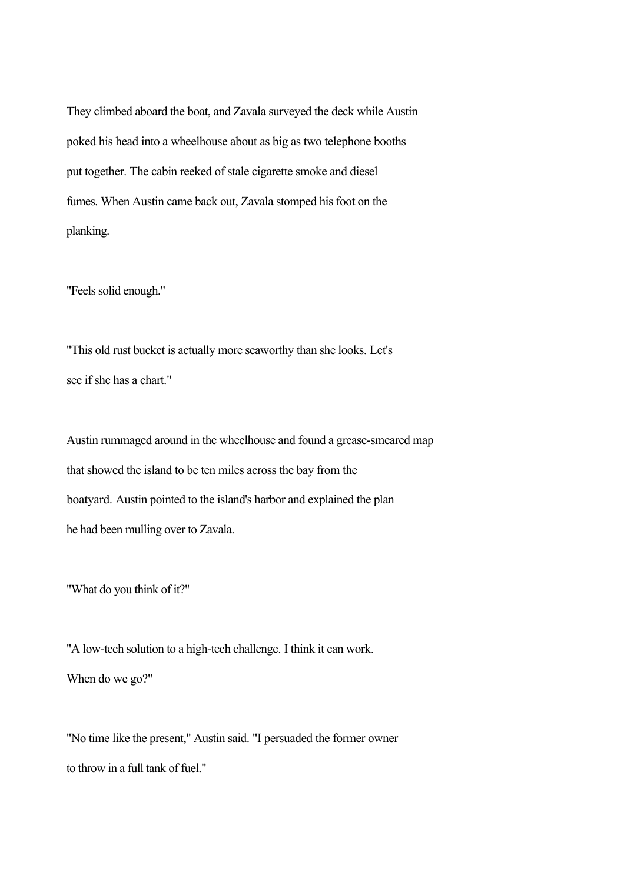They climbed aboard the boat, and Zavala surveyed the deck while Austin poked his head into a wheelhouse about as big as two telephone booths put together. The cabin reeked of stale cigarette smoke and diesel fumes. When Austin came back out, Zavala stomped his foot on the planking.

"Feels solid enough."

 "This old rust bucket is actually more seaworthy than she looks. Let's see if she has a chart."

 Austin rummaged around in the wheelhouse and found a grease-smeared map that showed the island to be ten miles across the bay from the boatyard. Austin pointed to the island's harbor and explained the plan he had been mulling over to Zavala.

"What do you think of it?"

 "A low-tech solution to a high-tech challenge. I think it can work. When do we go?"

 "No time like the present," Austin said. "I persuaded the former owner to throw in a full tank of fuel."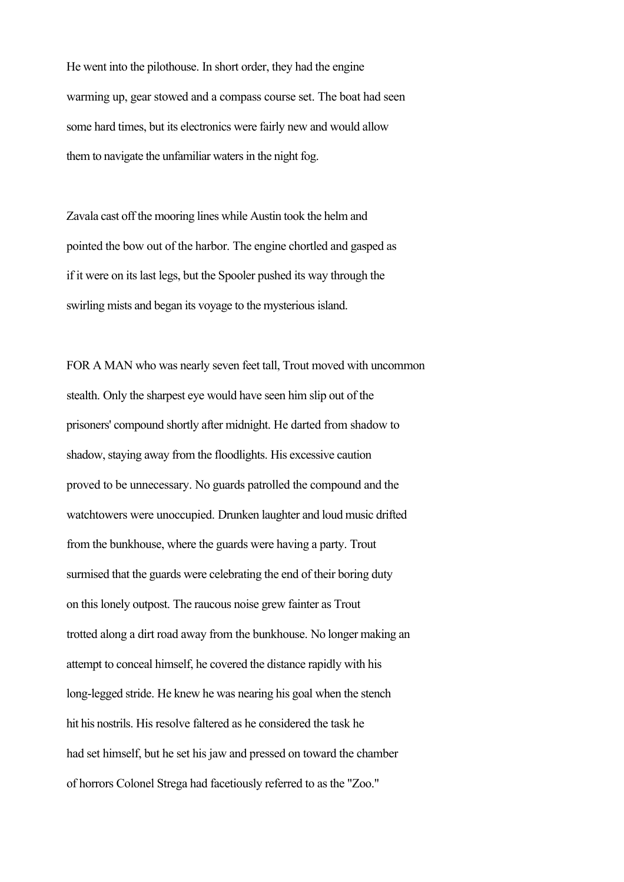He went into the pilothouse. In short order, they had the engine warming up, gear stowed and a compass course set. The boat had seen some hard times, but its electronics were fairly new and would allow them to navigate the unfamiliar waters in the night fog.

 Zavala cast off the mooring lines while Austin took the helm and pointed the bow out of the harbor. The engine chortled and gasped as if it were on its last legs, but the Spooler pushed its way through the swirling mists and began its voyage to the mysterious island.

 FOR A MAN who was nearly seven feet tall, Trout moved with uncommon stealth. Only the sharpest eye would have seen him slip out of the prisoners' compound shortly after midnight. He darted from shadow to shadow, staying away from the floodlights. His excessive caution proved to be unnecessary. No guards patrolled the compound and the watchtowers were unoccupied. Drunken laughter and loud music drifted from the bunkhouse, where the guards were having a party. Trout surmised that the guards were celebrating the end of their boring duty on this lonely outpost. The raucous noise grew fainter as Trout trotted along a dirt road away from the bunkhouse. No longer making an attempt to conceal himself, he covered the distance rapidly with his long-legged stride. He knew he was nearing his goal when the stench hit his nostrils. His resolve faltered as he considered the task he had set himself, but he set his jaw and pressed on toward the chamber of horrors Colonel Strega had facetiously referred to as the "Zoo."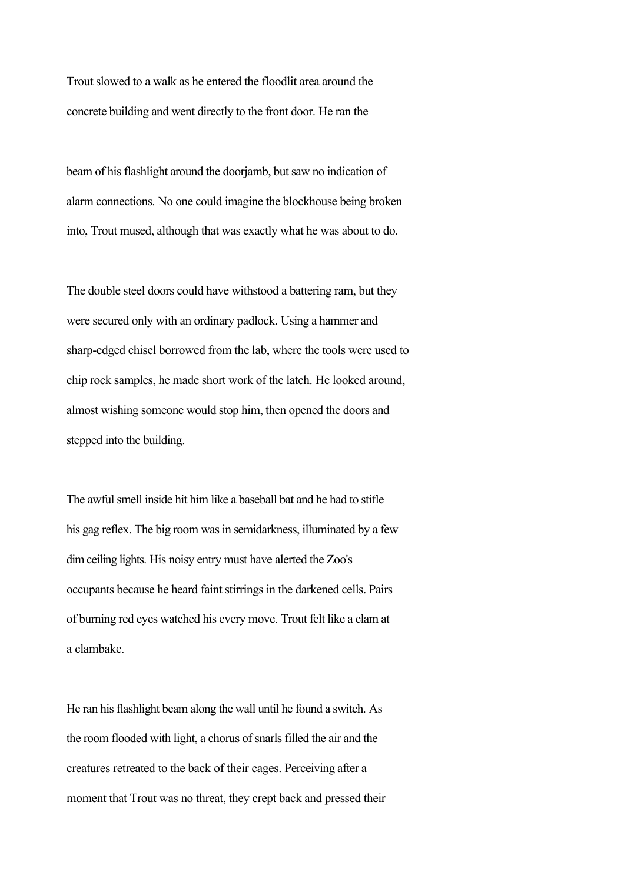Trout slowed to a walk as he entered the floodlit area around the concrete building and went directly to the front door. He ran the

 beam of his flashlight around the doorjamb, but saw no indication of alarm connections. No one could imagine the blockhouse being broken into, Trout mused, although that was exactly what he was about to do.

 The double steel doors could have withstood a battering ram, but they were secured only with an ordinary padlock. Using a hammer and sharp-edged chisel borrowed from the lab, where the tools were used to chip rock samples, he made short work of the latch. He looked around, almost wishing someone would stop him, then opened the doors and stepped into the building.

 The awful smell inside hit him like a baseball bat and he had to stifle his gag reflex. The big room was in semidarkness, illuminated by a few dim ceiling lights. His noisy entry must have alerted the Zoo's occupants because he heard faint stirrings in the darkened cells. Pairs of burning red eyes watched his every move. Trout felt like a clam at a clambake.

 He ran his flashlight beam along the wall until he found a switch. As the room flooded with light, a chorus of snarls filled the air and the creatures retreated to the back of their cages. Perceiving after a moment that Trout was no threat, they crept back and pressed their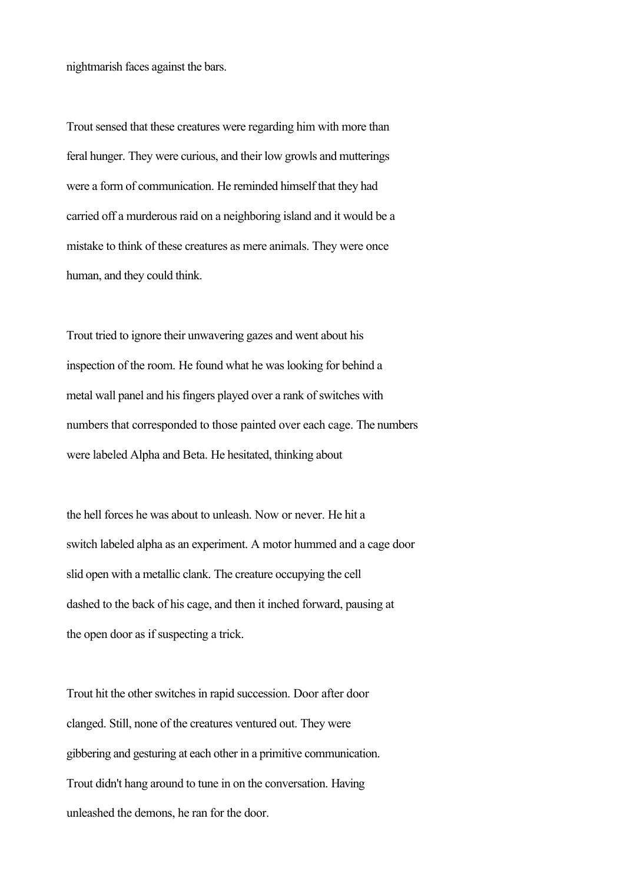nightmarish faces against the bars.

 Trout sensed that these creatures were regarding him with more than feral hunger. They were curious, and their low growls and mutterings were a form of communication. He reminded himself that they had carried off a murderous raid on a neighboring island and it would be a mistake to think of these creatures as mere animals. They were once human, and they could think.

 Trout tried to ignore their unwavering gazes and went about his inspection of the room. He found what he was looking for behind a metal wall panel and his fingers played over a rank of switches with numbers that corresponded to those painted over each cage. The numbers were labeled Alpha and Beta. He hesitated, thinking about

 the hell forces he was about to unleash. Now or never. He hit a switch labeled alpha as an experiment. A motor hummed and a cage door slid open with a metallic clank. The creature occupying the cell dashed to the back of his cage, and then it inched forward, pausing at the open door as if suspecting a trick.

 Trout hit the other switches in rapid succession. Door after door clanged. Still, none of the creatures ventured out. They were gibbering and gesturing at each other in a primitive communication. Trout didn't hang around to tune in on the conversation. Having unleashed the demons, he ran for the door.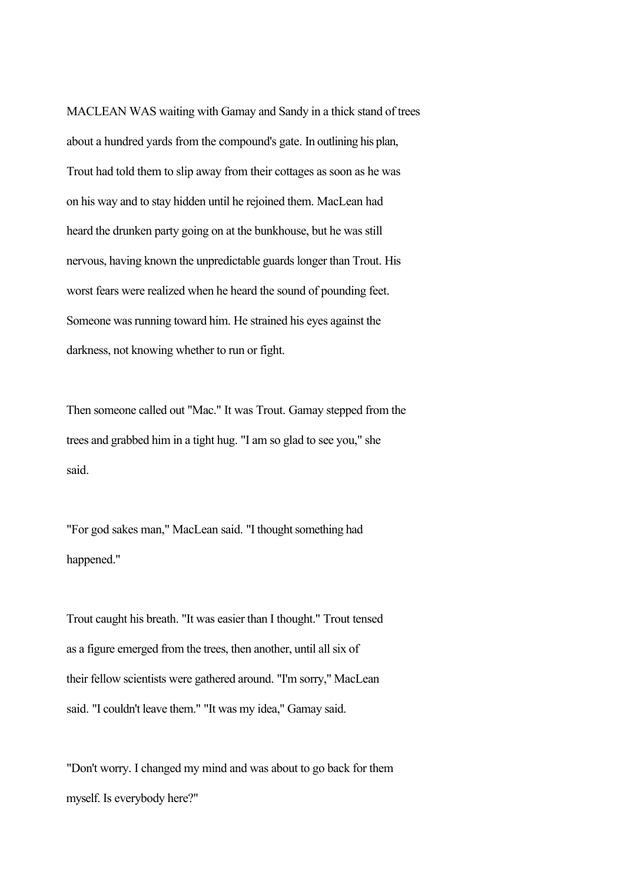MACLEAN WAS waiting with Gamay and Sandy in a thick stand of trees about a hundred yards from the compound's gate. In outlining his plan, Trout had told them to slip away from their cottages as soon as he was on his way and to stay hidden until he rejoined them. MacLean had heard the drunken party going on at the bunkhouse, but he was still nervous, having known the unpredictable guards longer than Trout. His worst fears were realized when he heard the sound of pounding feet. Someone was running toward him. He strained his eyes against the darkness, not knowing whether to run or fight.

 Then someone called out "Mac." It was Trout. Gamay stepped from the trees and grabbed him in a tight hug. "I am so glad to see you," she said.

 "For god sakes man," MacLean said. "I thought something had happened."

 Trout caught his breath. "It was easier than I thought." Trout tensed as a figure emerged from the trees, then another, until all six of their fellow scientists were gathered around. "I'm sorry," MacLean said. "I couldn't leave them." "It was my idea," Gamay said.

 "Don't worry. I changed my mind and was about to go back for them myself. Is everybody here?"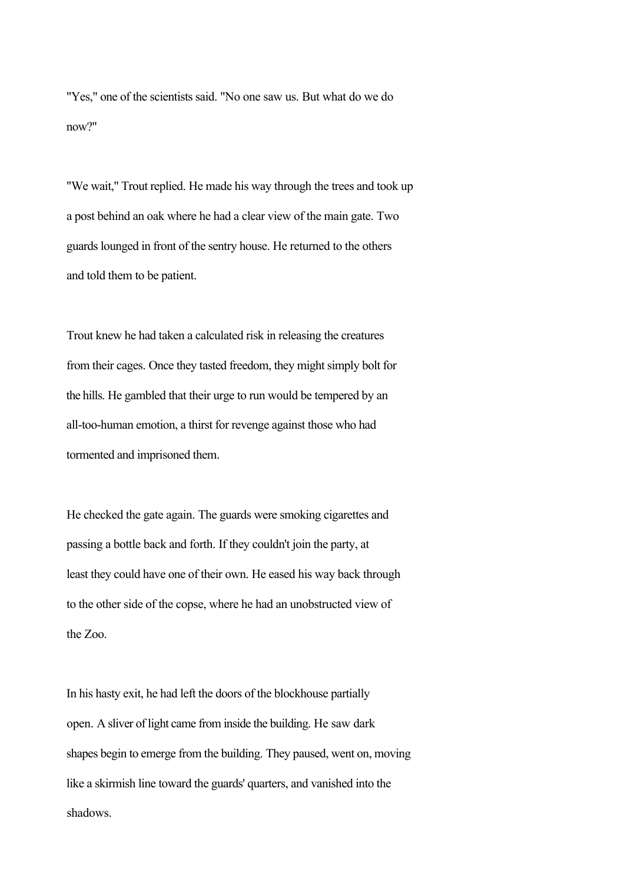"Yes," one of the scientists said. "No one saw us. But what do we do now?"

 "We wait," Trout replied. He made his way through the trees and took up a post behind an oak where he had a clear view of the main gate. Two guards lounged in front of the sentry house. He returned to the others and told them to be patient.

 Trout knew he had taken a calculated risk in releasing the creatures from their cages. Once they tasted freedom, they might simply bolt for the hills. He gambled that their urge to run would be tempered by an all-too-human emotion, a thirst for revenge against those who had tormented and imprisoned them.

 He checked the gate again. The guards were smoking cigarettes and passing a bottle back and forth. If they couldn't join the party, at least they could have one of their own. He eased his way back through to the other side of the copse, where he had an unobstructed view of the Zoo.

 In his hasty exit, he had left the doors of the blockhouse partially open. A sliver of light came from inside the building. He saw dark shapes begin to emerge from the building. They paused, went on, moving like a skirmish line toward the guards' quarters, and vanished into the shadows.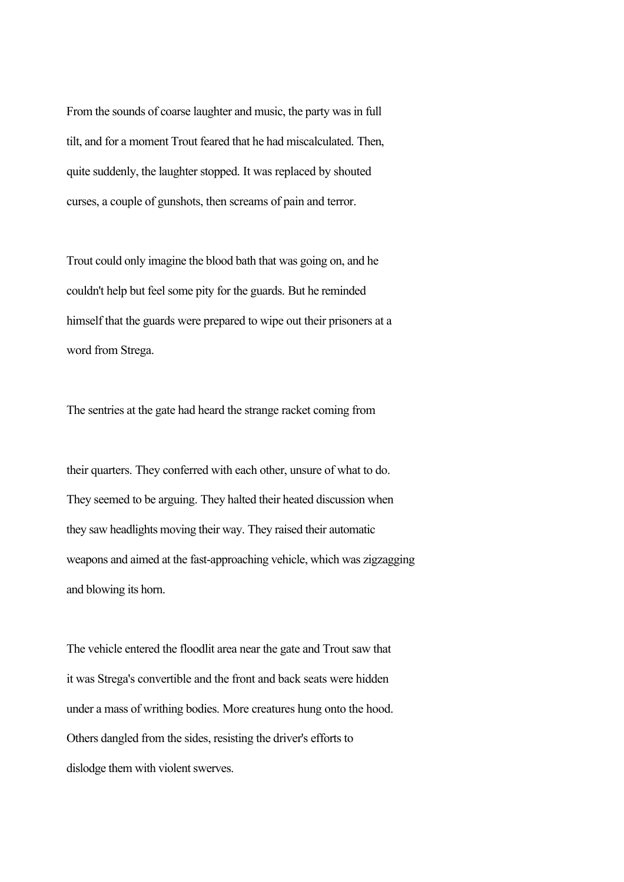From the sounds of coarse laughter and music, the party was in full tilt, and for a moment Trout feared that he had miscalculated. Then, quite suddenly, the laughter stopped. It was replaced by shouted curses, a couple of gunshots, then screams of pain and terror.

 Trout could only imagine the blood bath that was going on, and he couldn't help but feel some pity for the guards. But he reminded himself that the guards were prepared to wipe out their prisoners at a word from Strega.

The sentries at the gate had heard the strange racket coming from

 their quarters. They conferred with each other, unsure of what to do. They seemed to be arguing. They halted their heated discussion when they saw headlights moving their way. They raised their automatic weapons and aimed at the fast-approaching vehicle, which was zigzagging and blowing its horn.

 The vehicle entered the floodlit area near the gate and Trout saw that it was Strega's convertible and the front and back seats were hidden under a mass of writhing bodies. More creatures hung onto the hood. Others dangled from the sides, resisting the driver's efforts to dislodge them with violent swerves.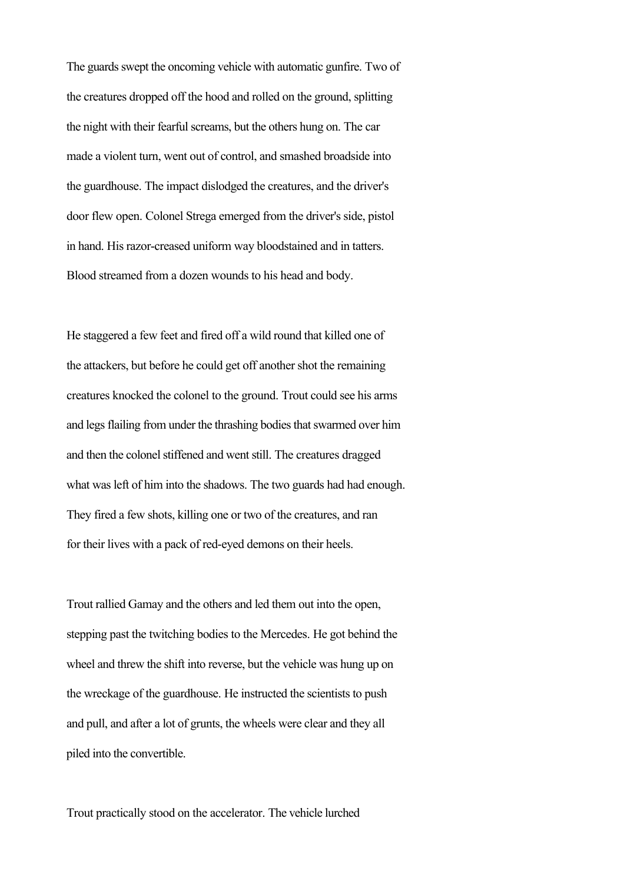The guards swept the oncoming vehicle with automatic gunfire. Two of the creatures dropped off the hood and rolled on the ground, splitting the night with their fearful screams, but the others hung on. The car made a violent turn, went out of control, and smashed broadside into the guardhouse. The impact dislodged the creatures, and the driver's door flew open. Colonel Strega emerged from the driver's side, pistol in hand. His razor-creased uniform way bloodstained and in tatters. Blood streamed from a dozen wounds to his head and body.

 He staggered a few feet and fired off a wild round that killed one of the attackers, but before he could get off another shot the remaining creatures knocked the colonel to the ground. Trout could see his arms and legs flailing from under the thrashing bodies that swarmed over him and then the colonel stiffened and went still. The creatures dragged what was left of him into the shadows. The two guards had had enough. They fired a few shots, killing one or two of the creatures, and ran for their lives with a pack of red-eyed demons on their heels.

 Trout rallied Gamay and the others and led them out into the open, stepping past the twitching bodies to the Mercedes. He got behind the wheel and threw the shift into reverse, but the vehicle was hung up on the wreckage of the guardhouse. He instructed the scientists to push and pull, and after a lot of grunts, the wheels were clear and they all piled into the convertible.

Trout practically stood on the accelerator. The vehicle lurched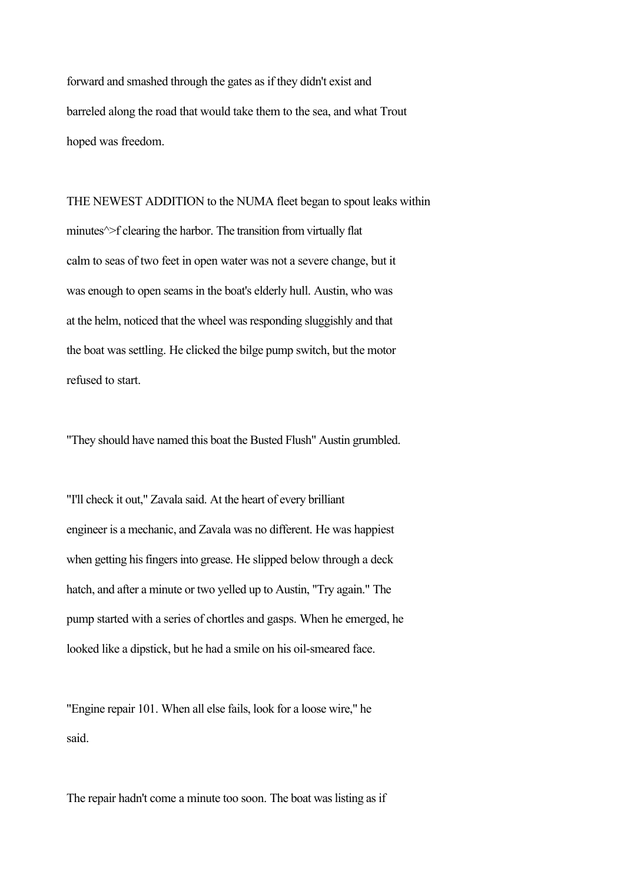forward and smashed through the gates as if they didn't exist and barreled along the road that would take them to the sea, and what Trout hoped was freedom.

 THE NEWEST ADDITION to the NUMA fleet began to spout leaks within minutes<sup> $\sim$ </sup>f clearing the harbor. The transition from virtually flat calm to seas of two feet in open water was not a severe change, but it was enough to open seams in the boat's elderly hull. Austin, who was at the helm, noticed that the wheel was responding sluggishly and that the boat was settling. He clicked the bilge pump switch, but the motor refused to start.

"They should have named this boat the Busted Flush" Austin grumbled.

 "I'll check it out," Zavala said. At the heart of every brilliant engineer is a mechanic, and Zavala was no different. He was happiest when getting his fingers into grease. He slipped below through a deck hatch, and after a minute or two yelled up to Austin, "Try again." The pump started with a series of chortles and gasps. When he emerged, he looked like a dipstick, but he had a smile on his oil-smeared face.

 "Engine repair 101. When all else fails, look for a loose wire," he said.

The repair hadn't come a minute too soon. The boat was listing as if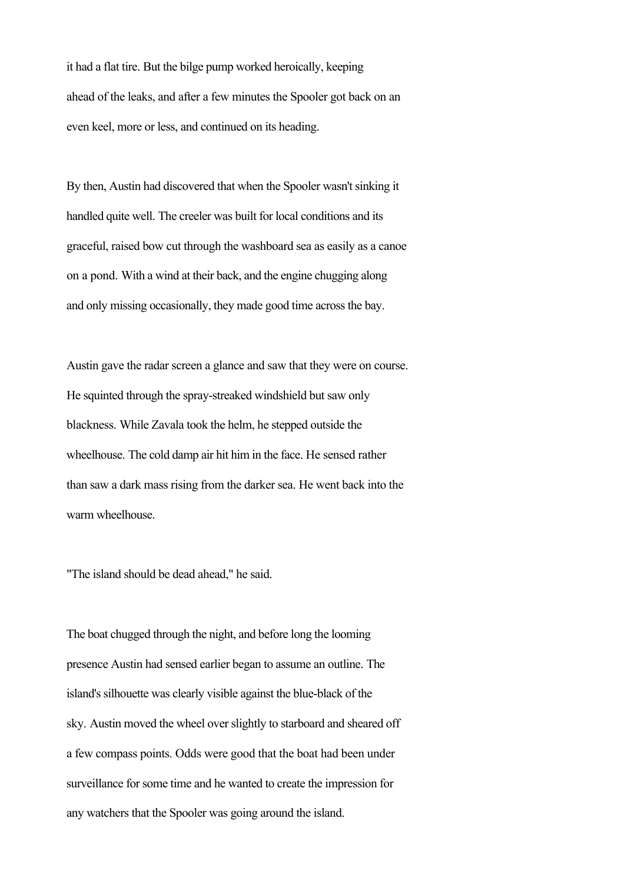it had a flat tire. But the bilge pump worked heroically, keeping ahead of the leaks, and after a few minutes the Spooler got back on an even keel, more or less, and continued on its heading.

 By then, Austin had discovered that when the Spooler wasn't sinking it handled quite well. The creeler was built for local conditions and its graceful, raised bow cut through the washboard sea as easily as a canoe on a pond. With a wind at their back, and the engine chugging along and only missing occasionally, they made good time across the bay.

 Austin gave the radar screen a glance and saw that they were on course. He squinted through the spray-streaked windshield but saw only blackness. While Zavala took the helm, he stepped outside the wheelhouse. The cold damp air hit him in the face. He sensed rather than saw a dark mass rising from the darker sea. He went back into the warm wheelhouse.

"The island should be dead ahead," he said.

 The boat chugged through the night, and before long the looming presence Austin had sensed earlier began to assume an outline. The island's silhouette was clearly visible against the blue-black of the sky. Austin moved the wheel over slightly to starboard and sheared off a few compass points. Odds were good that the boat had been under surveillance for some time and he wanted to create the impression for any watchers that the Spooler was going around the island.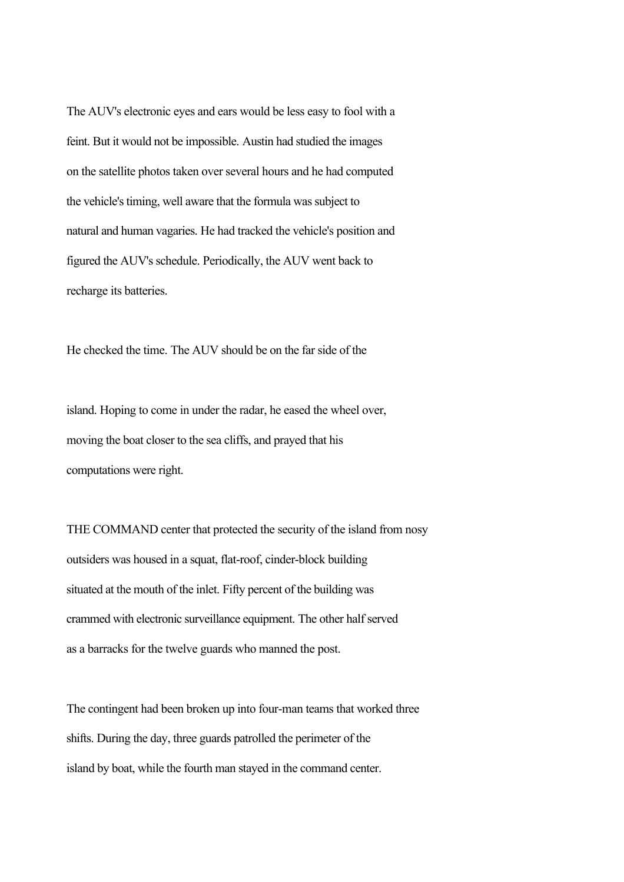The AUV's electronic eyes and ears would be less easy to fool with a feint. But it would not be impossible. Austin had studied the images on the satellite photos taken over several hours and he had computed the vehicle's timing, well aware that the formula was subject to natural and human vagaries. He had tracked the vehicle's position and figured the AUV's schedule. Periodically, the AUV went back to recharge its batteries.

He checked the time. The AUV should be on the far side of the

 island. Hoping to come in under the radar, he eased the wheel over, moving the boat closer to the sea cliffs, and prayed that his computations were right.

 THE COMMAND center that protected the security of the island from nosy outsiders was housed in a squat, flat-roof, cinder-block building situated at the mouth of the inlet. Fifty percent of the building was crammed with electronic surveillance equipment. The other half served as a barracks for the twelve guards who manned the post.

 The contingent had been broken up into four-man teams that worked three shifts. During the day, three guards patrolled the perimeter of the island by boat, while the fourth man stayed in the command center.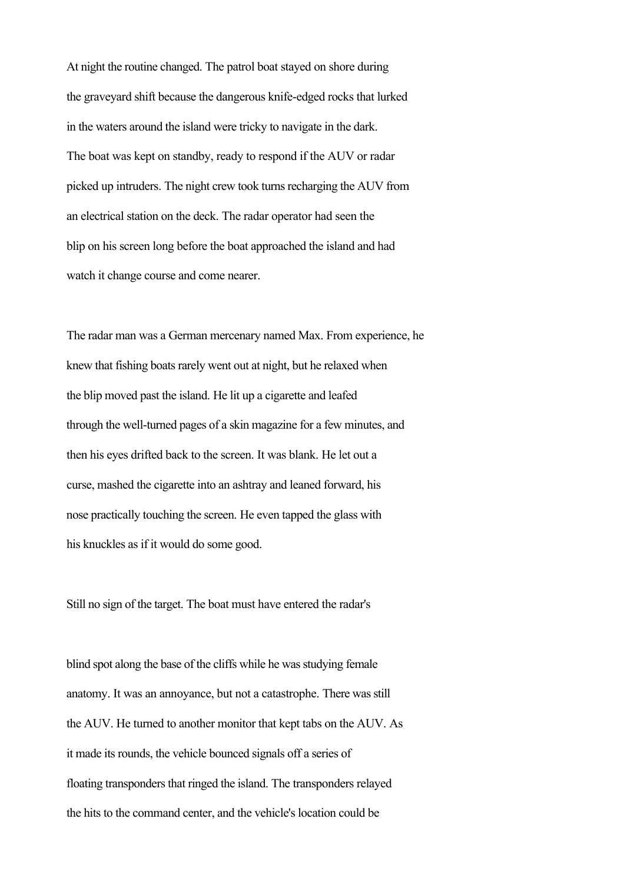At night the routine changed. The patrol boat stayed on shore during the graveyard shift because the dangerous knife-edged rocks that lurked in the waters around the island were tricky to navigate in the dark. The boat was kept on standby, ready to respond if the AUV or radar picked up intruders. The night crew took turns recharging the AUV from an electrical station on the deck. The radar operator had seen the blip on his screen long before the boat approached the island and had watch it change course and come nearer.

 The radar man was a German mercenary named Max. From experience, he knew that fishing boats rarely went out at night, but he relaxed when the blip moved past the island. He lit up a cigarette and leafed through the well-turned pages of a skin magazine for a few minutes, and then his eyes drifted back to the screen. It was blank. He let out a curse, mashed the cigarette into an ashtray and leaned forward, his nose practically touching the screen. He even tapped the glass with his knuckles as if it would do some good.

Still no sign of the target. The boat must have entered the radar's

 blind spot along the base of the cliffs while he was studying female anatomy. It was an annoyance, but not a catastrophe. There was still the AUV. He turned to another monitor that kept tabs on the AUV. As it made its rounds, the vehicle bounced signals off a series of floating transponders that ringed the island. The transponders relayed the hits to the command center, and the vehicle's location could be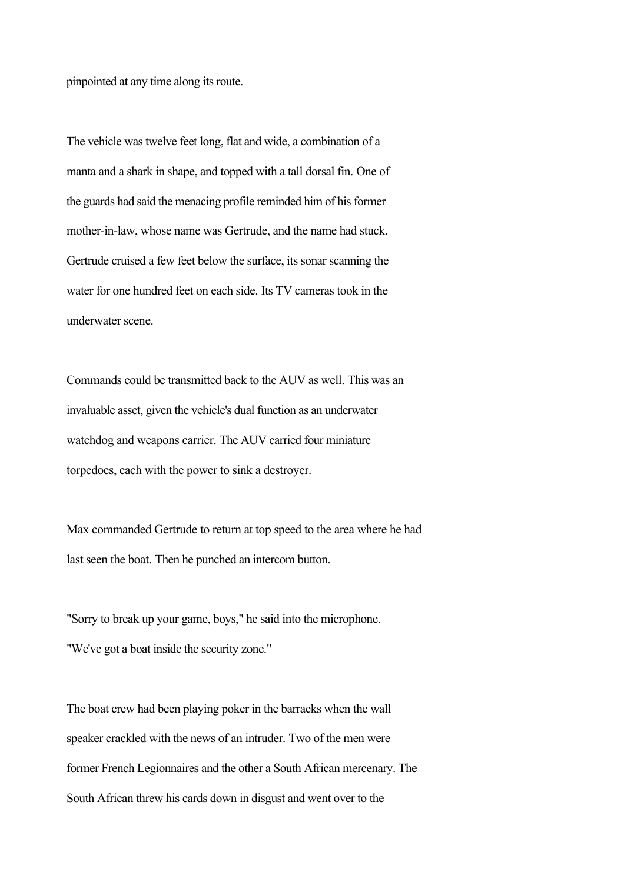pinpointed at any time along its route.

 The vehicle was twelve feet long, flat and wide, a combination of a manta and a shark in shape, and topped with a tall dorsal fin. One of the guards had said the menacing profile reminded him of his former mother-in-law, whose name was Gertrude, and the name had stuck. Gertrude cruised a few feet below the surface, its sonar scanning the water for one hundred feet on each side. Its TV cameras took in the underwater scene.

 Commands could be transmitted back to the AUV as well. This was an invaluable asset, given the vehicle's dual function as an underwater watchdog and weapons carrier. The AUV carried four miniature torpedoes, each with the power to sink a destroyer.

 Max commanded Gertrude to return at top speed to the area where he had last seen the boat. Then he punched an intercom button.

 "Sorry to break up your game, boys," he said into the microphone. "We've got a boat inside the security zone."

 The boat crew had been playing poker in the barracks when the wall speaker crackled with the news of an intruder. Two of the men were former French Legionnaires and the other a South African mercenary. The South African threw his cards down in disgust and went over to the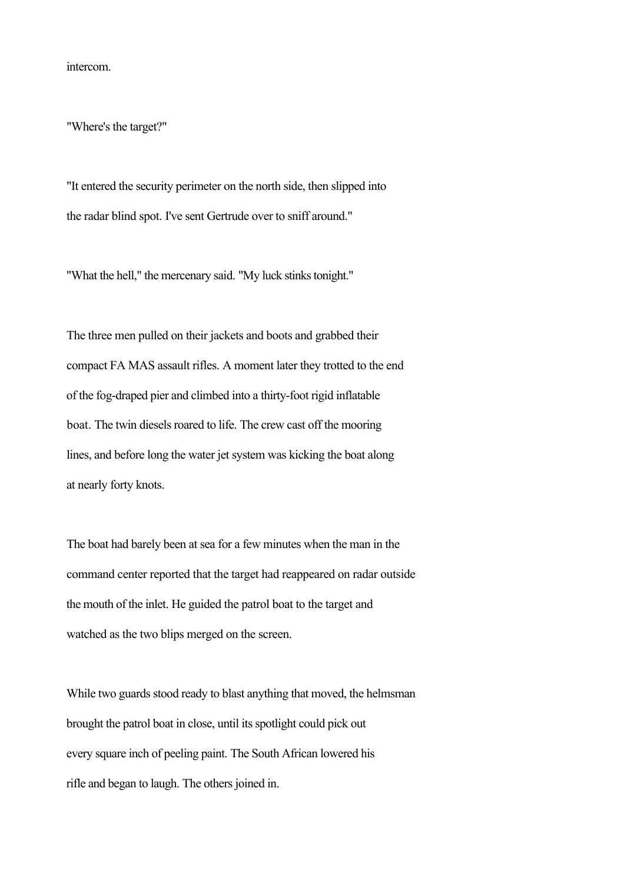intercom.

"Where's the target?"

 "It entered the security perimeter on the north side, then slipped into the radar blind spot. I've sent Gertrude over to sniff around."

"What the hell," the mercenary said. "My luck stinks tonight."

 The three men pulled on their jackets and boots and grabbed their compact FA MAS assault rifles. A moment later they trotted to the end of the fog-draped pier and climbed into a thirty-foot rigid inflatable boat. The twin diesels roared to life. The crew cast off the mooring lines, and before long the water jet system was kicking the boat along at nearly forty knots.

 The boat had barely been at sea for a few minutes when the man in the command center reported that the target had reappeared on radar outside the mouth of the inlet. He guided the patrol boat to the target and watched as the two blips merged on the screen.

 While two guards stood ready to blast anything that moved, the helmsman brought the patrol boat in close, until its spotlight could pick out every square inch of peeling paint. The South African lowered his rifle and began to laugh. The others joined in.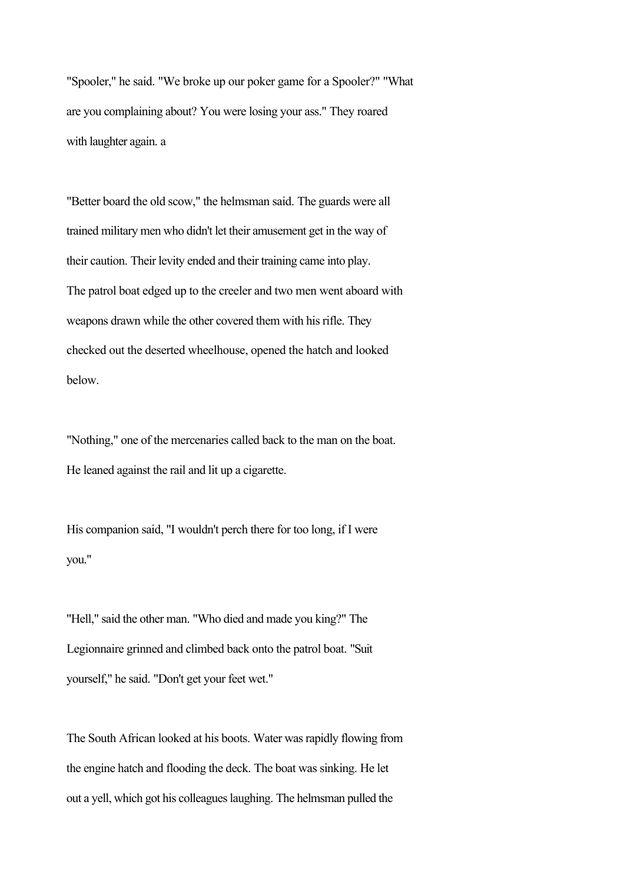"Spooler," he said. "We broke up our poker game for a Spooler?" "What are you complaining about? You were losing your ass." They roared with laughter again. a

 "Better board the old scow," the helmsman said. The guards were all trained military men who didn't let their amusement get in the way of their caution. Their levity ended and their training came into play. The patrol boat edged up to the creeler and two men went aboard with weapons drawn while the other covered them with his rifle. They checked out the deserted wheelhouse, opened the hatch and looked below.

 "Nothing," one of the mercenaries called back to the man on the boat. He leaned against the rail and lit up a cigarette.

 His companion said, "I wouldn't perch there for too long, if I were you."

 "Hell," said the other man. "Who died and made you king?" The Legionnaire grinned and climbed back onto the patrol boat. "Suit yourself," he said. "Don't get your feet wet."

 The South African looked at his boots. Water was rapidly flowing from the engine hatch and flooding the deck. The boat was sinking. He let out a yell, which got his colleagues laughing. The helmsman pulled the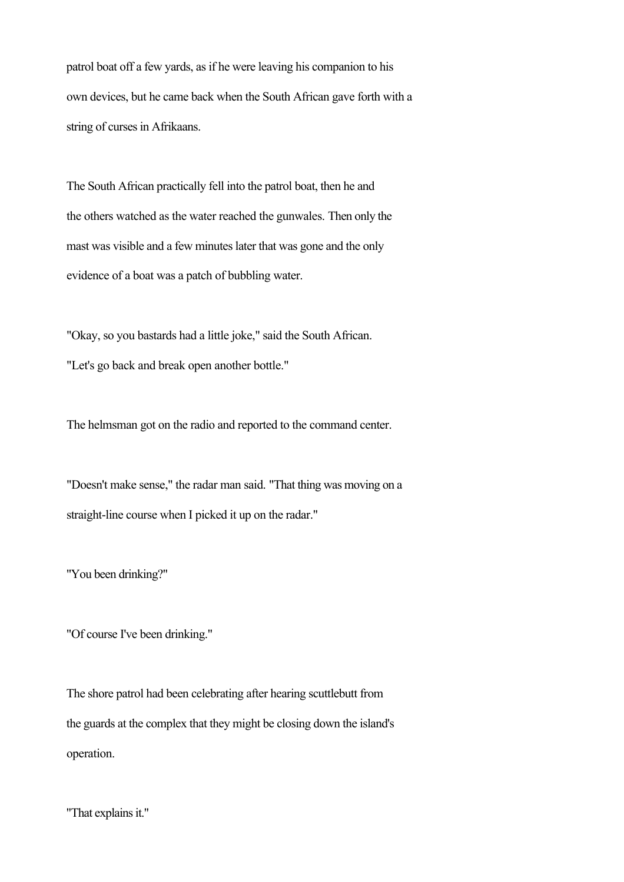patrol boat off a few yards, as if he were leaving his companion to his own devices, but he came back when the South African gave forth with a string of curses in Afrikaans.

 The South African practically fell into the patrol boat, then he and the others watched as the water reached the gunwales. Then only the mast was visible and a few minutes later that was gone and the only evidence of a boat was a patch of bubbling water.

 "Okay, so you bastards had a little joke," said the South African. "Let's go back and break open another bottle."

The helmsman got on the radio and reported to the command center.

 "Doesn't make sense," the radar man said. "That thing was moving on a straight-line course when I picked it up on the radar."

"You been drinking?"

"Of course I've been drinking."

 The shore patrol had been celebrating after hearing scuttlebutt from the guards at the complex that they might be closing down the island's operation.

"That explains it."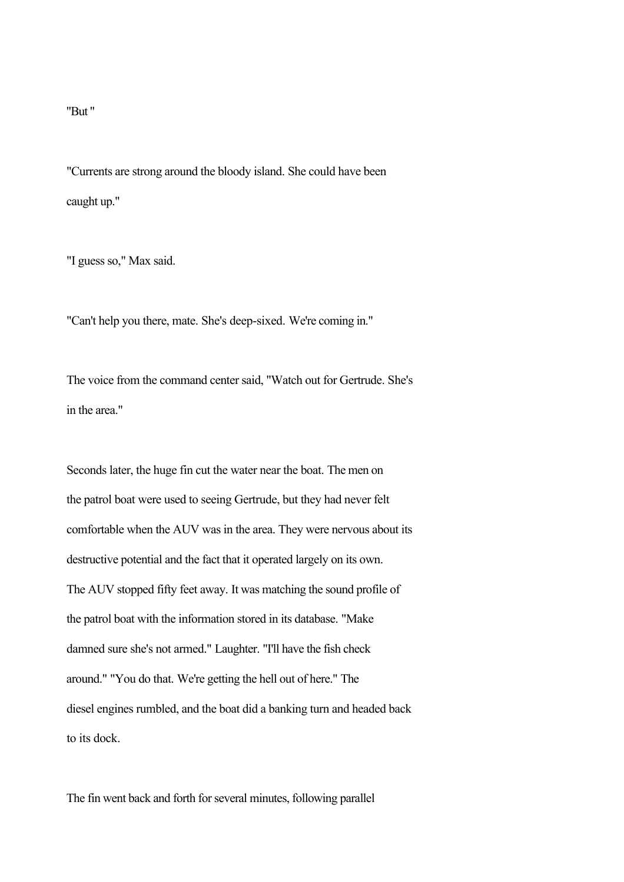## "But "

 "Currents are strong around the bloody island. She could have been caught up."

"I guess so," Max said.

"Can't help you there, mate. She's deep-sixed. We're coming in."

 The voice from the command center said, "Watch out for Gertrude. She's in the area."

 Seconds later, the huge fin cut the water near the boat. The men on the patrol boat were used to seeing Gertrude, but they had never felt comfortable when the AUV was in the area. They were nervous about its destructive potential and the fact that it operated largely on its own. The AUV stopped fifty feet away. It was matching the sound profile of the patrol boat with the information stored in its database. "Make damned sure she's not armed." Laughter. "I'll have the fish check around." "You do that. We're getting the hell out of here." The diesel engines rumbled, and the boat did a banking turn and headed back to its dock.

The fin went back and forth for several minutes, following parallel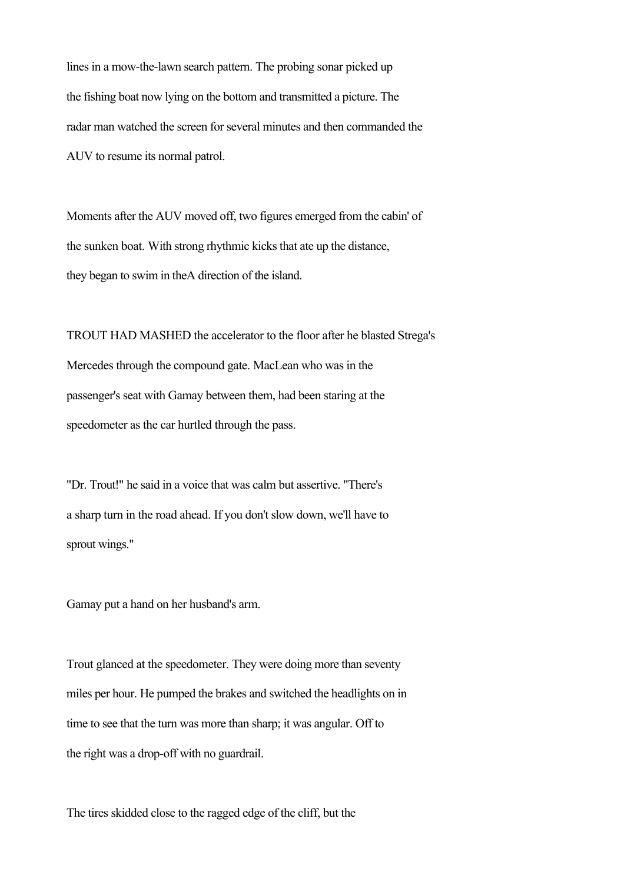lines in a mow-the-lawn search pattern. The probing sonar picked up the fishing boat now lying on the bottom and transmitted a picture. The radar man watched the screen for several minutes and then commanded the AUV to resume its normal patrol.

 Moments after the AUV moved off, two figures emerged from the cabin' of the sunken boat. With strong rhythmic kicks that ate up the distance, they began to swim in theA direction of the island.

 TROUT HAD MASHED the accelerator to the floor after he blasted Strega's Mercedes through the compound gate. MacLean who was in the passenger's seat with Gamay between them, had been staring at the speedometer as the car hurtled through the pass.

 "Dr. Trout!" he said in a voice that was calm but assertive. "There's a sharp turn in the road ahead. If you don't slow down, we'll have to sprout wings."

Gamay put a hand on her husband's arm.

 Trout glanced at the speedometer. They were doing more than seventy miles per hour. He pumped the brakes and switched the headlights on in time to see that the turn was more than sharp; it was angular. Off to the right was a drop-off with no guardrail.

The tires skidded close to the ragged edge of the cliff, but the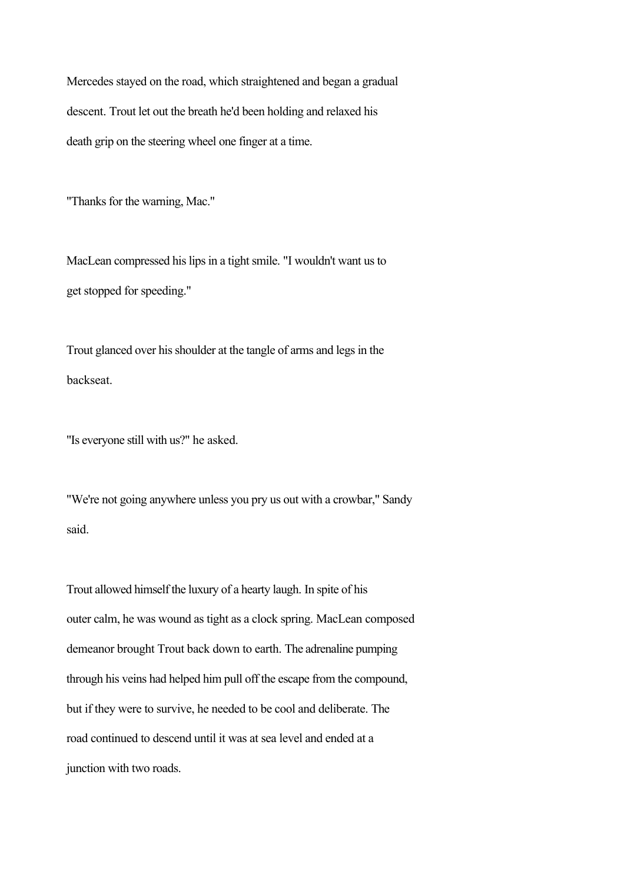Mercedes stayed on the road, which straightened and began a gradual descent. Trout let out the breath he'd been holding and relaxed his death grip on the steering wheel one finger at a time.

"Thanks for the warning, Mac."

 MacLean compressed his lips in a tight smile. "I wouldn't want us to get stopped for speeding."

 Trout glanced over his shoulder at the tangle of arms and legs in the backseat.

"Is everyone still with us?" he asked.

 "We're not going anywhere unless you pry us out with a crowbar," Sandy said.

 Trout allowed himself the luxury of a hearty laugh. In spite of his outer calm, he was wound as tight as a clock spring. MacLean composed demeanor brought Trout back down to earth. The adrenaline pumping through his veins had helped him pull off the escape from the compound, but if they were to survive, he needed to be cool and deliberate. The road continued to descend until it was at sea level and ended at a junction with two roads.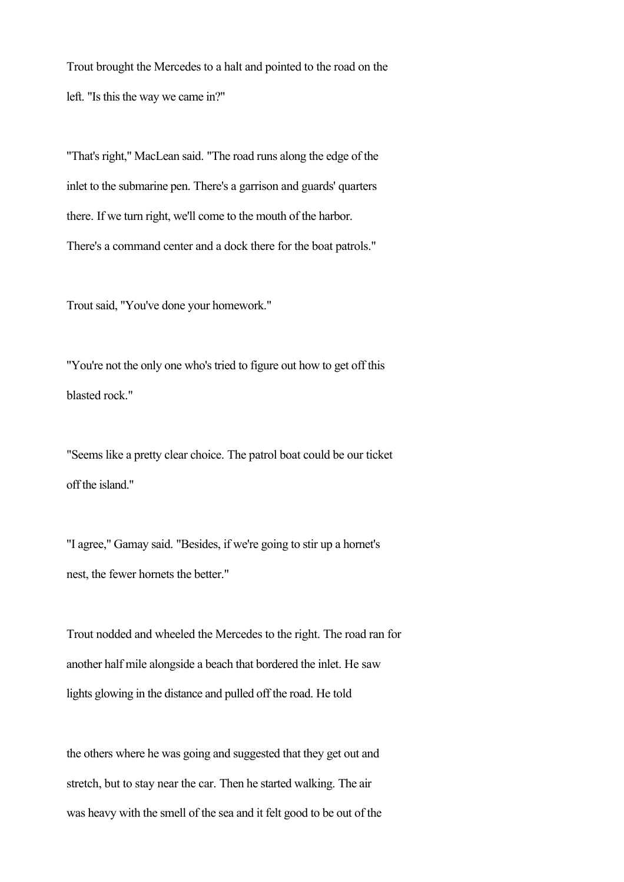Trout brought the Mercedes to a halt and pointed to the road on the left. "Is this the way we came in?"

 "That's right," MacLean said. "The road runs along the edge of the inlet to the submarine pen. There's a garrison and guards' quarters there. If we turn right, we'll come to the mouth of the harbor. There's a command center and a dock there for the boat patrols."

Trout said, "You've done your homework."

 "You're not the only one who's tried to figure out how to get off this blasted rock."

 "Seems like a pretty clear choice. The patrol boat could be our ticket off the island."

 "I agree," Gamay said. "Besides, if we're going to stir up a hornet's nest, the fewer hornets the better."

 Trout nodded and wheeled the Mercedes to the right. The road ran for another half mile alongside a beach that bordered the inlet. He saw lights glowing in the distance and pulled off the road. He told

 the others where he was going and suggested that they get out and stretch, but to stay near the car. Then he started walking. The air was heavy with the smell of the sea and it felt good to be out of the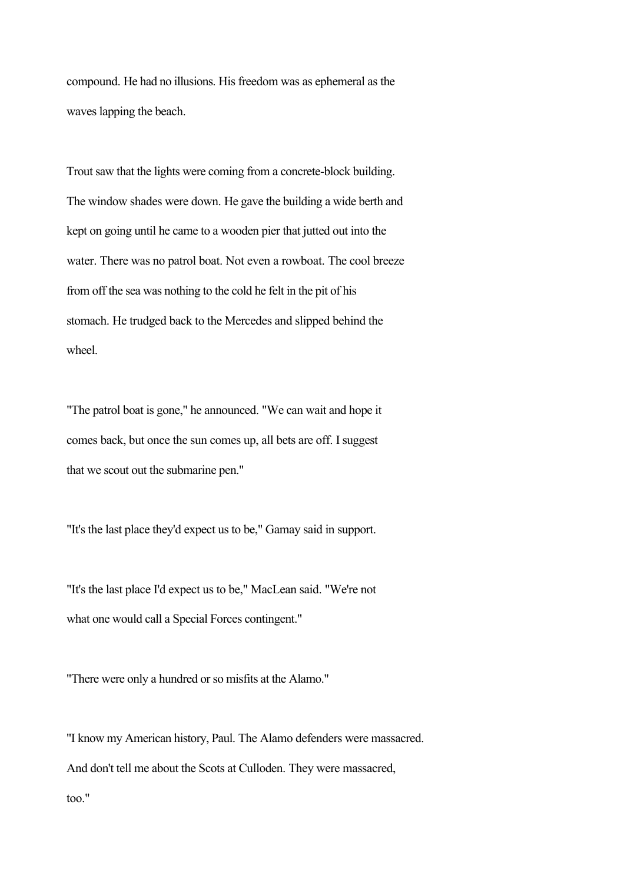compound. He had no illusions. His freedom was as ephemeral as the waves lapping the beach.

 Trout saw that the lights were coming from a concrete-block building. The window shades were down. He gave the building a wide berth and kept on going until he came to a wooden pier that jutted out into the water. There was no patrol boat. Not even a rowboat. The cool breeze from off the sea was nothing to the cold he felt in the pit of his stomach. He trudged back to the Mercedes and slipped behind the wheel

 "The patrol boat is gone," he announced. "We can wait and hope it comes back, but once the sun comes up, all bets are off. I suggest that we scout out the submarine pen."

"It's the last place they'd expect us to be," Gamay said in support.

 "It's the last place I'd expect us to be," MacLean said. "We're not what one would call a Special Forces contingent."

"There were only a hundred or so misfits at the Alamo."

 "I know my American history, Paul. The Alamo defenders were massacred. And don't tell me about the Scots at Culloden. They were massacred, too."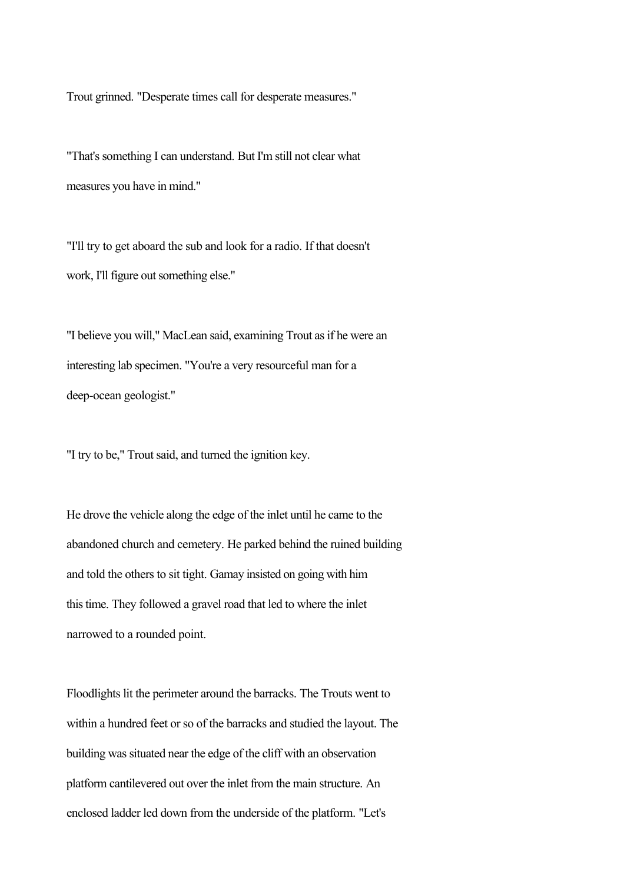Trout grinned. "Desperate times call for desperate measures."

 "That's something I can understand. But I'm still not clear what measures you have in mind."

 "I'll try to get aboard the sub and look for a radio. If that doesn't work, I'll figure out something else."

 "I believe you will," MacLean said, examining Trout as if he were an interesting lab specimen. "You're a very resourceful man for a deep-ocean geologist."

"I try to be," Trout said, and turned the ignition key.

 He drove the vehicle along the edge of the inlet until he came to the abandoned church and cemetery. He parked behind the ruined building and told the others to sit tight. Gamay insisted on going with him this time. They followed a gravel road that led to where the inlet narrowed to a rounded point.

 Floodlights lit the perimeter around the barracks. The Trouts went to within a hundred feet or so of the barracks and studied the layout. The building was situated near the edge of the cliff with an observation platform cantilevered out over the inlet from the main structure. An enclosed ladder led down from the underside of the platform. "Let's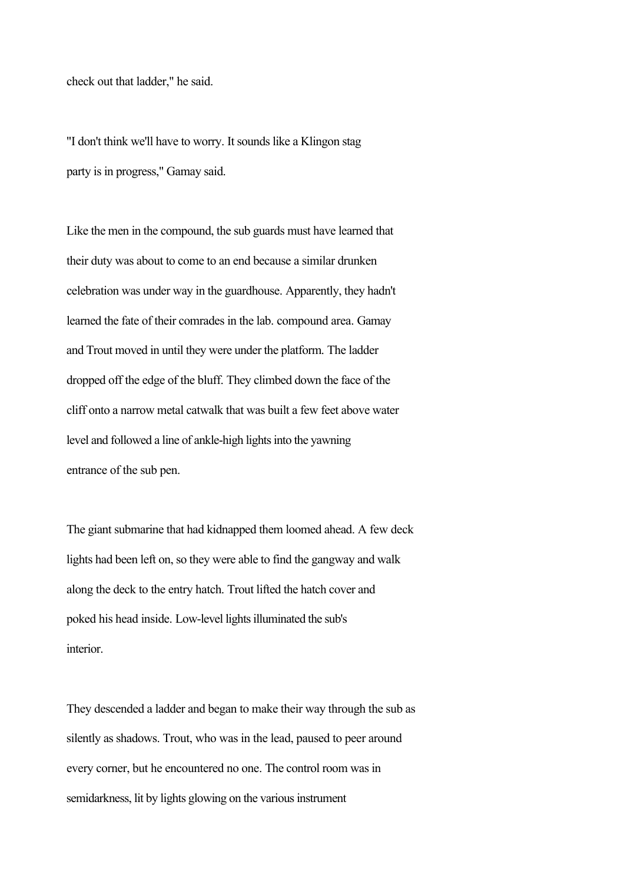check out that ladder," he said.

 "I don't think we'll have to worry. It sounds like a Klingon stag party is in progress," Gamay said.

 Like the men in the compound, the sub guards must have learned that their duty was about to come to an end because a similar drunken celebration was under way in the guardhouse. Apparently, they hadn't learned the fate of their comrades in the lab. compound area. Gamay and Trout moved in until they were under the platform. The ladder dropped off the edge of the bluff. They climbed down the face of the cliff onto a narrow metal catwalk that was built a few feet above water level and followed a line of ankle-high lights into the yawning entrance of the sub pen.

 The giant submarine that had kidnapped them loomed ahead. A few deck lights had been left on, so they were able to find the gangway and walk along the deck to the entry hatch. Trout lifted the hatch cover and poked his head inside. Low-level lights illuminated the sub's interior.

 They descended a ladder and began to make their way through the sub as silently as shadows. Trout, who was in the lead, paused to peer around every corner, but he encountered no one. The control room was in semidarkness, lit by lights glowing on the various instrument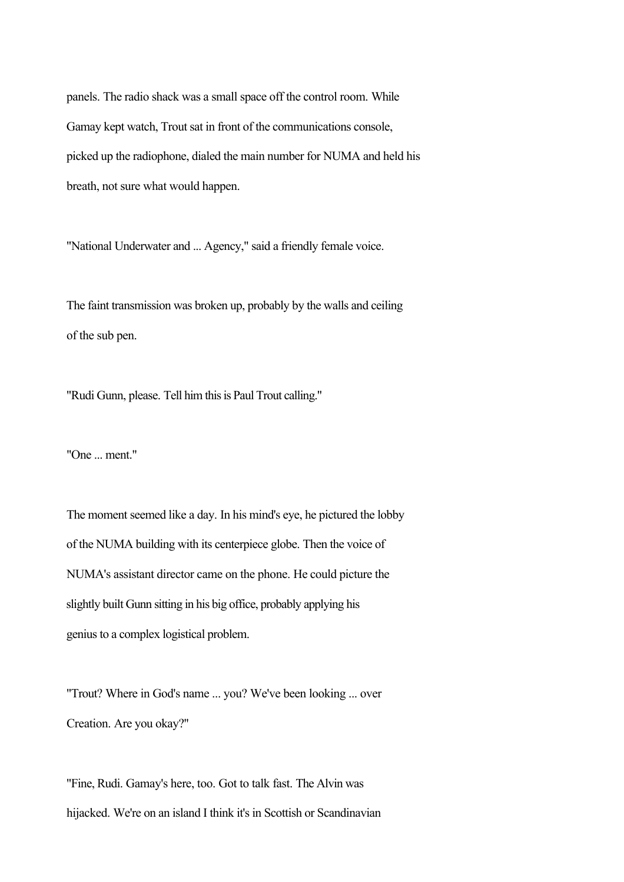panels. The radio shack was a small space off the control room. While Gamay kept watch, Trout sat in front of the communications console, picked up the radiophone, dialed the main number for NUMA and held his breath, not sure what would happen.

"National Underwater and ... Agency," said a friendly female voice.

 The faint transmission was broken up, probably by the walls and ceiling of the sub pen.

"Rudi Gunn, please. Tell him this is Paul Trout calling."

"One ment."

 The moment seemed like a day. In his mind's eye, he pictured the lobby of the NUMA building with its centerpiece globe. Then the voice of NUMA's assistant director came on the phone. He could picture the slightly built Gunn sitting in his big office, probably applying his genius to a complex logistical problem.

 "Trout? Where in God's name ... you? We've been looking ... over Creation. Are you okay?"

 "Fine, Rudi. Gamay's here, too. Got to talk fast. The Alvin was hijacked. We're on an island I think it's in Scottish or Scandinavian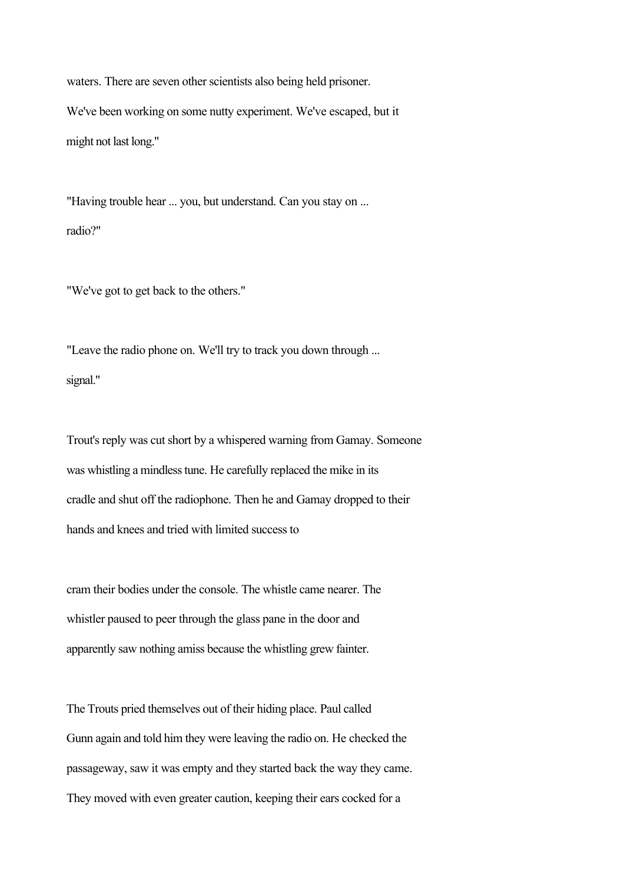waters. There are seven other scientists also being held prisoner. We've been working on some nutty experiment. We've escaped, but it might not last long."

 "Having trouble hear ... you, but understand. Can you stay on ... radio?"

"We've got to get back to the others."

 "Leave the radio phone on. We'll try to track you down through ... signal."

 Trout's reply was cut short by a whispered warning from Gamay. Someone was whistling a mindless tune. He carefully replaced the mike in its cradle and shut off the radiophone. Then he and Gamay dropped to their hands and knees and tried with limited success to

 cram their bodies under the console. The whistle came nearer. The whistler paused to peer through the glass pane in the door and apparently saw nothing amiss because the whistling grew fainter.

 The Trouts pried themselves out of their hiding place. Paul called Gunn again and told him they were leaving the radio on. He checked the passageway, saw it was empty and they started back the way they came. They moved with even greater caution, keeping their ears cocked for a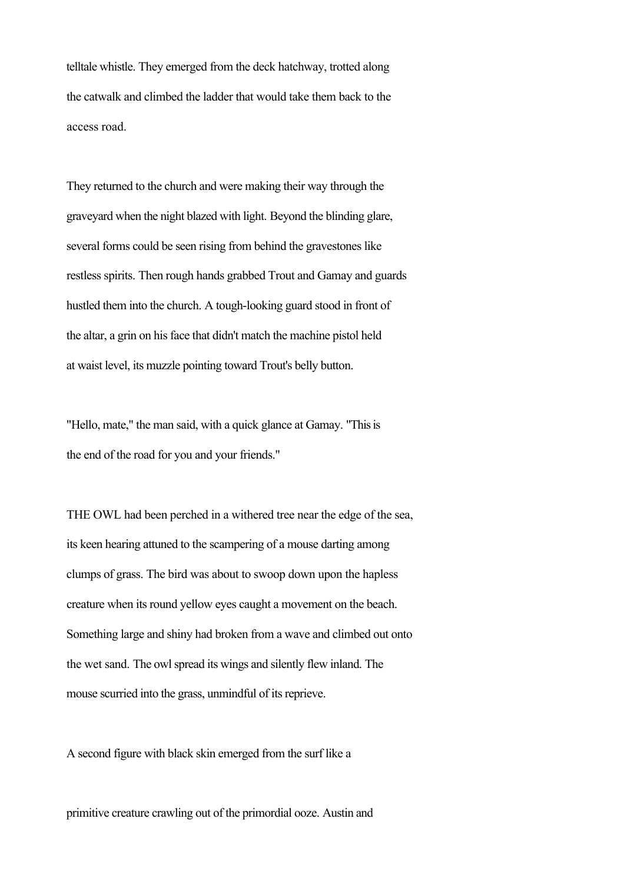telltale whistle. They emerged from the deck hatchway, trotted along the catwalk and climbed the ladder that would take them back to the access road.

 They returned to the church and were making their way through the graveyard when the night blazed with light. Beyond the blinding glare, several forms could be seen rising from behind the gravestones like restless spirits. Then rough hands grabbed Trout and Gamay and guards hustled them into the church. A tough-looking guard stood in front of the altar, a grin on his face that didn't match the machine pistol held at waist level, its muzzle pointing toward Trout's belly button.

 "Hello, mate," the man said, with a quick glance at Gamay. "This is the end of the road for you and your friends."

 THE OWL had been perched in a withered tree near the edge of the sea, its keen hearing attuned to the scampering of a mouse darting among clumps of grass. The bird was about to swoop down upon the hapless creature when its round yellow eyes caught a movement on the beach. Something large and shiny had broken from a wave and climbed out onto the wet sand. The owl spread its wings and silently flew inland. The mouse scurried into the grass, unmindful of its reprieve.

A second figure with black skin emerged from the surf like a

primitive creature crawling out of the primordial ooze. Austin and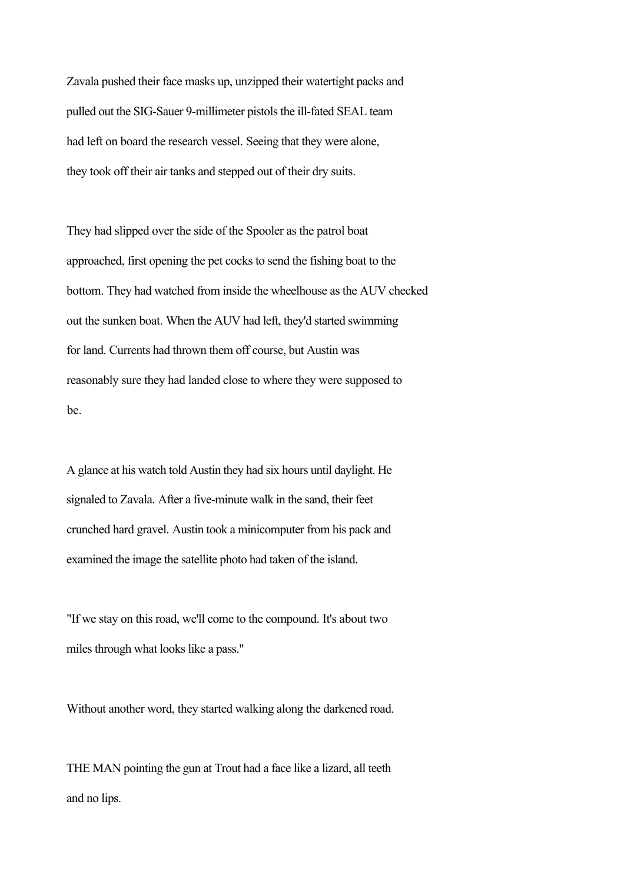Zavala pushed their face masks up, unzipped their watertight packs and pulled out the SIG-Sauer 9-millimeter pistols the ill-fated SEAL team had left on board the research vessel. Seeing that they were alone, they took off their air tanks and stepped out of their dry suits.

 They had slipped over the side of the Spooler as the patrol boat approached, first opening the pet cocks to send the fishing boat to the bottom. They had watched from inside the wheelhouse as the AUV checked out the sunken boat. When the AUV had left, they'd started swimming for land. Currents had thrown them off course, but Austin was reasonably sure they had landed close to where they were supposed to be.

 A glance at his watch told Austin they had six hours until daylight. He signaled to Zavala. After a five-minute walk in the sand, their feet crunched hard gravel. Austin took a minicomputer from his pack and examined the image the satellite photo had taken of the island.

 "If we stay on this road, we'll come to the compound. It's about two miles through what looks like a pass."

Without another word, they started walking along the darkened road.

 THE MAN pointing the gun at Trout had a face like a lizard, all teeth and no lips.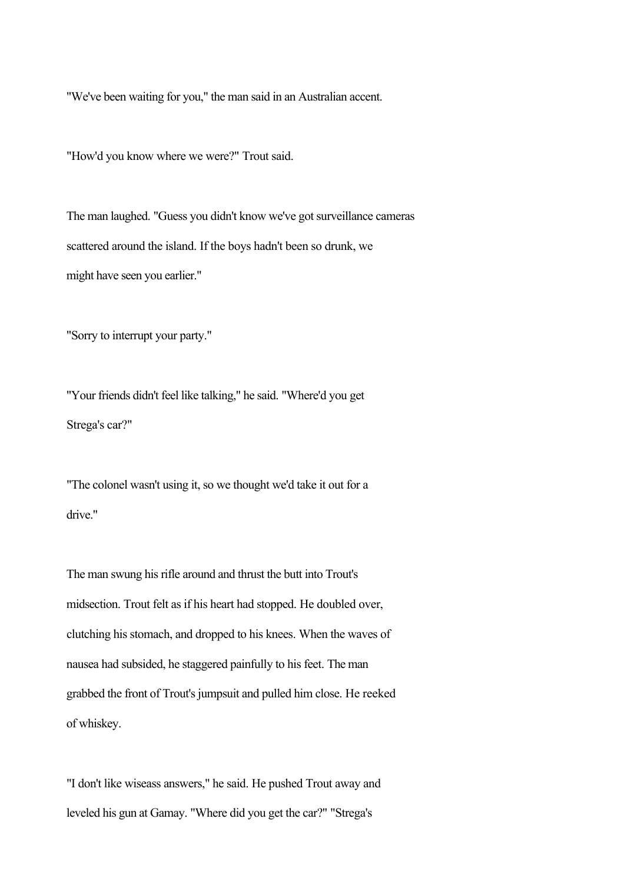"We've been waiting for you," the man said in an Australian accent.

"How'd you know where we were?" Trout said.

 The man laughed. "Guess you didn't know we've got surveillance cameras scattered around the island. If the boys hadn't been so drunk, we might have seen you earlier."

"Sorry to interrupt your party."

 "Your friends didn't feel like talking," he said. "Where'd you get Strega's car?"

 "The colonel wasn't using it, so we thought we'd take it out for a drive."

 The man swung his rifle around and thrust the butt into Trout's midsection. Trout felt as if his heart had stopped. He doubled over, clutching his stomach, and dropped to his knees. When the waves of nausea had subsided, he staggered painfully to his feet. The man grabbed the front of Trout's jumpsuit and pulled him close. He reeked of whiskey.

 "I don't like wiseass answers," he said. He pushed Trout away and leveled his gun at Gamay. "Where did you get the car?" "Strega's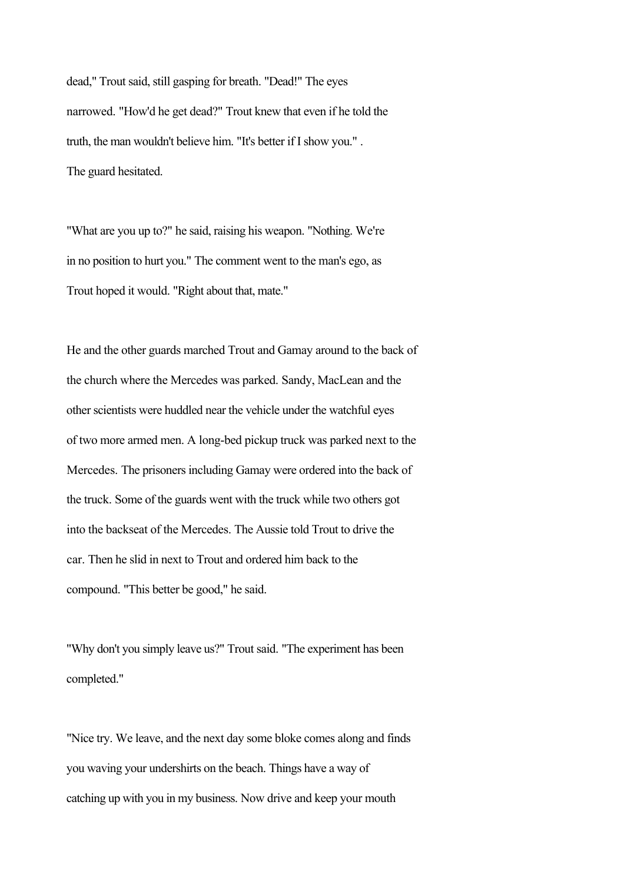dead," Trout said, still gasping for breath. "Dead!" The eyes narrowed. "How'd he get dead?" Trout knew that even if he told the truth, the man wouldn't believe him. "It's better if I show you." . The guard hesitated.

 "What are you up to?" he said, raising his weapon. "Nothing. We're in no position to hurt you." The comment went to the man's ego, as Trout hoped it would. "Right about that, mate."

 He and the other guards marched Trout and Gamay around to the back of the church where the Mercedes was parked. Sandy, MacLean and the other scientists were huddled near the vehicle under the watchful eyes of two more armed men. A long-bed pickup truck was parked next to the Mercedes. The prisoners including Gamay were ordered into the back of the truck. Some of the guards went with the truck while two others got into the backseat of the Mercedes. The Aussie told Trout to drive the car. Then he slid in next to Trout and ordered him back to the compound. "This better be good," he said.

 "Why don't you simply leave us?" Trout said. "The experiment has been completed."

 "Nice try. We leave, and the next day some bloke comes along and finds you waving your undershirts on the beach. Things have a way of catching up with you in my business. Now drive and keep your mouth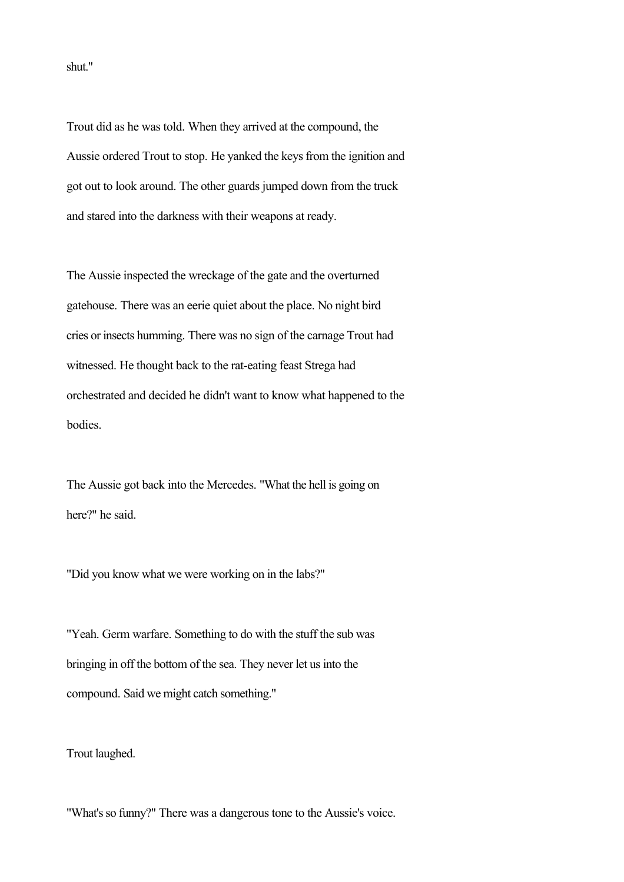shut."

 Trout did as he was told. When they arrived at the compound, the Aussie ordered Trout to stop. He yanked the keys from the ignition and got out to look around. The other guards jumped down from the truck and stared into the darkness with their weapons at ready.

 The Aussie inspected the wreckage of the gate and the overturned gatehouse. There was an eerie quiet about the place. No night bird cries or insects humming. There was no sign of the carnage Trout had witnessed. He thought back to the rat-eating feast Strega had orchestrated and decided he didn't want to know what happened to the bodies.

 The Aussie got back into the Mercedes. "What the hell is going on here?" he said.

"Did you know what we were working on in the labs?"

 "Yeah. Germ warfare. Something to do with the stuff the sub was bringing in off the bottom of the sea. They never let us into the compound. Said we might catch something."

Trout laughed.

"What's so funny?" There was a dangerous tone to the Aussie's voice.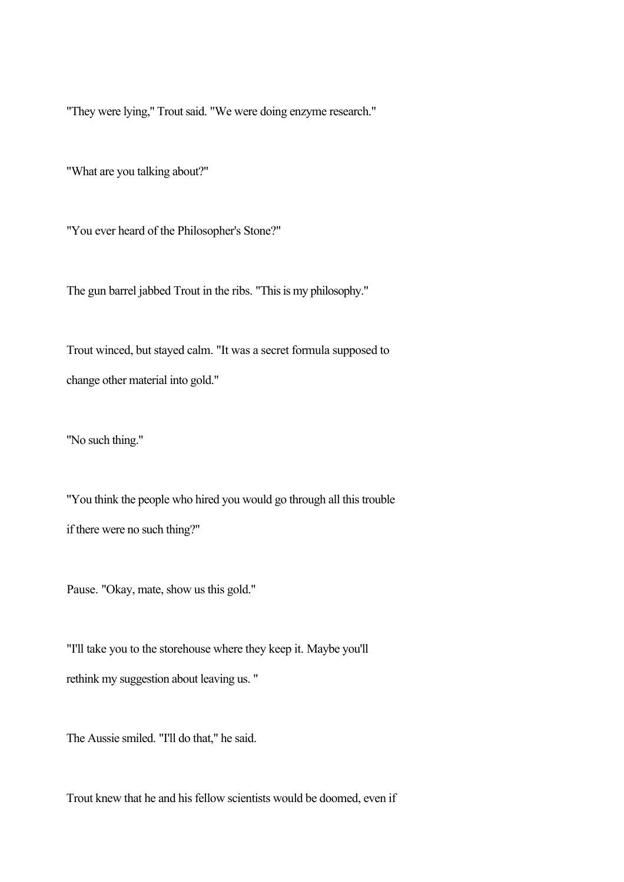"They were lying," Trout said. "We were doing enzyme research."

"What are you talking about?"

"You ever heard of the Philosopher's Stone?"

The gun barrel jabbed Trout in the ribs. "This is my philosophy."

 Trout winced, but stayed calm. "It was a secret formula supposed to change other material into gold."

"No such thing."

 "You think the people who hired you would go through all this trouble if there were no such thing?"

Pause. "Okay, mate, show us this gold."

 "I'll take you to the storehouse where they keep it. Maybe you'll rethink my suggestion about leaving us. "

The Aussie smiled. "I'll do that," he said.

Trout knew that he and his fellow scientists would be doomed, even if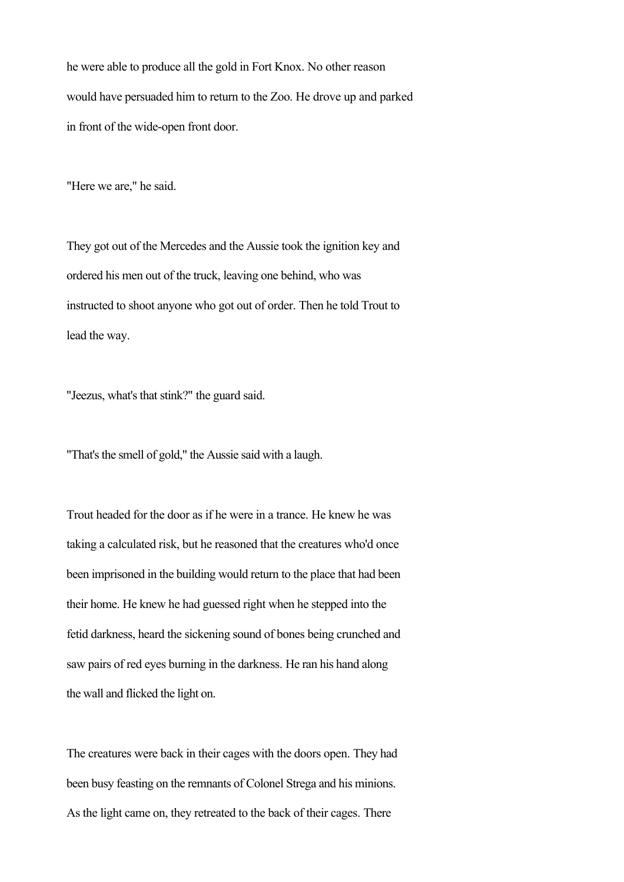he were able to produce all the gold in Fort Knox. No other reason would have persuaded him to return to the Zoo. He drove up and parked in front of the wide-open front door.

"Here we are," he said.

 They got out of the Mercedes and the Aussie took the ignition key and ordered his men out of the truck, leaving one behind, who was instructed to shoot anyone who got out of order. Then he told Trout to lead the way.

"Jeezus, what's that stink?" the guard said.

"That's the smell of gold," the Aussie said with a laugh.

 Trout headed for the door as if he were in a trance. He knew he was taking a calculated risk, but he reasoned that the creatures who'd once been imprisoned in the building would return to the place that had been their home. He knew he had guessed right when he stepped into the fetid darkness, heard the sickening sound of bones being crunched and saw pairs of red eyes burning in the darkness. He ran his hand along the wall and flicked the light on.

 The creatures were back in their cages with the doors open. They had been busy feasting on the remnants of Colonel Strega and his minions. As the light came on, they retreated to the back of their cages. There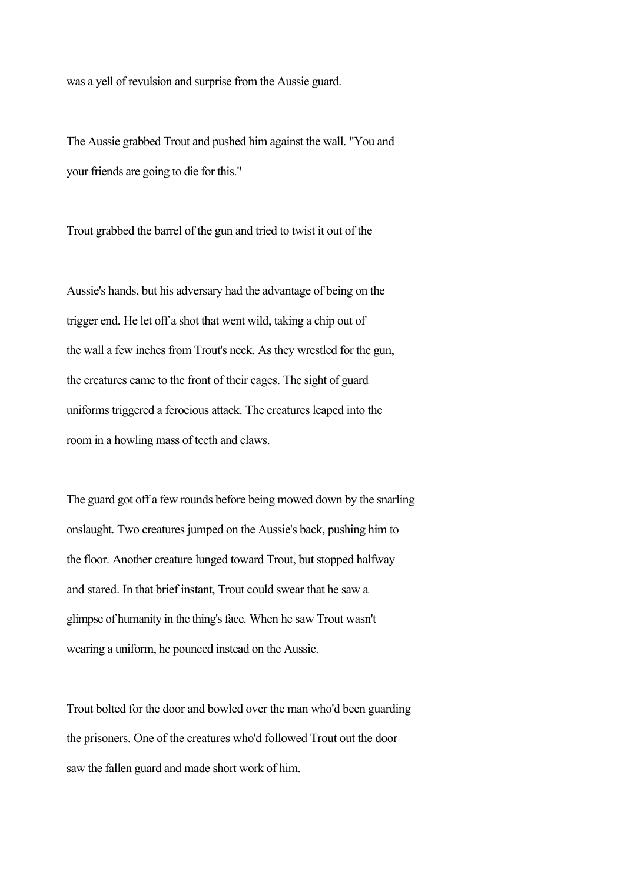was a yell of revulsion and surprise from the Aussie guard.

 The Aussie grabbed Trout and pushed him against the wall. "You and your friends are going to die for this."

Trout grabbed the barrel of the gun and tried to twist it out of the

 Aussie's hands, but his adversary had the advantage of being on the trigger end. He let off a shot that went wild, taking a chip out of the wall a few inches from Trout's neck. As they wrestled for the gun, the creatures came to the front of their cages. The sight of guard uniforms triggered a ferocious attack. The creatures leaped into the room in a howling mass of teeth and claws.

 The guard got off a few rounds before being mowed down by the snarling onslaught. Two creatures jumped on the Aussie's back, pushing him to the floor. Another creature lunged toward Trout, but stopped halfway and stared. In that brief instant, Trout could swear that he saw a glimpse of humanity in the thing's face. When he saw Trout wasn't wearing a uniform, he pounced instead on the Aussie.

 Trout bolted for the door and bowled over the man who'd been guarding the prisoners. One of the creatures who'd followed Trout out the door saw the fallen guard and made short work of him.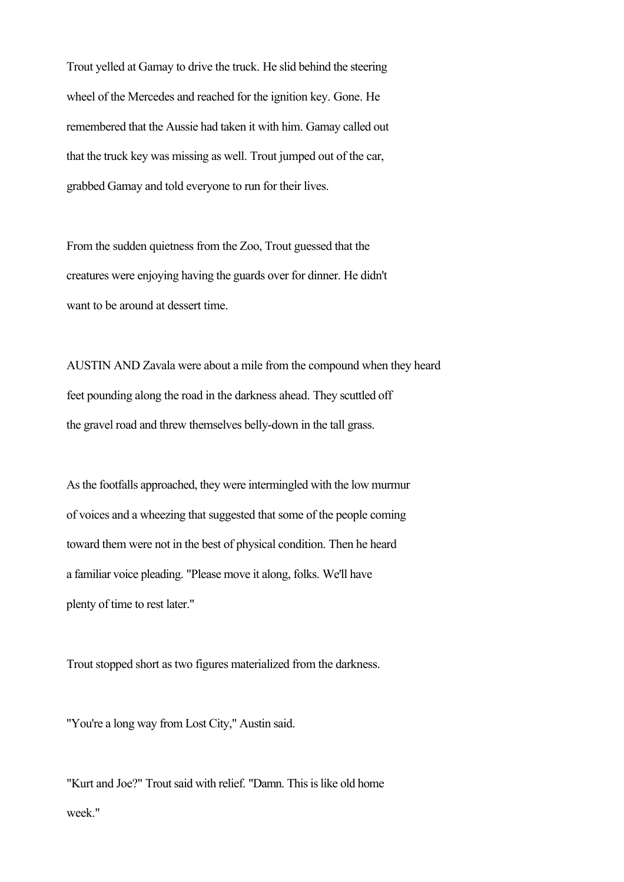Trout yelled at Gamay to drive the truck. He slid behind the steering wheel of the Mercedes and reached for the ignition key. Gone. He remembered that the Aussie had taken it with him. Gamay called out that the truck key was missing as well. Trout jumped out of the car, grabbed Gamay and told everyone to run for their lives.

 From the sudden quietness from the Zoo, Trout guessed that the creatures were enjoying having the guards over for dinner. He didn't want to be around at dessert time.

 AUSTIN AND Zavala were about a mile from the compound when they heard feet pounding along the road in the darkness ahead. They scuttled off the gravel road and threw themselves belly-down in the tall grass.

 As the footfalls approached, they were intermingled with the low murmur of voices and a wheezing that suggested that some of the people coming toward them were not in the best of physical condition. Then he heard a familiar voice pleading. "Please move it along, folks. We'll have plenty of time to rest later."

Trout stopped short as two figures materialized from the darkness.

"You're a long way from Lost City," Austin said.

 "Kurt and Joe?" Trout said with relief. "Damn. This is like old home week."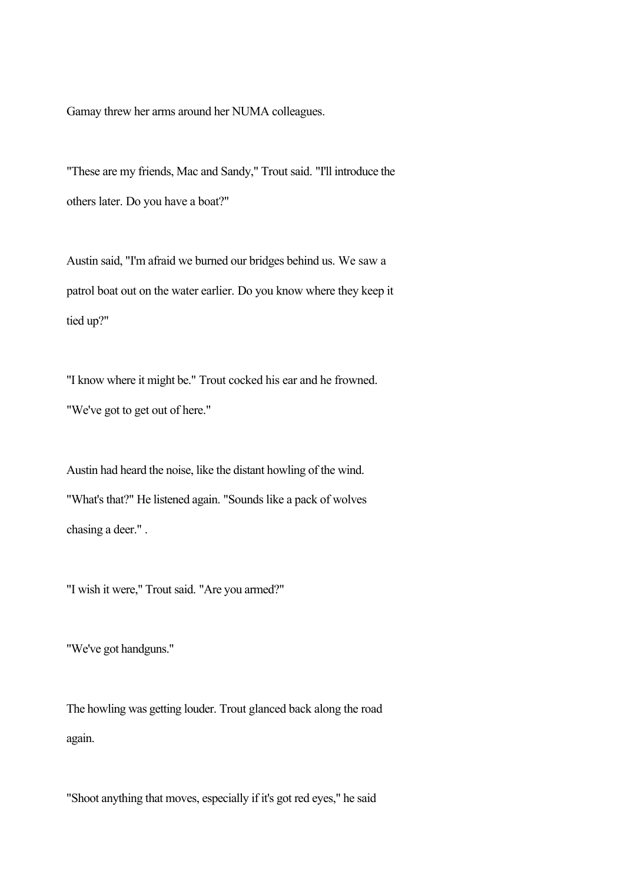Gamay threw her arms around her NUMA colleagues.

 "These are my friends, Mac and Sandy," Trout said. "I'll introduce the others later. Do you have a boat?"

 Austin said, "I'm afraid we burned our bridges behind us. We saw a patrol boat out on the water earlier. Do you know where they keep it tied up?"

 "I know where it might be." Trout cocked his ear and he frowned. "We've got to get out of here."

 Austin had heard the noise, like the distant howling of the wind. "What's that?" He listened again. "Sounds like a pack of wolves chasing a deer." .

"I wish it were," Trout said. "Are you armed?"

"We've got handguns."

 The howling was getting louder. Trout glanced back along the road again.

"Shoot anything that moves, especially if it's got red eyes," he said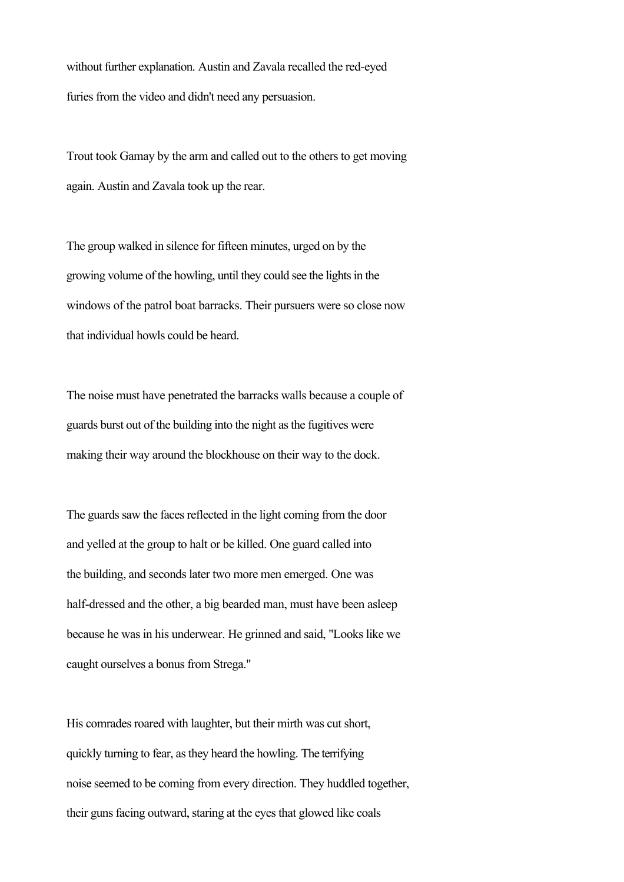without further explanation. Austin and Zavala recalled the red-eyed furies from the video and didn't need any persuasion.

 Trout took Gamay by the arm and called out to the others to get moving again. Austin and Zavala took up the rear.

 The group walked in silence for fifteen minutes, urged on by the growing volume of the howling, until they could see the lights in the windows of the patrol boat barracks. Their pursuers were so close now that individual howls could be heard.

 The noise must have penetrated the barracks walls because a couple of guards burst out of the building into the night as the fugitives were making their way around the blockhouse on their way to the dock.

 The guards saw the faces reflected in the light coming from the door and yelled at the group to halt or be killed. One guard called into the building, and seconds later two more men emerged. One was half-dressed and the other, a big bearded man, must have been asleep because he was in his underwear. He grinned and said, "Looks like we caught ourselves a bonus from Strega."

 His comrades roared with laughter, but their mirth was cut short, quickly turning to fear, as they heard the howling. The terrifying noise seemed to be coming from every direction. They huddled together, their guns facing outward, staring at the eyes that glowed like coals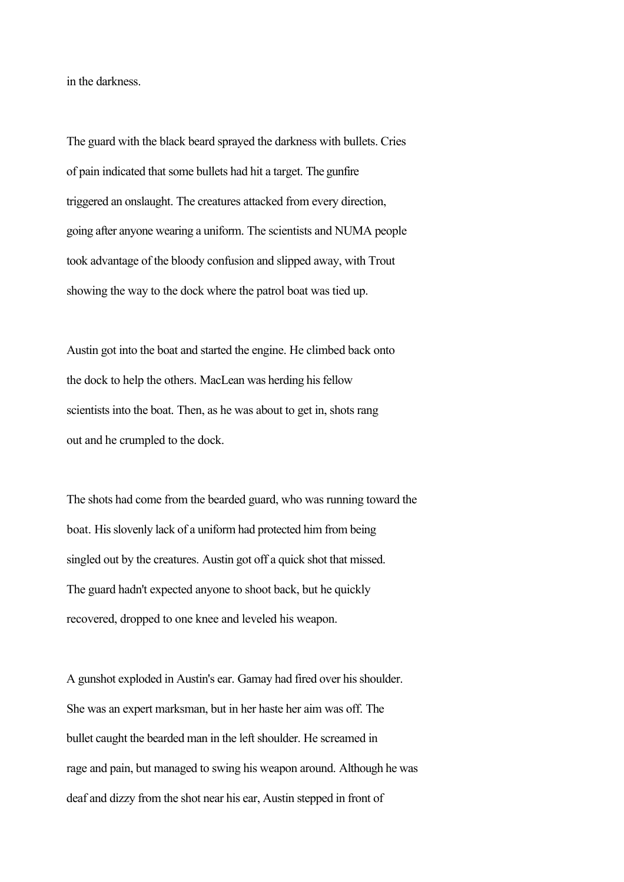in the darkness.

 The guard with the black beard sprayed the darkness with bullets. Cries of pain indicated that some bullets had hit a target. The gunfire triggered an onslaught. The creatures attacked from every direction, going after anyone wearing a uniform. The scientists and NUMA people took advantage of the bloody confusion and slipped away, with Trout showing the way to the dock where the patrol boat was tied up.

 Austin got into the boat and started the engine. He climbed back onto the dock to help the others. MacLean was herding his fellow scientists into the boat. Then, as he was about to get in, shots rang out and he crumpled to the dock.

 The shots had come from the bearded guard, who was running toward the boat. His slovenly lack of a uniform had protected him from being singled out by the creatures. Austin got off a quick shot that missed. The guard hadn't expected anyone to shoot back, but he quickly recovered, dropped to one knee and leveled his weapon.

 A gunshot exploded in Austin's ear. Gamay had fired over his shoulder. She was an expert marksman, but in her haste her aim was off. The bullet caught the bearded man in the left shoulder. He screamed in rage and pain, but managed to swing his weapon around. Although he was deaf and dizzy from the shot near his ear, Austin stepped in front of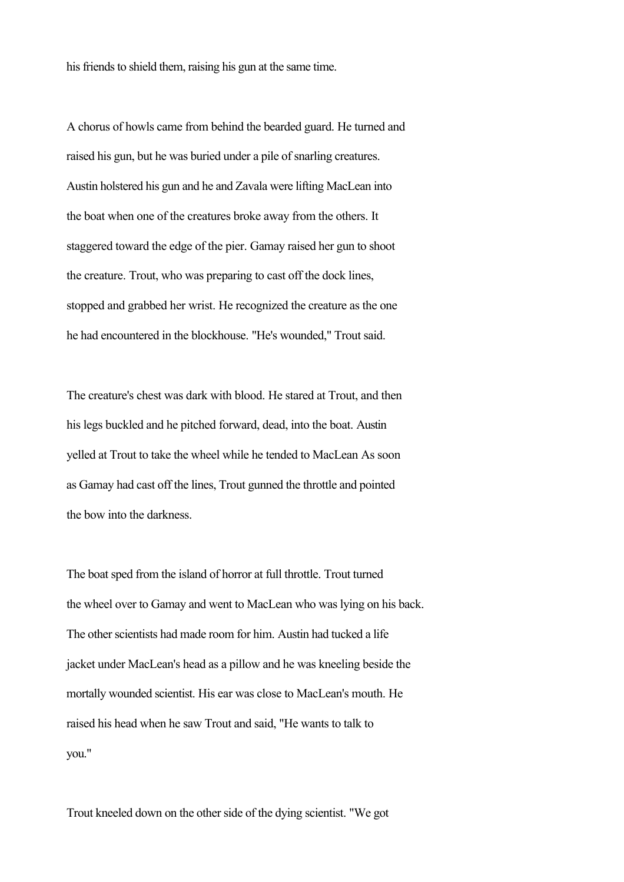his friends to shield them, raising his gun at the same time.

 A chorus of howls came from behind the bearded guard. He turned and raised his gun, but he was buried under a pile of snarling creatures. Austin holstered his gun and he and Zavala were lifting MacLean into the boat when one of the creatures broke away from the others. It staggered toward the edge of the pier. Gamay raised her gun to shoot the creature. Trout, who was preparing to cast off the dock lines, stopped and grabbed her wrist. He recognized the creature as the one he had encountered in the blockhouse. "He's wounded," Trout said.

 The creature's chest was dark with blood. He stared at Trout, and then his legs buckled and he pitched forward, dead, into the boat. Austin yelled at Trout to take the wheel while he tended to MacLean As soon as Gamay had cast off the lines, Trout gunned the throttle and pointed the bow into the darkness.

 The boat sped from the island of horror at full throttle. Trout turned the wheel over to Gamay and went to MacLean who was lying on his back. The other scientists had made room for him. Austin had tucked a life jacket under MacLean's head as a pillow and he was kneeling beside the mortally wounded scientist. His ear was close to MacLean's mouth. He raised his head when he saw Trout and said, "He wants to talk to you."

Trout kneeled down on the other side of the dying scientist. "We got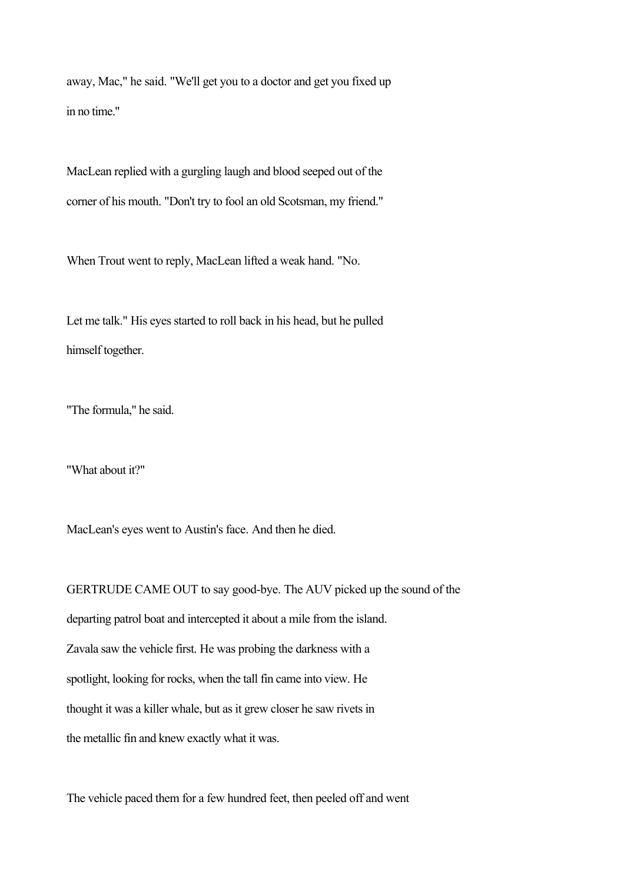away, Mac," he said. "We'll get you to a doctor and get you fixed up in no time."

 MacLean replied with a gurgling laugh and blood seeped out of the corner of his mouth. "Don't try to fool an old Scotsman, my friend."

When Trout went to reply, MacLean lifted a weak hand. "No.

 Let me talk." His eyes started to roll back in his head, but he pulled himself together.

"The formula," he said.

"What about it?"

MacLean's eyes went to Austin's face. And then he died.

 GERTRUDE CAME OUT to say good-bye. The AUV picked up the sound of the departing patrol boat and intercepted it about a mile from the island. Zavala saw the vehicle first. He was probing the darkness with a spotlight, looking for rocks, when the tall fin came into view. He thought it was a killer whale, but as it grew closer he saw rivets in the metallic fin and knew exactly what it was.

The vehicle paced them for a few hundred feet, then peeled off and went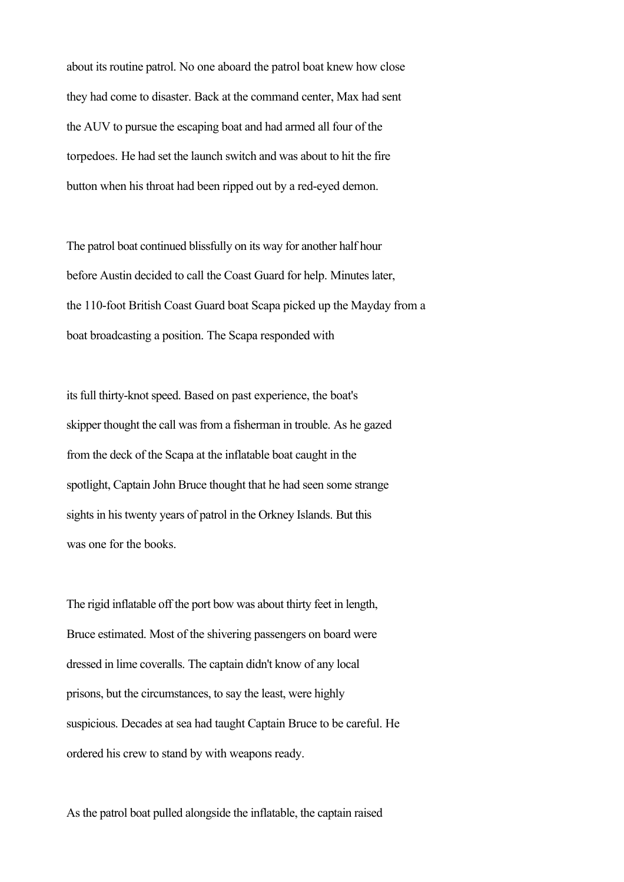about its routine patrol. No one aboard the patrol boat knew how close they had come to disaster. Back at the command center, Max had sent the AUV to pursue the escaping boat and had armed all four of the torpedoes. He had set the launch switch and was about to hit the fire button when his throat had been ripped out by a red-eyed demon.

 The patrol boat continued blissfully on its way for another half hour before Austin decided to call the Coast Guard for help. Minutes later, the 110-foot British Coast Guard boat Scapa picked up the Mayday from a boat broadcasting a position. The Scapa responded with

 its full thirty-knot speed. Based on past experience, the boat's skipper thought the call was from a fisherman in trouble. As he gazed from the deck of the Scapa at the inflatable boat caught in the spotlight, Captain John Bruce thought that he had seen some strange sights in his twenty years of patrol in the Orkney Islands. But this was one for the books.

 The rigid inflatable off the port bow was about thirty feet in length, Bruce estimated. Most of the shivering passengers on board were dressed in lime coveralls. The captain didn't know of any local prisons, but the circumstances, to say the least, were highly suspicious. Decades at sea had taught Captain Bruce to be careful. He ordered his crew to stand by with weapons ready.

As the patrol boat pulled alongside the inflatable, the captain raised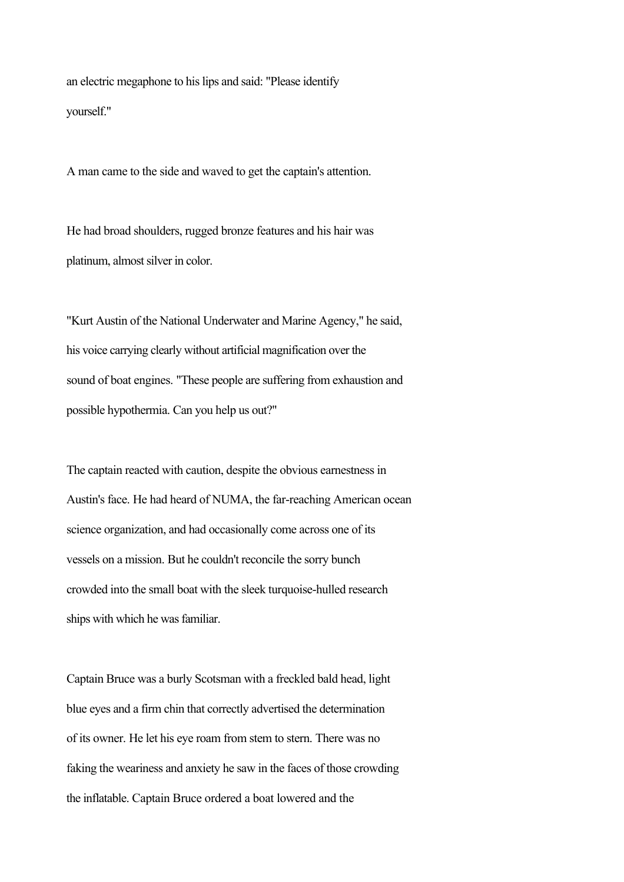an electric megaphone to his lips and said: "Please identify yourself."

A man came to the side and waved to get the captain's attention.

 He had broad shoulders, rugged bronze features and his hair was platinum, almost silver in color.

 "Kurt Austin of the National Underwater and Marine Agency," he said, his voice carrying clearly without artificial magnification over the sound of boat engines. "These people are suffering from exhaustion and possible hypothermia. Can you help us out?"

 The captain reacted with caution, despite the obvious earnestness in Austin's face. He had heard of NUMA, the far-reaching American ocean science organization, and had occasionally come across one of its vessels on a mission. But he couldn't reconcile the sorry bunch crowded into the small boat with the sleek turquoise-hulled research ships with which he was familiar.

 Captain Bruce was a burly Scotsman with a freckled bald head, light blue eyes and a firm chin that correctly advertised the determination of its owner. He let his eye roam from stem to stern. There was no faking the weariness and anxiety he saw in the faces of those crowding the inflatable. Captain Bruce ordered a boat lowered and the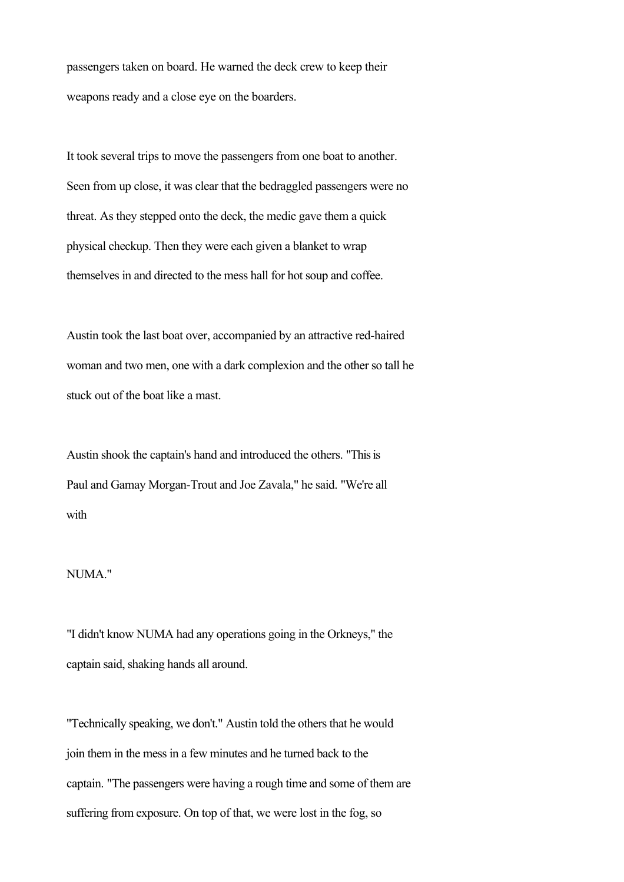passengers taken on board. He warned the deck crew to keep their weapons ready and a close eye on the boarders.

 It took several trips to move the passengers from one boat to another. Seen from up close, it was clear that the bedraggled passengers were no threat. As they stepped onto the deck, the medic gave them a quick physical checkup. Then they were each given a blanket to wrap themselves in and directed to the mess hall for hot soup and coffee.

 Austin took the last boat over, accompanied by an attractive red-haired woman and two men, one with a dark complexion and the other so tall he stuck out of the boat like a mast.

 Austin shook the captain's hand and introduced the others. "This is Paul and Gamay Morgan-Trout and Joe Zavala," he said. "We're all with

## NUMA."

 "I didn't know NUMA had any operations going in the Orkneys," the captain said, shaking hands all around.

 "Technically speaking, we don't." Austin told the others that he would join them in the mess in a few minutes and he turned back to the captain. "The passengers were having a rough time and some of them are suffering from exposure. On top of that, we were lost in the fog, so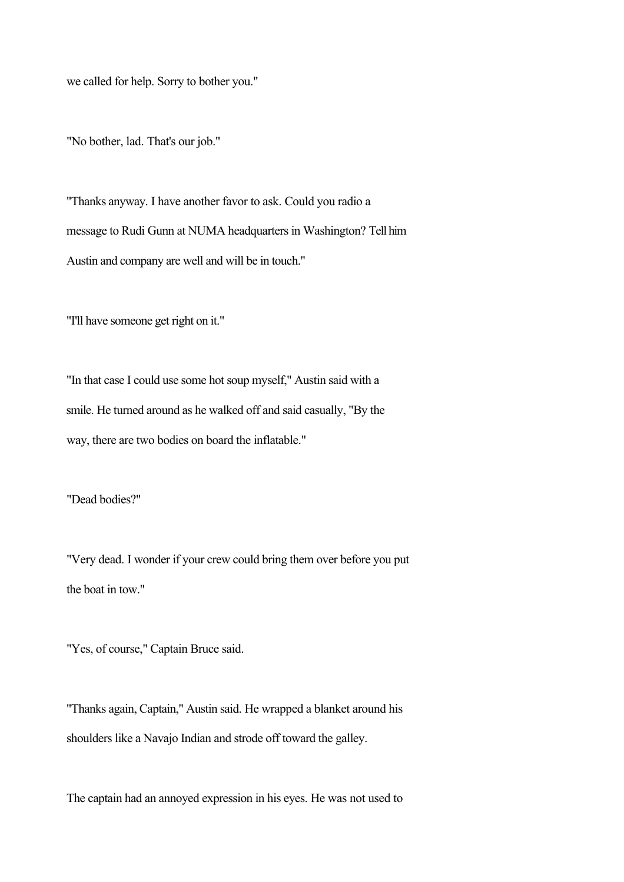we called for help. Sorry to bother you."

"No bother, lad. That's our job."

 "Thanks anyway. I have another favor to ask. Could you radio a message to Rudi Gunn at NUMA headquarters in Washington? Tell him Austin and company are well and will be in touch."

"I'll have someone get right on it."

 "In that case I could use some hot soup myself," Austin said with a smile. He turned around as he walked off and said casually, "By the way, there are two bodies on board the inflatable."

"Dead bodies?"

 "Very dead. I wonder if your crew could bring them over before you put the boat in tow."

"Yes, of course," Captain Bruce said.

 "Thanks again, Captain," Austin said. He wrapped a blanket around his shoulders like a Navajo Indian and strode off toward the galley.

The captain had an annoyed expression in his eyes. He was not used to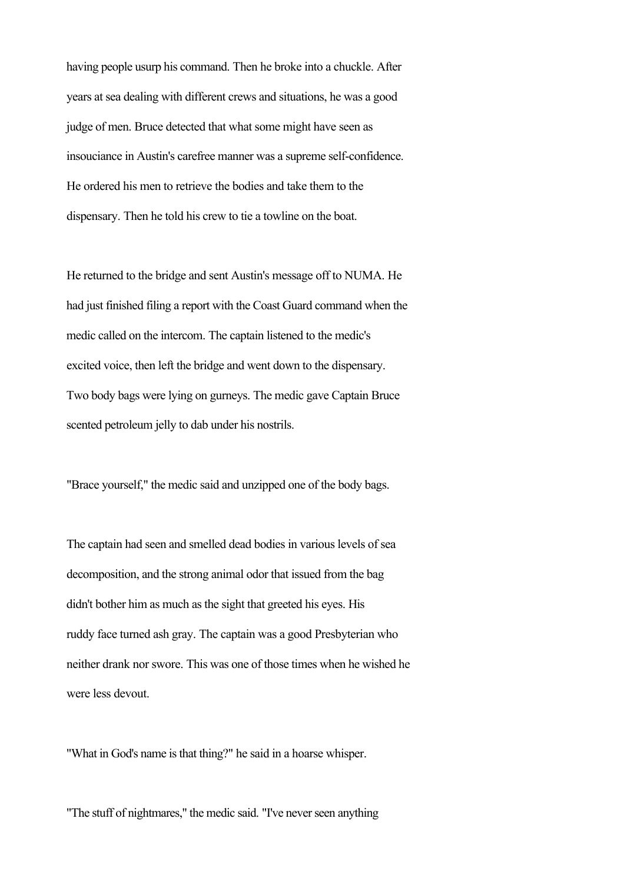having people usurp his command. Then he broke into a chuckle. After years at sea dealing with different crews and situations, he was a good judge of men. Bruce detected that what some might have seen as insouciance in Austin's carefree manner was a supreme self-confidence. He ordered his men to retrieve the bodies and take them to the dispensary. Then he told his crew to tie a towline on the boat.

 He returned to the bridge and sent Austin's message off to NUMA. He had just finished filing a report with the Coast Guard command when the medic called on the intercom. The captain listened to the medic's excited voice, then left the bridge and went down to the dispensary. Two body bags were lying on gurneys. The medic gave Captain Bruce scented petroleum jelly to dab under his nostrils.

"Brace yourself," the medic said and unzipped one of the body bags.

 The captain had seen and smelled dead bodies in various levels of sea decomposition, and the strong animal odor that issued from the bag didn't bother him as much as the sight that greeted his eyes. His ruddy face turned ash gray. The captain was a good Presbyterian who neither drank nor swore. This was one of those times when he wished he were less devout.

"What in God's name is that thing?" he said in a hoarse whisper.

"The stuff of nightmares," the medic said. "I've never seen anything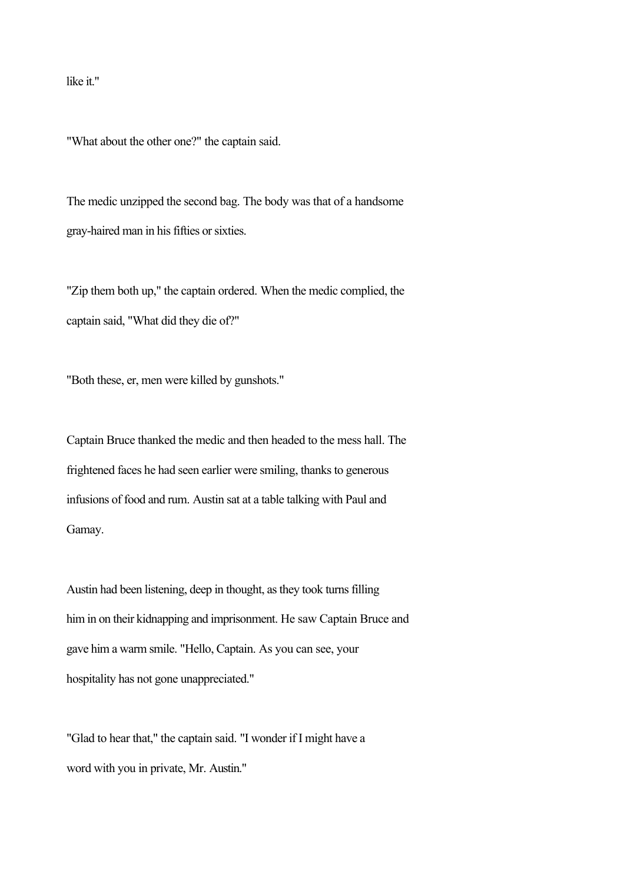like it."

"What about the other one?" the captain said.

 The medic unzipped the second bag. The body was that of a handsome gray-haired man in his fifties or sixties.

 "Zip them both up," the captain ordered. When the medic complied, the captain said, "What did they die of?"

"Both these, er, men were killed by gunshots."

 Captain Bruce thanked the medic and then headed to the mess hall. The frightened faces he had seen earlier were smiling, thanks to generous infusions of food and rum. Austin sat at a table talking with Paul and Gamay.

 Austin had been listening, deep in thought, as they took turns filling him in on their kidnapping and imprisonment. He saw Captain Bruce and gave him a warm smile. "Hello, Captain. As you can see, your hospitality has not gone unappreciated."

 "Glad to hear that," the captain said. "I wonder if I might have a word with you in private, Mr. Austin."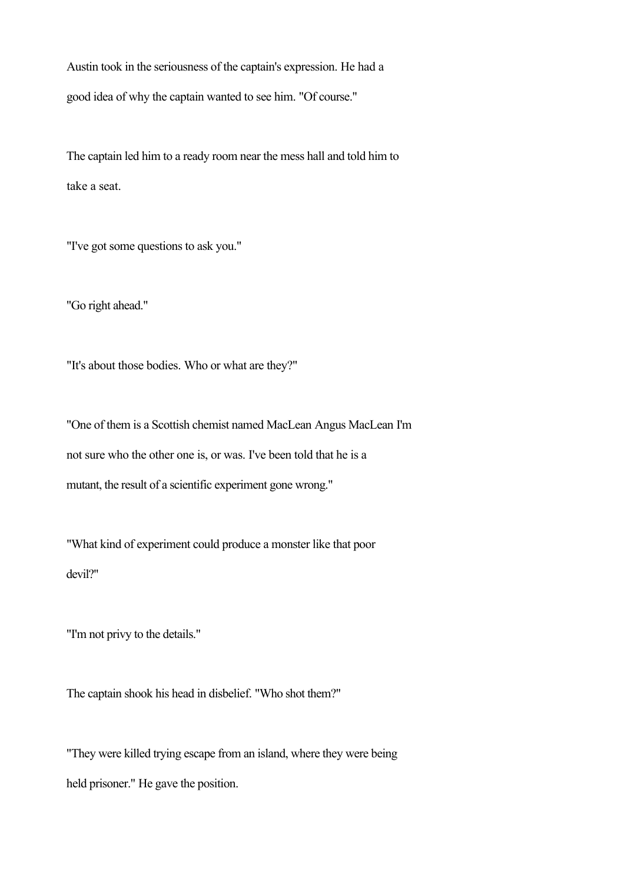Austin took in the seriousness of the captain's expression. He had a good idea of why the captain wanted to see him. "Of course."

 The captain led him to a ready room near the mess hall and told him to take a seat.

"I've got some questions to ask you."

"Go right ahead."

"It's about those bodies. Who or what are they?"

 "One of them is a Scottish chemist named MacLean Angus MacLean I'm not sure who the other one is, or was. I've been told that he is a mutant, the result of a scientific experiment gone wrong."

 "What kind of experiment could produce a monster like that poor devil?"

"I'm not privy to the details."

The captain shook his head in disbelief. "Who shot them?"

 "They were killed trying escape from an island, where they were being held prisoner." He gave the position.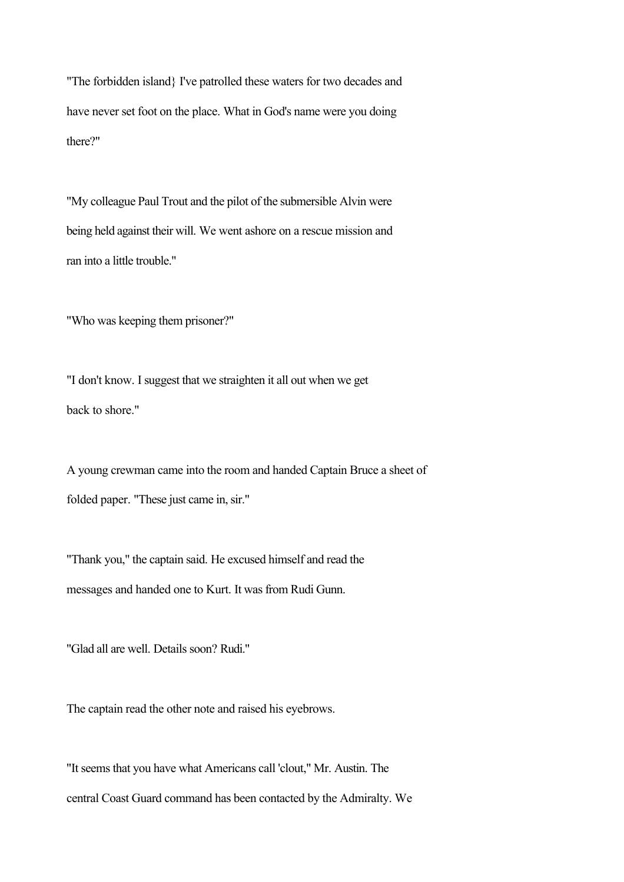"The forbidden island} I've patrolled these waters for two decades and have never set foot on the place. What in God's name were you doing there?"

 "My colleague Paul Trout and the pilot of the submersible Alvin were being held against their will. We went ashore on a rescue mission and ran into a little trouble."

"Who was keeping them prisoner?"

 "I don't know. I suggest that we straighten it all out when we get back to shore."

 A young crewman came into the room and handed Captain Bruce a sheet of folded paper. "These just came in, sir."

 "Thank you," the captain said. He excused himself and read the messages and handed one to Kurt. It was from Rudi Gunn.

"Glad all are well. Details soon? Rudi."

The captain read the other note and raised his eyebrows.

 "It seems that you have what Americans call 'clout," Mr. Austin. The central Coast Guard command has been contacted by the Admiralty. We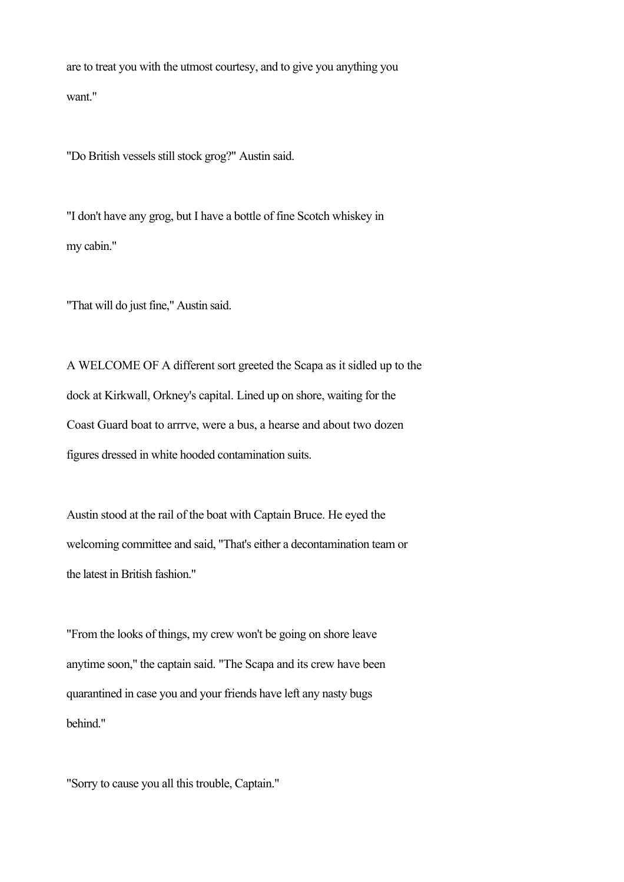are to treat you with the utmost courtesy, and to give you anything you want."

"Do British vessels still stock grog?" Austin said.

 "I don't have any grog, but I have a bottle of fine Scotch whiskey in my cabin."

"That will do just fine," Austin said.

 A WELCOME OF A different sort greeted the Scapa as it sidled up to the dock at Kirkwall, Orkney's capital. Lined up on shore, waiting for the Coast Guard boat to arrrve, were a bus, a hearse and about two dozen figures dressed in white hooded contamination suits.

 Austin stood at the rail of the boat with Captain Bruce. He eyed the welcoming committee and said, "That's either a decontamination team or the latest in British fashion."

 "From the looks of things, my crew won't be going on shore leave anytime soon," the captain said. "The Scapa and its crew have been quarantined in case you and your friends have left any nasty bugs behind."

"Sorry to cause you all this trouble, Captain."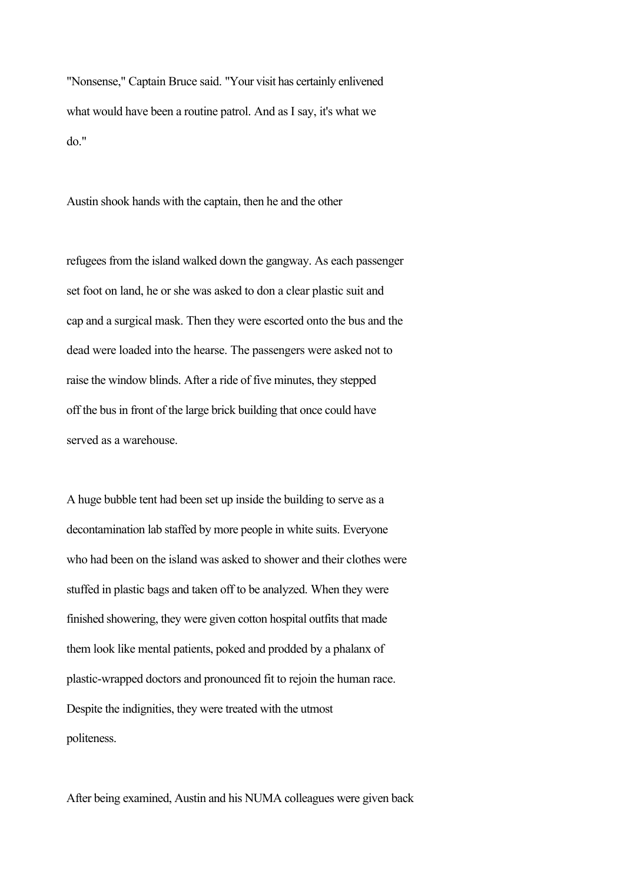"Nonsense," Captain Bruce said. "Your visit has certainly enlivened what would have been a routine patrol. And as I say, it's what we do."

Austin shook hands with the captain, then he and the other

 refugees from the island walked down the gangway. As each passenger set foot on land, he or she was asked to don a clear plastic suit and cap and a surgical mask. Then they were escorted onto the bus and the dead were loaded into the hearse. The passengers were asked not to raise the window blinds. After a ride of five minutes, they stepped off the bus in front of the large brick building that once could have served as a warehouse.

 A huge bubble tent had been set up inside the building to serve as a decontamination lab staffed by more people in white suits. Everyone who had been on the island was asked to shower and their clothes were stuffed in plastic bags and taken off to be analyzed. When they were finished showering, they were given cotton hospital outfits that made them look like mental patients, poked and prodded by a phalanx of plastic-wrapped doctors and pronounced fit to rejoin the human race. Despite the indignities, they were treated with the utmost politeness.

After being examined, Austin and his NUMA colleagues were given back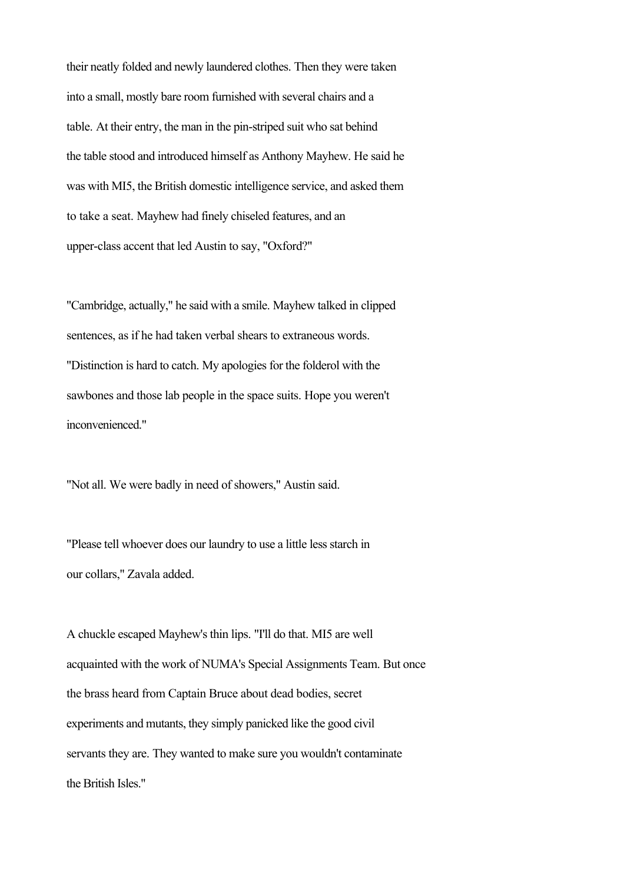their neatly folded and newly laundered clothes. Then they were taken into a small, mostly bare room furnished with several chairs and a table. At their entry, the man in the pin-striped suit who sat behind the table stood and introduced himself as Anthony Mayhew. He said he was with MI5, the British domestic intelligence service, and asked them to take a seat. Mayhew had finely chiseled features, and an upper-class accent that led Austin to say, "Oxford?"

 "Cambridge, actually," he said with a smile. Mayhew talked in clipped sentences, as if he had taken verbal shears to extraneous words. "Distinction is hard to catch. My apologies for the folderol with the sawbones and those lab people in the space suits. Hope you weren't inconvenienced."

"Not all. We were badly in need of showers," Austin said.

 "Please tell whoever does our laundry to use a little less starch in our collars," Zavala added.

 A chuckle escaped Mayhew's thin lips. "I'll do that. MI5 are well acquainted with the work of NUMA's Special Assignments Team. But once the brass heard from Captain Bruce about dead bodies, secret experiments and mutants, they simply panicked like the good civil servants they are. They wanted to make sure you wouldn't contaminate the British Isles."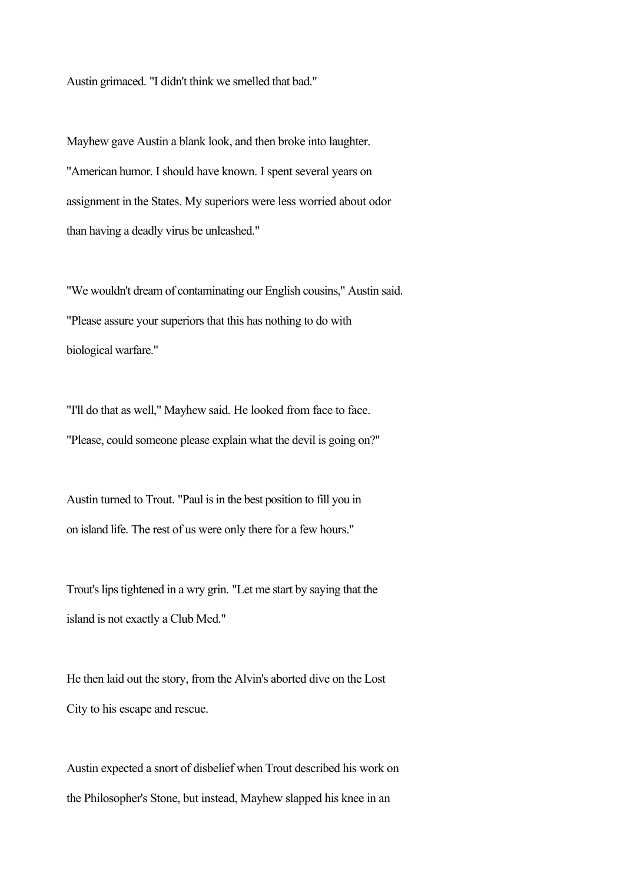Austin grimaced. "I didn't think we smelled that bad."

 Mayhew gave Austin a blank look, and then broke into laughter. "American humor. I should have known. I spent several years on assignment in the States. My superiors were less worried about odor than having a deadly virus be unleashed."

 "We wouldn't dream of contaminating our English cousins," Austin said. "Please assure your superiors that this has nothing to do with biological warfare."

 "I'll do that as well," Mayhew said. He looked from face to face. "Please, could someone please explain what the devil is going on?"

 Austin turned to Trout. "Paul is in the best position to fill you in on island life. The rest of us were only there for a few hours."

 Trout's lips tightened in a wry grin. "Let me start by saying that the island is not exactly a Club Med."

 He then laid out the story, from the Alvin's aborted dive on the Lost City to his escape and rescue.

 Austin expected a snort of disbelief when Trout described his work on the Philosopher's Stone, but instead, Mayhew slapped his knee in an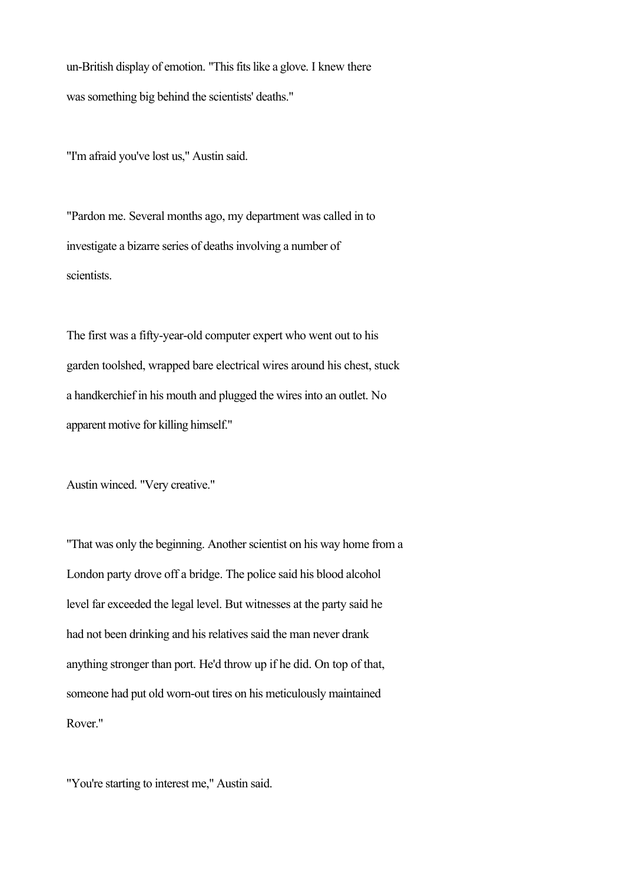un-British display of emotion. "This fits like a glove. I knew there was something big behind the scientists' deaths."

"I'm afraid you've lost us," Austin said.

 "Pardon me. Several months ago, my department was called in to investigate a bizarre series of deaths involving a number of scientists.

 The first was a fifty-year-old computer expert who went out to his garden toolshed, wrapped bare electrical wires around his chest, stuck a handkerchief in his mouth and plugged the wires into an outlet. No apparent motive for killing himself."

Austin winced. "Very creative."

 "That was only the beginning. Another scientist on his way home from a London party drove off a bridge. The police said his blood alcohol level far exceeded the legal level. But witnesses at the party said he had not been drinking and his relatives said the man never drank anything stronger than port. He'd throw up if he did. On top of that, someone had put old worn-out tires on his meticulously maintained Rover."

"You're starting to interest me," Austin said.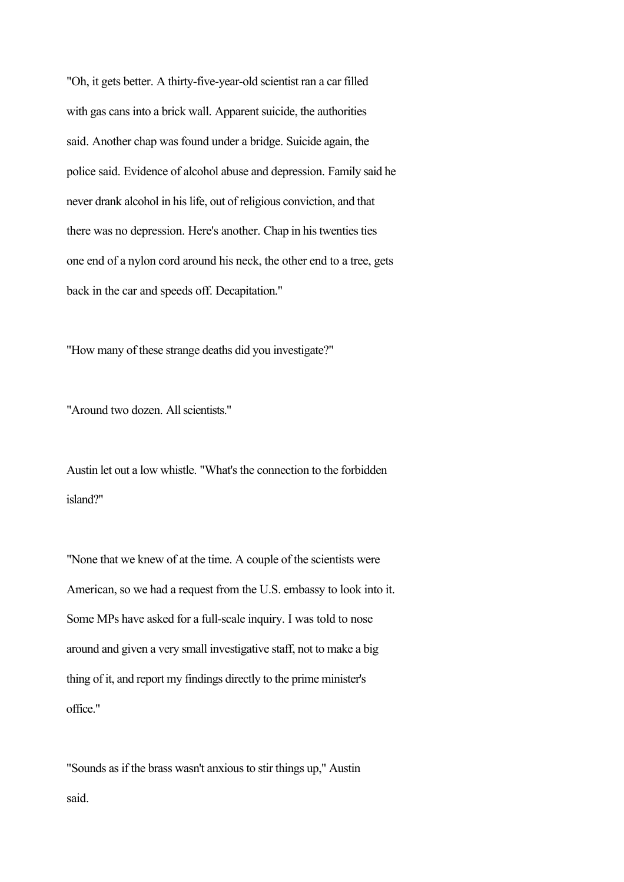"Oh, it gets better. A thirty-five-year-old scientist ran a car filled with gas cans into a brick wall. Apparent suicide, the authorities said. Another chap was found under a bridge. Suicide again, the police said. Evidence of alcohol abuse and depression. Family said he never drank alcohol in his life, out of religious conviction, and that there was no depression. Here's another. Chap in his twenties ties one end of a nylon cord around his neck, the other end to a tree, gets back in the car and speeds off. Decapitation."

"How many of these strange deaths did you investigate?"

"Around two dozen. All scientists."

 Austin let out a low whistle. "What's the connection to the forbidden island?"

 "None that we knew of at the time. A couple of the scientists were American, so we had a request from the U.S. embassy to look into it. Some MPs have asked for a full-scale inquiry. I was told to nose around and given a very small investigative staff, not to make a big thing of it, and report my findings directly to the prime minister's office."

 "Sounds as if the brass wasn't anxious to stir things up," Austin said.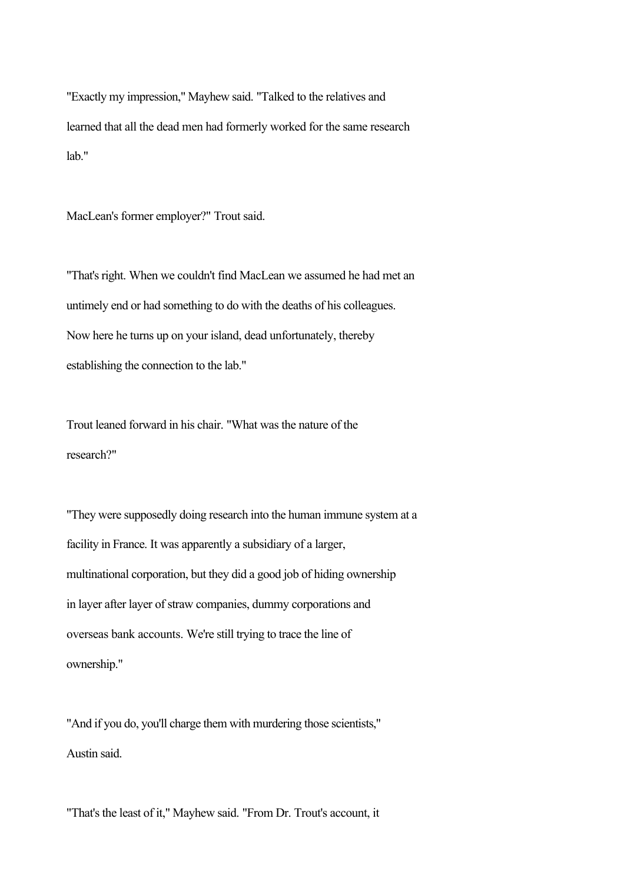"Exactly my impression," Mayhew said. "Talked to the relatives and learned that all the dead men had formerly worked for the same research lab"

MacLean's former employer?" Trout said.

 "That's right. When we couldn't find MacLean we assumed he had met an untimely end or had something to do with the deaths of his colleagues. Now here he turns up on your island, dead unfortunately, thereby establishing the connection to the lab."

 Trout leaned forward in his chair. "What was the nature of the research?"

 "They were supposedly doing research into the human immune system at a facility in France. It was apparently a subsidiary of a larger, multinational corporation, but they did a good job of hiding ownership in layer after layer of straw companies, dummy corporations and overseas bank accounts. We're still trying to trace the line of ownership."

 "And if you do, you'll charge them with murdering those scientists," Austin said.

"That's the least of it," Mayhew said. "From Dr. Trout's account, it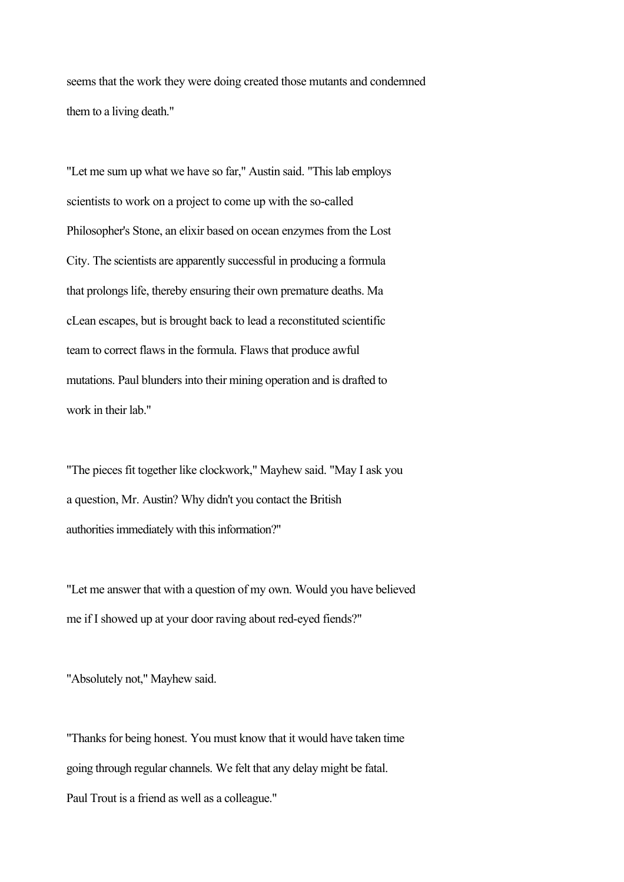seems that the work they were doing created those mutants and condemned them to a living death."

 "Let me sum up what we have so far," Austin said. "This lab employs scientists to work on a project to come up with the so-called Philosopher's Stone, an elixir based on ocean enzymes from the Lost City. The scientists are apparently successful in producing a formula that prolongs life, thereby ensuring their own premature deaths. Ma cLean escapes, but is brought back to lead a reconstituted scientific team to correct flaws in the formula. Flaws that produce awful mutations. Paul blunders into their mining operation and is drafted to work in their lab."

 "The pieces fit together like clockwork," Mayhew said. "May I ask you a question, Mr. Austin? Why didn't you contact the British authorities immediately with this information?"

 "Let me answer that with a question of my own. Would you have believed me if I showed up at your door raving about red-eyed fiends?"

"Absolutely not," Mayhew said.

 "Thanks for being honest. You must know that it would have taken time going through regular channels. We felt that any delay might be fatal. Paul Trout is a friend as well as a colleague."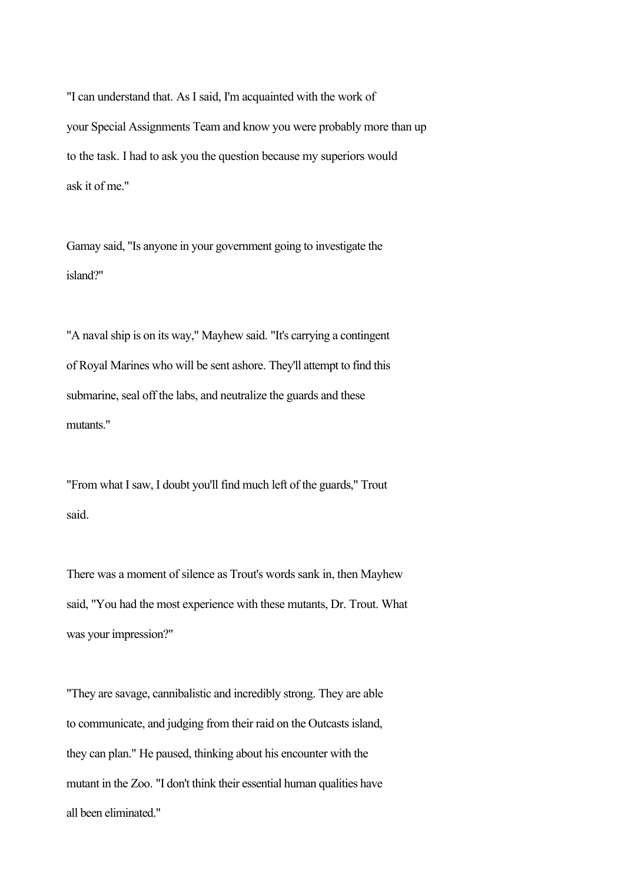"I can understand that. As I said, I'm acquainted with the work of your Special Assignments Team and know you were probably more than up to the task. I had to ask you the question because my superiors would ask it of me."

 Gamay said, "Is anyone in your government going to investigate the island?"

 "A naval ship is on its way," Mayhew said. "It's carrying a contingent of Royal Marines who will be sent ashore. They'll attempt to find this submarine, seal off the labs, and neutralize the guards and these mutants."

 "From what I saw, I doubt you'll find much left of the guards," Trout said.

 There was a moment of silence as Trout's words sank in, then Mayhew said, "You had the most experience with these mutants, Dr. Trout. What was your impression?"

 "They are savage, cannibalistic and incredibly strong. They are able to communicate, and judging from their raid on the Outcasts island, they can plan." He paused, thinking about his encounter with the mutant in the Zoo. "I don't think their essential human qualities have all been eliminated."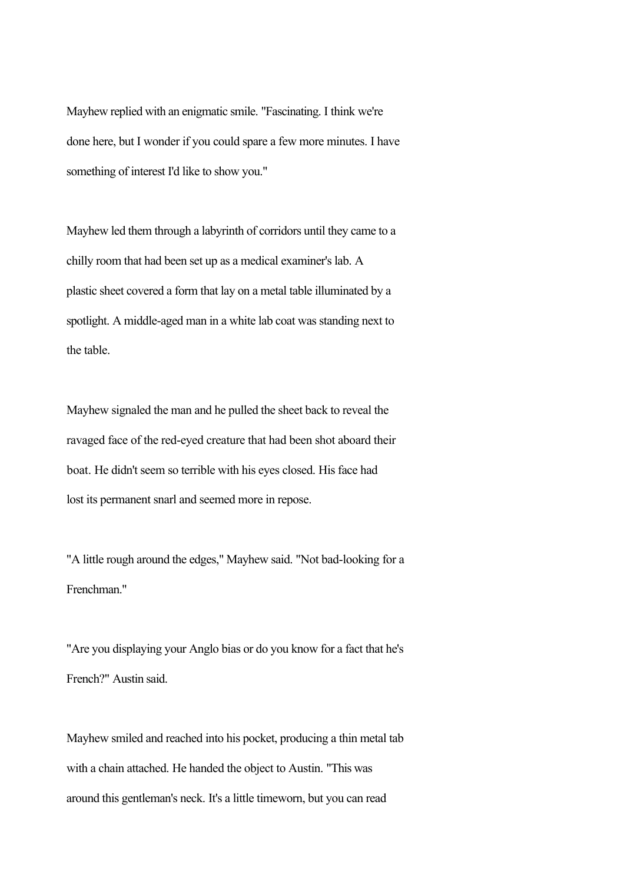Mayhew replied with an enigmatic smile. "Fascinating. I think we're done here, but I wonder if you could spare a few more minutes. I have something of interest I'd like to show you."

 Mayhew led them through a labyrinth of corridors until they came to a chilly room that had been set up as a medical examiner's lab. A plastic sheet covered a form that lay on a metal table illuminated by a spotlight. A middle-aged man in a white lab coat was standing next to the table.

 Mayhew signaled the man and he pulled the sheet back to reveal the ravaged face of the red-eyed creature that had been shot aboard their boat. He didn't seem so terrible with his eyes closed. His face had lost its permanent snarl and seemed more in repose.

 "A little rough around the edges," Mayhew said. "Not bad-looking for a Frenchman."

 "Are you displaying your Anglo bias or do you know for a fact that he's French?" Austin said.

 Mayhew smiled and reached into his pocket, producing a thin metal tab with a chain attached. He handed the object to Austin. "This was around this gentleman's neck. It's a little timeworn, but you can read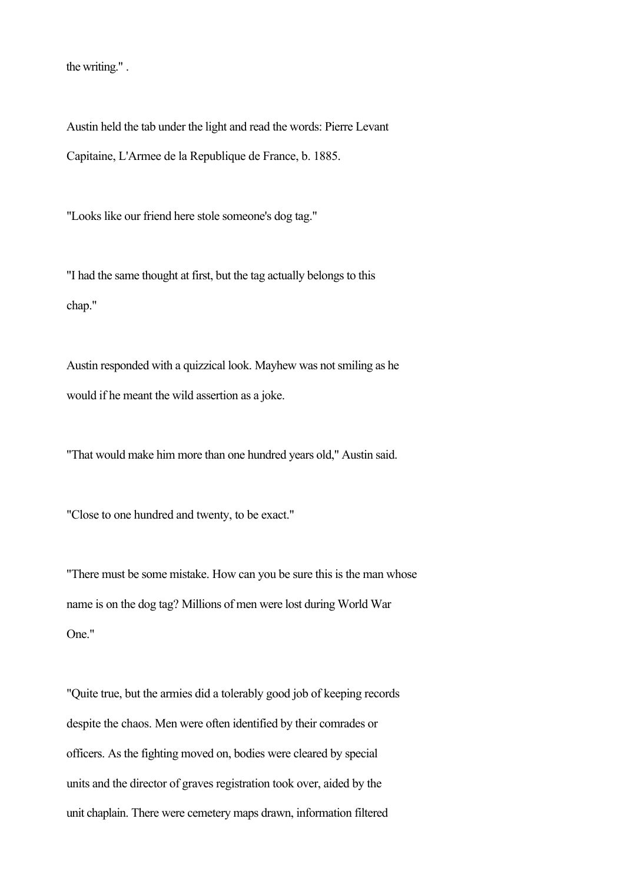the writing." .

 Austin held the tab under the light and read the words: Pierre Levant Capitaine, L'Armee de la Republique de France, b. 1885.

"Looks like our friend here stole someone's dog tag."

 "I had the same thought at first, but the tag actually belongs to this chap."

 Austin responded with a quizzical look. Mayhew was not smiling as he would if he meant the wild assertion as a joke.

"That would make him more than one hundred years old," Austin said.

"Close to one hundred and twenty, to be exact."

 "There must be some mistake. How can you be sure this is the man whose name is on the dog tag? Millions of men were lost during World War One."

 "Quite true, but the armies did a tolerably good job of keeping records despite the chaos. Men were often identified by their comrades or officers. As the fighting moved on, bodies were cleared by special units and the director of graves registration took over, aided by the unit chaplain. There were cemetery maps drawn, information filtered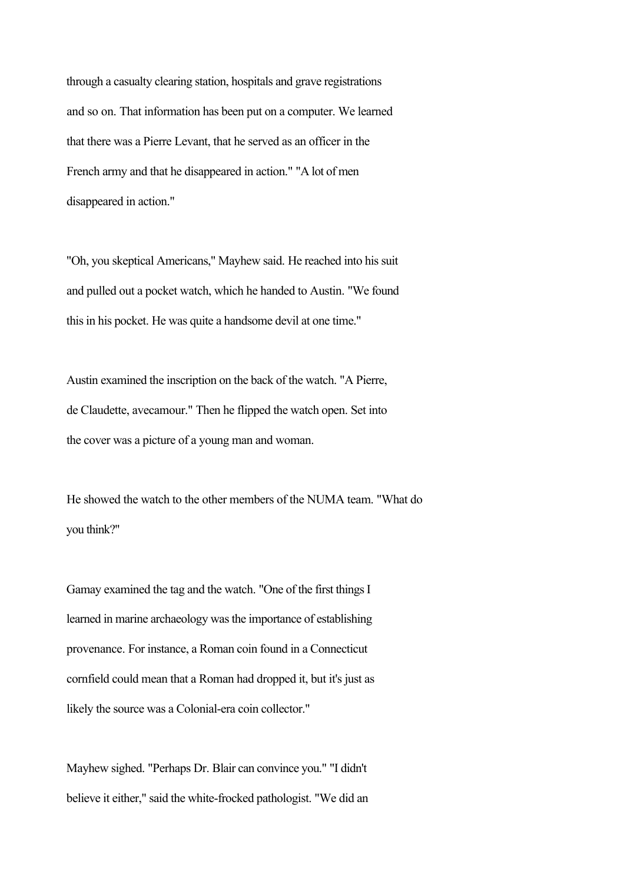through a casualty clearing station, hospitals and grave registrations and so on. That information has been put on a computer. We learned that there was a Pierre Levant, that he served as an officer in the French army and that he disappeared in action." "A lot of men disappeared in action."

 "Oh, you skeptical Americans," Mayhew said. He reached into his suit and pulled out a pocket watch, which he handed to Austin. "We found this in his pocket. He was quite a handsome devil at one time."

 Austin examined the inscription on the back of the watch. "A Pierre, de Claudette, avecamour." Then he flipped the watch open. Set into the cover was a picture of a young man and woman.

 He showed the watch to the other members of the NUMA team. "What do you think?"

 Gamay examined the tag and the watch. "One of the first things I learned in marine archaeology was the importance of establishing provenance. For instance, a Roman coin found in a Connecticut cornfield could mean that a Roman had dropped it, but it's just as likely the source was a Colonial-era coin collector."

 Mayhew sighed. "Perhaps Dr. Blair can convince you." "I didn't believe it either," said the white-frocked pathologist. "We did an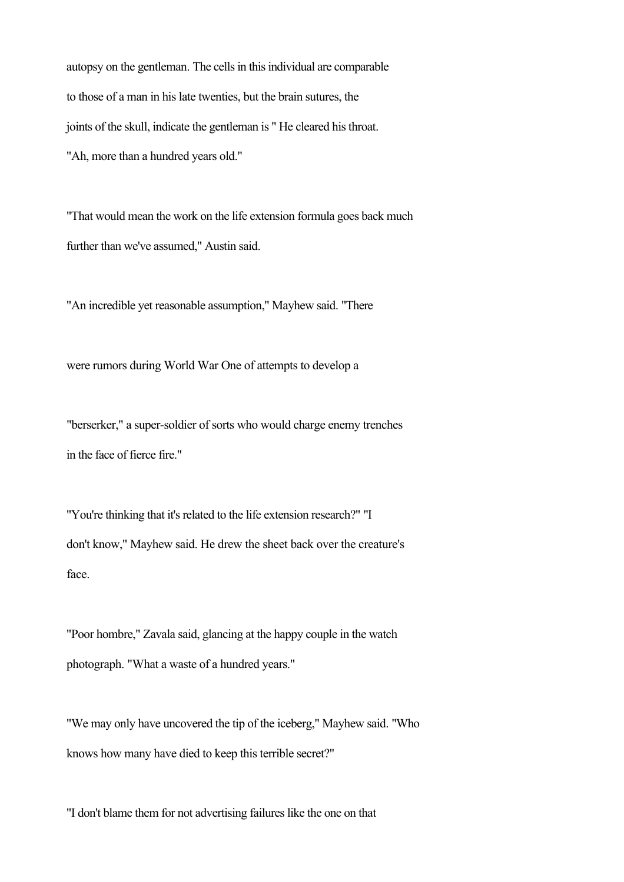autopsy on the gentleman. The cells in this individual are comparable to those of a man in his late twenties, but the brain sutures, the joints of the skull, indicate the gentleman is " He cleared his throat. "Ah, more than a hundred years old."

 "That would mean the work on the life extension formula goes back much further than we've assumed," Austin said.

"An incredible yet reasonable assumption," Mayhew said. "There

were rumors during World War One of attempts to develop a

 "berserker," a super-soldier of sorts who would charge enemy trenches in the face of fierce fire."

 "You're thinking that it's related to the life extension research?" "I don't know," Mayhew said. He drew the sheet back over the creature's face.

 "Poor hombre," Zavala said, glancing at the happy couple in the watch photograph. "What a waste of a hundred years."

 "We may only have uncovered the tip of the iceberg," Mayhew said. "Who knows how many have died to keep this terrible secret?"

"I don't blame them for not advertising failures like the one on that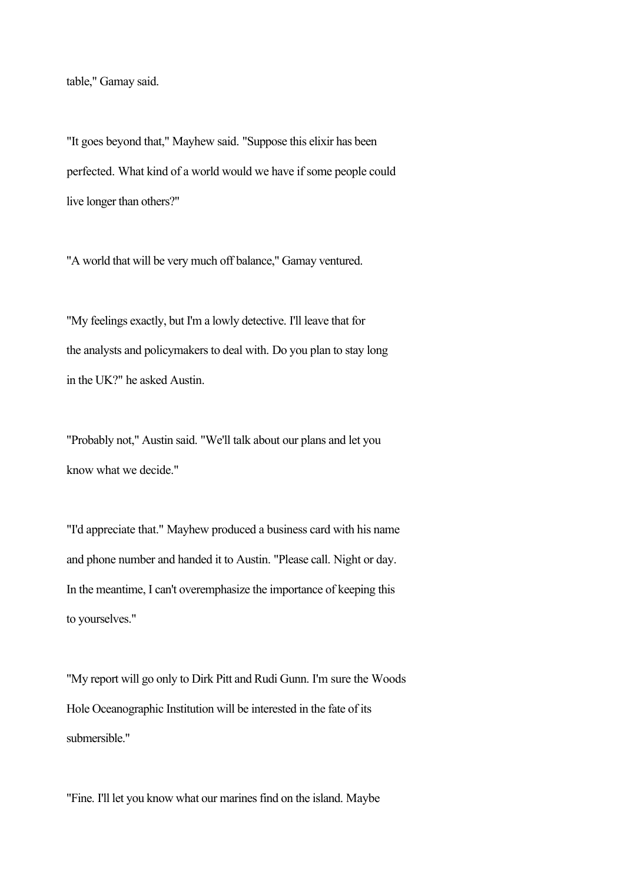table," Gamay said.

 "It goes beyond that," Mayhew said. "Suppose this elixir has been perfected. What kind of a world would we have if some people could live longer than others?"

"A world that will be very much off balance," Gamay ventured.

 "My feelings exactly, but I'm a lowly detective. I'll leave that for the analysts and policymakers to deal with. Do you plan to stay long in the UK?" he asked Austin.

 "Probably not," Austin said. "We'll talk about our plans and let you know what we decide."

 "I'd appreciate that." Mayhew produced a business card with his name and phone number and handed it to Austin. "Please call. Night or day. In the meantime, I can't overemphasize the importance of keeping this to yourselves."

 "My report will go only to Dirk Pitt and Rudi Gunn. I'm sure the Woods Hole Oceanographic Institution will be interested in the fate of its submersible."

"Fine. I'll let you know what our marines find on the island. Maybe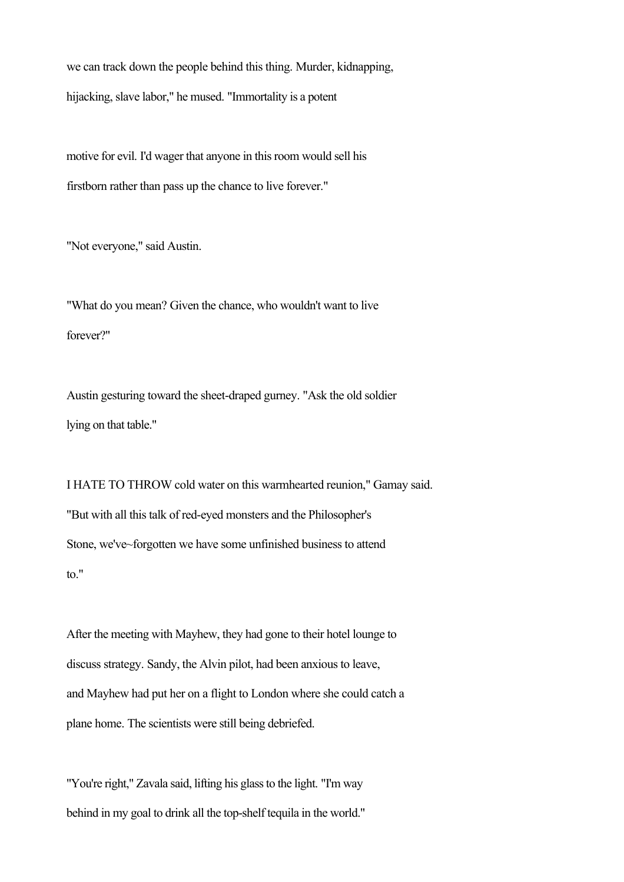we can track down the people behind this thing. Murder, kidnapping, hijacking, slave labor," he mused. "Immortality is a potent

 motive for evil. I'd wager that anyone in this room would sell his firstborn rather than pass up the chance to live forever."

"Not everyone," said Austin.

 "What do you mean? Given the chance, who wouldn't want to live forever?"

 Austin gesturing toward the sheet-draped gurney. "Ask the old soldier lying on that table."

 I HATE TO THROW cold water on this warmhearted reunion," Gamay said. "But with all this talk of red-eyed monsters and the Philosopher's Stone, we've~forgotten we have some unfinished business to attend to."

 After the meeting with Mayhew, they had gone to their hotel lounge to discuss strategy. Sandy, the Alvin pilot, had been anxious to leave, and Mayhew had put her on a flight to London where she could catch a plane home. The scientists were still being debriefed.

 "You're right," Zavala said, lifting his glass to the light. "I'm way behind in my goal to drink all the top-shelf tequila in the world."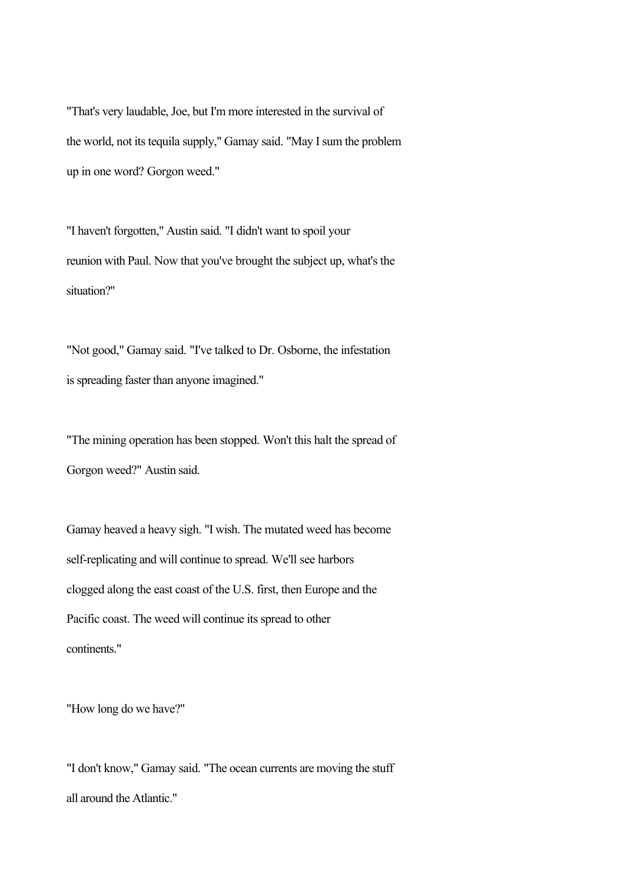"That's very laudable, Joe, but I'm more interested in the survival of the world, not its tequila supply," Gamay said. "May I sum the problem up in one word? Gorgon weed."

 "I haven't forgotten," Austin said. "I didn't want to spoil your reunion with Paul. Now that you've brought the subject up, what's the situation?"

 "Not good," Gamay said. "I've talked to Dr. Osborne, the infestation is spreading faster than anyone imagined."

 "The mining operation has been stopped. Won't this halt the spread of Gorgon weed?" Austin said.

 Gamay heaved a heavy sigh. "I wish. The mutated weed has become self-replicating and will continue to spread. We'll see harbors clogged along the east coast of the U.S. first, then Europe and the Pacific coast. The weed will continue its spread to other continents."

"How long do we have?"

 "I don't know," Gamay said. "The ocean currents are moving the stuff all around the Atlantic."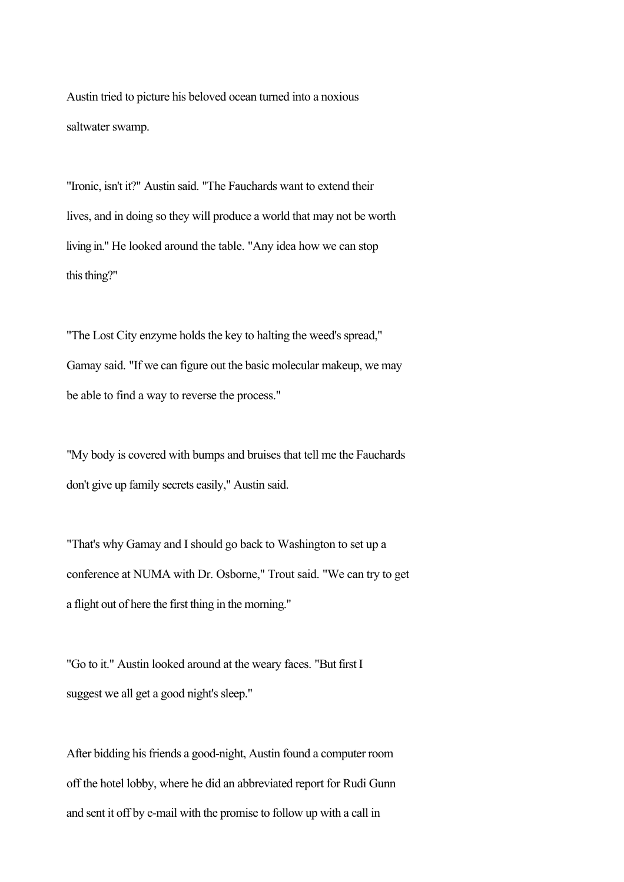Austin tried to picture his beloved ocean turned into a noxious saltwater swamp.

 "Ironic, isn't it?" Austin said. "The Fauchards want to extend their lives, and in doing so they will produce a world that may not be worth living in." He looked around the table. "Any idea how we can stop this thing?"

 "The Lost City enzyme holds the key to halting the weed's spread," Gamay said. "If we can figure out the basic molecular makeup, we may be able to find a way to reverse the process."

 "My body is covered with bumps and bruises that tell me the Fauchards don't give up family secrets easily," Austin said.

 "That's why Gamay and I should go back to Washington to set up a conference at NUMA with Dr. Osborne," Trout said. "We can try to get a flight out of here the first thing in the morning."

 "Go to it." Austin looked around at the weary faces. "But first I suggest we all get a good night's sleep."

 After bidding his friends a good-night, Austin found a computer room off the hotel lobby, where he did an abbreviated report for Rudi Gunn and sent it off by e-mail with the promise to follow up with a call in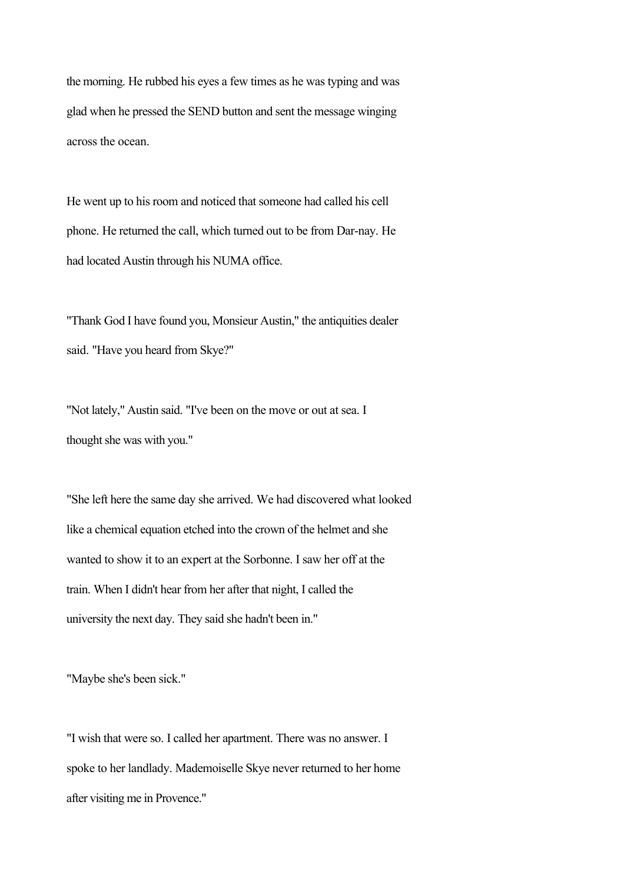the morning. He rubbed his eyes a few times as he was typing and was glad when he pressed the SEND button and sent the message winging across the ocean.

 He went up to his room and noticed that someone had called his cell phone. He returned the call, which turned out to be from Dar-nay. He had located Austin through his NUMA office.

 "Thank God I have found you, Monsieur Austin," the antiquities dealer said. "Have you heard from Skye?"

 "Not lately," Austin said. "I've been on the move or out at sea. I thought she was with you."

 "She left here the same day she arrived. We had discovered what looked like a chemical equation etched into the crown of the helmet and she wanted to show it to an expert at the Sorbonne. I saw her off at the train. When I didn't hear from her after that night, I called the university the next day. They said she hadn't been in."

"Maybe she's been sick."

 "I wish that were so. I called her apartment. There was no answer. I spoke to her landlady. Mademoiselle Skye never returned to her home after visiting me in Provence."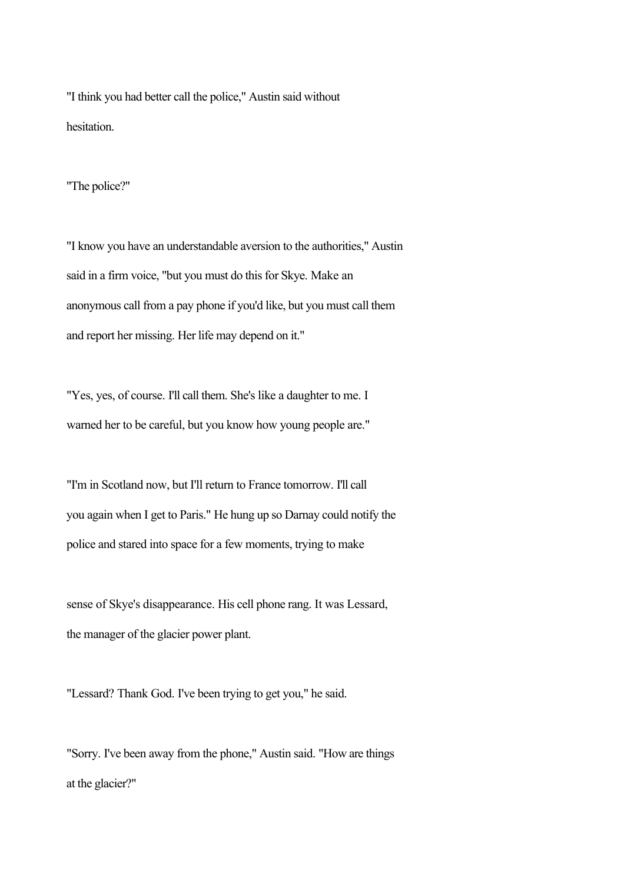"I think you had better call the police," Austin said without hesitation.

"The police?"

 "I know you have an understandable aversion to the authorities," Austin said in a firm voice, "but you must do this for Skye. Make an anonymous call from a pay phone if you'd like, but you must call them and report her missing. Her life may depend on it."

 "Yes, yes, of course. I'll call them. She's like a daughter to me. I warned her to be careful, but you know how young people are."

 "I'm in Scotland now, but I'll return to France tomorrow. I'll call you again when I get to Paris." He hung up so Darnay could notify the police and stared into space for a few moments, trying to make

 sense of Skye's disappearance. His cell phone rang. It was Lessard, the manager of the glacier power plant.

"Lessard? Thank God. I've been trying to get you," he said.

 "Sorry. I've been away from the phone," Austin said. "How are things at the glacier?"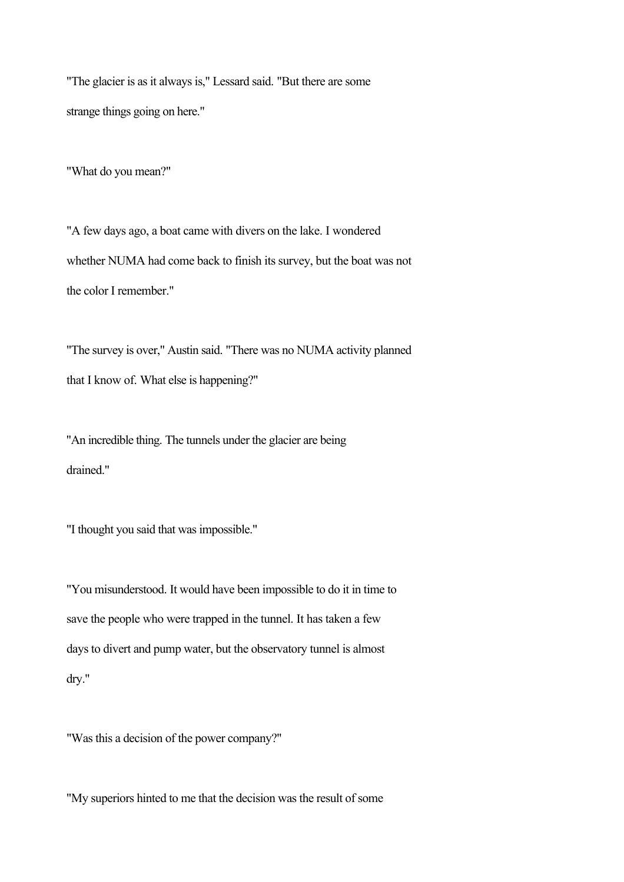"The glacier is as it always is," Lessard said. "But there are some strange things going on here."

"What do you mean?"

 "A few days ago, a boat came with divers on the lake. I wondered whether NUMA had come back to finish its survey, but the boat was not the color I remember."

 "The survey is over," Austin said. "There was no NUMA activity planned that I know of. What else is happening?"

 "An incredible thing. The tunnels under the glacier are being drained."

"I thought you said that was impossible."

 "You misunderstood. It would have been impossible to do it in time to save the people who were trapped in the tunnel. It has taken a few days to divert and pump water, but the observatory tunnel is almost dry."

"Was this a decision of the power company?"

"My superiors hinted to me that the decision was the result of some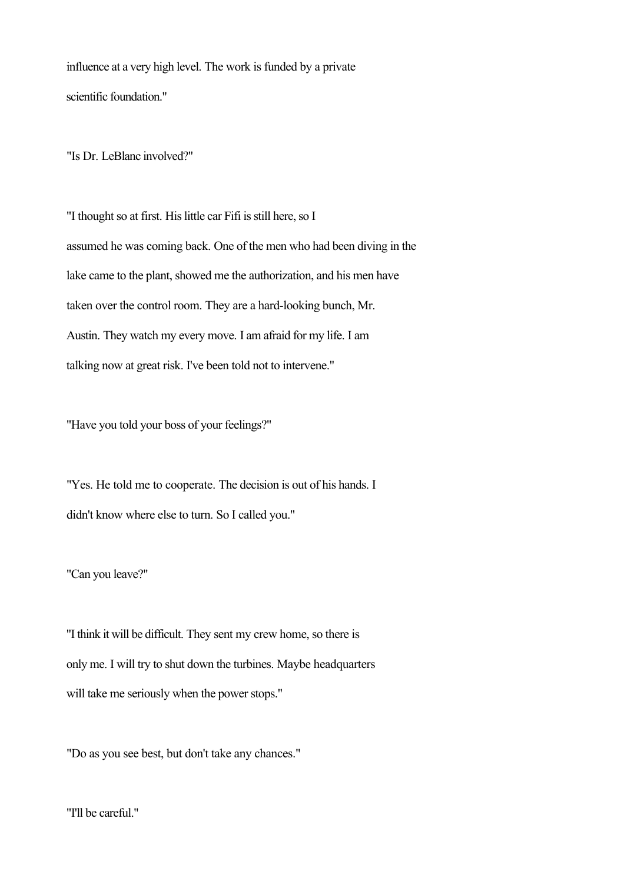influence at a very high level. The work is funded by a private scientific foundation."

"Is Dr. LeBlanc involved?"

 "I thought so at first. His little car Fifi is still here, so I assumed he was coming back. One of the men who had been diving in the lake came to the plant, showed me the authorization, and his men have taken over the control room. They are a hard-looking bunch, Mr. Austin. They watch my every move. I am afraid for my life. I am talking now at great risk. I've been told not to intervene."

"Have you told your boss of your feelings?"

 "Yes. He told me to cooperate. The decision is out of his hands. I didn't know where else to turn. So I called you."

"Can you leave?"

 "I think it will be difficult. They sent my crew home, so there is only me. I will try to shut down the turbines. Maybe headquarters will take me seriously when the power stops."

"Do as you see best, but don't take any chances."

"I'll be careful."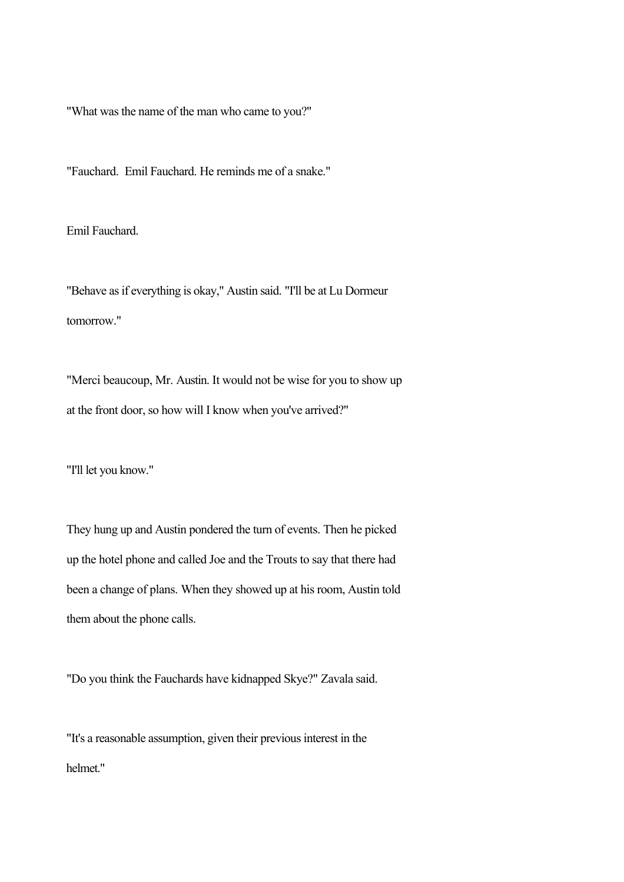"What was the name of the man who came to you?"

"Fauchard. Emil Fauchard. He reminds me of a snake."

Emil Fauchard.

 "Behave as if everything is okay," Austin said. "I'll be at Lu Dormeur tomorrow."

 "Merci beaucoup, Mr. Austin. It would not be wise for you to show up at the front door, so how will I know when you've arrived?"

"I'll let you know."

 They hung up and Austin pondered the turn of events. Then he picked up the hotel phone and called Joe and the Trouts to say that there had been a change of plans. When they showed up at his room, Austin told them about the phone calls.

"Do you think the Fauchards have kidnapped Skye?" Zavala said.

 "It's a reasonable assumption, given their previous interest in the helmet."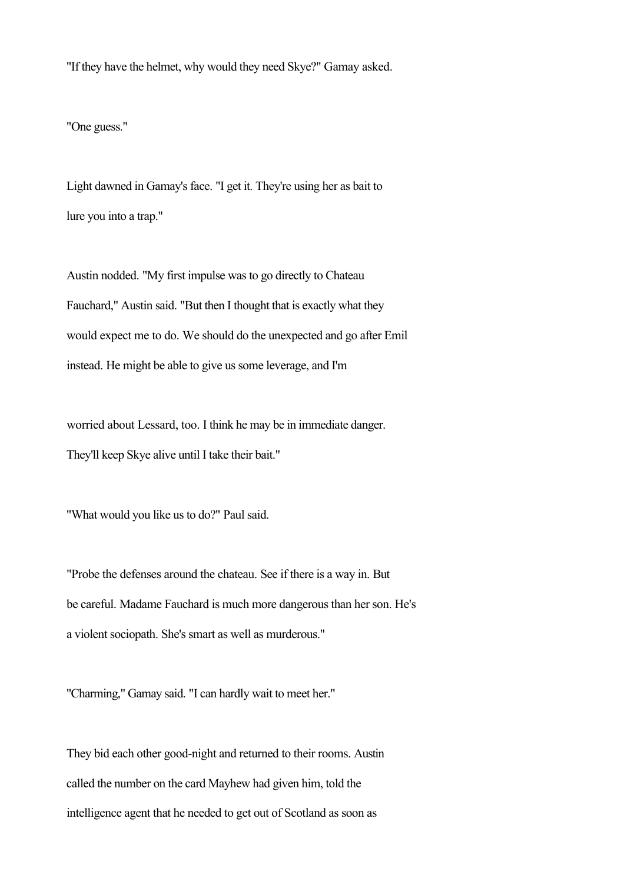"If they have the helmet, why would they need Skye?" Gamay asked.

"One guess."

 Light dawned in Gamay's face. "I get it. They're using her as bait to lure you into a trap."

 Austin nodded. "My first impulse was to go directly to Chateau Fauchard," Austin said. "But then I thought that is exactly what they would expect me to do. We should do the unexpected and go after Emil instead. He might be able to give us some leverage, and I'm

 worried about Lessard, too. I think he may be in immediate danger. They'll keep Skye alive until I take their bait."

"What would you like us to do?" Paul said.

 "Probe the defenses around the chateau. See if there is a way in. But be careful. Madame Fauchard is much more dangerous than her son. He's a violent sociopath. She's smart as well as murderous."

"Charming," Gamay said. "I can hardly wait to meet her."

 They bid each other good-night and returned to their rooms. Austin called the number on the card Mayhew had given him, told the intelligence agent that he needed to get out of Scotland as soon as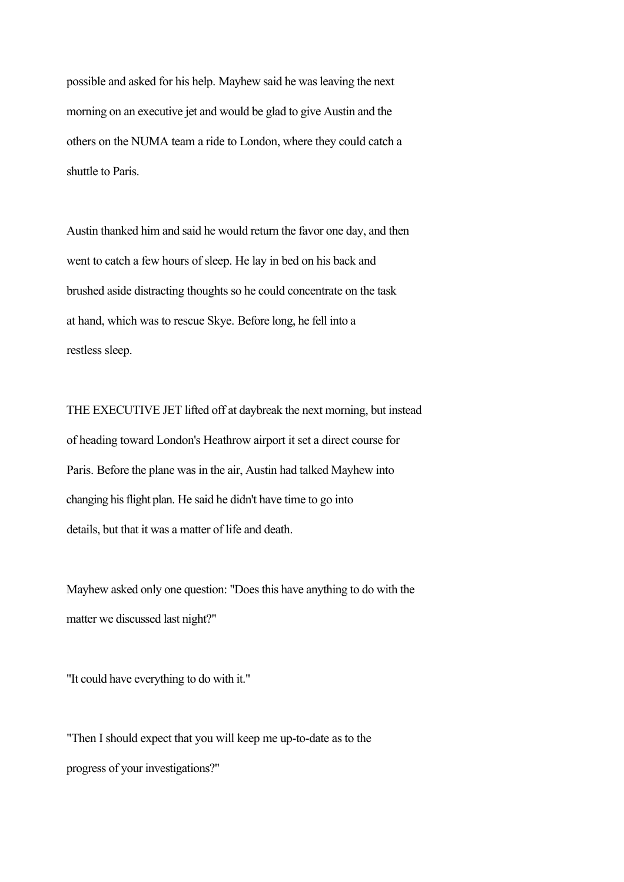possible and asked for his help. Mayhew said he was leaving the next morning on an executive jet and would be glad to give Austin and the others on the NUMA team a ride to London, where they could catch a shuttle to Paris.

 Austin thanked him and said he would return the favor one day, and then went to catch a few hours of sleep. He lay in bed on his back and brushed aside distracting thoughts so he could concentrate on the task at hand, which was to rescue Skye. Before long, he fell into a restless sleep.

 THE EXECUTIVE JET lifted off at daybreak the next morning, but instead of heading toward London's Heathrow airport it set a direct course for Paris. Before the plane was in the air, Austin had talked Mayhew into changing his flight plan. He said he didn't have time to go into details, but that it was a matter of life and death.

 Mayhew asked only one question: "Does this have anything to do with the matter we discussed last night?"

"It could have everything to do with it."

 "Then I should expect that you will keep me up-to-date as to the progress of your investigations?"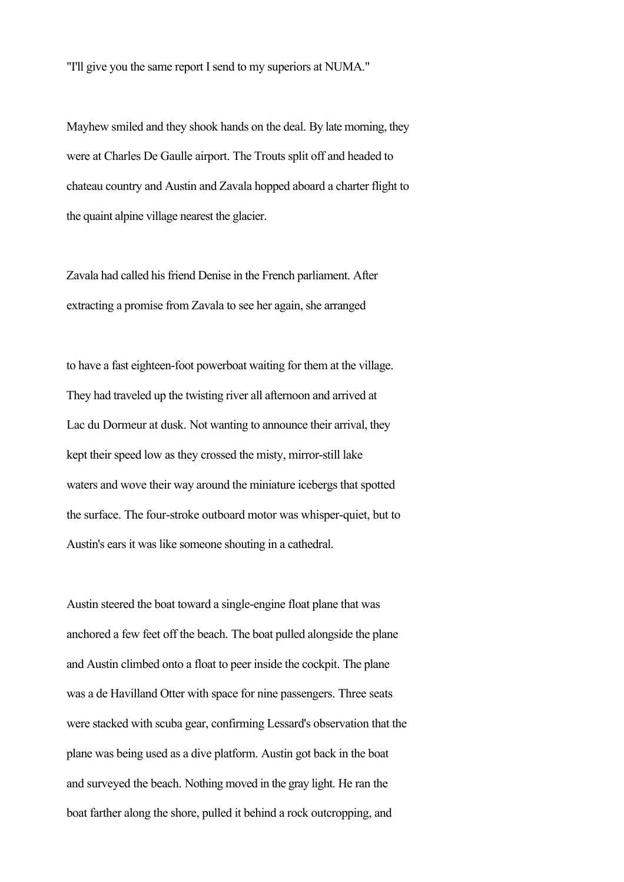"I'll give you the same report I send to my superiors at NUMA."

 Mayhew smiled and they shook hands on the deal. By late morning, they were at Charles De Gaulle airport. The Trouts split off and headed to chateau country and Austin and Zavala hopped aboard a charter flight to the quaint alpine village nearest the glacier.

 Zavala had called his friend Denise in the French parliament. After extracting a promise from Zavala to see her again, she arranged

 to have a fast eighteen-foot powerboat waiting for them at the village. They had traveled up the twisting river all afternoon and arrived at Lac du Dormeur at dusk. Not wanting to announce their arrival, they kept their speed low as they crossed the misty, mirror-still lake waters and wove their way around the miniature icebergs that spotted the surface. The four-stroke outboard motor was whisper-quiet, but to Austin's ears it was like someone shouting in a cathedral.

 Austin steered the boat toward a single-engine float plane that was anchored a few feet off the beach. The boat pulled alongside the plane and Austin climbed onto a float to peer inside the cockpit. The plane was a de Havilland Otter with space for nine passengers. Three seats were stacked with scuba gear, confirming Lessard's observation that the plane was being used as a dive platform. Austin got back in the boat and surveyed the beach. Nothing moved in the gray light. He ran the boat farther along the shore, pulled it behind a rock outcropping, and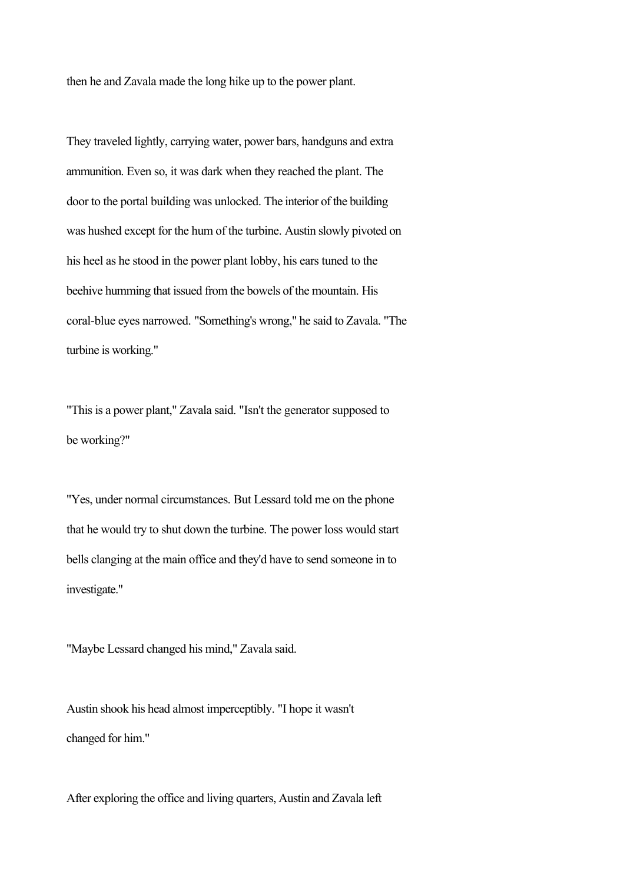then he and Zavala made the long hike up to the power plant.

 They traveled lightly, carrying water, power bars, handguns and extra ammunition. Even so, it was dark when they reached the plant. The door to the portal building was unlocked. The interior of the building was hushed except for the hum of the turbine. Austin slowly pivoted on his heel as he stood in the power plant lobby, his ears tuned to the beehive humming that issued from the bowels of the mountain. His coral-blue eyes narrowed. "Something's wrong," he said to Zavala. "The turbine is working."

 "This is a power plant," Zavala said. "Isn't the generator supposed to be working?"

 "Yes, under normal circumstances. But Lessard told me on the phone that he would try to shut down the turbine. The power loss would start bells clanging at the main office and they'd have to send someone in to investigate."

"Maybe Lessard changed his mind," Zavala said.

 Austin shook his head almost imperceptibly. "I hope it wasn't changed for him."

After exploring the office and living quarters, Austin and Zavala left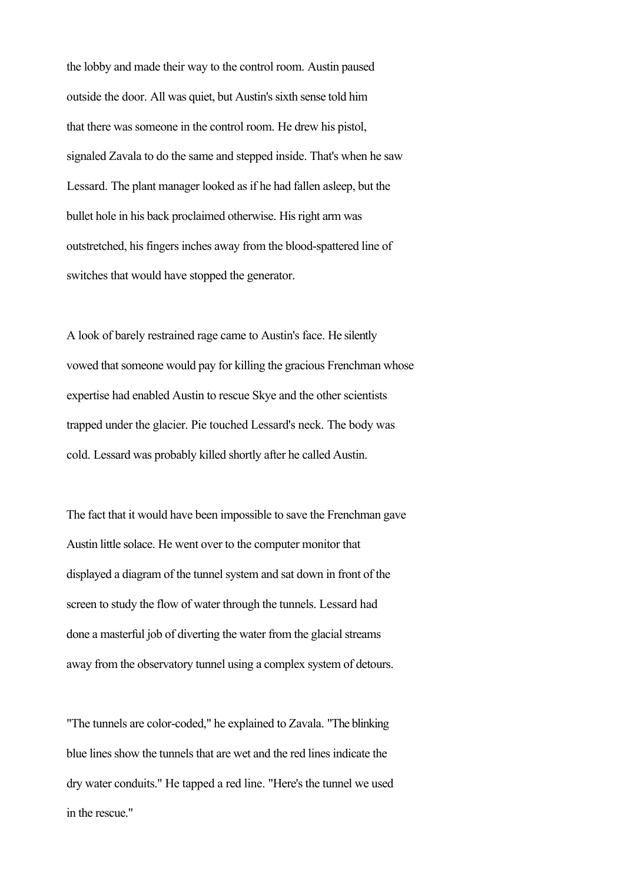the lobby and made their way to the control room. Austin paused outside the door. All was quiet, but Austin's sixth sense told him that there was someone in the control room. He drew his pistol, signaled Zavala to do the same and stepped inside. That's when he saw Lessard. The plant manager looked as if he had fallen asleep, but the bullet hole in his back proclaimed otherwise. His right arm was outstretched, his fingers inches away from the blood-spattered line of switches that would have stopped the generator.

 A look of barely restrained rage came to Austin's face. He silently vowed that someone would pay for killing the gracious Frenchman whose expertise had enabled Austin to rescue Skye and the other scientists trapped under the glacier. Pie touched Lessard's neck. The body was cold. Lessard was probably killed shortly after he called Austin.

 The fact that it would have been impossible to save the Frenchman gave Austin little solace. He went over to the computer monitor that displayed a diagram of the tunnel system and sat down in front of the screen to study the flow of water through the tunnels. Lessard had done a masterful job of diverting the water from the glacial streams away from the observatory tunnel using a complex system of detours.

 "The tunnels are color-coded," he explained to Zavala. "The blinking blue lines show the tunnels that are wet and the red lines indicate the dry water conduits." He tapped a red line. "Here's the tunnel we used in the rescue."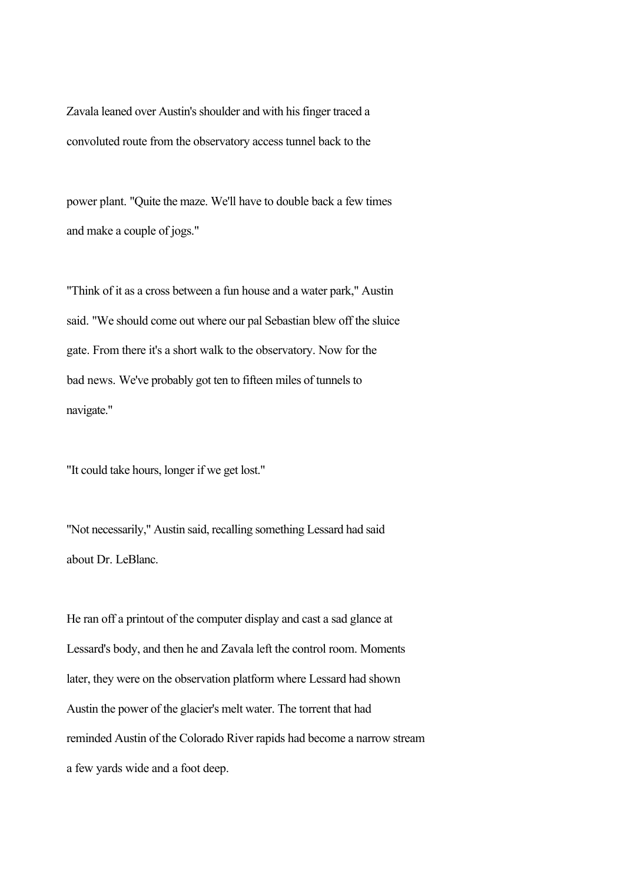Zavala leaned over Austin's shoulder and with his finger traced a convoluted route from the observatory access tunnel back to the

 power plant. "Quite the maze. We'll have to double back a few times and make a couple of jogs."

 "Think of it as a cross between a fun house and a water park," Austin said. "We should come out where our pal Sebastian blew off the sluice gate. From there it's a short walk to the observatory. Now for the bad news. We've probably got ten to fifteen miles of tunnels to navigate."

"It could take hours, longer if we get lost."

 "Not necessarily," Austin said, recalling something Lessard had said about Dr. LeBlanc.

 He ran off a printout of the computer display and cast a sad glance at Lessard's body, and then he and Zavala left the control room. Moments later, they were on the observation platform where Lessard had shown Austin the power of the glacier's melt water. The torrent that had reminded Austin of the Colorado River rapids had become a narrow stream a few yards wide and a foot deep.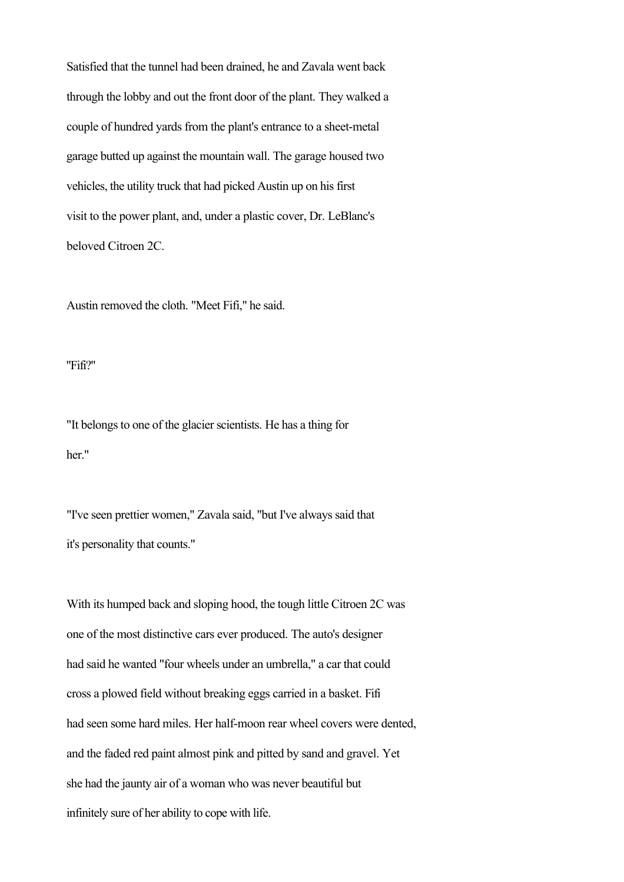Satisfied that the tunnel had been drained, he and Zavala went back through the lobby and out the front door of the plant. They walked a couple of hundred yards from the plant's entrance to a sheet-metal garage butted up against the mountain wall. The garage housed two vehicles, the utility truck that had picked Austin up on his first visit to the power plant, and, under a plastic cover, Dr. LeBlanc's beloved Citroen 2C.

Austin removed the cloth. "Meet Fifi," he said.

"Fifi?"

 "It belongs to one of the glacier scientists. He has a thing for her"

 "I've seen prettier women," Zavala said, "but I've always said that it's personality that counts."

 With its humped back and sloping hood, the tough little Citroen 2C was one of the most distinctive cars ever produced. The auto's designer had said he wanted "four wheels under an umbrella," a car that could cross a plowed field without breaking eggs carried in a basket. Fifi had seen some hard miles. Her half-moon rear wheel covers were dented, and the faded red paint almost pink and pitted by sand and gravel. Yet she had the jaunty air of a woman who was never beautiful but infinitely sure of her ability to cope with life.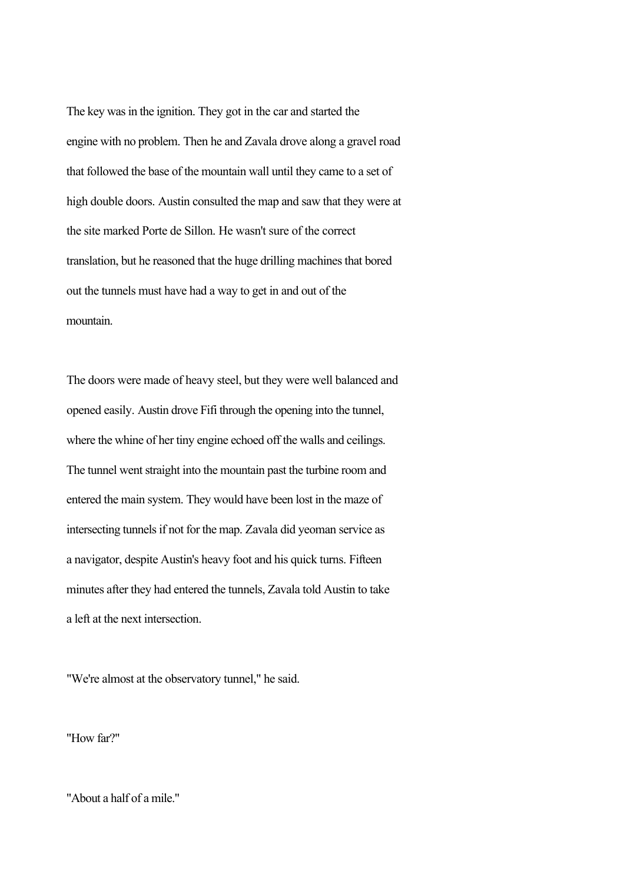The key was in the ignition. They got in the car and started the engine with no problem. Then he and Zavala drove along a gravel road that followed the base of the mountain wall until they came to a set of high double doors. Austin consulted the map and saw that they were at the site marked Porte de Sillon. He wasn't sure of the correct translation, but he reasoned that the huge drilling machines that bored out the tunnels must have had a way to get in and out of the mountain.

 The doors were made of heavy steel, but they were well balanced and opened easily. Austin drove Fifi through the opening into the tunnel, where the whine of her tiny engine echoed off the walls and ceilings. The tunnel went straight into the mountain past the turbine room and entered the main system. They would have been lost in the maze of intersecting tunnels if not for the map. Zavala did yeoman service as a navigator, despite Austin's heavy foot and his quick turns. Fifteen minutes after they had entered the tunnels, Zavala told Austin to take a left at the next intersection.

"We're almost at the observatory tunnel," he said.

"How far?"

"About a half of a mile."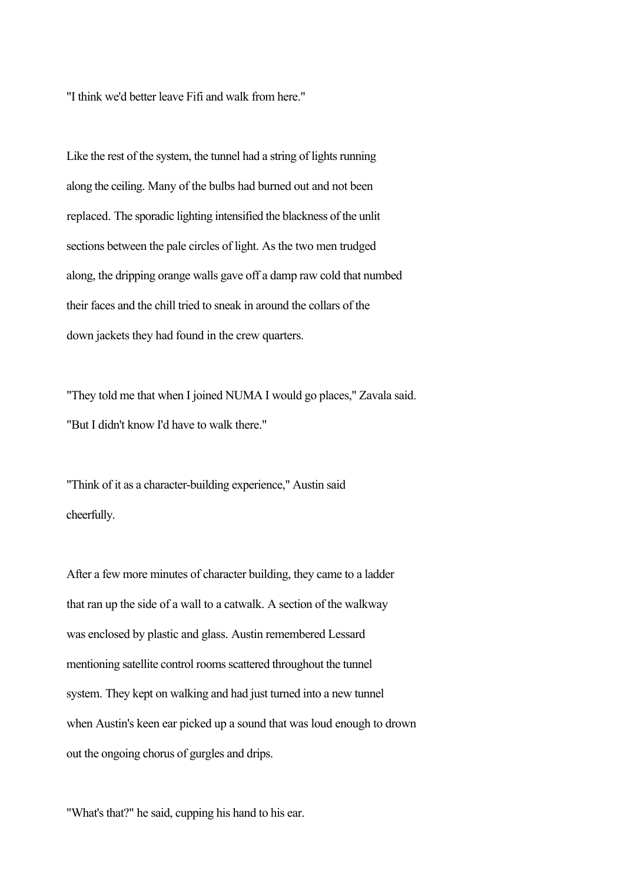"I think we'd better leave Fifi and walk from here."

 Like the rest of the system, the tunnel had a string of lights running along the ceiling. Many of the bulbs had burned out and not been replaced. The sporadic lighting intensified the blackness of the unlit sections between the pale circles of light. As the two men trudged along, the dripping orange walls gave off a damp raw cold that numbed their faces and the chill tried to sneak in around the collars of the down jackets they had found in the crew quarters.

 "They told me that when I joined NUMA I would go places," Zavala said. "But I didn't know I'd have to walk there."

 "Think of it as a character-building experience," Austin said cheerfully.

 After a few more minutes of character building, they came to a ladder that ran up the side of a wall to a catwalk. A section of the walkway was enclosed by plastic and glass. Austin remembered Lessard mentioning satellite control rooms scattered throughout the tunnel system. They kept on walking and had just turned into a new tunnel when Austin's keen ear picked up a sound that was loud enough to drown out the ongoing chorus of gurgles and drips.

"What's that?" he said, cupping his hand to his ear.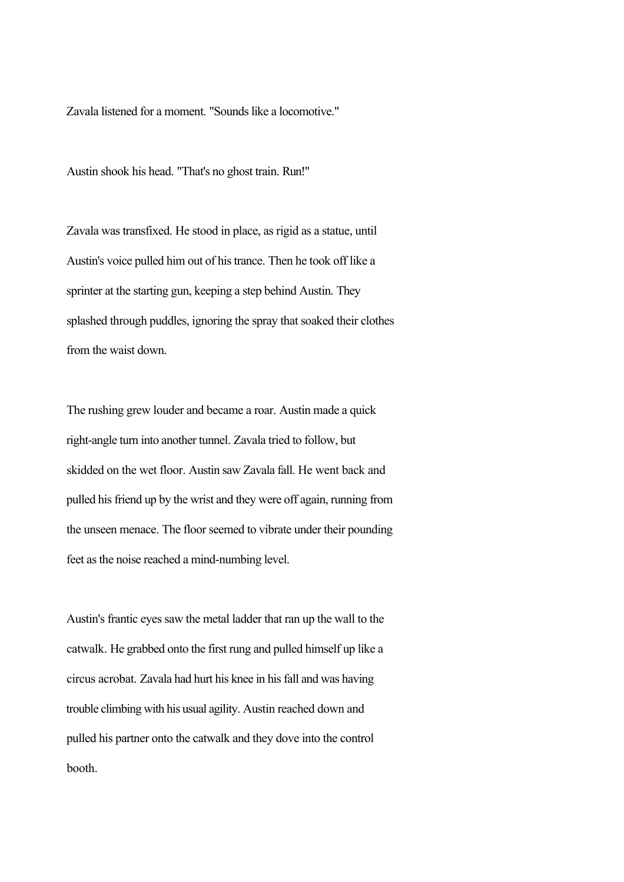Zavala listened for a moment. "Sounds like a locomotive."

Austin shook his head. "That's no ghost train. Run!"

 Zavala was transfixed. He stood in place, as rigid as a statue, until Austin's voice pulled him out of his trance. Then he took off like a sprinter at the starting gun, keeping a step behind Austin. They splashed through puddles, ignoring the spray that soaked their clothes from the waist down.

 The rushing grew louder and became a roar. Austin made a quick right-angle turn into another tunnel. Zavala tried to follow, but skidded on the wet floor. Austin saw Zavala fall. He went back and pulled his friend up by the wrist and they were off again, running from the unseen menace. The floor seemed to vibrate under their pounding feet as the noise reached a mind-numbing level.

 Austin's frantic eyes saw the metal ladder that ran up the wall to the catwalk. He grabbed onto the first rung and pulled himself up like a circus acrobat. Zavala had hurt his knee in his fall and was having trouble climbing with his usual agility. Austin reached down and pulled his partner onto the catwalk and they dove into the control booth.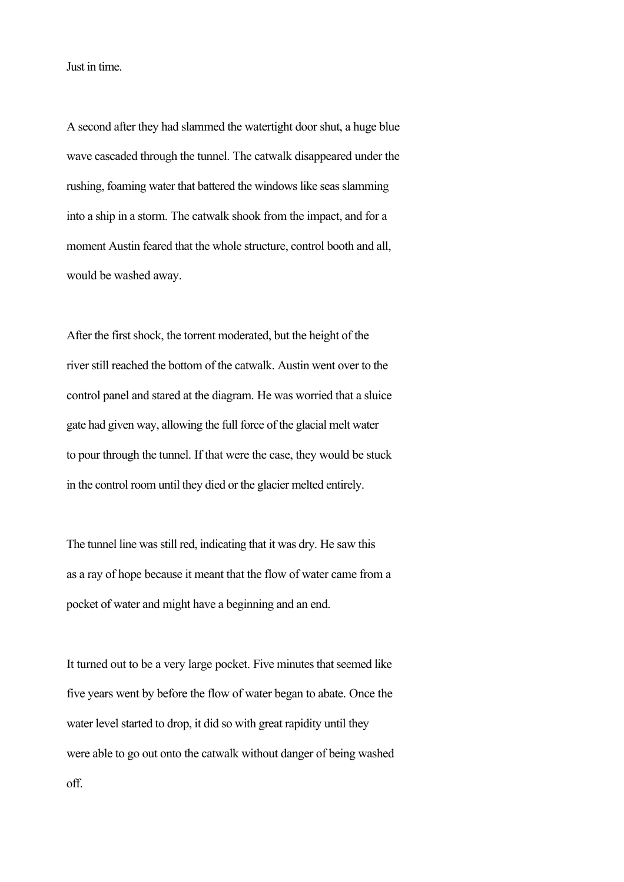Just in time.

 A second after they had slammed the watertight door shut, a huge blue wave cascaded through the tunnel. The catwalk disappeared under the rushing, foaming water that battered the windows like seas slamming into a ship in a storm. The catwalk shook from the impact, and for a moment Austin feared that the whole structure, control booth and all, would be washed away.

 After the first shock, the torrent moderated, but the height of the river still reached the bottom of the catwalk. Austin went over to the control panel and stared at the diagram. He was worried that a sluice gate had given way, allowing the full force of the glacial melt water to pour through the tunnel. If that were the case, they would be stuck in the control room until they died or the glacier melted entirely.

 The tunnel line was still red, indicating that it was dry. He saw this as a ray of hope because it meant that the flow of water came from a pocket of water and might have a beginning and an end.

 It turned out to be a very large pocket. Five minutes that seemed like five years went by before the flow of water began to abate. Once the water level started to drop, it did so with great rapidity until they were able to go out onto the catwalk without danger of being washed off.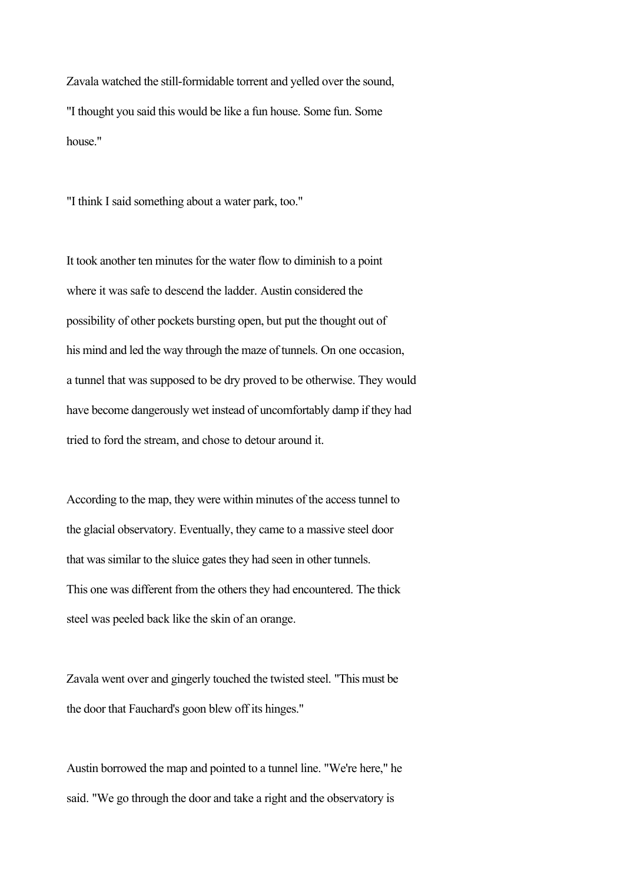Zavala watched the still-formidable torrent and yelled over the sound, "I thought you said this would be like a fun house. Some fun. Some house."

"I think I said something about a water park, too."

 It took another ten minutes for the water flow to diminish to a point where it was safe to descend the ladder. Austin considered the possibility of other pockets bursting open, but put the thought out of his mind and led the way through the maze of tunnels. On one occasion, a tunnel that was supposed to be dry proved to be otherwise. They would have become dangerously wet instead of uncomfortably damp if they had tried to ford the stream, and chose to detour around it.

 According to the map, they were within minutes of the access tunnel to the glacial observatory. Eventually, they came to a massive steel door that was similar to the sluice gates they had seen in other tunnels. This one was different from the others they had encountered. The thick steel was peeled back like the skin of an orange.

 Zavala went over and gingerly touched the twisted steel. "This must be the door that Fauchard's goon blew off its hinges."

 Austin borrowed the map and pointed to a tunnel line. "We're here," he said. "We go through the door and take a right and the observatory is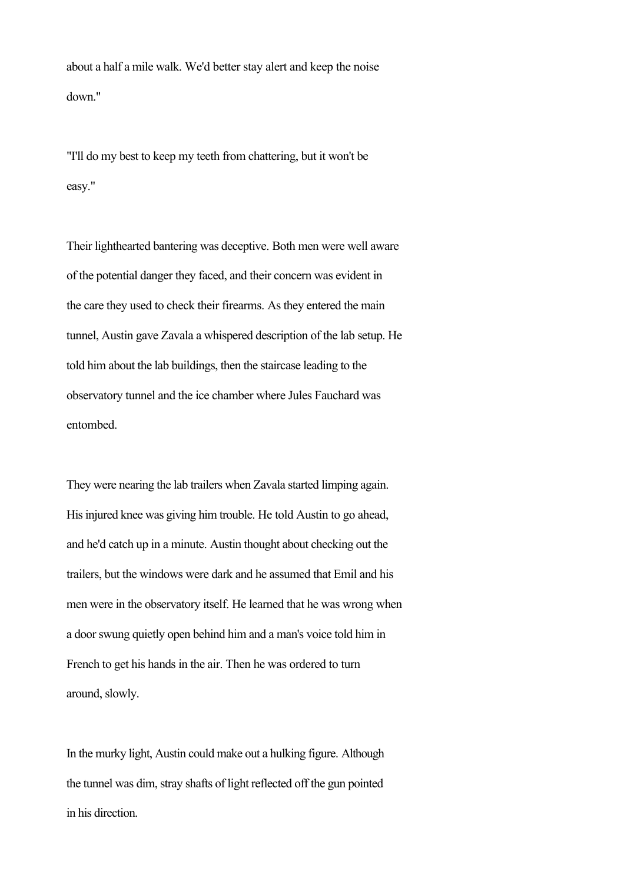about a half a mile walk. We'd better stay alert and keep the noise down."

 "I'll do my best to keep my teeth from chattering, but it won't be easy."

 Their lighthearted bantering was deceptive. Both men were well aware of the potential danger they faced, and their concern was evident in the care they used to check their firearms. As they entered the main tunnel, Austin gave Zavala a whispered description of the lab setup. He told him about the lab buildings, then the staircase leading to the observatory tunnel and the ice chamber where Jules Fauchard was entombed.

 They were nearing the lab trailers when Zavala started limping again. His injured knee was giving him trouble. He told Austin to go ahead, and he'd catch up in a minute. Austin thought about checking out the trailers, but the windows were dark and he assumed that Emil and his men were in the observatory itself. He learned that he was wrong when a door swung quietly open behind him and a man's voice told him in French to get his hands in the air. Then he was ordered to turn around, slowly.

 In the murky light, Austin could make out a hulking figure. Although the tunnel was dim, stray shafts of light reflected off the gun pointed in his direction.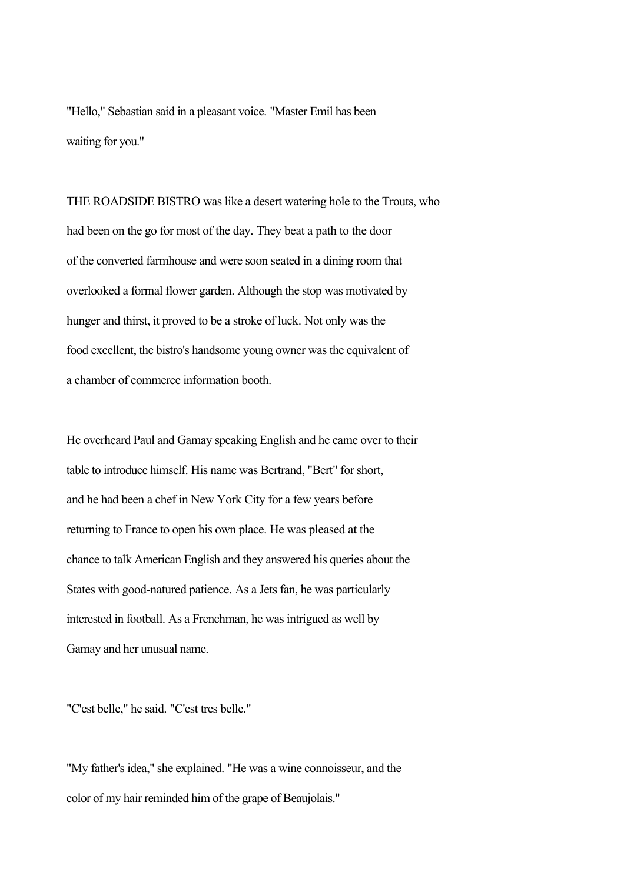"Hello," Sebastian said in a pleasant voice. "Master Emil has been waiting for you."

 THE ROADSIDE BISTRO was like a desert watering hole to the Trouts, who had been on the go for most of the day. They beat a path to the door of the converted farmhouse and were soon seated in a dining room that overlooked a formal flower garden. Although the stop was motivated by hunger and thirst, it proved to be a stroke of luck. Not only was the food excellent, the bistro's handsome young owner was the equivalent of a chamber of commerce information booth.

 He overheard Paul and Gamay speaking English and he came over to their table to introduce himself. His name was Bertrand, "Bert" for short, and he had been a chef in New York City for a few years before returning to France to open his own place. He was pleased at the chance to talk American English and they answered his queries about the States with good-natured patience. As a Jets fan, he was particularly interested in football. As a Frenchman, he was intrigued as well by Gamay and her unusual name.

"C'est belle," he said. "C'est tres belle."

 "My father's idea," she explained. "He was a wine connoisseur, and the color of my hair reminded him of the grape of Beaujolais."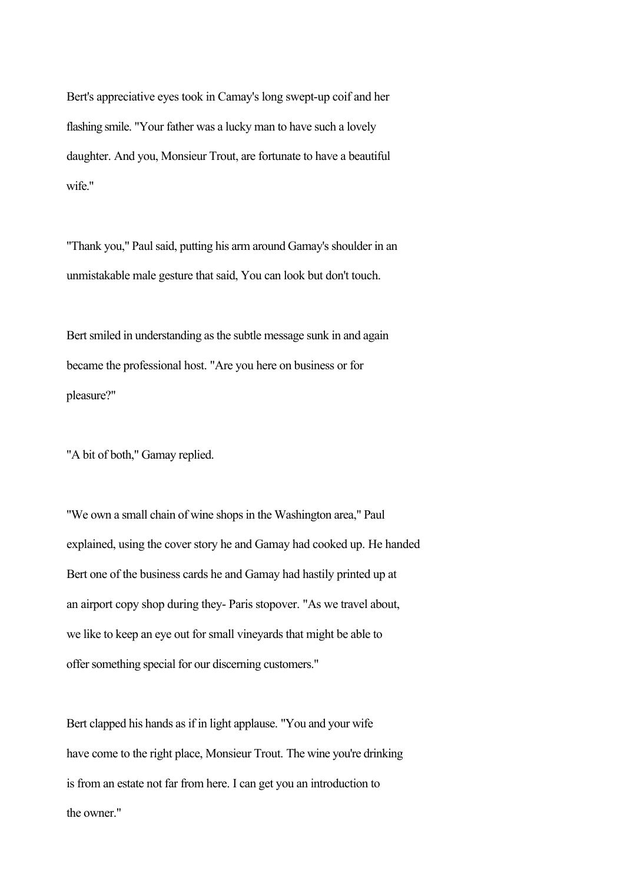Bert's appreciative eyes took in Camay's long swept-up coif and her flashing smile. "Your father was a lucky man to have such a lovely daughter. And you, Monsieur Trout, are fortunate to have a beautiful wife."

 "Thank you," Paul said, putting his arm around Gamay's shoulder in an unmistakable male gesture that said, You can look but don't touch.

 Bert smiled in understanding as the subtle message sunk in and again became the professional host. "Are you here on business or for pleasure?"

"A bit of both," Gamay replied.

 "We own a small chain of wine shops in the Washington area," Paul explained, using the cover story he and Gamay had cooked up. He handed Bert one of the business cards he and Gamay had hastily printed up at an airport copy shop during they- Paris stopover. "As we travel about, we like to keep an eye out for small vineyards that might be able to offer something special for our discerning customers."

 Bert clapped his hands as if in light applause. "You and your wife have come to the right place, Monsieur Trout. The wine you're drinking is from an estate not far from here. I can get you an introduction to the owner."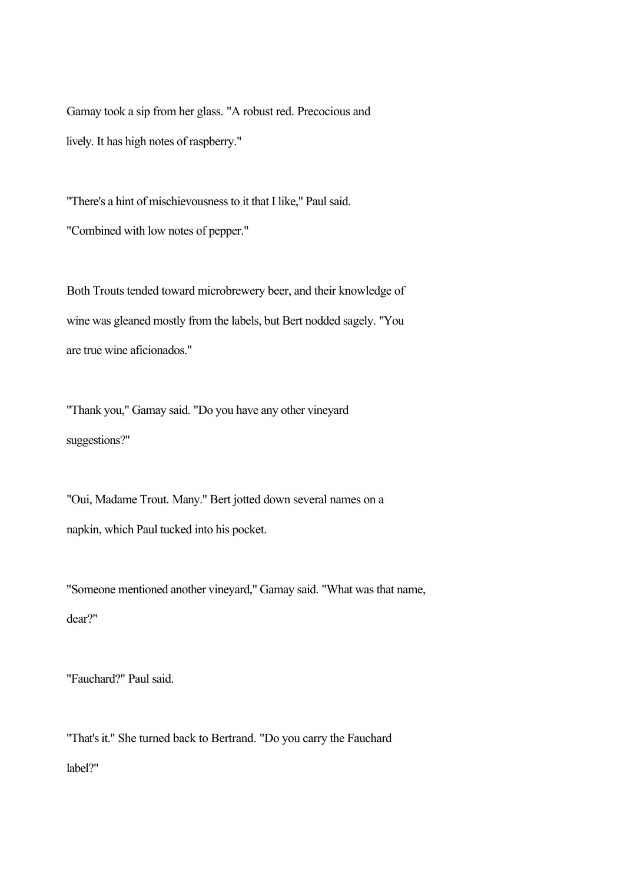Gamay took a sip from her glass. "A robust red. Precocious and lively. It has high notes of raspberry."

 "There's a hint of mischievousness to it that I like," Paul said. "Combined with low notes of pepper."

 Both Trouts tended toward microbrewery beer, and their knowledge of wine was gleaned mostly from the labels, but Bert nodded sagely. "You are true wine aficionados."

 "Thank you," Gamay said. "Do you have any other vineyard suggestions?"

 "Oui, Madame Trout. Many." Bert jotted down several names on a napkin, which Paul tucked into his pocket.

 "Someone mentioned another vineyard," Gamay said. "What was that name, dear?"

"Fauchard?" Paul said.

 "That's it." She turned back to Bertrand. "Do you carry the Fauchard label?"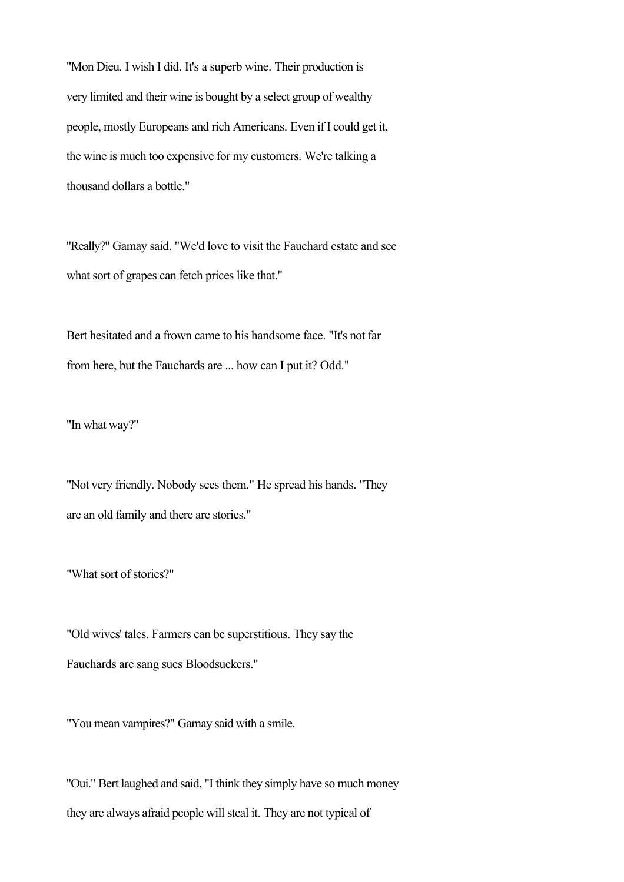"Mon Dieu. I wish I did. It's a superb wine. Their production is very limited and their wine is bought by a select group of wealthy people, mostly Europeans and rich Americans. Even if I could get it, the wine is much too expensive for my customers. We're talking a thousand dollars a bottle."

 "Really?" Gamay said. "We'd love to visit the Fauchard estate and see what sort of grapes can fetch prices like that."

Bert hesitated and a frown came to his handsome face. "It's not far from here, but the Fauchards are ... how can I put it? Odd."

"In what way?"

 "Not very friendly. Nobody sees them." He spread his hands. "They are an old family and there are stories."

"What sort of stories?"

 "Old wives' tales. Farmers can be superstitious. They say the Fauchards are sang sues Bloodsuckers."

"You mean vampires?" Gamay said with a smile.

 "Oui." Bert laughed and said, "I think they simply have so much money they are always afraid people will steal it. They are not typical of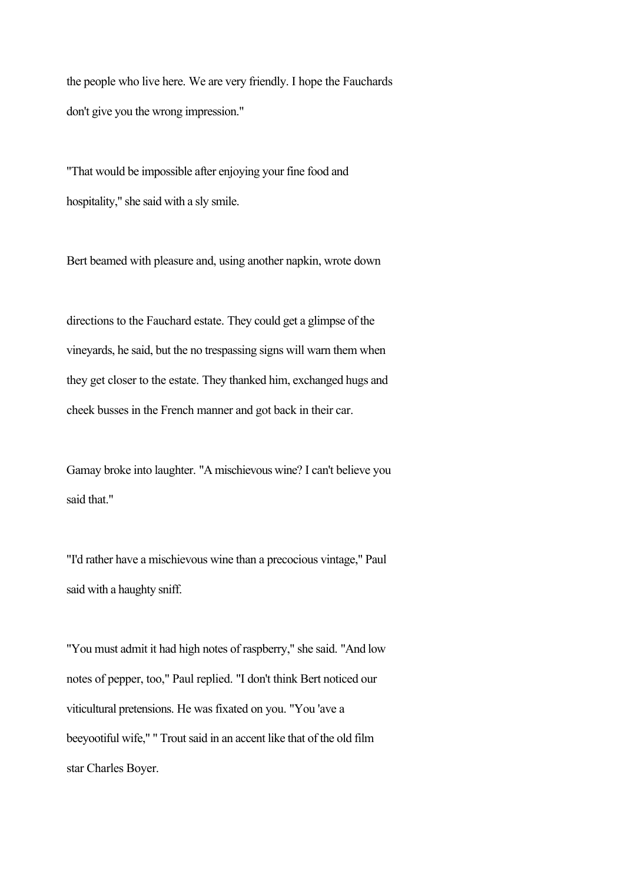the people who live here. We are very friendly. I hope the Fauchards don't give you the wrong impression."

 "That would be impossible after enjoying your fine food and hospitality," she said with a sly smile.

Bert beamed with pleasure and, using another napkin, wrote down

 directions to the Fauchard estate. They could get a glimpse of the vineyards, he said, but the no trespassing signs will warn them when they get closer to the estate. They thanked him, exchanged hugs and cheek busses in the French manner and got back in their car.

 Gamay broke into laughter. "A mischievous wine? I can't believe you said that."

 "I'd rather have a mischievous wine than a precocious vintage," Paul said with a haughty sniff.

 "You must admit it had high notes of raspberry," she said. "And low notes of pepper, too," Paul replied. "I don't think Bert noticed our viticultural pretensions. He was fixated on you. "You 'ave a beeyootiful wife," " Trout said in an accent like that of the old film star Charles Boyer.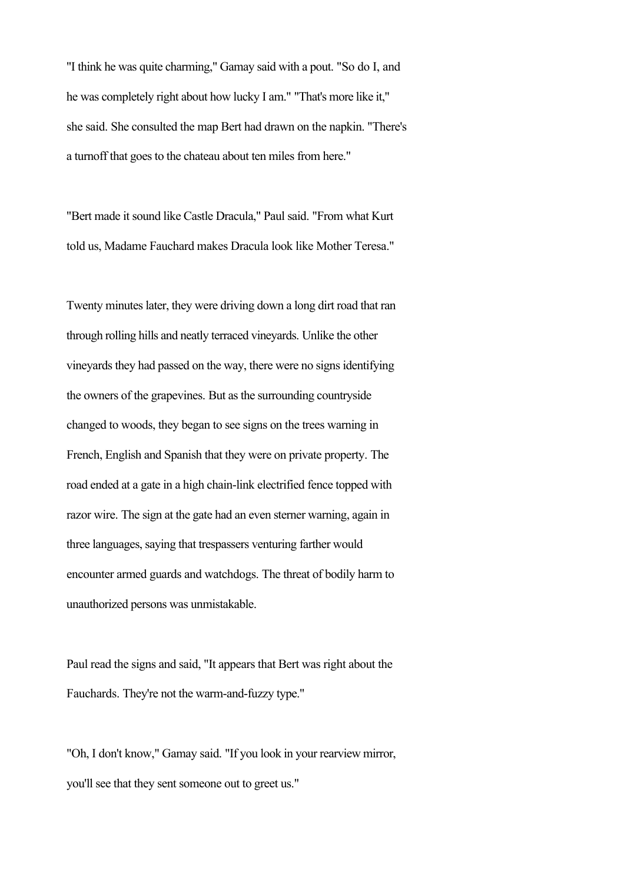"I think he was quite charming," Gamay said with a pout. "So do I, and he was completely right about how lucky I am." "That's more like it," she said. She consulted the map Bert had drawn on the napkin. "There's a turnoff that goes to the chateau about ten miles from here."

 "Bert made it sound like Castle Dracula," Paul said. "From what Kurt told us, Madame Fauchard makes Dracula look like Mother Teresa."

 Twenty minutes later, they were driving down a long dirt road that ran through rolling hills and neatly terraced vineyards. Unlike the other vineyards they had passed on the way, there were no signs identifying the owners of the grapevines. But as the surrounding countryside changed to woods, they began to see signs on the trees warning in French, English and Spanish that they were on private property. The road ended at a gate in a high chain-link electrified fence topped with razor wire. The sign at the gate had an even sterner warning, again in three languages, saying that trespassers venturing farther would encounter armed guards and watchdogs. The threat of bodily harm to unauthorized persons was unmistakable.

 Paul read the signs and said, "It appears that Bert was right about the Fauchards. They're not the warm-and-fuzzy type."

 "Oh, I don't know," Gamay said. "If you look in your rearview mirror, you'll see that they sent someone out to greet us."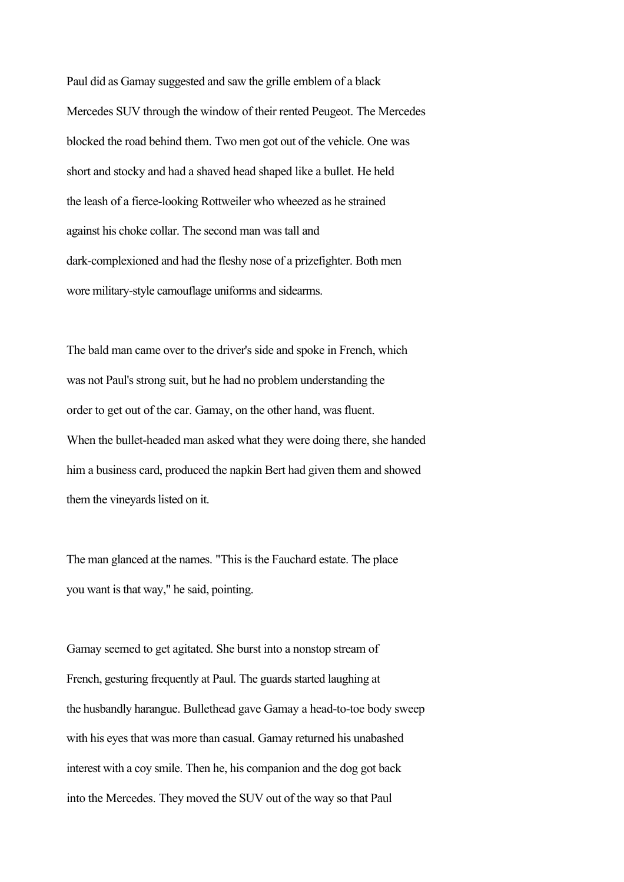Paul did as Gamay suggested and saw the grille emblem of a black Mercedes SUV through the window of their rented Peugeot. The Mercedes blocked the road behind them. Two men got out of the vehicle. One was short and stocky and had a shaved head shaped like a bullet. He held the leash of a fierce-looking Rottweiler who wheezed as he strained against his choke collar. The second man was tall and dark-complexioned and had the fleshy nose of a prizefighter. Both men wore military-style camouflage uniforms and sidearms.

 The bald man came over to the driver's side and spoke in French, which was not Paul's strong suit, but he had no problem understanding the order to get out of the car. Gamay, on the other hand, was fluent. When the bullet-headed man asked what they were doing there, she handed him a business card, produced the napkin Bert had given them and showed them the vineyards listed on it.

 The man glanced at the names. "This is the Fauchard estate. The place you want is that way," he said, pointing.

 Gamay seemed to get agitated. She burst into a nonstop stream of French, gesturing frequently at Paul. The guards started laughing at the husbandly harangue. Bullethead gave Gamay a head-to-toe body sweep with his eyes that was more than casual. Gamay returned his unabashed interest with a coy smile. Then he, his companion and the dog got back into the Mercedes. They moved the SUV out of the way so that Paul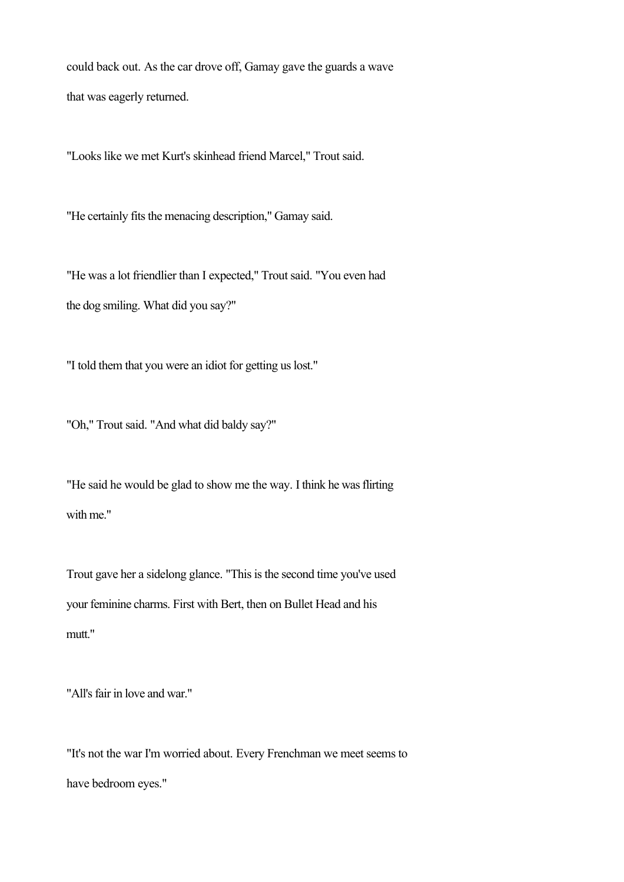could back out. As the car drove off, Gamay gave the guards a wave that was eagerly returned.

"Looks like we met Kurt's skinhead friend Marcel," Trout said.

"He certainly fits the menacing description," Gamay said.

 "He was a lot friendlier than I expected," Trout said. "You even had the dog smiling. What did you say?"

"I told them that you were an idiot for getting us lost."

"Oh," Trout said. "And what did baldy say?"

 "He said he would be glad to show me the way. I think he was flirting with me"

 Trout gave her a sidelong glance. "This is the second time you've used your feminine charms. First with Bert, then on Bullet Head and his mutt."

"All's fair in love and war."

 "It's not the war I'm worried about. Every Frenchman we meet seems to have bedroom eyes."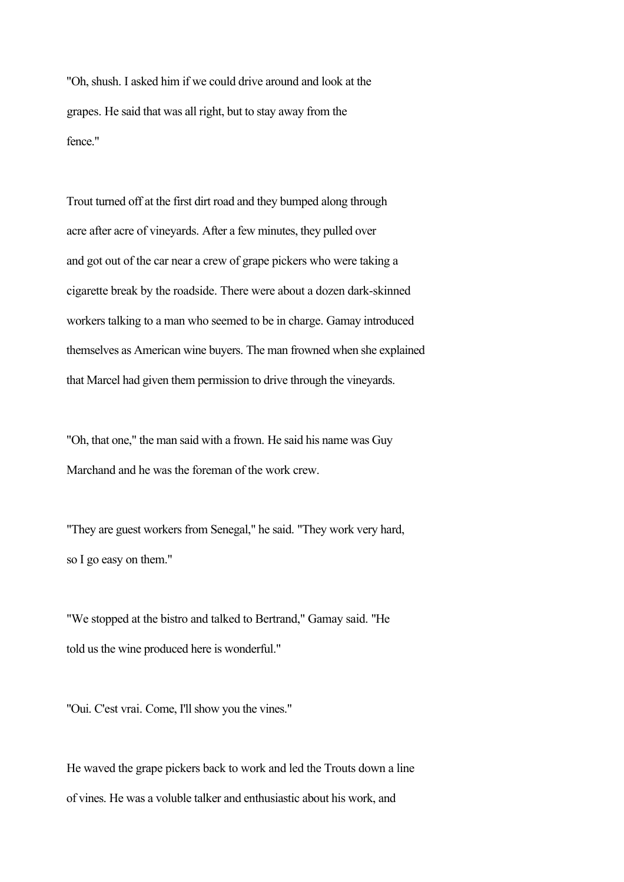"Oh, shush. I asked him if we could drive around and look at the grapes. He said that was all right, but to stay away from the fence"

 Trout turned off at the first dirt road and they bumped along through acre after acre of vineyards. After a few minutes, they pulled over and got out of the car near a crew of grape pickers who were taking a cigarette break by the roadside. There were about a dozen dark-skinned workers talking to a man who seemed to be in charge. Gamay introduced themselves as American wine buyers. The man frowned when she explained that Marcel had given them permission to drive through the vineyards.

 "Oh, that one," the man said with a frown. He said his name was Guy Marchand and he was the foreman of the work crew.

 "They are guest workers from Senegal," he said. "They work very hard, so I go easy on them."

 "We stopped at the bistro and talked to Bertrand," Gamay said. "He told us the wine produced here is wonderful."

"Oui. C'est vrai. Come, I'll show you the vines."

 He waved the grape pickers back to work and led the Trouts down a line of vines. He was a voluble talker and enthusiastic about his work, and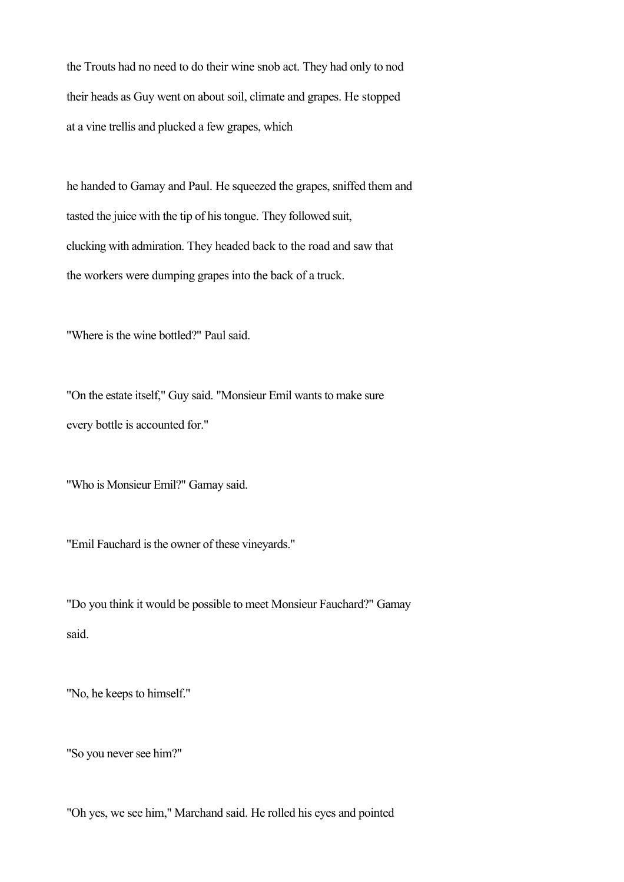the Trouts had no need to do their wine snob act. They had only to nod their heads as Guy went on about soil, climate and grapes. He stopped at a vine trellis and plucked a few grapes, which

 he handed to Gamay and Paul. He squeezed the grapes, sniffed them and tasted the juice with the tip of his tongue. They followed suit, clucking with admiration. They headed back to the road and saw that the workers were dumping grapes into the back of a truck.

"Where is the wine bottled?" Paul said.

 "On the estate itself," Guy said. "Monsieur Emil wants to make sure every bottle is accounted for."

"Who is Monsieur Emil?" Gamay said.

"Emil Fauchard is the owner of these vineyards."

 "Do you think it would be possible to meet Monsieur Fauchard?" Gamay said.

"No, he keeps to himself."

"So you never see him?"

"Oh yes, we see him," Marchand said. He rolled his eyes and pointed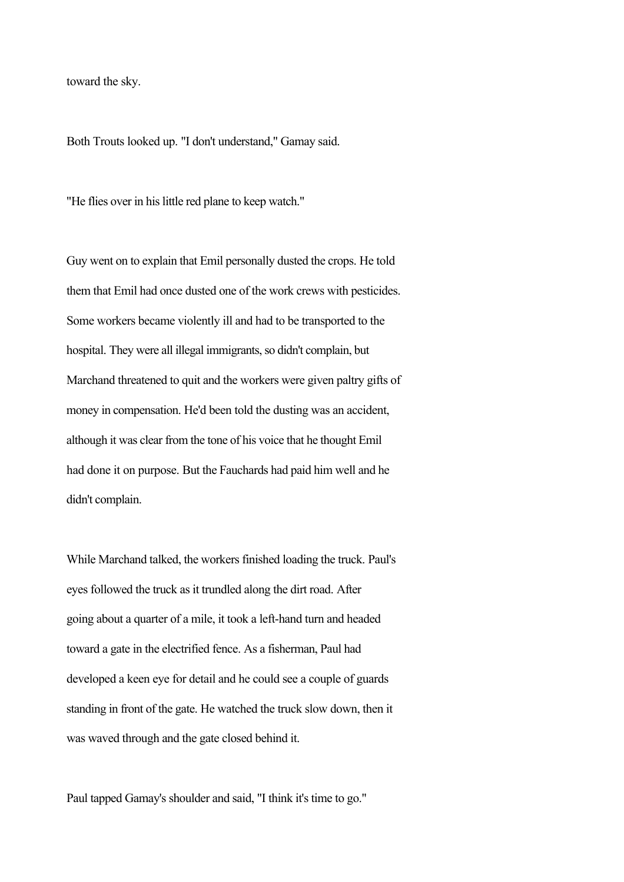toward the sky.

Both Trouts looked up. "I don't understand," Gamay said.

"He flies over in his little red plane to keep watch."

 Guy went on to explain that Emil personally dusted the crops. He told them that Emil had once dusted one of the work crews with pesticides. Some workers became violently ill and had to be transported to the hospital. They were all illegal immigrants, so didn't complain, but Marchand threatened to quit and the workers were given paltry gifts of money in compensation. He'd been told the dusting was an accident, although it was clear from the tone of his voice that he thought Emil had done it on purpose. But the Fauchards had paid him well and he didn't complain.

 While Marchand talked, the workers finished loading the truck. Paul's eyes followed the truck as it trundled along the dirt road. After going about a quarter of a mile, it took a left-hand turn and headed toward a gate in the electrified fence. As a fisherman, Paul had developed a keen eye for detail and he could see a couple of guards standing in front of the gate. He watched the truck slow down, then it was waved through and the gate closed behind it.

Paul tapped Gamay's shoulder and said, "I think it's time to go."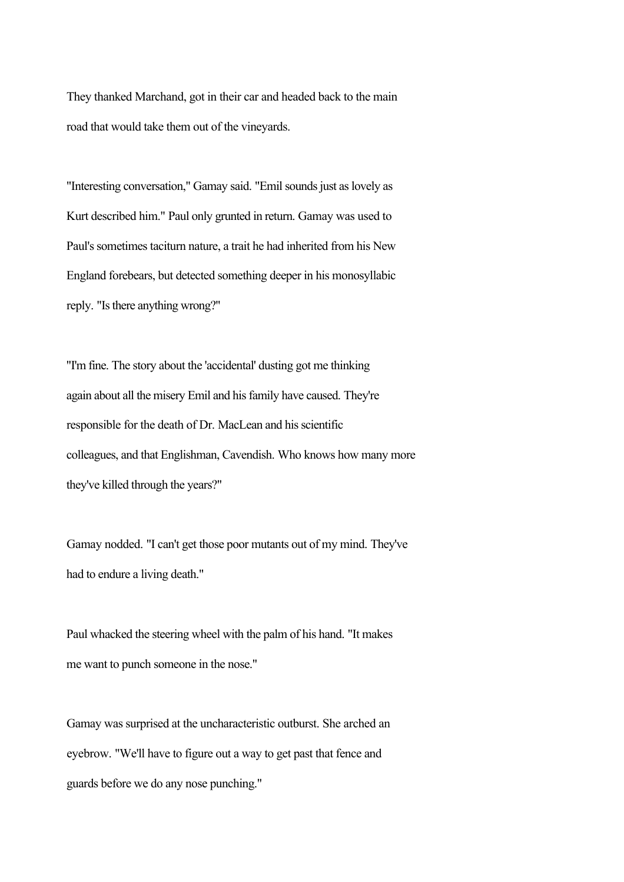They thanked Marchand, got in their car and headed back to the main road that would take them out of the vineyards.

 "Interesting conversation," Gamay said. "Emil sounds just as lovely as Kurt described him." Paul only grunted in return. Gamay was used to Paul's sometimes taciturn nature, a trait he had inherited from his New England forebears, but detected something deeper in his monosyllabic reply. "Is there anything wrong?"

 "I'm fine. The story about the 'accidental' dusting got me thinking again about all the misery Emil and his family have caused. They're responsible for the death of Dr. MacLean and his scientific colleagues, and that Englishman, Cavendish. Who knows how many more they've killed through the years?"

 Gamay nodded. "I can't get those poor mutants out of my mind. They've had to endure a living death."

 Paul whacked the steering wheel with the palm of his hand. "It makes me want to punch someone in the nose."

 Gamay was surprised at the uncharacteristic outburst. She arched an eyebrow. "We'll have to figure out a way to get past that fence and guards before we do any nose punching."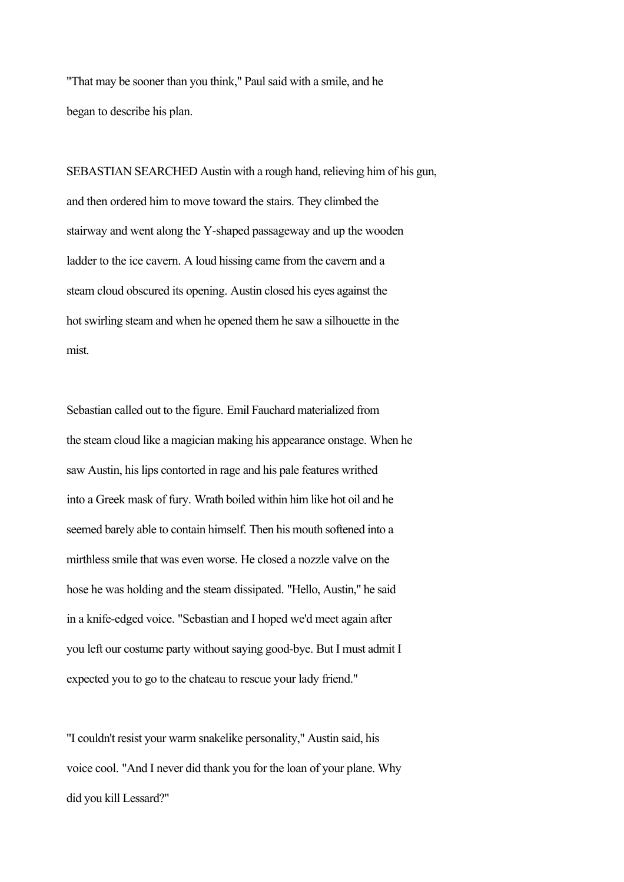"That may be sooner than you think," Paul said with a smile, and he began to describe his plan.

 SEBASTIAN SEARCHED Austin with a rough hand, relieving him of his gun, and then ordered him to move toward the stairs. They climbed the stairway and went along the Y-shaped passageway and up the wooden ladder to the ice cavern. A loud hissing came from the cavern and a steam cloud obscured its opening. Austin closed his eyes against the hot swirling steam and when he opened them he saw a silhouette in the mist.

 Sebastian called out to the figure. Emil Fauchard materialized from the steam cloud like a magician making his appearance onstage. When he saw Austin, his lips contorted in rage and his pale features writhed into a Greek mask of fury. Wrath boiled within him like hot oil and he seemed barely able to contain himself. Then his mouth softened into a mirthless smile that was even worse. He closed a nozzle valve on the hose he was holding and the steam dissipated. "Hello, Austin," he said in a knife-edged voice. "Sebastian and I hoped we'd meet again after you left our costume party without saying good-bye. But I must admit I expected you to go to the chateau to rescue your lady friend."

 "I couldn't resist your warm snakelike personality," Austin said, his voice cool. "And I never did thank you for the loan of your plane. Why did you kill Lessard?"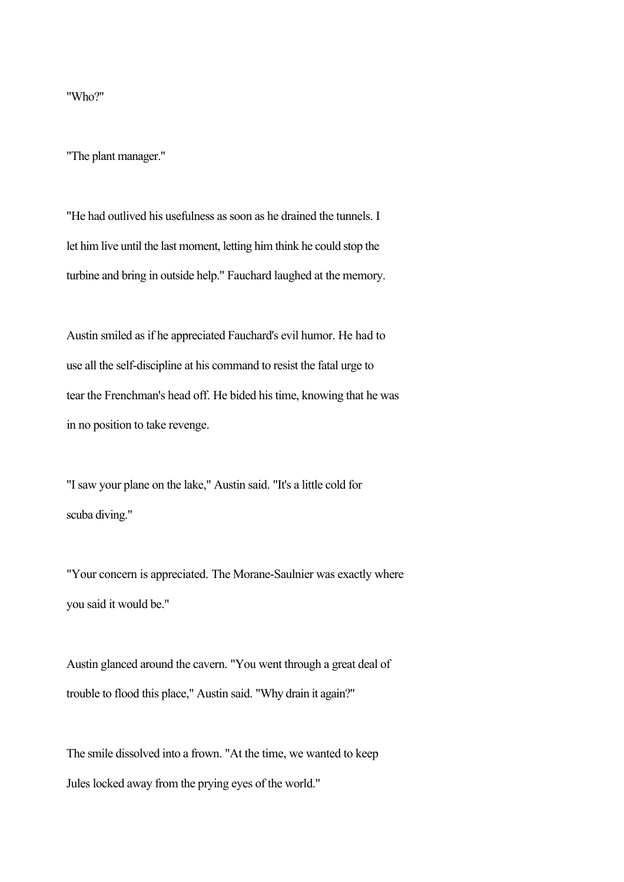"Who?"

"The plant manager."

 "He had outlived his usefulness as soon as he drained the tunnels. I let him live until the last moment, letting him think he could stop the turbine and bring in outside help." Fauchard laughed at the memory.

 Austin smiled as if he appreciated Fauchard's evil humor. He had to use all the self-discipline at his command to resist the fatal urge to tear the Frenchman's head off. He bided his time, knowing that he was in no position to take revenge.

 "I saw your plane on the lake," Austin said. "It's a little cold for scuba diving."

 "Your concern is appreciated. The Morane-Saulnier was exactly where you said it would be."

 Austin glanced around the cavern. "You went through a great deal of trouble to flood this place," Austin said. "Why drain it again?"

 The smile dissolved into a frown. "At the time, we wanted to keep Jules locked away from the prying eyes of the world."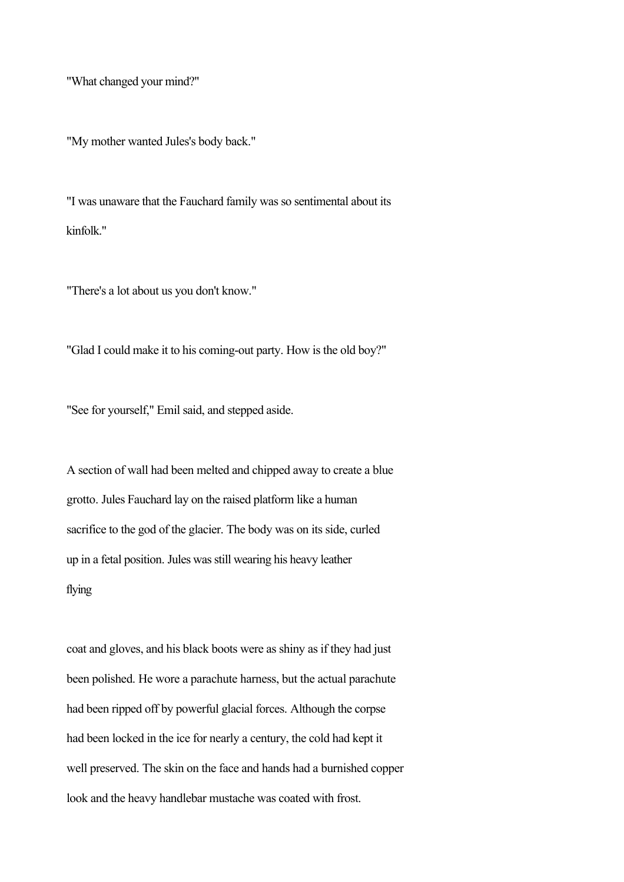"What changed your mind?"

"My mother wanted Jules's body back."

 "I was unaware that the Fauchard family was so sentimental about its kinfolk."

"There's a lot about us you don't know."

"Glad I could make it to his coming-out party. How is the old boy?"

"See for yourself," Emil said, and stepped aside.

 A section of wall had been melted and chipped away to create a blue grotto. Jules Fauchard lay on the raised platform like a human sacrifice to the god of the glacier. The body was on its side, curled up in a fetal position. Jules was still wearing his heavy leather flying

 coat and gloves, and his black boots were as shiny as if they had just been polished. He wore a parachute harness, but the actual parachute had been ripped off by powerful glacial forces. Although the corpse had been locked in the ice for nearly a century, the cold had kept it well preserved. The skin on the face and hands had a burnished copper look and the heavy handlebar mustache was coated with frost.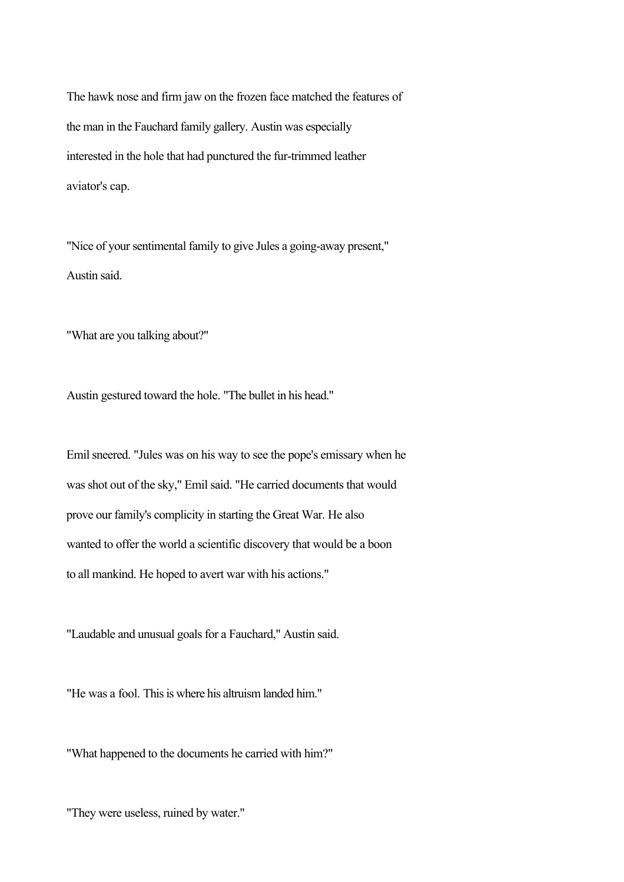The hawk nose and firm jaw on the frozen face matched the features of the man in the Fauchard family gallery. Austin was especially interested in the hole that had punctured the fur-trimmed leather aviator's cap.

 "Nice of your sentimental family to give Jules a going-away present," Austin said.

"What are you talking about?"

Austin gestured toward the hole. "The bullet in his head."

 Emil sneered. "Jules was on his way to see the pope's emissary when he was shot out of the sky," Emil said. "He carried documents that would prove our family's complicity in starting the Great War. He also wanted to offer the world a scientific discovery that would be a boon to all mankind. He hoped to avert war with his actions."

"Laudable and unusual goals for a Fauchard," Austin said.

"He was a fool. This is where his altruism landed him."

"What happened to the documents he carried with him?"

"They were useless, ruined by water."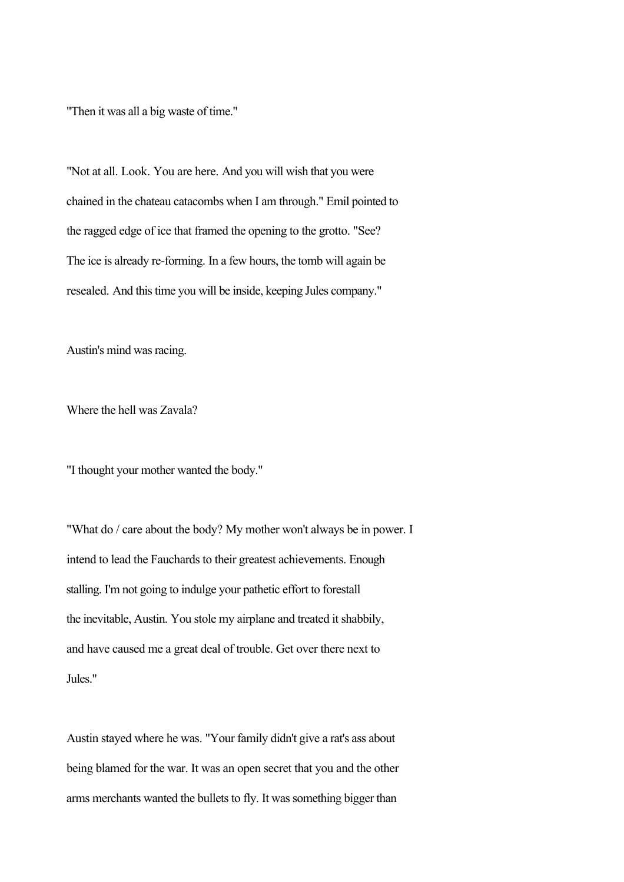"Then it was all a big waste of time."

 "Not at all. Look. You are here. And you will wish that you were chained in the chateau catacombs when I am through." Emil pointed to the ragged edge of ice that framed the opening to the grotto. "See? The ice is already re-forming. In a few hours, the tomb will again be resealed. And this time you will be inside, keeping Jules company."

Austin's mind was racing.

Where the hell was Zavala?

"I thought your mother wanted the body."

 "What do / care about the body? My mother won't always be in power. I intend to lead the Fauchards to their greatest achievements. Enough stalling. I'm not going to indulge your pathetic effort to forestall the inevitable, Austin. You stole my airplane and treated it shabbily, and have caused me a great deal of trouble. Get over there next to Jules."

 Austin stayed where he was. "Your family didn't give a rat's ass about being blamed for the war. It was an open secret that you and the other arms merchants wanted the bullets to fly. It was something bigger than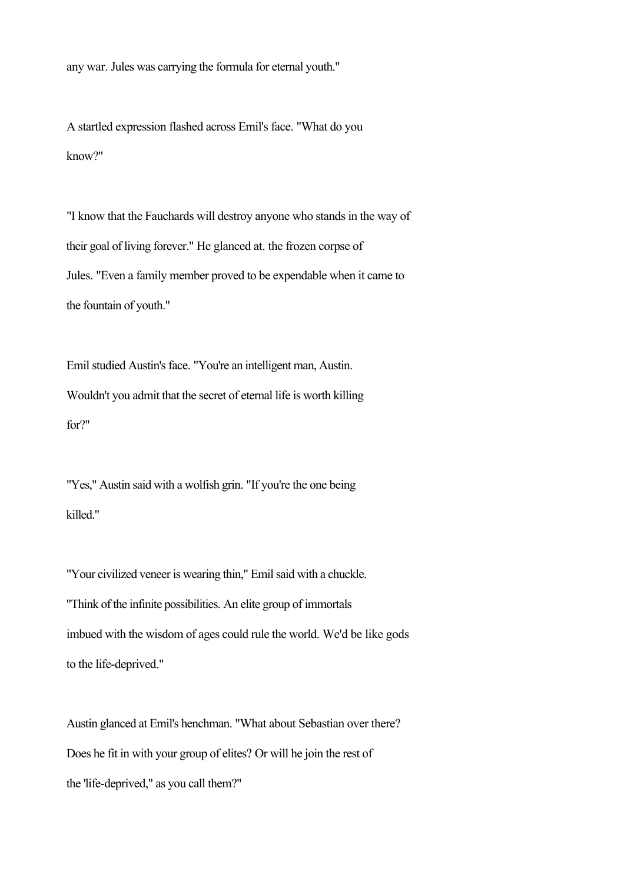any war. Jules was carrying the formula for eternal youth."

 A startled expression flashed across Emil's face. "What do you know?"

 "I know that the Fauchards will destroy anyone who stands in the way of their goal of living forever." He glanced at. the frozen corpse of Jules. "Even a family member proved to be expendable when it came to the fountain of youth."

 Emil studied Austin's face. "You're an intelligent man, Austin. Wouldn't you admit that the secret of eternal life is worth killing for?"

"Yes," Austin said with a wolfish grin. "If you're the one being killed."

 "Your civilized veneer is wearing thin," Emil said with a chuckle. "Think of the infinite possibilities. An elite group of immortals imbued with the wisdom of ages could rule the world. We'd be like gods to the life-deprived."

 Austin glanced at Emil's henchman. "What about Sebastian over there? Does he fit in with your group of elites? Or will he join the rest of the 'life-deprived," as you call them?"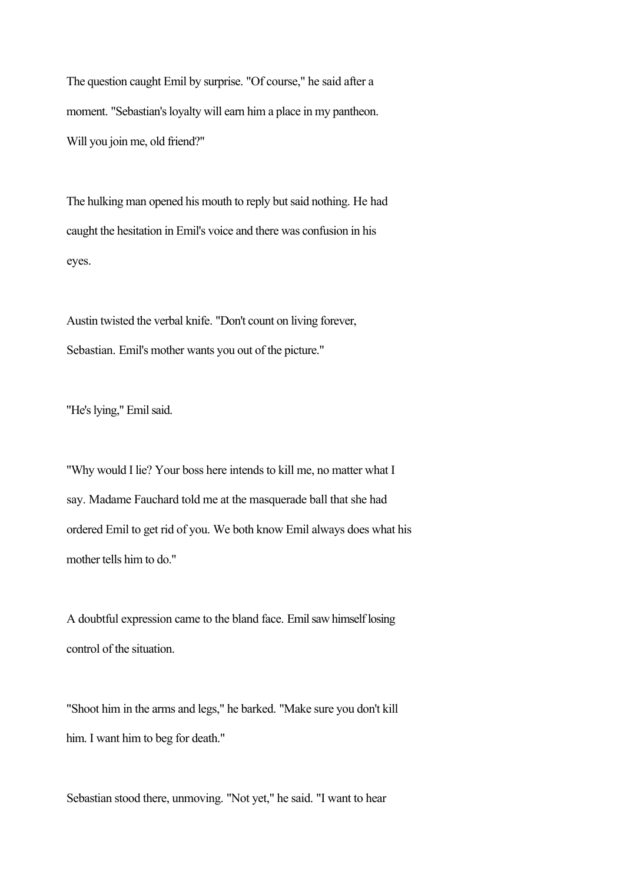The question caught Emil by surprise. "Of course," he said after a moment. "Sebastian's loyalty will earn him a place in my pantheon. Will you join me, old friend?"

 The hulking man opened his mouth to reply but said nothing. He had caught the hesitation in Emil's voice and there was confusion in his eyes.

 Austin twisted the verbal knife. "Don't count on living forever, Sebastian. Emil's mother wants you out of the picture."

"He's lying," Emil said.

 "Why would I lie? Your boss here intends to kill me, no matter what I say. Madame Fauchard told me at the masquerade ball that she had ordered Emil to get rid of you. We both know Emil always does what his mother tells him to do."

 A doubtful expression came to the bland face. Emil saw himself losing control of the situation.

 "Shoot him in the arms and legs," he barked. "Make sure you don't kill him. I want him to beg for death."

Sebastian stood there, unmoving. "Not yet," he said. "I want to hear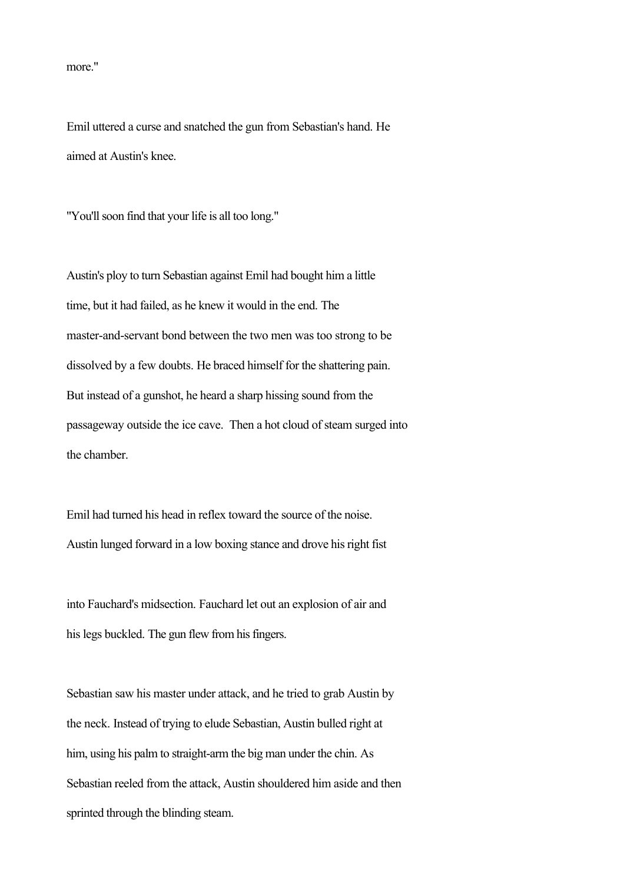more."

 Emil uttered a curse and snatched the gun from Sebastian's hand. He aimed at Austin's knee.

"You'll soon find that your life is all too long."

 Austin's ploy to turn Sebastian against Emil had bought him a little time, but it had failed, as he knew it would in the end. The master-and-servant bond between the two men was too strong to be dissolved by a few doubts. He braced himself for the shattering pain. But instead of a gunshot, he heard a sharp hissing sound from the passageway outside the ice cave. Then a hot cloud of steam surged into the chamber.

 Emil had turned his head in reflex toward the source of the noise. Austin lunged forward in a low boxing stance and drove his right fist

 into Fauchard's midsection. Fauchard let out an explosion of air and his legs buckled. The gun flew from his fingers.

 Sebastian saw his master under attack, and he tried to grab Austin by the neck. Instead of trying to elude Sebastian, Austin bulled right at him, using his palm to straight-arm the big man under the chin. As Sebastian reeled from the attack, Austin shouldered him aside and then sprinted through the blinding steam.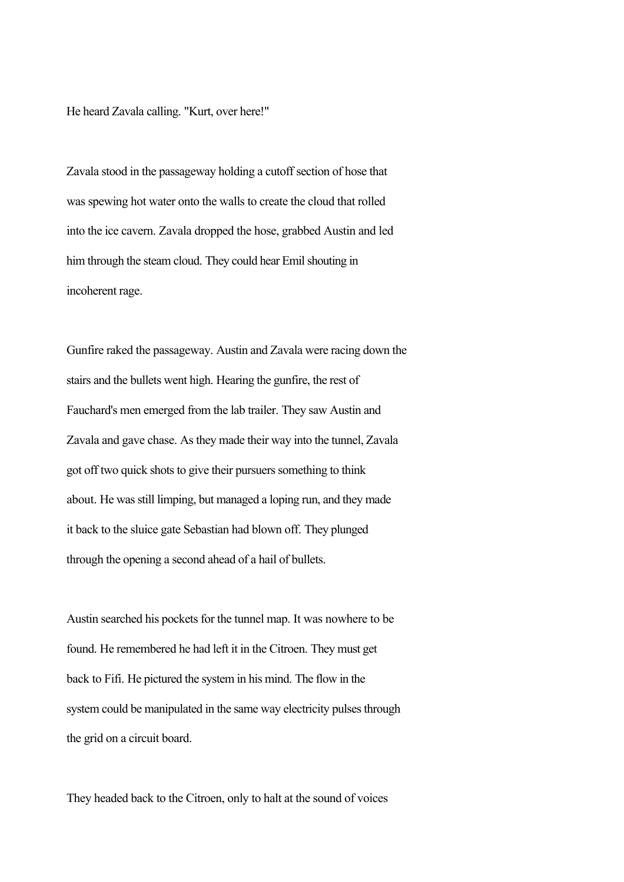He heard Zavala calling. "Kurt, over here!"

 Zavala stood in the passageway holding a cutoff section of hose that was spewing hot water onto the walls to create the cloud that rolled into the ice cavern. Zavala dropped the hose, grabbed Austin and led him through the steam cloud. They could hear Emil shouting in incoherent rage.

 Gunfire raked the passageway. Austin and Zavala were racing down the stairs and the bullets went high. Hearing the gunfire, the rest of Fauchard's men emerged from the lab trailer. They saw Austin and Zavala and gave chase. As they made their way into the tunnel, Zavala got off two quick shots to give their pursuers something to think about. He was still limping, but managed a loping run, and they made it back to the sluice gate Sebastian had blown off. They plunged through the opening a second ahead of a hail of bullets.

 Austin searched his pockets for the tunnel map. It was nowhere to be found. He remembered he had left it in the Citroen. They must get back to Fifi. He pictured the system in his mind. The flow in the system could be manipulated in the same way electricity pulses through the grid on a circuit board.

They headed back to the Citroen, only to halt at the sound of voices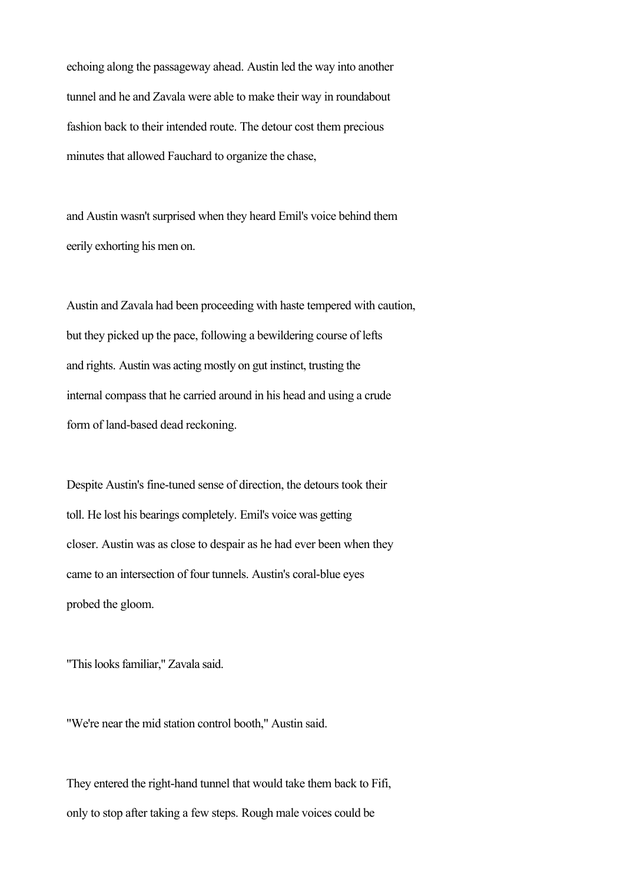echoing along the passageway ahead. Austin led the way into another tunnel and he and Zavala were able to make their way in roundabout fashion back to their intended route. The detour cost them precious minutes that allowed Fauchard to organize the chase,

 and Austin wasn't surprised when they heard Emil's voice behind them eerily exhorting his men on.

 Austin and Zavala had been proceeding with haste tempered with caution, but they picked up the pace, following a bewildering course of lefts and rights. Austin was acting mostly on gut instinct, trusting the internal compass that he carried around in his head and using a crude form of land-based dead reckoning.

 Despite Austin's fine-tuned sense of direction, the detours took their toll. He lost his bearings completely. Emil's voice was getting closer. Austin was as close to despair as he had ever been when they came to an intersection of four tunnels. Austin's coral-blue eyes probed the gloom.

"This looks familiar," Zavala said.

"We're near the mid station control booth," Austin said.

 They entered the right-hand tunnel that would take them back to Fifi, only to stop after taking a few steps. Rough male voices could be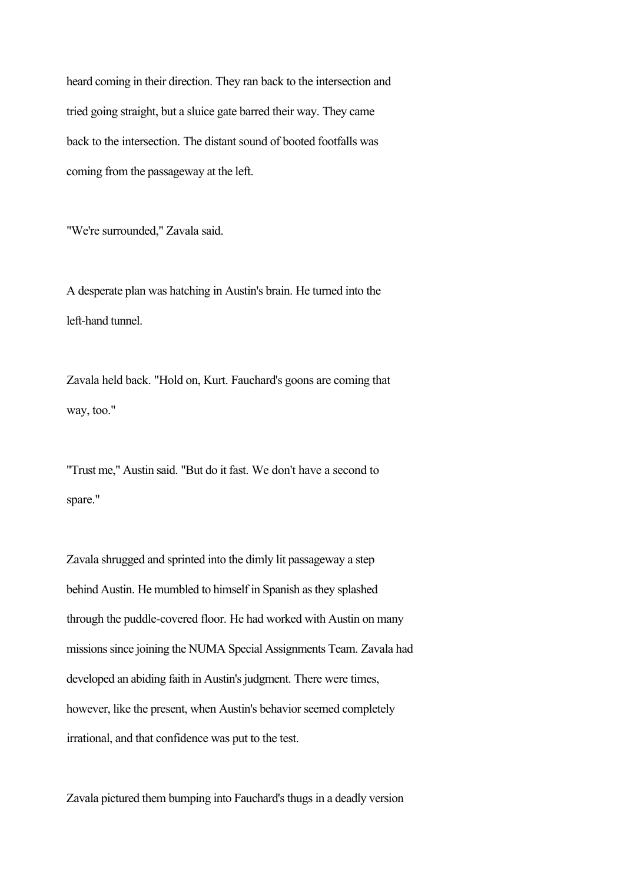heard coming in their direction. They ran back to the intersection and tried going straight, but a sluice gate barred their way. They came back to the intersection. The distant sound of booted footfalls was coming from the passageway at the left.

"We're surrounded," Zavala said.

 A desperate plan was hatching in Austin's brain. He turned into the left-hand tunnel.

 Zavala held back. "Hold on, Kurt. Fauchard's goons are coming that way, too."

 "Trust me," Austin said. "But do it fast. We don't have a second to spare."

 Zavala shrugged and sprinted into the dimly lit passageway a step behind Austin. He mumbled to himself in Spanish as they splashed through the puddle-covered floor. He had worked with Austin on many missions since joining the NUMA Special Assignments Team. Zavala had developed an abiding faith in Austin's judgment. There were times, however, like the present, when Austin's behavior seemed completely irrational, and that confidence was put to the test.

Zavala pictured them bumping into Fauchard's thugs in a deadly version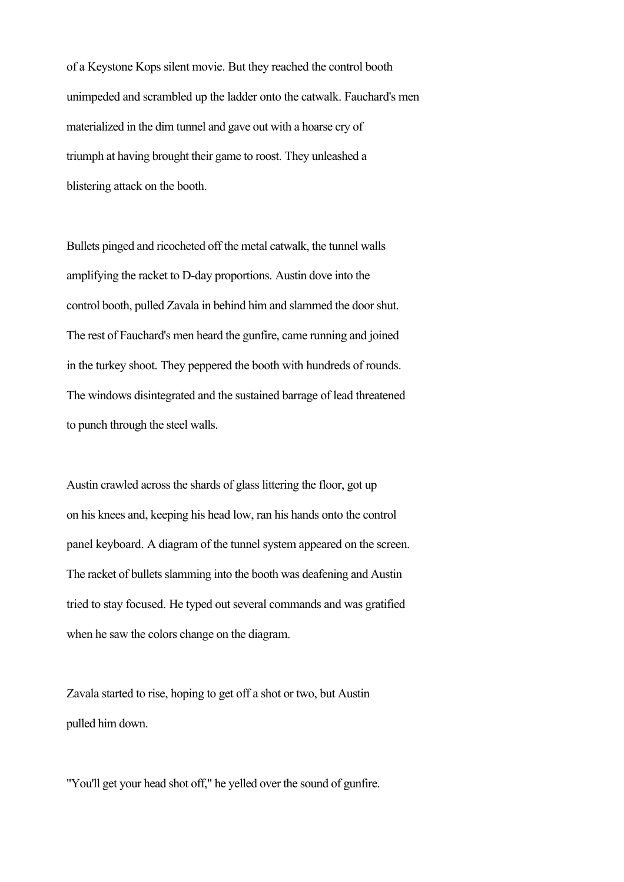of a Keystone Kops silent movie. But they reached the control booth unimpeded and scrambled up the ladder onto the catwalk. Fauchard's men materialized in the dim tunnel and gave out with a hoarse cry of triumph at having brought their game to roost. They unleashed a blistering attack on the booth.

 Bullets pinged and ricocheted off the metal catwalk, the tunnel walls amplifying the racket to D-day proportions. Austin dove into the control booth, pulled Zavala in behind him and slammed the door shut. The rest of Fauchard's men heard the gunfire, came running and joined in the turkey shoot. They peppered the booth with hundreds of rounds. The windows disintegrated and the sustained barrage of lead threatened to punch through the steel walls.

 Austin crawled across the shards of glass littering the floor, got up on his knees and, keeping his head low, ran his hands onto the control panel keyboard. A diagram of the tunnel system appeared on the screen. The racket of bullets slamming into the booth was deafening and Austin tried to stay focused. He typed out several commands and was gratified when he saw the colors change on the diagram.

 Zavala started to rise, hoping to get off a shot or two, but Austin pulled him down.

"You'll get your head shot off," he yelled over the sound of gunfire.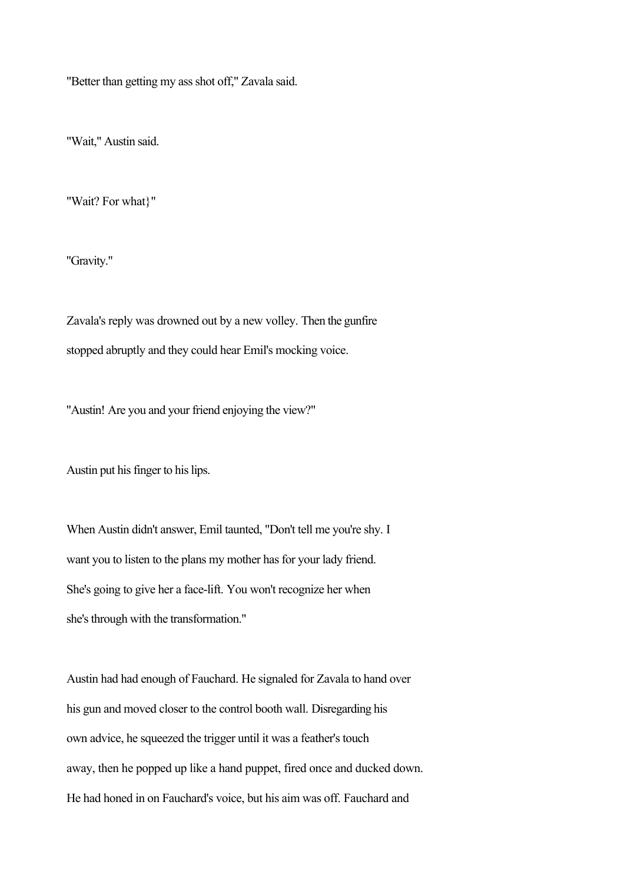"Better than getting my ass shot off," Zavala said.

"Wait," Austin said.

"Wait? For what}"

"Gravity."

 Zavala's reply was drowned out by a new volley. Then the gunfire stopped abruptly and they could hear Emil's mocking voice.

"Austin! Are you and your friend enjoying the view?"

Austin put his finger to his lips.

 When Austin didn't answer, Emil taunted, "Don't tell me you're shy. I want you to listen to the plans my mother has for your lady friend. She's going to give her a face-lift. You won't recognize her when she's through with the transformation."

 Austin had had enough of Fauchard. He signaled for Zavala to hand over his gun and moved closer to the control booth wall. Disregarding his own advice, he squeezed the trigger until it was a feather's touch away, then he popped up like a hand puppet, fired once and ducked down. He had honed in on Fauchard's voice, but his aim was off. Fauchard and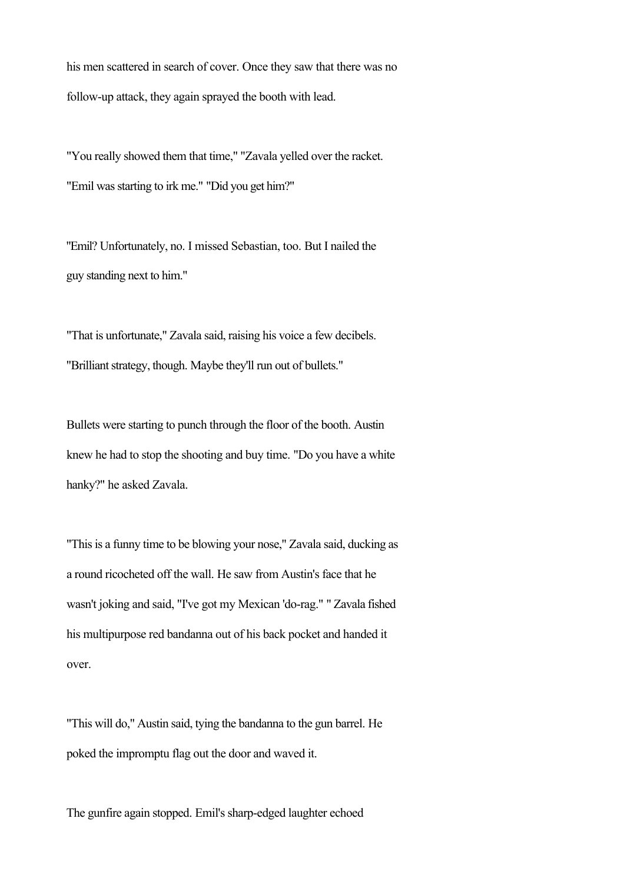his men scattered in search of cover. Once they saw that there was no follow-up attack, they again sprayed the booth with lead.

 "You really showed them that time," "Zavala yelled over the racket. "Emil was starting to irk me." "Did you get him?"

 "Emil? Unfortunately, no. I missed Sebastian, too. But I nailed the guy standing next to him."

 "That is unfortunate," Zavala said, raising his voice a few decibels. "Brilliant strategy, though. Maybe they'll run out of bullets."

 Bullets were starting to punch through the floor of the booth. Austin knew he had to stop the shooting and buy time. "Do you have a white hanky?" he asked Zavala.

 "This is a funny time to be blowing your nose," Zavala said, ducking as a round ricocheted off the wall. He saw from Austin's face that he wasn't joking and said, "I've got my Mexican 'do-rag." " Zavala fished his multipurpose red bandanna out of his back pocket and handed it over.

 "This will do," Austin said, tying the bandanna to the gun barrel. He poked the impromptu flag out the door and waved it.

The gunfire again stopped. Emil's sharp-edged laughter echoed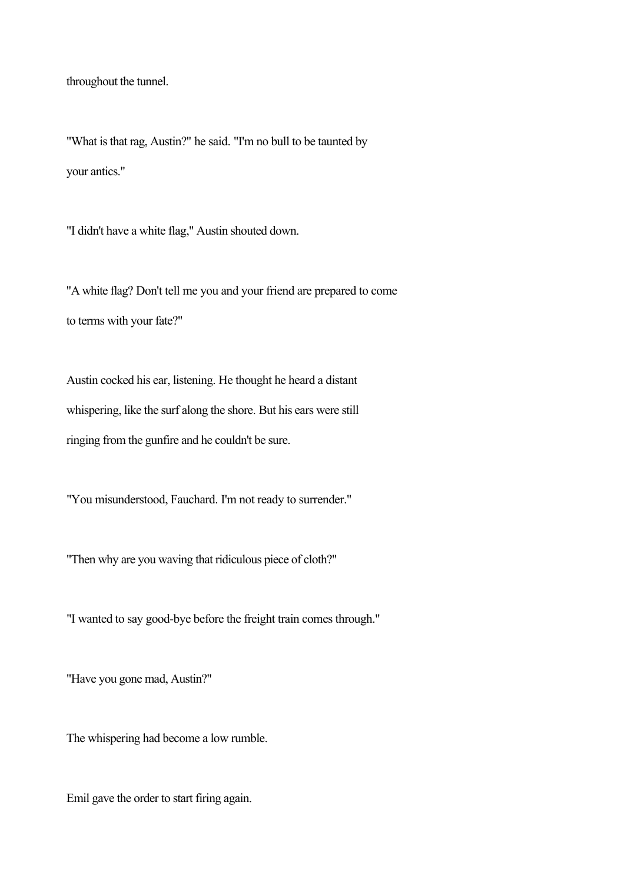throughout the tunnel.

 "What is that rag, Austin?" he said. "I'm no bull to be taunted by your antics."

"I didn't have a white flag," Austin shouted down.

 "A white flag? Don't tell me you and your friend are prepared to come to terms with your fate?"

 Austin cocked his ear, listening. He thought he heard a distant whispering, like the surf along the shore. But his ears were still ringing from the gunfire and he couldn't be sure.

"You misunderstood, Fauchard. I'm not ready to surrender."

"Then why are you waving that ridiculous piece of cloth?"

"I wanted to say good-bye before the freight train comes through."

"Have you gone mad, Austin?"

The whispering had become a low rumble.

Emil gave the order to start firing again.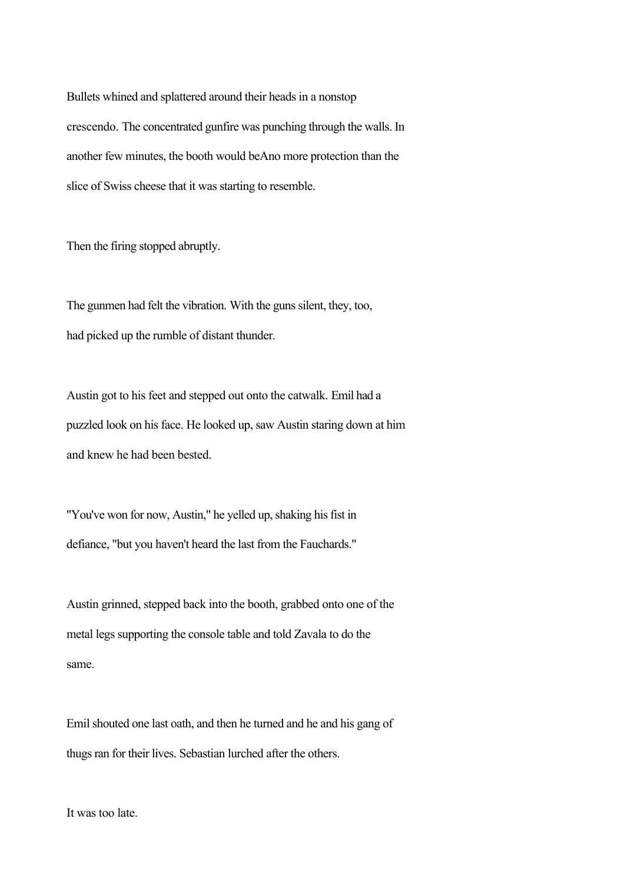Bullets whined and splattered around their heads in a nonstop crescendo. The concentrated gunfire was punching through the walls. In another few minutes, the booth would beAno more protection than the slice of Swiss cheese that it was starting to resemble.

Then the firing stopped abruptly.

 The gunmen had felt the vibration. With the guns silent, they, too, had picked up the rumble of distant thunder.

 Austin got to his feet and stepped out onto the catwalk. Emil had a puzzled look on his face. He looked up, saw Austin staring down at him and knew he had been bested.

 "You've won for now, Austin," he yelled up, shaking his fist in defiance, "but you haven't heard the last from the Fauchards."

 Austin grinned, stepped back into the booth, grabbed onto one of the metal legs supporting the console table and told Zavala to do the same.

 Emil shouted one last oath, and then he turned and he and his gang of thugs ran for their lives. Sebastian lurched after the others.

It was too late.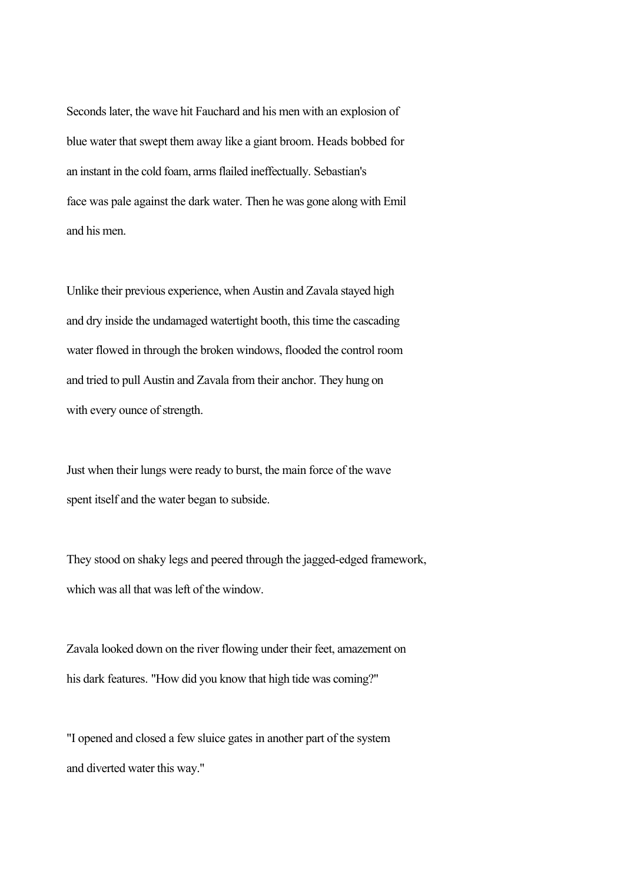Seconds later, the wave hit Fauchard and his men with an explosion of blue water that swept them away like a giant broom. Heads bobbed for an instant in the cold foam, arms flailed ineffectually. Sebastian's face was pale against the dark water. Then he was gone along with Emil and his men.

 Unlike their previous experience, when Austin and Zavala stayed high and dry inside the undamaged watertight booth, this time the cascading water flowed in through the broken windows, flooded the control room and tried to pull Austin and Zavala from their anchor. They hung on with every ounce of strength.

 Just when their lungs were ready to burst, the main force of the wave spent itself and the water began to subside.

 They stood on shaky legs and peered through the jagged-edged framework, which was all that was left of the window.

 Zavala looked down on the river flowing under their feet, amazement on his dark features. "How did you know that high tide was coming?"

 "I opened and closed a few sluice gates in another part of the system and diverted water this way."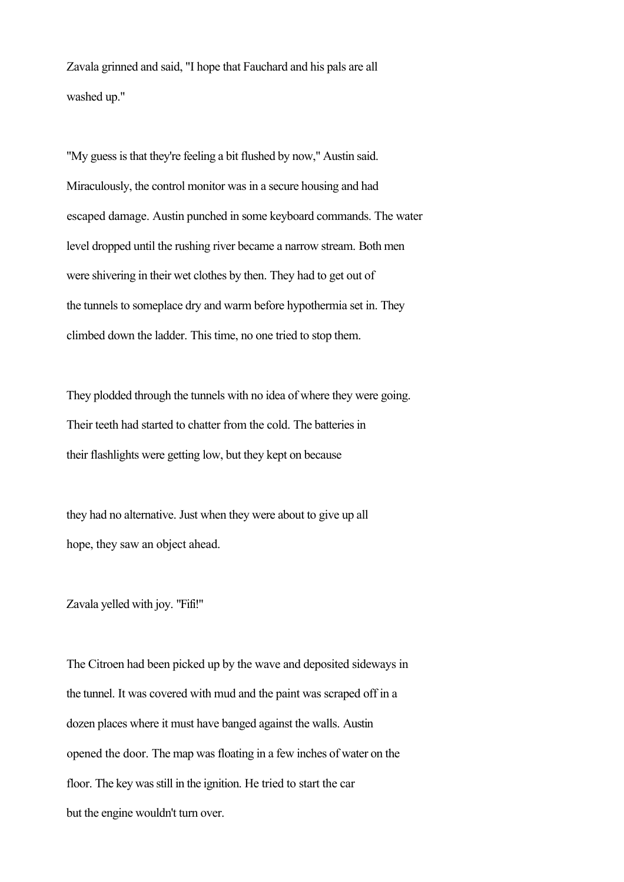Zavala grinned and said, "I hope that Fauchard and his pals are all washed up."

 "My guess is that they're feeling a bit flushed by now," Austin said. Miraculously, the control monitor was in a secure housing and had escaped damage. Austin punched in some keyboard commands. The water level dropped until the rushing river became a narrow stream. Both men were shivering in their wet clothes by then. They had to get out of the tunnels to someplace dry and warm before hypothermia set in. They climbed down the ladder. This time, no one tried to stop them.

 They plodded through the tunnels with no idea of where they were going. Their teeth had started to chatter from the cold. The batteries in their flashlights were getting low, but they kept on because

 they had no alternative. Just when they were about to give up all hope, they saw an object ahead.

Zavala yelled with joy. "Fifi!"

 The Citroen had been picked up by the wave and deposited sideways in the tunnel. It was covered with mud and the paint was scraped off in a dozen places where it must have banged against the walls. Austin opened the door. The map was floating in a few inches of water on the floor. The key was still in the ignition. He tried to start the car but the engine wouldn't turn over.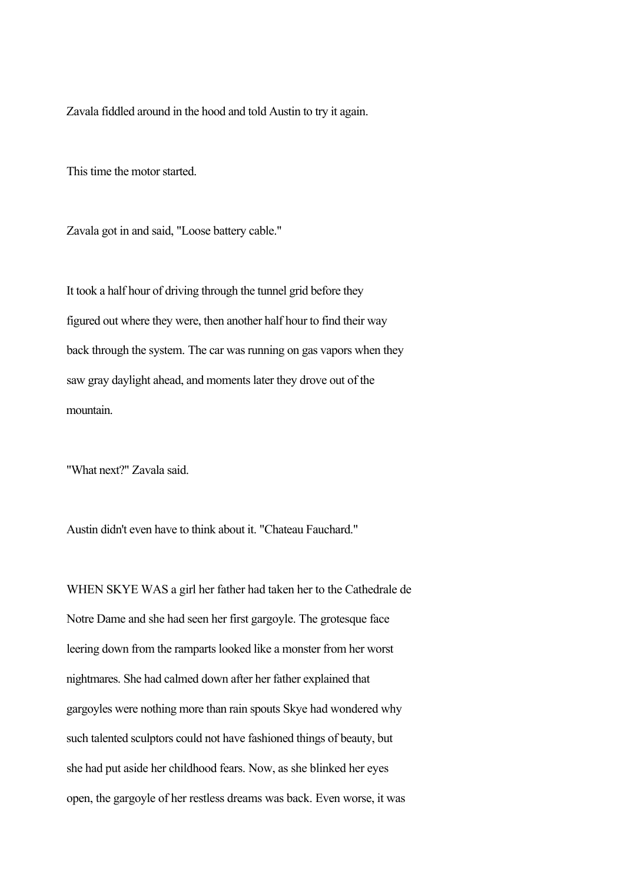Zavala fiddled around in the hood and told Austin to try it again.

This time the motor started.

Zavala got in and said, "Loose battery cable."

 It took a half hour of driving through the tunnel grid before they figured out where they were, then another half hour to find their way back through the system. The car was running on gas vapors when they saw gray daylight ahead, and moments later they drove out of the mountain.

"What next?" Zavala said.

Austin didn't even have to think about it. "Chateau Fauchard."

 WHEN SKYE WAS a girl her father had taken her to the Cathedrale de Notre Dame and she had seen her first gargoyle. The grotesque face leering down from the ramparts looked like a monster from her worst nightmares. She had calmed down after her father explained that gargoyles were nothing more than rain spouts Skye had wondered why such talented sculptors could not have fashioned things of beauty, but she had put aside her childhood fears. Now, as she blinked her eyes open, the gargoyle of her restless dreams was back. Even worse, it was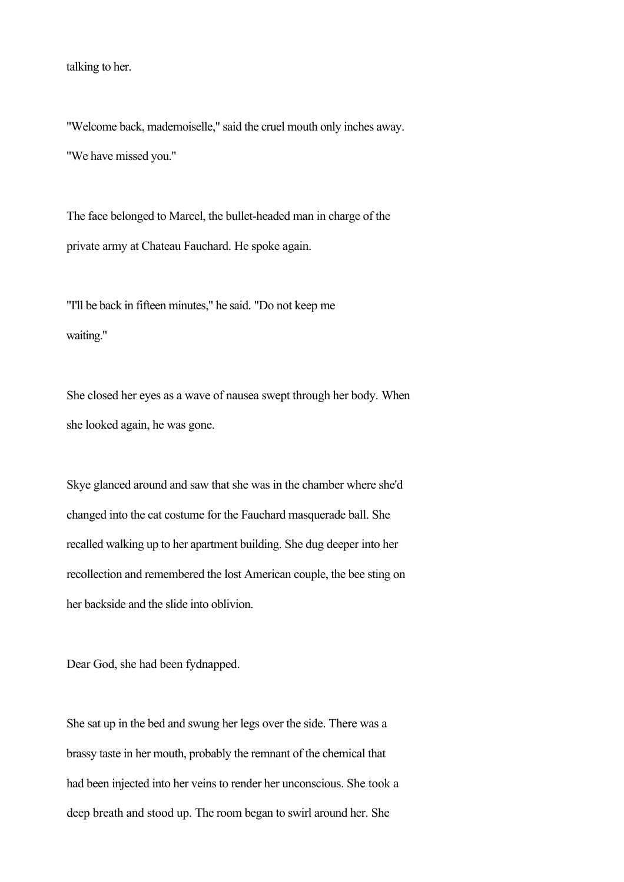talking to her.

 "Welcome back, mademoiselle," said the cruel mouth only inches away. "We have missed you."

 The face belonged to Marcel, the bullet-headed man in charge of the private army at Chateau Fauchard. He spoke again.

 "I'll be back in fifteen minutes," he said. "Do not keep me waiting."

 She closed her eyes as a wave of nausea swept through her body. When she looked again, he was gone.

 Skye glanced around and saw that she was in the chamber where she'd changed into the cat costume for the Fauchard masquerade ball. She recalled walking up to her apartment building. She dug deeper into her recollection and remembered the lost American couple, the bee sting on her backside and the slide into oblivion.

Dear God, she had been fydnapped.

 She sat up in the bed and swung her legs over the side. There was a brassy taste in her mouth, probably the remnant of the chemical that had been injected into her veins to render her unconscious. She took a deep breath and stood up. The room began to swirl around her. She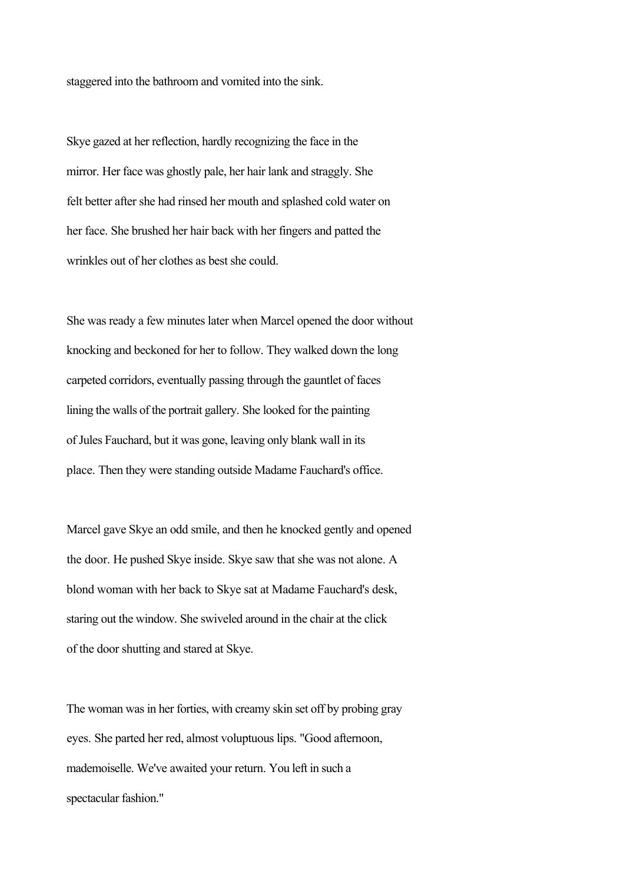staggered into the bathroom and vomited into the sink.

 Skye gazed at her reflection, hardly recognizing the face in the mirror. Her face was ghostly pale, her hair lank and straggly. She felt better after she had rinsed her mouth and splashed cold water on her face. She brushed her hair back with her fingers and patted the wrinkles out of her clothes as best she could.

 She was ready a few minutes later when Marcel opened the door without knocking and beckoned for her to follow. They walked down the long carpeted corridors, eventually passing through the gauntlet of faces lining the walls of the portrait gallery. She looked for the painting of Jules Fauchard, but it was gone, leaving only blank wall in its place. Then they were standing outside Madame Fauchard's office.

 Marcel gave Skye an odd smile, and then he knocked gently and opened the door. He pushed Skye inside. Skye saw that she was not alone. A blond woman with her back to Skye sat at Madame Fauchard's desk, staring out the window. She swiveled around in the chair at the click of the door shutting and stared at Skye.

 The woman was in her forties, with creamy skin set off by probing gray eyes. She parted her red, almost voluptuous lips. "Good afternoon, mademoiselle. We've awaited your return. You left in such a spectacular fashion."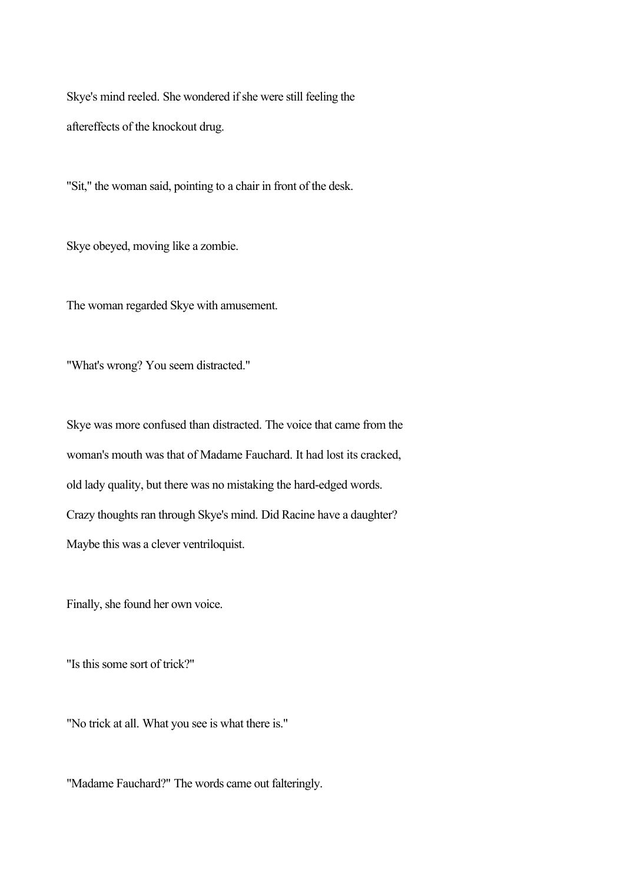Skye's mind reeled. She wondered if she were still feeling the aftereffects of the knockout drug.

"Sit," the woman said, pointing to a chair in front of the desk.

Skye obeyed, moving like a zombie.

The woman regarded Skye with amusement.

"What's wrong? You seem distracted."

 Skye was more confused than distracted. The voice that came from the woman's mouth was that of Madame Fauchard. It had lost its cracked, old lady quality, but there was no mistaking the hard-edged words. Crazy thoughts ran through Skye's mind. Did Racine have a daughter? Maybe this was a clever ventriloquist.

Finally, she found her own voice.

"Is this some sort of trick?"

"No trick at all. What you see is what there is."

"Madame Fauchard?" The words came out falteringly.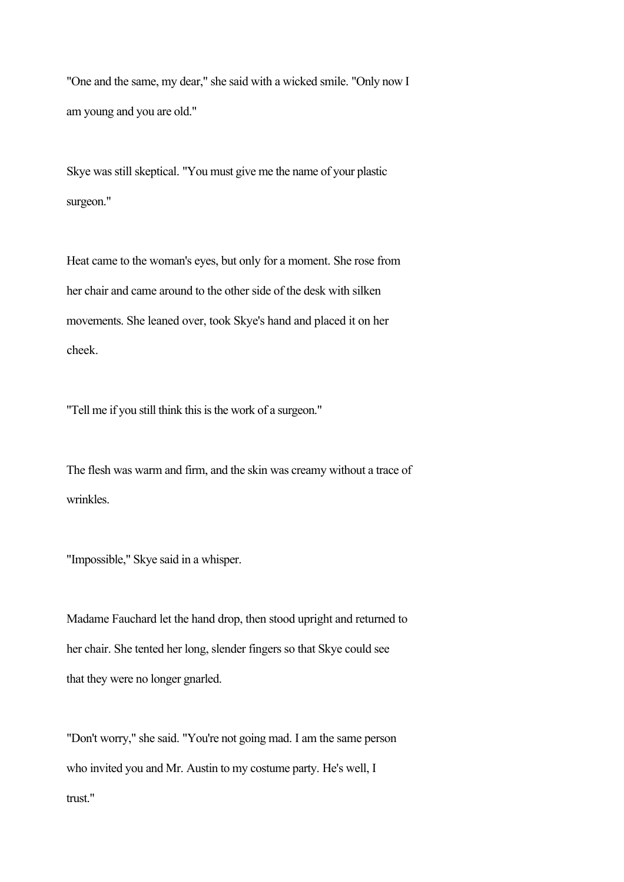"One and the same, my dear," she said with a wicked smile. "Only now I am young and you are old."

 Skye was still skeptical. "You must give me the name of your plastic surgeon."

 Heat came to the woman's eyes, but only for a moment. She rose from her chair and came around to the other side of the desk with silken movements. She leaned over, took Skye's hand and placed it on her cheek.

"Tell me if you still think this is the work of a surgeon."

 The flesh was warm and firm, and the skin was creamy without a trace of wrinkles.

"Impossible," Skye said in a whisper.

 Madame Fauchard let the hand drop, then stood upright and returned to her chair. She tented her long, slender fingers so that Skye could see that they were no longer gnarled.

 "Don't worry," she said. "You're not going mad. I am the same person who invited you and Mr. Austin to my costume party. He's well, I trust."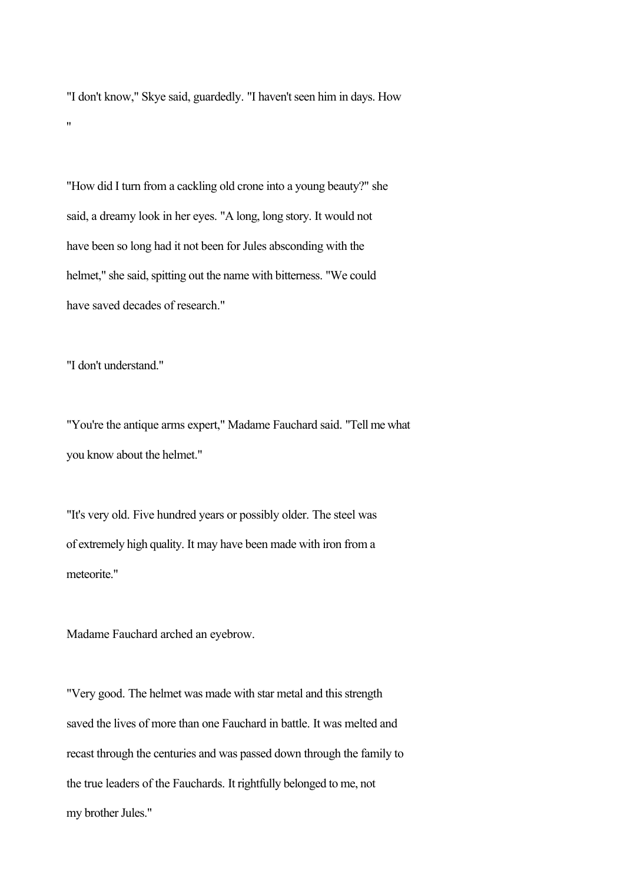"I don't know," Skye said, guardedly. "I haven't seen him in days. How "

 "How did I turn from a cackling old crone into a young beauty?" she said, a dreamy look in her eyes. "A long, long story. It would not have been so long had it not been for Jules absconding with the helmet," she said, spitting out the name with bitterness. "We could have saved decades of research."

"I don't understand."

 "You're the antique arms expert," Madame Fauchard said. "Tell me what you know about the helmet."

 "It's very old. Five hundred years or possibly older. The steel was of extremely high quality. It may have been made with iron from a meteorite."

Madame Fauchard arched an eyebrow.

 "Very good. The helmet was made with star metal and this strength saved the lives of more than one Fauchard in battle. It was melted and recast through the centuries and was passed down through the family to the true leaders of the Fauchards. It rightfully belonged to me, not my brother Jules."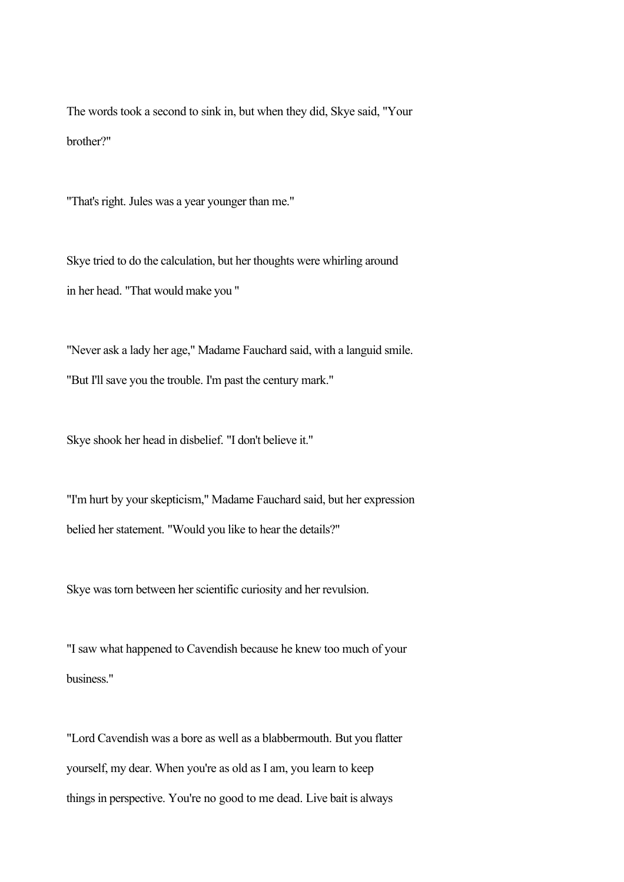The words took a second to sink in, but when they did, Skye said, "Your brother?"

"That's right. Jules was a year younger than me."

 Skye tried to do the calculation, but her thoughts were whirling around in her head. "That would make you "

 "Never ask a lady her age," Madame Fauchard said, with a languid smile. "But I'll save you the trouble. I'm past the century mark."

Skye shook her head in disbelief. "I don't believe it."

 "I'm hurt by your skepticism," Madame Fauchard said, but her expression belied her statement. "Would you like to hear the details?"

Skye was torn between her scientific curiosity and her revulsion.

 "I saw what happened to Cavendish because he knew too much of your business."

 "Lord Cavendish was a bore as well as a blabbermouth. But you flatter yourself, my dear. When you're as old as I am, you learn to keep things in perspective. You're no good to me dead. Live bait is always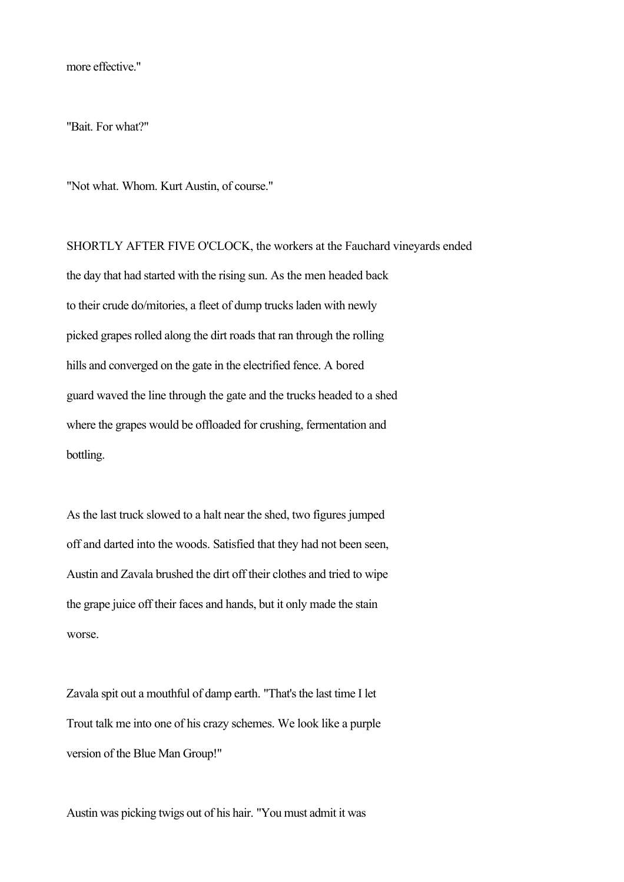more effective."

"Bait. For what?"

"Not what. Whom. Kurt Austin, of course."

 SHORTLY AFTER FIVE O'CLOCK, the workers at the Fauchard vineyards ended the day that had started with the rising sun. As the men headed back to their crude do/mitories, a fleet of dump trucks laden with newly picked grapes rolled along the dirt roads that ran through the rolling hills and converged on the gate in the electrified fence. A bored guard waved the line through the gate and the trucks headed to a shed where the grapes would be offloaded for crushing, fermentation and bottling.

 As the last truck slowed to a halt near the shed, two figures jumped off and darted into the woods. Satisfied that they had not been seen, Austin and Zavala brushed the dirt off their clothes and tried to wipe the grape juice off their faces and hands, but it only made the stain worse.

 Zavala spit out a mouthful of damp earth. "That's the last time I let Trout talk me into one of his crazy schemes. We look like a purple version of the Blue Man Group!"

Austin was picking twigs out of his hair. "You must admit it was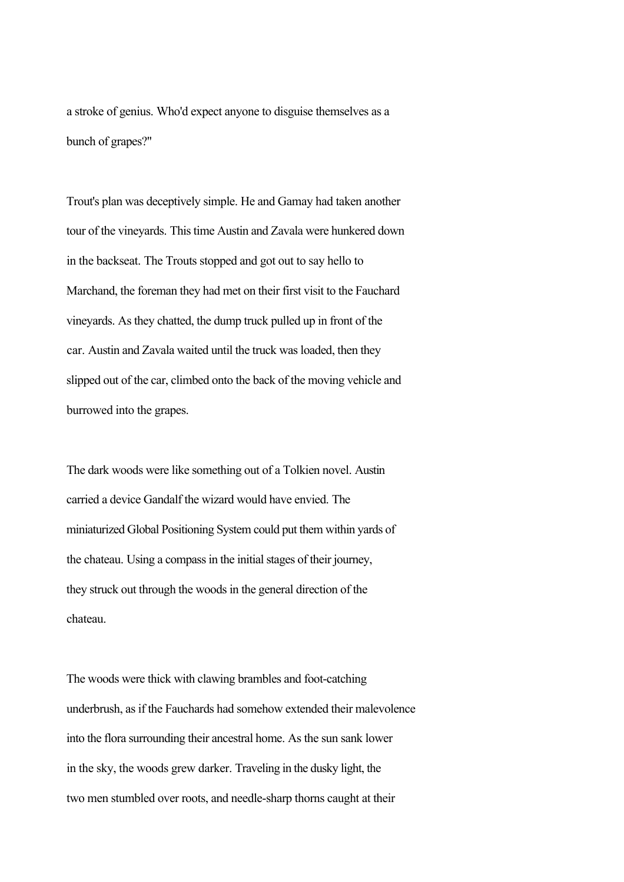a stroke of genius. Who'd expect anyone to disguise themselves as a bunch of grapes?"

 Trout's plan was deceptively simple. He and Gamay had taken another tour of the vineyards. This time Austin and Zavala were hunkered down in the backseat. The Trouts stopped and got out to say hello to Marchand, the foreman they had met on their first visit to the Fauchard vineyards. As they chatted, the dump truck pulled up in front of the car. Austin and Zavala waited until the truck was loaded, then they slipped out of the car, climbed onto the back of the moving vehicle and burrowed into the grapes.

 The dark woods were like something out of a Tolkien novel. Austin carried a device Gandalf the wizard would have envied. The miniaturized Global Positioning System could put them within yards of the chateau. Using a compass in the initial stages of their journey, they struck out through the woods in the general direction of the chateau.

 The woods were thick with clawing brambles and foot-catching underbrush, as if the Fauchards had somehow extended their malevolence into the flora surrounding their ancestral home. As the sun sank lower in the sky, the woods grew darker. Traveling in the dusky light, the two men stumbled over roots, and needle-sharp thorns caught at their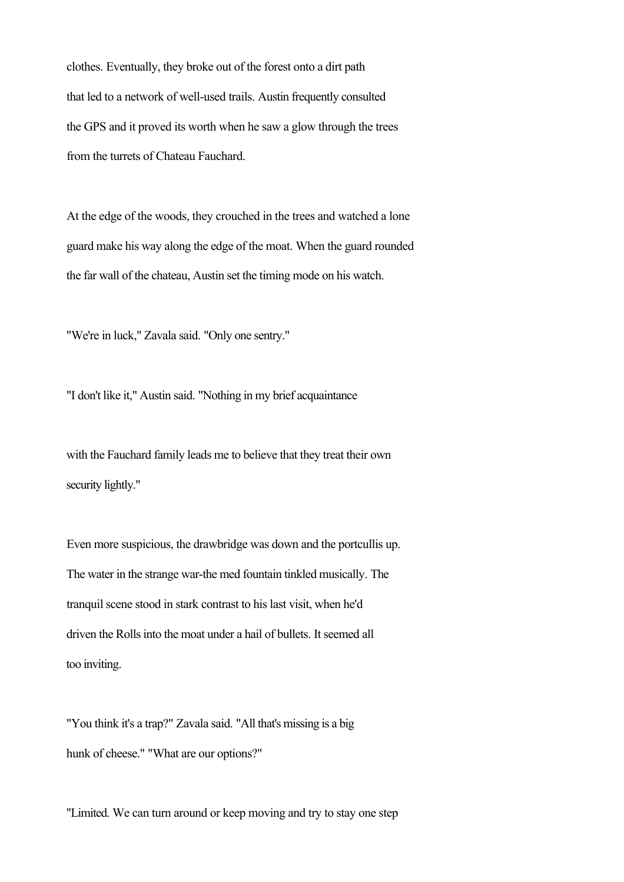clothes. Eventually, they broke out of the forest onto a dirt path that led to a network of well-used trails. Austin frequently consulted the GPS and it proved its worth when he saw a glow through the trees from the turrets of Chateau Fauchard.

 At the edge of the woods, they crouched in the trees and watched a lone guard make his way along the edge of the moat. When the guard rounded the far wall of the chateau, Austin set the timing mode on his watch.

"We're in luck," Zavala said. "Only one sentry."

"I don't like it," Austin said. "Nothing in my brief acquaintance

 with the Fauchard family leads me to believe that they treat their own security lightly."

 Even more suspicious, the drawbridge was down and the portcullis up. The water in the strange war-the med fountain tinkled musically. The tranquil scene stood in stark contrast to his last visit, when he'd driven the Rolls into the moat under a hail of bullets. It seemed all too inviting.

 "You think it's a trap?" Zavala said. "All that's missing is a big hunk of cheese." "What are our options?"

"Limited. We can turn around or keep moving and try to stay one step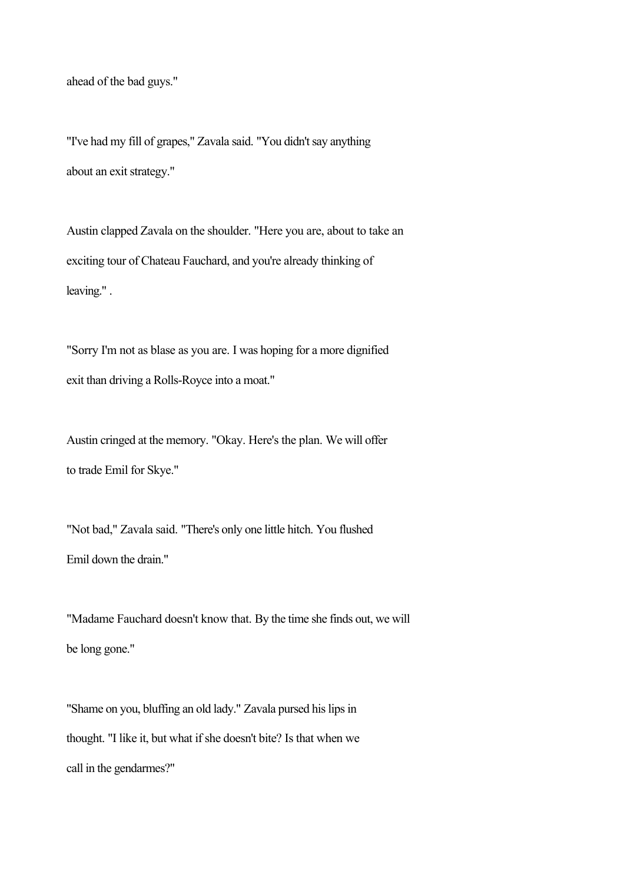ahead of the bad guys."

 "I've had my fill of grapes," Zavala said. "You didn't say anything about an exit strategy."

 Austin clapped Zavala on the shoulder. "Here you are, about to take an exciting tour of Chateau Fauchard, and you're already thinking of leaving." .

 "Sorry I'm not as blase as you are. I was hoping for a more dignified exit than driving a Rolls-Royce into a moat."

 Austin cringed at the memory. "Okay. Here's the plan. We will offer to trade Emil for Skye."

 "Not bad," Zavala said. "There's only one little hitch. You flushed Emil down the drain."

 "Madame Fauchard doesn't know that. By the time she finds out, we will be long gone."

 "Shame on you, bluffing an old lady." Zavala pursed his lips in thought. "I like it, but what if she doesn't bite? Is that when we call in the gendarmes?"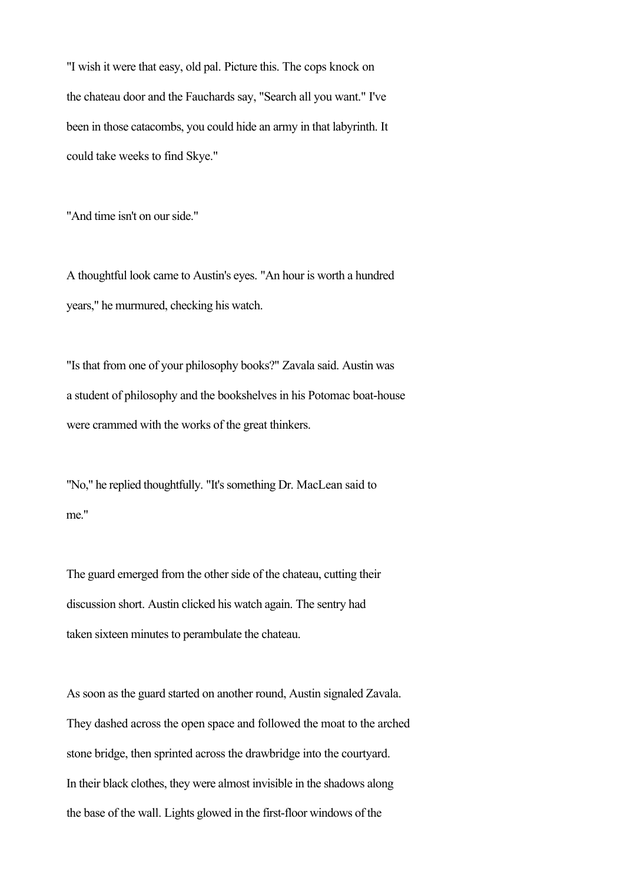"I wish it were that easy, old pal. Picture this. The cops knock on the chateau door and the Fauchards say, "Search all you want." I've been in those catacombs, you could hide an army in that labyrinth. It could take weeks to find Skye."

"And time isn't on our side."

 A thoughtful look came to Austin's eyes. "An hour is worth a hundred years," he murmured, checking his watch.

 "Is that from one of your philosophy books?" Zavala said. Austin was a student of philosophy and the bookshelves in his Potomac boat-house were crammed with the works of the great thinkers.

 "No," he replied thoughtfully. "It's something Dr. MacLean said to me"

 The guard emerged from the other side of the chateau, cutting their discussion short. Austin clicked his watch again. The sentry had taken sixteen minutes to perambulate the chateau.

 As soon as the guard started on another round, Austin signaled Zavala. They dashed across the open space and followed the moat to the arched stone bridge, then sprinted across the drawbridge into the courtyard. In their black clothes, they were almost invisible in the shadows along the base of the wall. Lights glowed in the first-floor windows of the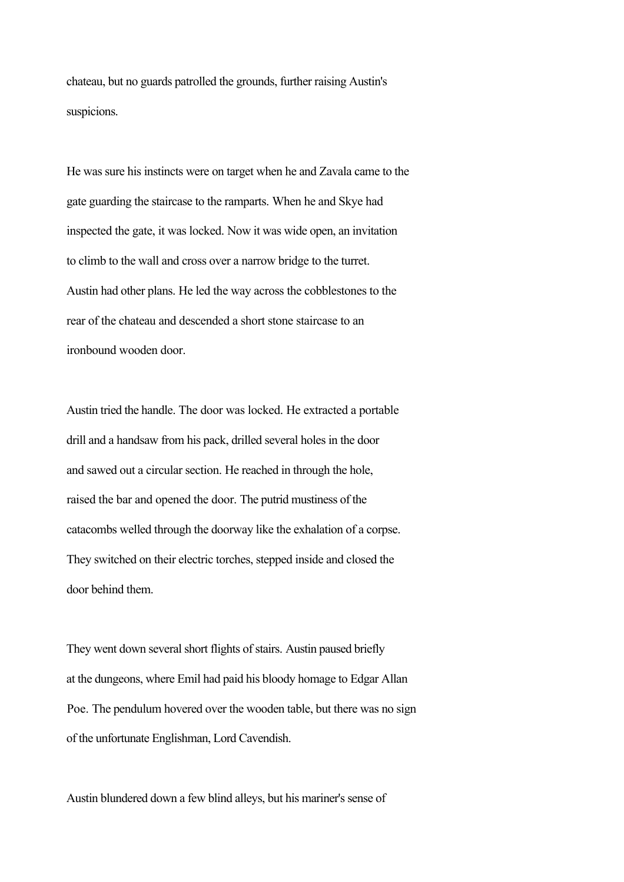chateau, but no guards patrolled the grounds, further raising Austin's suspicions.

 He was sure his instincts were on target when he and Zavala came to the gate guarding the staircase to the ramparts. When he and Skye had inspected the gate, it was locked. Now it was wide open, an invitation to climb to the wall and cross over a narrow bridge to the turret. Austin had other plans. He led the way across the cobblestones to the rear of the chateau and descended a short stone staircase to an ironbound wooden door.

 Austin tried the handle. The door was locked. He extracted a portable drill and a handsaw from his pack, drilled several holes in the door and sawed out a circular section. He reached in through the hole, raised the bar and opened the door. The putrid mustiness of the catacombs welled through the doorway like the exhalation of a corpse. They switched on their electric torches, stepped inside and closed the door behind them.

 They went down several short flights of stairs. Austin paused briefly at the dungeons, where Emil had paid his bloody homage to Edgar Allan Poe. The pendulum hovered over the wooden table, but there was no sign of the unfortunate Englishman, Lord Cavendish.

Austin blundered down a few blind alleys, but his mariner's sense of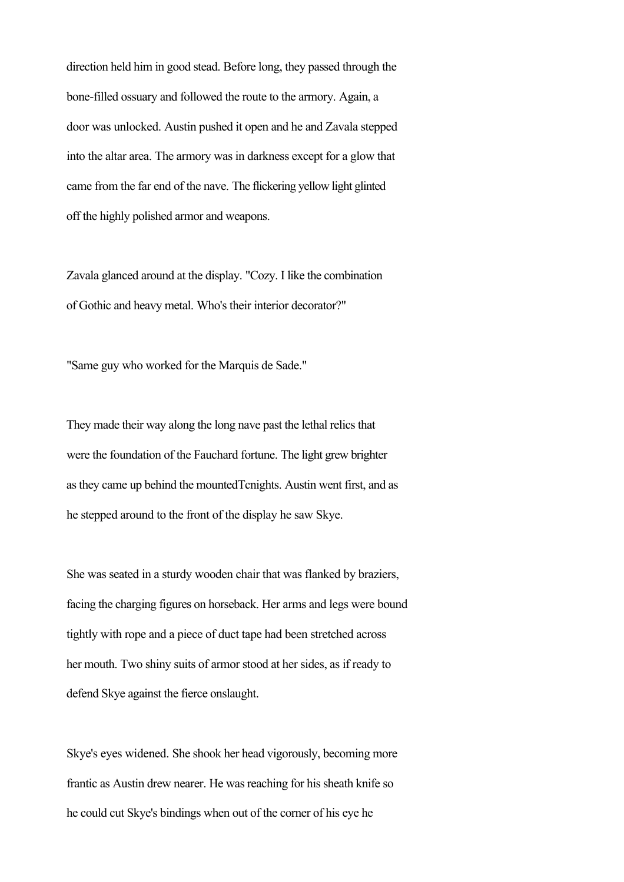direction held him in good stead. Before long, they passed through the bone-filled ossuary and followed the route to the armory. Again, a door was unlocked. Austin pushed it open and he and Zavala stepped into the altar area. The armory was in darkness except for a glow that came from the far end of the nave. The flickering yellow light glinted off the highly polished armor and weapons.

 Zavala glanced around at the display. "Cozy. I like the combination of Gothic and heavy metal. Who's their interior decorator?"

"Same guy who worked for the Marquis de Sade."

 They made their way along the long nave past the lethal relics that were the foundation of the Fauchard fortune. The light grew brighter as they came up behind the mountedTcnights. Austin went first, and as he stepped around to the front of the display he saw Skye.

 She was seated in a sturdy wooden chair that was flanked by braziers, facing the charging figures on horseback. Her arms and legs were bound tightly with rope and a piece of duct tape had been stretched across her mouth. Two shiny suits of armor stood at her sides, as if ready to defend Skye against the fierce onslaught.

 Skye's eyes widened. She shook her head vigorously, becoming more frantic as Austin drew nearer. He was reaching for his sheath knife so he could cut Skye's bindings when out of the corner of his eye he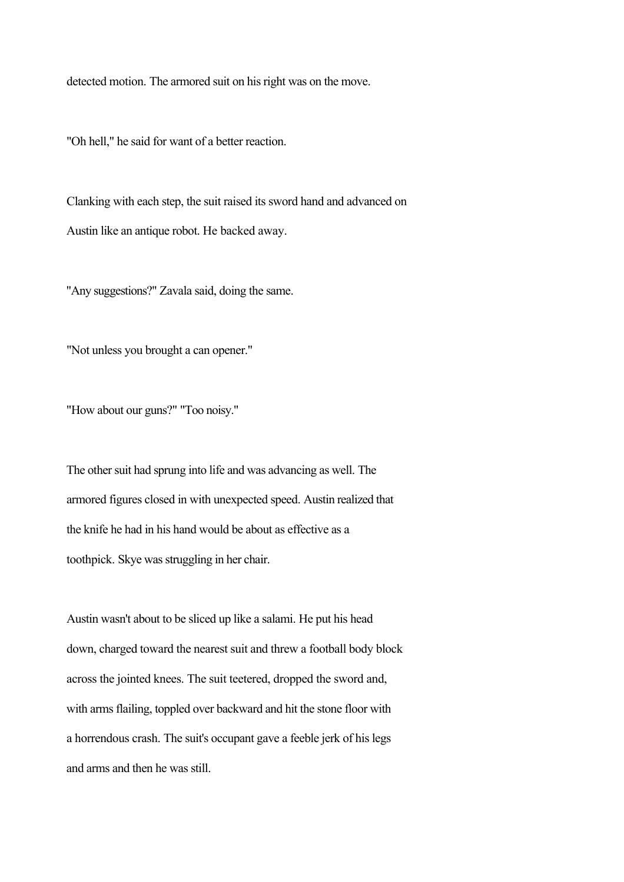detected motion. The armored suit on his right was on the move.

"Oh hell," he said for want of a better reaction.

 Clanking with each step, the suit raised its sword hand and advanced on Austin like an antique robot. He backed away.

"Any suggestions?" Zavala said, doing the same.

"Not unless you brought a can opener."

"How about our guns?" "Too noisy."

 The other suit had sprung into life and was advancing as well. The armored figures closed in with unexpected speed. Austin realized that the knife he had in his hand would be about as effective as a toothpick. Skye was struggling in her chair.

 Austin wasn't about to be sliced up like a salami. He put his head down, charged toward the nearest suit and threw a football body block across the jointed knees. The suit teetered, dropped the sword and, with arms flailing, toppled over backward and hit the stone floor with a horrendous crash. The suit's occupant gave a feeble jerk of his legs and arms and then he was still.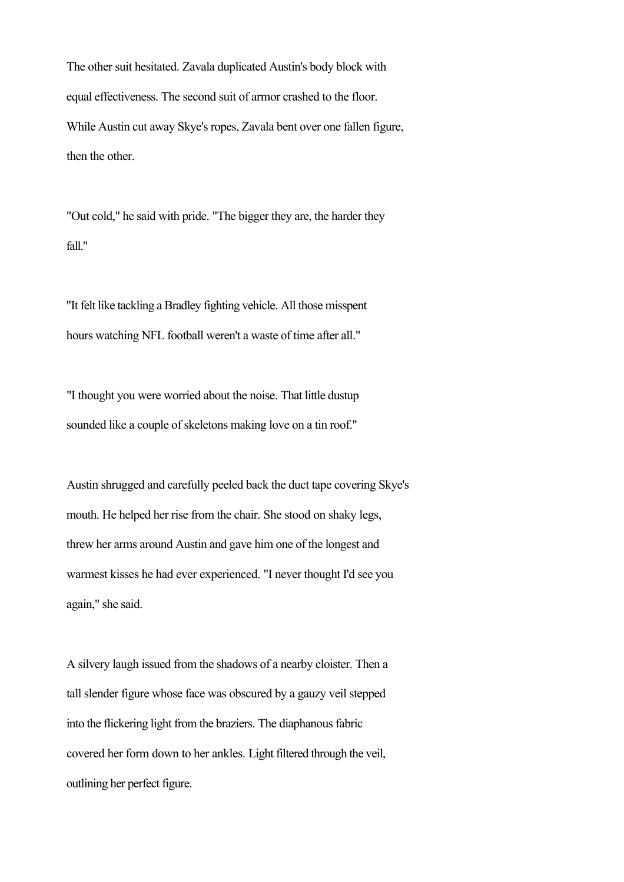The other suit hesitated. Zavala duplicated Austin's body block with equal effectiveness. The second suit of armor crashed to the floor. While Austin cut away Skye's ropes, Zavala bent over one fallen figure, then the other.

 "Out cold," he said with pride. "The bigger they are, the harder they fall."

 "It felt like tackling a Bradley fighting vehicle. All those misspent hours watching NFL football weren't a waste of time after all."

 "I thought you were worried about the noise. That little dustup sounded like a couple of skeletons making love on a tin roof."

 Austin shrugged and carefully peeled back the duct tape covering Skye's mouth. He helped her rise from the chair. She stood on shaky legs, threw her arms around Austin and gave him one of the longest and warmest kisses he had ever experienced. "I never thought I'd see you again," she said.

 A silvery laugh issued from the shadows of a nearby cloister. Then a tall slender figure whose face was obscured by a gauzy veil stepped into the flickering light from the braziers. The diaphanous fabric covered her form down to her ankles. Light filtered through the veil, outlining her perfect figure.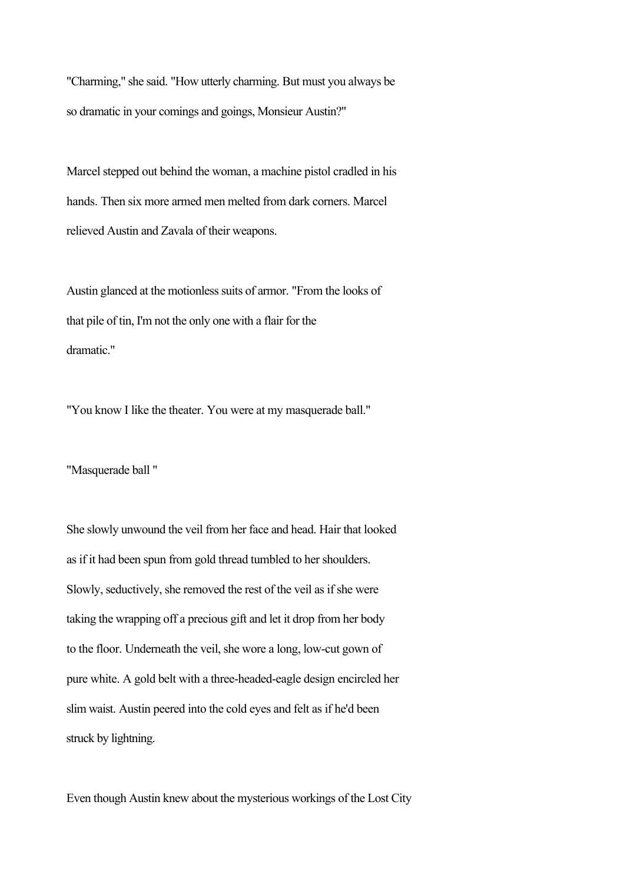"Charming," she said. "How utterly charming. But must you always be so dramatic in your comings and goings, Monsieur Austin?"

 Marcel stepped out behind the woman, a machine pistol cradled in his hands. Then six more armed men melted from dark corners. Marcel relieved Austin and Zavala of their weapons.

 Austin glanced at the motionless suits of armor. "From the looks of that pile of tin, I'm not the only one with a flair for the dramatic."

"You know I like the theater. You were at my masquerade ball."

"Masquerade ball "

 She slowly unwound the veil from her face and head. Hair that looked as if it had been spun from gold thread tumbled to her shoulders. Slowly, seductively, she removed the rest of the veil as if she were taking the wrapping off a precious gift and let it drop from her body to the floor. Underneath the veil, she wore a long, low-cut gown of pure white. A gold belt with a three-headed-eagle design encircled her slim waist. Austin peered into the cold eyes and felt as if he'd been struck by lightning.

Even though Austin knew about the mysterious workings of the Lost City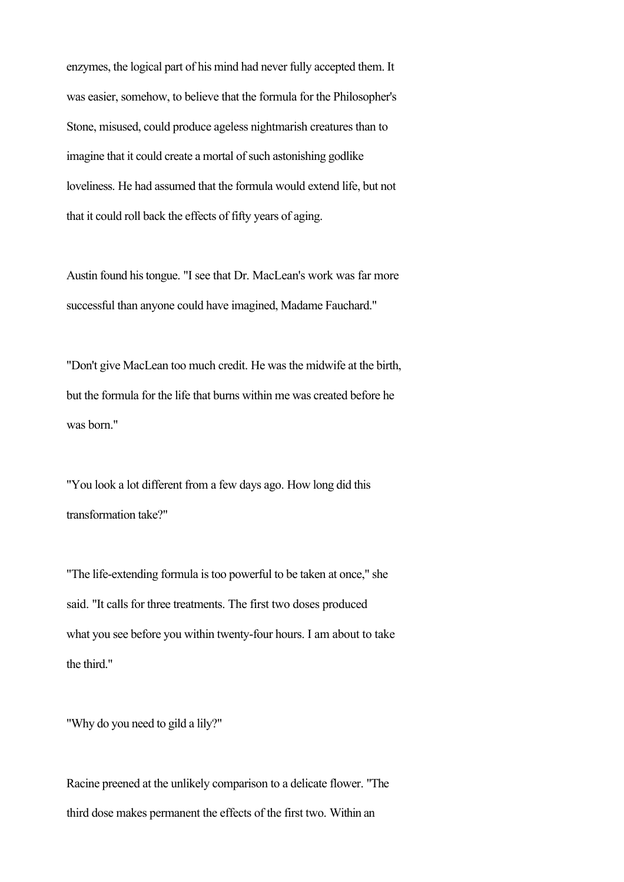enzymes, the logical part of his mind had never fully accepted them. It was easier, somehow, to believe that the formula for the Philosopher's Stone, misused, could produce ageless nightmarish creatures than to imagine that it could create a mortal of such astonishing godlike loveliness. He had assumed that the formula would extend life, but not that it could roll back the effects of fifty years of aging.

 Austin found his tongue. "I see that Dr. MacLean's work was far more successful than anyone could have imagined, Madame Fauchard."

 "Don't give MacLean too much credit. He was the midwife at the birth, but the formula for the life that burns within me was created before he was born."

 "You look a lot different from a few days ago. How long did this transformation take?"

 "The life-extending formula is too powerful to be taken at once," she said. "It calls for three treatments. The first two doses produced what you see before you within twenty-four hours. I am about to take the third."

"Why do you need to gild a lily?"

 Racine preened at the unlikely comparison to a delicate flower. "The third dose makes permanent the effects of the first two. Within an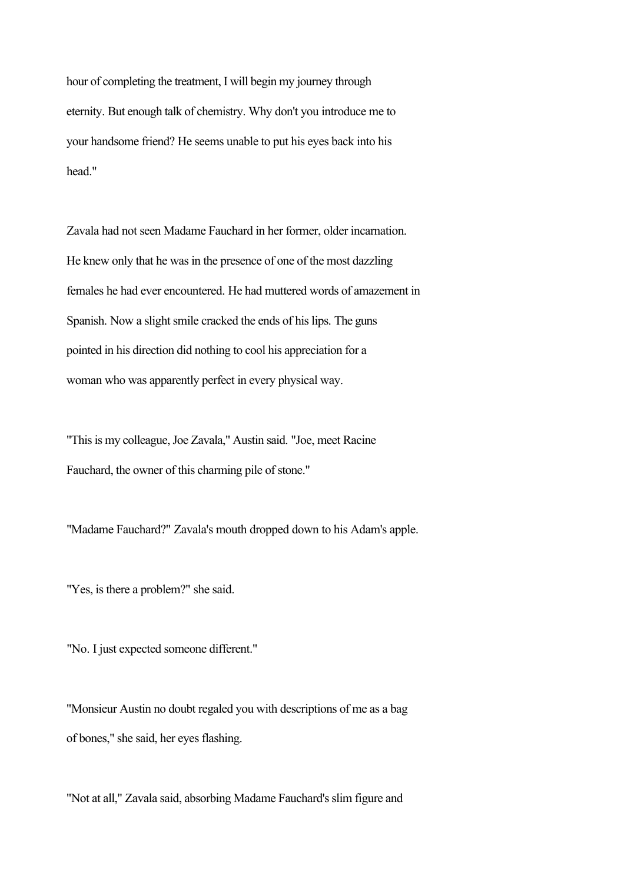hour of completing the treatment, I will begin my journey through eternity. But enough talk of chemistry. Why don't you introduce me to your handsome friend? He seems unable to put his eyes back into his head."

 Zavala had not seen Madame Fauchard in her former, older incarnation. He knew only that he was in the presence of one of the most dazzling females he had ever encountered. He had muttered words of amazement in Spanish. Now a slight smile cracked the ends of his lips. The guns pointed in his direction did nothing to cool his appreciation for a woman who was apparently perfect in every physical way.

 "This is my colleague, Joe Zavala," Austin said. "Joe, meet Racine Fauchard, the owner of this charming pile of stone."

"Madame Fauchard?" Zavala's mouth dropped down to his Adam's apple.

"Yes, is there a problem?" she said.

"No. I just expected someone different."

 "Monsieur Austin no doubt regaled you with descriptions of me as a bag of bones," she said, her eyes flashing.

"Not at all," Zavala said, absorbing Madame Fauchard's slim figure and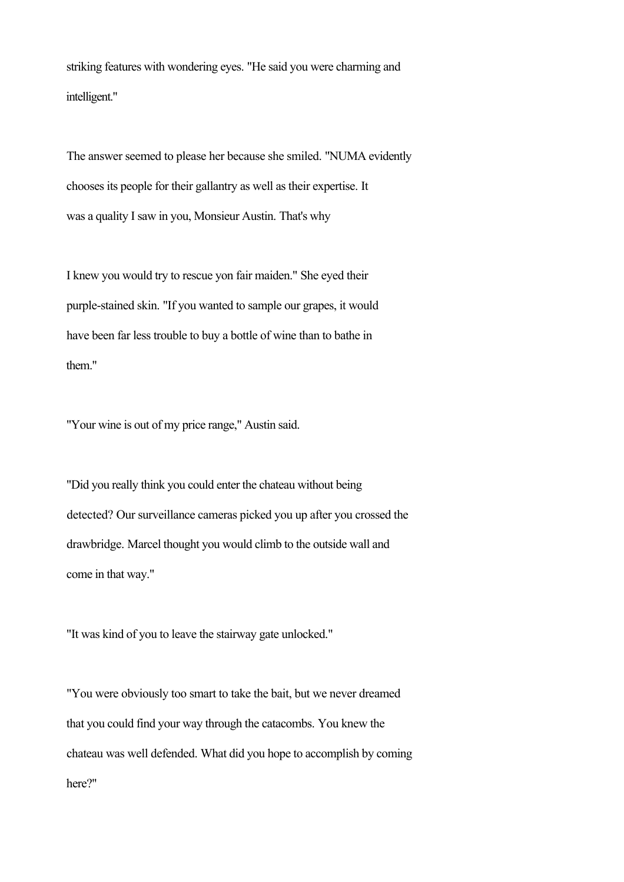striking features with wondering eyes. "He said you were charming and intelligent."

 The answer seemed to please her because she smiled. "NUMA evidently chooses its people for their gallantry as well as their expertise. It was a quality I saw in you, Monsieur Austin. That's why

 I knew you would try to rescue yon fair maiden." She eyed their purple-stained skin. "If you wanted to sample our grapes, it would have been far less trouble to buy a bottle of wine than to bathe in them"

"Your wine is out of my price range," Austin said.

 "Did you really think you could enter the chateau without being detected? Our surveillance cameras picked you up after you crossed the drawbridge. Marcel thought you would climb to the outside wall and come in that way."

"It was kind of you to leave the stairway gate unlocked."

 "You were obviously too smart to take the bait, but we never dreamed that you could find your way through the catacombs. You knew the chateau was well defended. What did you hope to accomplish by coming here?"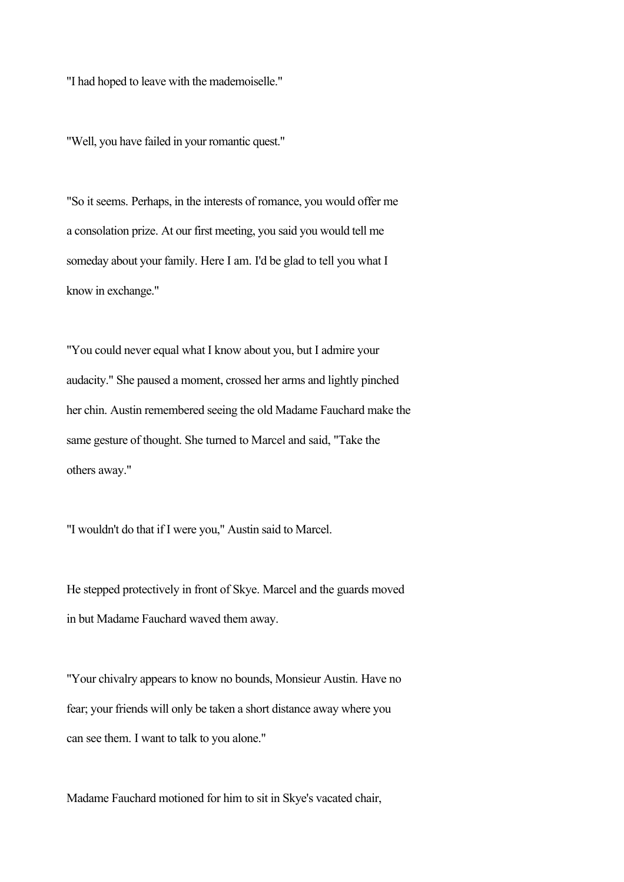"I had hoped to leave with the mademoiselle."

"Well, you have failed in your romantic quest."

 "So it seems. Perhaps, in the interests of romance, you would offer me a consolation prize. At our first meeting, you said you would tell me someday about your family. Here I am. I'd be glad to tell you what I know in exchange."

 "You could never equal what I know about you, but I admire your audacity." She paused a moment, crossed her arms and lightly pinched her chin. Austin remembered seeing the old Madame Fauchard make the same gesture of thought. She turned to Marcel and said, "Take the others away."

"I wouldn't do that if I were you," Austin said to Marcel.

 He stepped protectively in front of Skye. Marcel and the guards moved in but Madame Fauchard waved them away.

 "Your chivalry appears to know no bounds, Monsieur Austin. Have no fear; your friends will only be taken a short distance away where you can see them. I want to talk to you alone."

Madame Fauchard motioned for him to sit in Skye's vacated chair,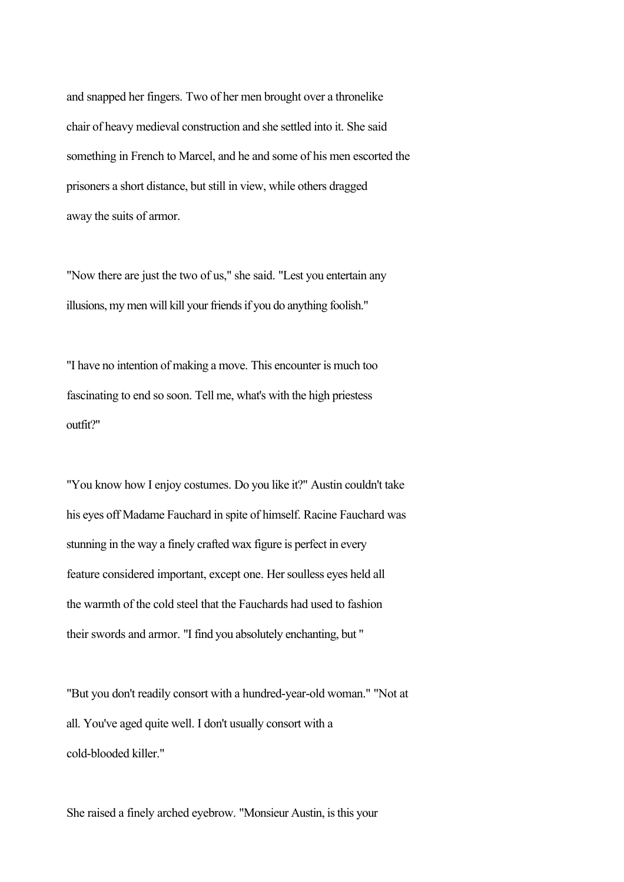and snapped her fingers. Two of her men brought over a thronelike chair of heavy medieval construction and she settled into it. She said something in French to Marcel, and he and some of his men escorted the prisoners a short distance, but still in view, while others dragged away the suits of armor.

 "Now there are just the two of us," she said. "Lest you entertain any illusions, my men will kill your friends if you do anything foolish."

 "I have no intention of making a move. This encounter is much too fascinating to end so soon. Tell me, what's with the high priestess outfit?"

 "You know how I enjoy costumes. Do you like it?" Austin couldn't take his eyes off Madame Fauchard in spite of himself. Racine Fauchard was stunning in the way a finely crafted wax figure is perfect in every feature considered important, except one. Her soulless eyes held all the warmth of the cold steel that the Fauchards had used to fashion their swords and armor. "I find you absolutely enchanting, but "

 "But you don't readily consort with a hundred-year-old woman." "Not at all. You've aged quite well. I don't usually consort with a cold-blooded killer."

She raised a finely arched eyebrow. "Monsieur Austin, is this your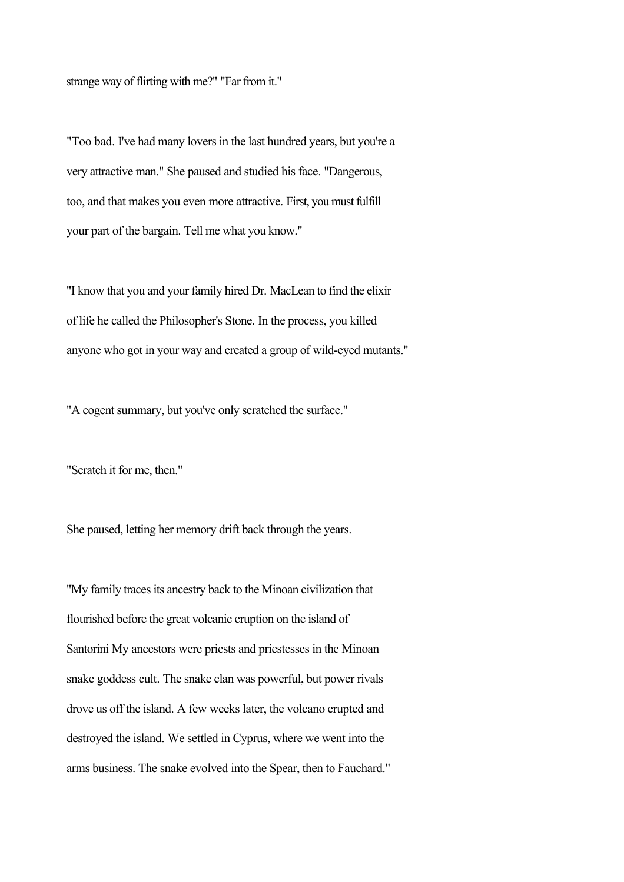strange way of flirting with me?" "Far from it."

 "Too bad. I've had many lovers in the last hundred years, but you're a very attractive man." She paused and studied his face. "Dangerous, too, and that makes you even more attractive. First, you must fulfill your part of the bargain. Tell me what you know."

 "I know that you and your family hired Dr. MacLean to find the elixir of life he called the Philosopher's Stone. In the process, you killed anyone who got in your way and created a group of wild-eyed mutants."

"A cogent summary, but you've only scratched the surface."

"Scratch it for me, then."

She paused, letting her memory drift back through the years.

 "My family traces its ancestry back to the Minoan civilization that flourished before the great volcanic eruption on the island of Santorini My ancestors were priests and priestesses in the Minoan snake goddess cult. The snake clan was powerful, but power rivals drove us off the island. A few weeks later, the volcano erupted and destroyed the island. We settled in Cyprus, where we went into the arms business. The snake evolved into the Spear, then to Fauchard."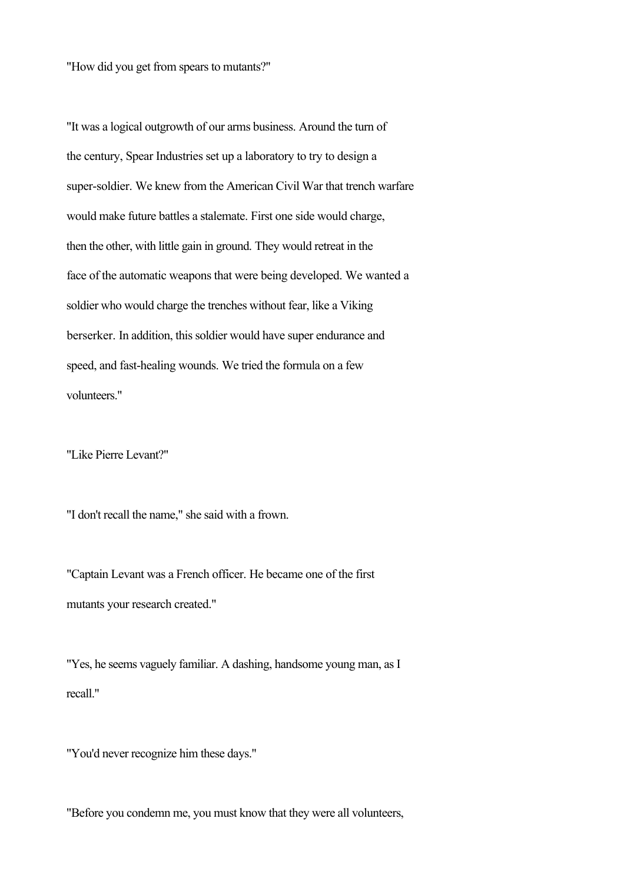"How did you get from spears to mutants?"

 "It was a logical outgrowth of our arms business. Around the turn of the century, Spear Industries set up a laboratory to try to design a super-soldier. We knew from the American Civil War that trench warfare would make future battles a stalemate. First one side would charge, then the other, with little gain in ground. They would retreat in the face of the automatic weapons that were being developed. We wanted a soldier who would charge the trenches without fear, like a Viking berserker. In addition, this soldier would have super endurance and speed, and fast-healing wounds. We tried the formula on a few volunteers."

"Like Pierre Levant?"

"I don't recall the name," she said with a frown.

 "Captain Levant was a French officer. He became one of the first mutants your research created."

 "Yes, he seems vaguely familiar. A dashing, handsome young man, as I recall."

"You'd never recognize him these days."

"Before you condemn me, you must know that they were all volunteers,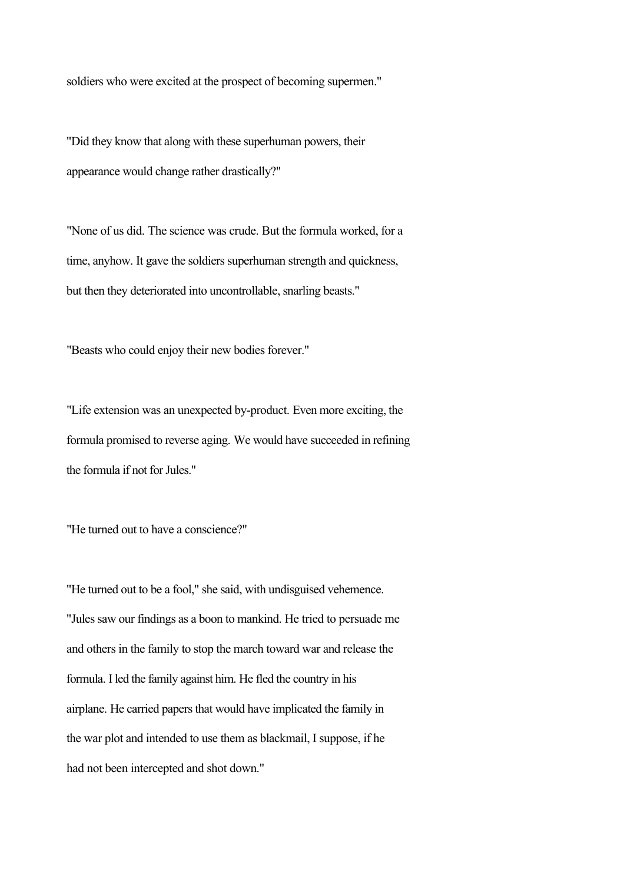soldiers who were excited at the prospect of becoming supermen."

 "Did they know that along with these superhuman powers, their appearance would change rather drastically?"

 "None of us did. The science was crude. But the formula worked, for a time, anyhow. It gave the soldiers superhuman strength and quickness, but then they deteriorated into uncontrollable, snarling beasts."

"Beasts who could enjoy their new bodies forever."

 "Life extension was an unexpected by-product. Even more exciting, the formula promised to reverse aging. We would have succeeded in refining the formula if not for Jules."

"He turned out to have a conscience?"

 "He turned out to be a fool," she said, with undisguised vehemence. "Jules saw our findings as a boon to mankind. He tried to persuade me and others in the family to stop the march toward war and release the formula. I led the family against him. He fled the country in his airplane. He carried papers that would have implicated the family in the war plot and intended to use them as blackmail, I suppose, if he had not been intercepted and shot down."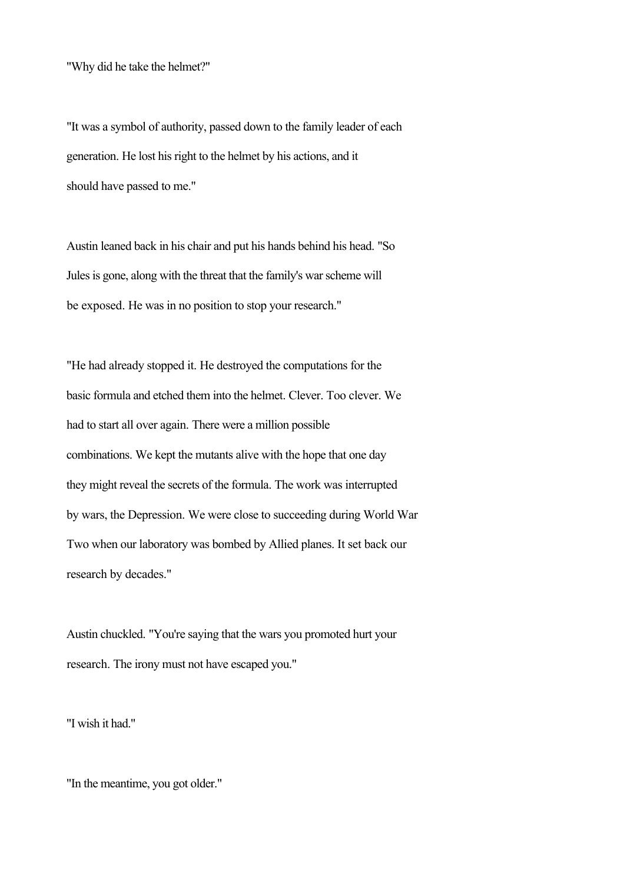"Why did he take the helmet?"

 "It was a symbol of authority, passed down to the family leader of each generation. He lost his right to the helmet by his actions, and it should have passed to me."

 Austin leaned back in his chair and put his hands behind his head. "So Jules is gone, along with the threat that the family's war scheme will be exposed. He was in no position to stop your research."

 "He had already stopped it. He destroyed the computations for the basic formula and etched them into the helmet. Clever. Too clever. We had to start all over again. There were a million possible combinations. We kept the mutants alive with the hope that one day they might reveal the secrets of the formula. The work was interrupted by wars, the Depression. We were close to succeeding during World War Two when our laboratory was bombed by Allied planes. It set back our research by decades."

 Austin chuckled. "You're saying that the wars you promoted hurt your research. The irony must not have escaped you."

"I wish it had."

"In the meantime, you got older."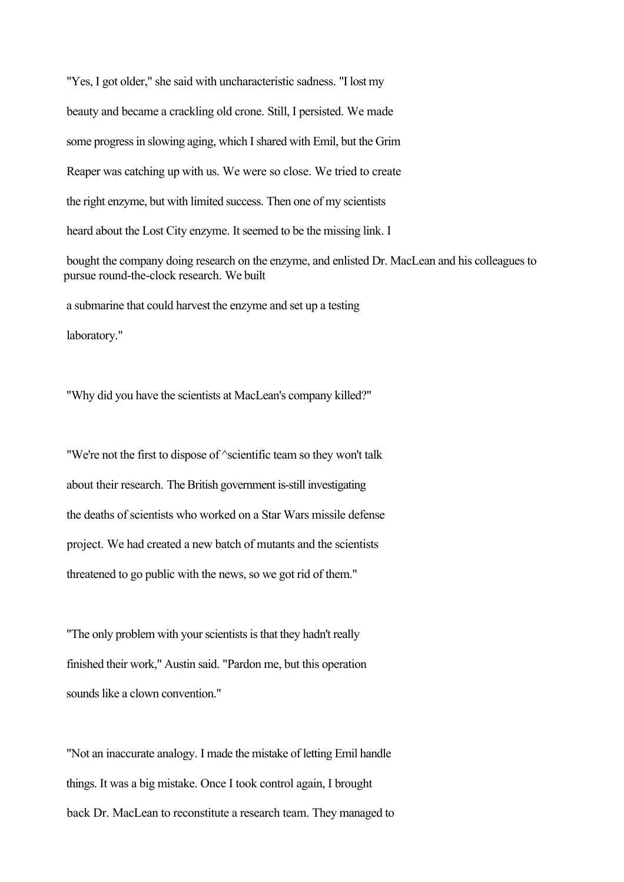"Yes, I got older," she said with uncharacteristic sadness. "I lost my beauty and became a crackling old crone. Still, I persisted. We made some progress in slowing aging, which I shared with Emil, but the Grim Reaper was catching up with us. We were so close. We tried to create the right enzyme, but with limited success. Then one of my scientists heard about the Lost City enzyme. It seemed to be the missing link. I bought the company doing research on the enzyme, and enlisted Dr. MacLean and his colleagues to pursue round-the-clock research. We built a submarine that could harvest the enzyme and set up a testing laboratory."

"Why did you have the scientists at MacLean's company killed?"

 "We're not the first to dispose of ^scientific team so they won't talk about their research. The British government is-still investigating the deaths of scientists who worked on a Star Wars missile defense project. We had created a new batch of mutants and the scientists threatened to go public with the news, so we got rid of them."

 "The only problem with your scientists is that they hadn't really finished their work," Austin said. "Pardon me, but this operation sounds like a clown convention."

 "Not an inaccurate analogy. I made the mistake of letting Emil handle things. It was a big mistake. Once I took control again, I brought back Dr. MacLean to reconstitute a research team. They managed to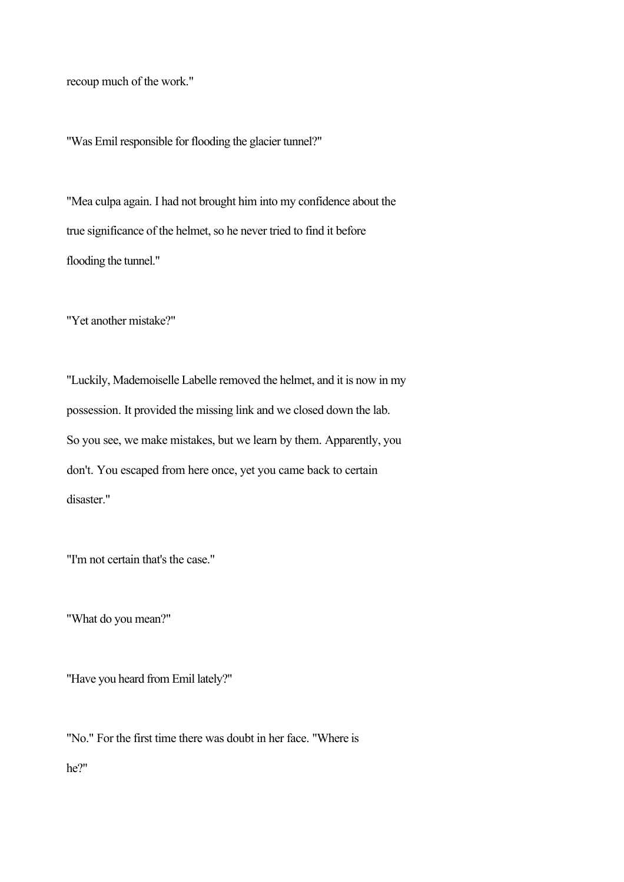recoup much of the work."

"Was Emil responsible for flooding the glacier tunnel?"

 "Mea culpa again. I had not brought him into my confidence about the true significance of the helmet, so he never tried to find it before flooding the tunnel."

"Yet another mistake?"

 "Luckily, Mademoiselle Labelle removed the helmet, and it is now in my possession. It provided the missing link and we closed down the lab. So you see, we make mistakes, but we learn by them. Apparently, you don't. You escaped from here once, yet you came back to certain disaster"

"I'm not certain that's the case."

"What do you mean?"

"Have you heard from Emil lately?"

 "No." For the first time there was doubt in her face. "Where is he?"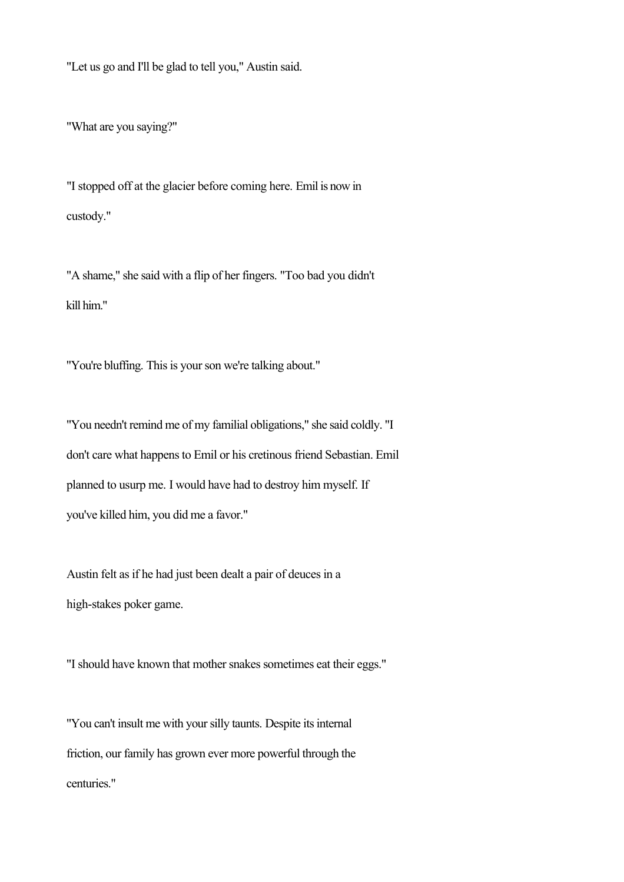"Let us go and I'll be glad to tell you," Austin said.

"What are you saying?"

 "I stopped off at the glacier before coming here. Emil is now in custody."

 "A shame," she said with a flip of her fingers. "Too bad you didn't kill him."

"You're bluffing. This is your son we're talking about."

 "You needn't remind me of my familial obligations," she said coldly. "I don't care what happens to Emil or his cretinous friend Sebastian. Emil planned to usurp me. I would have had to destroy him myself. If you've killed him, you did me a favor."

 Austin felt as if he had just been dealt a pair of deuces in a high-stakes poker game.

"I should have known that mother snakes sometimes eat their eggs."

 "You can't insult me with your silly taunts. Despite its internal friction, our family has grown ever more powerful through the centuries."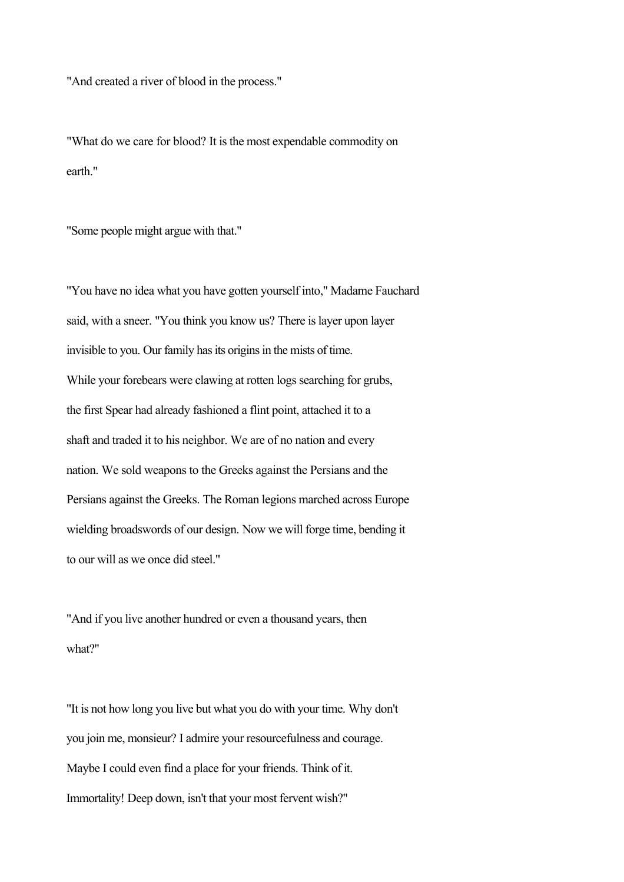"And created a river of blood in the process."

 "What do we care for blood? It is the most expendable commodity on earth."

"Some people might argue with that."

 "You have no idea what you have gotten yourself into," Madame Fauchard said, with a sneer. "You think you know us? There is layer upon layer invisible to you. Our family has its origins in the mists of time. While your forebears were clawing at rotten logs searching for grubs, the first Spear had already fashioned a flint point, attached it to a shaft and traded it to his neighbor. We are of no nation and every nation. We sold weapons to the Greeks against the Persians and the Persians against the Greeks. The Roman legions marched across Europe wielding broadswords of our design. Now we will forge time, bending it to our will as we once did steel."

 "And if you live another hundred or even a thousand years, then what?"

 "It is not how long you live but what you do with your time. Why don't you join me, monsieur? I admire your resourcefulness and courage. Maybe I could even find a place for your friends. Think of it. Immortality! Deep down, isn't that your most fervent wish?"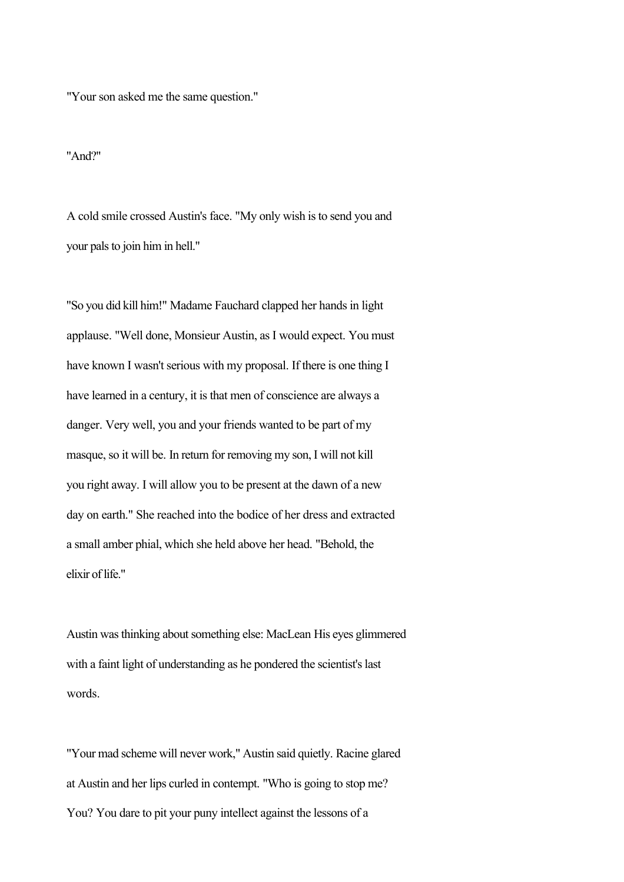"Your son asked me the same question."

"And?"

 A cold smile crossed Austin's face. "My only wish is to send you and your pals to join him in hell."

 "So you did kill him!" Madame Fauchard clapped her hands in light applause. "Well done, Monsieur Austin, as I would expect. You must have known I wasn't serious with my proposal. If there is one thing I have learned in a century, it is that men of conscience are always a danger. Very well, you and your friends wanted to be part of my masque, so it will be. In return for removing my son, I will not kill you right away. I will allow you to be present at the dawn of a new day on earth." She reached into the bodice of her dress and extracted a small amber phial, which she held above her head. "Behold, the elixir of life."

 Austin was thinking about something else: MacLean His eyes glimmered with a faint light of understanding as he pondered the scientist's last words.

 "Your mad scheme will never work," Austin said quietly. Racine glared at Austin and her lips curled in contempt. "Who is going to stop me? You? You dare to pit your puny intellect against the lessons of a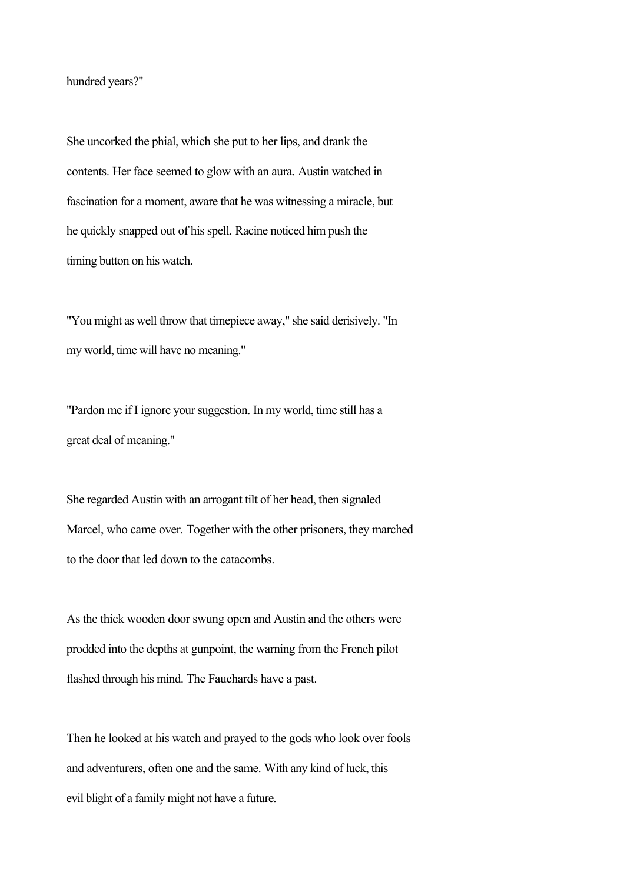hundred years?"

 She uncorked the phial, which she put to her lips, and drank the contents. Her face seemed to glow with an aura. Austin watched in fascination for a moment, aware that he was witnessing a miracle, but he quickly snapped out of his spell. Racine noticed him push the timing button on his watch.

 "You might as well throw that timepiece away," she said derisively. "In my world, time will have no meaning."

 "Pardon me if I ignore your suggestion. In my world, time still has a great deal of meaning."

 She regarded Austin with an arrogant tilt of her head, then signaled Marcel, who came over. Together with the other prisoners, they marched to the door that led down to the catacombs.

 As the thick wooden door swung open and Austin and the others were prodded into the depths at gunpoint, the warning from the French pilot flashed through his mind. The Fauchards have a past.

 Then he looked at his watch and prayed to the gods who look over fools and adventurers, often one and the same. With any kind of luck, this evil blight of a family might not have a future.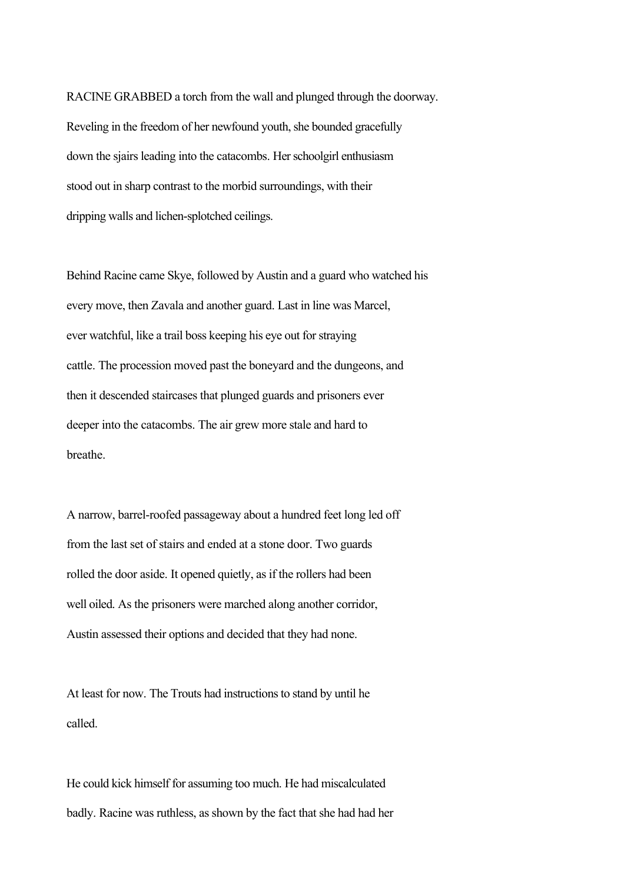RACINE GRABBED a torch from the wall and plunged through the doorway. Reveling in the freedom of her newfound youth, she bounded gracefully down the sjairs leading into the catacombs. Her schoolgirl enthusiasm stood out in sharp contrast to the morbid surroundings, with their dripping walls and lichen-splotched ceilings.

 Behind Racine came Skye, followed by Austin and a guard who watched his every move, then Zavala and another guard. Last in line was Marcel, ever watchful, like a trail boss keeping his eye out for straying cattle. The procession moved past the boneyard and the dungeons, and then it descended staircases that plunged guards and prisoners ever deeper into the catacombs. The air grew more stale and hard to breathe.

 A narrow, barrel-roofed passageway about a hundred feet long led off from the last set of stairs and ended at a stone door. Two guards rolled the door aside. It opened quietly, as if the rollers had been well oiled. As the prisoners were marched along another corridor, Austin assessed their options and decided that they had none.

 At least for now. The Trouts had instructions to stand by until he called.

 He could kick himself for assuming too much. He had miscalculated badly. Racine was ruthless, as shown by the fact that she had had her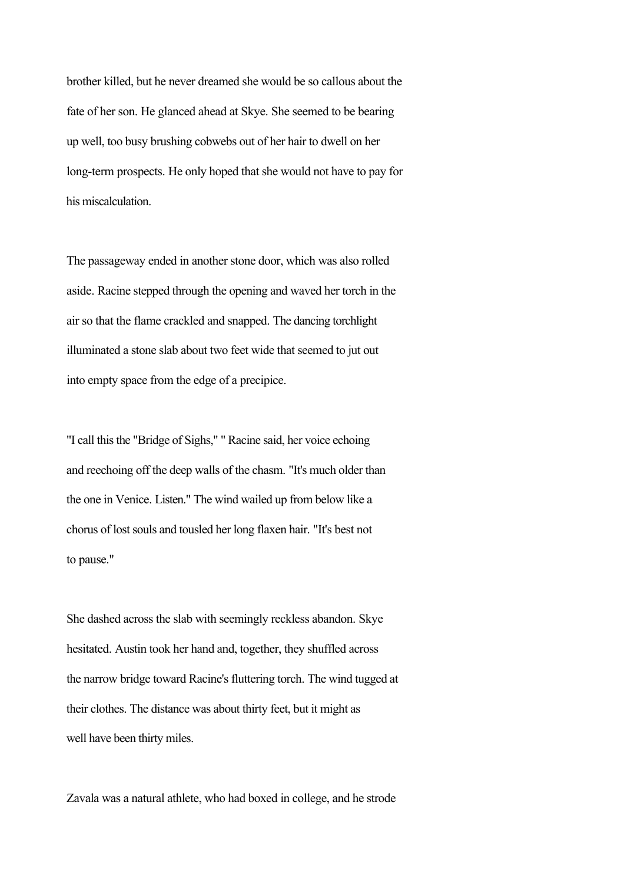brother killed, but he never dreamed she would be so callous about the fate of her son. He glanced ahead at Skye. She seemed to be bearing up well, too busy brushing cobwebs out of her hair to dwell on her long-term prospects. He only hoped that she would not have to pay for his miscalculation.

 The passageway ended in another stone door, which was also rolled aside. Racine stepped through the opening and waved her torch in the air so that the flame crackled and snapped. The dancing torchlight illuminated a stone slab about two feet wide that seemed to jut out into empty space from the edge of a precipice.

 "I call this the "Bridge of Sighs," " Racine said, her voice echoing and reechoing off the deep walls of the chasm. "It's much older than the one in Venice. Listen." The wind wailed up from below like a chorus of lost souls and tousled her long flaxen hair. "It's best not to pause."

 She dashed across the slab with seemingly reckless abandon. Skye hesitated. Austin took her hand and, together, they shuffled across the narrow bridge toward Racine's fluttering torch. The wind tugged at their clothes. The distance was about thirty feet, but it might as well have been thirty miles.

Zavala was a natural athlete, who had boxed in college, and he strode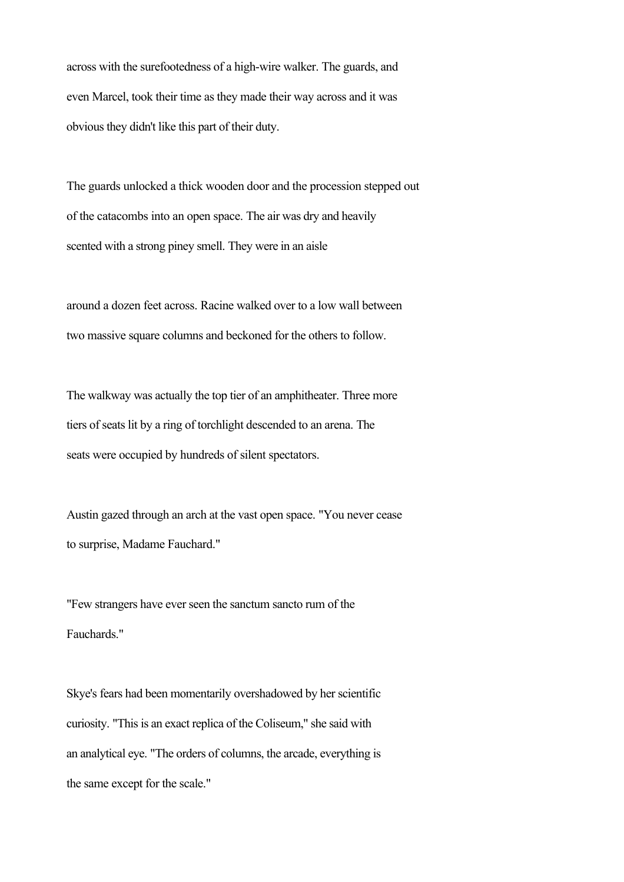across with the surefootedness of a high-wire walker. The guards, and even Marcel, took their time as they made their way across and it was obvious they didn't like this part of their duty.

 The guards unlocked a thick wooden door and the procession stepped out of the catacombs into an open space. The air was dry and heavily scented with a strong piney smell. They were in an aisle

 around a dozen feet across. Racine walked over to a low wall between two massive square columns and beckoned for the others to follow.

 The walkway was actually the top tier of an amphitheater. Three more tiers of seats lit by a ring of torchlight descended to an arena. The seats were occupied by hundreds of silent spectators.

 Austin gazed through an arch at the vast open space. "You never cease to surprise, Madame Fauchard."

 "Few strangers have ever seen the sanctum sancto rum of the Fauchards."

 Skye's fears had been momentarily overshadowed by her scientific curiosity. "This is an exact replica of the Coliseum," she said with an analytical eye. "The orders of columns, the arcade, everything is the same except for the scale."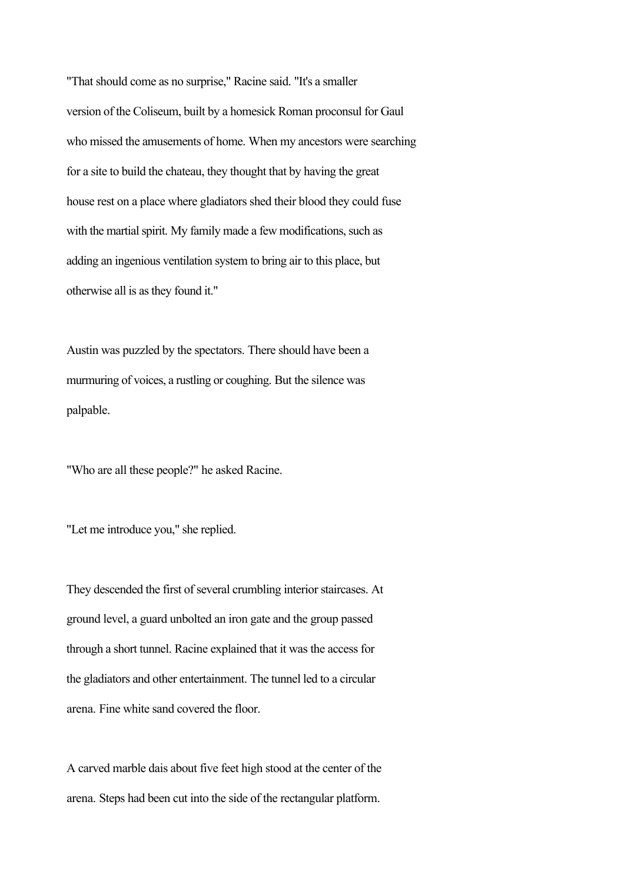"That should come as no surprise," Racine said. "It's a smaller version of the Coliseum, built by a homesick Roman proconsul for Gaul who missed the amusements of home. When my ancestors were searching for a site to build the chateau, they thought that by having the great house rest on a place where gladiators shed their blood they could fuse with the martial spirit. My family made a few modifications, such as adding an ingenious ventilation system to bring air to this place, but otherwise all is as they found it."

 Austin was puzzled by the spectators. There should have been a murmuring of voices, a rustling or coughing. But the silence was palpable.

"Who are all these people?" he asked Racine.

"Let me introduce you," she replied.

 They descended the first of several crumbling interior staircases. At ground level, a guard unbolted an iron gate and the group passed through a short tunnel. Racine explained that it was the access for the gladiators and other entertainment. The tunnel led to a circular arena. Fine white sand covered the floor.

 A carved marble dais about five feet high stood at the center of the arena. Steps had been cut into the side of the rectangular platform.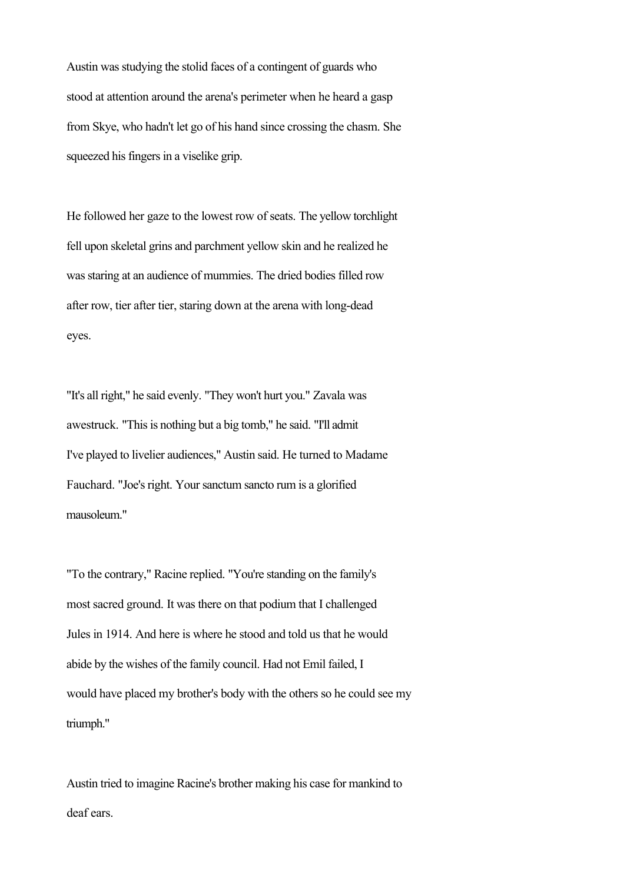Austin was studying the stolid faces of a contingent of guards who stood at attention around the arena's perimeter when he heard a gasp from Skye, who hadn't let go of his hand since crossing the chasm. She squeezed his fingers in a viselike grip.

 He followed her gaze to the lowest row of seats. The yellow torchlight fell upon skeletal grins and parchment yellow skin and he realized he was staring at an audience of mummies. The dried bodies filled row after row, tier after tier, staring down at the arena with long-dead eyes.

 "It's all right," he said evenly. "They won't hurt you." Zavala was awestruck. "This is nothing but a big tomb," he said. "I'll admit I've played to livelier audiences," Austin said. He turned to Madame Fauchard. "Joe's right. Your sanctum sancto rum is a glorified mausoleum."

 "To the contrary," Racine replied. "You're standing on the family's most sacred ground. It was there on that podium that I challenged Jules in 1914. And here is where he stood and told us that he would abide by the wishes of the family council. Had not Emil failed, I would have placed my brother's body with the others so he could see my triumph."

 Austin tried to imagine Racine's brother making his case for mankind to deaf ears.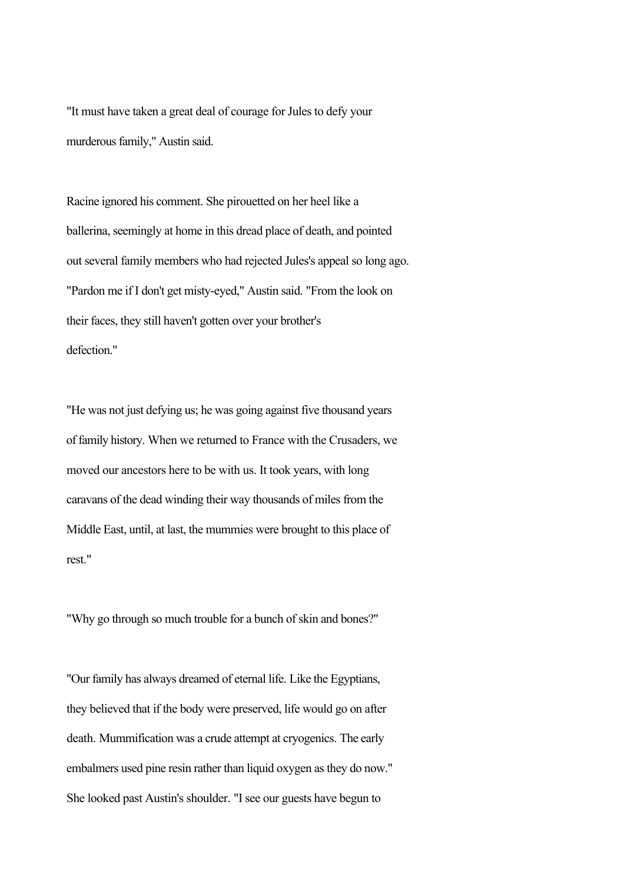"It must have taken a great deal of courage for Jules to defy your murderous family," Austin said.

 Racine ignored his comment. She pirouetted on her heel like a ballerina, seemingly at home in this dread place of death, and pointed out several family members who had rejected Jules's appeal so long ago. "Pardon me if I don't get misty-eyed," Austin said. "From the look on their faces, they still haven't gotten over your brother's defection"

 "He was not just defying us; he was going against five thousand years of family history. When we returned to France with the Crusaders, we moved our ancestors here to be with us. It took years, with long caravans of the dead winding their way thousands of miles from the Middle East, until, at last, the mummies were brought to this place of rest."

"Why go through so much trouble for a bunch of skin and bones?"

 "Our family has always dreamed of eternal life. Like the Egyptians, they believed that if the body were preserved, life would go on after death. Mummification was a crude attempt at cryogenics. The early embalmers used pine resin rather than liquid oxygen as they do now." She looked past Austin's shoulder. "I see our guests have begun to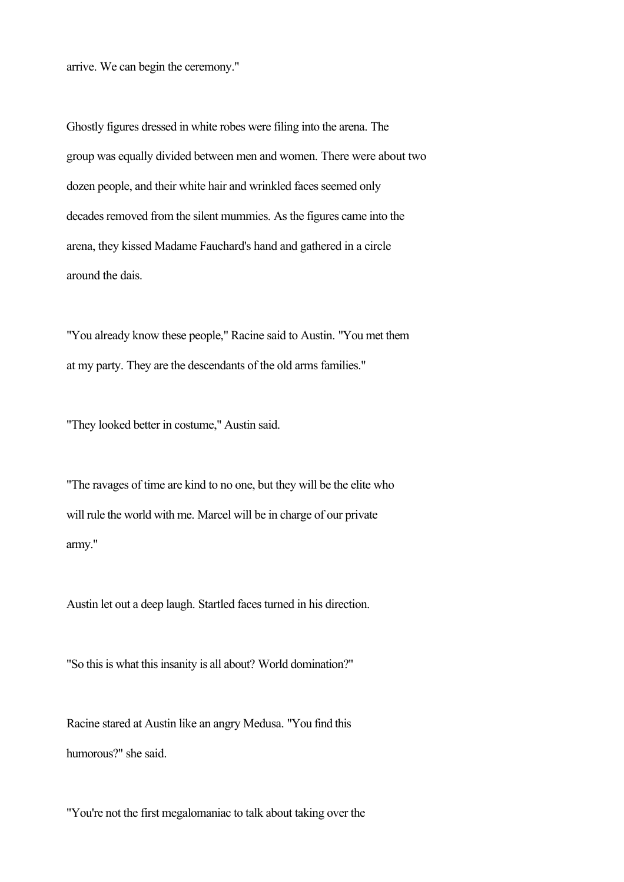arrive. We can begin the ceremony."

 Ghostly figures dressed in white robes were filing into the arena. The group was equally divided between men and women. There were about two dozen people, and their white hair and wrinkled faces seemed only decades removed from the silent mummies. As the figures came into the arena, they kissed Madame Fauchard's hand and gathered in a circle around the dais.

 "You already know these people," Racine said to Austin. "You met them at my party. They are the descendants of the old arms families."

"They looked better in costume," Austin said.

 "The ravages of time are kind to no one, but they will be the elite who will rule the world with me. Marcel will be in charge of our private army."

Austin let out a deep laugh. Startled faces turned in his direction.

"So this is what this insanity is all about? World domination?"

 Racine stared at Austin like an angry Medusa. "You find this humorous?" she said.

"You're not the first megalomaniac to talk about taking over the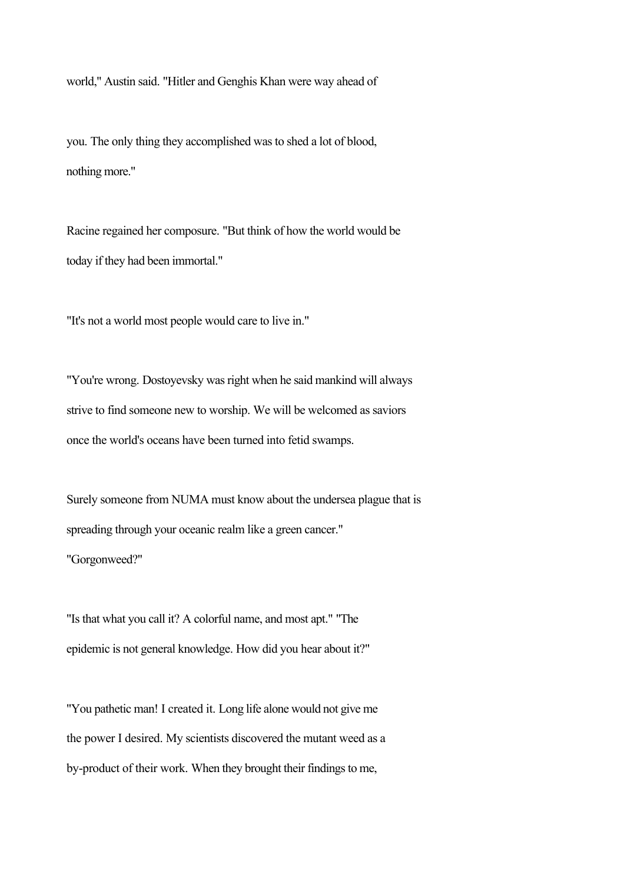world," Austin said. "Hitler and Genghis Khan were way ahead of

 you. The only thing they accomplished was to shed a lot of blood, nothing more."

 Racine regained her composure. "But think of how the world would be today if they had been immortal."

"It's not a world most people would care to live in."

 "You're wrong. Dostoyevsky was right when he said mankind will always strive to find someone new to worship. We will be welcomed as saviors once the world's oceans have been turned into fetid swamps.

 Surely someone from NUMA must know about the undersea plague that is spreading through your oceanic realm like a green cancer." "Gorgonweed?"

 "Is that what you call it? A colorful name, and most apt." "The epidemic is not general knowledge. How did you hear about it?"

 "You pathetic man! I created it. Long life alone would not give me the power I desired. My scientists discovered the mutant weed as a by-product of their work. When they brought their findings to me,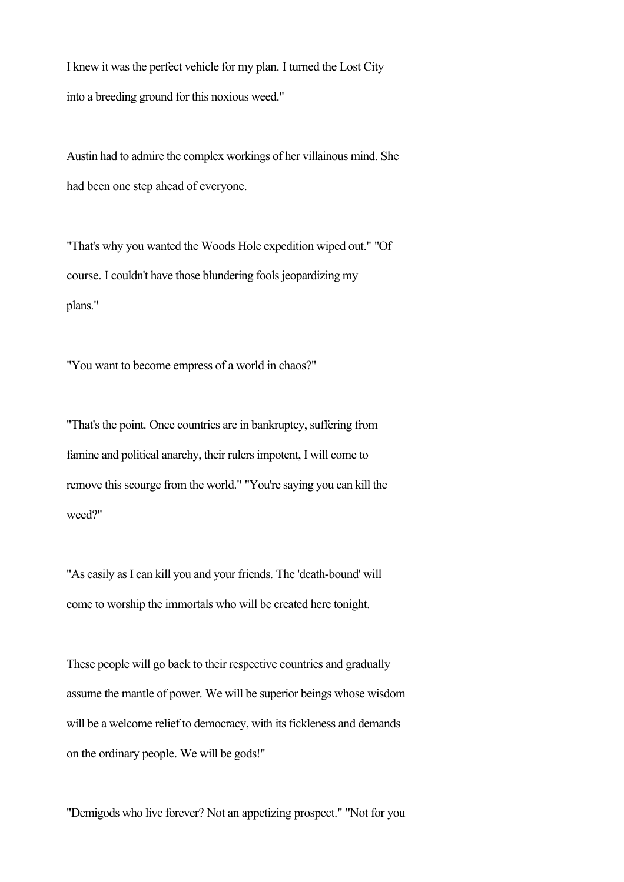I knew it was the perfect vehicle for my plan. I turned the Lost City into a breeding ground for this noxious weed."

 Austin had to admire the complex workings of her villainous mind. She had been one step ahead of everyone.

 "That's why you wanted the Woods Hole expedition wiped out." "Of course. I couldn't have those blundering fools jeopardizing my plans."

"You want to become empress of a world in chaos?"

 "That's the point. Once countries are in bankruptcy, suffering from famine and political anarchy, their rulers impotent, I will come to remove this scourge from the world." "You're saying you can kill the weed?"

 "As easily as I can kill you and your friends. The 'death-bound' will come to worship the immortals who will be created here tonight.

 These people will go back to their respective countries and gradually assume the mantle of power. We will be superior beings whose wisdom will be a welcome relief to democracy, with its fickleness and demands on the ordinary people. We will be gods!"

"Demigods who live forever? Not an appetizing prospect." "Not for you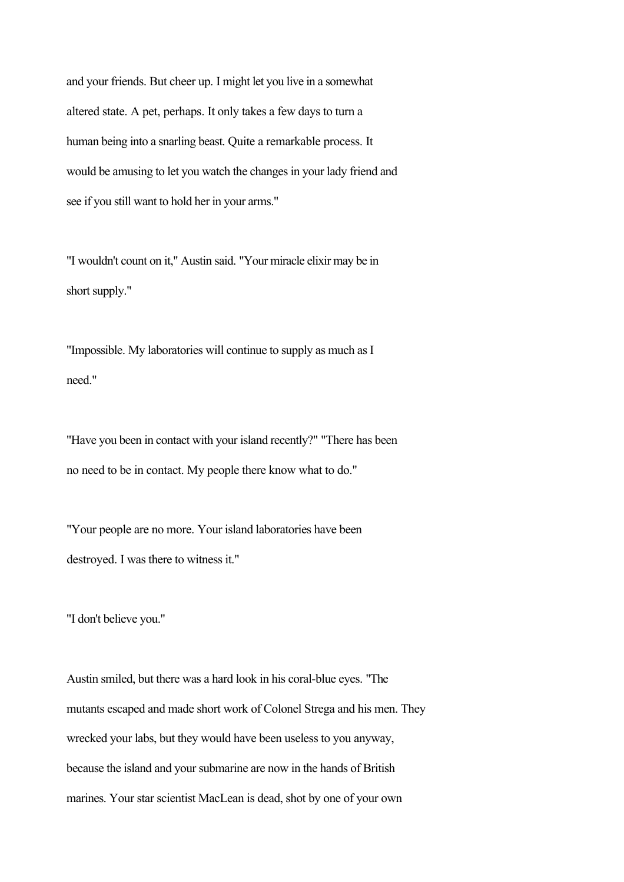and your friends. But cheer up. I might let you live in a somewhat altered state. A pet, perhaps. It only takes a few days to turn a human being into a snarling beast. Quite a remarkable process. It would be amusing to let you watch the changes in your lady friend and see if you still want to hold her in your arms."

 "I wouldn't count on it," Austin said. "Your miracle elixir may be in short supply."

 "Impossible. My laboratories will continue to supply as much as I need."

 "Have you been in contact with your island recently?" "There has been no need to be in contact. My people there know what to do."

 "Your people are no more. Your island laboratories have been destroyed. I was there to witness it."

"I don't believe you."

 Austin smiled, but there was a hard look in his coral-blue eyes. "The mutants escaped and made short work of Colonel Strega and his men. They wrecked your labs, but they would have been useless to you anyway, because the island and your submarine are now in the hands of British marines. Your star scientist MacLean is dead, shot by one of your own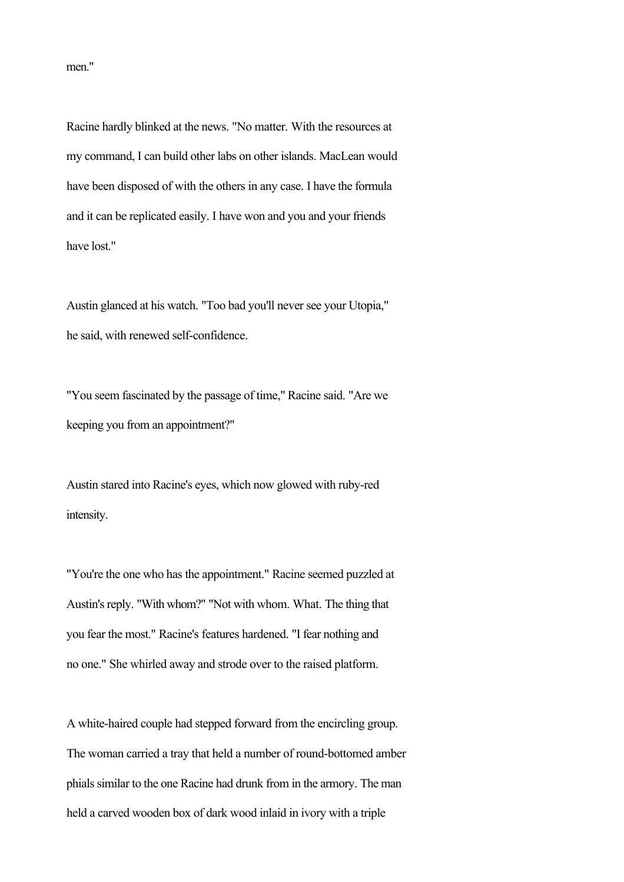men"

 Racine hardly blinked at the news. "No matter. With the resources at my command, I can build other labs on other islands. MacLean would have been disposed of with the others in any case. I have the formula and it can be replicated easily. I have won and you and your friends have lost."

 Austin glanced at his watch. "Too bad you'll never see your Utopia," he said, with renewed self-confidence.

 "You seem fascinated by the passage of time," Racine said. "Are we keeping you from an appointment?"

 Austin stared into Racine's eyes, which now glowed with ruby-red intensity.

 "You're the one who has the appointment." Racine seemed puzzled at Austin's reply. "With whom?" "Not with whom. What. The thing that you fear the most." Racine's features hardened. "I fear nothing and no one." She whirled away and strode over to the raised platform.

 A white-haired couple had stepped forward from the encircling group. The woman carried a tray that held a number of round-bottomed amber phials similar to the one Racine had drunk from in the armory. The man held a carved wooden box of dark wood inlaid in ivory with a triple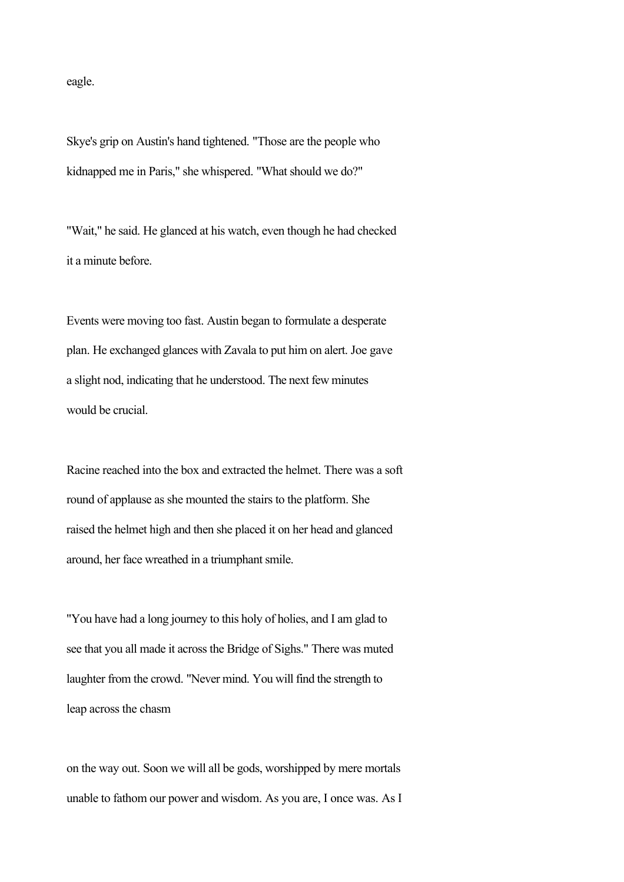eagle.

 Skye's grip on Austin's hand tightened. "Those are the people who kidnapped me in Paris," she whispered. "What should we do?"

 "Wait," he said. He glanced at his watch, even though he had checked it a minute before.

 Events were moving too fast. Austin began to formulate a desperate plan. He exchanged glances with Zavala to put him on alert. Joe gave a slight nod, indicating that he understood. The next few minutes would be crucial.

 Racine reached into the box and extracted the helmet. There was a soft round of applause as she mounted the stairs to the platform. She raised the helmet high and then she placed it on her head and glanced around, her face wreathed in a triumphant smile.

 "You have had a long journey to this holy of holies, and I am glad to see that you all made it across the Bridge of Sighs." There was muted laughter from the crowd. "Never mind. You will find the strength to leap across the chasm

 on the way out. Soon we will all be gods, worshipped by mere mortals unable to fathom our power and wisdom. As you are, I once was. As I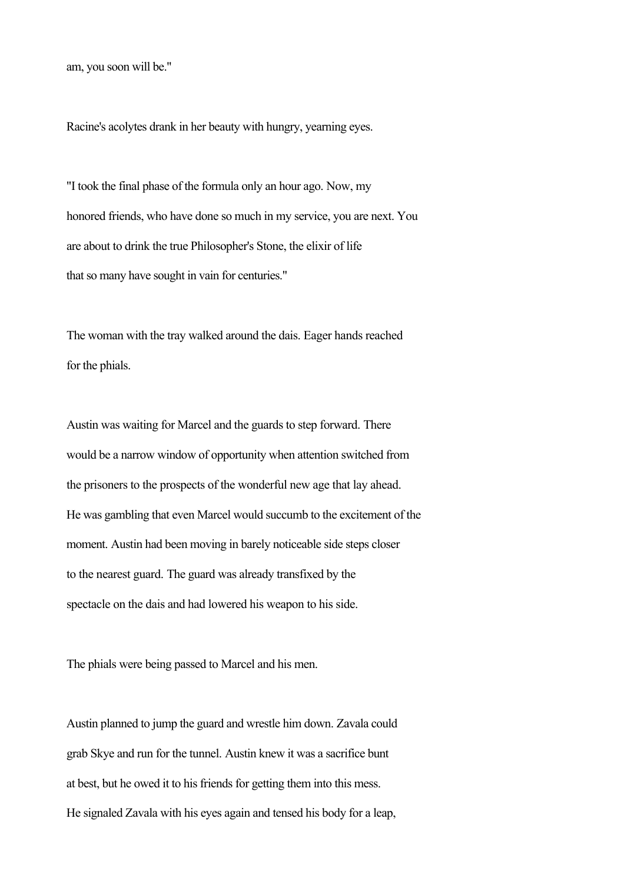am, you soon will be."

Racine's acolytes drank in her beauty with hungry, yearning eyes.

 "I took the final phase of the formula only an hour ago. Now, my honored friends, who have done so much in my service, you are next. You are about to drink the true Philosopher's Stone, the elixir of life that so many have sought in vain for centuries."

 The woman with the tray walked around the dais. Eager hands reached for the phials.

 Austin was waiting for Marcel and the guards to step forward. There would be a narrow window of opportunity when attention switched from the prisoners to the prospects of the wonderful new age that lay ahead. He was gambling that even Marcel would succumb to the excitement of the moment. Austin had been moving in barely noticeable side steps closer to the nearest guard. The guard was already transfixed by the spectacle on the dais and had lowered his weapon to his side.

The phials were being passed to Marcel and his men.

 Austin planned to jump the guard and wrestle him down. Zavala could grab Skye and run for the tunnel. Austin knew it was a sacrifice bunt at best, but he owed it to his friends for getting them into this mess. He signaled Zavala with his eyes again and tensed his body for a leap,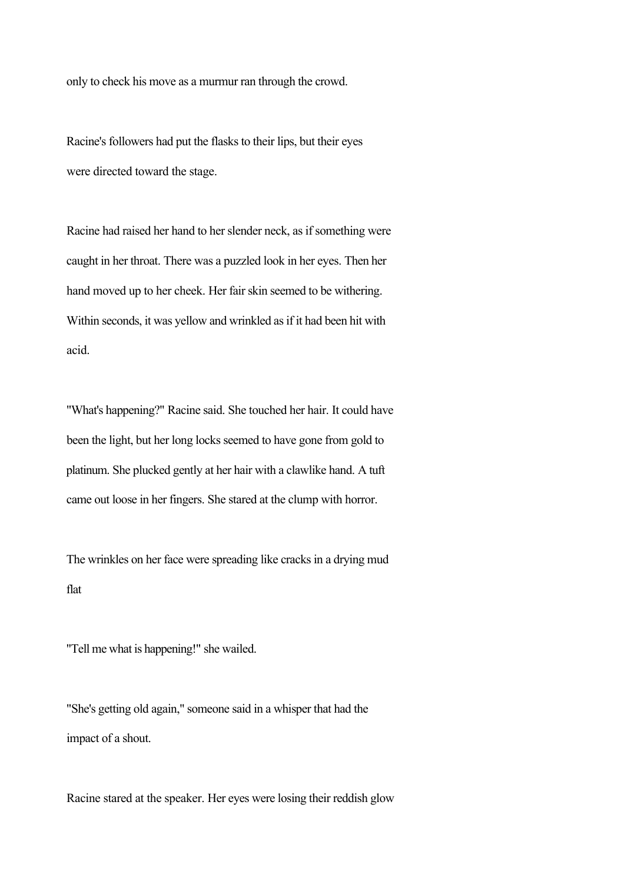only to check his move as a murmur ran through the crowd.

 Racine's followers had put the flasks to their lips, but their eyes were directed toward the stage.

 Racine had raised her hand to her slender neck, as if something were caught in her throat. There was a puzzled look in her eyes. Then her hand moved up to her cheek. Her fair skin seemed to be withering. Within seconds, it was yellow and wrinkled as if it had been hit with acid.

 "What's happening?" Racine said. She touched her hair. It could have been the light, but her long locks seemed to have gone from gold to platinum. She plucked gently at her hair with a clawlike hand. A tuft came out loose in her fingers. She stared at the clump with horror.

 The wrinkles on her face were spreading like cracks in a drying mud flat

"Tell me what is happening!" she wailed.

 "She's getting old again," someone said in a whisper that had the impact of a shout.

Racine stared at the speaker. Her eyes were losing their reddish glow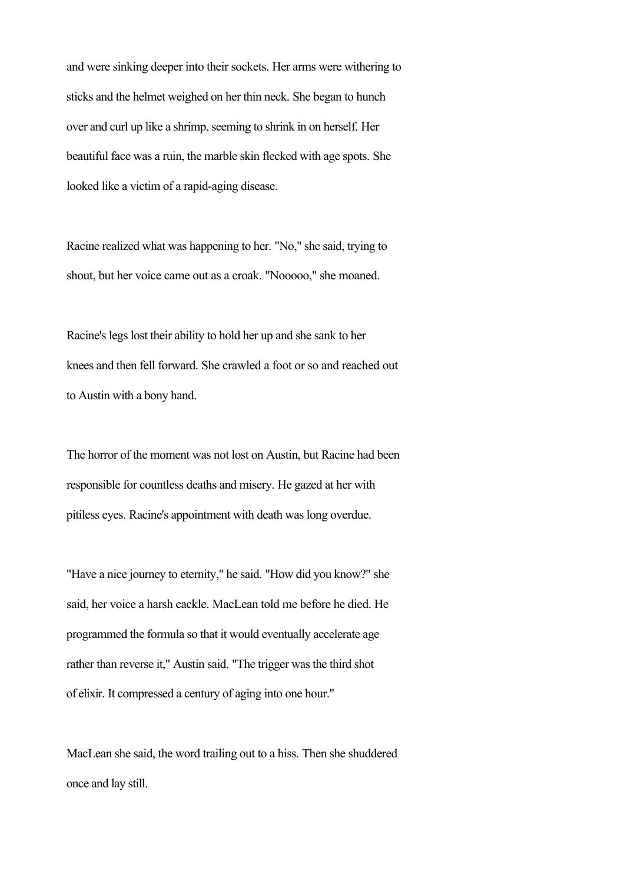and were sinking deeper into their sockets. Her arms were withering to sticks and the helmet weighed on her thin neck. She began to hunch over and curl up like a shrimp, seeming to shrink in on herself. Her beautiful face was a ruin, the marble skin flecked with age spots. She looked like a victim of a rapid-aging disease.

 Racine realized what was happening to her. "No," she said, trying to shout, but her voice came out as a croak. "Nooooo," she moaned.

 Racine's legs lost their ability to hold her up and she sank to her knees and then fell forward. She crawled a foot or so and reached out to Austin with a bony hand.

 The horror of the moment was not lost on Austin, but Racine had been responsible for countless deaths and misery. He gazed at her with pitiless eyes. Racine's appointment with death was long overdue.

 "Have a nice journey to eternity," he said. "How did you know?" she said, her voice a harsh cackle. MacLean told me before he died. He programmed the formula so that it would eventually accelerate age rather than reverse it," Austin said. "The trigger was the third shot of elixir. It compressed a century of aging into one hour."

 MacLean she said, the word trailing out to a hiss. Then she shuddered once and lay still.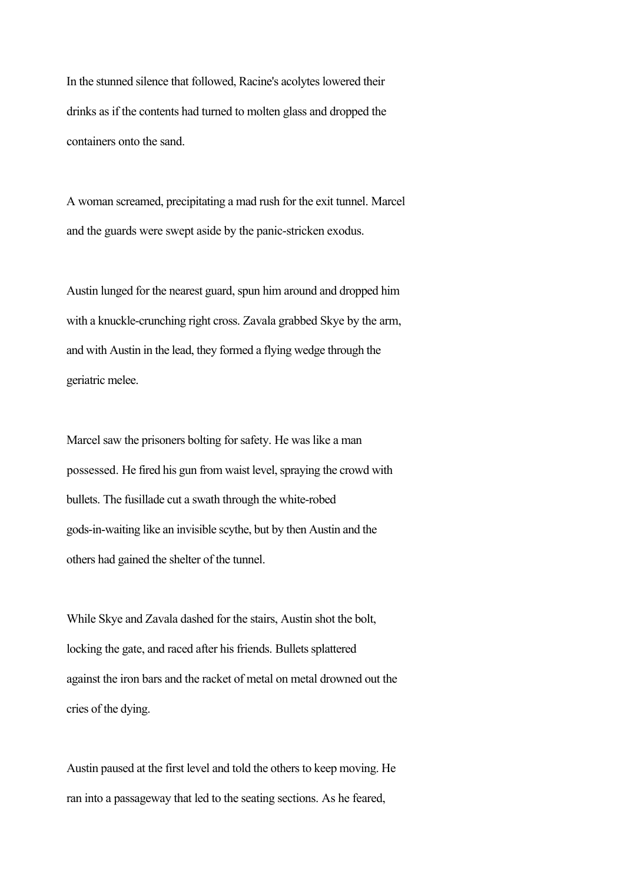In the stunned silence that followed, Racine's acolytes lowered their drinks as if the contents had turned to molten glass and dropped the containers onto the sand.

 A woman screamed, precipitating a mad rush for the exit tunnel. Marcel and the guards were swept aside by the panic-stricken exodus.

 Austin lunged for the nearest guard, spun him around and dropped him with a knuckle-crunching right cross. Zavala grabbed Skye by the arm, and with Austin in the lead, they formed a flying wedge through the geriatric melee.

 Marcel saw the prisoners bolting for safety. He was like a man possessed. He fired his gun from waist level, spraying the crowd with bullets. The fusillade cut a swath through the white-robed gods-in-waiting like an invisible scythe, but by then Austin and the others had gained the shelter of the tunnel.

 While Skye and Zavala dashed for the stairs, Austin shot the bolt, locking the gate, and raced after his friends. Bullets splattered against the iron bars and the racket of metal on metal drowned out the cries of the dying.

 Austin paused at the first level and told the others to keep moving. He ran into a passageway that led to the seating sections. As he feared,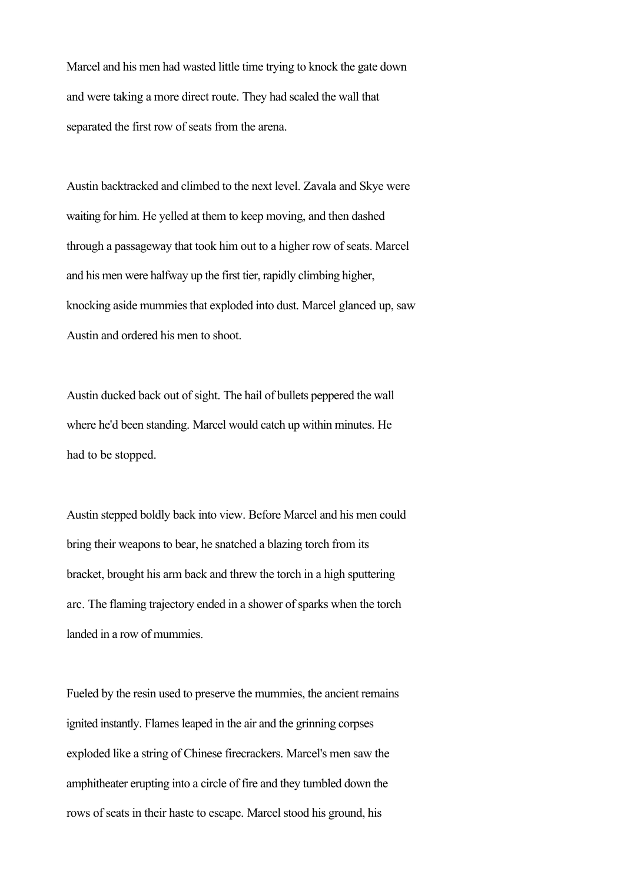Marcel and his men had wasted little time trying to knock the gate down and were taking a more direct route. They had scaled the wall that separated the first row of seats from the arena.

 Austin backtracked and climbed to the next level. Zavala and Skye were waiting for him. He yelled at them to keep moving, and then dashed through a passageway that took him out to a higher row of seats. Marcel and his men were halfway up the first tier, rapidly climbing higher, knocking aside mummies that exploded into dust. Marcel glanced up, saw Austin and ordered his men to shoot.

 Austin ducked back out of sight. The hail of bullets peppered the wall where he'd been standing. Marcel would catch up within minutes. He had to be stopped.

 Austin stepped boldly back into view. Before Marcel and his men could bring their weapons to bear, he snatched a blazing torch from its bracket, brought his arm back and threw the torch in a high sputtering arc. The flaming trajectory ended in a shower of sparks when the torch landed in a row of mummies.

 Fueled by the resin used to preserve the mummies, the ancient remains ignited instantly. Flames leaped in the air and the grinning corpses exploded like a string of Chinese firecrackers. Marcel's men saw the amphitheater erupting into a circle of fire and they tumbled down the rows of seats in their haste to escape. Marcel stood his ground, his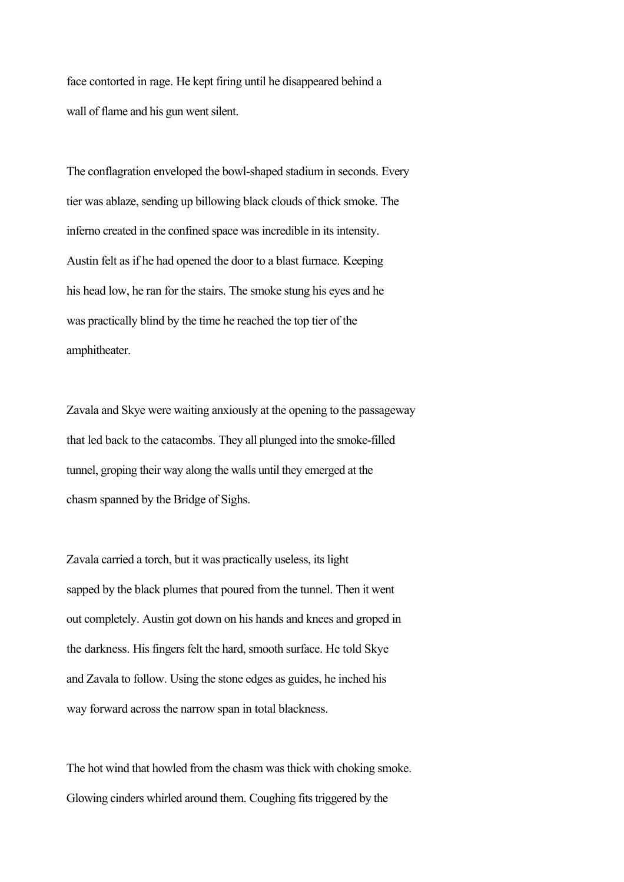face contorted in rage. He kept firing until he disappeared behind a wall of flame and his gun went silent.

 The conflagration enveloped the bowl-shaped stadium in seconds. Every tier was ablaze, sending up billowing black clouds of thick smoke. The inferno created in the confined space was incredible in its intensity. Austin felt as if he had opened the door to a blast furnace. Keeping his head low, he ran for the stairs. The smoke stung his eyes and he was practically blind by the time he reached the top tier of the amphitheater.

 Zavala and Skye were waiting anxiously at the opening to the passageway that led back to the catacombs. They all plunged into the smoke-filled tunnel, groping their way along the walls until they emerged at the chasm spanned by the Bridge of Sighs.

 Zavala carried a torch, but it was practically useless, its light sapped by the black plumes that poured from the tunnel. Then it went out completely. Austin got down on his hands and knees and groped in the darkness. His fingers felt the hard, smooth surface. He told Skye and Zavala to follow. Using the stone edges as guides, he inched his way forward across the narrow span in total blackness.

 The hot wind that howled from the chasm was thick with choking smoke. Glowing cinders whirled around them. Coughing fits triggered by the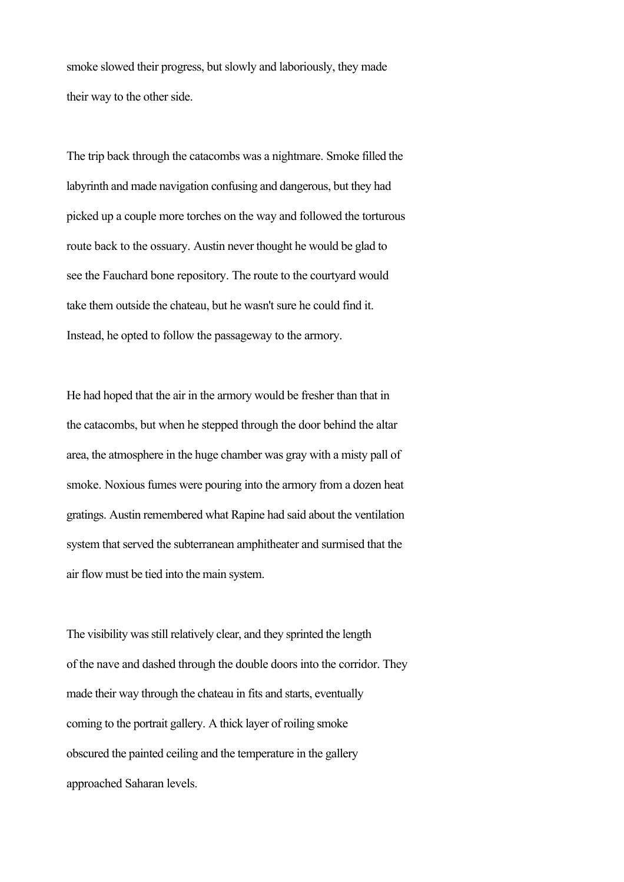smoke slowed their progress, but slowly and laboriously, they made their way to the other side.

 The trip back through the catacombs was a nightmare. Smoke filled the labyrinth and made navigation confusing and dangerous, but they had picked up a couple more torches on the way and followed the torturous route back to the ossuary. Austin never thought he would be glad to see the Fauchard bone repository. The route to the courtyard would take them outside the chateau, but he wasn't sure he could find it. Instead, he opted to follow the passageway to the armory.

 He had hoped that the air in the armory would be fresher than that in the catacombs, but when he stepped through the door behind the altar area, the atmosphere in the huge chamber was gray with a misty pall of smoke. Noxious fumes were pouring into the armory from a dozen heat gratings. Austin remembered what Rapine had said about the ventilation system that served the subterranean amphitheater and surmised that the air flow must be tied into the main system.

 The visibility was still relatively clear, and they sprinted the length of the nave and dashed through the double doors into the corridor. They made their way through the chateau in fits and starts, eventually coming to the portrait gallery. A thick layer of roiling smoke obscured the painted ceiling and the temperature in the gallery approached Saharan levels.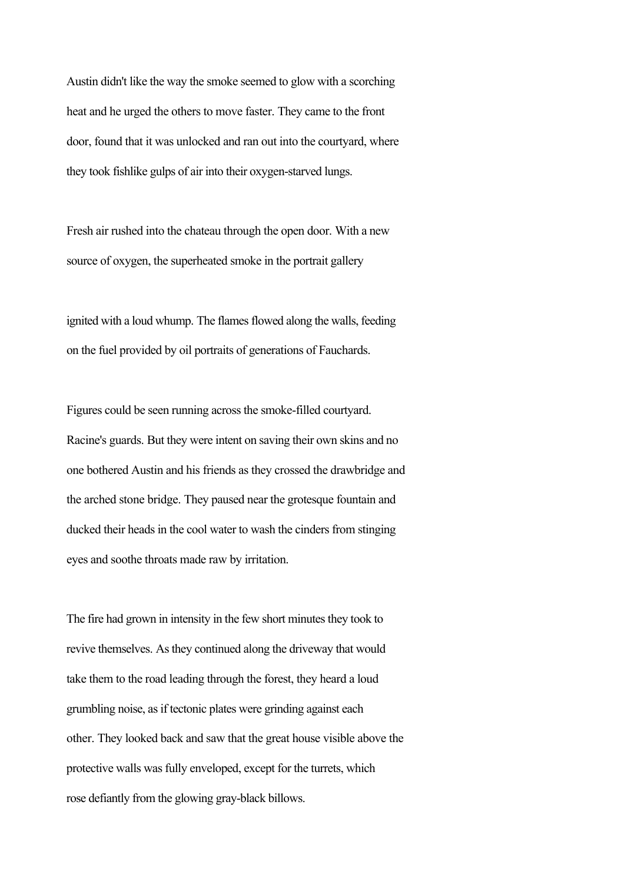Austin didn't like the way the smoke seemed to glow with a scorching heat and he urged the others to move faster. They came to the front door, found that it was unlocked and ran out into the courtyard, where they took fishlike gulps of air into their oxygen-starved lungs.

 Fresh air rushed into the chateau through the open door. With a new source of oxygen, the superheated smoke in the portrait gallery

 ignited with a loud whump. The flames flowed along the walls, feeding on the fuel provided by oil portraits of generations of Fauchards.

 Figures could be seen running across the smoke-filled courtyard. Racine's guards. But they were intent on saving their own skins and no one bothered Austin and his friends as they crossed the drawbridge and the arched stone bridge. They paused near the grotesque fountain and ducked their heads in the cool water to wash the cinders from stinging eyes and soothe throats made raw by irritation.

 The fire had grown in intensity in the few short minutes they took to revive themselves. As they continued along the driveway that would take them to the road leading through the forest, they heard a loud grumbling noise, as if tectonic plates were grinding against each other. They looked back and saw that the great house visible above the protective walls was fully enveloped, except for the turrets, which rose defiantly from the glowing gray-black billows.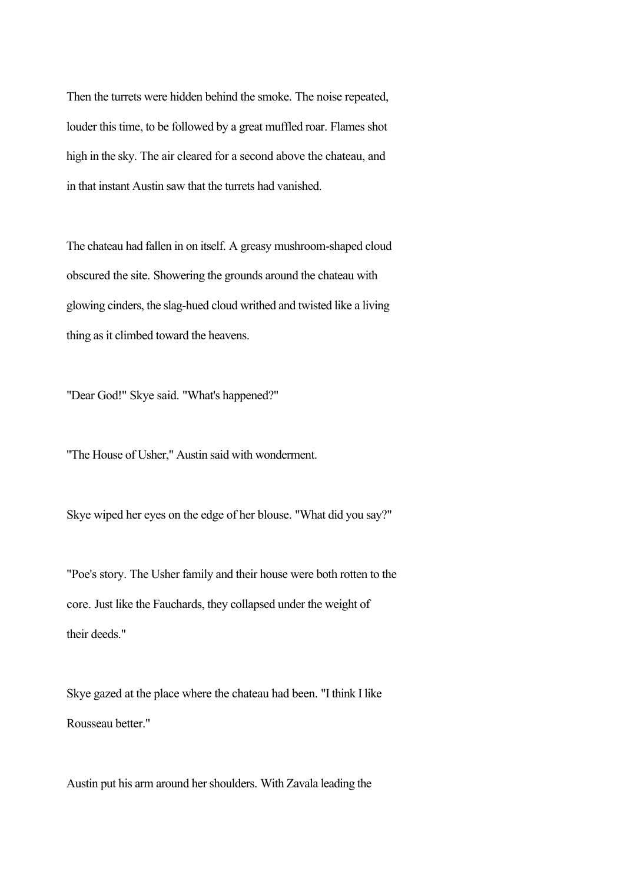Then the turrets were hidden behind the smoke. The noise repeated, louder this time, to be followed by a great muffled roar. Flames shot high in the sky. The air cleared for a second above the chateau, and in that instant Austin saw that the turrets had vanished.

 The chateau had fallen in on itself. A greasy mushroom-shaped cloud obscured the site. Showering the grounds around the chateau with glowing cinders, the slag-hued cloud writhed and twisted like a living thing as it climbed toward the heavens.

"Dear God!" Skye said. "What's happened?"

"The House of Usher," Austin said with wonderment.

Skye wiped her eyes on the edge of her blouse. "What did you say?"

 "Poe's story. The Usher family and their house were both rotten to the core. Just like the Fauchards, they collapsed under the weight of their deeds."

 Skye gazed at the place where the chateau had been. "I think I like Rousseau better."

Austin put his arm around her shoulders. With Zavala leading the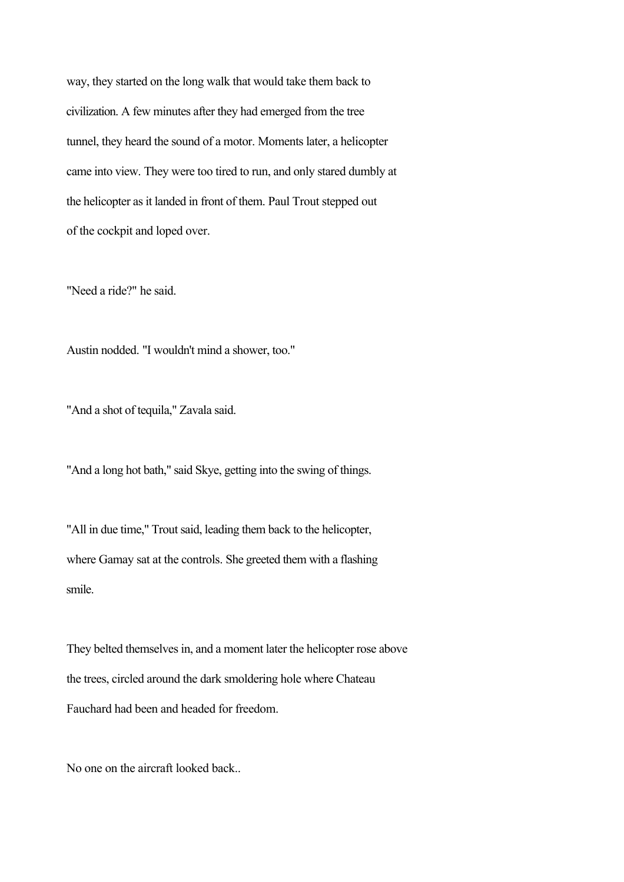way, they started on the long walk that would take them back to civilization. A few minutes after they had emerged from the tree tunnel, they heard the sound of a motor. Moments later, a helicopter came into view. They were too tired to run, and only stared dumbly at the helicopter as it landed in front of them. Paul Trout stepped out of the cockpit and loped over.

"Need a ride?" he said.

Austin nodded. "I wouldn't mind a shower, too."

"And a shot of tequila," Zavala said.

"And a long hot bath," said Skye, getting into the swing of things.

 "All in due time," Trout said, leading them back to the helicopter, where Gamay sat at the controls. She greeted them with a flashing smile.

 They belted themselves in, and a moment later the helicopter rose above the trees, circled around the dark smoldering hole where Chateau Fauchard had been and headed for freedom.

No one on the aircraft looked back..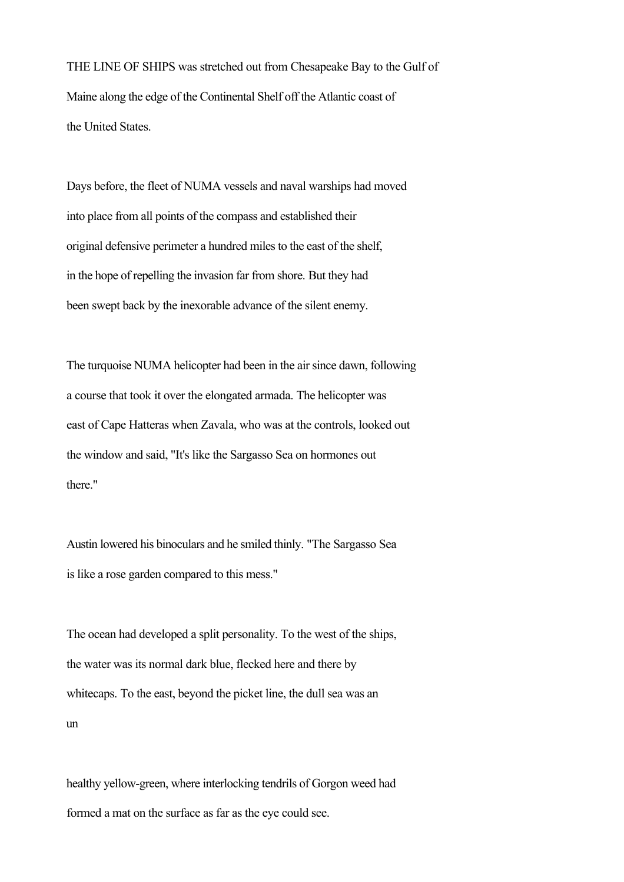THE LINE OF SHIPS was stretched out from Chesapeake Bay to the Gulf of Maine along the edge of the Continental Shelf off the Atlantic coast of the United States.

 Days before, the fleet of NUMA vessels and naval warships had moved into place from all points of the compass and established their original defensive perimeter a hundred miles to the east of the shelf, in the hope of repelling the invasion far from shore. But they had been swept back by the inexorable advance of the silent enemy.

 The turquoise NUMA helicopter had been in the air since dawn, following a course that took it over the elongated armada. The helicopter was east of Cape Hatteras when Zavala, who was at the controls, looked out the window and said, "It's like the Sargasso Sea on hormones out there."

 Austin lowered his binoculars and he smiled thinly. "The Sargasso Sea is like a rose garden compared to this mess."

 The ocean had developed a split personality. To the west of the ships, the water was its normal dark blue, flecked here and there by whitecaps. To the east, beyond the picket line, the dull sea was an un

 healthy yellow-green, where interlocking tendrils of Gorgon weed had formed a mat on the surface as far as the eye could see.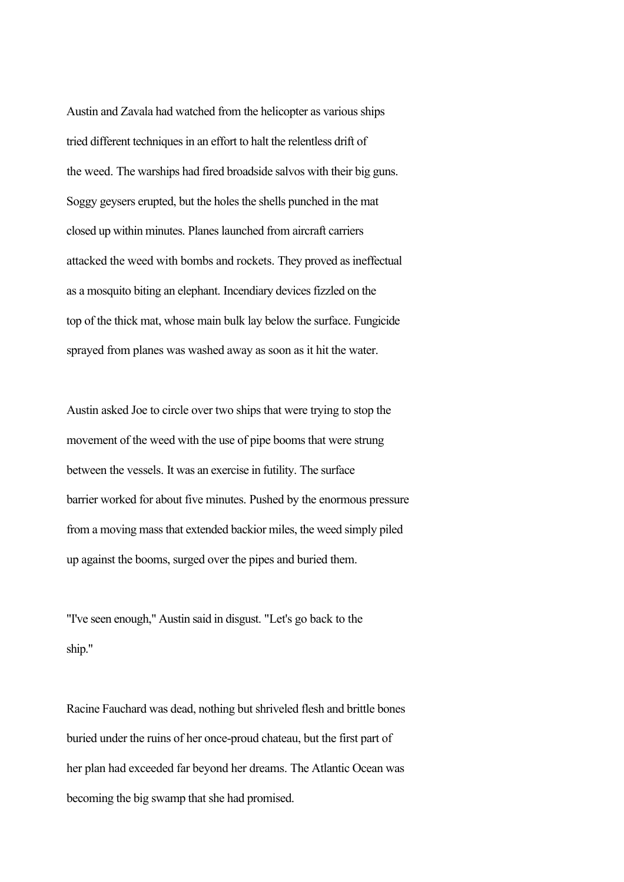Austin and Zavala had watched from the helicopter as various ships tried different techniques in an effort to halt the relentless drift of the weed. The warships had fired broadside salvos with their big guns. Soggy geysers erupted, but the holes the shells punched in the mat closed up within minutes. Planes launched from aircraft carriers attacked the weed with bombs and rockets. They proved as ineffectual as a mosquito biting an elephant. Incendiary devices fizzled on the top of the thick mat, whose main bulk lay below the surface. Fungicide sprayed from planes was washed away as soon as it hit the water.

 Austin asked Joe to circle over two ships that were trying to stop the movement of the weed with the use of pipe booms that were strung between the vessels. It was an exercise in futility. The surface barrier worked for about five minutes. Pushed by the enormous pressure from a moving mass that extended backior miles, the weed simply piled up against the booms, surged over the pipes and buried them.

 "I've seen enough," Austin said in disgust. "Let's go back to the ship."

 Racine Fauchard was dead, nothing but shriveled flesh and brittle bones buried under the ruins of her once-proud chateau, but the first part of her plan had exceeded far beyond her dreams. The Atlantic Ocean was becoming the big swamp that she had promised.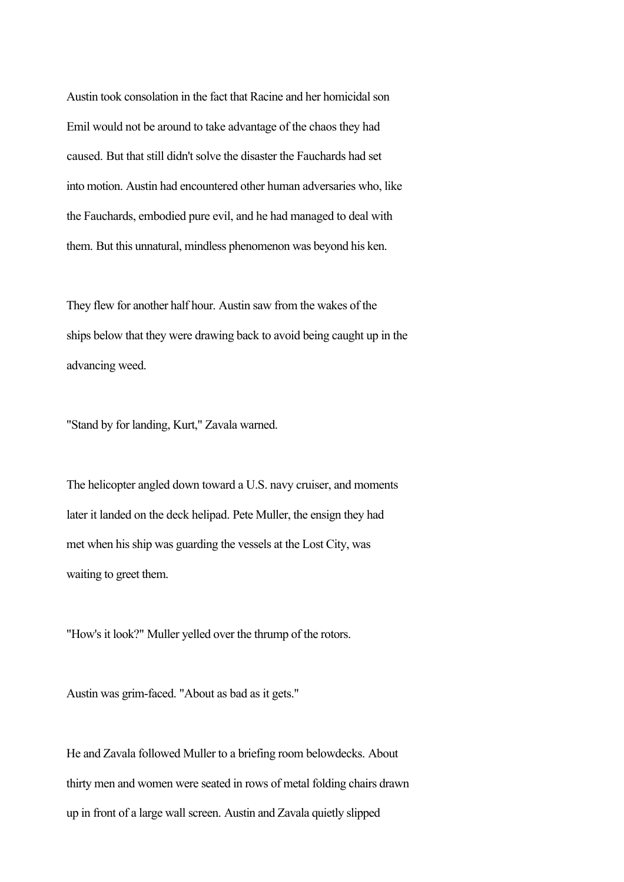Austin took consolation in the fact that Racine and her homicidal son Emil would not be around to take advantage of the chaos they had caused. But that still didn't solve the disaster the Fauchards had set into motion. Austin had encountered other human adversaries who, like the Fauchards, embodied pure evil, and he had managed to deal with them. But this unnatural, mindless phenomenon was beyond his ken.

 They flew for another half hour. Austin saw from the wakes of the ships below that they were drawing back to avoid being caught up in the advancing weed.

"Stand by for landing, Kurt," Zavala warned.

 The helicopter angled down toward a U.S. navy cruiser, and moments later it landed on the deck helipad. Pete Muller, the ensign they had met when his ship was guarding the vessels at the Lost City, was waiting to greet them.

"How's it look?" Muller yelled over the thrump of the rotors.

Austin was grim-faced. "About as bad as it gets."

 He and Zavala followed Muller to a briefing room belowdecks. About thirty men and women were seated in rows of metal folding chairs drawn up in front of a large wall screen. Austin and Zavala quietly slipped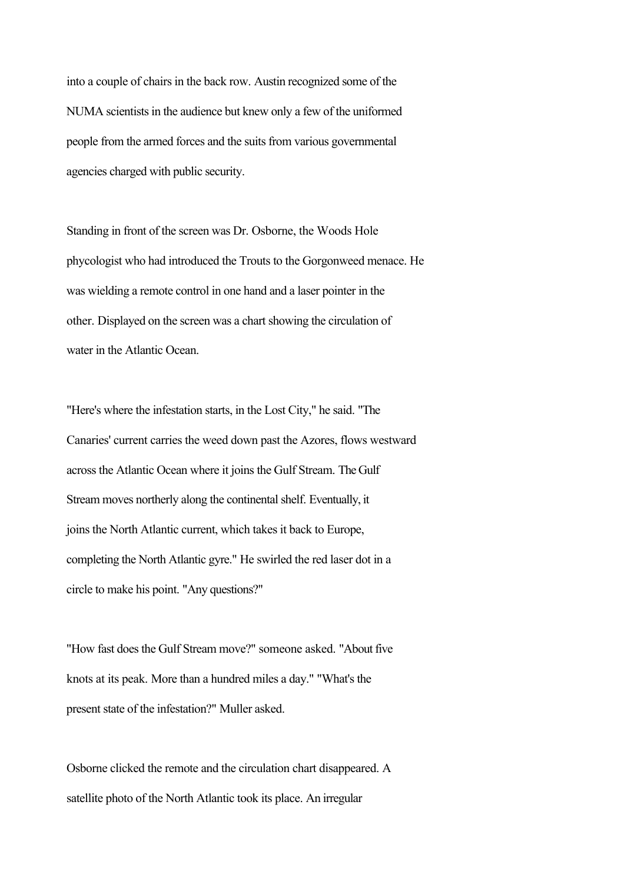into a couple of chairs in the back row. Austin recognized some of the NUMA scientists in the audience but knew only a few of the uniformed people from the armed forces and the suits from various governmental agencies charged with public security.

 Standing in front of the screen was Dr. Osborne, the Woods Hole phycologist who had introduced the Trouts to the Gorgonweed menace. He was wielding a remote control in one hand and a laser pointer in the other. Displayed on the screen was a chart showing the circulation of water in the Atlantic Ocean

 "Here's where the infestation starts, in the Lost City," he said. "The Canaries' current carries the weed down past the Azores, flows westward across the Atlantic Ocean where it joins the Gulf Stream. The Gulf Stream moves northerly along the continental shelf. Eventually, it joins the North Atlantic current, which takes it back to Europe, completing the North Atlantic gyre." He swirled the red laser dot in a circle to make his point. "Any questions?"

 "How fast does the Gulf Stream move?" someone asked. "About five knots at its peak. More than a hundred miles a day." "What's the present state of the infestation?" Muller asked.

 Osborne clicked the remote and the circulation chart disappeared. A satellite photo of the North Atlantic took its place. An irregular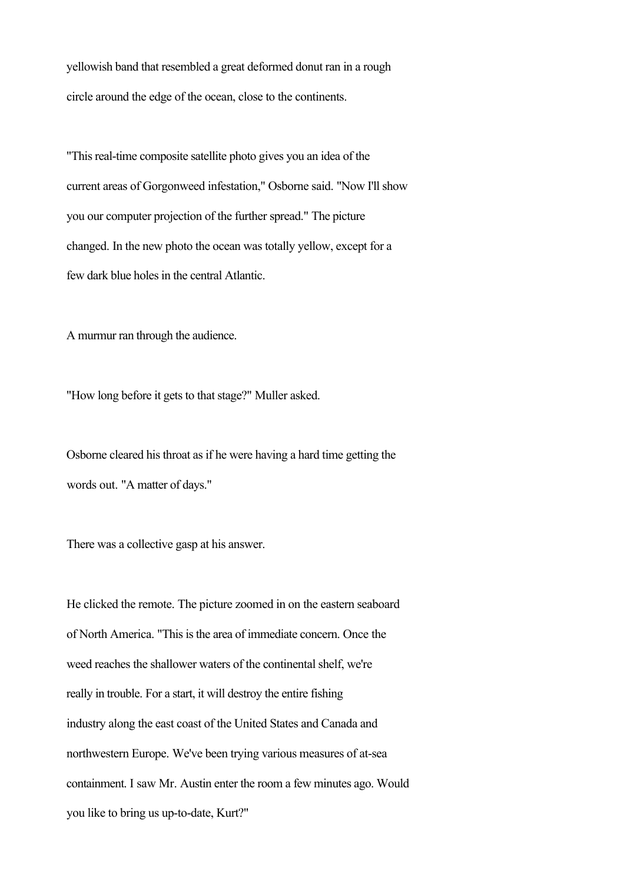yellowish band that resembled a great deformed donut ran in a rough circle around the edge of the ocean, close to the continents.

 "This real-time composite satellite photo gives you an idea of the current areas of Gorgonweed infestation," Osborne said. "Now I'll show you our computer projection of the further spread." The picture changed. In the new photo the ocean was totally yellow, except for a few dark blue holes in the central Atlantic.

A murmur ran through the audience.

"How long before it gets to that stage?" Muller asked.

 Osborne cleared his throat as if he were having a hard time getting the words out. "A matter of days."

There was a collective gasp at his answer.

 He clicked the remote. The picture zoomed in on the eastern seaboard of North America. "This is the area of immediate concern. Once the weed reaches the shallower waters of the continental shelf, we're really in trouble. For a start, it will destroy the entire fishing industry along the east coast of the United States and Canada and northwestern Europe. We've been trying various measures of at-sea containment. I saw Mr. Austin enter the room a few minutes ago. Would you like to bring us up-to-date, Kurt?"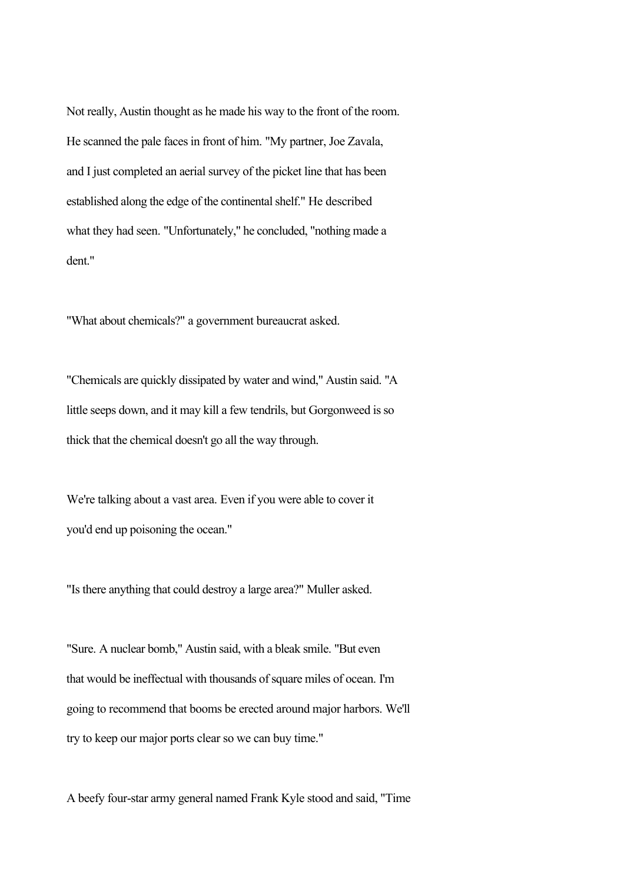Not really, Austin thought as he made his way to the front of the room. He scanned the pale faces in front of him. "My partner, Joe Zavala, and I just completed an aerial survey of the picket line that has been established along the edge of the continental shelf." He described what they had seen. "Unfortunately," he concluded, "nothing made a dent."

"What about chemicals?" a government bureaucrat asked.

 "Chemicals are quickly dissipated by water and wind," Austin said. "A little seeps down, and it may kill a few tendrils, but Gorgonweed is so thick that the chemical doesn't go all the way through.

 We're talking about a vast area. Even if you were able to cover it you'd end up poisoning the ocean."

"Is there anything that could destroy a large area?" Muller asked.

 "Sure. A nuclear bomb," Austin said, with a bleak smile. "But even that would be ineffectual with thousands of square miles of ocean. I'm going to recommend that booms be erected around major harbors. We'll try to keep our major ports clear so we can buy time."

A beefy four-star army general named Frank Kyle stood and said, "Time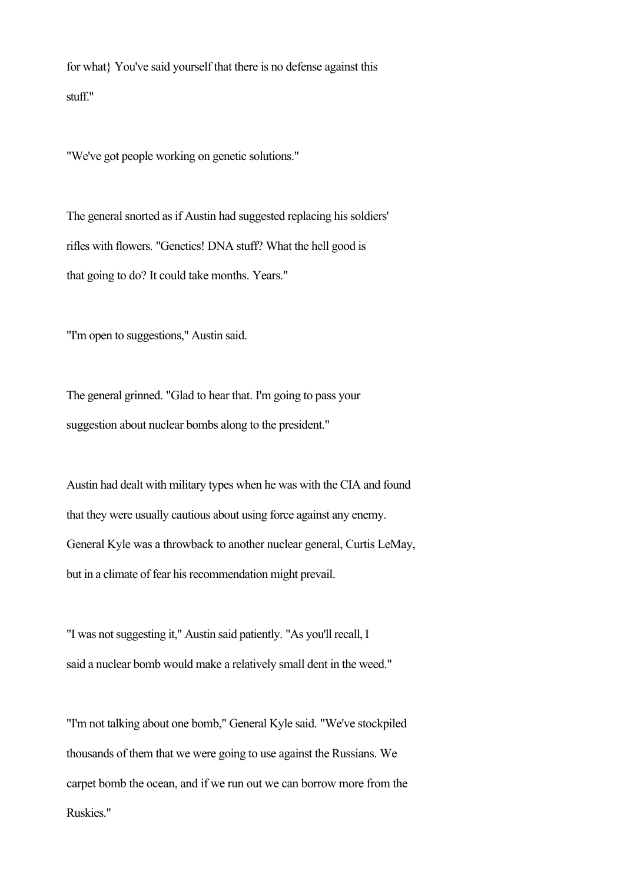for what} You've said yourself that there is no defense against this stuff."

"We've got people working on genetic solutions."

 The general snorted as if Austin had suggested replacing his soldiers' rifles with flowers. "Genetics! DNA stuff? What the hell good is that going to do? It could take months. Years."

"I'm open to suggestions," Austin said.

 The general grinned. "Glad to hear that. I'm going to pass your suggestion about nuclear bombs along to the president."

 Austin had dealt with military types when he was with the CIA and found that they were usually cautious about using force against any enemy. General Kyle was a throwback to another nuclear general, Curtis LeMay, but in a climate of fear his recommendation might prevail.

 "I was not suggesting it," Austin said patiently. "As you'll recall, I said a nuclear bomb would make a relatively small dent in the weed."

 "I'm not talking about one bomb," General Kyle said. "We've stockpiled thousands of them that we were going to use against the Russians. We carpet bomb the ocean, and if we run out we can borrow more from the Ruskies."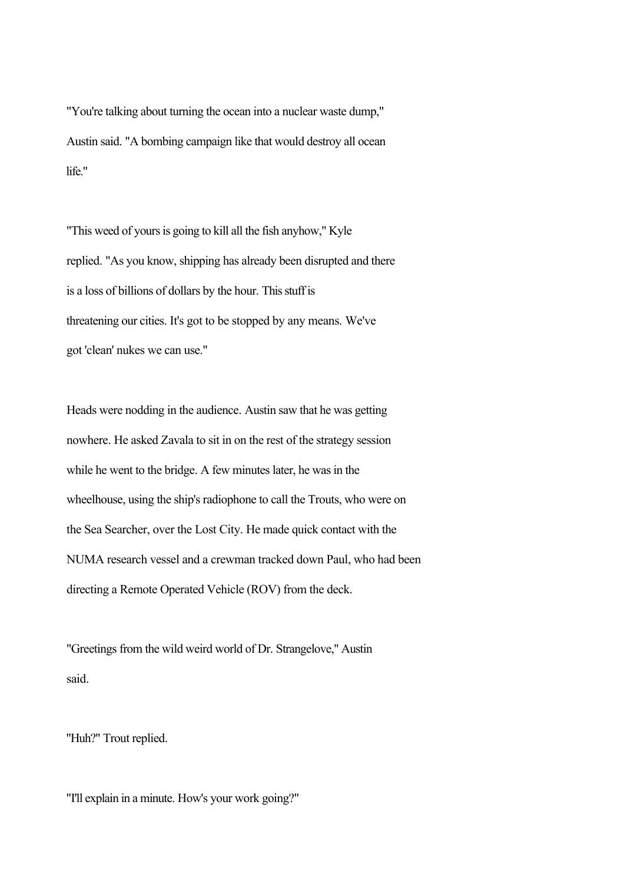"You're talking about turning the ocean into a nuclear waste dump," Austin said. "A bombing campaign like that would destroy all ocean life"

 "This weed of yours is going to kill all the fish anyhow," Kyle replied. "As you know, shipping has already been disrupted and there is a loss of billions of dollars by the hour. This stuff is threatening our cities. It's got to be stopped by any means. We've got 'clean' nukes we can use."

 Heads were nodding in the audience. Austin saw that he was getting nowhere. He asked Zavala to sit in on the rest of the strategy session while he went to the bridge. A few minutes later, he was in the wheelhouse, using the ship's radiophone to call the Trouts, who were on the Sea Searcher, over the Lost City. He made quick contact with the NUMA research vessel and a crewman tracked down Paul, who had been directing a Remote Operated Vehicle (ROV) from the deck.

 "Greetings from the wild weird world of Dr. Strangelove," Austin said.

"Huh?" Trout replied.

"I'll explain in a minute. How's your work going?"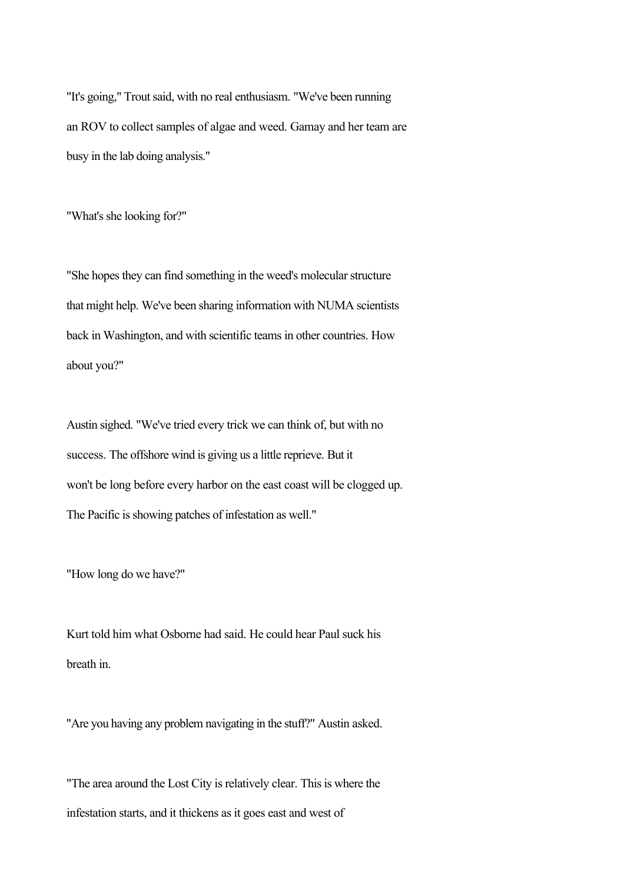"It's going," Trout said, with no real enthusiasm. "We've been running an ROV to collect samples of algae and weed. Gamay and her team are busy in the lab doing analysis."

"What's she looking for?"

 "She hopes they can find something in the weed's molecular structure that might help. We've been sharing information with NUMA scientists back in Washington, and with scientific teams in other countries. How about you?"

 Austin sighed. "We've tried every trick we can think of, but with no success. The offshore wind is giving us a little reprieve. But it won't be long before every harbor on the east coast will be clogged up. The Pacific is showing patches of infestation as well."

"How long do we have?"

 Kurt told him what Osborne had said. He could hear Paul suck his breath in.

"Are you having any problem navigating in the stuff?" Austin asked.

 "The area around the Lost City is relatively clear. This is where the infestation starts, and it thickens as it goes east and west of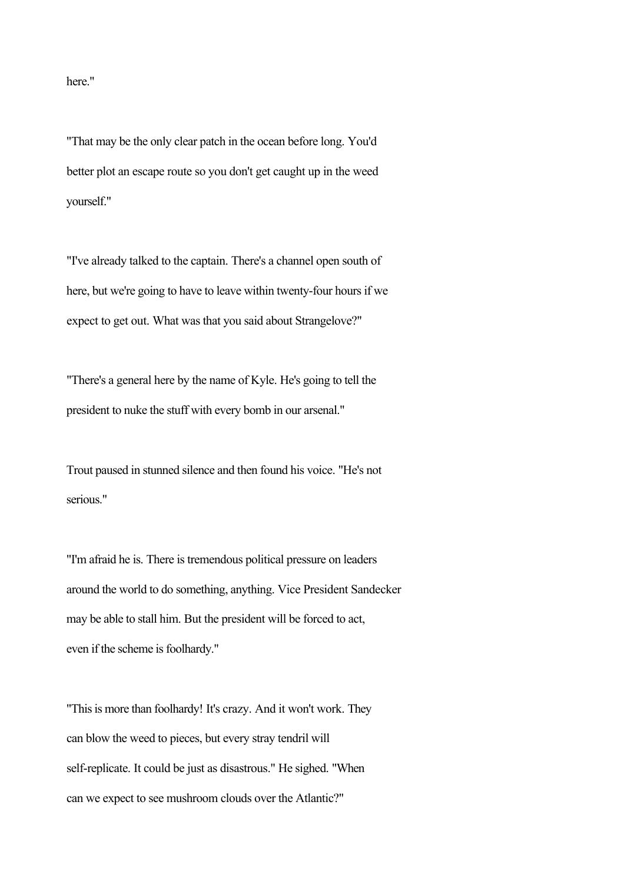here."

 "That may be the only clear patch in the ocean before long. You'd better plot an escape route so you don't get caught up in the weed yourself."

 "I've already talked to the captain. There's a channel open south of here, but we're going to have to leave within twenty-four hours if we expect to get out. What was that you said about Strangelove?"

 "There's a general here by the name of Kyle. He's going to tell the president to nuke the stuff with every bomb in our arsenal."

 Trout paused in stunned silence and then found his voice. "He's not serious."

 "I'm afraid he is. There is tremendous political pressure on leaders around the world to do something, anything. Vice President Sandecker may be able to stall him. But the president will be forced to act, even if the scheme is foolhardy."

 "This is more than foolhardy! It's crazy. And it won't work. They can blow the weed to pieces, but every stray tendril will self-replicate. It could be just as disastrous." He sighed. "When can we expect to see mushroom clouds over the Atlantic?"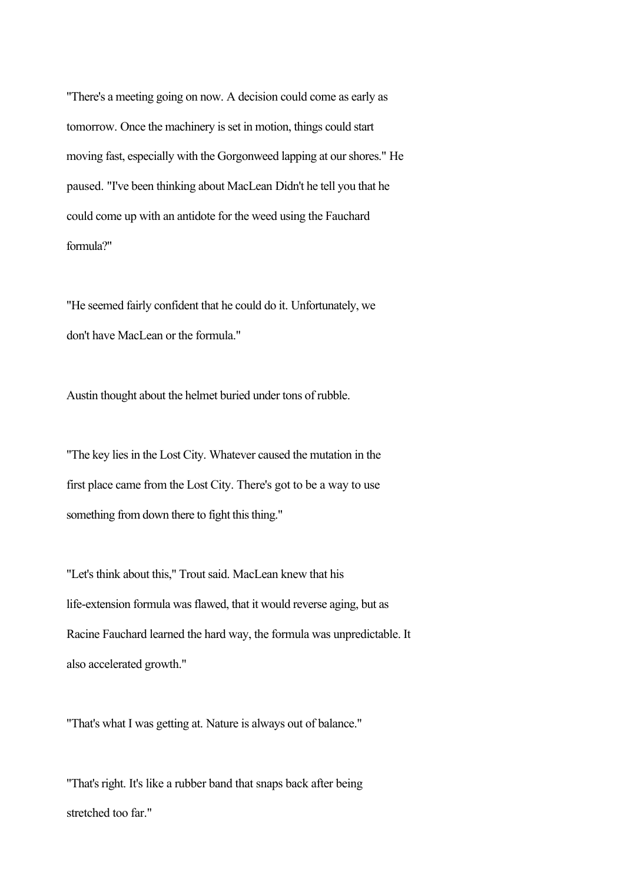"There's a meeting going on now. A decision could come as early as tomorrow. Once the machinery is set in motion, things could start moving fast, especially with the Gorgonweed lapping at our shores." He paused. "I've been thinking about MacLean Didn't he tell you that he could come up with an antidote for the weed using the Fauchard formula?"

 "He seemed fairly confident that he could do it. Unfortunately, we don't have MacLean or the formula."

Austin thought about the helmet buried under tons of rubble.

 "The key lies in the Lost City. Whatever caused the mutation in the first place came from the Lost City. There's got to be a way to use something from down there to fight this thing."

 "Let's think about this," Trout said. MacLean knew that his life-extension formula was flawed, that it would reverse aging, but as Racine Fauchard learned the hard way, the formula was unpredictable. It also accelerated growth."

"That's what I was getting at. Nature is always out of balance."

 "That's right. It's like a rubber band that snaps back after being stretched too far."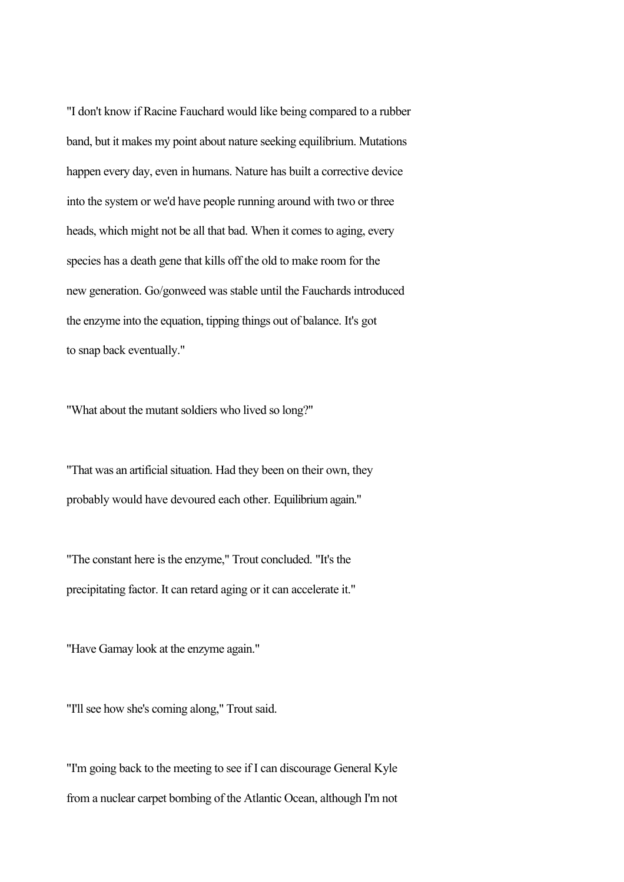"I don't know if Racine Fauchard would like being compared to a rubber band, but it makes my point about nature seeking equilibrium. Mutations happen every day, even in humans. Nature has built a corrective device into the system or we'd have people running around with two or three heads, which might not be all that bad. When it comes to aging, every species has a death gene that kills off the old to make room for the new generation. Go/gonweed was stable until the Fauchards introduced the enzyme into the equation, tipping things out of balance. It's got to snap back eventually."

"What about the mutant soldiers who lived so long?"

 "That was an artificial situation. Had they been on their own, they probably would have devoured each other. Equilibrium again."

 "The constant here is the enzyme," Trout concluded. "It's the precipitating factor. It can retard aging or it can accelerate it."

"Have Gamay look at the enzyme again."

"I'll see how she's coming along," Trout said.

 "I'm going back to the meeting to see if I can discourage General Kyle from a nuclear carpet bombing of the Atlantic Ocean, although I'm not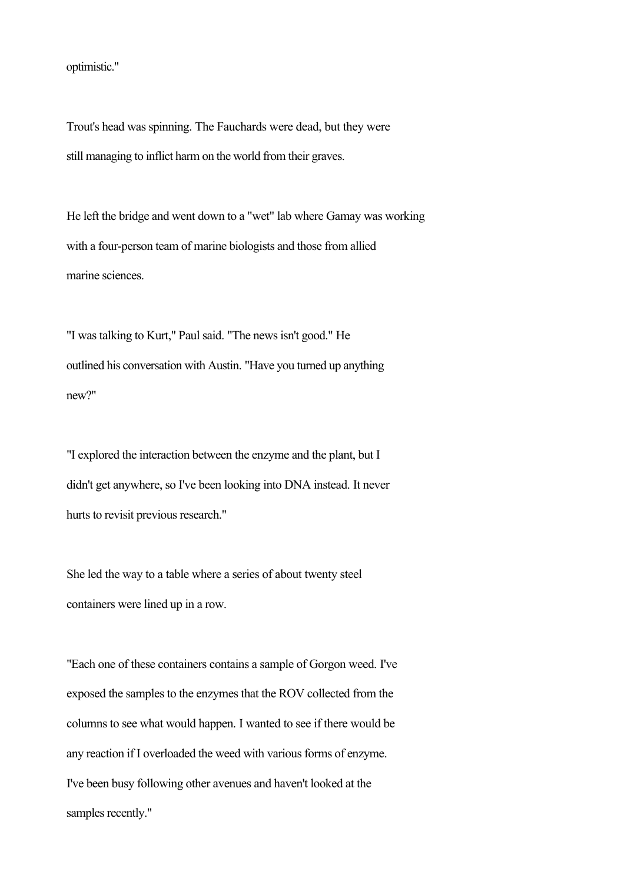optimistic."

 Trout's head was spinning. The Fauchards were dead, but they were still managing to inflict harm on the world from their graves.

 He left the bridge and went down to a "wet" lab where Gamay was working with a four-person team of marine biologists and those from allied marine sciences.

 "I was talking to Kurt," Paul said. "The news isn't good." He outlined his conversation with Austin. "Have you turned up anything new?"

 "I explored the interaction between the enzyme and the plant, but I didn't get anywhere, so I've been looking into DNA instead. It never hurts to revisit previous research."

 She led the way to a table where a series of about twenty steel containers were lined up in a row.

 "Each one of these containers contains a sample of Gorgon weed. I've exposed the samples to the enzymes that the ROV collected from the columns to see what would happen. I wanted to see if there would be any reaction if I overloaded the weed with various forms of enzyme. I've been busy following other avenues and haven't looked at the samples recently."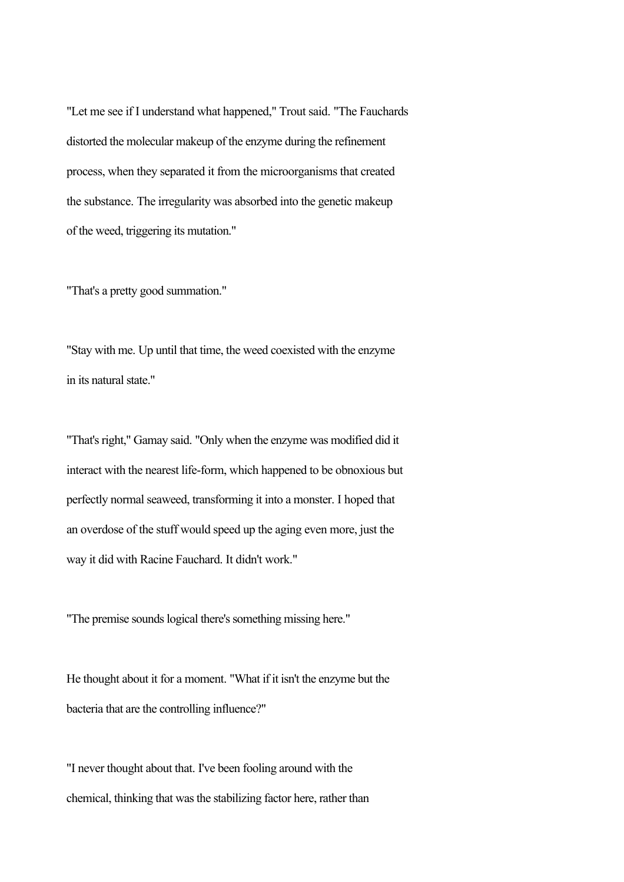"Let me see if I understand what happened," Trout said. "The Fauchards distorted the molecular makeup of the enzyme during the refinement process, when they separated it from the microorganisms that created the substance. The irregularity was absorbed into the genetic makeup of the weed, triggering its mutation."

"That's a pretty good summation."

 "Stay with me. Up until that time, the weed coexisted with the enzyme in its natural state."

 "That's right," Gamay said. "Only when the enzyme was modified did it interact with the nearest life-form, which happened to be obnoxious but perfectly normal seaweed, transforming it into a monster. I hoped that an overdose of the stuff would speed up the aging even more, just the way it did with Racine Fauchard. It didn't work."

"The premise sounds logical there's something missing here."

 He thought about it for a moment. "What if it isn't the enzyme but the bacteria that are the controlling influence?"

 "I never thought about that. I've been fooling around with the chemical, thinking that was the stabilizing factor here, rather than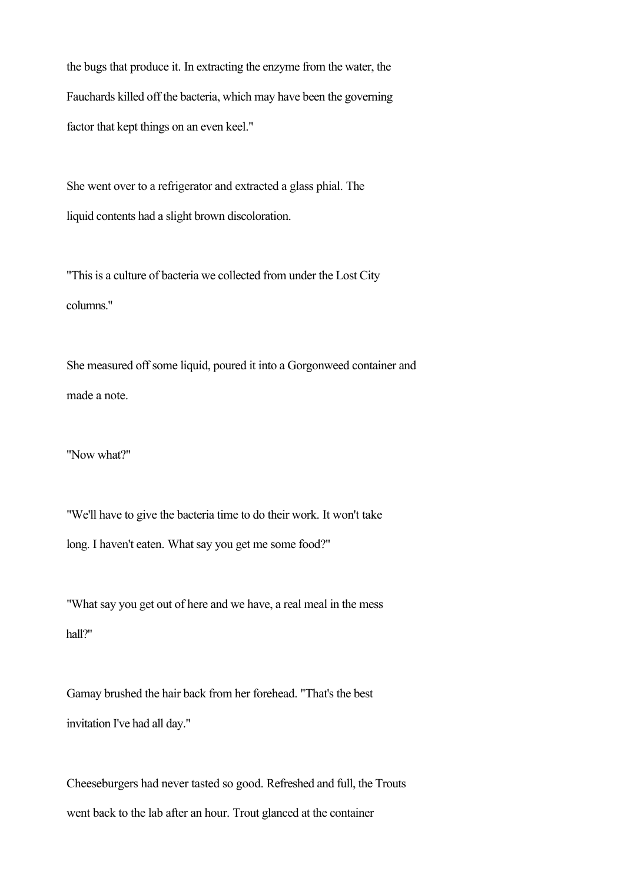the bugs that produce it. In extracting the enzyme from the water, the Fauchards killed off the bacteria, which may have been the governing factor that kept things on an even keel."

 She went over to a refrigerator and extracted a glass phial. The liquid contents had a slight brown discoloration.

 "This is a culture of bacteria we collected from under the Lost City columns."

 She measured off some liquid, poured it into a Gorgonweed container and made a note.

"Now what?"

 "We'll have to give the bacteria time to do their work. It won't take long. I haven't eaten. What say you get me some food?"

 "What say you get out of here and we have, a real meal in the mess hall?"

 Gamay brushed the hair back from her forehead. "That's the best invitation I've had all day."

 Cheeseburgers had never tasted so good. Refreshed and full, the Trouts went back to the lab after an hour. Trout glanced at the container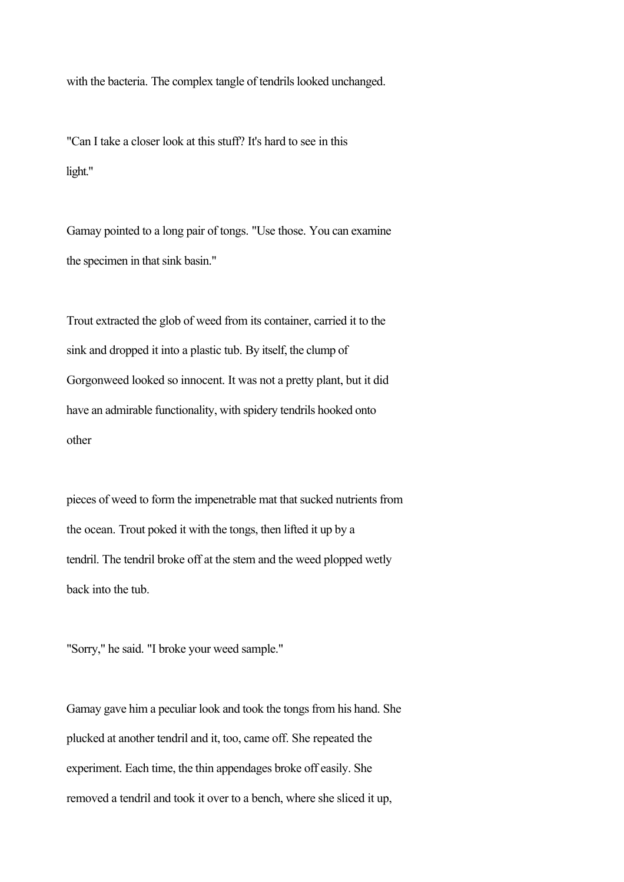with the bacteria. The complex tangle of tendrils looked unchanged.

 "Can I take a closer look at this stuff? It's hard to see in this light."

 Gamay pointed to a long pair of tongs. "Use those. You can examine the specimen in that sink basin."

 Trout extracted the glob of weed from its container, carried it to the sink and dropped it into a plastic tub. By itself, the clump of Gorgonweed looked so innocent. It was not a pretty plant, but it did have an admirable functionality, with spidery tendrils hooked onto other

 pieces of weed to form the impenetrable mat that sucked nutrients from the ocean. Trout poked it with the tongs, then lifted it up by a tendril. The tendril broke off at the stem and the weed plopped wetly back into the tub.

"Sorry," he said. "I broke your weed sample."

 Gamay gave him a peculiar look and took the tongs from his hand. She plucked at another tendril and it, too, came off. She repeated the experiment. Each time, the thin appendages broke off easily. She removed a tendril and took it over to a bench, where she sliced it up,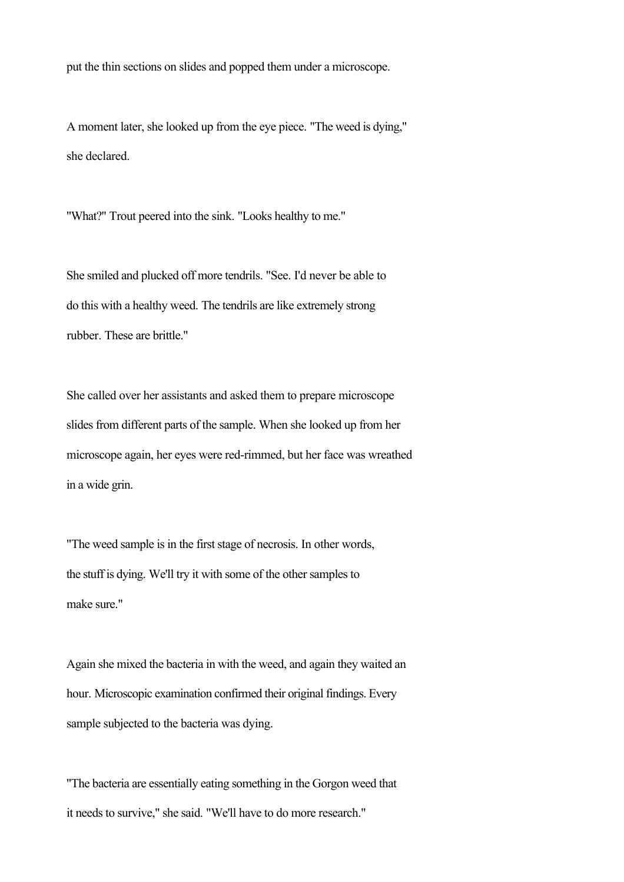put the thin sections on slides and popped them under a microscope.

 A moment later, she looked up from the eye piece. "The weed is dying," she declared.

"What?" Trout peered into the sink. "Looks healthy to me."

 She smiled and plucked off more tendrils. "See. I'd never be able to do this with a healthy weed. The tendrils are like extremely strong rubber. These are brittle."

 She called over her assistants and asked them to prepare microscope slides from different parts of the sample. When she looked up from her microscope again, her eyes were red-rimmed, but her face was wreathed in a wide grin.

 "The weed sample is in the first stage of necrosis. In other words, the stuff is dying. We'll try it with some of the other samples to make sure."

 Again she mixed the bacteria in with the weed, and again they waited an hour. Microscopic examination confirmed their original findings. Every sample subjected to the bacteria was dying.

 "The bacteria are essentially eating something in the Gorgon weed that it needs to survive," she said. "We'll have to do more research."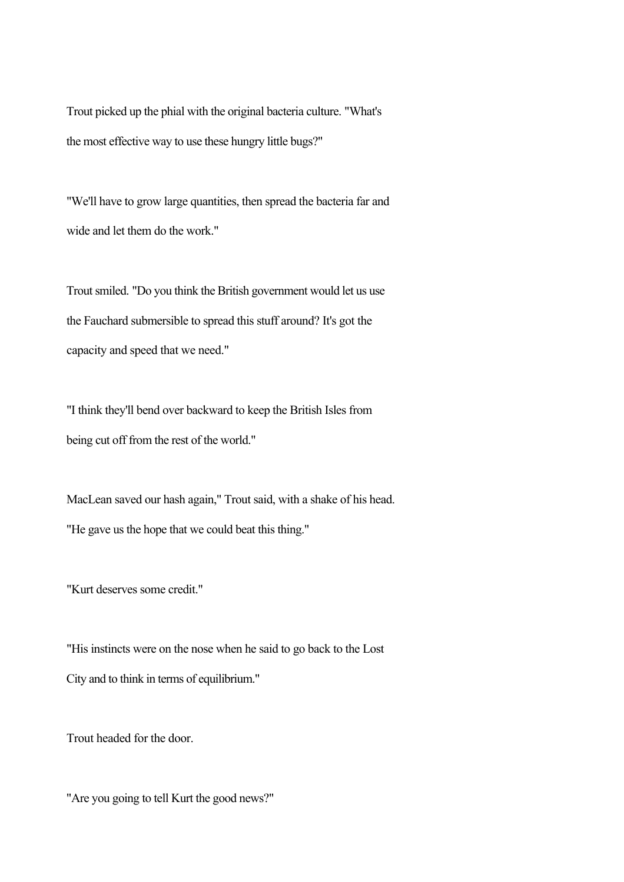Trout picked up the phial with the original bacteria culture. "What's the most effective way to use these hungry little bugs?"

 "We'll have to grow large quantities, then spread the bacteria far and wide and let them do the work."

 Trout smiled. "Do you think the British government would let us use the Fauchard submersible to spread this stuff around? It's got the capacity and speed that we need."

 "I think they'll bend over backward to keep the British Isles from being cut off from the rest of the world."

 MacLean saved our hash again," Trout said, with a shake of his head. "He gave us the hope that we could beat this thing."

"Kurt deserves some credit."

 "His instincts were on the nose when he said to go back to the Lost City and to think in terms of equilibrium."

Trout headed for the door.

"Are you going to tell Kurt the good news?"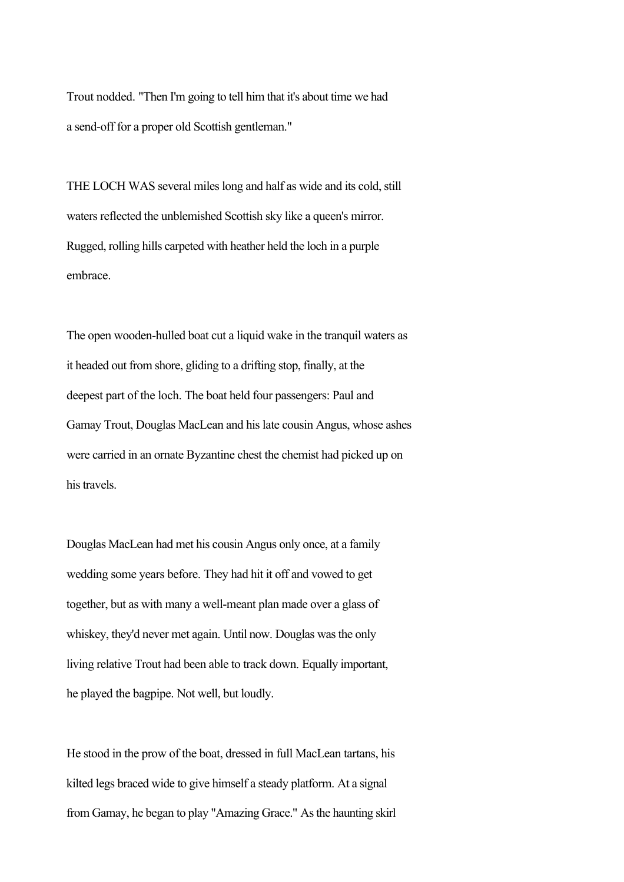Trout nodded. "Then I'm going to tell him that it's about time we had a send-off for a proper old Scottish gentleman."

 THE LOCH WAS several miles long and half as wide and its cold, still waters reflected the unblemished Scottish sky like a queen's mirror. Rugged, rolling hills carpeted with heather held the loch in a purple embrace.

 The open wooden-hulled boat cut a liquid wake in the tranquil waters as it headed out from shore, gliding to a drifting stop, finally, at the deepest part of the loch. The boat held four passengers: Paul and Gamay Trout, Douglas MacLean and his late cousin Angus, whose ashes were carried in an ornate Byzantine chest the chemist had picked up on his travels.

 Douglas MacLean had met his cousin Angus only once, at a family wedding some years before. They had hit it off and vowed to get together, but as with many a well-meant plan made over a glass of whiskey, they'd never met again. Until now. Douglas was the only living relative Trout had been able to track down. Equally important, he played the bagpipe. Not well, but loudly.

 He stood in the prow of the boat, dressed in full MacLean tartans, his kilted legs braced wide to give himself a steady platform. At a signal from Gamay, he began to play "Amazing Grace." As the haunting skirl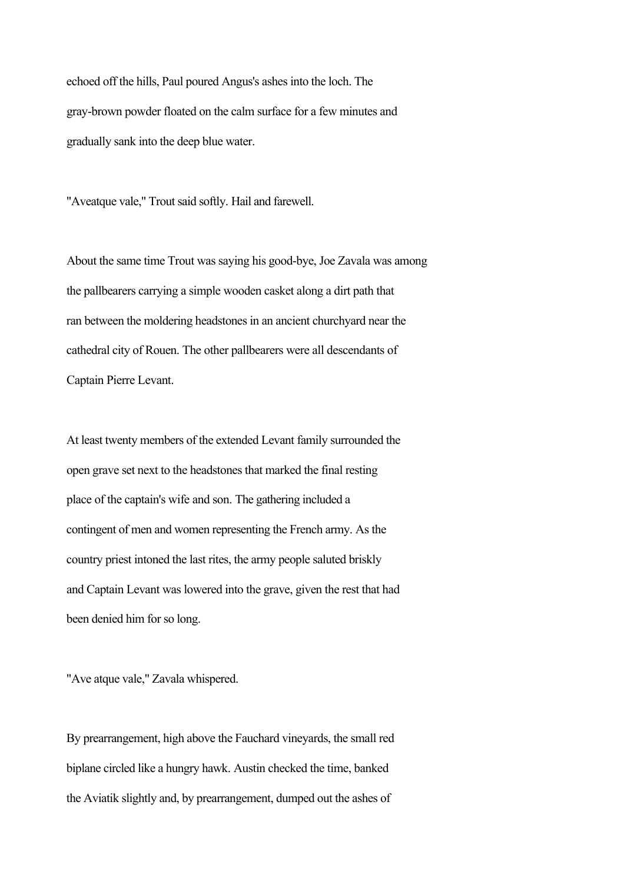echoed off the hills, Paul poured Angus's ashes into the loch. The gray-brown powder floated on the calm surface for a few minutes and gradually sank into the deep blue water.

"Aveatque vale," Trout said softly. Hail and farewell.

 About the same time Trout was saying his good-bye, Joe Zavala was among the pallbearers carrying a simple wooden casket along a dirt path that ran between the moldering headstones in an ancient churchyard near the cathedral city of Rouen. The other pallbearers were all descendants of Captain Pierre Levant.

 At least twenty members of the extended Levant family surrounded the open grave set next to the headstones that marked the final resting place of the captain's wife and son. The gathering included a contingent of men and women representing the French army. As the country priest intoned the last rites, the army people saluted briskly and Captain Levant was lowered into the grave, given the rest that had been denied him for so long.

"Ave atque vale," Zavala whispered.

 By prearrangement, high above the Fauchard vineyards, the small red biplane circled like a hungry hawk. Austin checked the time, banked the Aviatik slightly and, by prearrangement, dumped out the ashes of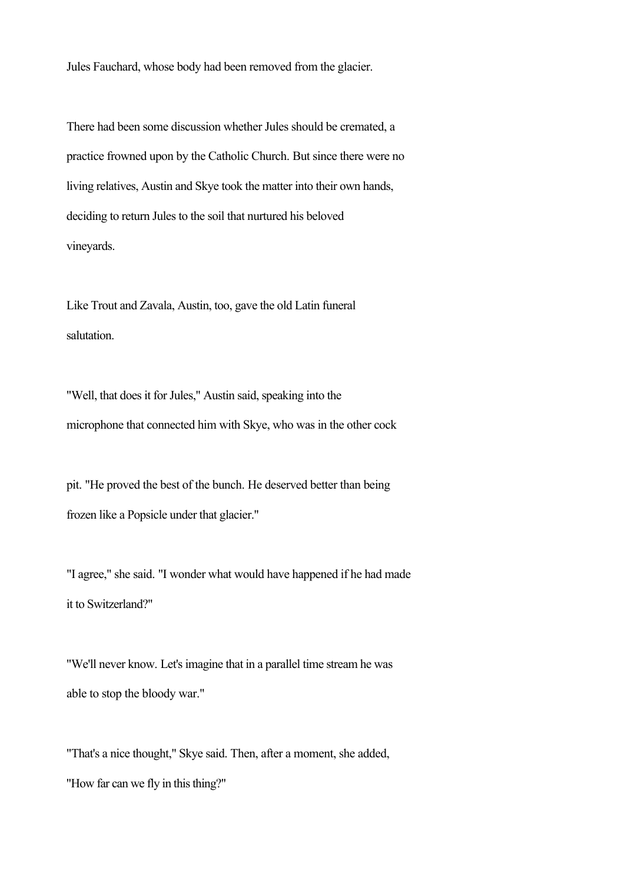Jules Fauchard, whose body had been removed from the glacier.

 There had been some discussion whether Jules should be cremated, a practice frowned upon by the Catholic Church. But since there were no living relatives, Austin and Skye took the matter into their own hands, deciding to return Jules to the soil that nurtured his beloved vineyards.

 Like Trout and Zavala, Austin, too, gave the old Latin funeral salutation.

 "Well, that does it for Jules," Austin said, speaking into the microphone that connected him with Skye, who was in the other cock

 pit. "He proved the best of the bunch. He deserved better than being frozen like a Popsicle under that glacier."

 "I agree," she said. "I wonder what would have happened if he had made it to Switzerland?"

 "We'll never know. Let's imagine that in a parallel time stream he was able to stop the bloody war."

 "That's a nice thought," Skye said. Then, after a moment, she added, "How far can we fly in this thing?"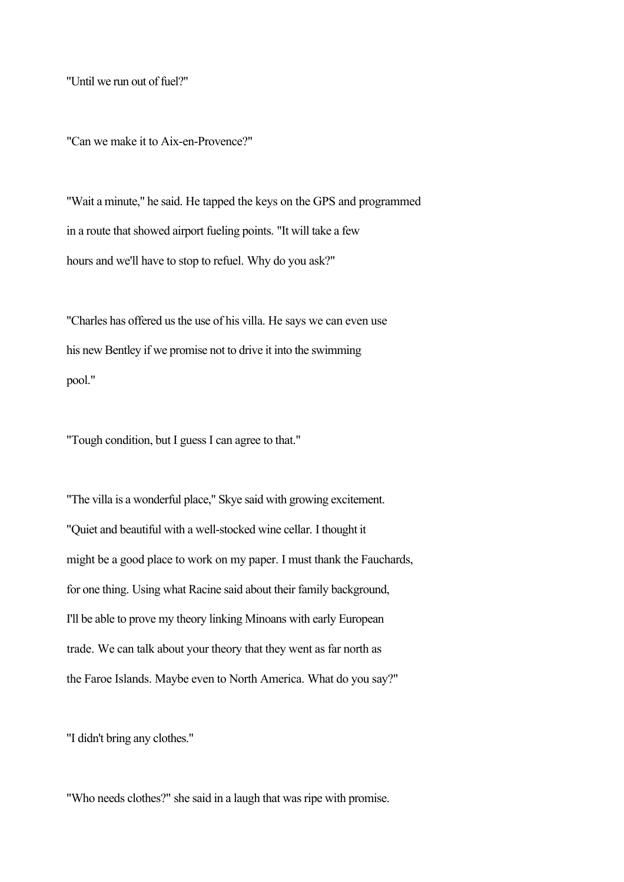"Until we run out of fuel?"

"Can we make it to Aix-en-Provence?"

 "Wait a minute," he said. He tapped the keys on the GPS and programmed in a route that showed airport fueling points. "It will take a few hours and we'll have to stop to refuel. Why do you ask?"

 "Charles has offered us the use of his villa. He says we can even use his new Bentley if we promise not to drive it into the swimming pool."

"Tough condition, but I guess I can agree to that."

 "The villa is a wonderful place," Skye said with growing excitement. "Quiet and beautiful with a well-stocked wine cellar. I thought it might be a good place to work on my paper. I must thank the Fauchards, for one thing. Using what Racine said about their family background, I'll be able to prove my theory linking Minoans with early European trade. We can talk about your theory that they went as far north as the Faroe Islands. Maybe even to North America. What do you say?"

"I didn't bring any clothes."

"Who needs clothes?" she said in a laugh that was ripe with promise.